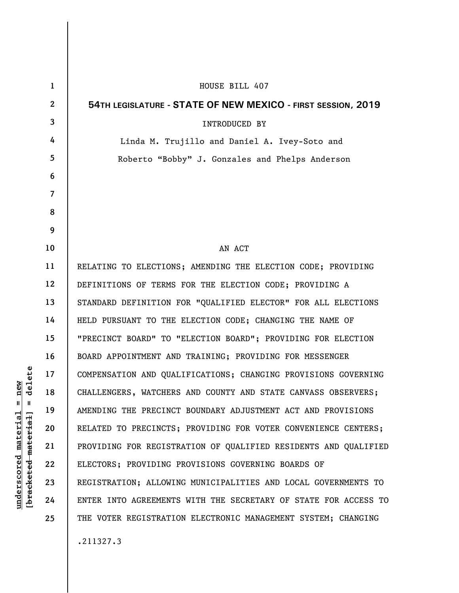| $\mathbf{1}$ | HOUSE BILL 407                                                  |
|--------------|-----------------------------------------------------------------|
| $\mathbf{2}$ | 54TH LEGISLATURE - STATE OF NEW MEXICO - FIRST SESSION, 2019    |
| 3            | <b>INTRODUCED BY</b>                                            |
| 4            | Linda M. Trujillo and Daniel A. Ivey-Soto and                   |
| 5            | Roberto "Bobby" J. Gonzales and Phelps Anderson                 |
| 6            |                                                                 |
| 7            |                                                                 |
| 8            |                                                                 |
| 9            |                                                                 |
| 10           | AN ACT                                                          |
| 11           | RELATING TO ELECTIONS; AMENDING THE ELECTION CODE; PROVIDING    |
| 12           | DEFINITIONS OF TERMS FOR THE ELECTION CODE; PROVIDING A         |
| 13           | STANDARD DEFINITION FOR "QUALIFIED ELECTOR" FOR ALL ELECTIONS   |
| 14           | HELD PURSUANT TO THE ELECTION CODE; CHANGING THE NAME OF        |
| 15           | "PRECINCT BOARD" TO "ELECTION BOARD"; PROVIDING FOR ELECTION    |
| 16           | BOARD APPOINTMENT AND TRAINING; PROVIDING FOR MESSENGER         |
| 17           | COMPENSATION AND QUALIFICATIONS; CHANGING PROVISIONS GOVERNING  |
| 18           | CHALLENGERS, WATCHERS AND COUNTY AND STATE CANVASS OBSERVERS;   |
| 19           | AMENDING THE PRECINCT BOUNDARY ADJUSTMENT ACT AND PROVISIONS    |
| 20           | RELATED TO PRECINCTS; PROVIDING FOR VOTER CONVENIENCE CENTERS;  |
| 21           | PROVIDING FOR REGISTRATION OF QUALIFIED RESIDENTS AND QUALIFIED |
| 22           | ELECTORS; PROVIDING PROVISIONS GOVERNING BOARDS OF              |
| 23           | REGISTRATION; ALLOWING MUNICIPALITIES AND LOCAL GOVERNMENTS TO  |
| 24           | ENTER INTO AGREEMENTS WITH THE SECRETARY OF STATE FOR ACCESS TO |
| 25           | THE VOTER REGISTRATION ELECTRONIC MANAGEMENT SYSTEM; CHANGING   |
|              | .211327.3                                                       |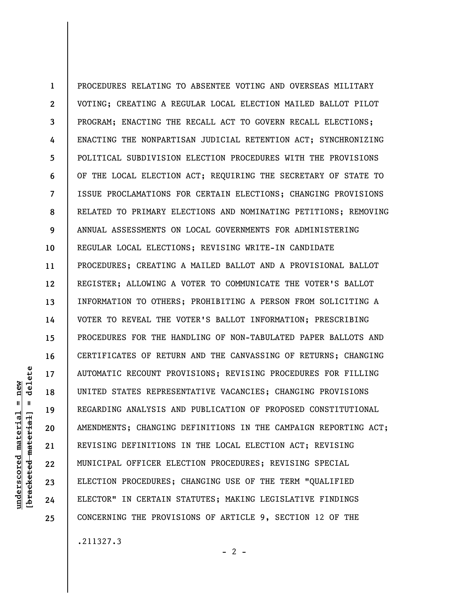**1 2 3 4 5 6 7 8 9 10 11 12 13 14 15 16 17 18 19 20 21 22 23 24 25**  PROCEDURES RELATING TO ABSENTEE VOTING AND OVERSEAS MILITARY VOTING; CREATING A REGULAR LOCAL ELECTION MAILED BALLOT PILOT PROGRAM; ENACTING THE RECALL ACT TO GOVERN RECALL ELECTIONS; ENACTING THE NONPARTISAN JUDICIAL RETENTION ACT; SYNCHRONIZING POLITICAL SUBDIVISION ELECTION PROCEDURES WITH THE PROVISIONS OF THE LOCAL ELECTION ACT; REQUIRING THE SECRETARY OF STATE TO ISSUE PROCLAMATIONS FOR CERTAIN ELECTIONS; CHANGING PROVISIONS RELATED TO PRIMARY ELECTIONS AND NOMINATING PETITIONS; REMOVING ANNUAL ASSESSMENTS ON LOCAL GOVERNMENTS FOR ADMINISTERING REGULAR LOCAL ELECTIONS; REVISING WRITE-IN CANDIDATE PROCEDURES; CREATING A MAILED BALLOT AND A PROVISIONAL BALLOT REGISTER; ALLOWING A VOTER TO COMMUNICATE THE VOTER'S BALLOT INFORMATION TO OTHERS; PROHIBITING A PERSON FROM SOLICITING A VOTER TO REVEAL THE VOTER'S BALLOT INFORMATION; PRESCRIBING PROCEDURES FOR THE HANDLING OF NON-TABULATED PAPER BALLOTS AND CERTIFICATES OF RETURN AND THE CANVASSING OF RETURNS; CHANGING AUTOMATIC RECOUNT PROVISIONS; REVISING PROCEDURES FOR FILLING UNITED STATES REPRESENTATIVE VACANCIES; CHANGING PROVISIONS REGARDING ANALYSIS AND PUBLICATION OF PROPOSED CONSTITUTIONAL AMENDMENTS; CHANGING DEFINITIONS IN THE CAMPAIGN REPORTING ACT; REVISING DEFINITIONS IN THE LOCAL ELECTION ACT; REVISING MUNICIPAL OFFICER ELECTION PROCEDURES; REVISING SPECIAL ELECTION PROCEDURES; CHANGING USE OF THE TERM "QUALIFIED ELECTOR" IN CERTAIN STATUTES; MAKING LEGISLATIVE FINDINGS CONCERNING THE PROVISIONS OF ARTICLE 9, SECTION 12 OF THE

.211327.3

**underscored material = new [bracketed material] = delete**

underscored material bracketed material]

 $=$  new  $\mathbf{I}$ 

delete

 $- 2 -$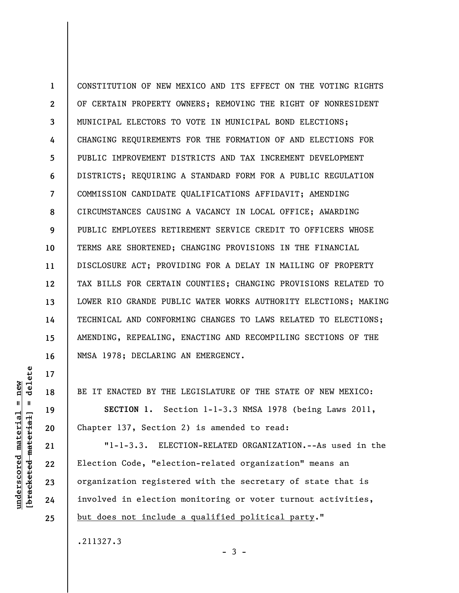**1 2 3 4 5 6 7 8 9 10 11 12 13 14 15 16**  CONSTITUTION OF NEW MEXICO AND ITS EFFECT ON THE VOTING RIGHTS OF CERTAIN PROPERTY OWNERS; REMOVING THE RIGHT OF NONRESIDENT MUNICIPAL ELECTORS TO VOTE IN MUNICIPAL BOND ELECTIONS; CHANGING REQUIREMENTS FOR THE FORMATION OF AND ELECTIONS FOR PUBLIC IMPROVEMENT DISTRICTS AND TAX INCREMENT DEVELOPMENT DISTRICTS; REQUIRING A STANDARD FORM FOR A PUBLIC REGULATION COMMISSION CANDIDATE QUALIFICATIONS AFFIDAVIT; AMENDING CIRCUMSTANCES CAUSING A VACANCY IN LOCAL OFFICE; AWARDING PUBLIC EMPLOYEES RETIREMENT SERVICE CREDIT TO OFFICERS WHOSE TERMS ARE SHORTENED; CHANGING PROVISIONS IN THE FINANCIAL DISCLOSURE ACT; PROVIDING FOR A DELAY IN MAILING OF PROPERTY TAX BILLS FOR CERTAIN COUNTIES; CHANGING PROVISIONS RELATED TO LOWER RIO GRANDE PUBLIC WATER WORKS AUTHORITY ELECTIONS; MAKING TECHNICAL AND CONFORMING CHANGES TO LAWS RELATED TO ELECTIONS; AMENDING, REPEALING, ENACTING AND RECOMPILING SECTIONS OF THE NMSA 1978; DECLARING AN EMERGENCY.

BE IT ENACTED BY THE LEGISLATURE OF THE STATE OF NEW MEXICO:

**SECTION 1.** Section 1-1-3.3 NMSA 1978 (being Laws 2011, Chapter 137, Section 2) is amended to read:

"1-1-3.3. ELECTION-RELATED ORGANIZATION.--As used in the Election Code, "election-related organization" means an organization registered with the secretary of state that is involved in election monitoring or voter turnout activities, but does not include a qualified political party."

.211327.3

 $-3 -$ 

delete **[bracketed material] = delete**  $underscored material = new$ **underscored material = new**  $\mathbf{I}$ bracketed material

**17** 

**18** 

**19** 

**20** 

**21** 

**22** 

**23** 

**24**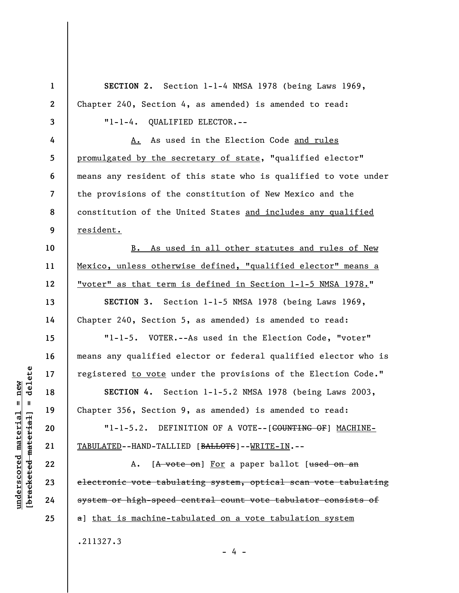**1 2 3 4 5 6 7 8 9 10 11 12 13 14 15 16 17 18 19 20 21 22 23 24 25 SECTION 2.** Section 1-1-4 NMSA 1978 (being Laws 1969, Chapter 240, Section 4, as amended) is amended to read: "1-1-4. QUALIFIED ELECTOR.-- A. As used in the Election Code and rules promulgated by the secretary of state, "qualified elector" means any resident of this state who is qualified to vote under the provisions of the constitution of New Mexico and the constitution of the United States and includes any qualified resident. B. As used in all other statutes and rules of New Mexico, unless otherwise defined, "qualified elector" means a "voter" as that term is defined in Section 1-1-5 NMSA 1978." **SECTION 3.** Section 1-1-5 NMSA 1978 (being Laws 1969, Chapter 240, Section 5, as amended) is amended to read: "1-1-5. VOTER.--As used in the Election Code, "voter" means any qualified elector or federal qualified elector who is registered to vote under the provisions of the Election Code." **SECTION 4.** Section 1-1-5.2 NMSA 1978 (being Laws 2003, Chapter 356, Section 9, as amended) is amended to read: "1-1-5.2. DEFINITION OF A VOTE--[<del>COUNTING OF</del>] MACHINE-TABULATED--HAND-TALLIED [BALLOTS]--WRITE-IN.-- A. [A vote on] For a paper ballot [used on an electronic vote tabulating system, optical scan vote tabulating system or high-speed central count vote tabulator consists of a] that is machine-tabulated on a vote tabulation system .211327.3 - 4 -

delete **[bracketed material] = delete**  $underscored material = new$ **underscored material = new**  $\mathbf{I}$ bracketed material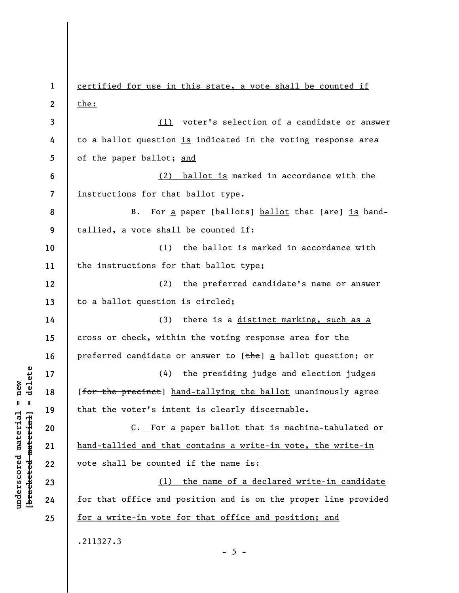**1 2 3 4 5 6 7 8 9 10 11 12 13 14 15 16 17 18 19 20 21 22 23 24 25**  certified for use in this state, a vote shall be counted if the: (1) voter's selection of a candidate or answer to a ballot question is indicated in the voting response area of the paper ballot; and (2) ballot is marked in accordance with the instructions for that ballot type. B. For a paper [ballots] ballot that [are] is handtallied, a vote shall be counted if: (1) the ballot is marked in accordance with the instructions for that ballot type; (2) the preferred candidate's name or answer to a ballot question is circled; (3) there is a distinct marking, such as a cross or check, within the voting response area for the preferred candidate or answer to [the] a ballot question; or (4) the presiding judge and election judges [for the precinct] hand-tallying the ballot unanimously agree that the voter's intent is clearly discernable. C. For a paper ballot that is machine-tabulated or hand-tallied and that contains a write-in vote, the write-in vote shall be counted if the name is: (1) the name of a declared write-in candidate for that office and position and is on the proper line provided for a write-in vote for that office and position; and .211327.3

 $\frac{1}{2}$  intereted material = delete **[bracketed material] = delete**  $underscored material = new$ **underscored material = new**

 $- 5 -$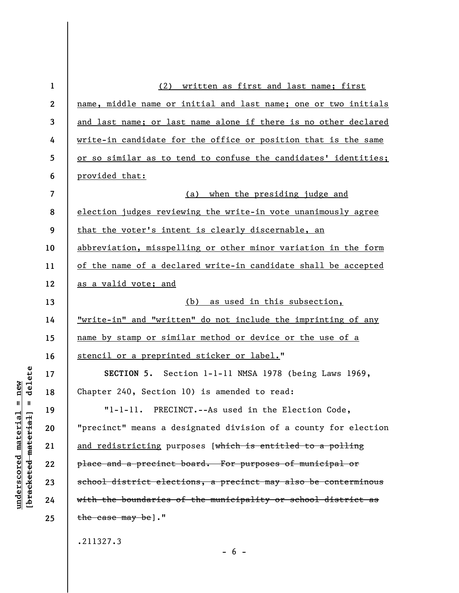| $\mathbf 1$  | (2) written as first and last name; first                            |
|--------------|----------------------------------------------------------------------|
| $\mathbf{2}$ | name, middle name or initial and last name; one or two initials      |
| 3            | and last name; or last name alone if there is no other declared      |
| 4            | write-in candidate for the office or position that is the same       |
| 5            | or so similar as to tend to confuse the candidates' identities;      |
| 6            | provided that:                                                       |
| 7            | (a) when the presiding judge and                                     |
| 8            | election judges reviewing the write-in vote unanimously agree        |
| 9            | that the voter's intent is clearly discernable, an                   |
| 10           | abbreviation, misspelling or other minor variation in the form       |
| 11           | of the name of a declared write-in candidate shall be accepted       |
| 12           | as a valid vote; and                                                 |
| 13           | (b) as used in this subsection,                                      |
| 14           | <u>"write-in" and "written" do not include the imprinting of any</u> |
| 15           | name by stamp or similar method or device or the use of a            |
| 16           | stencil or a preprinted sticker or label."                           |
| 17           | SECTION 5. Section 1-1-11 NMSA 1978 (being Laws 1969,                |
| 18           | Chapter 240, Section 10) is amended to read:                         |
| 19           | "1-1-11. PRECINCT.--As used in the Election Code,                    |
| 20           | "precinct" means a designated division of a county for election      |
| 21           | and redistricting purposes [which is entitled to a polling           |
| 22           | place and a precinct board. For purposes of municipal or             |
| 23           | school district elections, a precinct may also be conterminous       |
| 24           | with the boundaries of the municipality or school district as        |
| 25           | the case may be]."                                                   |
|              | .211327.3                                                            |

 $[**bracket**et~~eted matcherial~~] = **delete**$ **[bracketed material] = delete**  $underscored material = new$ **underscored material = new**

 $- 6 -$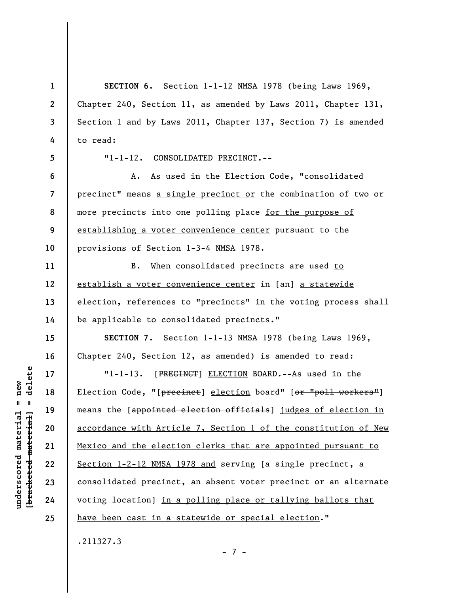**1 2 3 4 5 6 7 8 9 10 11 12 13 14 15 16 17 18 19 20 21 22 23 24 25 SECTION 6.** Section 1-1-12 NMSA 1978 (being Laws 1969, Chapter 240, Section 11, as amended by Laws 2011, Chapter 131, Section 1 and by Laws 2011, Chapter 137, Section 7) is amended to read: "1-1-12. CONSOLIDATED PRECINCT.-- A. As used in the Election Code, "consolidated precinct" means a single precinct or the combination of two or more precincts into one polling place for the purpose of establishing a voter convenience center pursuant to the provisions of Section 1-3-4 NMSA 1978. B. When consolidated precincts are used to establish a voter convenience center in [an] a statewide election, references to "precincts" in the voting process shall be applicable to consolidated precincts." **SECTION 7.** Section 1-1-13 NMSA 1978 (being Laws 1969, Chapter 240, Section 12, as amended) is amended to read: "1-1-13. [PRECINCT] ELECTION BOARD.--As used in the Election Code, "[precinct] election board" [or "poll workers"] means the [appointed election officials] judges of election in accordance with Article 7, Section 1 of the constitution of New Mexico and the election clerks that are appointed pursuant to Section 1-2-12 NMSA 1978 and serving [a single precinct, a consolidated precinct, an absent voter precinct or an alternate voting location] in a polling place or tallying ballots that have been cast in a statewide or special election." .211327.3

delete **[bracketed material] = delete**  $underscored material = new$ **underscored material = new**  $\mathbf{I}$ bracketed material

- 7 -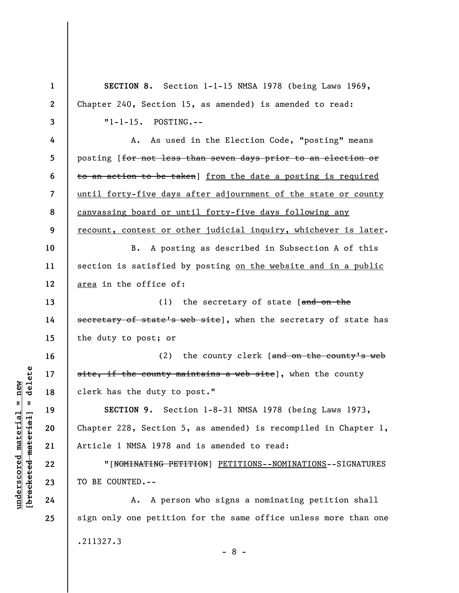**1 2 3 4 5 6 7 8 9 10 11 12 13 14 15 16 17 18 19 20 21 22 23 24 25 SECTION 8.** Section 1-1-15 NMSA 1978 (being Laws 1969, Chapter 240, Section 15, as amended) is amended to read: "1-1-15. POSTING.-- A. As used in the Election Code, "posting" means posting [for not less than seven days prior to an election or to an action to be taken] from the date a posting is required until forty-five days after adjournment of the state or county canvassing board or until forty-five days following any recount, contest or other judicial inquiry, whichever is later. B. A posting as described in Subsection A of this section is satisfied by posting on the website and in a public area in the office of: (1) the secretary of state  $[$ and on the secretary of state's web site], when the secretary of state has the duty to post; or (2) the county clerk  $\int$  and on the county's web site, if the county maintains a web site], when the county clerk has the duty to post." **SECTION 9.** Section 1-8-31 NMSA 1978 (being Laws 1973, Chapter 228, Section 5, as amended) is recompiled in Chapter 1, Article 1 NMSA 1978 and is amended to read: "[NOMINATING PETITION] PETITIONS--NOMINATIONS--SIGNATURES TO BE COUNTED.-- A. A person who signs a nominating petition shall sign only one petition for the same office unless more than one .211327.3 - 8 -

 $=$  delete **[bracketed material] = delete**  $underscored material = new$ **underscored material = new** bracketed material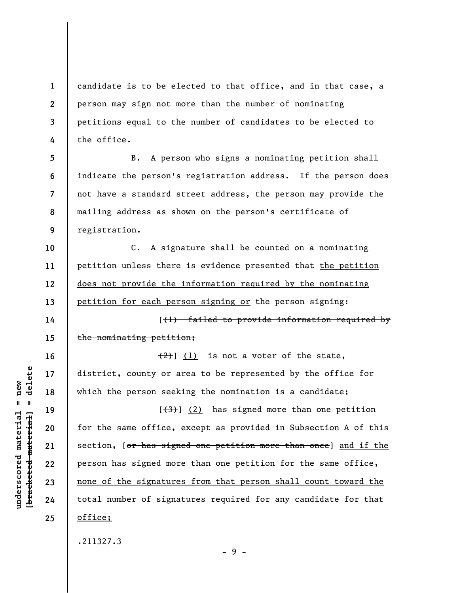**1 2 3 4**  candidate is to be elected to that office, and in that case, a person may sign not more than the number of nominating petitions equal to the number of candidates to be elected to the office.

**5 6 7 8 9**  B. A person who signs a nominating petition shall indicate the person's registration address. If the person does not have a standard street address, the person may provide the mailing address as shown on the person's certificate of registration.

**10 11 12 13**  C. A signature shall be counted on a nominating petition unless there is evidence presented that the petition does not provide the information required by the nominating petition for each person signing or the person signing:

[(1) failed to provide information required by the nominating petition;

 $(2)$ ] (1) is not a voter of the state, district, county or area to be represented by the office for which the person seeking the nomination is a candidate;

 $[\frac{1}{3}, \frac{1}{2}]$  has signed more than one petition for the same office, except as provided in Subsection A of this section, [or has signed one petition more than once] and if the person has signed more than one petition for the same office, none of the signatures from that person shall count toward the total number of signatures required for any candidate for that office;

- 9 -

.211327.3

 $\frac{1}{2}$  intereted material = delete **[bracketed material] = delete**  $anderscored material = new$ **underscored material = new**

**14** 

**15** 

**16** 

**17** 

**18** 

**19** 

**20** 

**21** 

**22** 

**23** 

**24**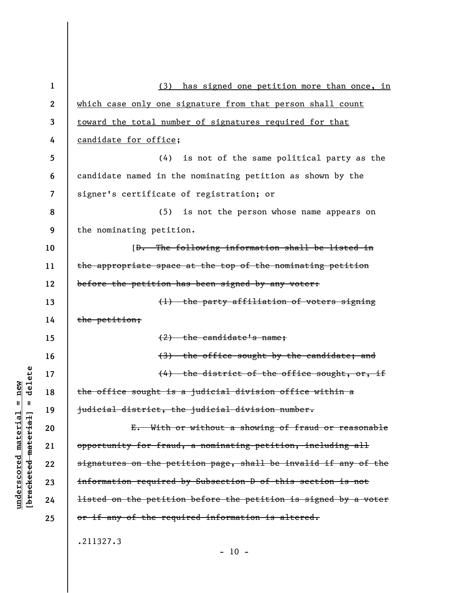| $\mathbf{1}$     | (3)<br>has signed one petition more than once, in                          |
|------------------|----------------------------------------------------------------------------|
| $\boldsymbol{2}$ | which case only one signature from that person shall count                 |
| 3                | toward the total number of signatures required for that                    |
| 4                | candidate for office;                                                      |
| 5                | (4) is not of the same political party as the                              |
| 6                | candidate named in the nominating petition as shown by the                 |
| 7                | signer's certificate of registration; or                                   |
| 8                | is not the person whose name appears on<br>(5)                             |
| 9                | the nominating petition.                                                   |
| 10               | [ <del>D. The following information shall be listed in</del>               |
| 11               | the appropriate space at the top of the nominating petition                |
| 12               | before the petition has been signed by any voter:                          |
| 13               | (1) the party affiliation of voters signing                                |
| 14               | the petition;                                                              |
| 15               | $(2)$ the candidate's name;                                                |
| 16               | (3) the office sought by the candidate; and                                |
| 17               | (4) the district of the office sought, or, if                              |
| 18               | the office sought is a judicial division office within a                   |
| 19               | judicial district, the judicial division number.                           |
| 20               | E. With or without a showing of fraud or reasonable                        |
| 21               | opportunity for fraud, a nominating petition, including all                |
| 22               | signatures on the petition page, shall be invalid if any of the            |
| 23               | information required by Subsection D of this section is not                |
| 24               | <del>listed on the petition before the petition is signed by a voter</del> |
| 25               | or if any of the required information is altered.                          |
|                  | .211327.3                                                                  |

 $[**bracket**et~~eted matcherial~~] = **delete**$ **[bracketed material] = delete**  $underscored material = new$ **underscored material = new**

 $- 10 -$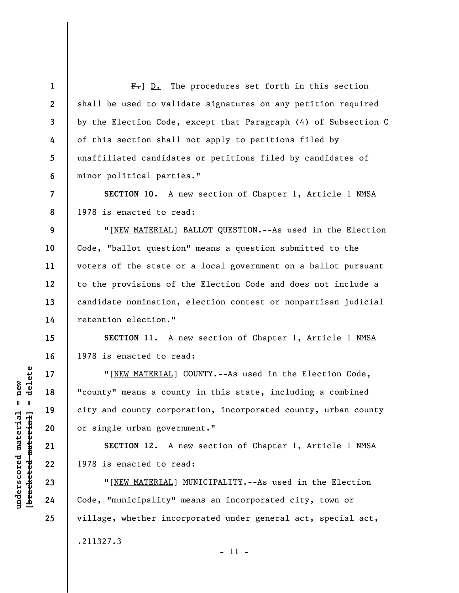**1 2 3 4 5 6 7 8 9 10 11 12 13 14 15 16 17 18 19 20 21 22 23 24 25**   $F-$ ] D. The procedures set forth in this section shall be used to validate signatures on any petition required by the Election Code, except that Paragraph (4) of Subsection C of this section shall not apply to petitions filed by unaffiliated candidates or petitions filed by candidates of minor political parties." **SECTION 10**. A new section of Chapter 1, Article 1 NMSA 1978 is enacted to read: "[NEW MATERIAL] BALLOT QUESTION.--As used in the Election Code, "ballot question" means a question submitted to the voters of the state or a local government on a ballot pursuant to the provisions of the Election Code and does not include a candidate nomination, election contest or nonpartisan judicial retention election." **SECTION 11.** A new section of Chapter 1, Article 1 NMSA 1978 is enacted to read: "[NEW MATERIAL] COUNTY.--As used in the Election Code, "county" means a county in this state, including a combined city and county corporation, incorporated county, urban county or single urban government." **SECTION 12.** A new section of Chapter 1, Article 1 NMSA 1978 is enacted to read: "[NEW MATERIAL] MUNICIPALITY.--As used in the Election Code, "municipality" means an incorporated city, town or village, whether incorporated under general act, special act, .211327.3

 $\frac{1}{2}$  intereted material = delete **[bracketed material] = delete**  $underscored material = new$ **underscored material = new**

- 11 -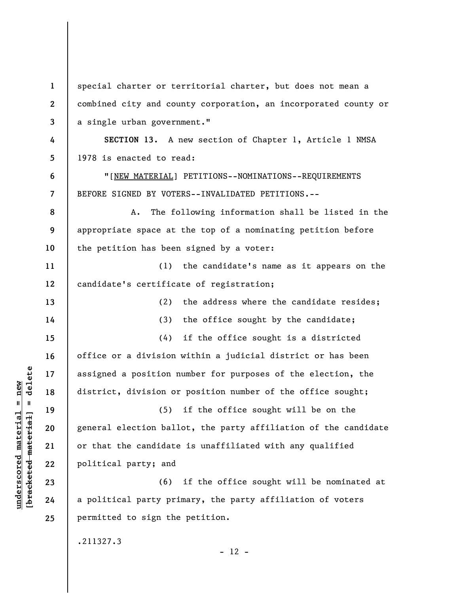**1 2 3 4 5 6 7 8 9 10 11 12 13 14 15 16 17 18 19 20 21 22 23 24 25**  special charter or territorial charter, but does not mean a combined city and county corporation, an incorporated county or a single urban government." **SECTION 13.** A new section of Chapter 1, Article 1 NMSA 1978 is enacted to read: "[NEW MATERIAL] PETITIONS--NOMINATIONS--REQUIREMENTS BEFORE SIGNED BY VOTERS--INVALIDATED PETITIONS.-- A. The following information shall be listed in the appropriate space at the top of a nominating petition before the petition has been signed by a voter: (1) the candidate's name as it appears on the candidate's certificate of registration; (2) the address where the candidate resides; (3) the office sought by the candidate; (4) if the office sought is a districted office or a division within a judicial district or has been assigned a position number for purposes of the election, the district, division or position number of the office sought; (5) if the office sought will be on the general election ballot, the party affiliation of the candidate or that the candidate is unaffiliated with any qualified political party; and (6) if the office sought will be nominated at a political party primary, the party affiliation of voters permitted to sign the petition. .211327.3  $- 12 -$ 

**underscored material = new [bracketed material] = delete**

 $\frac{1}{2}$  intereted material = delete  $underscored material = new$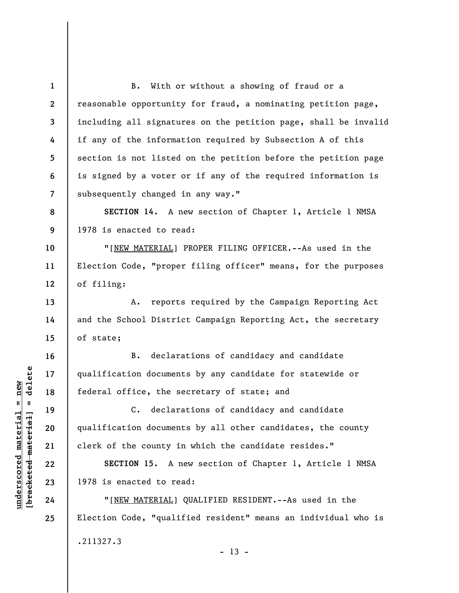**1 2 3 4 5 6 7 8 9 10 11 12 13 14 15 16 17 18 19 20 21 22 23 24 25**  B. With or without a showing of fraud or a reasonable opportunity for fraud, a nominating petition page, including all signatures on the petition page, shall be invalid if any of the information required by Subsection A of this section is not listed on the petition before the petition page is signed by a voter or if any of the required information is subsequently changed in any way." **SECTION 14.** A new section of Chapter 1, Article 1 NMSA 1978 is enacted to read: "[NEW MATERIAL] PROPER FILING OFFICER.--As used in the Election Code, "proper filing officer" means, for the purposes of filing: A. reports required by the Campaign Reporting Act and the School District Campaign Reporting Act, the secretary of state; B. declarations of candidacy and candidate qualification documents by any candidate for statewide or federal office, the secretary of state; and C. declarations of candidacy and candidate qualification documents by all other candidates, the county clerk of the county in which the candidate resides." **SECTION 15.** A new section of Chapter 1, Article 1 NMSA 1978 is enacted to read: "[NEW MATERIAL] QUALIFIED RESIDENT.--As used in the Election Code, "qualified resident" means an individual who is .211327.3  $- 13 -$ 

 $\frac{1}{2}$  intereted material = delete **[bracketed material] = delete**  $underscored material = new$ **underscored material = new**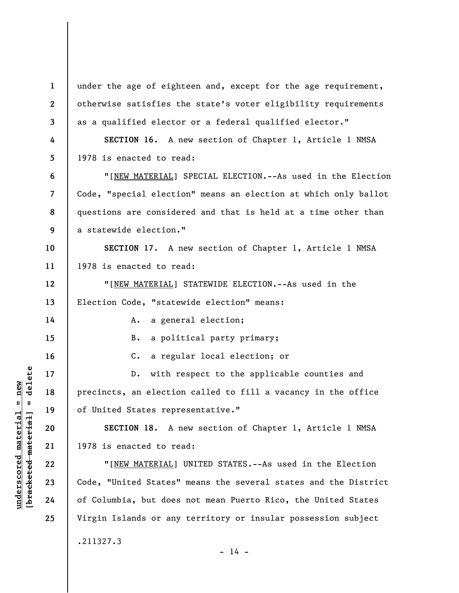**1 2 3 4 5 6 7 8 9 10 11 12 13 14 15 16 17 18 19 20 21 22 23 24 25**  under the age of eighteen and, except for the age requirement, otherwise satisfies the state's voter eligibility requirements as a qualified elector or a federal qualified elector." **SECTION 16.** A new section of Chapter 1, Article 1 NMSA 1978 is enacted to read: "[NEW MATERIAL] SPECIAL ELECTION.--As used in the Election Code, "special election" means an election at which only ballot questions are considered and that is held at a time other than a statewide election." **SECTION 17.** A new section of Chapter 1, Article 1 NMSA 1978 is enacted to read: "[NEW MATERIAL] STATEWIDE ELECTION.--As used in the Election Code, "statewide election" means: A. a general election; B. a political party primary; C. a regular local election; or D. with respect to the applicable counties and precincts, an election called to fill a vacancy in the office of United States representative." **SECTION 18.** A new section of Chapter 1, Article 1 NMSA 1978 is enacted to read: "[NEW MATERIAL] UNITED STATES.--As used in the Election Code, "United States" means the several states and the District of Columbia, but does not mean Puerto Rico, the United States Virgin Islands or any territory or insular possession subject .211327.3

 $- 14 -$ 

 $\frac{1}{2}$  bracketed material = delete **[bracketed material] = delete**  $underscored material = new$ **underscored material = new**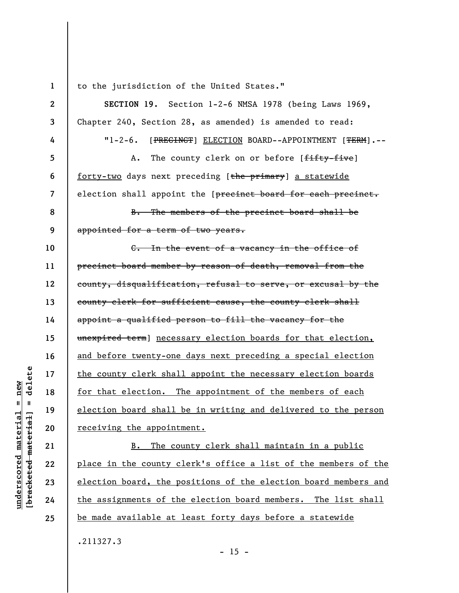**1** 

to the jurisdiction of the United States."

**2 3 4 5 6 7 8 9 10 11 12 13 14 15 16 17 18 19 20 21 22 23 24 SECTION 19.** Section 1-2-6 NMSA 1978 (being Laws 1969, Chapter 240, Section 28, as amended) is amended to read: "1-2-6. [PRECINCT] ELECTION BOARD--APPOINTMENT [TERM].-- A. The county clerk on or before [fifty-five] forty-two days next preceding [the primary] a statewide election shall appoint the [precinct board for each precinct. B. The members of the precinct board shall be appointed for a term of two years. C. In the event of a vacancy in the office of precinct board member by reason of death, removal from the county, disqualification, refusal to serve, or excusal by the county clerk for sufficient cause, the county clerk shall appoint a qualified person to fill the vacancy for the unexpired term] necessary election boards for that election, and before twenty-one days next preceding a special election the county clerk shall appoint the necessary election boards for that election. The appointment of the members of each election board shall be in writing and delivered to the person receiving the appointment. B. The county clerk shall maintain in a public place in the county clerk's office a list of the members of the election board, the positions of the election board members and the assignments of the election board members. The list shall

**[bracketed material] = delete**  $anderscored material = new$ **underscored material = new** bracketed material

delete

 $\mathbf{I}$ 

**25** 

.211327.3

be made available at least forty days before a statewide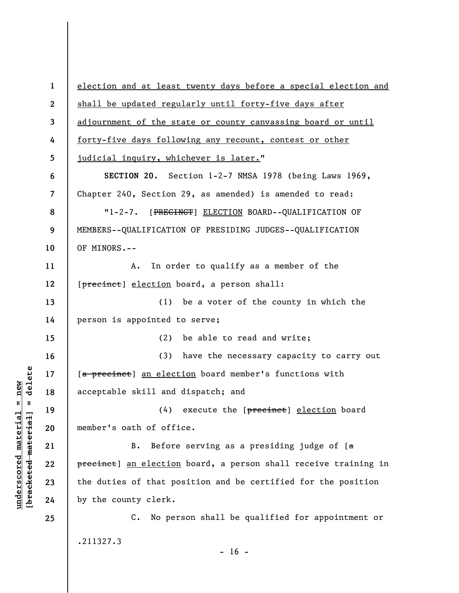**1 2 3 4 5 6 7 8 9 10 11 12 13 14 15 16 17 18 19 20 21 22 23 24 25**  election and at least twenty days before a special election and shall be updated regularly until forty-five days after adjournment of the state or county canvassing board or until forty-five days following any recount, contest or other judicial inquiry, whichever is later." **SECTION 20.** Section 1-2-7 NMSA 1978 (being Laws 1969, Chapter 240, Section 29, as amended) is amended to read: "1-2-7. [PRECINCT] ELECTION BOARD--QUALIFICATION OF MEMBERS--QUALIFICATION OF PRESIDING JUDGES--QUALIFICATION OF MINORS.-- A. In order to qualify as a member of the [precinct] election board, a person shall: (1) be a voter of the county in which the person is appointed to serve; (2) be able to read and write; (3) have the necessary capacity to carry out [a precinct] an election board member's functions with acceptable skill and dispatch; and  $(4)$  execute the [ $\beta$ recinct] election board member's oath of office. B. Before serving as a presiding judge of  $[a]$ precinct] an election board, a person shall receive training in the duties of that position and be certified for the position by the county clerk. C. No person shall be qualified for appointment or .211327.3  $- 16 -$ 

**underscored material = new [bracketed material] = delete**

 $\frac{1}{2}$  bracketed material = delete  $anderscored material = new$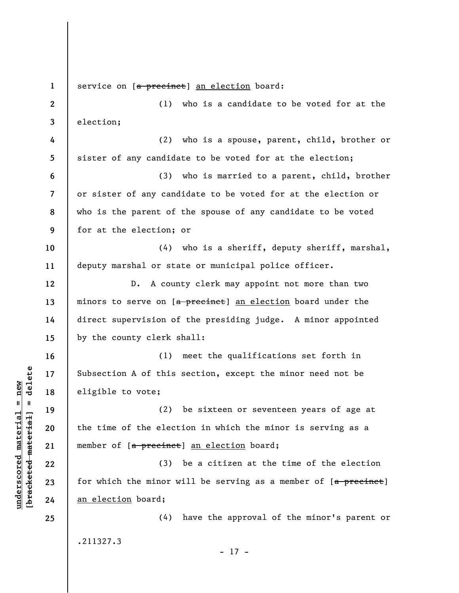**1 2 3 4 5 6 7 8 9 10 11 12 13 14 15 16 17 18 19 20 21 22 23 24 25**  service on [a precinct] an election board: (1) who is a candidate to be voted for at the election; (2) who is a spouse, parent, child, brother or sister of any candidate to be voted for at the election; (3) who is married to a parent, child, brother or sister of any candidate to be voted for at the election or who is the parent of the spouse of any candidate to be voted for at the election; or (4) who is a sheriff, deputy sheriff, marshal, deputy marshal or state or municipal police officer. D. A county clerk may appoint not more than two minors to serve on [a precinct] an election board under the direct supervision of the presiding judge. A minor appointed by the county clerk shall: (1) meet the qualifications set forth in Subsection A of this section, except the minor need not be eligible to vote; (2) be sixteen or seventeen years of age at the time of the election in which the minor is serving as a member of [a precinct] an election board; (3) be a citizen at the time of the election for which the minor will be serving as a member of  $[a$  precinct] an election board; (4) have the approval of the minor's parent or .211327.3 - 17 -

**underscored material = new [bracketed material] = delete**

 $\frac{1}{2}$  intereted material = delete  $underscored material = new$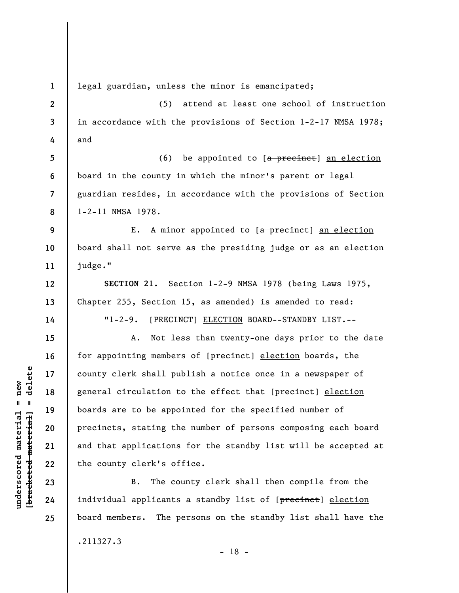**1 2 3 4 5 6 7 8 9 10 11 12 13 14 15 16 17 18 19 20 21 22 23 24 25**  legal guardian, unless the minor is emancipated; (5) attend at least one school of instruction in accordance with the provisions of Section 1-2-17 NMSA 1978; and (6) be appointed to  $[a \text{ percent}]$  an election board in the county in which the minor's parent or legal guardian resides, in accordance with the provisions of Section 1-2-11 NMSA 1978. E. A minor appointed to [a precinct] an election board shall not serve as the presiding judge or as an election judge." **SECTION 21.** Section 1-2-9 NMSA 1978 (being Laws 1975, Chapter 255, Section 15, as amended) is amended to read: "1-2-9. [PRECINCT] ELECTION BOARD--STANDBY LIST.-- A. Not less than twenty-one days prior to the date for appointing members of [precinct] election boards, the county clerk shall publish a notice once in a newspaper of general circulation to the effect that [precinct] election boards are to be appointed for the specified number of precincts, stating the number of persons composing each board and that applications for the standby list will be accepted at the county clerk's office. B. The county clerk shall then compile from the individual applicants a standby list of [precinct] election board members. The persons on the standby list shall have the

- 18 -

.211327.3

 $\frac{1}{2}$  intereted material = delete **[bracketed material] = delete**  $underscored material = new$ **underscored material = new**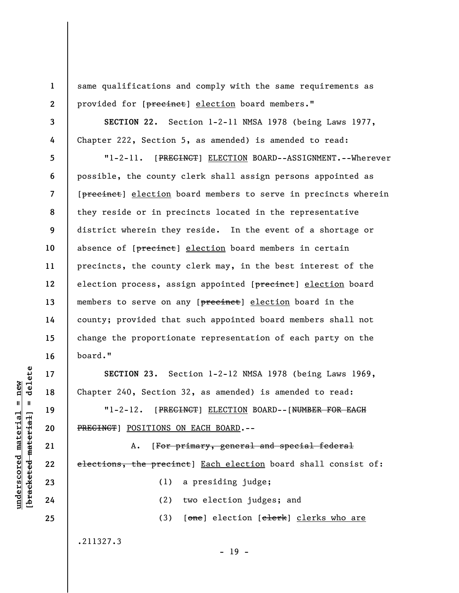same qualifications and comply with the same requirements as provided for [precinct] election board members."

**SECTION 22.** Section 1-2-11 NMSA 1978 (being Laws 1977, Chapter 222, Section 5, as amended) is amended to read:

**8 12**  "1-2-11. [PRECINCT] ELECTION BOARD--ASSIGNMENT.--Wherever possible, the county clerk shall assign persons appointed as [precinct] election board members to serve in precincts wherein they reside or in precincts located in the representative district wherein they reside. In the event of a shortage or absence of [precinct] election board members in certain precincts, the county clerk may, in the best interest of the election process, assign appointed [precinct] election board members to serve on any [precinct] election board in the county; provided that such appointed board members shall not change the proportionate representation of each party on the board."

**SECTION 23.** Section 1-2-12 NMSA 1978 (being Laws 1969, Chapter 240, Section 32, as amended) is amended to read:

"1-2-12. [PRECINCT] ELECTION BOARD--[NUMBER FOR EACH PRECINCT] POSITIONS ON EACH BOARD.--

A. [For primary, general and special federal elections, the precinct] Each election board shall consist of: (1) a presiding judge;

(2) two election judges; and

 $- 19 -$ 

(3) [one] election [clerk] clerks who are

.211327.3

delete **[bracketed material] = delete**  $underscored material = new$ **underscored material = new**  $\mathbf{I}$ bracketed material

**1** 

**2** 

**3** 

**4** 

**5** 

**6** 

**7** 

**9** 

**10** 

**11** 

**13** 

**14** 

**15** 

**16** 

**17** 

**18** 

**19** 

**20** 

**21** 

**22** 

**23** 

**24**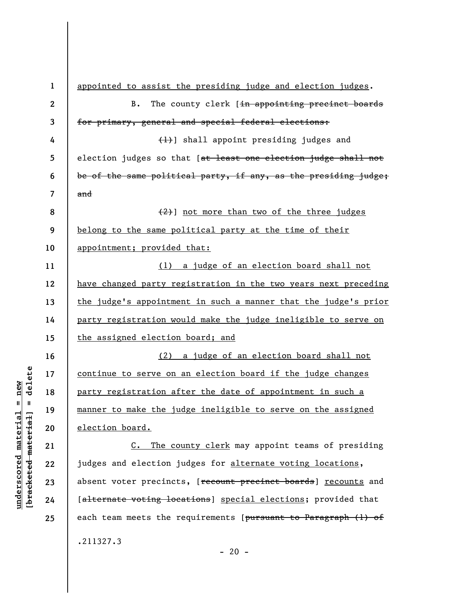**1 2 3 4 5 6 7 8 9 10 11 12 13 14 15 16 17 18 19 20 21 22 23 24 25**  appointed to assist the presiding judge and election judges. B. The county clerk [in appointing precinct boards for primary, general and special federal elections: (1)] shall appoint presiding judges and election judges so that [at least one election judge shall not be of the same political party, if any, as the presiding judge; and  $(2)$ ] not more than two of the three judges belong to the same political party at the time of their appointment; provided that: (1) a judge of an election board shall not have changed party registration in the two years next preceding the judge's appointment in such a manner that the judge's prior party registration would make the judge ineligible to serve on the assigned election board; and (2) a judge of an election board shall not continue to serve on an election board if the judge changes party registration after the date of appointment in such a manner to make the judge ineligible to serve on the assigned election board. C. The county clerk may appoint teams of presiding judges and election judges for alternate voting locations, absent voter precincts, [recount precinct boards] recounts and [alternate voting locations] special elections; provided that each team meets the requirements [pursuant to Paragraph (1) of .211327.3

 $- 20 -$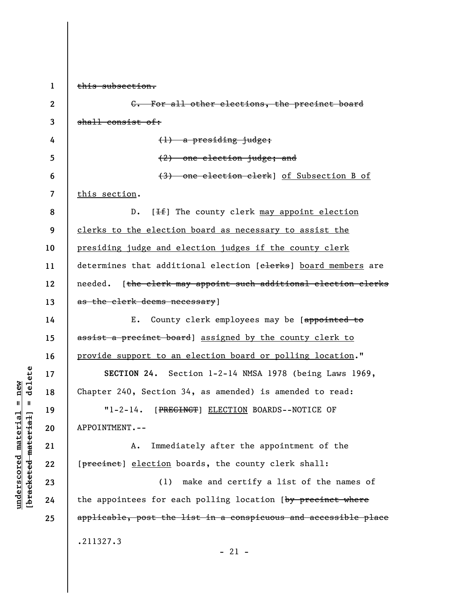**1 2 3 4 5 6 7 8 9 10 11 12 13 14 15 16 17 18 19 20 21 22 23 24 25**  this subsection. C. For all other elections, the precinct board shall consist of: (1) a presiding judge; (2) one election judge; and (3) one election clerk] of Subsection B of this section. D.  $[If]$  The county clerk may appoint election clerks to the election board as necessary to assist the presiding judge and election judges if the county clerk determines that additional election [clerks] board members are needed. [the clerk may appoint such additional election clerks as the clerk deems necessary] E. County clerk employees may be [appointed to assist a precinct board] assigned by the county clerk to provide support to an election board or polling location." **SECTION 24.** Section 1-2-14 NMSA 1978 (being Laws 1969, Chapter 240, Section 34, as amended) is amended to read: "1-2-14. [PRECINCT] ELECTION BOARDS--NOTICE OF APPOINTMENT.-- A. Immediately after the appointment of the [precinct] election boards, the county clerk shall: (1) make and certify a list of the names of the appointees for each polling location (by precinct where applicable, post the list in a conspicuous and accessible place .211327.3  $-21 -$ 

**underscored material = new [bracketed material] = delete**

 $anderscored material = new$  $\frac{1}{2}$ 

delete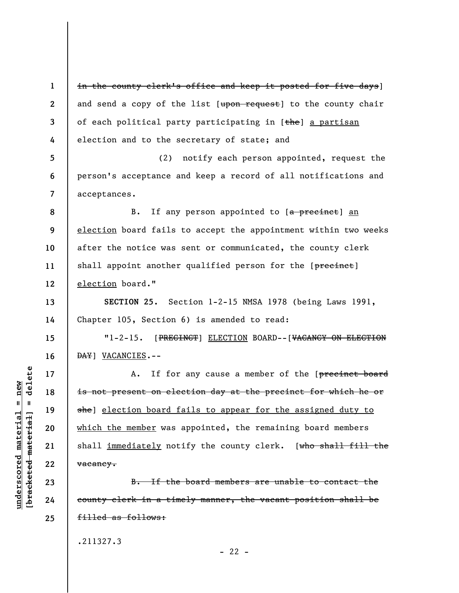**1 2 3 4**  in the county clerk's office and keep it posted for five days] and send a copy of the list  $[*upon request*]$  to the county chair of each political party participating in [the] a partisan election and to the secretary of state; and

**5 6 7**  (2) notify each person appointed, request the person's acceptance and keep a record of all notifications and acceptances.

B. If any person appointed to [a precinct] an election board fails to accept the appointment within two weeks after the notice was sent or communicated, the county clerk shall appoint another qualified person for the [precinct] election board."

**SECTION 25.** Section 1-2-15 NMSA 1978 (being Laws 1991, Chapter 105, Section 6) is amended to read:

"1-2-15. [PRECINCT] ELECTION BOARD--[VACANCY ON ELECTION DAY] VACANCIES.--

A. If for any cause a member of the [precinct board is not present on election day at the precinct for which he or she] election board fails to appear for the assigned duty to which the member was appointed, the remaining board members shall immediately notify the county clerk. [who shall fill the vacancy.

B. If the board members are unable to contact the county clerk in a timely manner, the vacant position shall be filled as follows:

 $- 22 -$ 

.211327.3

delete **[bracketed material] = delete**  $underscored material = new$ **underscored material = new**  $\mathbf{I}$ bracketed material **8** 

**9** 

**10** 

**11** 

**12** 

**13** 

**14** 

**15** 

**16** 

**17** 

**18** 

**19** 

**20** 

**21** 

**22** 

**23** 

**24**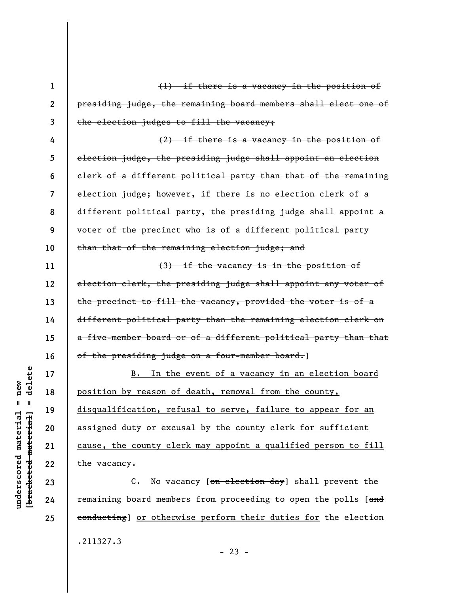| $\mathbf{1}$ | $(1)$ if there is a vacancy in the position of                  |
|--------------|-----------------------------------------------------------------|
| $\mathbf{2}$ | presiding judge, the remaining board members shall elect one of |
| 3            | the election judges to fill the vacancy;                        |
| 4            | $(2)$ if there is a vacancy in the position of                  |
| 5            | election judge, the presiding judge shall appoint an election   |
| 6            | clerk of a different political party than that of the remaining |
| 7            | election judge; however, if there is no election clerk of a     |
| 8            | different political party, the presiding judge shall appoint a  |
| 9            | voter of the precinct who is of a different political party     |
| 10           | than that of the remaining election judge; and                  |
| 11           | (3) if the vacancy is in the position of                        |
| 12           | election clerk, the presiding judge shall appoint any voter of  |
| 13           | the precinct to fill the vacancy, provided the voter is of a    |
| 14           | different political party than the remaining election clerk on  |
| 15           | a five-member board or of a different political party than that |
| 16           | of the presiding judge on a four-member board.]                 |
| 17           | B. In the event of a vacancy in an election board               |
| 18           | position by reason of death, removal from the county,           |
| 19           | disqualification, refusal to serve, failure to appear for an    |
| 20           | assigned duty or excusal by the county clerk for sufficient     |
| 21           | cause, the county clerk may appoint a qualified person to fill  |
| 22           | the vacancy.                                                    |
| 23           | No vacancy [on election day] shall prevent the<br>$C$ .         |
| 24           | remaining board members from proceeding to open the polls [and  |

remaining board members from proceeding to open the polls [and conducting] or otherwise perform their duties for the election .211327.3

 $[$ bracketed material] = delete **[bracketed material] = delete**  $underscored material = new$ **underscored material = new**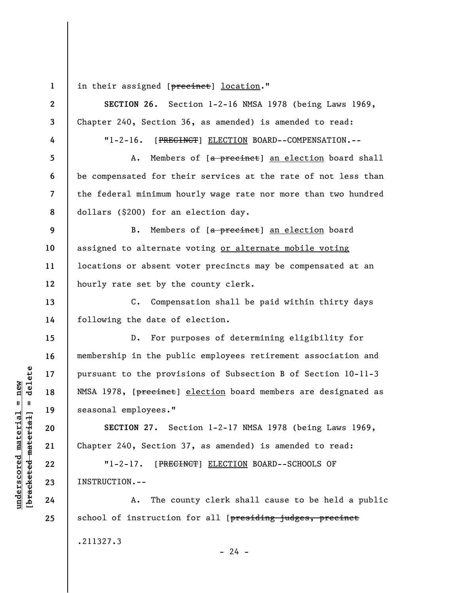**1** 

**underscored material = new [bracketed material] = delete**

 $\frac{1}{2}$  bracketed material = delete  $underscored material = new$ 

in their assigned [precinct] location."

**2 3 4 5 6 7 8 9 10 11 12 13 14 15 16 17 18 19 20 21 22 23 24 25 SECTION 26.** Section 1-2-16 NMSA 1978 (being Laws 1969, Chapter 240, Section 36, as amended) is amended to read: "1-2-16. [PRECINCT] ELECTION BOARD--COMPENSATION.-- A. Members of [a precinct] an election board shall be compensated for their services at the rate of not less than the federal minimum hourly wage rate nor more than two hundred dollars (\$200) for an election day. B. Members of [a precinct] an election board assigned to alternate voting or alternate mobile voting locations or absent voter precincts may be compensated at an hourly rate set by the county clerk. C. Compensation shall be paid within thirty days following the date of election. D. For purposes of determining eligibility for membership in the public employees retirement association and pursuant to the provisions of Subsection B of Section 10-11-3 NMSA 1978, [precinct] election board members are designated as seasonal employees." **SECTION 27.** Section 1-2-17 NMSA 1978 (being Laws 1969, Chapter 240, Section 37, as amended) is amended to read: "1-2-17. [PRECINCT] ELECTION BOARD--SCHOOLS OF INSTRUCTION.-- A. The county clerk shall cause to be held a public school of instruction for all [presiding judges, precinct .211327.3

 $- 24 -$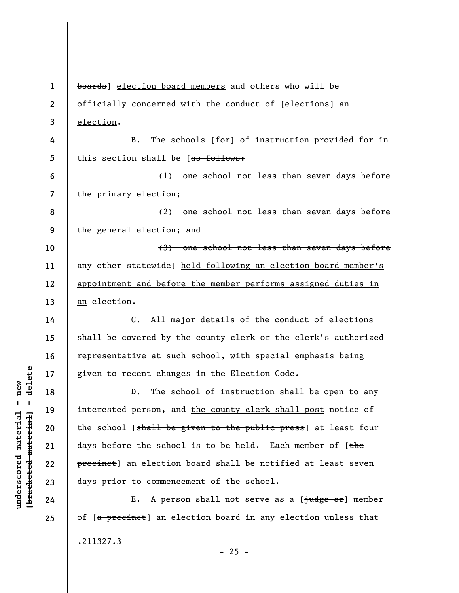**1 2 3 4 5 6 7 8 9 10 11 12 13 14 15 16 17 18 19 20 21 22 23 24 25**  boards] election board members and others who will be officially concerned with the conduct of [elections] an election. B. The schools [for] of instruction provided for in this section shall be  $[as follows:$ (1) one school not less than seven days before the primary election; (2) one school not less than seven days before the general election; and (3) one school not less than seven days before any other statewide] held following an election board member's appointment and before the member performs assigned duties in an election. C. All major details of the conduct of elections shall be covered by the county clerk or the clerk's authorized representative at such school, with special emphasis being given to recent changes in the Election Code. D. The school of instruction shall be open to any interested person, and the county clerk shall post notice of the school [shall be given to the public press] at least four days before the school is to be held. Each member of  $f$ the precinct] an election board shall be notified at least seven days prior to commencement of the school. E. A person shall not serve as a  $\lceil \frac{1}{1} \frac{1}{1} \frac{1}{1} \frac{1}{1} \frac{1}{1} \frac{1}{1} \frac{1}{1} \frac{1}{1} \frac{1}{1} \frac{1}{1} \frac{1}{1} \frac{1}{1} \frac{1}{1} \frac{1}{1} \frac{1}{1} \frac{1}{1} \frac{1}{1} \frac{1}{1} \frac{1}{1} \frac{1}{1} \frac{1}{1} \frac{1}{1} \frac{1}{1} \frac{1}{1} \frac{1}{1} \frac{1}{1} \frac$ of [a precinct] an election board in any election unless that .211327.3

 $\frac{1}{2}$  intereted material = delete **[bracketed material] = delete**  $underscored material = new$ **underscored material = new**

 $- 25 -$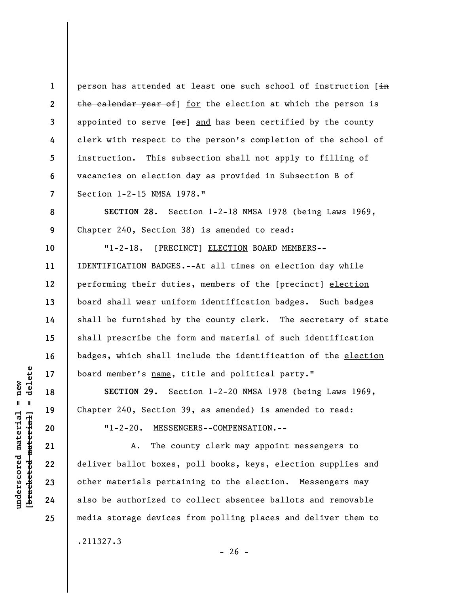**1 2 3 4 5 6 7**  person has attended at least one such school of instruction [in the calendar year of 1 for the election at which the person is appointed to serve  $[\theta^*]$  and has been certified by the county clerk with respect to the person's completion of the school of instruction. This subsection shall not apply to filling of vacancies on election day as provided in Subsection B of Section 1-2-15 NMSA 1978."

**SECTION 28.** Section 1-2-18 NMSA 1978 (being Laws 1969, Chapter 240, Section 38) is amended to read:

"1-2-18. [PRECINCT] ELECTION BOARD MEMBERS--IDENTIFICATION BADGES.--At all times on election day while performing their duties, members of the [precinct] election board shall wear uniform identification badges. Such badges shall be furnished by the county clerk. The secretary of state shall prescribe the form and material of such identification badges, which shall include the identification of the election board member's name, title and political party."

**SECTION 29.** Section 1-2-20 NMSA 1978 (being Laws 1969, Chapter 240, Section 39, as amended) is amended to read:

"1-2-20. MESSENGERS--COMPENSATION.--

A. The county clerk may appoint messengers to deliver ballot boxes, poll books, keys, election supplies and other materials pertaining to the election. Messengers may also be authorized to collect absentee ballots and removable media storage devices from polling places and deliver them to

.211327.3

 $=$  delete **[bracketed material] = delete**  $anderscored material = new$ **underscored material = new** bracketed material

**8** 

**9** 

**10** 

**11** 

**12** 

**13** 

**14** 

**15** 

**16** 

**17** 

**18** 

**19** 

**20** 

**21** 

**22** 

**23** 

**24**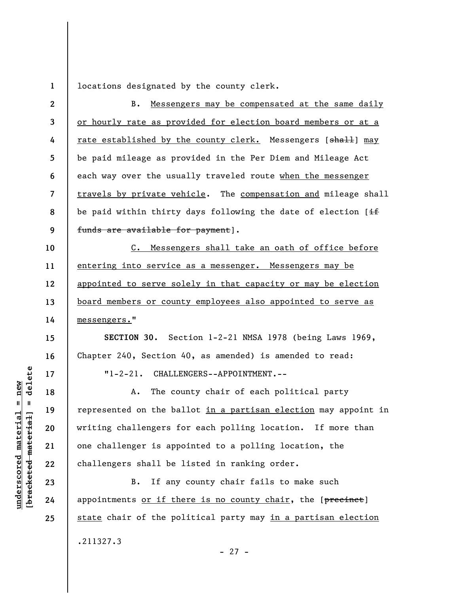**1**  locations designated by the county clerk.

**2 3 4 5 6 7 8 9**  B. Messengers may be compensated at the same daily or hourly rate as provided for election board members or at a rate established by the county clerk. Messengers [shall] may be paid mileage as provided in the Per Diem and Mileage Act each way over the usually traveled route when the messenger travels by private vehicle. The compensation and mileage shall be paid within thirty days following the date of election  $[$ if funds are available for payment].

**10 11 12 13 14**  C. Messengers shall take an oath of office before entering into service as a messenger. Messengers may be appointed to serve solely in that capacity or may be election board members or county employees also appointed to serve as messengers."

**SECTION 30.** Section 1-2-21 NMSA 1978 (being Laws 1969, Chapter 240, Section 40, as amended) is amended to read: "1-2-21. CHALLENGERS--APPOINTMENT.--

A. The county chair of each political party represented on the ballot in a partisan election may appoint in writing challengers for each polling location. If more than one challenger is appointed to a polling location, the challengers shall be listed in ranking order.

B. If any county chair fails to make such appointments or if there is no county chair, the [precinct] state chair of the political party may in a partisan election .211327.3 - 27 -

 $\frac{1}{2}$  intereted material = delete **[bracketed material] = delete**  $anderscored material = new$ **underscored material = new**

**15** 

**16** 

**17** 

**18** 

**19** 

**20** 

**21** 

**22** 

**23** 

**24**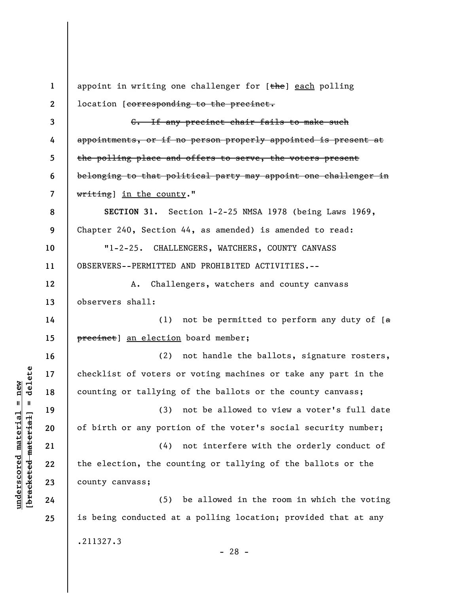**1 2 3 4 5 6 7 8 9 10 11 12 13 14 15 16 17 18 19 20 21 22 23 24 25**  appoint in writing one challenger for [the] each polling location [corresponding to the precinct. C. If any precinct chair fails to make such appointments, or if no person properly appointed is present at the polling place and offers to serve, the voters present belonging to that political party may appoint one challenger in writing] in the county." **SECTION 31.** Section 1-2-25 NMSA 1978 (being Laws 1969, Chapter 240, Section 44, as amended) is amended to read: "1-2-25. CHALLENGERS, WATCHERS, COUNTY CANVASS OBSERVERS--PERMITTED AND PROHIBITED ACTIVITIES.-- A. Challengers, watchers and county canvass observers shall: (1) not be permitted to perform any duty of  $[a]$ precinct] an election board member; (2) not handle the ballots, signature rosters, checklist of voters or voting machines or take any part in the counting or tallying of the ballots or the county canvass; (3) not be allowed to view a voter's full date of birth or any portion of the voter's social security number; (4) not interfere with the orderly conduct of the election, the counting or tallying of the ballots or the county canvass; (5) be allowed in the room in which the voting is being conducted at a polling location; provided that at any .211327.3 - 28 -

**underscored material = new [bracketed material] = delete**

 $\frac{1}{2}$  bracketed material = delete  $anderscored material = new$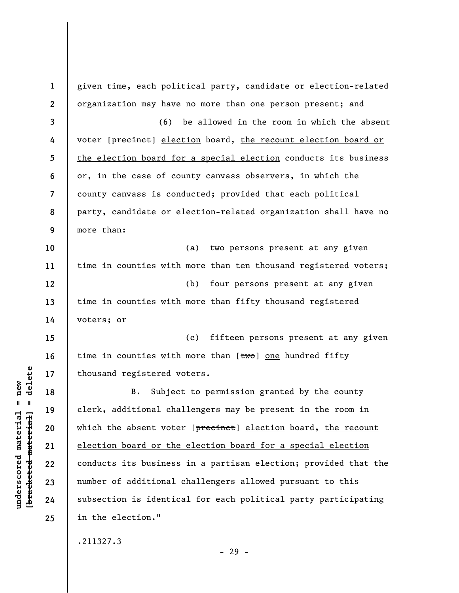| $\mathbf{1}$ | given time, each political party, candidate or election-related |
|--------------|-----------------------------------------------------------------|
| $\mathbf{2}$ | organization may have no more than one person present; and      |
| 3            | (6)<br>be allowed in the room in which the absent               |
| 4            | voter [precinct] election board, the recount election board or  |
| 5            | the election board for a special election conducts its business |
| 6            | or, in the case of county canvass observers, in which the       |
| 7            | county canvass is conducted; provided that each political       |
| 8            | party, candidate or election-related organization shall have no |
| 9            | more than:                                                      |
| 10           | two persons present at any given<br>(a)                         |
| 11           | time in counties with more than ten thousand registered voters; |
| 12           | four persons present at any given<br>(b)                        |
| 13           | time in counties with more than fifty thousand registered       |
| 14           | voters; or                                                      |
| 15           | fifteen persons present at any given<br>(c)                     |
| 16           | time in counties with more than [two] one hundred fifty         |
| 17           | thousand registered voters.                                     |
| 18           | Subject to permission granted by the county<br><b>B.</b>        |
| 19           | clerk, additional challengers may be present in the room in     |
| 20           | which the absent voter [precinct] election board, the recount   |
| 21           | election board or the election board for a special election     |
| 22           | conducts its business in a partisan election; provided that the |
| 23           | number of additional challengers allowed pursuant to this       |
| 24           | subsection is identical for each political party participating  |
| 25           | in the election."                                               |
|              | .211327.3                                                       |

 $[bracketeed-materiat] = delete$ **[bracketed material] = delete**  $underscored material = new$ **underscored material = new**

- 29 -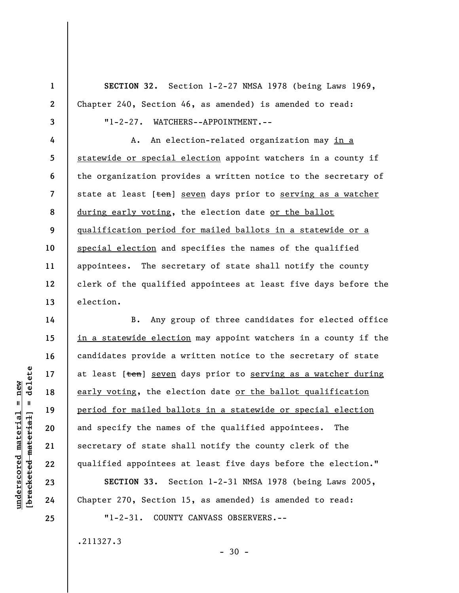**SECTION 32.** Section 1-2-27 NMSA 1978 (being Laws 1969, Chapter 240, Section 46, as amended) is amended to read:

**3 4** 

**5** 

**6** 

**7** 

**8** 

**9** 

**10** 

**11** 

**12** 

**13** 

**14** 

**15** 

**16** 

**17** 

**18** 

**19** 

**20** 

**21** 

**22** 

**23** 

**24** 

**25** 

**1** 

**2** 

"1-2-27. WATCHERS--APPOINTMENT.--

A. An election-related organization may in a statewide or special election appoint watchers in a county if the organization provides a written notice to the secretary of state at least [ten] seven days prior to serving as a watcher during early voting, the election date or the ballot qualification period for mailed ballots in a statewide or a special election and specifies the names of the qualified appointees. The secretary of state shall notify the county clerk of the qualified appointees at least five days before the election.

B. Any group of three candidates for elected office in a statewide election may appoint watchers in a county if the candidates provide a written notice to the secretary of state at least [ten] seven days prior to serving as a watcher during early voting, the election date or the ballot qualification period for mailed ballots in a statewide or special election and specify the names of the qualified appointees. The secretary of state shall notify the county clerk of the qualified appointees at least five days before the election."

**SECTION 33.** Section 1-2-31 NMSA 1978 (being Laws 2005, Chapter 270, Section 15, as amended) is amended to read:

"1-2-31. COUNTY CANVASS OBSERVERS.--

.211327.3

 $=$  delete **[bracketed material] = delete**  $underscored material = new$ **underscored material = new** bracketed material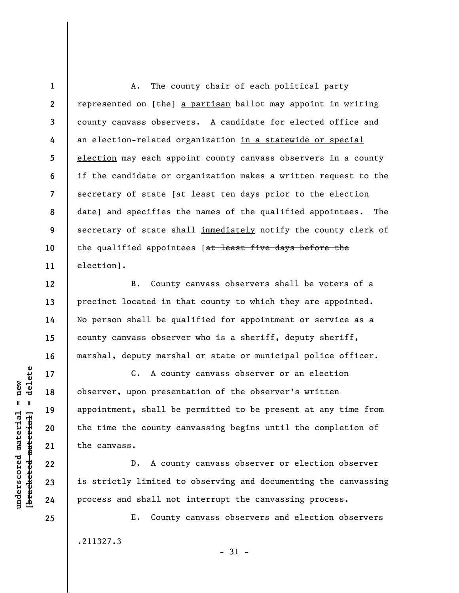A. The county chair of each political party represented on  $[the]$  a partisan ballot may appoint in writing county canvass observers. A candidate for elected office and an election-related organization in a statewide or special election may each appoint county canvass observers in a county if the candidate or organization makes a written request to the secretary of state [at least ten days prior to the election date] and specifies the names of the qualified appointees. The secretary of state shall immediately notify the county clerk of the qualified appointees [at least five days before the election].

B. County canvass observers shall be voters of a precinct located in that county to which they are appointed. No person shall be qualified for appointment or service as a county canvass observer who is a sheriff, deputy sheriff, marshal, deputy marshal or state or municipal police officer.

C. A county canvass observer or an election observer, upon presentation of the observer's written appointment, shall be permitted to be present at any time from the time the county canvassing begins until the completion of the canvass.

D. A county canvass observer or election observer is strictly limited to observing and documenting the canvassing process and shall not interrupt the canvassing process.

E. County canvass observers and election observers .211327.3 - 31 -

 $b$ racketed material] = delete **[bracketed material] = delete**  $underscored material = new$ **underscored material = new**

**25** 

**1** 

**2** 

**3** 

**4** 

**5** 

**6** 

**7** 

**8** 

**9** 

**10** 

**11** 

**12** 

**13** 

**14** 

**15** 

**16** 

**17** 

**18** 

**19** 

**20** 

**21** 

**22** 

**23**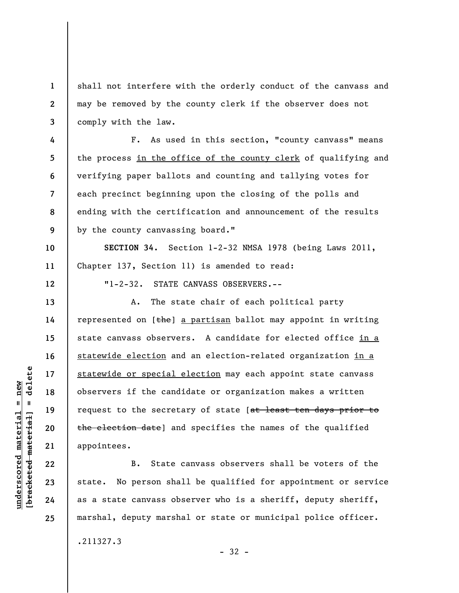shall not interfere with the orderly conduct of the canvass and may be removed by the county clerk if the observer does not comply with the law.

F. As used in this section, "county canvass" means the process in the office of the county clerk of qualifying and verifying paper ballots and counting and tallying votes for each precinct beginning upon the closing of the polls and ending with the certification and announcement of the results by the county canvassing board."

**SECTION 34.** Section 1-2-32 NMSA 1978 (being Laws 2011, Chapter 137, Section 11) is amended to read:

"1-2-32. STATE CANVASS OBSERVERS.--

A. The state chair of each political party represented on  $[the]$  a partisan ballot may appoint in writing state canvass observers. A candidate for elected office in a statewide election and an election-related organization in a statewide or special election may each appoint state canvass observers if the candidate or organization makes a written request to the secretary of state [at least ten days prior to the election date] and specifies the names of the qualified appointees.

B. State canvass observers shall be voters of the state. No person shall be qualified for appointment or service as a state canvass observer who is a sheriff, deputy sheriff, marshal, deputy marshal or state or municipal police officer.

.211327.3

- 32 -

**1** 

**2** 

**3** 

**4** 

**5** 

**6** 

**7** 

**8** 

**9** 

**10** 

**11** 

**12** 

**13** 

**14** 

**15** 

**16** 

**17** 

**18** 

**19** 

**20** 

**21** 

**22** 

**23** 

**24**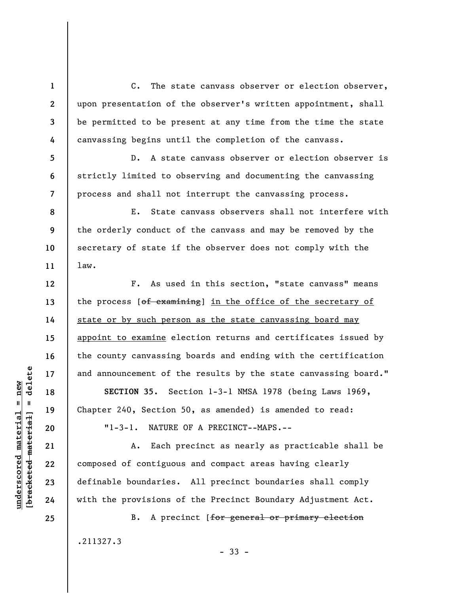C. The state canvass observer or election observer, upon presentation of the observer's written appointment, shall be permitted to be present at any time from the time the state canvassing begins until the completion of the canvass.

D. A state canvass observer or election observer is strictly limited to observing and documenting the canvassing process and shall not interrupt the canvassing process.

**8 9 10 11**  E. State canvass observers shall not interfere with the orderly conduct of the canvass and may be removed by the secretary of state if the observer does not comply with the law.

F. As used in this section, "state canvass" means the process  $[off-*examining*]$  in the office of the secretary of state or by such person as the state canvassing board may appoint to examine election returns and certificates issued by the county canvassing boards and ending with the certification and announcement of the results by the state canvassing board."

**SECTION 35.** Section 1-3-1 NMSA 1978 (being Laws 1969, Chapter 240, Section 50, as amended) is amended to read: "1-3-1. NATURE OF A PRECINCT--MAPS.--

A. Each precinct as nearly as practicable shall be composed of contiguous and compact areas having clearly definable boundaries. All precinct boundaries shall comply with the provisions of the Precinct Boundary Adjustment Act.

B. A precinct [for general or primary election .211327.3

- 33 -

 $\frac{1}{2}$  of  $\frac{1}{2}$  and  $\frac{1}{2}$  and  $\frac{1}{2}$  and  $\frac{1}{2}$  and  $\frac{1}{2}$  and  $\frac{1}{2}$  and  $\frac{1}{2}$  and  $\frac{1}{2}$  and  $\frac{1}{2}$  and  $\frac{1}{2}$  and  $\frac{1}{2}$  and  $\frac{1}{2}$  and  $\frac{1}{2}$  and  $\frac{1}{2}$  and  $\frac{1}{2}$  an **[bracketed material] = delete**  $underscored material = new$ **underscored material = new**

**24 25** 

**1** 

**2** 

**3** 

**4** 

**5** 

**6** 

**7** 

**12** 

**13** 

**14** 

**15** 

**16** 

**17** 

**18** 

**19** 

**20** 

**21** 

**22**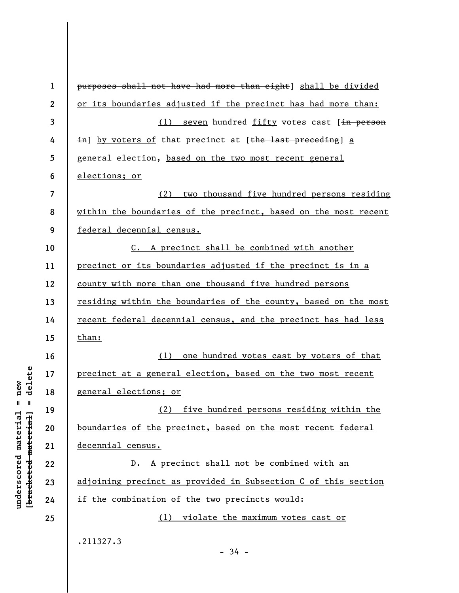| $\mathbf{1}$     | purposes shall not have had more than eight] shall be divided   |
|------------------|-----------------------------------------------------------------|
| $\boldsymbol{2}$ | or its boundaries adjusted if the precinct has had more than:   |
| 3                | (1) seven hundred fifty votes cast [in person                   |
| 4                | in] by voters of that precinct at [the last preceding] a        |
| 5                | general election, based on the two most recent general          |
| 6                | elections; or                                                   |
| $\overline{7}$   | two thousand five hundred persons residing<br>(2)               |
| 8                | within the boundaries of the precinct, based on the most recent |
| 9                | federal decennial census.                                       |
| 10               | C. A precinct shall be combined with another                    |
| 11               | precinct or its boundaries adjusted if the precinct is in a     |
| 12               | county with more than one thousand five hundred persons         |
| 13               | residing within the boundaries of the county, based on the most |
| 14               | recent federal decennial census, and the precinct has had less  |
| 15               | than:                                                           |
| 16               | one hundred votes cast by voters of that<br>(1)                 |
| 17               | precinct at a general election, based on the two most recent    |
| 18               | general elections; or                                           |
| 19               | (2) five hundred persons residing within the                    |
| 20               | boundaries of the precinct, based on the most recent federal    |
| 21               | decennial census.                                               |
| 22               | D. A precinct shall not be combined with an                     |
| 23               | adjoining precinct as provided in Subsection C of this section  |
| 24               | if the combination of the two precincts would:                  |
| 25               | (1) violate the maximum votes cast or                           |
|                  | .211327.3<br>$-34 -$                                            |

**underscored material = new [bracketed material] = delete**

 $[bracketeed-materiat] = delete$  $underscored material = new$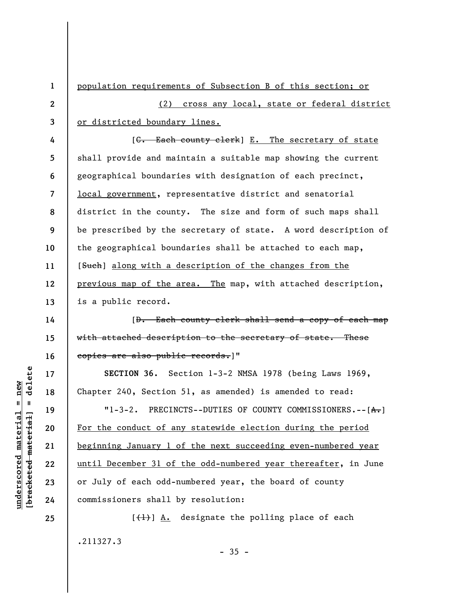**1 2 3 4 5 6 7 8 9 10 11 12 13**  population requirements of Subsection B of this section; or (2) cross any local, state or federal district or districted boundary lines. [C. Each county clerk] E. The secretary of state shall provide and maintain a suitable map showing the current geographical boundaries with designation of each precinct, local government, representative district and senatorial district in the county. The size and form of such maps shall be prescribed by the secretary of state. A word description of the geographical boundaries shall be attached to each map, [Such] along with a description of the changes from the previous map of the area. The map, with attached description, is a public record.

[D. Each county clerk shall send a copy of each map with attached description to the secretary of state. These copies are also public records.]"

**SECTION 36.** Section 1-3-2 NMSA 1978 (being Laws 1969, Chapter 240, Section 51, as amended) is amended to read:

"1-3-2. PRECINCTS--DUTIES OF COUNTY COMMISSIONERS.-- $[A,]$ For the conduct of any statewide election during the period beginning January 1 of the next succeeding even-numbered year until December 31 of the odd-numbered year thereafter, in June or July of each odd-numbered year, the board of county commissioners shall by resolution:

 $[\frac{1}{1}]$  A. designate the polling place of each .211327.3

delete **[bracketed material] = delete**  $anderscored material = new$ **underscored material = new**  $\frac{1}{2}$ 

**24 25** 

**14** 

**15** 

**16** 

**17** 

**18** 

**19** 

**20** 

**21** 

**22**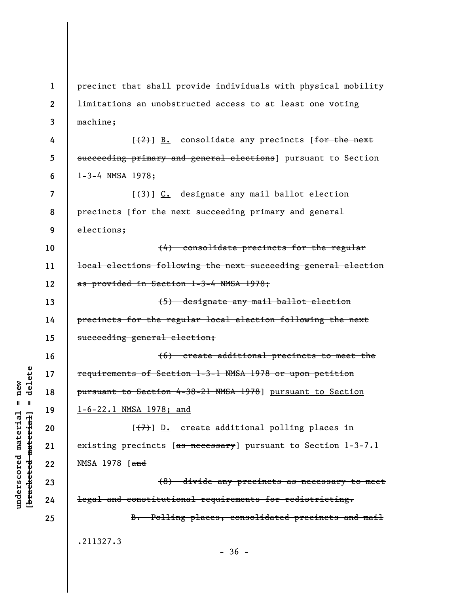**1 2 3 4 5 6 7 8 9 10 11 12 13 14 15 16 17 18 19 20 21 22 23 24 25**  precinct that shall provide individuals with physical mobility limitations an unobstructed access to at least one voting machine;  $[2]$ ]  $\underline{B.}$  consolidate any precincts [for the next succeeding primary and general elections) pursuant to Section 1-3-4 NMSA 1978;  $[3]$   $[3]$   $[.$  designate any mail ballot election precincts [for the next succeeding primary and general elections; (4) consolidate precincts for the regular local elections following the next succeeding general election as provided in Section 1-3-4 NMSA 1978; (5) designate any mail ballot election precincts for the regular local election following the next succeeding general election; (6) create additional precincts to meet the requirements of Section 1-3-1 NMSA 1978 or upon petition pursuant to Section 4-38-21 NMSA 1978] pursuant to Section 1-6-22.1 NMSA 1978; and  $[\overline{(+7)}]$  D. create additional polling places in existing precincts [as necessary] pursuant to Section 1-3-7.1 NMSA 1978 [and (8) divide any precincts as necessary to meet legal and constitutional requirements for redistricting. B. Polling places, consolidated precincts and mail .211327.3  $-36 -$ 

**underscored material = new [bracketed material] = delete**

 $anderscored material = new$ 

delete

 $\mathbf{I}$ 

bracketed material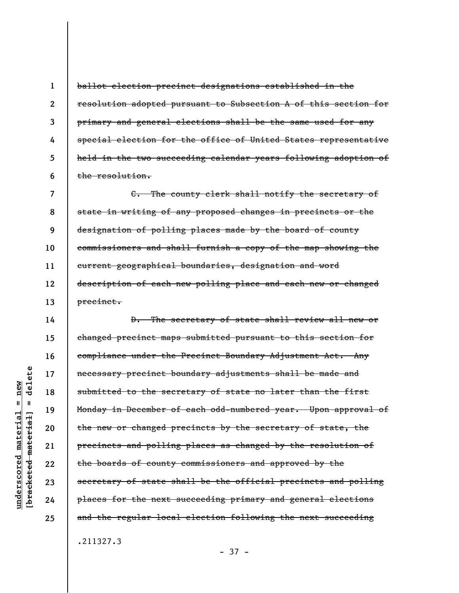ballot election precinct designations established in the resolution adopted pursuant to Subsection A of this section for primary and general elections shall be the same used for any special election for the office of United States representative held in the two succeeding calendar years following adoption of the resolution.

**7 8 9 10 11 12 13**  C. The county clerk shall notify the secretary of state in writing of any proposed changes in precincts or the designation of polling places made by the board of county commissioners and shall furnish a copy of the map showing the current geographical boundaries, designation and word description of each new polling place and each new or changed precinct.

**14 15 16 17 18 19 20 21 22 23 24 25**  D. The secretary of state shall review all new or changed precinct maps submitted pursuant to this section for compliance under the Precinct Boundary Adjustment Act. Any necessary precinct boundary adjustments shall be made and submitted to the secretary of state no later than the first Monday in December of each odd-numbered year. Upon approval of the new or changed precincts by the secretary of state, the precincts and polling places as changed by the resolution of the boards of county commissioners and approved by the secretary of state shall be the official precincts and polling places for the next succeeding primary and general elections and the regular local election following the next succeeding .211327.3

- 37 -

delete **[bracketed material] = delete**  $anderscored material = new$ **underscored material = new**  $\mathbf{I}$ bracketed material

**1** 

**2** 

**3** 

**4** 

**5**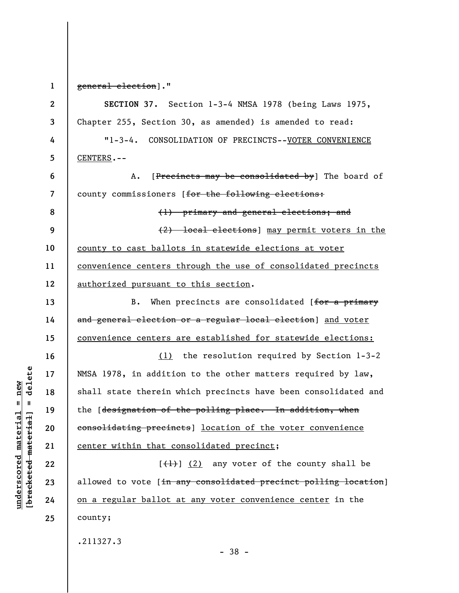delete **[bracketed material] = delete**  $underscored material = new$ **underscored material = new**  $\mathbf{I}$ bracketed material

**1** 

general election]."

**23** 

**2 3 4 5 6 7 8 9 10 11 12 13 14 15 16 17 18 19 20 21 22 24 25 SECTION 37.** Section 1-3-4 NMSA 1978 (being Laws 1975, Chapter 255, Section 30, as amended) is amended to read: "1-3-4. CONSOLIDATION OF PRECINCTS--VOTER CONVENIENCE CENTERS.-- A. [Precincts may be consolidated by] The board of county commissioners [for the following elections: (1) primary and general elections; and (2) local elections] may permit voters in the county to cast ballots in statewide elections at voter convenience centers through the use of consolidated precincts authorized pursuant to this section. B. When precincts are consolidated [for a primary and general election or a regular local election] and voter convenience centers are established for statewide elections: (1) the resolution required by Section 1-3-2 NMSA 1978, in addition to the other matters required by law, shall state therein which precincts have been consolidated and the [designation of the polling place. In addition, when consolidating precincts] location of the voter convenience center within that consolidated precinct;  $[\frac{1}{1}]$  (2) any voter of the county shall be allowed to vote [in any consolidated precinct polling location] on a regular ballot at any voter convenience center in the county; .211327.3

- 38 -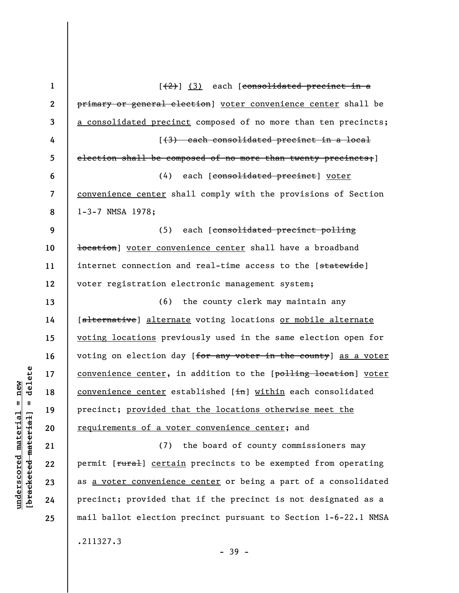| $\mathbf{1}$   | $\left[\frac{2}{2}\right]$ (3) each [consolidated precinct in a       |
|----------------|-----------------------------------------------------------------------|
| $\mathbf{2}$   | primary or general election] voter convenience center shall be        |
| 3              | a consolidated precinct composed of no more than ten precincts;       |
| 4              | [(3) each consolidated precinct in a local                            |
| 5              | election shall be composed of no more than twenty precincts; ]        |
| 6              | (4) each [consolidated precinct] voter                                |
| $\overline{7}$ | convenience center shall comply with the provisions of Section        |
| 8              | 1-3-7 NMSA 1978;                                                      |
| 9              | each [consolidated precinct polling<br>(5)                            |
| 10             | <del>location</del> ] voter convenience center shall have a broadband |
| 11             | internet connection and real-time access to the [statewide]           |
| 12             | voter registration electronic management system;                      |
| 13             | (6) the county clerk may maintain any                                 |
| 14             | [alternative] alternate voting locations or mobile alternate          |
| 15             | voting locations previously used in the same election open for        |
| 16             | voting on election day [for any voter in the county] as a voter       |
| 17             | convenience center, in addition to the [polling location] voter       |
| 18             | convenience center established [in] within each consolidated          |
| 19             | precinct; provided that the locations otherwise meet the              |
| 20             | requirements of a voter convenience center; and                       |
| 21             | the board of county commissioners may<br>(7)                          |
| 22             | permit [rural] certain precincts to be exempted from operating        |
| 23             | as a voter convenience center or being a part of a consolidated       |
| 24             | precinct; provided that if the precinct is not designated as a        |
| 25             | mail ballot election precinct pursuant to Section 1-6-22.1 NMSA       |
|                | .211327.3<br>$-39 -$                                                  |

 $[**bracket**et~~ed matched~~ + **net** + **1** + **1**$  = delete **[bracketed material] = delete**  $underscored material = new$ **underscored material = new**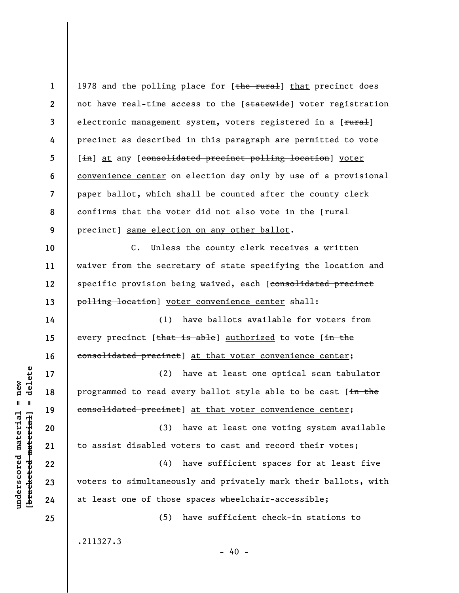| $\mathbf{1}$            | 1978 and the polling place for [the rural] that precinct does   |
|-------------------------|-----------------------------------------------------------------|
| $\boldsymbol{2}$        | not have real-time access to the [statewide] voter registration |
| 3                       | electronic management system, voters registered in a [rural]    |
| 4                       | precinct as described in this paragraph are permitted to vote   |
| 5                       | [in] at any [consolidated precinct polling location] voter      |
| 6                       | convenience center on election day only by use of a provisional |
| $\overline{\mathbf{7}}$ | paper ballot, which shall be counted after the county clerk     |
| 8                       | confirms that the voter did not also vote in the [rural         |
| 9                       | precinct] same election on any other ballot.                    |
| 10                      | C. Unless the county clerk receives a written                   |
| 11                      | waiver from the secretary of state specifying the location and  |
| 12                      | specific provision being waived, each [consolidated precinct    |
| 13                      | polling location] voter convenience center shall:               |
| 14                      | have ballots available for voters from<br>(1)                   |
| 15                      | every precinct [that is able] authorized to vote [in the        |
| 16                      | consolidated precinct] at that voter convenience center;        |
| 17                      | (2) have at least one optical scan tabulator                    |
| 18                      | programmed to read every ballot style able to be cast [in the   |
| 19                      | consolidated precinct] at that voter convenience center;        |
| 20                      | (3) have at least one voting system available                   |
| 21                      | to assist disabled voters to cast and record their votes;       |
| 22                      | (4) have sufficient spaces for at least five                    |
| 23                      | voters to simultaneously and privately mark their ballots, with |
| 24                      | at least one of those spaces wheelchair-accessible;             |
| 25                      | have sufficient check-in stations to<br>(5)                     |
|                         | .211327.3                                                       |
|                         |                                                                 |

 $[bracketeed-materiat] = delete$ **[bracketed material] = delete**  $underscored material = new$ **underscored material = new**

- 40 -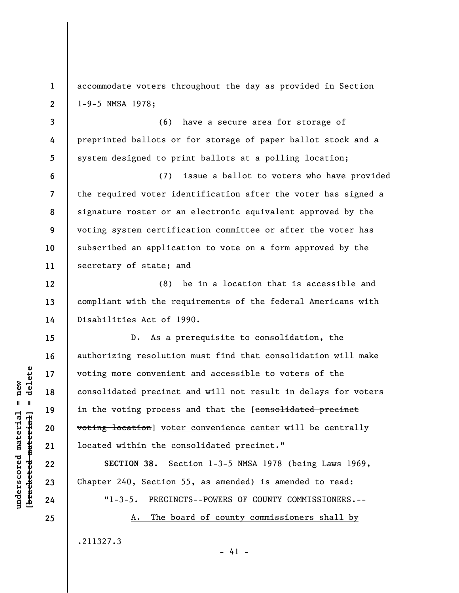**1 2**  accommodate voters throughout the day as provided in Section 1-9-5 NMSA 1978;

**3 4 5**  (6) have a secure area for storage of preprinted ballots or for storage of paper ballot stock and a system designed to print ballots at a polling location;

**6 7 8 9 10 11**  (7) issue a ballot to voters who have provided the required voter identification after the voter has signed a signature roster or an electronic equivalent approved by the voting system certification committee or after the voter has subscribed an application to vote on a form approved by the secretary of state; and

(8) be in a location that is accessible and compliant with the requirements of the federal Americans with Disabilities Act of 1990.

D. As a prerequisite to consolidation, the authorizing resolution must find that consolidation will make voting more convenient and accessible to voters of the consolidated precinct and will not result in delays for voters in the voting process and that the [consolidated precinct voting location] voter convenience center will be centrally located within the consolidated precinct."

**SECTION 38.** Section 1-3-5 NMSA 1978 (being Laws 1969, Chapter 240, Section 55, as amended) is amended to read:

"1-3-5. PRECINCTS--POWERS OF COUNTY COMMISSIONERS.--

A. The board of county commissioners shall by

 $- 41 -$ 

.211327.3

 $\frac{1}{2}$  intereted material = delete **[bracketed material] = delete**  $underscored material = new$ **underscored material = new**

**12** 

**13** 

**14** 

**15** 

**16** 

**17** 

**18** 

**19** 

**20** 

**21** 

**22** 

**23** 

**24**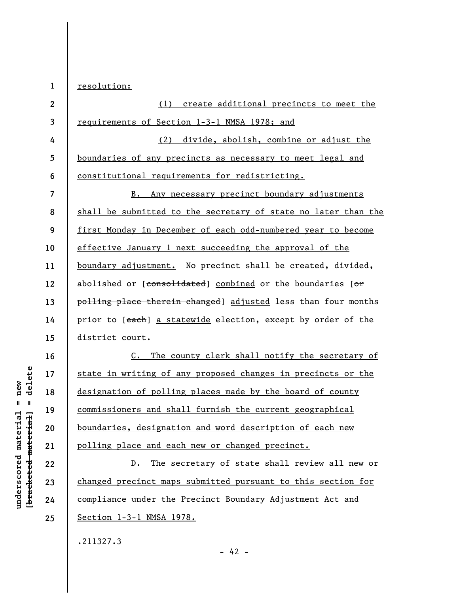**1**  resolution:

| $\overline{2}$ | (1) create additional precincts to meet the                      |
|----------------|------------------------------------------------------------------|
| 3              | requirements of Section 1-3-1 NMSA 1978; and                     |
| 4              | divide, abolish, combine or adjust the<br>(2)                    |
| 5              | boundaries of any precincts as necessary to meet legal and       |
| 6              | constitutional requirements for redistricting.                   |
| 7              | Any necessary precinct boundary adjustments<br>$B_{\bullet}$     |
| 8              | shall be submitted to the secretary of state no later than the   |
| 9              | first Monday in December of each odd-numbered year to become     |
| 10             | effective January 1 next succeeding the approval of the          |
| 11             | boundary adjustment. No precinct shall be created, divided,      |
| 12             | abolished or [consolidated] combined or the boundaries [or       |
| 13             | polling place therein changed] adjusted less than four months    |
| 14             | prior to [each] a statewide election, except by order of the     |
| 15             | district court.                                                  |
| 16             | The county clerk shall notify the secretary of<br>$\mathsf{C}$ . |
| 17             | state in writing of any proposed changes in precincts or the     |
| 18             | designation of polling places made by the board of county        |
| 19             | commissioners and shall furnish the current geographical         |
| 20             | boundaries, designation and word description of each new         |
| 21             | polling place and each new or changed precinct.                  |
| 22             | The secretary of state shall review all new or<br>$D$ .          |
| 23             | changed precinct maps submitted pursuant to this section for     |
| 24             | compliance under the Precinct Boundary Adjustment Act and        |
| 25             | Section 1-3-1 NMSA 1978.                                         |

- 42 -

.211327.3

 $[bracketeed-materiat] = delete$ **[bracketed material] = delete**  $underscored material = new$ **underscored material = new**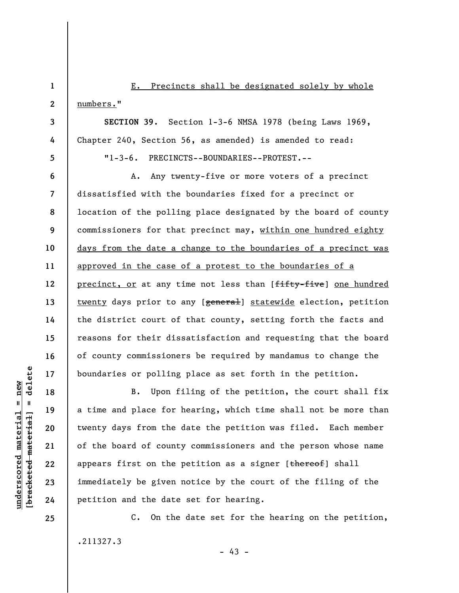E. Precincts shall be designated solely by whole numbers."

**SECTION 39.** Section 1-3-6 NMSA 1978 (being Laws 1969, Chapter 240, Section 56, as amended) is amended to read: "1-3-6. PRECINCTS--BOUNDARIES--PROTEST.--

**6 7 8 9 10 11 12 13 14 15 16 17**  A. Any twenty-five or more voters of a precinct dissatisfied with the boundaries fixed for a precinct or location of the polling place designated by the board of county commissioners for that precinct may, within one hundred eighty days from the date a change to the boundaries of a precinct was approved in the case of a protest to the boundaries of a precinct, or at any time not less than [fifty-five] one hundred twenty days prior to any [general] statewide election, petition the district court of that county, setting forth the facts and reasons for their dissatisfaction and requesting that the board of county commissioners be required by mandamus to change the boundaries or polling place as set forth in the petition.

B. Upon filing of the petition, the court shall fix a time and place for hearing, which time shall not be more than twenty days from the date the petition was filed. Each member of the board of county commissioners and the person whose name appears first on the petition as a signer  $[thereof]$  shall immediately be given notice by the court of the filing of the petition and the date set for hearing.

C. On the date set for the hearing on the petition, .211327.3  $- 43 -$ 

 $=$  delete **[bracketed material] = delete**  $underscored material = new$ **underscored material = new** bracketed material

**18** 

**19** 

**20** 

**21** 

**22** 

**23** 

**24** 

**25** 

**1** 

**2** 

**3** 

**4**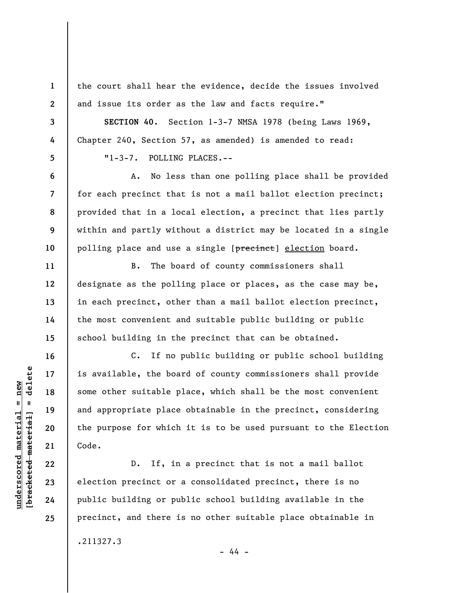the court shall hear the evidence, decide the issues involved and issue its order as the law and facts require."

**SECTION 40.** Section 1-3-7 NMSA 1978 (being Laws 1969, Chapter 240, Section 57, as amended) is amended to read: "1-3-7. POLLING PLACES.--

A. No less than one polling place shall be provided for each precinct that is not a mail ballot election precinct; provided that in a local election, a precinct that lies partly within and partly without a district may be located in a single polling place and use a single [precinct] election board.

B. The board of county commissioners shall designate as the polling place or places, as the case may be, in each precinct, other than a mail ballot election precinct, the most convenient and suitable public building or public school building in the precinct that can be obtained.

C. If no public building or public school building is available, the board of county commissioners shall provide some other suitable place, which shall be the most convenient and appropriate place obtainable in the precinct, considering the purpose for which it is to be used pursuant to the Election Code.

D. If, in a precinct that is not a mail ballot election precinct or a consolidated precinct, there is no public building or public school building available in the precinct, and there is no other suitable place obtainable in

- 44 -

.211327.3

 $\frac{1}{2}$  of  $\frac{1}{2}$  and  $\frac{1}{2}$  and  $\frac{1}{2}$  and  $\frac{1}{2}$  and  $\frac{1}{2}$  and  $\frac{1}{2}$  and  $\frac{1}{2}$  and  $\frac{1}{2}$  and  $\frac{1}{2}$  and  $\frac{1}{2}$  and  $\frac{1}{2}$  and  $\frac{1}{2}$  and  $\frac{1}{2}$  and  $\frac{1}{2}$  and  $\frac{1}{2}$  an **[bracketed material] = delete**  $underscored material = new$ **underscored material = new**

**1** 

**2** 

**3** 

**4** 

**5** 

**6** 

**7** 

**8** 

**9** 

**10** 

**11** 

**12** 

**13** 

**14** 

**15** 

**16** 

**17** 

**18** 

**19** 

**20** 

**21** 

**22** 

**23** 

**24**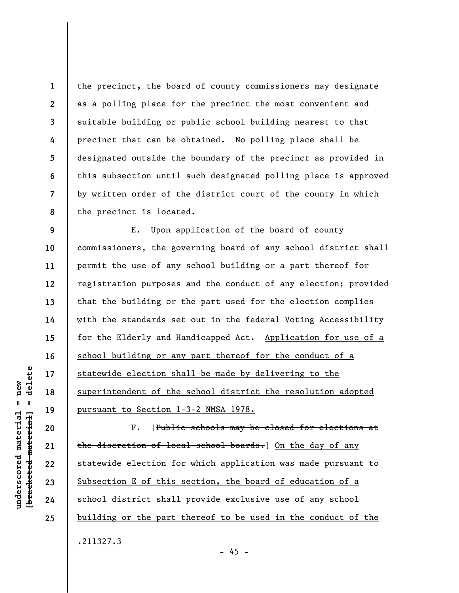**2 3 8**  the precinct, the board of county commissioners may designate as a polling place for the precinct the most convenient and suitable building or public school building nearest to that precinct that can be obtained. No polling place shall be designated outside the boundary of the precinct as provided in this subsection until such designated polling place is approved by written order of the district court of the county in which the precinct is located.

**9 10 11 12 13 14 15 16 17 18 19**  E. Upon application of the board of county commissioners, the governing board of any school district shall permit the use of any school building or a part thereof for registration purposes and the conduct of any election; provided that the building or the part used for the election complies with the standards set out in the federal Voting Accessibility for the Elderly and Handicapped Act. Application for use of a school building or any part thereof for the conduct of a statewide election shall be made by delivering to the superintendent of the school district the resolution adopted pursuant to Section 1-3-2 NMSA 1978.

F. [Public schools may be closed for elections at the discretion of local school boards. On the day of any statewide election for which application was made pursuant to Subsection E of this section, the board of education of a school district shall provide exclusive use of any school building or the part thereof to be used in the conduct of the .211327.3

delete **[bracketed material] = delete**  $anderscored material = new$ **underscored material = new**  $\frac{1}{2}$ 

**20** 

**21** 

**22** 

**23** 

**24** 

**25** 

**1** 

**4** 

**5** 

**6**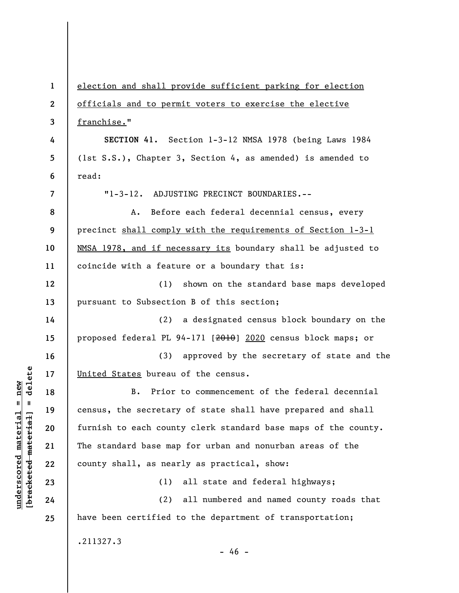| $\mathbf{1}$             | election and shall provide sufficient parking for election     |
|--------------------------|----------------------------------------------------------------|
| $\mathbf{2}$             | officials and to permit voters to exercise the elective        |
| 3                        | franchise."                                                    |
| 4                        | SECTION 41. Section 1-3-12 NMSA 1978 (being Laws 1984          |
| 5                        | (1st S.S.), Chapter 3, Section 4, as amended) is amended to    |
| 6                        | read:                                                          |
| $\overline{\phantom{a}}$ | "1-3-12. ADJUSTING PRECINCT BOUNDARIES.--                      |
| 8                        | Before each federal decennial census, every<br>A.              |
| 9                        | precinct shall comply with the requirements of Section 1-3-1   |
| 10                       | NMSA 1978, and if necessary its boundary shall be adjusted to  |
| 11                       | coincide with a feature or a boundary that is:                 |
| 12                       | shown on the standard base maps developed<br>(1)               |
| 13                       | pursuant to Subsection B of this section;                      |
| 14                       | a designated census block boundary on the<br>(2)               |
| 15                       | proposed federal PL 94-171 [2010] 2020 census block maps; or   |
| 16                       | (3) approved by the secretary of state and the                 |
| 17                       | United States bureau of the census.                            |
| 18                       | Prior to commencement of the federal decennial<br>В.           |
| 19                       | census, the secretary of state shall have prepared and shall   |
| 20                       | furnish to each county clerk standard base maps of the county. |
| 21                       | The standard base map for urban and nonurban areas of the      |
| 22                       | county shall, as nearly as practical, show:                    |
| 23                       | all state and federal highways;<br>(1)                         |
| 24                       | (2)<br>all numbered and named county roads that                |
| 25                       | have been certified to the department of transportation;       |
|                          | .211327.3<br>$-46 -$                                           |

**underscored material = new [bracketed material] = delete**

 $[**bracket eted metert et**] = **del et e**$  $underscored material = new$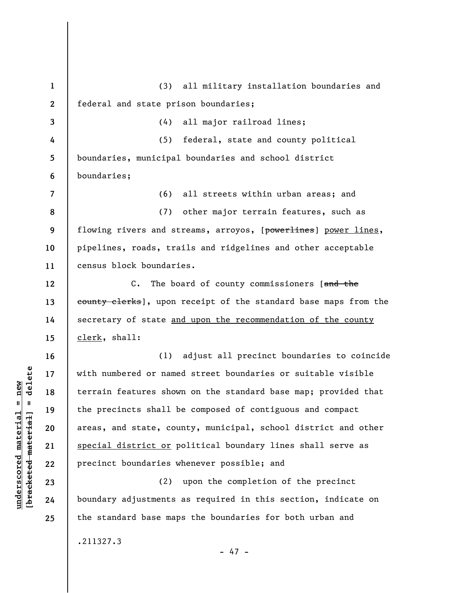**1 2 3 4 5 6 7 8 9 10 11 12 13 14 15 16 17 18 19 20 21 22 23 24 25**  (3) all military installation boundaries and federal and state prison boundaries; (4) all major railroad lines; (5) federal, state and county political boundaries, municipal boundaries and school district boundaries; (6) all streets within urban areas; and (7) other major terrain features, such as flowing rivers and streams, arroyos, [powerlines] power lines, pipelines, roads, trails and ridgelines and other acceptable census block boundaries. C. The board of county commissioners [and the county clerks], upon receipt of the standard base maps from the secretary of state and upon the recommendation of the county clerk, shall: (1) adjust all precinct boundaries to coincide with numbered or named street boundaries or suitable visible terrain features shown on the standard base map; provided that the precincts shall be composed of contiguous and compact areas, and state, county, municipal, school district and other special district or political boundary lines shall serve as precinct boundaries whenever possible; and (2) upon the completion of the precinct boundary adjustments as required in this section, indicate on the standard base maps the boundaries for both urban and .211327.3

 $b$ racketed material] = delete **[bracketed material] = delete**  $underscored material = new$ **underscored material = new**

- 47 -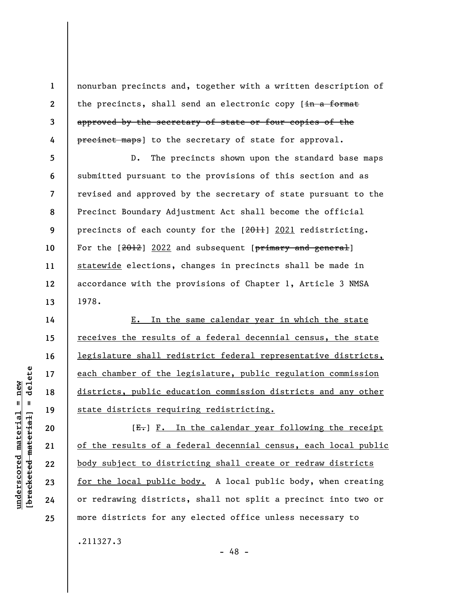nonurban precincts and, together with a written description of the precincts, shall send an electronic copy [in a format approved by the secretary of state or four copies of the precinct maps] to the secretary of state for approval.

D. The precincts shown upon the standard base maps submitted pursuant to the provisions of this section and as revised and approved by the secretary of state pursuant to the Precinct Boundary Adjustment Act shall become the official precincts of each county for the  $[2011]$   $2021$  redistricting. For the  $[2012]$  2022 and subsequent  $[\frac{\text{primary and general}}{\text{energy}}]$ statewide elections, changes in precincts shall be made in accordance with the provisions of Chapter 1, Article 3 NMSA 1978.

E. In the same calendar year in which the state receives the results of a federal decennial census, the state legislature shall redistrict federal representative districts, each chamber of the legislature, public regulation commission districts, public education commission districts and any other state districts requiring redistricting.

 $[E-]$   $F.$  In the calendar year following the receipt of the results of a federal decennial census, each local public body subject to districting shall create or redraw districts for the local public body. A local public body, when creating or redrawing districts, shall not split a precinct into two or more districts for any elected office unless necessary to

- 48 -

.211327.3

 $\frac{1}{2}$  intereted material = delete **[bracketed material] = delete**  $anderscored material = new$ **underscored material = new**

**1** 

**2** 

**3** 

**4** 

**5** 

**6** 

**7** 

**8** 

**9** 

**10** 

**11** 

**12** 

**13** 

**14** 

**15** 

**16** 

**17** 

**18** 

**19** 

**20** 

**21** 

**22** 

**23** 

**24**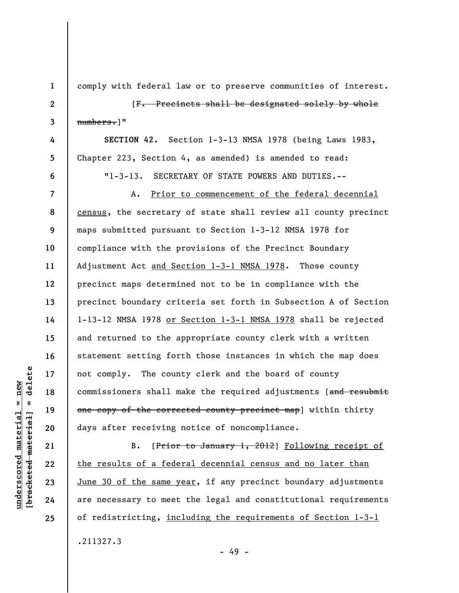**1 2 3 4 5 6 7 8 9 10 11 12 13 14 15 16 17 18 19 20 21 22 23 24 25**  comply with federal law or to preserve communities of interest. [F. Precincts shall be designated solely by whole numbers.]" **SECTION 42.** Section 1-3-13 NMSA 1978 (being Laws 1983, Chapter 223, Section 4, as amended) is amended to read: "1-3-13. SECRETARY OF STATE POWERS AND DUTIES.-- A. Prior to commencement of the federal decennial census, the secretary of state shall review all county precinct maps submitted pursuant to Section 1-3-12 NMSA 1978 for compliance with the provisions of the Precinct Boundary Adjustment Act and Section 1-3-1 NMSA 1978. Those county precinct maps determined not to be in compliance with the precinct boundary criteria set forth in Subsection A of Section 1-13-12 NMSA 1978 or Section 1-3-1 NMSA 1978 shall be rejected and returned to the appropriate county clerk with a written statement setting forth those instances in which the map does not comply. The county clerk and the board of county commissioners shall make the required adjustments [and resubmit one copy of the corrected county precinct map] within thirty days after receiving notice of noncompliance. B. [Prior to January 1, 2012] Following receipt of the results of a federal decennial census and no later than June 30 of the same year, if any precinct boundary adjustments are necessary to meet the legal and constitutional requirements of redistricting, including the requirements of Section 1-3-1

.211327.3

**underscored material = new [bracketed material] = delete**

 $underscored material = new$ 

delete

 $\mathbf{u}$ 

bracketed material

- 49 -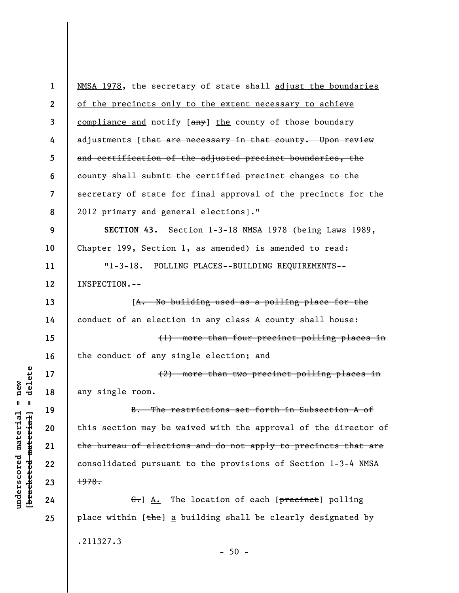| $\mathbf 1$              | NMSA 1978, the secretary of state shall adjust the boundaries   |
|--------------------------|-----------------------------------------------------------------|
| $\boldsymbol{2}$         | of the precincts only to the extent necessary to achieve        |
| 3                        | compliance and notify [any] the county of those boundary        |
| 4                        | adjustments [that are necessary in that county. Upon review     |
| 5                        | and certification of the adjusted precinct boundaries, the      |
| 6                        | county shall submit the certified precinct changes to the       |
| $\overline{\mathcal{L}}$ | secretary of state for final approval of the precincts for the  |
| 8                        | 2012 primary and general elections]."                           |
| 9                        | SECTION 43. Section 1-3-18 NMSA 1978 (being Laws 1989,          |
| 10                       | Chapter 199, Section 1, as amended) is amended to read:         |
| 11                       | $"1 - 3 - 18.$<br>POLLING PLACES--BUILDING REQUIREMENTS--       |
| 12                       | INSPECTION.--                                                   |
| 13                       | [A. No building used as a polling place for the                 |
| 14                       | conduct of an election in any class A county shall house:       |
| 15                       | (1) more than four precinct polling places in                   |
| 16                       | the conduct of any single election; and                         |
| 17                       | (2) more than two precinct polling places in                    |
| 18                       | any single room.                                                |
| 19                       | B. The restrictions set forth in Subsection A of                |
| 20                       | this section may be waived with the approval of the director of |
| 21                       | the bureau of elections and do not apply to precincts that are  |
| 22                       | consolidated pursuant to the provisions of Section 1-3-4 NMSA   |
| 23                       | 1978.                                                           |
| 24                       | G. A. The location of each [precinct] polling                   |
| 25                       | place within [the] a building shall be clearly designated by    |
|                          | .211327.3                                                       |

- 50 -

 $[**bracket**et~~ed matched~~ + **net** + **1** + **1**$  = delete **[bracketed material] = delete**  $underscored material = new$ **underscored material = new**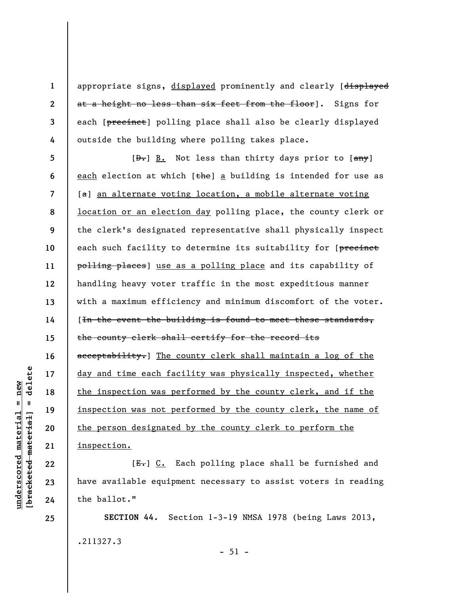appropriate signs, displayed prominently and clearly [displayed at a height no less than six feet from the floor]. Signs for each [precinct] polling place shall also be clearly displayed outside the building where polling takes place.

**5 6 7 8 9 10 11 12 13 14 15 16 17 18 19 20 21**   $[\frac{D-1}{2}]$  B. Not less than thirty days prior to  $[\frac{any}{2}]$ each election at which  $[\frac{t}{t}he]$  a building is intended for use as [ $a$ ] an alternate voting location, a mobile alternate voting location or an election day polling place, the county clerk or the clerk's designated representative shall physically inspect each such facility to determine its suitability for [precinct polling places] use as a polling place and its capability of handling heavy voter traffic in the most expeditious manner with a maximum efficiency and minimum discomfort of the voter. [In the event the building is found to meet these standards, the county clerk shall certify for the record its acceptability.] The county clerk shall maintain a log of the day and time each facility was physically inspected, whether the inspection was performed by the county clerk, and if the inspection was not performed by the county clerk, the name of the person designated by the county clerk to perform the inspection.

[E.] C. Each polling place shall be furnished and have available equipment necessary to assist voters in reading the ballot."

**SECTION 44.** Section 1-3-19 NMSA 1978 (being Laws 2013, .211327.3  $-51 -$ 

delete **[bracketed material] = delete**  $anderscored material = new$ **underscored material = new**  $\mathbf{I}$ bracketed material

**22** 

**23** 

**24** 

**25** 

**1** 

**2** 

**3**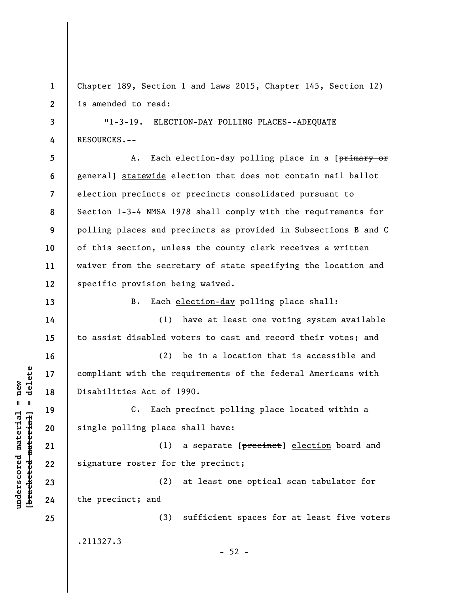**1 2**  Chapter 189, Section 1 and Laws 2015, Chapter 145, Section 12) is amended to read:

**3 4**  "1-3-19. ELECTION-DAY POLLING PLACES--ADEQUATE RESOURCES.--

**5 6 7 8 9 10 11 12**  A. Each election-day polling place in a [primary or general] statewide election that does not contain mail ballot election precincts or precincts consolidated pursuant to Section 1-3-4 NMSA 1978 shall comply with the requirements for polling places and precincts as provided in Subsections B and C of this section, unless the county clerk receives a written waiver from the secretary of state specifying the location and specific provision being waived.

B. Each election-day polling place shall:

(1) have at least one voting system available to assist disabled voters to cast and record their votes; and

(2) be in a location that is accessible and compliant with the requirements of the federal Americans with Disabilities Act of 1990.

C. Each precinct polling place located within a single polling place shall have:

(1) a separate [precinct] election board and signature roster for the precinct;

(2) at least one optical scan tabulator for the precinct; and

(3) sufficient spaces for at least five voters .211327.3

 $-52 -$ 

 $\frac{1}{2}$  intereted material = delete **[bracketed material] = delete**  $underscored material = new$ **underscored material = new**

**13** 

**14** 

**15** 

**16** 

**17** 

**18** 

**19** 

**20** 

**21** 

**22** 

**23** 

**24**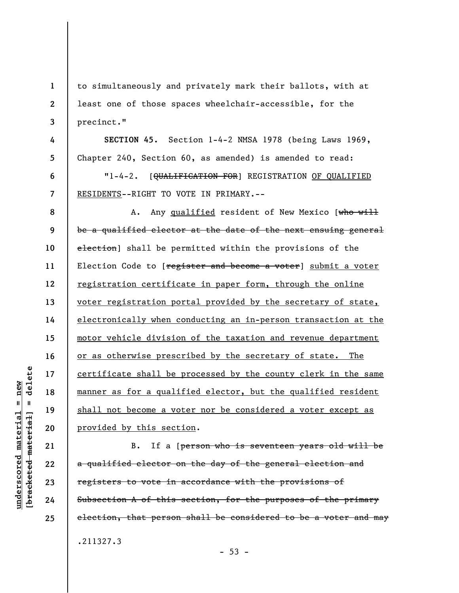to simultaneously and privately mark their ballots, with at least one of those spaces wheelchair-accessible, for the precinct."

**SECTION 45.** Section 1-4-2 NMSA 1978 (being Laws 1969, Chapter 240, Section 60, as amended) is amended to read:

"1-4-2. [<del>QUALIFICATION FOR</del>] REGISTRATION OF QUALIFIED RESIDENTS--RIGHT TO VOTE IN PRIMARY.--

**8 9 10 11 12 13 14 15 16 17 18 19 20**  A. Any qualified resident of New Mexico [who will be a qualified elector at the date of the next ensuing general election] shall be permitted within the provisions of the Election Code to [register and become a voter] submit a voter registration certificate in paper form, through the online voter registration portal provided by the secretary of state, electronically when conducting an in-person transaction at the motor vehicle division of the taxation and revenue department or as otherwise prescribed by the secretary of state. The certificate shall be processed by the county clerk in the same manner as for a qualified elector, but the qualified resident shall not become a voter nor be considered a voter except as provided by this section.

B. If a [person who is seventeen years old will be a qualified elector on the day of the general election and registers to vote in accordance with the provisions of Subsection A of this section, for the purposes of the primary election, that person shall be considered to be a voter and may .211327.3

 $- 53 -$ 

**21** 

**22** 

**23** 

**24** 

**25** 

**1** 

**2** 

**3** 

**4** 

**5** 

**6**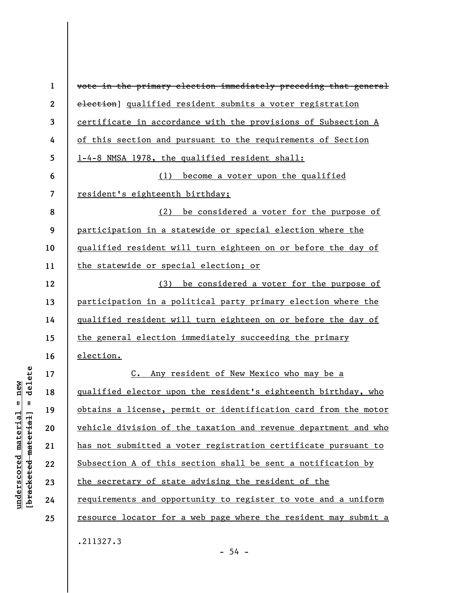| $\mathbf{1}$   | vote in the primary election immediately preceding that general      |
|----------------|----------------------------------------------------------------------|
| $\mathbf{2}$   | election] qualified resident submits a voter registration            |
| 3              | certificate in accordance with the provisions of Subsection A        |
| 4              | of this section and pursuant to the requirements of Section          |
| 5              | 1-4-8 NMSA 1978, the qualified resident shall:                       |
| 6              | become a voter upon the qualified<br>(1)                             |
| $\overline{7}$ | resident's eighteenth birthday;                                      |
| 8              | be considered a voter for the purpose of<br>(2)                      |
| 9              | participation in a statewide or special election where the           |
| 10             | <u>qualified resident will turn eighteen on or before the day of</u> |
| 11             | the statewide or special election; or                                |
| 12             | be considered a voter for the purpose of<br>(3)                      |
| 13             | participation in a political party primary election where the        |
| 14             | qualified resident will turn eighteen on or before the day of        |
| 15             | the general election immediately succeeding the primary              |
| 16             | election.                                                            |
| 17             | Any resident of New Mexico who may be a<br>$c_{\bullet}$             |
| 18             | qualified elector upon the resident's eighteenth birthday, who       |
| 19             | obtains a license, permit or identification card from the motor      |
| 20             | vehicle division of the taxation and revenue department and who      |
| 21             | has not submitted a voter registration certificate pursuant to       |
| 22             | Subsection A of this section shall be sent a notification by         |
| 23             | the secretary of state advising the resident of the                  |
| 24             | requirements and opportunity to register to vote and a uniform       |
| 25             | resource locator for a web page where the resident may submit a      |
|                | .211327.3                                                            |

 $[**bracket**et~~ed matched~~ + **net** + **1** + **1**$  = delete **[bracketed material] = delete**  $underscored material = new$ **underscored material = new**

- 54 -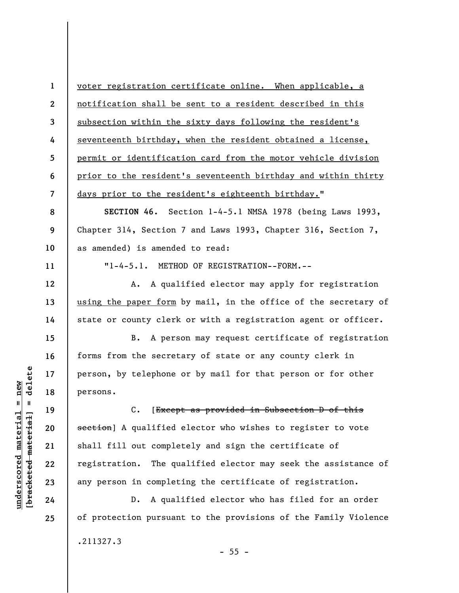**1 2 3 4 5 6 7**  voter registration certificate online. When applicable, a notification shall be sent to a resident described in this subsection within the sixty days following the resident's seventeenth birthday, when the resident obtained a license, permit or identification card from the motor vehicle division prior to the resident's seventeenth birthday and within thirty days prior to the resident's eighteenth birthday."

**SECTION 46.** Section 1-4-5.1 NMSA 1978 (being Laws 1993, Chapter 314, Section 7 and Laws 1993, Chapter 316, Section 7, as amended) is amended to read:

"1-4-5.1. METHOD OF REGISTRATION--FORM.--

A. A qualified elector may apply for registration using the paper form by mail, in the office of the secretary of state or county clerk or with a registration agent or officer.

B. A person may request certificate of registration forms from the secretary of state or any county clerk in person, by telephone or by mail for that person or for other persons.

C. [Except as provided in Subsection D of this section] A qualified elector who wishes to register to vote shall fill out completely and sign the certificate of registration. The qualified elector may seek the assistance of any person in completing the certificate of registration.

D. A qualified elector who has filed for an order of protection pursuant to the provisions of the Family Violence .211327.3

 $\frac{1}{2}$  intereted material = delete **[bracketed material] = delete**  $anderscored material = new$ **underscored material = new**

**8** 

**9** 

**10** 

**11** 

**12** 

**13** 

**14** 

**15** 

**16** 

**17** 

**18** 

**19** 

**20** 

**21** 

**22** 

**23** 

**24**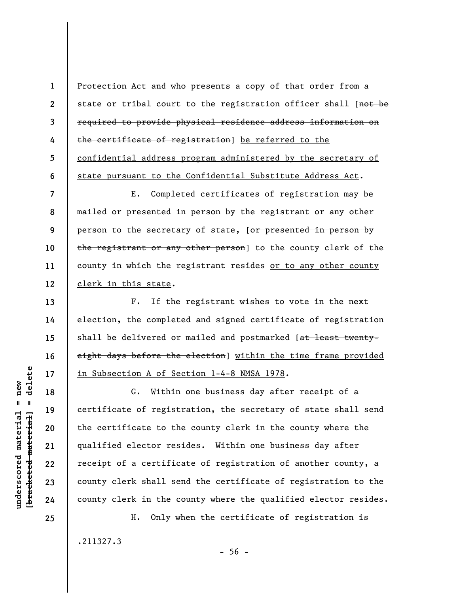Protection Act and who presents a copy of that order from a state or tribal court to the registration officer shall [not be required to provide physical residence address information on the certificate of registration] be referred to the confidential address program administered by the secretary of state pursuant to the Confidential Substitute Address Act.

**7 8 9 10 11 12**  E. Completed certificates of registration may be mailed or presented in person by the registrant or any other person to the secretary of state, [or presented in person by the registrant or any other person] to the county clerk of the county in which the registrant resides or to any other county clerk in this state.

F. If the registrant wishes to vote in the next election, the completed and signed certificate of registration shall be delivered or mailed and postmarked [at least twentyeight days before the election] within the time frame provided in Subsection A of Section 1-4-8 NMSA 1978.

G. Within one business day after receipt of a certificate of registration, the secretary of state shall send the certificate to the county clerk in the county where the qualified elector resides. Within one business day after receipt of a certificate of registration of another county, a county clerk shall send the certificate of registration to the county clerk in the county where the qualified elector resides.

H. Only when the certificate of registration is .211327.3

 $-56 -$ 

 $\frac{1}{2}$  intereted material = delete **[bracketed material] = delete**  $underscored material = new$ **underscored material = new**

**1** 

**2** 

**3** 

**4** 

**5** 

**6** 

**13** 

**14** 

**15** 

**16** 

**17** 

**18** 

**19** 

**20** 

**21** 

**22** 

**23** 

**24**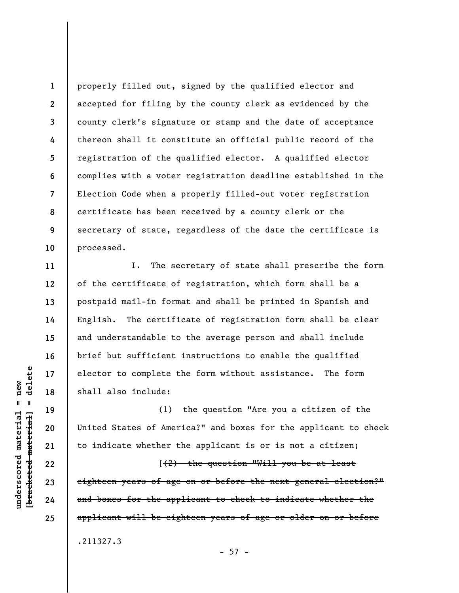**1 2 3 4 5 6 7 8 9 10**  properly filled out, signed by the qualified elector and accepted for filing by the county clerk as evidenced by the county clerk's signature or stamp and the date of acceptance thereon shall it constitute an official public record of the registration of the qualified elector. A qualified elector complies with a voter registration deadline established in the Election Code when a properly filled-out voter registration certificate has been received by a county clerk or the secretary of state, regardless of the date the certificate is processed.

I. The secretary of state shall prescribe the form of the certificate of registration, which form shall be a postpaid mail-in format and shall be printed in Spanish and English. The certificate of registration form shall be clear and understandable to the average person and shall include brief but sufficient instructions to enable the qualified elector to complete the form without assistance. The form shall also include:

(1) the question "Are you a citizen of the United States of America?" and boxes for the applicant to check to indicate whether the applicant is or is not a citizen;

[(2) the question "Will you be at least eighteen years of age on or before the next general election?" and boxes for the applicant to check to indicate whether the applicant will be eighteen years of age or older on or before .211327.3

 $- 57 -$ 

**11** 

**12** 

**13** 

**14** 

**15** 

**16** 

**17** 

**18** 

**19** 

**20** 

**21** 

**22** 

**23** 

**24**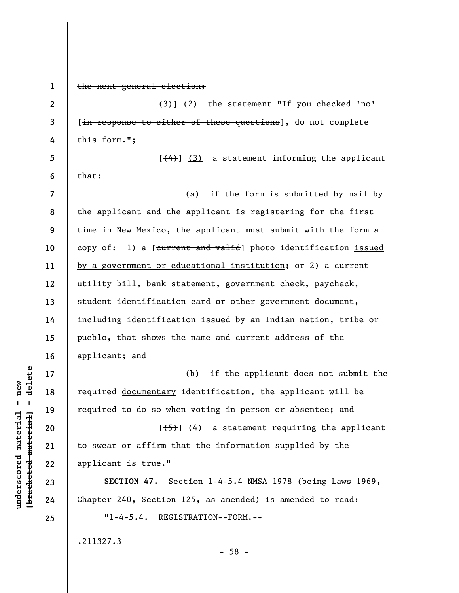**1**  the next general election; **2**  (3)] (2) the statement "If you checked 'no' [in response to either of these questions], do not complete **3 4**  this form."; **5**   $[\frac{4}{4}]$  (3) a statement informing the applicant **6**  that: (a) if the form is submitted by mail by **7**  the applicant and the applicant is registering for the first **8 9**  time in New Mexico, the applicant must submit with the form a **10**  copy of:  $1)$  a [current and valid] photo identification issued by a government or educational institution; or 2) a current **11**  utility bill, bank statement, government check, paycheck, **12**  student identification card or other government document, **13**  including identification issued by an Indian nation, tribe or **14**  pueblo, that shows the name and current address of the **15 16**  applicant; and  $b$ racketed material] = delete **[bracketed material] = delete 17**  (b) if the applicant does not submit the required documentary identification, the applicant will be **18**  required to do so when voting in person or absentee; and **19**   $[\frac{1}{5}]$  (4) a statement requiring the applicant **20**  to swear or affirm that the information supplied by the **21**  applicant is true." **22 SECTION 47.** Section 1-4-5.4 NMSA 1978 (being Laws 1969, **23**  Chapter 240, Section 125, as amended) is amended to read: **24**  "1-4-5.4. REGISTRATION--FORM.-- **25**  .211327.3 - 58 -

**underscored material = new**

 $underscored material = new$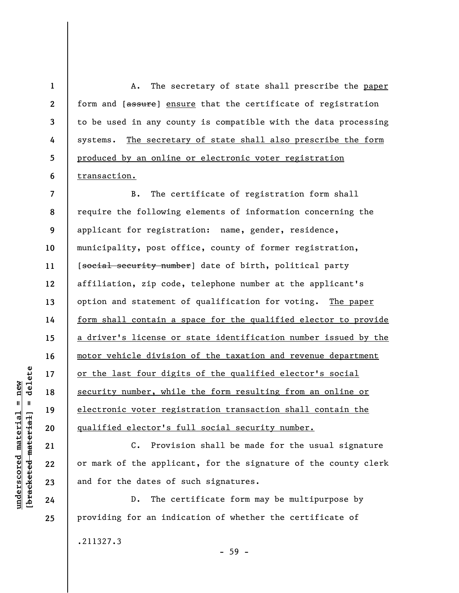**1 2 3 4 5 6**  A. The secretary of state shall prescribe the paper form and [assure] ensure that the certificate of registration to be used in any county is compatible with the data processing systems. The secretary of state shall also prescribe the form produced by an online or electronic voter registration transaction.

**7 8 9 10 11 12 13 14 15 16 17 18 19 20**  B. The certificate of registration form shall require the following elements of information concerning the applicant for registration: name, gender, residence, municipality, post office, county of former registration, [social security number] date of birth, political party affiliation, zip code, telephone number at the applicant's option and statement of qualification for voting. The paper form shall contain a space for the qualified elector to provide a driver's license or state identification number issued by the motor vehicle division of the taxation and revenue department or the last four digits of the qualified elector's social security number, while the form resulting from an online or electronic voter registration transaction shall contain the qualified elector's full social security number.

C. Provision shall be made for the usual signature or mark of the applicant, for the signature of the county clerk and for the dates of such signatures.

D. The certificate form may be multipurpose by providing for an indication of whether the certificate of

.211327.3

- 59 -

 $\frac{1}{2}$  intereted material = delete **[bracketed material] = delete**  $anderscored material = new$ **underscored material = new**

**21** 

**22** 

**23** 

**24**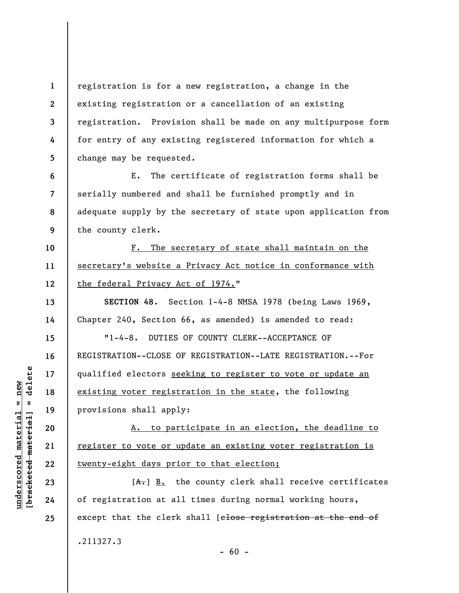**1 2 3 5**  registration is for a new registration, a change in the existing registration or a cancellation of an existing registration. Provision shall be made on any multipurpose form for entry of any existing registered information for which a change may be requested.

**6 7 8 9**  E. The certificate of registration forms shall be serially numbered and shall be furnished promptly and in adequate supply by the secretary of state upon application from the county clerk.

F. The secretary of state shall maintain on the secretary's website a Privacy Act notice in conformance with the federal Privacy Act of 1974."

**SECTION 48.** Section 1-4-8 NMSA 1978 (being Laws 1969, Chapter 240, Section 66, as amended) is amended to read:

"1-4-8. DUTIES OF COUNTY CLERK--ACCEPTANCE OF REGISTRATION--CLOSE OF REGISTRATION--LATE REGISTRATION.--For qualified electors seeking to register to vote or update an existing voter registration in the state, the following provisions shall apply:

A. to participate in an election, the deadline to register to vote or update an existing voter registration is twenty-eight days prior to that election;

 $[A<sub>+</sub>]$  B. the county clerk shall receive certificates of registration at all times during normal working hours, except that the clerk shall [close registration at the end of .211327.3

**4** 

**10** 

**11** 

**12** 

**13** 

**14** 

**15** 

**16** 

**17** 

**18** 

**19** 

**20** 

**21** 

**22** 

**23** 

**24**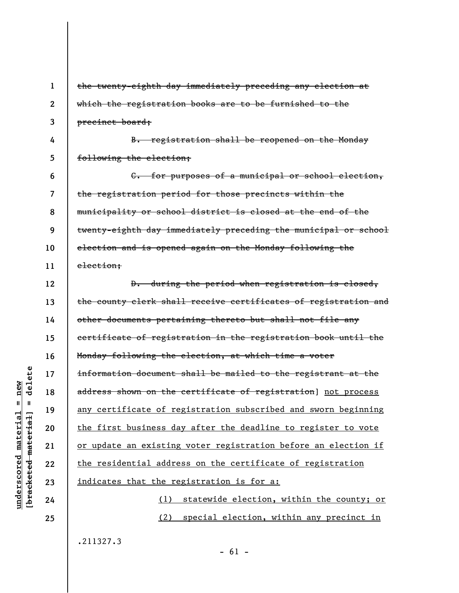**1 2 3 4 5 6 7 8 9 10 11 12 13 14 15 16 17 18 19 20 21 22 23 24 25**  the twenty-eighth day immediately preceding any election at which the registration books are to be furnished to the precinct board; B. registration shall be reopened on the Monday following the election; C. for purposes of a municipal or school election, the registration period for those precincts within the municipality or school district is closed at the end of the twenty-eighth day immediately preceding the municipal or school election and is opened again on the Monday following the election; D. during the period when registration is closed, the county clerk shall receive certificates of registration and other documents pertaining thereto but shall not file any certificate of registration in the registration book until the Monday following the election, at which time a voter information document shall be mailed to the registrant at the address shown on the certificate of registration] not process any certificate of registration subscribed and sworn beginning the first business day after the deadline to register to vote or update an existing voter registration before an election if the residential address on the certificate of registration indicates that the registration is for a: (1) statewide election, within the county; or (2) special election, within any precinct in .211327.3

delete **[bracketed material] = delete**  $anderscored material = new$ **underscored material = new**  $\mathbf{I}$ bracketed material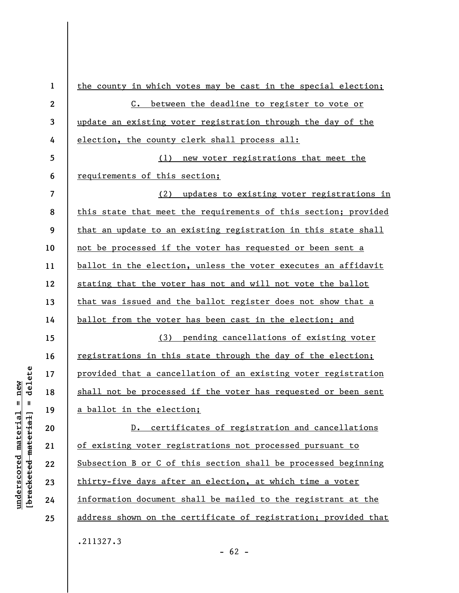**1 2 3 4 5 6 7 8 9 10 11 12 13 14 15 16 17 18 19 20 21 22 23 24 25**  the county in which votes may be cast in the special election; C. between the deadline to register to vote or update an existing voter registration through the day of the election, the county clerk shall process all: (1) new voter registrations that meet the requirements of this section; (2) updates to existing voter registrations in this state that meet the requirements of this section; provided that an update to an existing registration in this state shall not be processed if the voter has requested or been sent a ballot in the election, unless the voter executes an affidavit stating that the voter has not and will not vote the ballot that was issued and the ballot register does not show that a ballot from the voter has been cast in the election; and (3) pending cancellations of existing voter registrations in this state through the day of the election; provided that a cancellation of an existing voter registration shall not be processed if the voter has requested or been sent a ballot in the election; D. certificates of registration and cancellations of existing voter registrations not processed pursuant to Subsection B or C of this section shall be processed beginning thirty-five days after an election, at which time a voter information document shall be mailed to the registrant at the address shown on the certificate of registration; provided that .211327.3

delete **[bracketed material] = delete**  $anderscored material = new$ **underscored material = new**  $\mathbf{I}$ bracketed material]

 $- 62 -$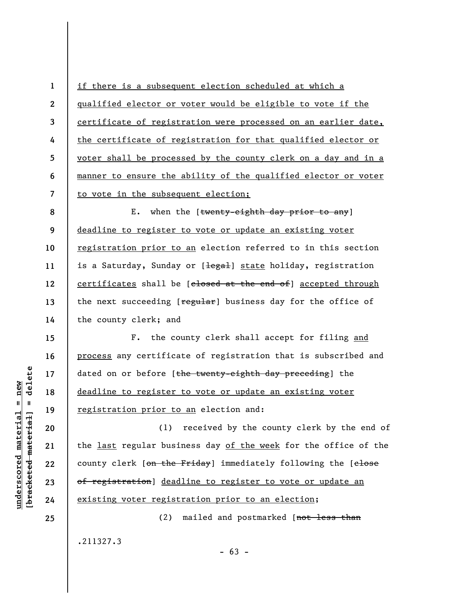**1 2 3 4 5 6 7**  if there is a subsequent election scheduled at which a qualified elector or voter would be eligible to vote if the certificate of registration were processed on an earlier date, the certificate of registration for that qualified elector or voter shall be processed by the county clerk on a day and in a manner to ensure the ability of the qualified elector or voter to vote in the subsequent election;

**8 9 10 11 12 13 14**  E. when the [twenty-eighth day prior to any] deadline to register to vote or update an existing voter registration prior to an election referred to in this section is a Saturday, Sunday or [legal] state holiday, registration certificates shall be [closed at the end of] accepted through the next succeeding [regular] business day for the office of the county clerk; and

F. the county clerk shall accept for filing and process any certificate of registration that is subscribed and dated on or before [the twenty-eighth day preceding] the deadline to register to vote or update an existing voter registration prior to an election and:

(1) received by the county clerk by the end of the last regular business day of the week for the office of the county clerk [on the Friday] immediately following the [elose of registration] deadline to register to vote or update an existing voter registration prior to an election;

(2) mailed and postmarked [not less than

.211327.3

 $\frac{1}{2}$  intereted material = delete **[bracketed material] = delete**  $underscored material = new$ **underscored material = new**

**15** 

**16** 

**17** 

**18** 

**19** 

**20** 

**21** 

**22** 

**23** 

**24**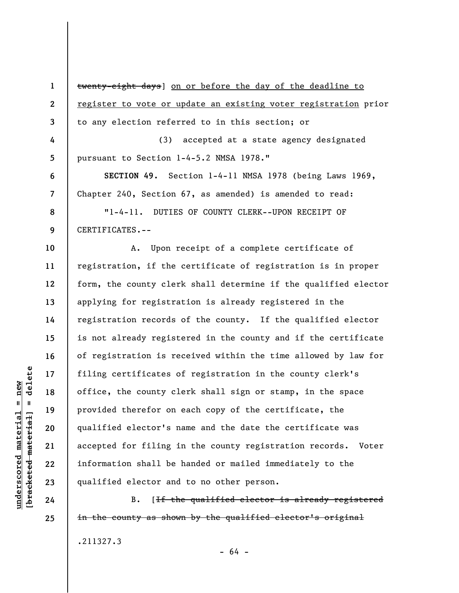**1 2 3 4 5 6 7 8 9 10 11 12 13 14 15 16 17 18 19 20 21 22 23**  twenty-eight days] on or before the day of the deadline to register to vote or update an existing voter registration prior to any election referred to in this section; or (3) accepted at a state agency designated pursuant to Section 1-4-5.2 NMSA 1978." **SECTION 49.** Section 1-4-11 NMSA 1978 (being Laws 1969, Chapter 240, Section 67, as amended) is amended to read: "1-4-11. DUTIES OF COUNTY CLERK--UPON RECEIPT OF CERTIFICATES.-- A. Upon receipt of a complete certificate of registration, if the certificate of registration is in proper form, the county clerk shall determine if the qualified elector applying for registration is already registered in the registration records of the county. If the qualified elector is not already registered in the county and if the certificate of registration is received within the time allowed by law for filing certificates of registration in the county clerk's office, the county clerk shall sign or stamp, in the space provided therefor on each copy of the certificate, the qualified elector's name and the date the certificate was accepted for filing in the county registration records. Voter information shall be handed or mailed immediately to the qualified elector and to no other person.

B. [If the qualified elector is already registered in the county as shown by the qualified elector's original .211327.3

delete **[bracketed material] = delete**  $anderscored material = new$ **underscored material = new**  $\mathbf{I}$ bracketed material

**25** 

**24** 

- 64 -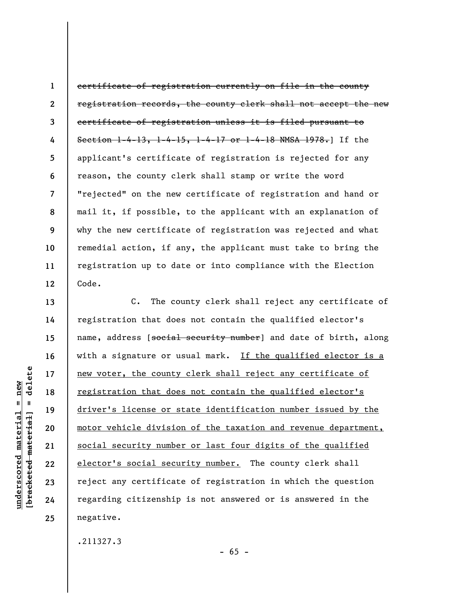**1 2 3 4 5 6 7 8 9 10 11 12**  certificate of registration currently on file in the county registration records, the county clerk shall not accept the new certificate of registration unless it is filed pursuant to Section 1-4-13, 1-4-15, 1-4-17 or 1-4-18 NMSA 1978.] If the applicant's certificate of registration is rejected for any reason, the county clerk shall stamp or write the word "rejected" on the new certificate of registration and hand or mail it, if possible, to the applicant with an explanation of why the new certificate of registration was rejected and what remedial action, if any, the applicant must take to bring the registration up to date or into compliance with the Election Code.

C. The county clerk shall reject any certificate of registration that does not contain the qualified elector's name, address [social security number] and date of birth, along with a signature or usual mark. If the qualified elector is a new voter, the county clerk shall reject any certificate of registration that does not contain the qualified elector's driver's license or state identification number issued by the motor vehicle division of the taxation and revenue department, social security number or last four digits of the qualified elector's social security number. The county clerk shall reject any certificate of registration in which the question regarding citizenship is not answered or is answered in the negative.

 $- 65 -$ 

.211327.3

delete **[bracketed material] = delete**  $anderscored material = new$ **underscored material = new**  $\mathbf{I}$ bracketed material

**13** 

**14** 

**15** 

**16** 

**17** 

**18** 

**19** 

**20** 

**21** 

**22** 

**23** 

**24**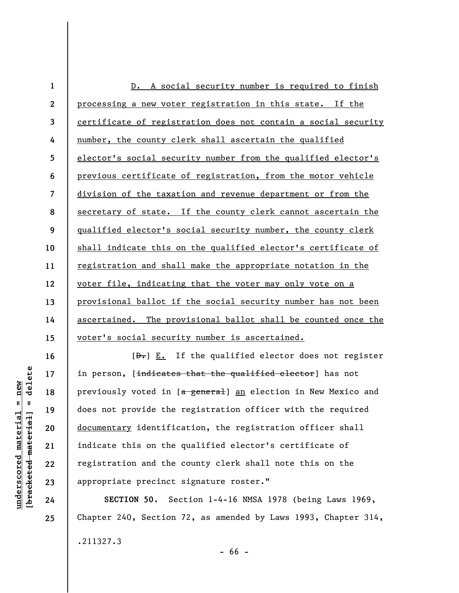| $\mathbf 1$    | D. A social security number is required to finish              |
|----------------|----------------------------------------------------------------|
| $\mathbf{2}$   | processing a new voter registration in this state. If the      |
| 3              | certificate of registration does not contain a social security |
| 4              | number, the county clerk shall ascertain the qualified         |
| 5              | elector's social security number from the qualified elector's  |
| 6              | previous certificate of registration, from the motor vehicle   |
| $\overline{7}$ | division of the taxation and revenue department or from the    |
| 8              | secretary of state. If the county clerk cannot ascertain the   |
| 9              | qualified elector's social security number, the county clerk   |
| 10             | shall indicate this on the qualified elector's certificate of  |
| 11             | registration and shall make the appropriate notation in the    |
| 12             | voter file, indicating that the voter may only vote on a       |
| 13             | provisional ballot if the social security number has not been  |
| 14             | ascertained. The provisional ballot shall be counted once the  |
| 15             | voter's social security number is ascertained.                 |

 $[**bracket** etc. ] = **del** etc.$ **[bracketed material] = delete**  $underscored$  material = new **underscored material = new**

**16** 

**17** 

**18** 

**19** 

**20** 

**21** 

**22** 

**23** 

**24** 

**25** 

 $[\frac{D-1}{2}]$  E. If the qualified elector does not register in person, [indicates that the qualified elector] has not previously voted in [a general] an election in New Mexico and does not provide the registration officer with the required documentary identification, the registration officer shall indicate this on the qualified elector's certificate of registration and the county clerk shall note this on the appropriate precinct signature roster."

**SECTION 50.** Section 1-4-16 NMSA 1978 (being Laws 1969, Chapter 240, Section 72, as amended by Laws 1993, Chapter 314, .211327.3

- 66 -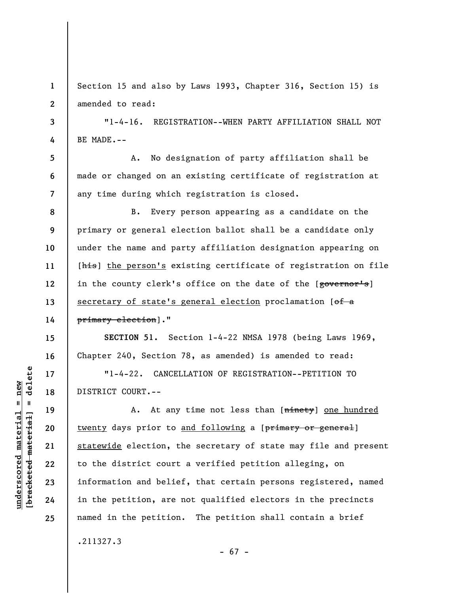**1 2**  Section 15 and also by Laws 1993, Chapter 316, Section 15) is amended to read:

"1-4-16. REGISTRATION--WHEN PARTY AFFILIATION SHALL NOT BE MADE.--

A. No designation of party affiliation shall be made or changed on an existing certificate of registration at any time during which registration is closed.

B. Every person appearing as a candidate on the primary or general election ballot shall be a candidate only under the name and party affiliation designation appearing on [his] the person's existing certificate of registration on file in the county clerk's office on the date of the [governor's] secretary of state's general election proclamation  $[off a]$ primary election]."

**SECTION 51.** Section 1-4-22 NMSA 1978 (being Laws 1969, Chapter 240, Section 78, as amended) is amended to read:

"1-4-22. CANCELLATION OF REGISTRATION--PETITION TO DISTRICT COURT.--

A. At any time not less than [ninety] one hundred twenty days prior to and following a [primary or general] statewide election, the secretary of state may file and present to the district court a verified petition alleging, on information and belief, that certain persons registered, named in the petition, are not qualified electors in the precincts named in the petition. The petition shall contain a brief

- 67 -

.211327.3

 $\frac{1}{2}$  of  $\frac{1}{2}$  and  $\frac{1}{2}$  and  $\frac{1}{2}$  and  $\frac{1}{2}$  and  $\frac{1}{2}$  and  $\frac{1}{2}$  and  $\frac{1}{2}$  and  $\frac{1}{2}$  and  $\frac{1}{2}$  and  $\frac{1}{2}$  and  $\frac{1}{2}$  and  $\frac{1}{2}$  and  $\frac{1}{2}$  and  $\frac{1}{2}$  and  $\frac{1}{2}$  an **[bracketed material] = delete**  $underscored material = new$ **underscored material = new**

**3** 

**4** 

**5** 

**6** 

**7** 

**8** 

**9** 

**10** 

**11** 

**12** 

**13** 

**14** 

**15** 

**16** 

**17** 

**18** 

**19** 

**20** 

**21** 

**22** 

**23** 

**24**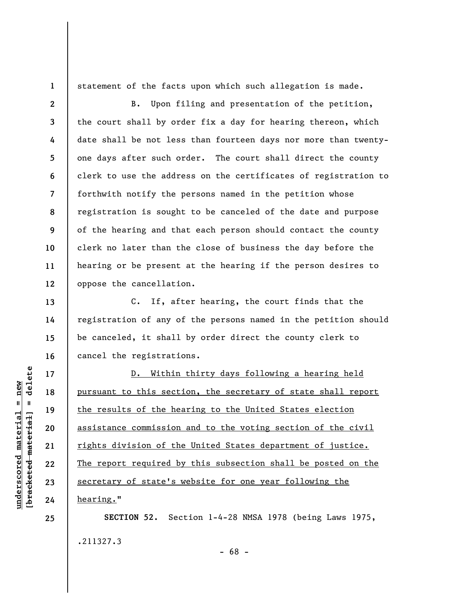**1 2** 

**3** 

**4** 

**5** 

**6** 

**7** 

**8** 

**9** 

**10** 

**11** 

**12** 

**13** 

**14** 

**15** 

**16** 

**17** 

**18** 

**19** 

**20** 

**21** 

**22** 

**23** 

**24** 

**25** 

statement of the facts upon which such allegation is made.

B. Upon filing and presentation of the petition, the court shall by order fix a day for hearing thereon, which date shall be not less than fourteen days nor more than twentyone days after such order. The court shall direct the county clerk to use the address on the certificates of registration to forthwith notify the persons named in the petition whose registration is sought to be canceled of the date and purpose of the hearing and that each person should contact the county clerk no later than the close of business the day before the hearing or be present at the hearing if the person desires to oppose the cancellation.

C. If, after hearing, the court finds that the registration of any of the persons named in the petition should be canceled, it shall by order direct the county clerk to cancel the registrations.

D. Within thirty days following a hearing held pursuant to this section, the secretary of state shall report the results of the hearing to the United States election assistance commission and to the voting section of the civil rights division of the United States department of justice. The report required by this subsection shall be posted on the secretary of state's website for one year following the hearing."

**SECTION 52.** Section 1-4-28 NMSA 1978 (being Laws 1975, .211327.3 - 68 -

delete **[bracketed material] = delete**  $underscored material = new$ **underscored material = new**  $\mathbf{I}$ bracketed material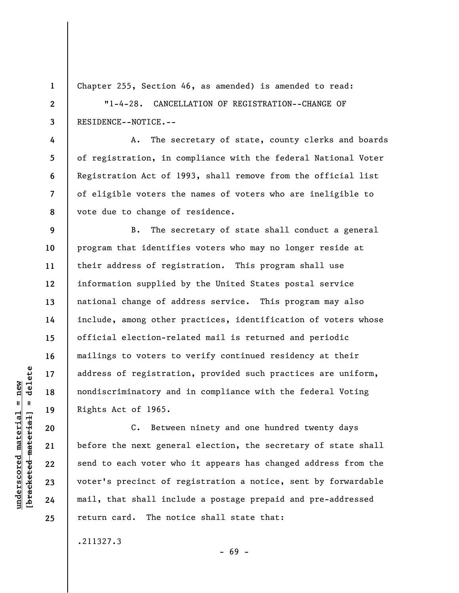Chapter 255, Section 46, as amended) is amended to read:

"1-4-28. CANCELLATION OF REGISTRATION--CHANGE OF RESIDENCE--NOTICE.--

A. The secretary of state, county clerks and boards of registration, in compliance with the federal National Voter Registration Act of 1993, shall remove from the official list of eligible voters the names of voters who are ineligible to vote due to change of residence.

**9 10 11 12 13 14 15 16 17 18 19**  B. The secretary of state shall conduct a general program that identifies voters who may no longer reside at their address of registration. This program shall use information supplied by the United States postal service national change of address service. This program may also include, among other practices, identification of voters whose official election-related mail is returned and periodic mailings to voters to verify continued residency at their address of registration, provided such practices are uniform, nondiscriminatory and in compliance with the federal Voting Rights Act of 1965.

C. Between ninety and one hundred twenty days before the next general election, the secretary of state shall send to each voter who it appears has changed address from the voter's precinct of registration a notice, sent by forwardable mail, that shall include a postage prepaid and pre-addressed return card. The notice shall state that:

- 69 -

.211327.3

 $\frac{1}{2}$  intereted material = delete **[bracketed material] = delete**  $underscored material = new$ **underscored material = new**

**20** 

**21** 

**22** 

**23** 

**24** 

**25** 

**1** 

**2** 

**3** 

**4** 

**5** 

**6** 

**7**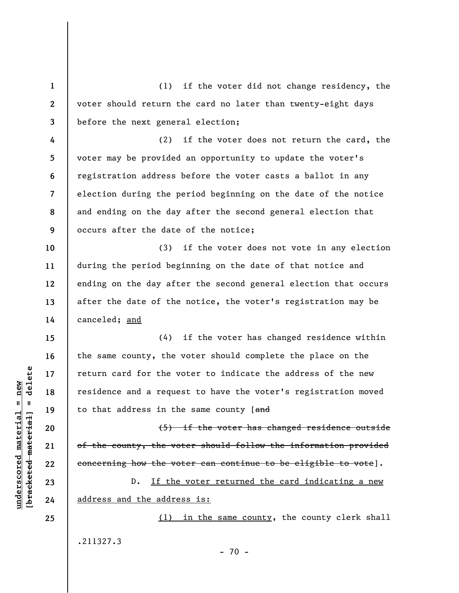**1 2 3 4 5 6 7 8 9 10 11 12 13 14 15 16 17 18 19 20**  (1) if the voter did not change residency, the voter should return the card no later than twenty-eight days before the next general election; (2) if the voter does not return the card, the voter may be provided an opportunity to update the voter's registration address before the voter casts a ballot in any election during the period beginning on the date of the notice and ending on the day after the second general election that occurs after the date of the notice; (3) if the voter does not vote in any election during the period beginning on the date of that notice and ending on the day after the second general election that occurs after the date of the notice, the voter's registration may be canceled; and (4) if the voter has changed residence within the same county, the voter should complete the place on the return card for the voter to indicate the address of the new residence and a request to have the voter's registration moved to that address in the same county [and (5) if the voter has changed residence outside

of the county, the voter should follow the information provided concerning how the voter can continue to be eligible to vote].

D. If the voter returned the card indicating a new address and the address is:

(1) in the same county, the county clerk shall .211327.3  $- 70 -$ 

 $\frac{1}{2}$  intereted material = delete **[bracketed material] = delete**  $underscored material = new$ **underscored material = new**

**25** 

**21** 

**22** 

**23**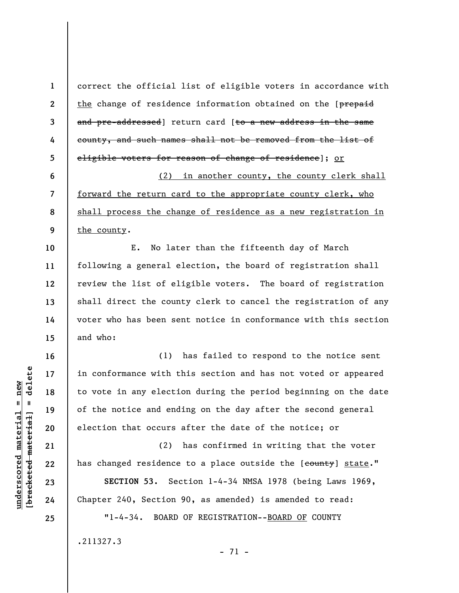**1 2 3 4 5 6 7 8 9 10 11 12 13 14 15 16 17 18 19 20 21 22 23 24 25**  correct the official list of eligible voters in accordance with the change of residence information obtained on the [prepaid and pre-addressed] return card [to a new address in the same county, and such names shall not be removed from the list of eligible voters for reason of change of residence]; or (2) in another county, the county clerk shall forward the return card to the appropriate county clerk, who shall process the change of residence as a new registration in the county. E. No later than the fifteenth day of March following a general election, the board of registration shall review the list of eligible voters. The board of registration shall direct the county clerk to cancel the registration of any voter who has been sent notice in conformance with this section and who: (1) has failed to respond to the notice sent in conformance with this section and has not voted or appeared to vote in any election during the period beginning on the date of the notice and ending on the day after the second general election that occurs after the date of the notice; or (2) has confirmed in writing that the voter has changed residence to a place outside the [county] state." **SECTION 53.** Section 1-4-34 NMSA 1978 (being Laws 1969, Chapter 240, Section 90, as amended) is amended to read: "1-4-34. BOARD OF REGISTRATION--BOARD OF COUNTY .211327.3 - 71 -

**underscored material = new [bracketed material] = delete**

bracketed material

 $underscored material = new$ 

 $=$  delete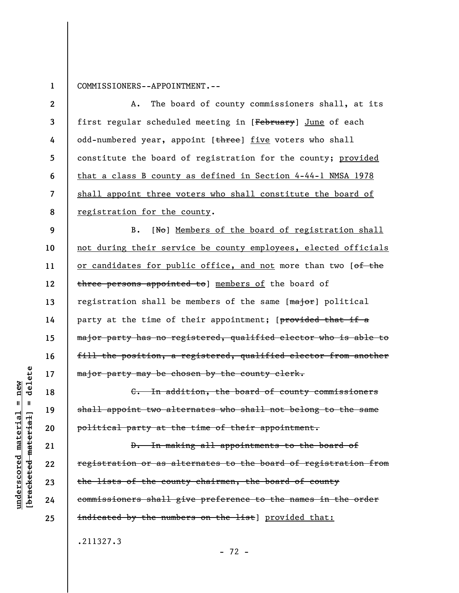**1** 

COMMISSIONERS--APPOINTMENT.--

**2 3 4 5 6 7 8 9 10 11 12 13 14 15 16 17 18 19 20 21 22 23**  A. The board of county commissioners shall, at its first regular scheduled meeting in [February] June of each odd-numbered year, appoint [three] five voters who shall constitute the board of registration for the county; provided that a class B county as defined in Section 4-44-1 NMSA 1978 shall appoint three voters who shall constitute the board of registration for the county. B. [No] Members of the board of registration shall not during their service be county employees, elected officials or candidates for public office, and not more than two [of the three persons appointed to] members of the board of registration shall be members of the same [major] political party at the time of their appointment; [provided that if a major party has no registered, qualified elector who is able to fill the position, a registered, qualified elector from another major party may be chosen by the county clerk. C. In addition, the board of county commissioners shall appoint two alternates who shall not belong to the same political party at the time of their appointment. D. In making all appointments to the board of registration or as alternates to the board of registration from the lists of the county chairmen, the board of county

commissioners shall give preference to the names in the order indicated by the numbers on the list] provided that:

.211327.3

**underscored material = new [bracketed material] = delete**

 $anderscored material = new$ 

delete

 $\mathbf{I}$ 

bracketed material

**24** 

**25** 

- 72 -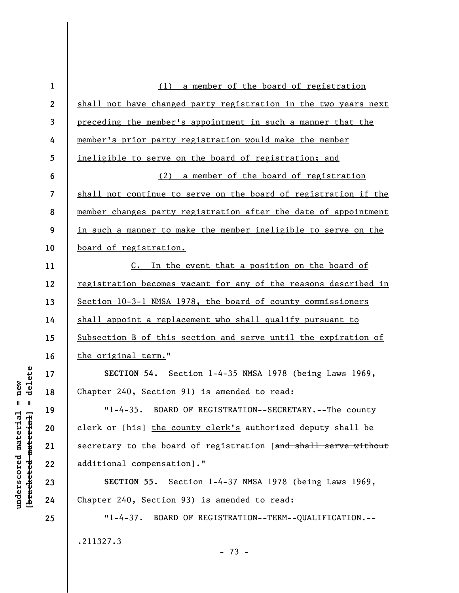| $\mathbf{1}$   | (1) a member of the board of registration                       |
|----------------|-----------------------------------------------------------------|
| $\mathbf{2}$   | shall not have changed party registration in the two years next |
| $\overline{3}$ | preceding the member's appointment in such a manner that the    |
| 4              | member's prior party registration would make the member         |
| $\overline{5}$ | ineligible to serve on the board of registration; and           |
| 6              | (2) a member of the board of registration                       |
| $\overline{7}$ | shall not continue to serve on the board of registration if the |
| 8              | member changes party registration after the date of appointment |
| 9              | in such a manner to make the member ineligible to serve on the  |
| 10             | board of registration.                                          |
| 11             | C. In the event that a position on the board of                 |
| 12             | registration becomes vacant for any of the reasons described in |
| 13             | Section 10-3-1 NMSA 1978, the board of county commissioners     |
| 14             | shall appoint a replacement who shall qualify pursuant to       |
| 15             | Subsection B of this section and serve until the expiration of  |
| 16             | the original term."                                             |
| 17             | SECTION 54. Section 1-4-35 NMSA 1978 (being Laws 1969,          |
| 18             | Chapter 240, Section 91) is amended to read:                    |
| 19             | "1-4-35. BOARD OF REGISTRATION--SECRETARY.--The county          |
| 20             | clerk or [his] the county clerk's authorized deputy shall be    |
| 21             | secretary to the board of registration [and shall serve without |
| 22             | additional compensation]."                                      |
| 23             | SECTION 55. Section 1-4-37 NMSA 1978 (being Laws 1969,          |
| 24             | Chapter 240, Section 93) is amended to read:                    |
| 25             | "1-4-37. BOARD OF REGISTRATION--TERM--QUALIFICATION.--          |
|                | .211327.3                                                       |
|                | $-73 -$                                                         |

 $[bracketeed-materiat] = delete$ **[bracketed material] = delete**  $underscored material = new$ **underscored material = new**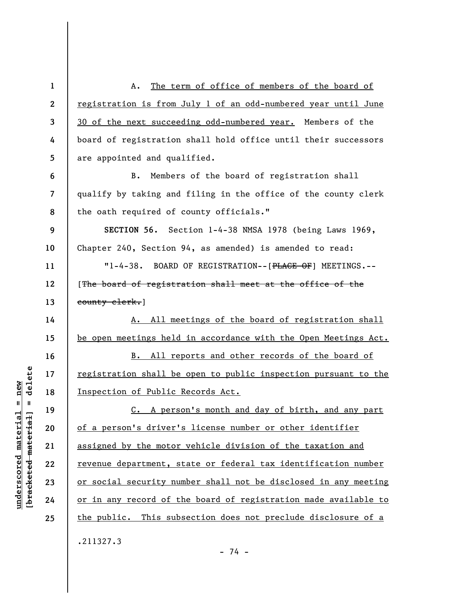**1 2 3 4 5 6 7 8 9 10 11 12 13 14 15 16 17 18 19 20 21 22 23 24 25**  A. The term of office of members of the board of registration is from July 1 of an odd-numbered year until June 30 of the next succeeding odd-numbered year. Members of the board of registration shall hold office until their successors are appointed and qualified. B. Members of the board of registration shall qualify by taking and filing in the office of the county clerk the oath required of county officials." **SECTION 56.** Section 1-4-38 NMSA 1978 (being Laws 1969, Chapter 240, Section 94, as amended) is amended to read: "1-4-38. BOARD OF REGISTRATION--[PLACE OF] MEETINGS.-- [The board of registration shall meet at the office of the county clerk.] A. All meetings of the board of registration shall be open meetings held in accordance with the Open Meetings Act. B. All reports and other records of the board of registration shall be open to public inspection pursuant to the Inspection of Public Records Act. C. A person's month and day of birth, and any part of a person's driver's license number or other identifier assigned by the motor vehicle division of the taxation and revenue department, state or federal tax identification number or social security number shall not be disclosed in any meeting or in any record of the board of registration made available to the public. This subsection does not preclude disclosure of a .211327.3

 $\frac{1}{2}$  intereted material = delete **[bracketed material] = delete**  $anderscored material = new$ **underscored material = new**

- 74 -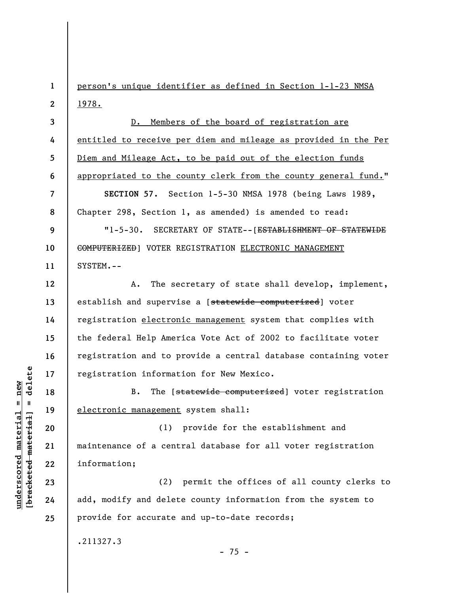**1 2**  person's unique identifier as defined in Section 1-1-23 NMSA 1978.

**3 4 5 6**  D. Members of the board of registration are entitled to receive per diem and mileage as provided in the Per Diem and Mileage Act, to be paid out of the election funds appropriated to the county clerk from the county general fund."

**SECTION 57.** Section 1-5-30 NMSA 1978 (being Laws 1989, Chapter 298, Section 1, as amended) is amended to read:

**9 10 11**  "1-5-30. SECRETARY OF STATE--[ESTABLISHMENT OF STATEWIDE COMPUTERIZED] VOTER REGISTRATION ELECTRONIC MANAGEMENT SYSTEM.--

**12 13**  A. The secretary of state shall develop, implement, establish and supervise a [statewide computerized] voter registration electronic management system that complies with the federal Help America Vote Act of 2002 to facilitate voter registration and to provide a central database containing voter registration information for New Mexico.

B. The [statewide computerized] voter registration electronic management system shall:

(1) provide for the establishment and maintenance of a central database for all voter registration information;

(2) permit the offices of all county clerks to add, modify and delete county information from the system to provide for accurate and up-to-date records;

.211327.3

 $- 75 -$ 

 $b$ racketed material] = delete **[bracketed material] = delete**  $underscored material = new$ **underscored material = new**

**7** 

**8** 

**14** 

**15** 

**16** 

**17** 

**18** 

**19** 

**20** 

**21** 

**22** 

**23** 

**24**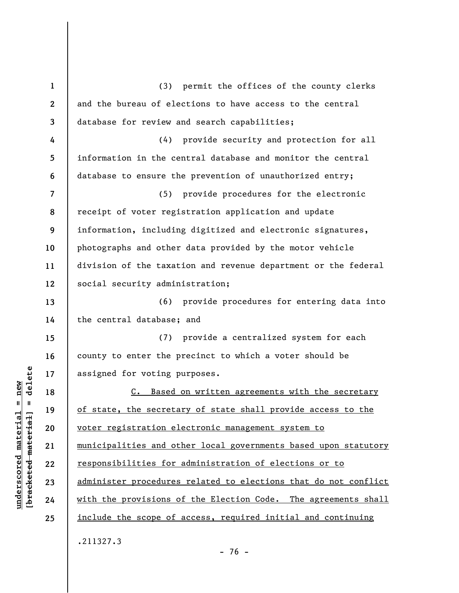| $\mathbf{1}$     | permit the offices of the county clerks<br>(3)                  |
|------------------|-----------------------------------------------------------------|
| $\boldsymbol{2}$ | and the bureau of elections to have access to the central       |
| 3                | database for review and search capabilities;                    |
| 4                | provide security and protection for all<br>(4)                  |
| 5                | information in the central database and monitor the central     |
| 6                | database to ensure the prevention of unauthorized entry;        |
| 7                | (5) provide procedures for the electronic                       |
| 8                | receipt of voter registration application and update            |
| 9                | information, including digitized and electronic signatures,     |
| 10               | photographs and other data provided by the motor vehicle        |
| 11               | division of the taxation and revenue department or the federal  |
| 12               | social security administration;                                 |
| 13               | (6) provide procedures for entering data into                   |
| 14               | the central database; and                                       |
| 15               | provide a centralized system for each<br>(7)                    |
| 16               | county to enter the precinct to which a voter should be         |
| 17               | assigned for voting purposes.                                   |
| 18               | C. Based on written agreements with the secretary               |
| 19               | of state, the secretary of state shall provide access to the    |
| 20               | voter registration electronic management system to              |
| 21               | municipalities and other local governments based upon statutory |
| 22               | responsibilities for administration of elections or to          |
| 23               | administer procedures related to elections that do not conflict |
| 24               | with the provisions of the Election Code. The agreements shall  |
| 25               | include the scope of access, required initial and continuing    |
|                  | .211327.3                                                       |

 $[**bracket**et~~eted matcherial~~] = **delete**$ **[bracketed material] = delete**  $underscored material = new$ **underscored material = new**

- 76 -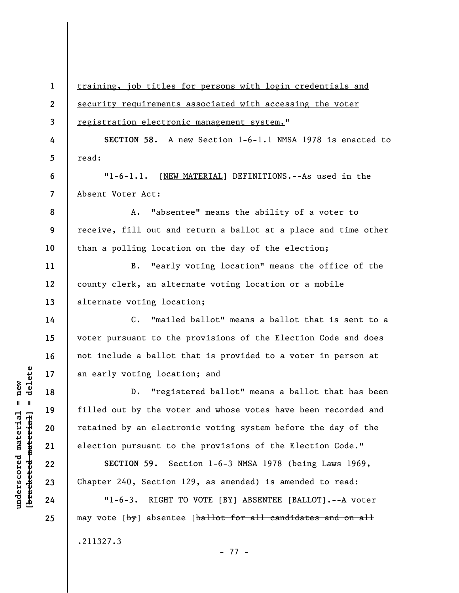**1 2 3 4 5 6 7 8 9 10 11 12 13 14 15 16 17 18 19 20 21 22 23 24 25**  training, job titles for persons with login credentials and security requirements associated with accessing the voter registration electronic management system." **SECTION 58.** A new Section 1-6-1.1 NMSA 1978 is enacted to read: "1-6-1.1. [NEW MATERIAL] DEFINITIONS.--As used in the Absent Voter Act: A. "absentee" means the ability of a voter to receive, fill out and return a ballot at a place and time other than a polling location on the day of the election; B. "early voting location" means the office of the county clerk, an alternate voting location or a mobile alternate voting location; C. "mailed ballot" means a ballot that is sent to a voter pursuant to the provisions of the Election Code and does not include a ballot that is provided to a voter in person at an early voting location; and D. "registered ballot" means a ballot that has been filled out by the voter and whose votes have been recorded and retained by an electronic voting system before the day of the election pursuant to the provisions of the Election Code." **SECTION 59.** Section 1-6-3 NMSA 1978 (being Laws 1969, Chapter 240, Section 129, as amended) is amended to read: "1-6-3. RIGHT TO VOTE [BY] ABSENTEE [BALLOT].--A voter may vote  $\{by\}$  absentee  $\{b$ allot for all candidates and on all .211327.3 - 77 -

**underscored material = new [bracketed material] = delete**

 $\frac{1}{2}$  intereted material = delete  $underscored material = new$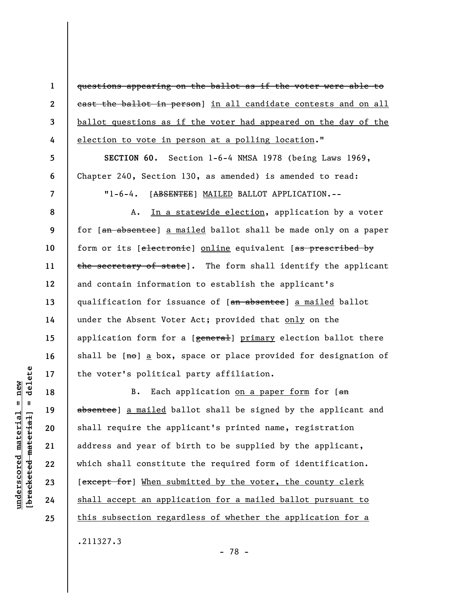questions appearing on the ballot as if the voter were able to east the ballot in person] in all candidate contests and on all ballot questions as if the voter had appeared on the day of the election to vote in person at a polling location."

**SECTION 60.** Section 1-6-4 NMSA 1978 (being Laws 1969, Chapter 240, Section 130, as amended) is amended to read:

"1-6-4. [ABSENTEE] MAILED BALLOT APPLICATION.--

A. In a statewide election, application by a voter for [an absentee] a mailed ballot shall be made only on a paper form or its [electronic] online equivalent [as prescribed by the secretary of state]. The form shall identify the applicant and contain information to establish the applicant's qualification for issuance of [an absentee] a mailed ballot under the Absent Voter Act; provided that only on the application form for a [general] primary election ballot there shall be  $[m\theta]$  a box, space or place provided for designation of the voter's political party affiliation.

B. Each application on a paper form for [an absentee] a mailed ballot shall be signed by the applicant and shall require the applicant's printed name, registration address and year of birth to be supplied by the applicant, which shall constitute the required form of identification. [except for] When submitted by the voter, the county clerk shall accept an application for a mailed ballot pursuant to this subsection regardless of whether the application for a .211327.3

delete **[bracketed material] = delete**  $anderscored material = new$ **underscored material = new**  $\mathbf{I}$ bracketed material

**1** 

**2** 

**3** 

**4** 

**5** 

**6** 

**7** 

**8** 

**9** 

**10** 

**11** 

**12** 

**13** 

**14** 

**15** 

**16** 

**17** 

**18** 

**19** 

**20** 

**21** 

**22** 

**23** 

**24**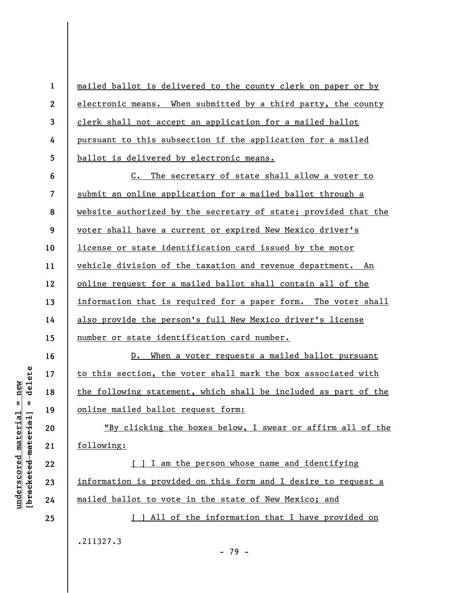**1 2 3 4 5**  mailed ballot is delivered to the county clerk on paper or by electronic means. When submitted by a third party, the county clerk shall not accept an application for a mailed ballot pursuant to this subsection if the application for a mailed ballot is delivered by electronic means.

**6 7 8 9 10 11 12 13 14 15**  C. The secretary of state shall allow a voter to submit an online application for a mailed ballot through a website authorized by the secretary of state; provided that the voter shall have a current or expired New Mexico driver's license or state identification card issued by the motor vehicle division of the taxation and revenue department. An online request for a mailed ballot shall contain all of the information that is required for a paper form. The voter shall also provide the person's full New Mexico driver's license number or state identification card number.

D. When a voter requests a mailed ballot pursuant to this section, the voter shall mark the box associated with the following statement, which shall be included as part of the online mailed ballot request form:

"By clicking the boxes below, I swear or affirm all of the following:

[ ] I am the person whose name and identifying information is provided on this form and I desire to request a mailed ballot to vote in the state of New Mexico; and

[ ] All of the information that I have provided on

- 79 -

.211327.3

delete **[bracketed material] = delete**  $underscored material = new$ **underscored material = new**  $\mathbf{I}$ bracketed material **16** 

**17** 

**18** 

**19** 

**20** 

**21** 

**22** 

**23** 

**24**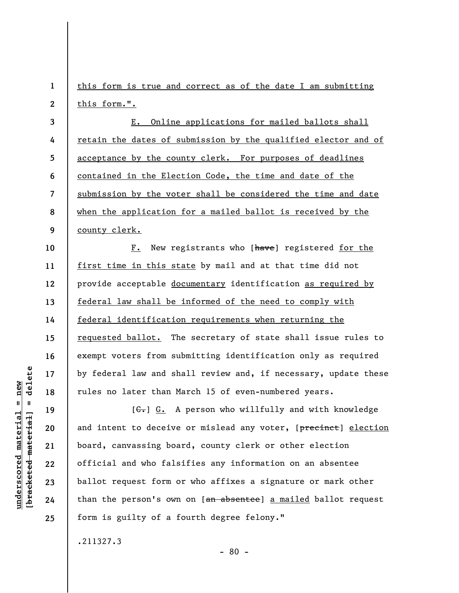**1 2**  this form is true and correct as of the date I am submitting this form.".

**3 4 5 6 7 8 9**  E. Online applications for mailed ballots shall retain the dates of submission by the qualified elector and of acceptance by the county clerk. For purposes of deadlines contained in the Election Code, the time and date of the submission by the voter shall be considered the time and date when the application for a mailed ballot is received by the county clerk.

F. New registrants who [have] registered for the first time in this state by mail and at that time did not provide acceptable documentary identification as required by federal law shall be informed of the need to comply with federal identification requirements when returning the requested ballot. The secretary of state shall issue rules to exempt voters from submitting identification only as required by federal law and shall review and, if necessary, update these rules no later than March 15 of even-numbered years.

 $[G<sub>r</sub>] G<sub>r</sub>$  A person who willfully and with knowledge and intent to deceive or mislead any voter, [precinct] election board, canvassing board, county clerk or other election official and who falsifies any information on an absentee ballot request form or who affixes a signature or mark other than the person's own on [an absentee] a mailed ballot request form is guilty of a fourth degree felony."

- 80 -

.211327.3

delete **[bracketed material] = delete**  $anderscored material = new$ **underscored material = new**  $\frac{1}{2}$ 

**10** 

**11** 

**12** 

**13** 

**14** 

**15** 

**16** 

**17** 

**18** 

**19** 

**20** 

**21** 

**22** 

**23** 

**24**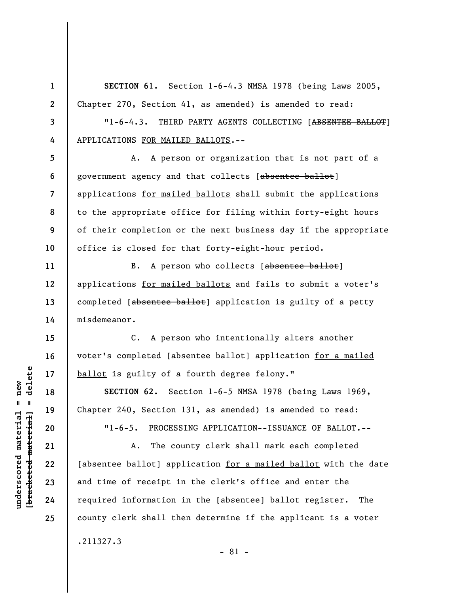**1 2 3 4 5 6 7 8 9 10 11 12 13 14 15 16 17 18 19 20 21 22 23 24 25 SECTION 61.** Section 1-6-4.3 NMSA 1978 (being Laws 2005, Chapter 270, Section 41, as amended) is amended to read: "1-6-4.3. THIRD PARTY AGENTS COLLECTING [ABSENTEE BALLOT] APPLICATIONS FOR MAILED BALLOTS.-- A. A person or organization that is not part of a government agency and that collects [absentee ballot] applications for mailed ballots shall submit the applications to the appropriate office for filing within forty-eight hours of their completion or the next business day if the appropriate office is closed for that forty-eight-hour period. B. A person who collects [absentee ballot] applications for mailed ballots and fails to submit a voter's completed [absentee ballot] application is guilty of a petty misdemeanor. C. A person who intentionally alters another voter's completed [absentee ballot] application for a mailed ballot is guilty of a fourth degree felony." **SECTION 62.** Section 1-6-5 NMSA 1978 (being Laws 1969, Chapter 240, Section 131, as amended) is amended to read: "1-6-5. PROCESSING APPLICATION--ISSUANCE OF BALLOT.-- A. The county clerk shall mark each completed [absentee ballot] application for a mailed ballot with the date and time of receipt in the clerk's office and enter the required information in the [absentee] ballot register. The county clerk shall then determine if the applicant is a voter .211327.3

## $=$  delete **[bracketed material] = delete**  $underscored material = new$ **underscored material = new** bracketed material

- 81 -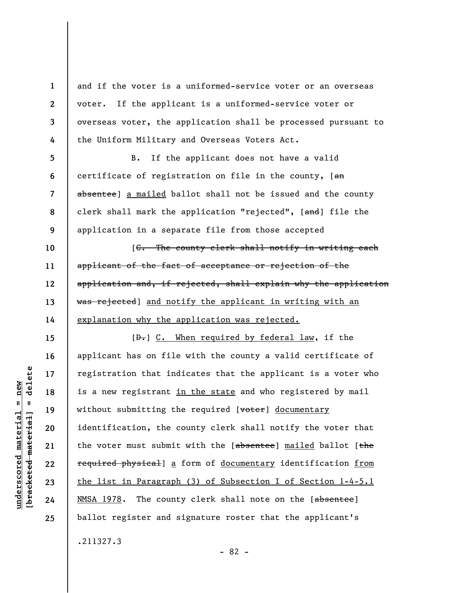and if the voter is a uniformed-service voter or an overseas voter. If the applicant is a uniformed-service voter or overseas voter, the application shall be processed pursuant to the Uniform Military and Overseas Voters Act.

**8**  B. If the applicant does not have a valid certificate of registration on file in the county,  $[ $\theta$  m]$ absentee] a mailed ballot shall not be issued and the county clerk shall mark the application "rejected", [and] file the application in a separate file from those accepted

[C. The county clerk shall notify in writing each applicant of the fact of acceptance or rejection of the application and, if rejected, shall explain why the application was rejected] and notify the applicant in writing with an explanation why the application was rejected.

[ $\theta$ .] C. When required by federal law, if the applicant has on file with the county a valid certificate of registration that indicates that the applicant is a voter who is a new registrant in the state and who registered by mail without submitting the required [voter] documentary identification, the county clerk shall notify the voter that the voter must submit with the [absentee] mailed ballot [the required physical] a form of documentary identification from the list in Paragraph (3) of Subsection I of Section 1-4-5.1 NMSA 1978. The county clerk shall note on the [absentee] ballot register and signature roster that the applicant's .211327.3

- 82 -

**1** 

**2** 

**3** 

**4** 

**5** 

**6** 

**7** 

**9** 

**10** 

**11** 

**12** 

**13** 

**14** 

**15** 

**16** 

**17** 

**18** 

**19** 

**20** 

**21** 

**22** 

**23** 

**24**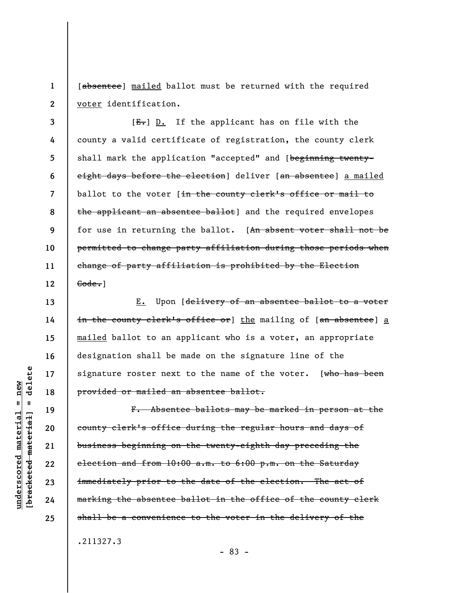**1 2**  [absentee] mailed ballot must be returned with the required voter identification.

**3 4 5 6 7 8 9 10 11 12**   $[E-]$  D. If the applicant has on file with the county a valid certificate of registration, the county clerk shall mark the application "accepted" and [beginning twentyeight days before the election] deliver [an absentee] a mailed ballot to the voter [in the county clerk's office or mail to the applicant an absentee ballot] and the required envelopes for use in returning the ballot. [An absent voter shall not be permitted to change party affiliation during those periods when change of party affiliation is prohibited by the Election Gode.]

E. Upon [delivery of an absentee ballot to a voter in the county clerk's office or] the mailing of [an absentee] a mailed ballot to an applicant who is a voter, an appropriate designation shall be made on the signature line of the signature roster next to the name of the voter.  $[who$  has been provided or mailed an absentee ballot.

F. Absentee ballots may be marked in person at the county clerk's office during the regular hours and days of business beginning on the twenty-eighth day preceding the election and from 10:00 a.m. to 6:00 p.m. on the Saturday immediately prior to the date of the election. The act of marking the absentee ballot in the office of the county clerk shall be a convenience to the voter in the delivery of the

.211327.3

- 83 -

delete **[bracketed material] = delete**  $anderscored material = new$ **underscored material = new**  $\mathbf{I}$ bracketed material

**13** 

**14** 

**15** 

**16** 

**17** 

**18** 

**19** 

**20** 

**21** 

**22** 

**23** 

**24**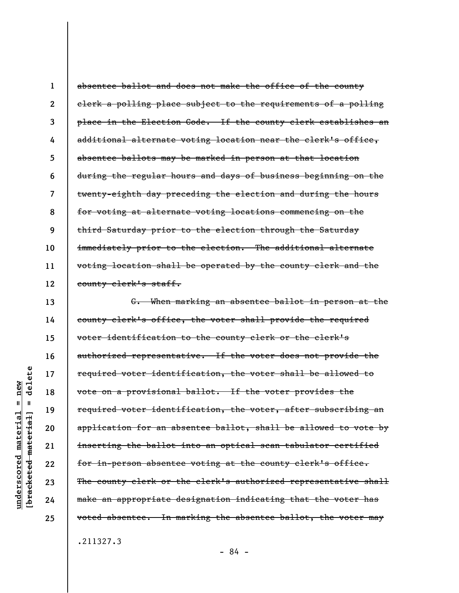**1 2 3 4 5 6 7 8 9 10 11 12**  absentee ballot and does not make the office of the county clerk a polling place subject to the requirements of a polling place in the Election Code. If the county clerk establishes an additional alternate voting location near the clerk's office, absentee ballots may be marked in person at that location during the regular hours and days of business beginning on the twenty-eighth day preceding the election and during the hours for voting at alternate voting locations commencing on the third Saturday prior to the election through the Saturday immediately prior to the election. The additional alternate voting location shall be operated by the county clerk and the county clerk's staff.

G. When marking an absentee ballot in person at the county clerk's office, the voter shall provide the required voter identification to the county clerk or the clerk's authorized representative. If the voter does not provide the required voter identification, the voter shall be allowed to vote on a provisional ballot. If the voter provides the required voter identification, the voter, after subscribing an application for an absentee ballot, shall be allowed to vote by inserting the ballot into an optical scan tabulator certified for in-person absentee voting at the county clerk's office. The county clerk or the clerk's authorized representative shall make an appropriate designation indicating that the voter has voted absentee. In marking the absentee ballot, the voter may

.211327.3

- 84 -

delete **[bracketed material] = delete**  $anderscored material = new$ **underscored material = new**  $\mathbf{I}$ bracketed material] **13** 

**14** 

**15** 

**16** 

**17** 

**18** 

**19** 

**20** 

**21** 

**22** 

**23** 

**24**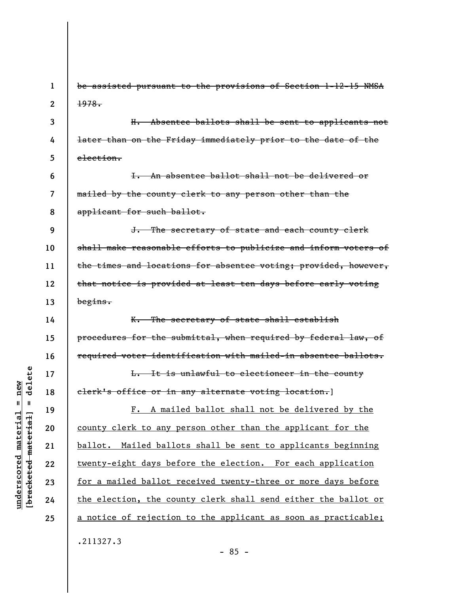**1 2 3 4 5 6 7 8 9 10 11 12 13 14 15 16 17 18 19 20 21 22 23 24 25**  be assisted pursuant to the provisions of Section 1-12-15 NMSA 1978. H. Absentee ballots shall be sent to applicants not later than on the Friday immediately prior to the date of the election. I. An absentee ballot shall not be delivered or mailed by the county clerk to any person other than the applicant for such ballot. J. The secretary of state and each county clerk shall make reasonable efforts to publicize and inform voters of the times and locations for absentee voting; provided, however, that notice is provided at least ten days before early voting begins. K. The secretary of state shall establish procedures for the submittal, when required by federal law, of required voter identification with mailed-in absentee ballots. L. It is unlawful to electioneer in the county clerk's office or in any alternate voting location.] F. A mailed ballot shall not be delivered by the county clerk to any person other than the applicant for the ballot. Mailed ballots shall be sent to applicants beginning twenty-eight days before the election. For each application for a mailed ballot received twenty-three or more days before the election, the county clerk shall send either the ballot or a notice of rejection to the applicant as soon as practicable; .211327.3

delete **[bracketed material] = delete**  $anderscored material = new$ **underscored material = new**  $\mathbf{I}$ bracketed material

- 85 -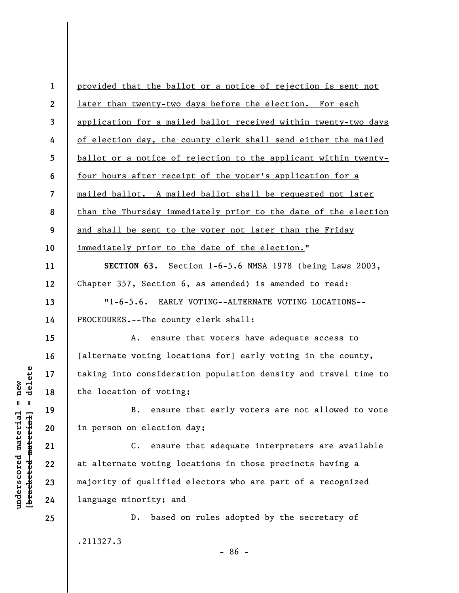| $\mathbf 1$              | provided that the ballot or a notice of rejection is sent not    |
|--------------------------|------------------------------------------------------------------|
| $\boldsymbol{2}$         | later than twenty-two days before the election. For each         |
| 3                        | application for a mailed ballot received within twenty-two days  |
| 4                        | of election day, the county clerk shall send either the mailed   |
| 5                        | ballot or a notice of rejection to the applicant within twenty-  |
| 6                        | four hours after receipt of the voter's application for a        |
| $\overline{\mathcal{L}}$ | mailed ballot. A mailed ballot shall be requested not later      |
| 8                        | than the Thursday immediately prior to the date of the election  |
| 9                        | and shall be sent to the voter not later than the Friday         |
| 10                       | immediately prior to the date of the election."                  |
| 11                       | SECTION 63. Section 1-6-5.6 NMSA 1978 (being Laws 2003,          |
| 12                       | Chapter 357, Section 6, as amended) is amended to read:          |
| 13                       | $"1 - 6 - 5.6.$<br>EARLY VOTING--ALTERNATE VOTING LOCATIONS--    |
| 14                       | PROCEDURES. -- The county clerk shall:                           |
| 15                       | ensure that voters have adequate access to<br>Α.                 |
| 16                       | [alternate voting locations for] early voting in the county,     |
| 17                       | taking into consideration population density and travel time to  |
| 18                       | the location of voting;                                          |
| 19                       | B. ensure that early voters are not allowed to vote              |
| 20                       | in person on election day;                                       |
| 21                       | ensure that adequate interpreters are available<br>$c_{\bullet}$ |
| 22                       | at alternate voting locations in those precincts having a        |
| 23                       | majority of qualified electors who are part of a recognized      |
| 24                       | language minority; and                                           |
| 25                       | based on rules adopted by the secretary of<br>$D$ .              |
|                          | .211327.3                                                        |

 $[bracketeed-materiat] = delete$ **[bracketed material] = delete**  $underscored material = new$ **underscored material = new**

- 86 -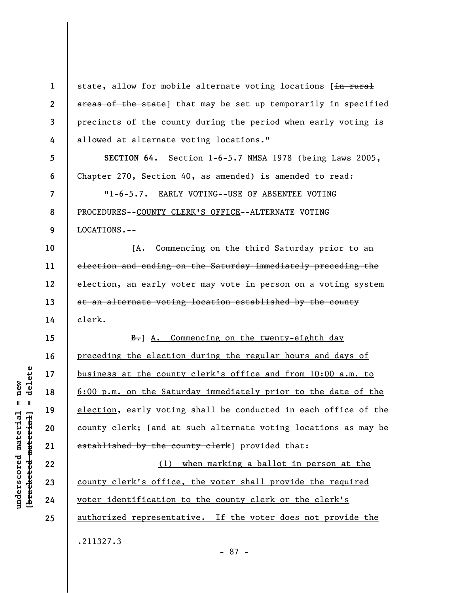**1 2 3 4 5 6 7 8 9 10 11 12 13 14 15 16 17 18 19 20 21 22 23 24 25**  state, allow for mobile alternate voting locations [in rural areas of the state) that may be set up temporarily in specified precincts of the county during the period when early voting is allowed at alternate voting locations." **SECTION 64.** Section 1-6-5.7 NMSA 1978 (being Laws 2005, Chapter 270, Section 40, as amended) is amended to read: "1-6-5.7. EARLY VOTING--USE OF ABSENTEE VOTING PROCEDURES--COUNTY CLERK'S OFFICE--ALTERNATE VOTING LOCATIONS.-- [A. Commencing on the third Saturday prior to an election and ending on the Saturday immediately preceding the election, an early voter may vote in person on a voting system at an alternate voting location established by the county clerk.  $B-$ ] A. Commencing on the twenty-eighth day preceding the election during the regular hours and days of business at the county clerk's office and from 10:00 a.m. to 6:00 p.m. on the Saturday immediately prior to the date of the election, early voting shall be conducted in each office of the county clerk; [and at such alternate voting locations as may be established by the county clerk] provided that: (1) when marking a ballot in person at the county clerk's office, the voter shall provide the required voter identification to the county clerk or the clerk's authorized representative. If the voter does not provide the .211327.3 - 87 -

delete **[bracketed material] = delete**  $anderscored material = new$ **underscored material = new**  $\mathbf{I}$ bracketed material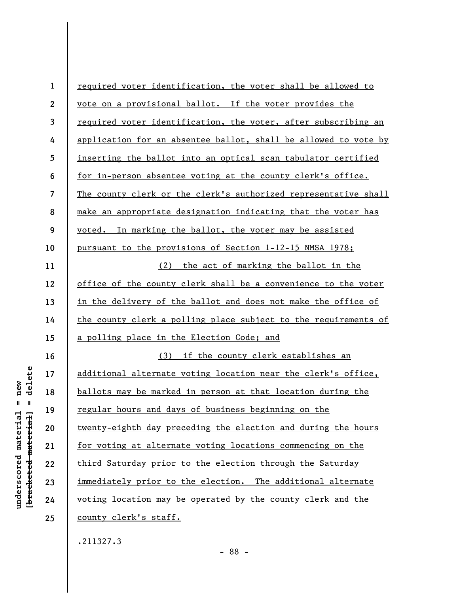| $\mathbf{1}$    | required voter identification, the voter shall be allowed to    |
|-----------------|-----------------------------------------------------------------|
| $\mathbf{2}$    | vote on a provisional ballot. If the voter provides the         |
| $\overline{3}$  | required voter identification, the voter, after subscribing an  |
| 4               | application for an absentee ballot, shall be allowed to vote by |
| $5\phantom{.0}$ | inserting the ballot into an optical scan tabulator certified   |
| 6               | for in-person absentee voting at the county clerk's office.     |
| $\overline{7}$  | The county clerk or the clerk's authorized representative shall |
| 8               | make an appropriate designation indicating that the voter has   |
| 9               | voted. In marking the ballot, the voter may be assisted         |
| 10              | pursuant to the provisions of Section 1-12-15 NMSA 1978;        |
| 11              | (2) the act of marking the ballot in the                        |
| 12              | office of the county clerk shall be a convenience to the voter  |
| 13              | in the delivery of the ballot and does not make the office of   |
| 14              | the county clerk a polling place subject to the requirements of |
| 15              | a polling place in the Election Code; and                       |
| 16              | (3) if the county clerk establishes an                          |
| 17              | additional alternate voting location near the clerk's office,   |
| 18              | ballots may be marked in person at that location during the     |
| 19              | regular hours and days of business beginning on the             |
| 20              | twenty-eighth day preceding the election and during the hours   |
| 21              | for voting at alternate voting locations commencing on the      |
| 22              | third Saturday prior to the election through the Saturday       |
| 23              | immediately prior to the election. The additional alternate     |
| 24              | voting location may be operated by the county clerk and the     |
| 25              | <u>county clerk's staff.</u>                                    |
|                 |                                                                 |

.211327.3

 $[**bracket**et~~eted matcherial~~] = **delete**$ **[bracketed material] = delete**  $underscored material = new$ **underscored material = new**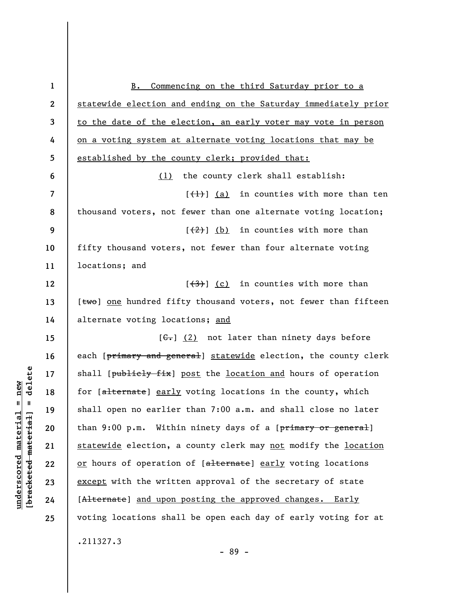| $\mathbf{1}$     | Commencing on the third Saturday prior to a<br><b>B.</b>        |
|------------------|-----------------------------------------------------------------|
| $\boldsymbol{2}$ | statewide election and ending on the Saturday immediately prior |
| $\mathbf{3}$     | to the date of the election, an early voter may vote in person  |
| 4                | on a voting system at alternate voting locations that may be    |
| $5\phantom{.0}$  | established by the county clerk; provided that:                 |
| 6                | (1) the county clerk shall establish:                           |
| $\overline{7}$   | $[\frac{1}{1}]$ (a) in counties with more than ten              |
| 8                | thousand voters, not fewer than one alternate voting location;  |
| 9                | $\left[\frac{2}{2}\right]$ (b) in counties with more than       |
| 10               | fifty thousand voters, not fewer than four alternate voting     |
| 11               | locations; and                                                  |
| 12               | $\left[\frac{(3)}{(c)}\right]$ in counties with more than       |
| 13               | [two] one hundred fifty thousand voters, not fewer than fifteen |
| 14               | alternate voting locations; and                                 |
| 15               | $[\theta - \theta] (2) not later than ninety days before$       |
| 16               | each [primary and general] statewide election, the county clerk |
| 17               | shall [publicly fix] post the location and hours of operation   |
| 18               | for [alternate] early voting locations in the county, which     |
| 19               | shall open no earlier than 7:00 a.m. and shall close no later   |
| 20               | than 9:00 p.m. Within ninety days of a [primary or general]     |
| 21               | statewide election, a county clerk may not modify the location  |
| 22               | or hours of operation of [alternate] early voting locations     |
| 23               | except with the written approval of the secretary of state      |
| 24               | [Alternate] and upon posting the approved changes. Early        |
| 25               | voting locations shall be open each day of early voting for at  |
|                  | .211327.3                                                       |

 $[bracketeed-materiat] = delete$ **[bracketed material] = delete**  $underscored material = new$ **underscored material = new**

- 89 -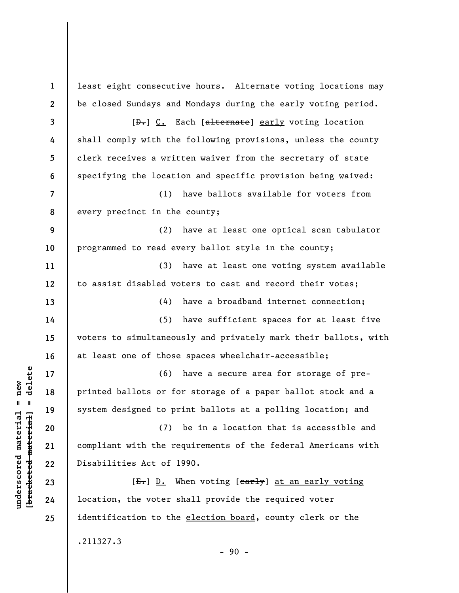**1 2 3 4 5 6 7 8 9 10 11 12 13 14 15 16 17 18 19 20 21 22 23 24 25**  least eight consecutive hours. Alternate voting locations may be closed Sundays and Mondays during the early voting period. [D.] C. Each [alternate] early voting location shall comply with the following provisions, unless the county clerk receives a written waiver from the secretary of state specifying the location and specific provision being waived: (1) have ballots available for voters from every precinct in the county; (2) have at least one optical scan tabulator programmed to read every ballot style in the county; (3) have at least one voting system available to assist disabled voters to cast and record their votes; (4) have a broadband internet connection; (5) have sufficient spaces for at least five voters to simultaneously and privately mark their ballots, with at least one of those spaces wheelchair-accessible; (6) have a secure area for storage of preprinted ballots or for storage of a paper ballot stock and a system designed to print ballots at a polling location; and (7) be in a location that is accessible and compliant with the requirements of the federal Americans with Disabilities Act of 1990.  $[E-]$   $D.$  When voting  $[early]$  at an early voting location, the voter shall provide the required voter identification to the election board, county clerk or the .211327.3

 $-90 -$ 

 $\frac{1}{2}$  intereted material = delete **[bracketed material] = delete**  $underscored material = new$ **underscored material = new**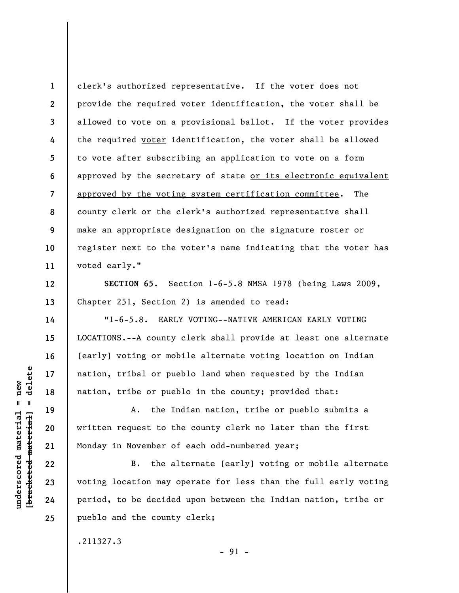**1 2 3 4 5 6 7 8 9 10 11**  clerk's authorized representative. If the voter does not provide the required voter identification, the voter shall be allowed to vote on a provisional ballot. If the voter provides the required voter identification, the voter shall be allowed to vote after subscribing an application to vote on a form approved by the secretary of state or its electronic equivalent approved by the voting system certification committee. The county clerk or the clerk's authorized representative shall make an appropriate designation on the signature roster or register next to the voter's name indicating that the voter has voted early."

**SECTION 65.** Section 1-6-5.8 NMSA 1978 (being Laws 2009, Chapter 251, Section 2) is amended to read:

"1-6-5.8. EARLY VOTING--NATIVE AMERICAN EARLY VOTING LOCATIONS.--A county clerk shall provide at least one alternate [early] voting or mobile alternate voting location on Indian nation, tribal or pueblo land when requested by the Indian nation, tribe or pueblo in the county; provided that:

A. the Indian nation, tribe or pueblo submits a written request to the county clerk no later than the first Monday in November of each odd-numbered year;

B. the alternate  $[early]$  voting or mobile alternate voting location may operate for less than the full early voting period, to be decided upon between the Indian nation, tribe or pueblo and the county clerk;

.211327.3

delete **[bracketed material] = delete**  $underscored$  material = new **underscored material = new**  $\mathbf{I}$ bracketed material

**12** 

**13** 

**14** 

**15** 

**16** 

**17** 

**18** 

**19** 

**20** 

**21** 

**22** 

**23** 

**24**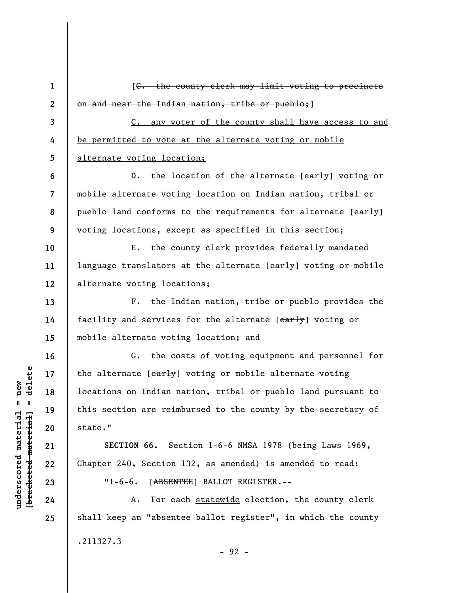**1 2 3 4 5 6 7 8 9 10 11 12 13 14 15 16 17 18 19 20 21 22 23 24 25**  [C. the county clerk may limit voting to precincts on and near the Indian nation, tribe or pueblo;] C. any voter of the county shall have access to and be permitted to vote at the alternate voting or mobile alternate voting location; D. the location of the alternate [early] voting or mobile alternate voting location on Indian nation, tribal or pueblo land conforms to the requirements for alternate [early] voting locations, except as specified in this section; E. the county clerk provides federally mandated language translators at the alternate [early] voting or mobile alternate voting locations; F. the Indian nation, tribe or pueblo provides the facility and services for the alternate [early] voting or mobile alternate voting location; and G. the costs of voting equipment and personnel for the alternate [early] voting or mobile alternate voting locations on Indian nation, tribal or pueblo land pursuant to this section are reimbursed to the county by the secretary of state." **SECTION 66.** Section 1-6-6 NMSA 1978 (being Laws 1969, Chapter 240, Section 132, as amended) is amended to read: "1-6-6. [ABSENTEE] BALLOT REGISTER.-- A. For each statewide election, the county clerk shall keep an "absentee ballot register", in which the county .211327.3 - 92 -

 $\frac{1}{2}$  intereted material = delete **[bracketed material] = delete**  $underscored material = new$ **underscored material = new**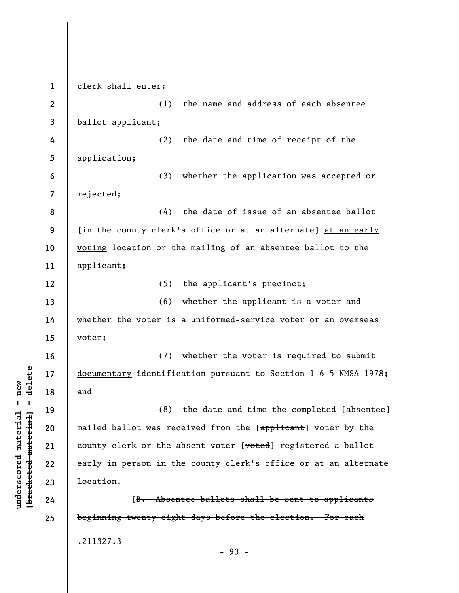**1**  clerk shall enter: **2**  (1) the name and address of each absentee ballot applicant; **3 4**  (2) the date and time of receipt of the **5**  application; **6**  (3) whether the application was accepted or rejected; **7**  (4) the date of issue of an absentee ballot **8 9**  [in the county clerk's office or at an alternate] at an early **10**  voting location or the mailing of an absentee ballot to the **11**  applicant; (5) the applicant's precinct; **12**  (6) whether the applicant is a voter and **13 14**  whether the voter is a uniformed-service voter or an overseas voter; **15**  (7) whether the voter is required to submit **16**   $b$ racketed material] = delete **[bracketed material] = delete 17**  documentary identification pursuant to Section 1-6-5 NMSA 1978; **18**  and (8) the date and time the completed [absentee] **19**  mailed ballot was received from the [applicant] voter by the **20**  county clerk or the absent voter [voted] registered a ballot **21**  early in person in the county clerk's office or at an alternate **22**  location. **23**  [B. Absentee ballots shall be sent to applicants **24**  beginning twenty-eight days before the election. For each **25**  .211327.3 - 93 -

**underscored material = new**

 $underscored material = new$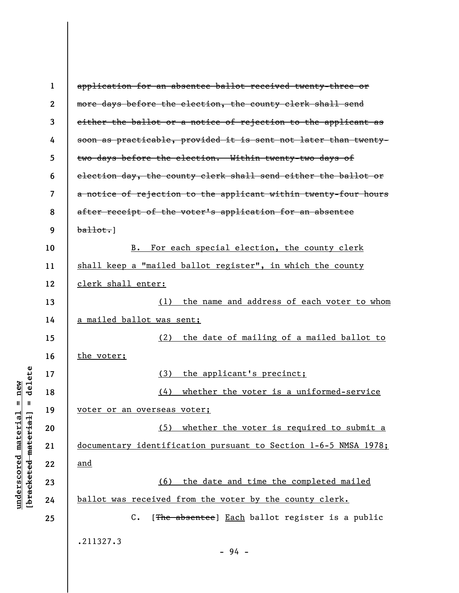| 1                | application for an absentee ballot received twenty-three or     |
|------------------|-----------------------------------------------------------------|
| $\boldsymbol{2}$ | more days before the election, the county clerk shall send      |
| 3                | either the ballot or a notice of rejection to the applicant as  |
| 4                | soon as practicable, provided it is sent not later than twenty- |
| 5                | two days before the election. Within twenty-two days of         |
| 6                | election day, the county clerk shall send either the ballot or  |
| 7                | a notice of rejection to the applicant within twenty-four hours |
| 8                | after receipt of the voter's application for an absentee        |
| 9                | $b$ allot.]                                                     |
| 10               | For each special election, the county clerk<br>$B_{\bullet}$    |
| 11               | shall keep a "mailed ballot register", in which the county      |
| 12               | clerk shall enter:                                              |
| 13               | the name and address of each voter to whom<br>(1)               |
| 14               | <u>a mailed ballot was sent;</u>                                |
| 15               | the date of mailing of a mailed ballot to<br>(2)                |
| 16               | the voter;                                                      |
| 17               | (3)<br>the applicant's precinct;                                |
| 18               | whether the voter is a uniformed-service<br>(4)                 |
| 19               | voter or an overseas voter;                                     |
| 20               | (5) whether the voter is required to submit a                   |
| 21               | documentary identification pursuant to Section 1-6-5 NMSA 1978; |
| 22               | <u>and</u>                                                      |
| 23               | the date and time the completed mailed<br>(6)                   |
| 24               | ballot was received from the voter by the county clerk.         |
| 25               | $C$ .<br>[The absentee] Each ballot register is a public        |
|                  | .211327.3                                                       |
|                  | - 94 -                                                          |

**underscored material = new [bracketed material] = delete**

 $[**bracket eted metert et**] = **del et e**$  $underscored material = new$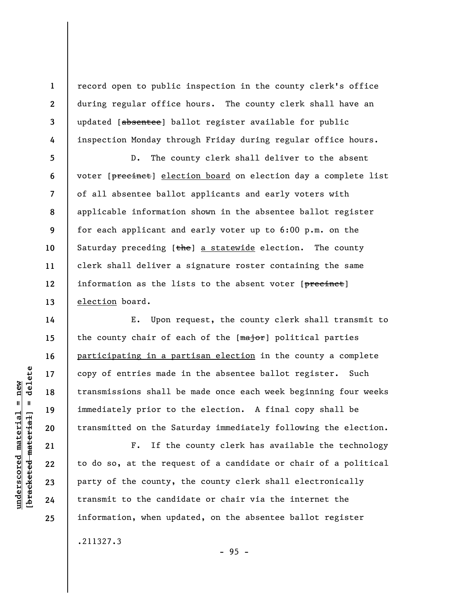record open to public inspection in the county clerk's office during regular office hours. The county clerk shall have an updated [absentee] ballot register available for public inspection Monday through Friday during regular office hours.

D. The county clerk shall deliver to the absent voter [precinct] election board on election day a complete list of all absentee ballot applicants and early voters with applicable information shown in the absentee ballot register for each applicant and early voter up to 6:00 p.m. on the Saturday preceding  $[the]$  a statewide election. The county clerk shall deliver a signature roster containing the same information as the lists to the absent voter [precinct] election board.

E. Upon request, the county clerk shall transmit to the county chair of each of the [major] political parties participating in a partisan election in the county a complete copy of entries made in the absentee ballot register. Such transmissions shall be made once each week beginning four weeks immediately prior to the election. A final copy shall be transmitted on the Saturday immediately following the election.

F. If the county clerk has available the technology to do so, at the request of a candidate or chair of a political party of the county, the county clerk shall electronically transmit to the candidate or chair via the internet the information, when updated, on the absentee ballot register .211327.3

- 95 -

**1** 

**2** 

**3** 

**4** 

**5** 

**6** 

**7** 

**8** 

**9** 

**10** 

**11** 

**12** 

**13** 

**14** 

**15** 

**16** 

**17** 

**18** 

**19** 

**20** 

**21** 

**22** 

**23** 

**24**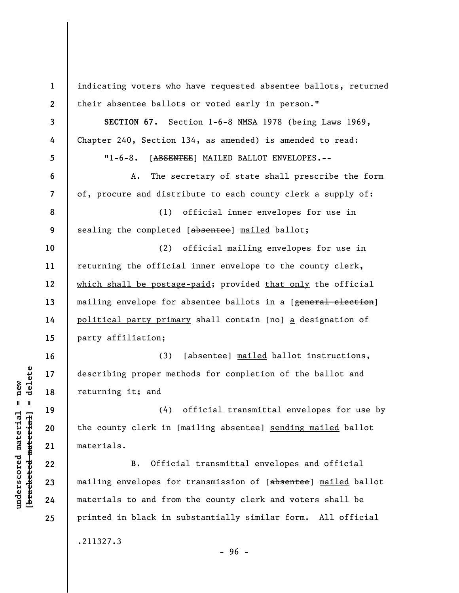**1 2 3 4 5 6 7 8 9 10 11 12 13 14 15 16 17 18 19 20 21 22 23 24 25**  indicating voters who have requested absentee ballots, returned their absentee ballots or voted early in person." **SECTION 67.** Section 1-6-8 NMSA 1978 (being Laws 1969, Chapter 240, Section 134, as amended) is amended to read: "1-6-8. [ABSENTEE] MAILED BALLOT ENVELOPES.-- A. The secretary of state shall prescribe the form of, procure and distribute to each county clerk a supply of: (1) official inner envelopes for use in sealing the completed [absentee] mailed ballot; (2) official mailing envelopes for use in returning the official inner envelope to the county clerk, which shall be postage-paid; provided that only the official mailing envelope for absentee ballots in a [genera<del>l election</del>] political party primary shall contain [no] a designation of party affiliation; (3) [absentee] mailed ballot instructions, describing proper methods for completion of the ballot and returning it; and (4) official transmittal envelopes for use by the county clerk in [mailing absentee] sending mailed ballot materials. B. Official transmittal envelopes and official mailing envelopes for transmission of [absentee] mailed ballot materials to and from the county clerk and voters shall be printed in black in substantially similar form. All official .211327.3 - 96 -

**underscored material = new [bracketed material] = delete**

 $\frac{1}{2}$  intereted material = delete  $underscored material = new$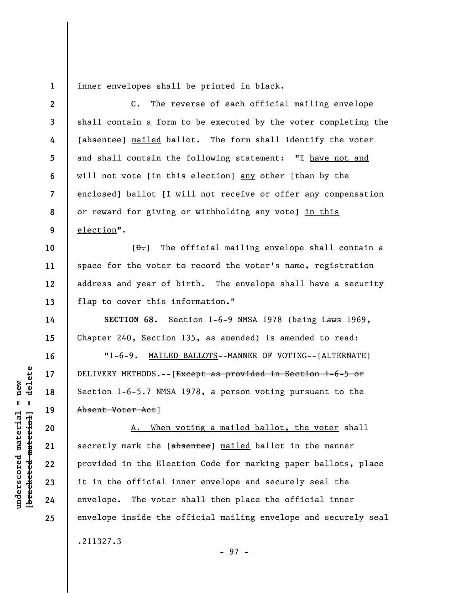**1**  inner envelopes shall be printed in black.

**2 3 4 5 6 7 8 9 10 11 12 13 14 15 16 17 18 19 20 21 22 23 24 25**  C. The reverse of each official mailing envelope shall contain a form to be executed by the voter completing the [absentee] mailed ballot. The form shall identify the voter and shall contain the following statement: "I have not and will not vote [in this election] any other [than by the enclosed] ballot [<del>I will not receive or offer any compensation</del> or reward for giving or withholding any vote] in this election".  $[\frac{D-1}{2}]$  The official mailing envelope shall contain a space for the voter to record the voter's name, registration address and year of birth. The envelope shall have a security flap to cover this information." **SECTION 68.** Section 1-6-9 NMSA 1978 (being Laws 1969, Chapter 240, Section 135, as amended) is amended to read: "1-6-9. MAILED BALLOTS--MANNER OF VOTING--[ALTERNATE] DELIVERY METHODS.--[Except as provided in Section 1-6-5 or Section 1-6-5.7 NMSA 1978, a person voting pursuant to the Absent Voter Act] A. When voting a mailed ballot, the voter shall secretly mark the [absentee] mailed ballot in the manner provided in the Election Code for marking paper ballots, place it in the official inner envelope and securely seal the envelope. The voter shall then place the official inner envelope inside the official mailing envelope and securely seal .211327.3

 $\frac{1}{2}$  of  $\frac{1}{2}$  and  $\frac{1}{2}$  and  $\frac{1}{2}$  and  $\frac{1}{2}$  and  $\frac{1}{2}$  and  $\frac{1}{2}$  and  $\frac{1}{2}$  and  $\frac{1}{2}$  and  $\frac{1}{2}$  and  $\frac{1}{2}$  and  $\frac{1}{2}$  and  $\frac{1}{2}$  and  $\frac{1}{2}$  and  $\frac{1}{2}$  and  $\frac{1}{2}$  an **[bracketed material] = delete**  $underscored material = new$ **underscored material = new**

- 97 -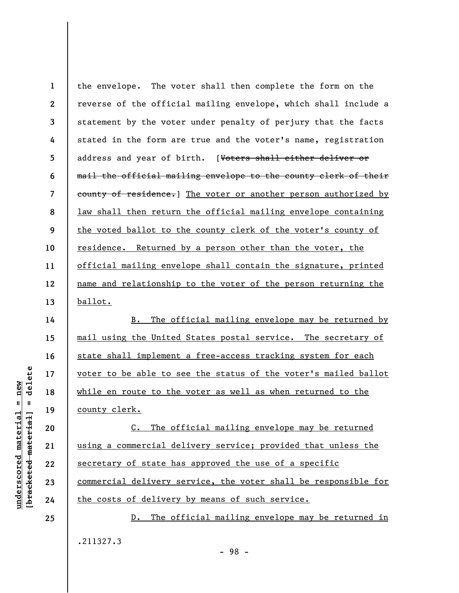**1 2 3 4 5 6 7 8 9 10 11 12 13**  the envelope. The voter shall then complete the form on the reverse of the official mailing envelope, which shall include a statement by the voter under penalty of perjury that the facts stated in the form are true and the voter's name, registration address and year of birth. [Voters shall either deliver or mail the official mailing envelope to the county clerk of their county of residence.] The voter or another person authorized by law shall then return the official mailing envelope containing the voted ballot to the county clerk of the voter's county of residence. Returned by a person other than the voter, the official mailing envelope shall contain the signature, printed name and relationship to the voter of the person returning the ballot.

B. The official mailing envelope may be returned by mail using the United States postal service. The secretary of state shall implement a free-access tracking system for each voter to be able to see the status of the voter's mailed ballot while en route to the voter as well as when returned to the county clerk.

C. The official mailing envelope may be returned using a commercial delivery service; provided that unless the secretary of state has approved the use of a specific commercial delivery service, the voter shall be responsible for the costs of delivery by means of such service.

D. The official mailing envelope may be returned in .211327.3

 $\frac{1}{2}$  intereted material = delete **[bracketed material] = delete**  $underscored material = new$ **underscored material = new**

**14** 

**15** 

**16** 

**17** 

**18** 

**19** 

**20** 

**21** 

**22** 

**23** 

**24**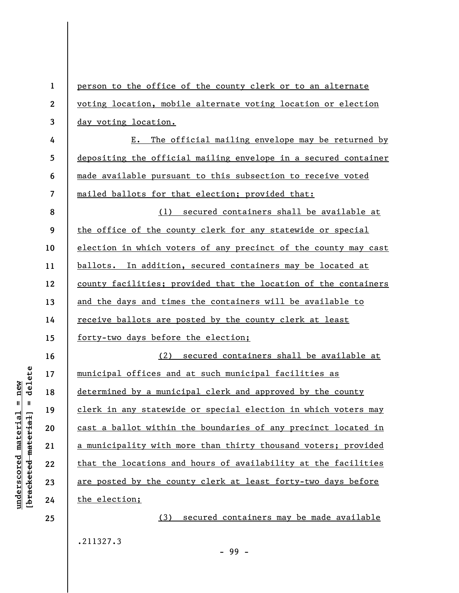| $\mathbf{1}$     | person to the office of the county clerk or to an alternate     |
|------------------|-----------------------------------------------------------------|
| $\boldsymbol{2}$ | voting location, mobile alternate voting location or election   |
| 3                | day voting location.                                            |
| 4                | The official mailing envelope may be returned by<br>Ε.          |
| 5                | depositing the official mailing envelope in a secured container |
| 6                | made available pursuant to this subsection to receive voted     |
| 7                | mailed ballots for that election; provided that:                |
| 8                | (1) secured containers shall be available at                    |
| 9                | the office of the county clerk for any statewide or special     |
| 10               | election in which voters of any precinct of the county may cast |
| 11               | ballots. In addition, secured containers may be located at      |
| 12               | county facilities; provided that the location of the containers |
| 13               | and the days and times the containers will be available to      |
| 14               | receive ballots are posted by the county clerk at least         |
| 15               | forty-two days before the election;                             |
| 16               | (2) secured containers shall be available at                    |
| 17               | municipal offices and at such municipal facilities as           |
| 18               | determined by a municipal clerk and approved by the county      |
| 19               | clerk in any statewide or special election in which voters may  |
| 20               | cast a ballot within the boundaries of any precinct located in  |
| 21               | a municipality with more than thirty thousand voters; provided  |
| 22               | that the locations and hours of availability at the facilities  |
| 23               | are posted by the county clerk at least forty-two days before   |
| 24               | the election;                                                   |
| 25               | (3)<br>secured containers may be made available                 |
|                  |                                                                 |

.211327.3

 $[**bracket**et~~eted matcherial~~] = **delete**$ **[bracketed material] = delete**  $underscored material = new$ **underscored material = new**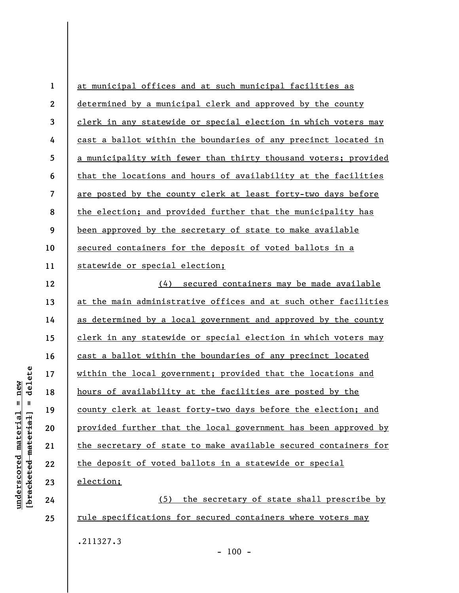| $\mathbf{1}$   | at municipal offices and at such municipal facilities as        |
|----------------|-----------------------------------------------------------------|
| $\mathbf{2}$   | determined by a municipal clerk and approved by the county      |
| $\overline{3}$ | clerk in any statewide or special election in which voters may  |
| 4              | cast a ballot within the boundaries of any precinct located in  |
| 5              | a municipality with fewer than thirty thousand voters; provided |
| 6              | that the locations and hours of availability at the facilities  |
| $\overline{7}$ | are posted by the county clerk at least forty-two days before   |
| 8              | the election; and provided further that the municipality has    |
| 9              | been approved by the secretary of state to make available       |
| 10             | secured containers for the deposit of voted ballots in a        |
| 11             | statewide or special election;                                  |
| 12             | (4) secured containers may be made available                    |
| 13             | at the main administrative offices and at such other facilities |
| 14             | as determined by a local government and approved by the county  |
| 15             | clerk in any statewide or special election in which voters may  |
| 16             | cast a ballot within the boundaries of any precinct located     |
| 17             | within the local government; provided that the locations and    |
| 18             | hours of availability at the facilities are posted by the       |
| 19             | county clerk at least forty-two days before the election; and   |
| 20             | provided further that the local government has been approved by |
| 21             | the secretary of state to make available secured containers for |
| 22             | the deposit of voted ballots in a statewide or special          |
| 23             | election;                                                       |
| 24             | (5) the secretary of state shall prescribe by                   |
| 25             | rule specifications for secured containers where voters may     |
|                | .211327.3                                                       |

 $- 100 -$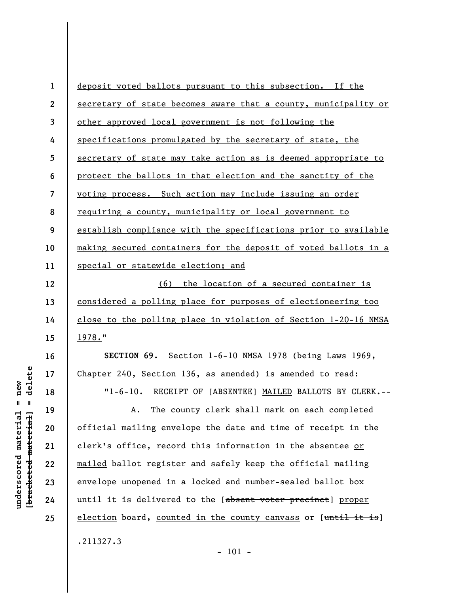**1 2 3 4 5 6 7 8 9 10 11 12 13 14 15 16 17 18 19 20 21 22 23 24 25**  deposit voted ballots pursuant to this subsection. If the secretary of state becomes aware that a county, municipality or other approved local government is not following the specifications promulgated by the secretary of state, the secretary of state may take action as is deemed appropriate to protect the ballots in that election and the sanctity of the voting process. Such action may include issuing an order requiring a county, municipality or local government to establish compliance with the specifications prior to available making secured containers for the deposit of voted ballots in a special or statewide election; and (6) the location of a secured container is considered a polling place for purposes of electioneering too close to the polling place in violation of Section 1-20-16 NMSA 1978." **SECTION 69.** Section 1-6-10 NMSA 1978 (being Laws 1969, Chapter 240, Section 136, as amended) is amended to read: "1-6-10. RECEIPT OF [ABSENTEE] MAILED BALLOTS BY CLERK.--A. The county clerk shall mark on each completed official mailing envelope the date and time of receipt in the clerk's office, record this information in the absentee or mailed ballot register and safely keep the official mailing envelope unopened in a locked and number-sealed ballot box until it is delivered to the [absent voter precinct] proper election board, counted in the county canvass or [until it is]

.211327.3

 $b$ racketed material] = delete **[bracketed material] = delete**  $anderscored material = new$ **underscored material = new**

- 101 -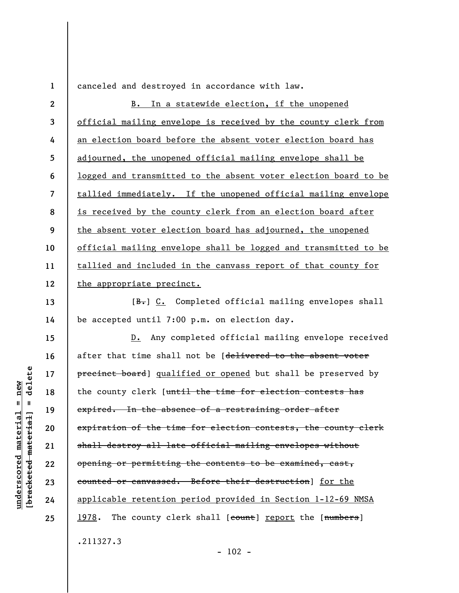**1** 

**13** 

**14** 

**15** 

**16** 

**17** 

**18** 

**19** 

**20** 

**21** 

**22** 

**23** 

**24** 

**25** 

canceled and destroyed in accordance with law.

**2 3 4 5 6 7 8 9 10 11 12**  B. In a statewide election, if the unopened official mailing envelope is received by the county clerk from an election board before the absent voter election board has adjourned, the unopened official mailing envelope shall be logged and transmitted to the absent voter election board to be tallied immediately. If the unopened official mailing envelope is received by the county clerk from an election board after the absent voter election board has adjourned, the unopened official mailing envelope shall be logged and transmitted to be tallied and included in the canvass report of that county for the appropriate precinct.

 $[B<sub>1</sub>]$  C. Completed official mailing envelopes shall be accepted until 7:00 p.m. on election day.

D. Any completed official mailing envelope received after that time shall not be [delivered to the absent voter precinct board] qualified or opened but shall be preserved by the county clerk [until the time for election contests has expired. In the absence of a restraining order after expiration of the time for election contests, the county clerk shall destroy all late official mailing envelopes without opening or permitting the contents to be examined, cast, counted or canvassed. Before their destruction] for the applicable retention period provided in Section 1-12-69 NMSA 1978. The county clerk shall [count] report the [numbers] .211327.3

delete **[bracketed material] = delete**  $anderscored material = new$ **underscored material = new**  $\mathbf{I}$ bracketed material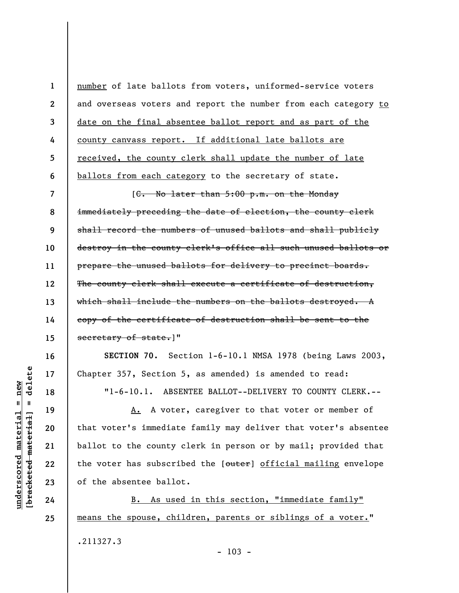**1 2 3 4 5 6 7 8 9 10 11 12 13 14 15 16 17**  number of late ballots from voters, uniformed-service voters and overseas voters and report the number from each category to date on the final absentee ballot report and as part of the county canvass report. If additional late ballots are received, the county clerk shall update the number of late ballots from each category to the secretary of state. [C. No later than 5:00 p.m. on the Monday immediately preceding the date of election, the county clerk shall record the numbers of unused ballots and shall publicly destroy in the county clerk's office all such unused ballots or prepare the unused ballots for delivery to precinct boards. The county clerk shall execute a certificate of destruction, which shall include the numbers on the ballots destroyed. A copy of the certificate of destruction shall be sent to the secretary of state.]" **SECTION 70.** Section 1-6-10.1 NMSA 1978 (being Laws 2003, Chapter 357, Section 5, as amended) is amended to read: "1-6-10.1. ABSENTEE BALLOT--DELIVERY TO COUNTY CLERK.--

delete **[bracketed material] = delete**  $anderscored material = new$ **underscored material = new 18**   $\mathbf{I}$ A. A voter, caregiver to that voter or member of **19**  bracketed material that voter's immediate family may deliver that voter's absentee **20 21 22 23 24 25** 

ballot to the county clerk in person or by mail; provided that the voter has subscribed the [outer] official mailing envelope of the absentee ballot. B. As used in this section, "immediate family"

means the spouse, children, parents or siblings of a voter." .211327.3  $- 103 -$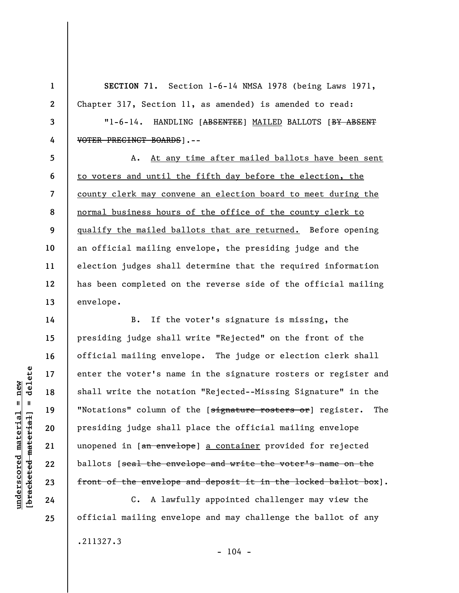**SECTION 71.** Section 1-6-14 NMSA 1978 (being Laws 1971, Chapter 317, Section 11, as amended) is amended to read:

"1-6-14. HANDLING [ABSENTEE] MAILED BALLOTS [BY ABSENT VOTER PRECINCT BOARDS].--

A. At any time after mailed ballots have been sent to voters and until the fifth day before the election, the county clerk may convene an election board to meet during the normal business hours of the office of the county clerk to qualify the mailed ballots that are returned. Before opening an official mailing envelope, the presiding judge and the election judges shall determine that the required information has been completed on the reverse side of the official mailing envelope.

B. If the voter's signature is missing, the presiding judge shall write "Rejected" on the front of the official mailing envelope. The judge or election clerk shall enter the voter's name in the signature rosters or register and shall write the notation "Rejected--Missing Signature" in the "Notations" column of the [signature rosters or] register. The presiding judge shall place the official mailing envelope unopened in [an envelope] a container provided for rejected ballots [seal the envelope and write the voter's name on the front of the envelope and deposit it in the locked ballot box].

C. A lawfully appointed challenger may view the official mailing envelope and may challenge the ballot of any .211327.3  $- 104 -$ 

delete **[bracketed material] = delete**  $underscored material = new$ **underscored material = new**  $\mathbf{I}$ bracketed material

**1** 

**2** 

**3** 

**4** 

**5** 

**6** 

**7** 

**8** 

**9** 

**10** 

**11** 

**12** 

**13** 

**14** 

**15** 

**16** 

**17** 

**18** 

**19** 

**20** 

**21** 

**22**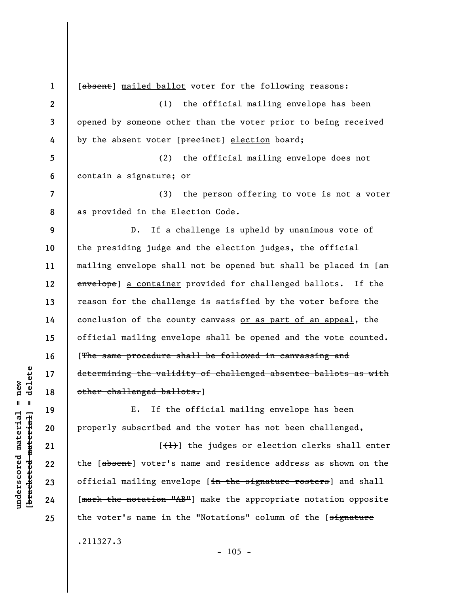**1 2 3 4 5 6 7 8 9 10 11 12 13 14 15 16 17 18 19 20 21 22 23 24 25**  [absent] mailed ballot voter for the following reasons: (1) the official mailing envelope has been opened by someone other than the voter prior to being received by the absent voter [precinct] election board; (2) the official mailing envelope does not contain a signature; or (3) the person offering to vote is not a voter as provided in the Election Code. D. If a challenge is upheld by unanimous vote of the presiding judge and the election judges, the official mailing envelope shall not be opened but shall be placed in [an envelope] a container provided for challenged ballots. If the reason for the challenge is satisfied by the voter before the conclusion of the county canvass or as part of an appeal, the official mailing envelope shall be opened and the vote counted. [The same procedure shall be followed in canvassing and determining the validity of challenged absentee ballots as with other challenged ballots.] E. If the official mailing envelope has been properly subscribed and the voter has not been challenged,  $[\frac{1}{1}]$  the judges or election clerks shall enter the [absent] voter's name and residence address as shown on the official mailing envelope [in the signature rosters] and shall [mark the notation "AB"] make the appropriate notation opposite the voter's name in the "Notations" column of the [signature

.211327.3

 $- 105 -$ 

 $\frac{1}{2}$  intereted material = delete **[bracketed material] = delete**  $anderscored material = new$ **underscored material = new**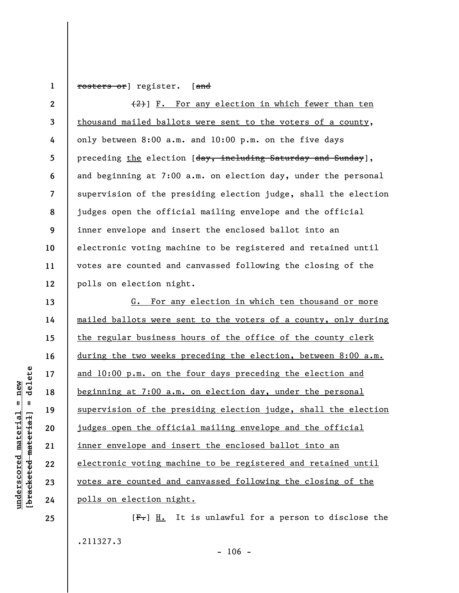**1**  rosters or] register. [and

**2 3 4 5 6 7 8 9 10 11 12**   $(2)$ ] F. For any election in which fewer than ten thousand mailed ballots were sent to the voters of a county, only between 8:00 a.m. and 10:00 p.m. on the five days preceding the election [day, including Saturday and Sunday], and beginning at 7:00 a.m. on election day, under the personal supervision of the presiding election judge, shall the election judges open the official mailing envelope and the official inner envelope and insert the enclosed ballot into an electronic voting machine to be registered and retained until votes are counted and canvassed following the closing of the polls on election night.

G. For any election in which ten thousand or more mailed ballots were sent to the voters of a county, only during the regular business hours of the office of the county clerk during the two weeks preceding the election, between 8:00 a.m. and 10:00 p.m. on the four days preceding the election and beginning at 7:00 a.m. on election day, under the personal supervision of the presiding election judge, shall the election judges open the official mailing envelope and the official inner envelope and insert the enclosed ballot into an electronic voting machine to be registered and retained until votes are counted and canvassed following the closing of the polls on election night.

 $[F<sub>1</sub>]$  H. It is unlawful for a person to disclose the .211327.3

delete **[bracketed material] = delete**  $anderscored material = new$ **underscored material = new**  $\mathbf{u}$ bracketed material

**13** 

**14** 

**15** 

**16** 

**17** 

**18** 

**19** 

**20** 

**21** 

**22** 

**23** 

**24**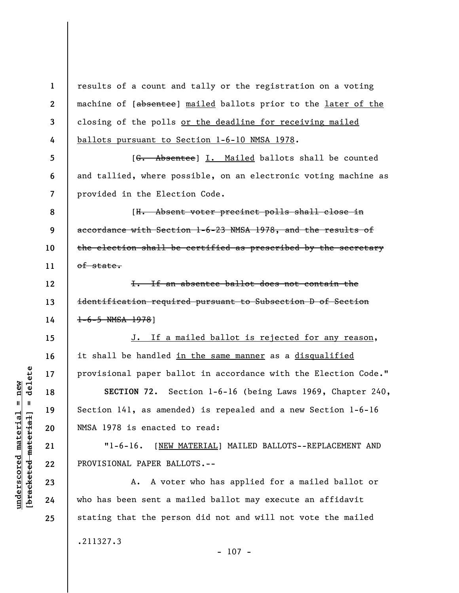**1 2 3 4**  results of a count and tally or the registration on a voting machine of [absentee] mailed ballots prior to the later of the closing of the polls or the deadline for receiving mailed ballots pursuant to Section 1-6-10 NMSA 1978.

[G. Absentee] I. Mailed ballots shall be counted and tallied, where possible, on an electronic voting machine as provided in the Election Code.

**8 9 10 11**  [H. Absent voter precinct polls shall close in accordance with Section 1-6-23 NMSA 1978, and the results of the election shall be certified as prescribed by the secretary of state.

I. If an absentee ballot does not contain the identification required pursuant to Subsection D of Section 1-6-5 NMSA 1978]

J. If a mailed ballot is rejected for any reason, it shall be handled in the same manner as a disqualified provisional paper ballot in accordance with the Election Code."

**SECTION 72.** Section 1-6-16 (being Laws 1969, Chapter 240, Section 141, as amended) is repealed and a new Section 1-6-16 NMSA 1978 is enacted to read:

"1-6-16. [NEW MATERIAL] MAILED BALLOTS--REPLACEMENT AND PROVISIONAL PAPER BALLOTS.--

A. A voter who has applied for a mailed ballot or who has been sent a mailed ballot may execute an affidavit stating that the person did not and will not vote the mailed .211327.3

**5** 

**6** 

**7** 

**12** 

**13** 

**14** 

**15** 

**16** 

**17** 

**18** 

**19** 

**20** 

**21** 

**22** 

**23** 

**24**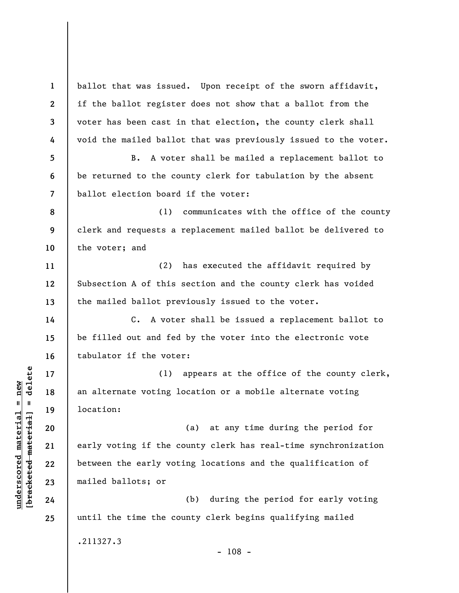**1 2 3 4 5 6 7 8 9 10 11 12 13 14 15 16 17 18 19 20 21 22 23 24 25**  ballot that was issued. Upon receipt of the sworn affidavit, if the ballot register does not show that a ballot from the voter has been cast in that election, the county clerk shall void the mailed ballot that was previously issued to the voter. B. A voter shall be mailed a replacement ballot to be returned to the county clerk for tabulation by the absent ballot election board if the voter: (1) communicates with the office of the county clerk and requests a replacement mailed ballot be delivered to the voter; and (2) has executed the affidavit required by Subsection A of this section and the county clerk has voided the mailed ballot previously issued to the voter. C. A voter shall be issued a replacement ballot to be filled out and fed by the voter into the electronic vote tabulator if the voter: (1) appears at the office of the county clerk, an alternate voting location or a mobile alternate voting location: (a) at any time during the period for early voting if the county clerk has real-time synchronization between the early voting locations and the qualification of mailed ballots; or (b) during the period for early voting until the time the county clerk begins qualifying mailed .211327.3  $- 108 -$ 

**underscored material = new [bracketed material] = delete**

 $\frac{1}{2}$  intereted material = delete  $underscored material = new$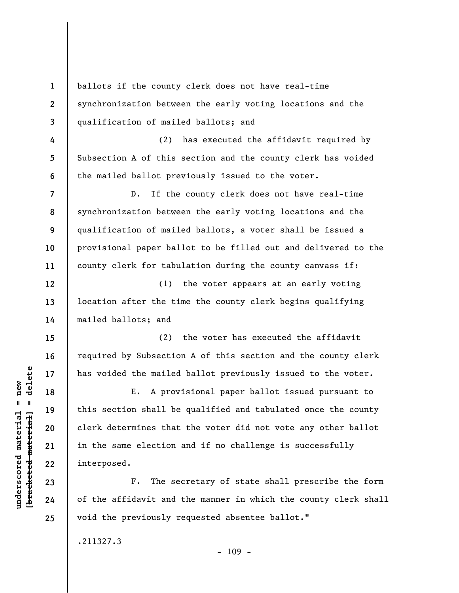**1 2 3 4 5 6 7 8 9 10 11 12 13 14 15 16 17 18 19 20 21 22 23 24 25**  ballots if the county clerk does not have real-time synchronization between the early voting locations and the qualification of mailed ballots; and (2) has executed the affidavit required by Subsection A of this section and the county clerk has voided the mailed ballot previously issued to the voter. D. If the county clerk does not have real-time synchronization between the early voting locations and the qualification of mailed ballots, a voter shall be issued a provisional paper ballot to be filled out and delivered to the county clerk for tabulation during the county canvass if: (1) the voter appears at an early voting location after the time the county clerk begins qualifying mailed ballots; and (2) the voter has executed the affidavit required by Subsection A of this section and the county clerk has voided the mailed ballot previously issued to the voter. E. A provisional paper ballot issued pursuant to this section shall be qualified and tabulated once the county clerk determines that the voter did not vote any other ballot in the same election and if no challenge is successfully interposed. F. The secretary of state shall prescribe the form of the affidavit and the manner in which the county clerk shall void the previously requested absentee ballot."

- 109 -

.211327.3

 $\frac{1}{2}$  intereted material = delete **[bracketed material] = delete**  $underscored$  material = new **underscored material = new**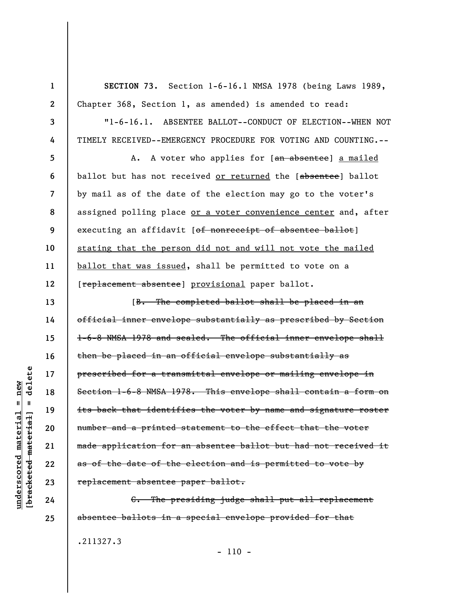**SECTION 73.** Section 1-6-16.1 NMSA 1978 (being Laws 1989, Chapter 368, Section 1, as amended) is amended to read:

"1-6-16.1. ABSENTEE BALLOT--CONDUCT OF ELECTION--WHEN NOT TIMELY RECEIVED--EMERGENCY PROCEDURE FOR VOTING AND COUNTING.--

A. A voter who applies for [an absentee] a mailed ballot but has not received or returned the [absentee] ballot by mail as of the date of the election may go to the voter's assigned polling place or a voter convenience center and, after executing an affidavit [of nonreceipt of absentee ballot] stating that the person did not and will not vote the mailed ballot that was issued, shall be permitted to vote on a [replacement absentee] provisional paper ballot.

[B. The completed ballot shall be placed in an official inner envelope substantially as prescribed by Section 1-6-8 NMSA 1978 and sealed. The official inner envelope shall then be placed in an official envelope substantially as prescribed for a transmittal envelope or mailing envelope in Section 1-6-8 NMSA 1978. This envelope shall contain a form on its back that identifies the voter by name and signature roster number and a printed statement to the effect that the voter made application for an absentee ballot but had not received it as of the date of the election and is permitted to vote by replacement absentee paper ballot.

C. The presiding judge shall put all replacement absentee ballots in a special envelope provided for that

.211327.3

 $- 110 -$ 

delete **[bracketed material] = delete**  $underscored material = new$ **underscored material = new**  $\mathbf{I}$ bracketed material

**1** 

**2** 

**3** 

**4** 

**5** 

**6** 

**7** 

**8** 

**9** 

**10** 

**11** 

**12** 

**13** 

**14** 

**15** 

**16** 

**17** 

**18** 

**19** 

**20** 

**21** 

**22** 

**23** 

**24**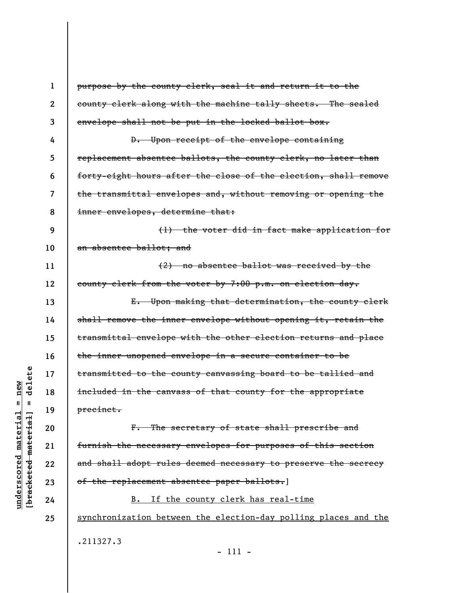| $\mathbf{1}$ | purpose by the county clerk, seal it and return it to the       |
|--------------|-----------------------------------------------------------------|
| $\mathbf{2}$ | county clerk along with the machine tally sheets. The sealed    |
| 3            | envelope shall not be put in the locked ballot box.             |
| 4            | D. Upon receipt of the envelope containing                      |
| 5            | replacement absentee ballots, the county clerk, no later than   |
| 6            | forty-eight hours after the close of the election, shall remove |
| 7            | the transmittal envelopes and, without removing or opening the  |
| 8            | inner envelopes, determine that:                                |
| 9            | (1) the voter did in fact make application for                  |
| 10           | an absentee ballot; and                                         |
| 11           | $(2)$ no absentee ballot was received by the                    |
| 12           | county clerk from the voter by 7:00 p.m. on election day.       |
| 13           | E. Upon making that determination, the county clerk             |
| 14           | shall remove the inner envelope without opening it, retain the  |
| 15           | transmittal envelope with the other election returns and place  |
| 16           | the inner unopened envelope in a secure container to be         |
| 17           | transmitted to the county canvassing board to be tallied and    |
| 18           | included in the canvass of that county for the appropriate      |
| 19           | precinct.                                                       |
| 20           | F. The secretary of state shall prescribe and                   |
| 21           | furnish the necessary envelopes for purposes of this section    |
| 22           | and shall adopt rules deemed necessary to preserve the secrecy  |
| 23           | of the replacement absentee paper ballots.]                     |
| 24           | If the county clerk has real-time<br>B.                         |
| 25           | synchronization between the election-day polling places and the |
|              | .211327.3                                                       |
|              |                                                                 |

- 111 -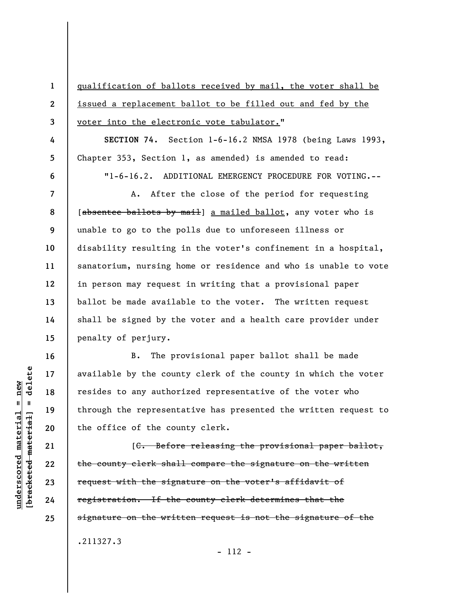qualification of ballots received by mail, the voter shall be issued a replacement ballot to be filled out and fed by the voter into the electronic vote tabulator."

**SECTION 74.** Section 1-6-16.2 NMSA 1978 (being Laws 1993, Chapter 353, Section 1, as amended) is amended to read: "1-6-16.2. ADDITIONAL EMERGENCY PROCEDURE FOR VOTING.--

A. After the close of the period for requesting [absentee ballots by mail] a mailed ballot, any voter who is unable to go to the polls due to unforeseen illness or disability resulting in the voter's confinement in a hospital, sanatorium, nursing home or residence and who is unable to vote in person may request in writing that a provisional paper ballot be made available to the voter. The written request shall be signed by the voter and a health care provider under penalty of perjury.

B. The provisional paper ballot shall be made available by the county clerk of the county in which the voter resides to any authorized representative of the voter who through the representative has presented the written request to the office of the county clerk.

[C. Before releasing the provisional paper ballot, the county clerk shall compare the signature on the written request with the signature on the voter's affidavit of registration. If the county clerk determines that the signature on the written request is not the signature of the .211327.3

- 112 -

**1** 

**2** 

**3** 

**4** 

**5** 

**6** 

**7** 

**8** 

**9** 

**10** 

**11** 

**12** 

**13** 

**14** 

**15** 

**16** 

**17** 

**18** 

**19** 

**20** 

**21** 

**22** 

**23** 

**24**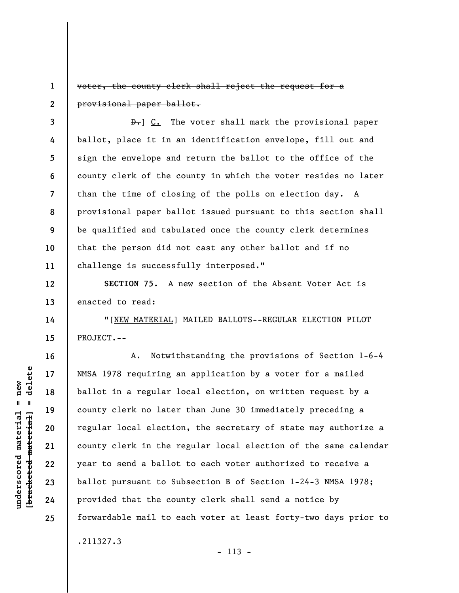**1 2**  voter, the county clerk shall reject the request for a provisional paper ballot.

**3 4 5 6 7 8 9 10 11**   $\theta$ . The voter shall mark the provisional paper ballot, place it in an identification envelope, fill out and sign the envelope and return the ballot to the office of the county clerk of the county in which the voter resides no later than the time of closing of the polls on election day. A provisional paper ballot issued pursuant to this section shall be qualified and tabulated once the county clerk determines that the person did not cast any other ballot and if no challenge is successfully interposed."

**SECTION 75.** A new section of the Absent Voter Act is enacted to read:

"[NEW MATERIAL] MAILED BALLOTS--REGULAR ELECTION PILOT PROJECT.--

A. Notwithstanding the provisions of Section 1-6-4 NMSA 1978 requiring an application by a voter for a mailed ballot in a regular local election, on written request by a county clerk no later than June 30 immediately preceding a regular local election, the secretary of state may authorize a county clerk in the regular local election of the same calendar year to send a ballot to each voter authorized to receive a ballot pursuant to Subsection B of Section 1-24-3 NMSA 1978; provided that the county clerk shall send a notice by forwardable mail to each voter at least forty-two days prior to .211327.3

delete **[bracketed material] = delete**  $underscored material = new$ **underscored material = new**  $\mathbf{I}$ bracketed material

**12** 

**13** 

**14** 

**15** 

**16** 

**17** 

**18** 

**19** 

**20** 

**21** 

**22** 

**23** 

**24**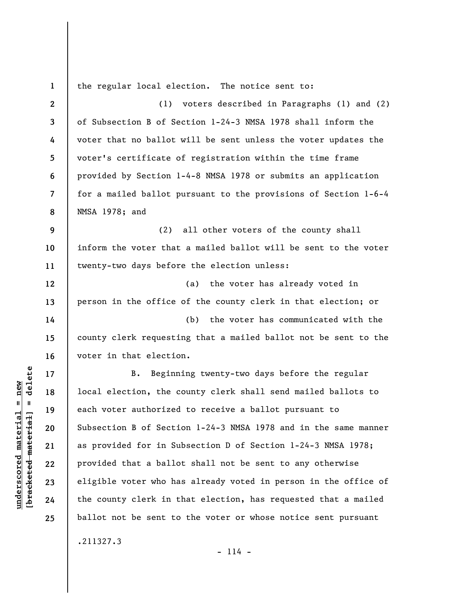| $\mathbf{1}$   | the regular local election. The notice sent to:                 |
|----------------|-----------------------------------------------------------------|
| $\mathbf{2}$   | (1)<br>voters described in Paragraphs (1) and (2)               |
| $\mathbf{3}$   | of Subsection B of Section 1-24-3 NMSA 1978 shall inform the    |
| 4              | voter that no ballot will be sent unless the voter updates the  |
| 5              | voter's certificate of registration within the time frame       |
| 6              | provided by Section 1-4-8 NMSA 1978 or submits an application   |
| $\overline{7}$ | for a mailed ballot pursuant to the provisions of Section 1-6-4 |
| 8              | NMSA 1978; and                                                  |
| 9              | (2) all other voters of the county shall                        |
| 10             | inform the voter that a mailed ballot will be sent to the voter |
| 11             | twenty-two days before the election unless:                     |
| 12             | the voter has already voted in<br>(a)                           |
| 13             | person in the office of the county clerk in that election; or   |
| 14             | (b)<br>the voter has communicated with the                      |
| 15             | county clerk requesting that a mailed ballot not be sent to the |
| 16             | voter in that election.                                         |
| 17             | Beginning twenty-two days before the regular<br>B.              |
| 18             | local election, the county clerk shall send mailed ballots to   |
| 19             | each voter authorized to receive a ballot pursuant to           |
| 20             | Subsection B of Section 1-24-3 NMSA 1978 and in the same manner |
| 21             | as provided for in Subsection D of Section 1-24-3 NMSA 1978;    |
| 22             | provided that a ballot shall not be sent to any otherwise       |
| 23             | eligible voter who has already voted in person in the office of |
| 24             | the county clerk in that election, has requested that a mailed  |
| 25             | ballot not be sent to the voter or whose notice sent pursuant   |
|                | .211327.3                                                       |

 $[bracketeed-materiat] = delete$ **[bracketed material] = delete**  $underscored material = new$ **underscored material = new**

- 114 -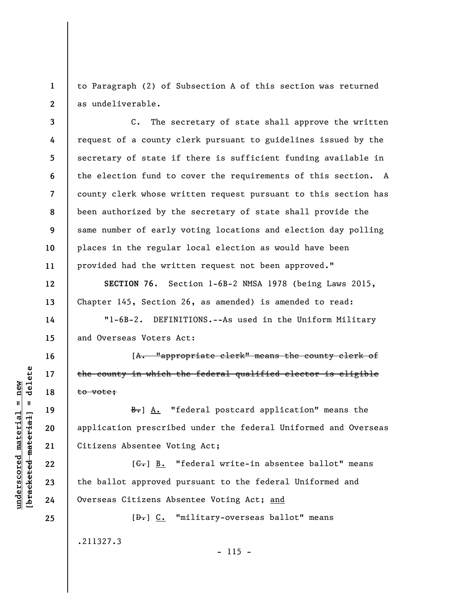**1 2**  to Paragraph (2) of Subsection A of this section was returned as undeliverable.

**3 4 5 6 7 8 9 10 11**  C. The secretary of state shall approve the written request of a county clerk pursuant to guidelines issued by the secretary of state if there is sufficient funding available in the election fund to cover the requirements of this section. A county clerk whose written request pursuant to this section has been authorized by the secretary of state shall provide the same number of early voting locations and election day polling places in the regular local election as would have been provided had the written request not been approved."

**SECTION 76.** Section 1-6B-2 NMSA 1978 (being Laws 2015, Chapter 145, Section 26, as amended) is amended to read:

"1-6B-2. DEFINITIONS.--As used in the Uniform Military and Overseas Voters Act:

[A. "appropriate clerk" means the county clerk of the county in which the federal qualified elector is eligible to vote;

B. A. "federal postcard application" means the application prescribed under the federal Uniformed and Overseas Citizens Absentee Voting Act;

 $[G<sub>1</sub>]$  B. "federal write-in absentee ballot" means the ballot approved pursuant to the federal Uniformed and Overseas Citizens Absentee Voting Act; and

 $- 115 -$ 

 $[\frac{\theta}{\theta}]$  C. "military-overseas ballot" means .211327.3

**underscored material = new [bracketed material] = delete**

 $\frac{1}{2}$  $underscored material = new$ 

**12** 

**13** 

**14** 

**15** 

**16** 

**17** 

**18** 

**19** 

**20** 

**21** 

**22** 

**23** 

**24**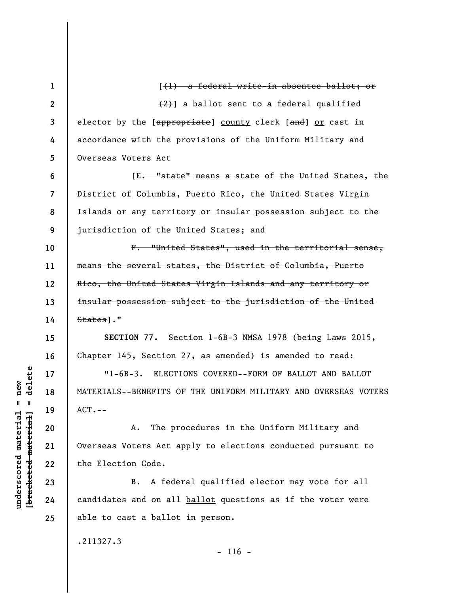| 1                | $(\dagger)$ a federal write-in absentee ballot; or                                                 |
|------------------|----------------------------------------------------------------------------------------------------|
| $\boldsymbol{2}$ | $(2)$ ] a ballot sent to a federal qualified                                                       |
| 3                | elector by the [ <del>appropriate</del> ] <u>county</u> clerk [ <del>and</del> ] <u>or</u> cast in |
| 4                | accordance with the provisions of the Uniform Military and                                         |
| 5                | Overseas Voters Act                                                                                |
| 6                | [E. "state" means a state of the United States, the                                                |
| 7                | District of Columbia, Puerto Rico, the United States Virgin                                        |
| 8                | Islands or any territory or insular possession subject to the                                      |
| 9                | jurisdiction of the United States; and                                                             |
| 10               | F. "United States", used in the territorial sense,                                                 |
| 11               | means the several states, the District of Columbia, Puerto                                         |
| 12               | Rico, the United States Virgin Islands and any territory or                                        |
| 13               | insular possession subject to the jurisdiction of the United                                       |
| 14               | States]."                                                                                          |
| 15               | SECTION 77. Section 1-6B-3 NMSA 1978 (being Laws 2015,                                             |
| 16               | Chapter 145, Section 27, as amended) is amended to read:                                           |
| 17               | "1-6B-3. ELECTIONS COVERED--FORM OF BALLOT AND BALLOT                                              |
| 18               | MATERIALS--BENEFITS OF THE UNIFORM MILITARY AND OVERSEAS VOTERS                                    |
| 19               | $ACT. --$                                                                                          |
| 20               | The procedures in the Uniform Military and<br>A.                                                   |
| 21               | Overseas Voters Act apply to elections conducted pursuant to                                       |
| 22               | the Election Code.                                                                                 |
| 23               | B. A federal qualified elector may vote for all                                                    |
| 24               | candidates and on all ballot questions as if the voter were                                        |
| 25               | able to cast a ballot in person.                                                                   |
|                  | .211327.3<br>$- 116 -$                                                                             |

 $[bracketeed-materiat] = delete$ **[bracketed material] = delete**  $underscored material = new$ **underscored material = new**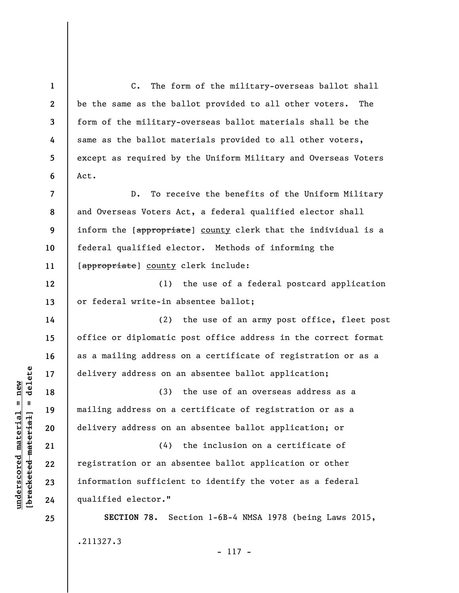**1 2 3 4 5 6 7 8 9 10 11 12 13 14 15 16 17 18 19 20 21 22 23 24 25**  C. The form of the military-overseas ballot shall be the same as the ballot provided to all other voters. The form of the military-overseas ballot materials shall be the same as the ballot materials provided to all other voters, except as required by the Uniform Military and Overseas Voters Act. D. To receive the benefits of the Uniform Military and Overseas Voters Act, a federal qualified elector shall inform the [appropriate] county clerk that the individual is a federal qualified elector. Methods of informing the [appropriate] county clerk include: (1) the use of a federal postcard application or federal write-in absentee ballot; (2) the use of an army post office, fleet post office or diplomatic post office address in the correct format as a mailing address on a certificate of registration or as a delivery address on an absentee ballot application; (3) the use of an overseas address as a mailing address on a certificate of registration or as a delivery address on an absentee ballot application; or (4) the inclusion on a certificate of registration or an absentee ballot application or other information sufficient to identify the voter as a federal qualified elector." **SECTION 78.** Section 1-6B-4 NMSA 1978 (being Laws 2015, .211327.3

- 117 -

 $\frac{1}{2}$  of  $\frac{1}{2}$  and  $\frac{1}{2}$  and  $\frac{1}{2}$  and  $\frac{1}{2}$  and  $\frac{1}{2}$  and  $\frac{1}{2}$  and  $\frac{1}{2}$  and  $\frac{1}{2}$  and  $\frac{1}{2}$  and  $\frac{1}{2}$  and  $\frac{1}{2}$  and  $\frac{1}{2}$  and  $\frac{1}{2}$  and  $\frac{1}{2}$  and  $\frac{1}{2}$  an **[bracketed material] = delete**  $underscored material = new$ **underscored material = new**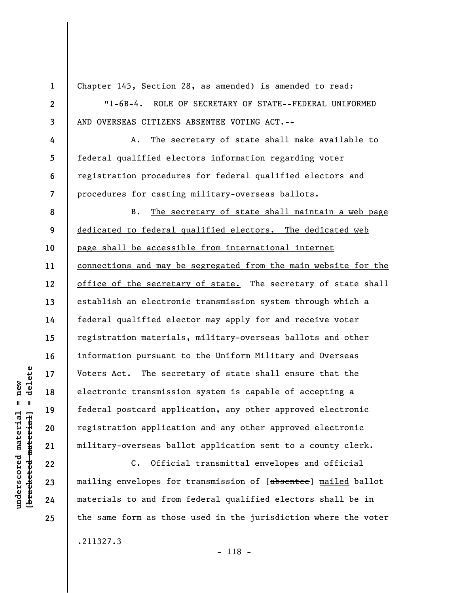**1 2 3 4 5 6 7 8 9 10 11 12 13 14 15 16 17 18 19 20 21 22**  Chapter 145, Section 28, as amended) is amended to read: "1-6B-4. ROLE OF SECRETARY OF STATE--FEDERAL UNIFORMED AND OVERSEAS CITIZENS ABSENTEE VOTING ACT.-- A. The secretary of state shall make available to federal qualified electors information regarding voter registration procedures for federal qualified electors and procedures for casting military-overseas ballots. B. The secretary of state shall maintain a web page dedicated to federal qualified electors. The dedicated web page shall be accessible from international internet connections and may be segregated from the main website for the office of the secretary of state. The secretary of state shall establish an electronic transmission system through which a federal qualified elector may apply for and receive voter registration materials, military-overseas ballots and other information pursuant to the Uniform Military and Overseas Voters Act. The secretary of state shall ensure that the electronic transmission system is capable of accepting a federal postcard application, any other approved electronic registration application and any other approved electronic military-overseas ballot application sent to a county clerk. C. Official transmittal envelopes and official

mailing envelopes for transmission of [absentee] mailed ballot materials to and from federal qualified electors shall be in the same form as those used in the jurisdiction where the voter

 $\frac{1}{2}$  intereted material = delete **[bracketed material] = delete**  $anderscored material = new$ **underscored material = new**

**23** 

**24** 

**25** 

.211327.3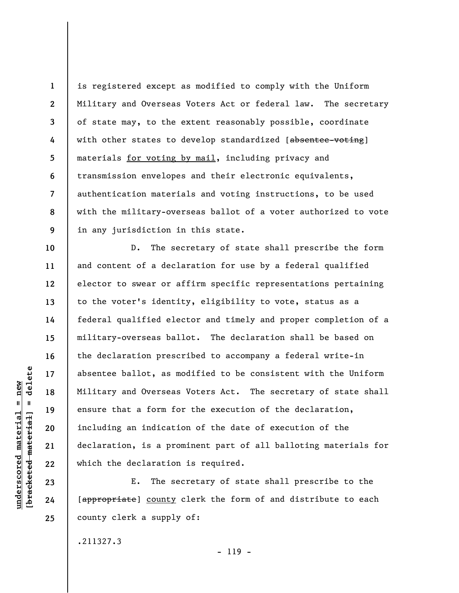**1 2 3 4 5 6 7 8 9**  is registered except as modified to comply with the Uniform Military and Overseas Voters Act or federal law. The secretary of state may, to the extent reasonably possible, coordinate with other states to develop standardized [absentee-voting] materials for voting by mail, including privacy and transmission envelopes and their electronic equivalents, authentication materials and voting instructions, to be used with the military-overseas ballot of a voter authorized to vote in any jurisdiction in this state.

D. The secretary of state shall prescribe the form and content of a declaration for use by a federal qualified elector to swear or affirm specific representations pertaining to the voter's identity, eligibility to vote, status as a federal qualified elector and timely and proper completion of a military-overseas ballot. The declaration shall be based on the declaration prescribed to accompany a federal write-in absentee ballot, as modified to be consistent with the Uniform Military and Overseas Voters Act. The secretary of state shall ensure that a form for the execution of the declaration, including an indication of the date of execution of the declaration, is a prominent part of all balloting materials for which the declaration is required.

E. The secretary of state shall prescribe to the [appropriate] county clerk the form of and distribute to each county clerk a supply of:

.211327.3

 $\frac{1}{2}$  of  $\frac{1}{2}$  and  $\frac{1}{2}$  and  $\frac{1}{2}$  and  $\frac{1}{2}$  and  $\frac{1}{2}$  and  $\frac{1}{2}$  and  $\frac{1}{2}$  and  $\frac{1}{2}$  and  $\frac{1}{2}$  and  $\frac{1}{2}$  and  $\frac{1}{2}$  and  $\frac{1}{2}$  and  $\frac{1}{2}$  and  $\frac{1}{2}$  and  $\frac{1}{2}$  an **[bracketed material] = delete**  $underscored material = new$ **underscored material = new**

**10** 

**11** 

**12** 

**13** 

**14** 

**15** 

**16** 

**17** 

**18** 

**19** 

**20** 

**21** 

**22** 

**23** 

**24**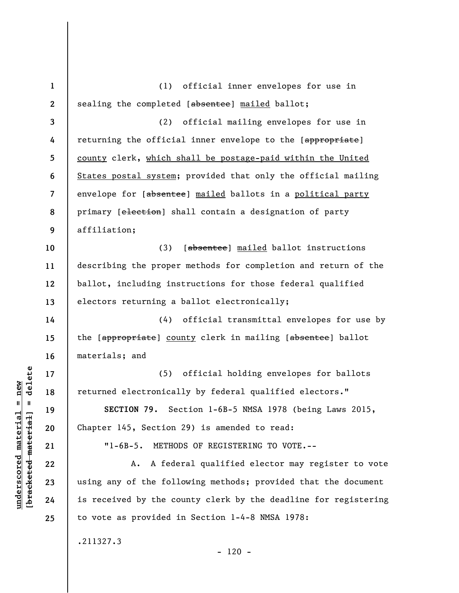**1 2 3 4 5 6 7 8 9 10 11 12 13 14 15 16 17 18 19 20 21 22 23 24 25**  (1) official inner envelopes for use in sealing the completed [absentee] mailed ballot; (2) official mailing envelopes for use in returning the official inner envelope to the [appropriate] county clerk, which shall be postage-paid within the United States postal system; provided that only the official mailing envelope for [absentee] mailed ballots in a political party primary [election] shall contain a designation of party affiliation; (3) [absentee] mailed ballot instructions describing the proper methods for completion and return of the ballot, including instructions for those federal qualified electors returning a ballot electronically; (4) official transmittal envelopes for use by the [appropriate] county clerk in mailing [absentee] ballot materials; and (5) official holding envelopes for ballots returned electronically by federal qualified electors." **SECTION 79.** Section 1-6B-5 NMSA 1978 (being Laws 2015, Chapter 145, Section 29) is amended to read: "1-6B-5. METHODS OF REGISTERING TO VOTE.-- A. A federal qualified elector may register to vote using any of the following methods; provided that the document is received by the county clerk by the deadline for registering to vote as provided in Section 1-4-8 NMSA 1978: .211327.3  $- 120 -$ 

**underscored material = new [bracketed material] = delete**

 $underscored material = new$ 

delete

 $\mathbf{I}$ 

bracketed material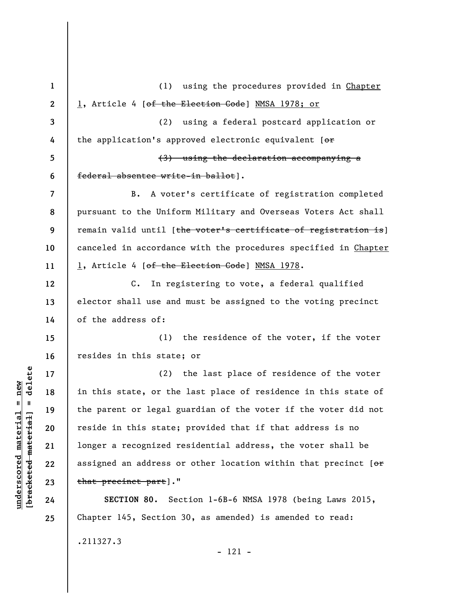**1 2 3 4 5 6 7 8 9 10 11 12 13 14 15 16 17 18 19 20 21 22 23 24 25**  (1) using the procedures provided in Chapter 1, Article 4 [of the Election Code] NMSA 1978; or (2) using a federal postcard application or the application's approved electronic equivalent  $[ $\sigma$  r]$ (3) using the declaration accompanying a federal absentee write-in ballot]. B. A voter's certificate of registration completed pursuant to the Uniform Military and Overseas Voters Act shall remain valid until [the voter's certificate of registration is] canceled in accordance with the procedures specified in Chapter 1, Article 4 [of the Election Code] NMSA 1978. C. In registering to vote, a federal qualified elector shall use and must be assigned to the voting precinct of the address of: (1) the residence of the voter, if the voter resides in this state; or (2) the last place of residence of the voter in this state, or the last place of residence in this state of the parent or legal guardian of the voter if the voter did not reside in this state; provided that if that address is no longer a recognized residential address, the voter shall be assigned an address or other location within that precinct  $[ $\sigma$  r]$ that precinct part]." **SECTION 80.** Section 1-6B-6 NMSA 1978 (being Laws 2015, Chapter 145, Section 30, as amended) is amended to read: .211327.3

- 121 -

delete **[bracketed material] = delete**  $anderscored material = new$ **underscored material = new**  $\mathbf{I}$ bracketed material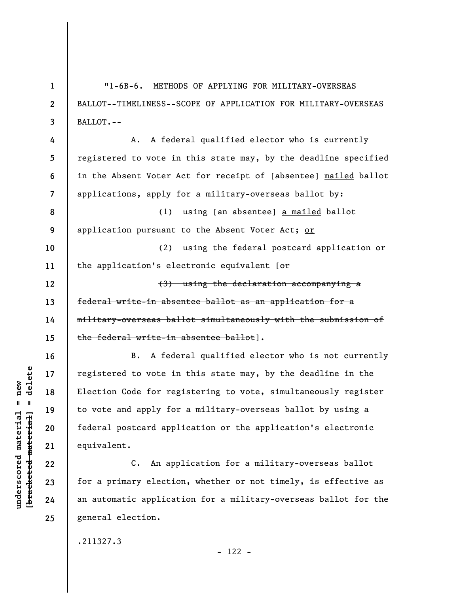| $\mathbf{1}$     | $"1-6B-6.$<br>METHODS OF APPLYING FOR MILITARY-OVERSEAS         |
|------------------|-----------------------------------------------------------------|
| $\boldsymbol{2}$ | BALLOT--TIMELINESS--SCOPE OF APPLICATION FOR MILITARY-OVERSEAS  |
| 3                | BALLOT.--                                                       |
| 4                | A federal qualified elector who is currently<br>Α.              |
| 5                | registered to vote in this state may, by the deadline specified |
| 6                | in the Absent Voter Act for receipt of [absentee] mailed ballot |
| 7                | applications, apply for a military-overseas ballot by:          |
| 8                | using [an absentee] a mailed ballot<br>(1)                      |
| 9                | application pursuant to the Absent Voter Act; or                |
| 10               | (2)<br>using the federal postcard application or                |
| 11               | the application's electronic equivalent [or                     |
| 12               | (3) using the declaration accompanying a                        |
| 13               | federal write-in absentee ballot as an application for a        |
| 14               | military-overseas ballot simultaneously with the submission of  |
| 15               | the federal write-in absentee ballot].                          |
| 16               | A federal qualified elector who is not currently<br>В.          |
| 17               | registered to vote in this state may, by the deadline in the    |
| 18               | Election Code for registering to vote, simultaneously register  |
| 19               | to vote and apply for a military-overseas ballot by using a     |
| 20               | federal postcard application or the application's electronic    |
| 21               | equivalent.                                                     |
| 22               | An application for a military-overseas ballot<br>$C_{\bullet}$  |
| 23               | for a primary election, whether or not timely, is effective as  |
| 24               | an automatic application for a military-overseas ballot for the |
| 25               | general election.                                               |

.211327.3

**underscored material = new [bracketed material] = delete**

 $[$ bracketed material] = delete  $underscored material = new$ 

- 122 -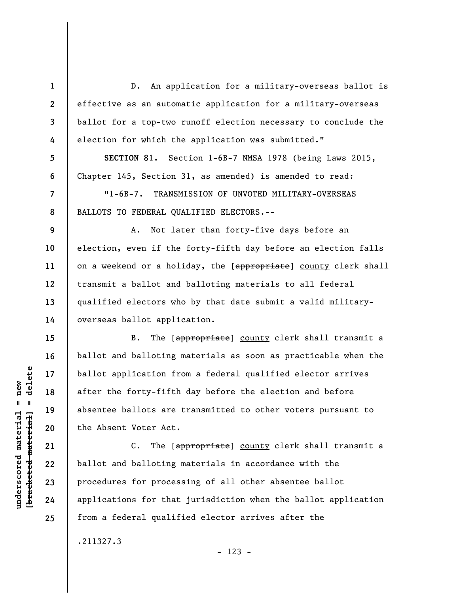D. An application for a military-overseas ballot is effective as an automatic application for a military-overseas ballot for a top-two runoff election necessary to conclude the election for which the application was submitted."

**SECTION 81.** Section 1-6B-7 NMSA 1978 (being Laws 2015, Chapter 145, Section 31, as amended) is amended to read:

"1-6B-7. TRANSMISSION OF UNVOTED MILITARY-OVERSEAS BALLOTS TO FEDERAL QUALIFIED ELECTORS.--

A. Not later than forty-five days before an election, even if the forty-fifth day before an election falls on a weekend or a holiday, the [appropriate] county clerk shall transmit a ballot and balloting materials to all federal qualified electors who by that date submit a valid militaryoverseas ballot application.

B. The [appropriate] county clerk shall transmit a ballot and balloting materials as soon as practicable when the ballot application from a federal qualified elector arrives after the forty-fifth day before the election and before absentee ballots are transmitted to other voters pursuant to the Absent Voter Act.

C. The [appropriate] county clerk shall transmit a ballot and balloting materials in accordance with the procedures for processing of all other absentee ballot applications for that jurisdiction when the ballot application from a federal qualified elector arrives after the

.211327.3

- 123 -

 $\frac{1}{2}$  intereted material = delete **[bracketed material] = delete**  $underscored material = new$ **underscored material = new**

**1** 

**2** 

**3** 

**4** 

**5** 

**6** 

**7** 

**8** 

**9** 

**10** 

**11** 

**12** 

**13** 

**14** 

**15** 

**16** 

**17** 

**18** 

**19** 

**20** 

**21** 

**22** 

**23** 

**24**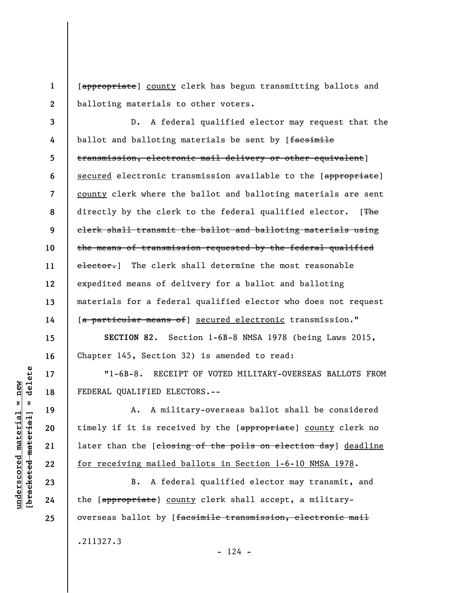**1 2**  [appropriate] county clerk has begun transmitting ballots and balloting materials to other voters.

**3 4 5 6 7 8 9 10 11 12 13 14**  D. A federal qualified elector may request that the ballot and balloting materials be sent by [facsimile transmission, electronic mail delivery or other equivalent] secured electronic transmission available to the [appropriate] county clerk where the ballot and balloting materials are sent directly by the clerk to the federal qualified elector. [The clerk shall transmit the ballot and balloting materials using the means of transmission requested by the federal qualified elector. The clerk shall determine the most reasonable expedited means of delivery for a ballot and balloting materials for a federal qualified elector who does not request [a particular means of] secured electronic transmission."

**SECTION 82.** Section 1-6B-8 NMSA 1978 (being Laws 2015, Chapter 145, Section 32) is amended to read:

"1-6B-8. RECEIPT OF VOTED MILITARY-OVERSEAS BALLOTS FROM FEDERAL QUALIFIED ELECTORS.--

A. A military-overseas ballot shall be considered timely if it is received by the [appropriate] county clerk no later than the [closing of the polls on election day] deadline for receiving mailed ballots in Section 1-6-10 NMSA 1978.

B. A federal qualified elector may transmit, and the [appropriate] county clerk shall accept, a militaryoverseas ballot by [facsimile transmission, electronic mail

 $- 124 -$ 

delete **[bracketed material] = delete**  $underscored material = new$ **underscored material = new**  $\mathbf{I}$ bracketed material

**15** 

**16** 

**17** 

**18** 

**19** 

**20** 

**21** 

**22** 

**23** 

**24** 

**25** 

.211327.3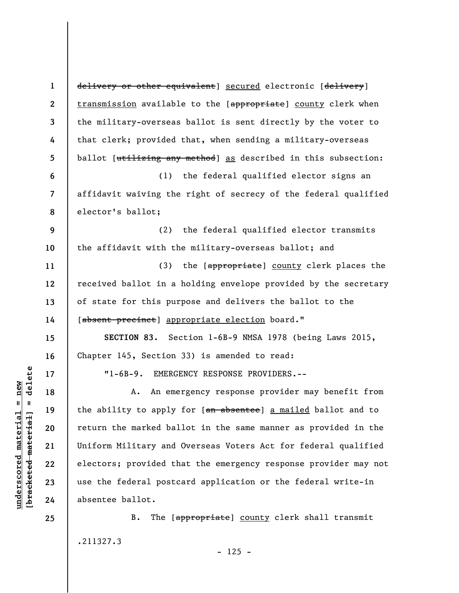**1 2 3 4 5 6 7 8 9 10 11 12 13 14 15 16 17 18 19 20 21 22 23 24 25**  delivery or other equivalent] secured electronic [delivery] transmission available to the [appropriate] county clerk when the military-overseas ballot is sent directly by the voter to that clerk; provided that, when sending a military-overseas ballot [utilizing any method] as described in this subsection: (1) the federal qualified elector signs an affidavit waiving the right of secrecy of the federal qualified elector's ballot; (2) the federal qualified elector transmits the affidavit with the military-overseas ballot; and (3) the [appropriate] county clerk places the received ballot in a holding envelope provided by the secretary of state for this purpose and delivers the ballot to the [absent precinct] appropriate election board." **SECTION 83.** Section 1-6B-9 NMSA 1978 (being Laws 2015, Chapter 145, Section 33) is amended to read: "1-6B-9. EMERGENCY RESPONSE PROVIDERS.-- A. An emergency response provider may benefit from the ability to apply for [an absentee] a mailed ballot and to return the marked ballot in the same manner as provided in the Uniform Military and Overseas Voters Act for federal qualified electors; provided that the emergency response provider may not use the federal postcard application or the federal write-in absentee ballot. B. The [appropriate] county clerk shall transmit

.211327.3

 $\frac{1}{2}$  intereted material = delete **[bracketed material] = delete**  $underscored material = new$ **underscored material = new**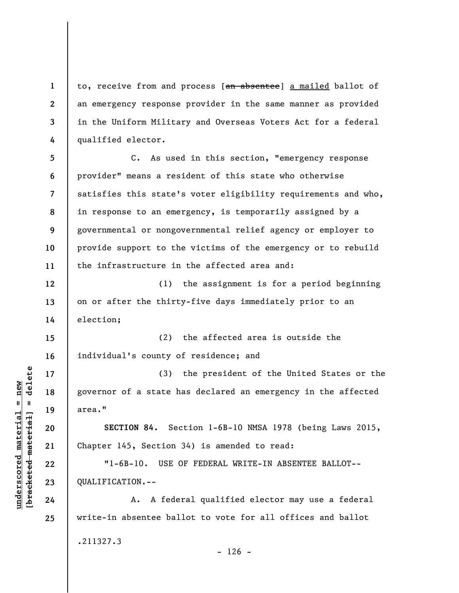to, receive from and process [an absentee] a mailed ballot of an emergency response provider in the same manner as provided in the Uniform Military and Overseas Voters Act for a federal qualified elector.

**5 6 7 8 9 10 11**  C. As used in this section, "emergency response provider" means a resident of this state who otherwise satisfies this state's voter eligibility requirements and who, in response to an emergency, is temporarily assigned by a governmental or nongovernmental relief agency or employer to provide support to the victims of the emergency or to rebuild the infrastructure in the affected area and:

(1) the assignment is for a period beginning on or after the thirty-five days immediately prior to an election;

**15 16**  (2) the affected area is outside the individual's county of residence; and

(3) the president of the United States or the governor of a state has declared an emergency in the affected area."

**SECTION 84.** Section 1-6B-10 NMSA 1978 (being Laws 2015, Chapter 145, Section 34) is amended to read:

"1-6B-10. USE OF FEDERAL WRITE-IN ABSENTEE BALLOT-- QUALIFICATION.--

A. A federal qualified elector may use a federal write-in absentee ballot to vote for all offices and ballot .211327.3

 $- 126 -$ 

 $\frac{1}{2}$  intereted material = delete **[bracketed material] = delete**  $underscored material = new$ **underscored material = new**

**1** 

**2** 

**3** 

**4** 

**12** 

**13** 

**14** 

**17** 

**18** 

**19** 

**20** 

**21** 

**22** 

**23** 

**24**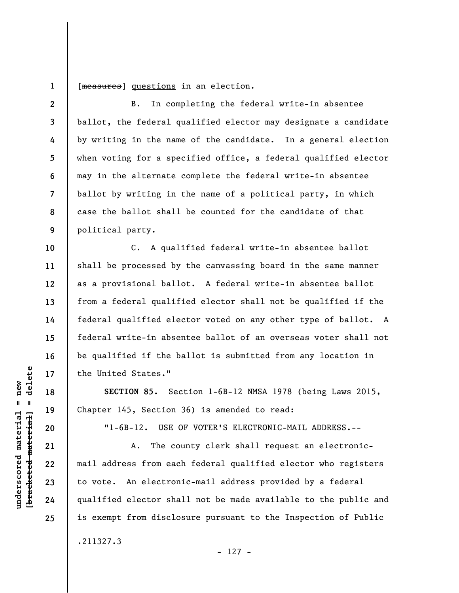**1**  [measures] questions in an election.

B. In completing the federal write-in absentee ballot, the federal qualified elector may designate a candidate by writing in the name of the candidate. In a general election when voting for a specified office, a federal qualified elector may in the alternate complete the federal write-in absentee ballot by writing in the name of a political party, in which case the ballot shall be counted for the candidate of that political party.

C. A qualified federal write-in absentee ballot shall be processed by the canvassing board in the same manner as a provisional ballot. A federal write-in absentee ballot from a federal qualified elector shall not be qualified if the federal qualified elector voted on any other type of ballot. A federal write-in absentee ballot of an overseas voter shall not be qualified if the ballot is submitted from any location in the United States."

**SECTION 85.** Section 1-6B-12 NMSA 1978 (being Laws 2015, Chapter 145, Section 36) is amended to read:

"1-6B-12. USE OF VOTER'S ELECTRONIC-MAIL ADDRESS.--

A. The county clerk shall request an electronicmail address from each federal qualified elector who registers to vote. An electronic-mail address provided by a federal qualified elector shall not be made available to the public and is exempt from disclosure pursuant to the Inspection of Public .211327.3

**underscored material = new [bracketed material] = delete**

 $\frac{1}{2}$  of  $\frac{1}{2}$  and  $\frac{1}{2}$  and  $\frac{1}{2}$  and  $\frac{1}{2}$  and  $\frac{1}{2}$  and  $\frac{1}{2}$  and  $\frac{1}{2}$  and  $\frac{1}{2}$  and  $\frac{1}{2}$  and  $\frac{1}{2}$  and  $\frac{1}{2}$  and  $\frac{1}{2}$  and  $\frac{1}{2}$  and  $\frac{1}{2}$  and  $\frac{1}{2}$  an  $underscored material = new$ 

**2** 

**3** 

**4** 

**5** 

**6** 

**7** 

**8** 

**9** 

**10** 

**11** 

**12** 

**13** 

**14** 

**15** 

**16** 

**17** 

**18** 

**19** 

**20** 

**21** 

**22** 

**23** 

**24**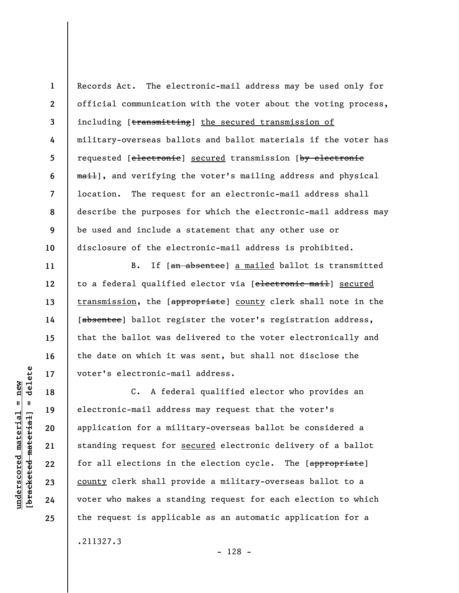**1 2 3 4 5 6 7 8 9 10**  Records Act. The electronic-mail address may be used only for official communication with the voter about the voting process, including [transmitting] the secured transmission of military-overseas ballots and ballot materials if the voter has requested [electronie] secured transmission [by electronic mail], and verifying the voter's mailing address and physical location. The request for an electronic-mail address shall describe the purposes for which the electronic-mail address may be used and include a statement that any other use or disclosure of the electronic-mail address is prohibited.

B. If [an absentee] a mailed ballot is transmitted to a federal qualified elector via [electronic mail] secured transmission, the [appropriate] county clerk shall note in the [absentee] ballot register the voter's registration address, that the ballot was delivered to the voter electronically and the date on which it was sent, but shall not disclose the voter's electronic-mail address.

C. A federal qualified elector who provides an electronic-mail address may request that the voter's application for a military-overseas ballot be considered a standing request for secured electronic delivery of a ballot for all elections in the election cycle. The [appropriate] county clerk shall provide a military-overseas ballot to a voter who makes a standing request for each election to which the request is applicable as an automatic application for a

.211327.3

- 128 -

 $\frac{1}{2}$  intereted material = delete **[bracketed material] = delete**  $anderscored material = new$ **underscored material = new**

**11** 

**12** 

**13** 

**14** 

**15** 

**16** 

**17** 

**18** 

**19** 

**20** 

**21** 

**22** 

**23** 

**24**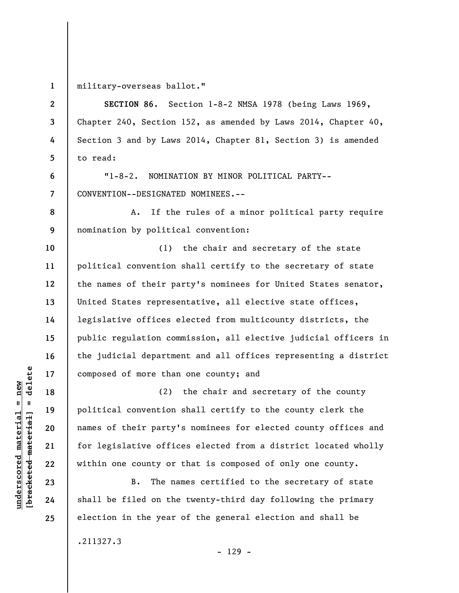**1** 

**2** 

**3** 

**4** 

**5** 

**6** 

**7** 

**8** 

**9** 

**10** 

**11** 

**12** 

**13** 

**14** 

**15** 

**16** 

**17** 

**18** 

**19** 

**20** 

**21** 

**22** 

**23** 

**24** 

**25** 

military-overseas ballot."

**SECTION 86.** Section 1-8-2 NMSA 1978 (being Laws 1969, Chapter 240, Section 152, as amended by Laws 2014, Chapter 40, Section 3 and by Laws 2014, Chapter 81, Section 3) is amended to read:

"1-8-2. NOMINATION BY MINOR POLITICAL PARTY-- CONVENTION--DESIGNATED NOMINEES.--

A. If the rules of a minor political party require nomination by political convention:

(1) the chair and secretary of the state political convention shall certify to the secretary of state the names of their party's nominees for United States senator, United States representative, all elective state offices, legislative offices elected from multicounty districts, the public regulation commission, all elective judicial officers in the judicial department and all offices representing a district composed of more than one county; and

(2) the chair and secretary of the county political convention shall certify to the county clerk the names of their party's nominees for elected county offices and for legislative offices elected from a district located wholly within one county or that is composed of only one county.

B. The names certified to the secretary of state shall be filed on the twenty-third day following the primary election in the year of the general election and shall be

.211327.3

 $\frac{1}{2}$  of  $\frac{1}{2}$  and  $\frac{1}{2}$  and  $\frac{1}{2}$  and  $\frac{1}{2}$  and  $\frac{1}{2}$  and  $\frac{1}{2}$  and  $\frac{1}{2}$  and  $\frac{1}{2}$  and  $\frac{1}{2}$  and  $\frac{1}{2}$  and  $\frac{1}{2}$  and  $\frac{1}{2}$  and  $\frac{1}{2}$  and  $\frac{1}{2}$  and  $\frac{1}{2}$  an **[bracketed material] = delete**  $underscored material = new$ **underscored material = new**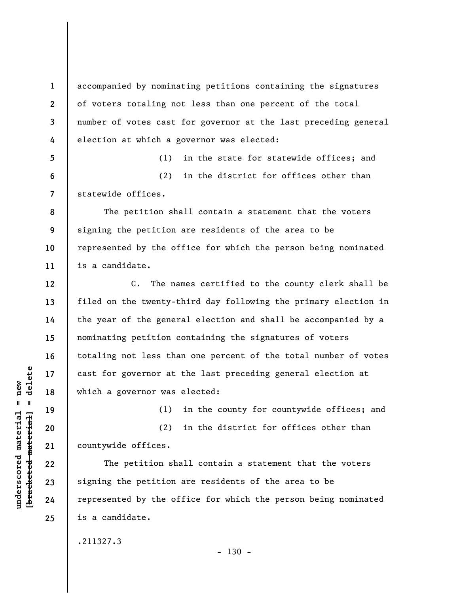accompanied by nominating petitions containing the signatures of voters totaling not less than one percent of the total number of votes cast for governor at the last preceding general election at which a governor was elected:

(1) in the state for statewide offices; and (2) in the district for offices other than statewide offices.

The petition shall contain a statement that the voters signing the petition are residents of the area to be represented by the office for which the person being nominated is a candidate.

C. The names certified to the county clerk shall be filed on the twenty-third day following the primary election in the year of the general election and shall be accompanied by a nominating petition containing the signatures of voters totaling not less than one percent of the total number of votes cast for governor at the last preceding general election at which a governor was elected:

(1) in the county for countywide offices; and

(2) in the district for offices other than countywide offices.

The petition shall contain a statement that the voters signing the petition are residents of the area to be represented by the office for which the person being nominated is a candidate.

.211327.3

 $- 130 -$ 

 $\frac{1}{2}$ **[bracketed material] = delete**  $underscored material = new$ **underscored material = new**

**1** 

**2** 

**3** 

**4** 

**5** 

**6** 

**7** 

**8** 

**9** 

**10** 

**11** 

**12** 

**13** 

**14** 

**15** 

**16** 

**17** 

**18** 

**19** 

**20** 

**21** 

**22** 

**23** 

**24**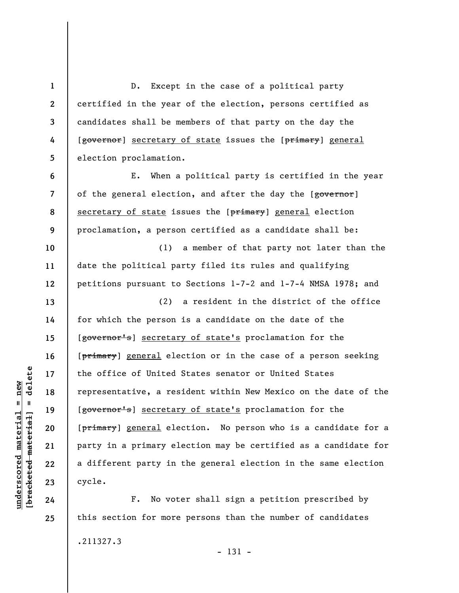**1 2 3 4 5**  D. Except in the case of a political party certified in the year of the election, persons certified as candidates shall be members of that party on the day the [governor] secretary of state issues the [primary] general election proclamation.

E. When a political party is certified in the year of the general election, and after the day the [governor] secretary of state issues the [primary] general election proclamation, a person certified as a candidate shall be:

(1) a member of that party not later than the date the political party filed its rules and qualifying petitions pursuant to Sections 1-7-2 and 1-7-4 NMSA 1978; and

(2) a resident in the district of the office for which the person is a candidate on the date of the [governor's] secretary of state's proclamation for the [primary] general election or in the case of a person seeking the office of United States senator or United States representative, a resident within New Mexico on the date of the [governor's] secretary of state's proclamation for the [primary] general election. No person who is a candidate for a party in a primary election may be certified as a candidate for a different party in the general election in the same election cycle.

F. No voter shall sign a petition prescribed by this section for more persons than the number of candidates .211327.3 - 131 -

 $\frac{1}{2}$  of  $\frac{1}{2}$  and  $\frac{1}{2}$  and  $\frac{1}{2}$  and  $\frac{1}{2}$  and  $\frac{1}{2}$  and  $\frac{1}{2}$  and  $\frac{1}{2}$  and  $\frac{1}{2}$  and  $\frac{1}{2}$  and  $\frac{1}{2}$  and  $\frac{1}{2}$  and  $\frac{1}{2}$  and  $\frac{1}{2}$  and  $\frac{1}{2}$  and  $\frac{1}{2}$  an **[bracketed material] = delete**  $anderscored material = new$ **underscored material = new**

**6** 

**7** 

**8** 

**9** 

**10** 

**11** 

**12** 

**13** 

**14** 

**15** 

**16** 

**17** 

**18** 

**19** 

**20** 

**21** 

**22** 

**23** 

**24**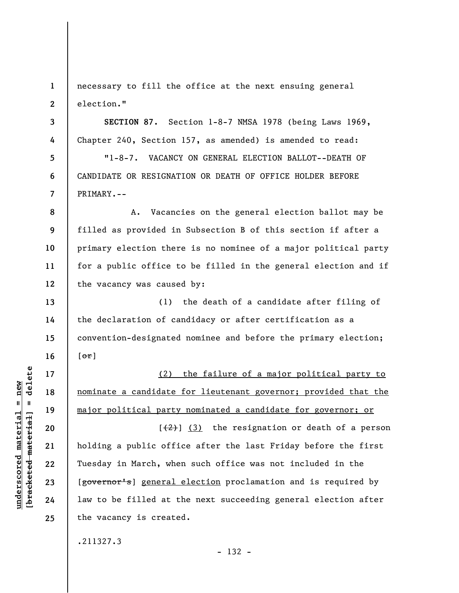**1 2**  necessary to fill the office at the next ensuing general election."

**3 7 SECTION 87.** Section 1-8-7 NMSA 1978 (being Laws 1969, Chapter 240, Section 157, as amended) is amended to read: "1-8-7. VACANCY ON GENERAL ELECTION BALLOT--DEATH OF CANDIDATE OR RESIGNATION OR DEATH OF OFFICE HOLDER BEFORE PRIMARY.--

**8 9 10 11 12**  A. Vacancies on the general election ballot may be filled as provided in Subsection B of this section if after a primary election there is no nominee of a major political party for a public office to be filled in the general election and if the vacancy was caused by:

(1) the death of a candidate after filing of the declaration of candidacy or after certification as a convention-designated nominee and before the primary election;  $[o\tau]$ 

(2) the failure of a major political party to nominate a candidate for lieutenant governor; provided that the major political party nominated a candidate for governor; or

 $[\frac{1}{2}]$  (3) the resignation or death of a person holding a public office after the last Friday before the first Tuesday in March, when such office was not included in the [governor's] general election proclamation and is required by law to be filled at the next succeeding general election after the vacancy is created.

- 132 -

.211327.3

delete **[bracketed material] = delete**  $underscored material = new$ **underscored material = new**  $\frac{1}{2}$ 

**4** 

**5** 

**6** 

**13** 

**14** 

**15** 

**16** 

**17** 

**18** 

**19** 

**20** 

**21** 

**22** 

**23** 

**24**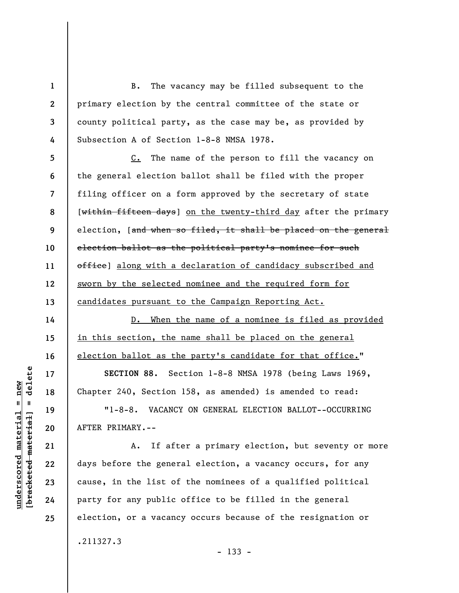B. The vacancy may be filled subsequent to the primary election by the central committee of the state or county political party, as the case may be, as provided by Subsection A of Section 1-8-8 NMSA 1978.

**5 6 7 8 9 10 11 12 13**  C. The name of the person to fill the vacancy on the general election ballot shall be filed with the proper filing officer on a form approved by the secretary of state [within fifteen days] on the twenty-third day after the primary election, [and when so filed, it shall be placed on the general election ballot as the political party's nominee for such office] along with a declaration of candidacy subscribed and sworn by the selected nominee and the required form for candidates pursuant to the Campaign Reporting Act.

D. When the name of a nominee is filed as provided in this section, the name shall be placed on the general election ballot as the party's candidate for that office."

**SECTION 88.** Section 1-8-8 NMSA 1978 (being Laws 1969, Chapter 240, Section 158, as amended) is amended to read:

"1-8-8. VACANCY ON GENERAL ELECTION BALLOT--OCCURRING AFTER PRIMARY.--

A. If after a primary election, but seventy or more days before the general election, a vacancy occurs, for any cause, in the list of the nominees of a qualified political party for any public office to be filled in the general election, or a vacancy occurs because of the resignation or .211327.3

- 133 -

delete **[bracketed material] = delete**  $anderscored material = new$ **underscored material = new**  $\mathbf{I}$ bracketed material

**1** 

**2** 

**3** 

**4** 

**14** 

**15** 

**16** 

**17** 

**18** 

**19** 

**20** 

**21** 

**22** 

**23** 

**24**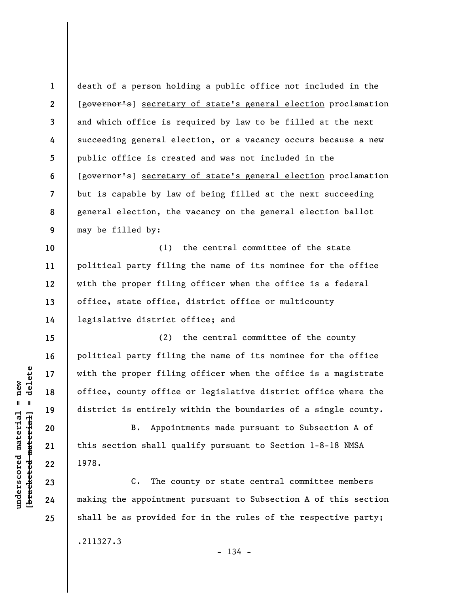**1 2 3 4 5 6 7 8 9 10 11 12 13 14 15 16 17 18 19 20 21 22 23**  death of a person holding a public office not included in the [governor's] secretary of state's general election proclamation and which office is required by law to be filled at the next succeeding general election, or a vacancy occurs because a new public office is created and was not included in the [governor's] secretary of state's general election proclamation but is capable by law of being filled at the next succeeding general election, the vacancy on the general election ballot may be filled by: (1) the central committee of the state political party filing the name of its nominee for the office with the proper filing officer when the office is a federal office, state office, district office or multicounty legislative district office; and (2) the central committee of the county political party filing the name of its nominee for the office with the proper filing officer when the office is a magistrate office, county office or legislative district office where the district is entirely within the boundaries of a single county. B. Appointments made pursuant to Subsection A of this section shall qualify pursuant to Section 1-8-18 NMSA 1978. C. The county or state central committee members

making the appointment pursuant to Subsection A of this section shall be as provided for in the rules of the respective party;

.211327.3

 $- 134 -$ 

 $\frac{1}{2}$  intereted material = delete **[bracketed material] = delete**  $nderscored$  material = new **underscored material = new**

**24**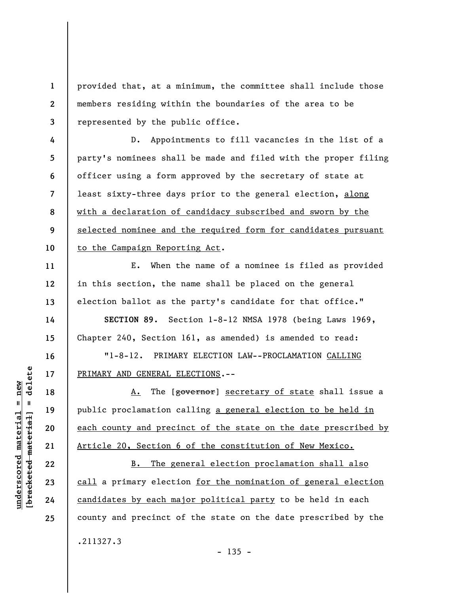**1 2 3**  provided that, at a minimum, the committee shall include those members residing within the boundaries of the area to be represented by the public office.

**4 5 6 7 8 9 10**  D. Appointments to fill vacancies in the list of a party's nominees shall be made and filed with the proper filing officer using a form approved by the secretary of state at least sixty-three days prior to the general election, along with a declaration of candidacy subscribed and sworn by the selected nominee and the required form for candidates pursuant to the Campaign Reporting Act.

E. When the name of a nominee is filed as provided in this section, the name shall be placed on the general election ballot as the party's candidate for that office."

**SECTION 89.** Section 1-8-12 NMSA 1978 (being Laws 1969, Chapter 240, Section 161, as amended) is amended to read:

"1-8-12. PRIMARY ELECTION LAW--PROCLAMATION CALLING PRIMARY AND GENERAL ELECTIONS.--

A. The [governor] secretary of state shall issue a public proclamation calling a general election to be held in each county and precinct of the state on the date prescribed by Article 20, Section 6 of the constitution of New Mexico.

B. The general election proclamation shall also call a primary election for the nomination of general election candidates by each major political party to be held in each county and precinct of the state on the date prescribed by the .211327.3  $- 135 -$ 

**11** 

**12** 

**13** 

**14** 

**15** 

**16** 

**17** 

**18** 

**19** 

**20** 

**21** 

**22** 

**23** 

**24**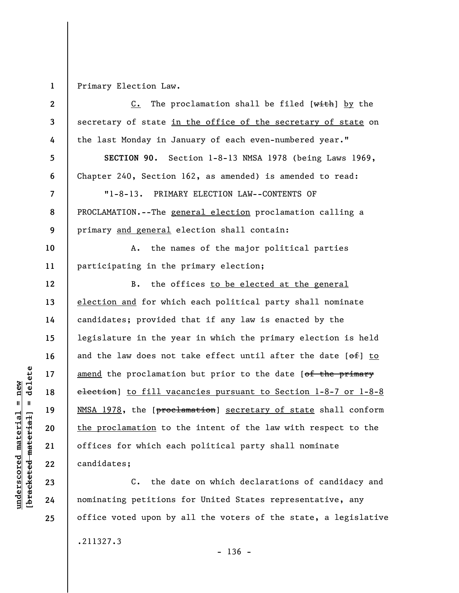**1**  Primary Election Law.

| $\mathbf{2}$   | The proclamation shall be filed $[\text{with}]$ by the<br>$c_{\bullet}$      |
|----------------|------------------------------------------------------------------------------|
| 3              | secretary of state in the office of the secretary of state on                |
| 4              | the last Monday in January of each even-numbered year."                      |
| 5              | SECTION 90. Section 1-8-13 NMSA 1978 (being Laws 1969,                       |
| 6              | Chapter 240, Section 162, as amended) is amended to read:                    |
| $\overline{7}$ | $"1 - 8 - 13.$<br>PRIMARY ELECTION LAW--CONTENTS OF                          |
| 8              | PROCLAMATION.--The general election proclamation calling a                   |
| 9              | primary and general election shall contain:                                  |
| 10             | the names of the major political parties<br>А.                               |
| 11             | participating in the primary election;                                       |
| 12             | the offices to be elected at the general<br>B.                               |
| 13             | election and for which each political party shall nominate                   |
| 14             | candidates; provided that if any law is enacted by the                       |
| 15             | legislature in the year in which the primary election is held                |
| 16             | and the law does not take effect until after the date $[\theta + \theta]$ to |
| 17             | amend the proclamation but prior to the date [of the primary                 |
| 18             | election] to fill vacancies pursuant to Section 1-8-7 or 1-8-8               |
| 19             | NMSA 1978, the [proclamation] secretary of state shall conform               |
| 20             | the proclamation to the intent of the law with respect to the                |
| 21             | offices for which each political party shall nominate                        |
| 22             | candidates;                                                                  |
| 23             | the date on which declarations of candidacy and<br>С.                        |

C. the date on which declarations of candidacy and nominating petitions for United States representative, any office voted upon by all the voters of the state, a legislative .211327.3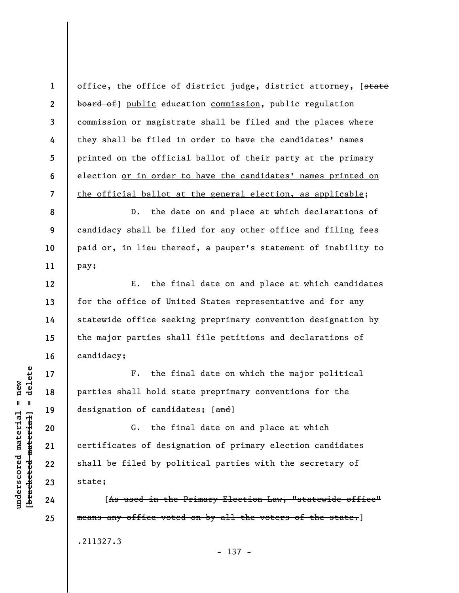office, the office of district judge, district attorney, [state board of public education commission, public regulation commission or magistrate shall be filed and the places where they shall be filed in order to have the candidates' names printed on the official ballot of their party at the primary election or in order to have the candidates' names printed on the official ballot at the general election, as applicable;

D. the date on and place at which declarations of candidacy shall be filed for any other office and filing fees paid or, in lieu thereof, a pauper's statement of inability to pay;

E. the final date on and place at which candidates for the office of United States representative and for any statewide office seeking preprimary convention designation by the major parties shall file petitions and declarations of candidacy;

F. the final date on which the major political parties shall hold state preprimary conventions for the designation of candidates; [and]

G. the final date on and place at which certificates of designation of primary election candidates shall be filed by political parties with the secretary of state;

[As used in the Primary Election Law, "statewide office" means any office voted on by all the voters of the state.] .211327.3

 $\frac{1}{2}$  intereted material = delete **[bracketed material] = delete**  $underscored material = new$ **underscored material = new**

**1** 

**2** 

**3** 

**4** 

**5** 

**6** 

**7** 

**8** 

**9** 

**10** 

**11** 

**12** 

**13** 

**14** 

**15** 

**16** 

**17** 

**18** 

**19** 

**20** 

**21** 

**22** 

**23** 

**24** 

**25** 

- 137 -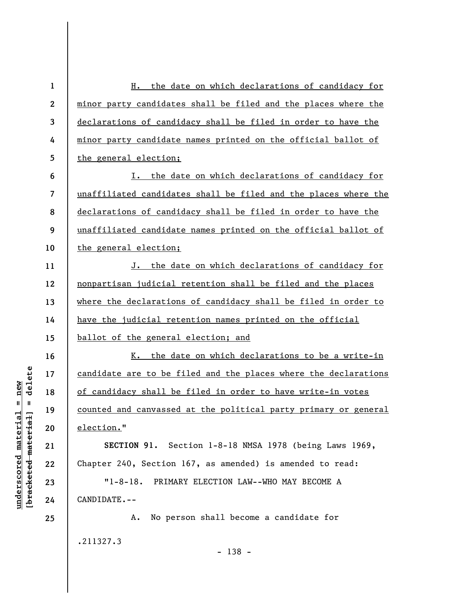| $\mathbf{1}$            | the date on which declarations of candidacy for<br>н.           |
|-------------------------|-----------------------------------------------------------------|
| $\boldsymbol{2}$        | minor party candidates shall be filed and the places where the  |
| $\mathbf{3}$            | declarations of candidacy shall be filed in order to have the   |
| 4                       | minor party candidate names printed on the official ballot of   |
| 5                       | the general election;                                           |
| 6                       | I. the date on which declarations of candidacy for              |
| $\overline{\mathbf{z}}$ | unaffiliated candidates shall be filed and the places where the |
| 8                       | declarations of candidacy shall be filed in order to have the   |
| 9                       | unaffiliated candidate names printed on the official ballot of  |
| 10                      | the general election;                                           |
| 11                      | J. the date on which declarations of candidacy for              |
| 12                      | nonpartisan judicial retention shall be filed and the places    |
| 13                      | where the declarations of candidacy shall be filed in order to  |
| 14                      | have the judicial retention names printed on the official       |
| 15                      | ballot of the general election; and                             |
| 16                      | the date on which declarations to be a write-in<br>к.           |
| 17                      | candidate are to be filed and the places where the declarations |
| 18                      | of candidacy shall be filed in order to have write-in votes     |
| 19                      | counted and canvassed at the political party primary or general |
| 20                      | election."                                                      |
| 21                      | SECTION 91. Section 1-8-18 NMSA 1978 (being Laws 1969,          |
| 22                      | Chapter 240, Section 167, as amended) is amended to read:       |
| 23                      | "1-8-18. PRIMARY ELECTION LAW--WHO MAY BECOME A                 |
| 24                      | CANDIDATE.--                                                    |
| 25                      | No person shall become a candidate for<br>Α.                    |
|                         | .211327.3                                                       |

- 138 -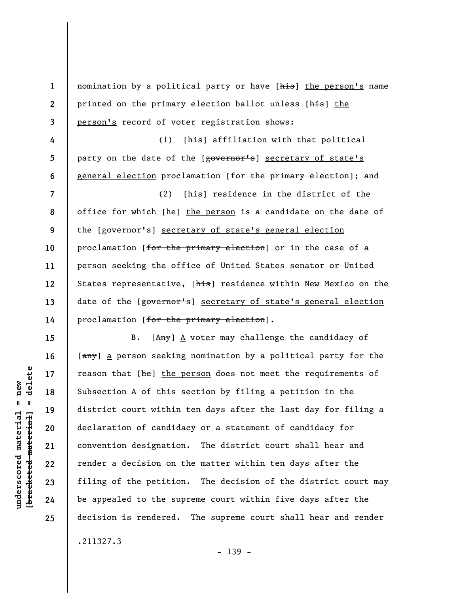| $\mathbf{1}$     | nomination by a political party or have [his] the person's name |
|------------------|-----------------------------------------------------------------|
| $\boldsymbol{2}$ | printed on the primary election ballot unless [his] the         |
| $\mathbf{3}$     | person's record of voter registration shows:                    |
| 4                | [his] affiliation with that political<br>(1)                    |
| 5                | party on the date of the [governor's] secretary of state's      |
| 6                | general election proclamation [for the primary election]; and   |
| $\overline{7}$   | (2)<br>[his] residence in the district of the                   |
| 8                | office for which [he] the person is a candidate on the date of  |
| 9                | the [governor's] secretary of state's general election          |
| 10               | proclamation [for the primary election] or in the case of a     |
| 11               | person seeking the office of United States senator or United    |
| 12               | States representative, [his] residence within New Mexico on the |
| 13               | date of the [governor's] secretary of state's general election  |
| 14               | proclamation [for the primary election].                        |
| 15               | B. $[Any]$ $\Delta$ voter may challenge the candidacy of        |
| 16               | [any] a person seeking nomination by a political party for the  |
| 17               | reason that [he] the person does not meet the requirements of   |
| 18               | Subsection A of this section by filing a petition in the        |
| 19               | district court within ten days after the last day for filing a  |
| 20               | declaration of candidacy or a statement of candidacy for        |
| 21               | convention designation. The district court shall hear and       |
| 22               | render a decision on the matter within ten days after the       |
| 23               | filing of the petition. The decision of the district court may  |
| 24               | be appealed to the supreme court within five days after the     |
| 25               | decision is rendered. The supreme court shall hear and render   |
|                  |                                                                 |

.211327.3

- 139 -

 $[$ bracketed material] = delete **[bracketed material] = delete**  $underscored material = new$ **underscored material = new**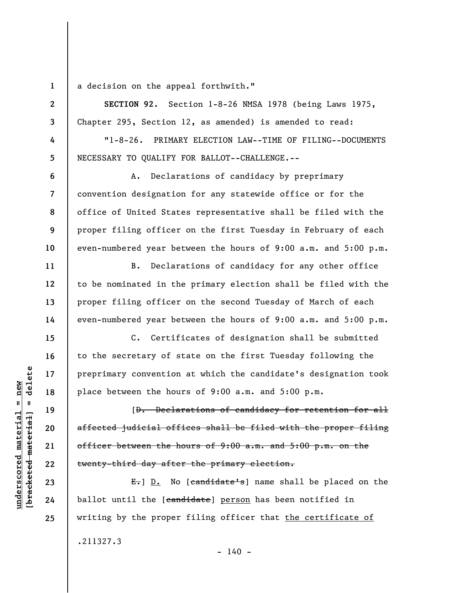**1 2** 

**3** 

**4** 

**5** 

**6** 

**7** 

**8** 

**9** 

**10** 

**11** 

**12** 

**13** 

**14** 

**15** 

**16** 

**17** 

**18** 

**19** 

**20** 

**21** 

**22** 

**23** 

**24** 

**25** 

a decision on the appeal forthwith."

**SECTION 92.** Section 1-8-26 NMSA 1978 (being Laws 1975, Chapter 295, Section 12, as amended) is amended to read:

"1-8-26. PRIMARY ELECTION LAW--TIME OF FILING--DOCUMENTS NECESSARY TO QUALIFY FOR BALLOT--CHALLENGE.--

A. Declarations of candidacy by preprimary convention designation for any statewide office or for the office of United States representative shall be filed with the proper filing officer on the first Tuesday in February of each even-numbered year between the hours of 9:00 a.m. and 5:00 p.m.

B. Declarations of candidacy for any other office to be nominated in the primary election shall be filed with the proper filing officer on the second Tuesday of March of each even-numbered year between the hours of 9:00 a.m. and 5:00 p.m.

C. Certificates of designation shall be submitted to the secretary of state on the first Tuesday following the preprimary convention at which the candidate's designation took place between the hours of 9:00 a.m. and 5:00 p.m.

[D. Declarations of candidacy for retention for all affected judicial offices shall be filed with the proper filing officer between the hours of 9:00 a.m. and 5:00 p.m. on the twenty-third day after the primary election.

 $E_{\tau}$ ] D. No [candidate's] name shall be placed on the ballot until the [candidate] person has been notified in writing by the proper filing officer that the certificate of .211327.3  $- 140 -$ 

 $\frac{1}{2}$  intereted material = delete **[bracketed material] = delete**  $underscored material = new$ **underscored material = new**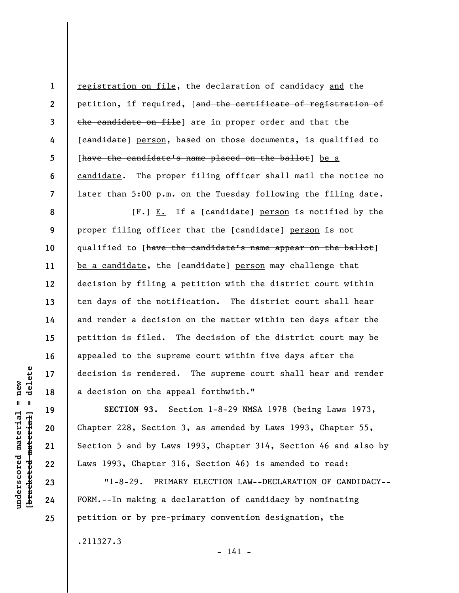registration on file, the declaration of candidacy and the petition, if required, [and the certificate of registration of the candidate on file] are in proper order and that the [candidate] person, based on those documents, is qualified to [have the candidate's name placed on the ballot] be a candidate. The proper filing officer shall mail the notice no later than 5:00 p.m. on the Tuesday following the filing date.

**8 9 10 11 12 13 14 15 16 17 18**  [F.] E. If a [candidate] person is notified by the proper filing officer that the [candidate] person is not qualified to [have the candidate's name appear on the ballot] be a candidate, the [candidate] person may challenge that decision by filing a petition with the district court within ten days of the notification. The district court shall hear and render a decision on the matter within ten days after the petition is filed. The decision of the district court may be appealed to the supreme court within five days after the decision is rendered. The supreme court shall hear and render a decision on the appeal forthwith."

**SECTION 93.** Section 1-8-29 NMSA 1978 (being Laws 1973, Chapter 228, Section 3, as amended by Laws 1993, Chapter 55, Section 5 and by Laws 1993, Chapter 314, Section 46 and also by Laws 1993, Chapter 316, Section 46) is amended to read:

"1-8-29. PRIMARY ELECTION LAW--DECLARATION OF CANDIDACY-- FORM.--In making a declaration of candidacy by nominating petition or by pre-primary convention designation, the

- 141 -

.211327.3

delete **[bracketed material] = delete**  $anderscored material = new$ **underscored material = new**  $\mathbf{I}$ bracketed material

**19** 

**20** 

**21** 

**22** 

**1** 

**2** 

**3** 

**4** 

**5** 

**6**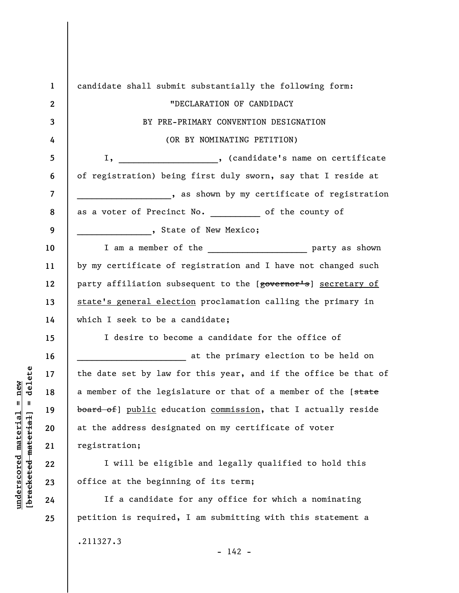**1 2 3 4 5 6 7 8 9 10 11 12 13 14 15 16 17 18 19 20 21 22 23 24 25**  candidate shall submit substantially the following form: "DECLARATION OF CANDIDACY BY PRE-PRIMARY CONVENTION DESIGNATION (OR BY NOMINATING PETITION) I, \_\_\_\_\_\_\_\_\_\_\_\_\_\_\_\_\_\_, (candidate's name on certificate of registration) being first duly sworn, say that I reside at , as shown by my certificate of registration as a voter of Precinct No.  $\qquad \qquad$  of the county of \_\_\_\_\_\_\_\_\_\_\_\_\_\_\_, State of New Mexico; I am a member of the \_\_\_\_\_\_\_\_\_\_\_\_\_\_\_\_\_\_\_\_\_\_\_\_\_ party as shown by my certificate of registration and I have not changed such party affiliation subsequent to the [governor's] secretary of state's general election proclamation calling the primary in which I seek to be a candidate; I desire to become a candidate for the office of at the primary election to be held on the date set by law for this year, and if the office be that of a member of the legislature or that of a member of the [state board of] public education commission, that I actually reside at the address designated on my certificate of voter registration; I will be eligible and legally qualified to hold this office at the beginning of its term; If a candidate for any office for which a nominating petition is required, I am submitting with this statement a

.211327.3

**underscored material = new [bracketed material] = delete**

 $underscored material = new$ 

delete

 $\mathbf{I}$ 

bracketed material

 $- 142 -$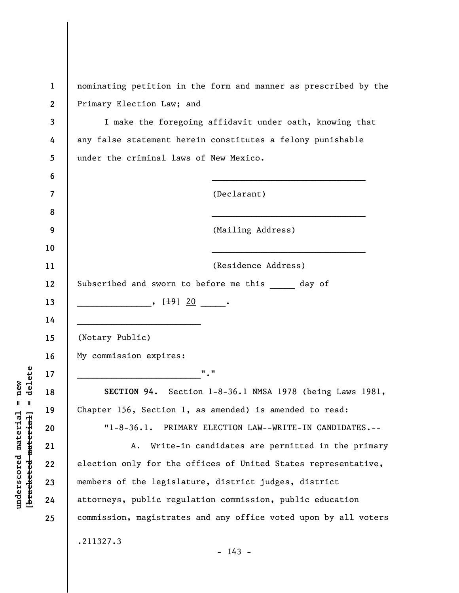| $\mathbf{1}$            | nominating petition in the form and manner as prescribed by the |
|-------------------------|-----------------------------------------------------------------|
| $\mathbf{2}$            | Primary Election Law; and                                       |
| 3                       | I make the foregoing affidavit under oath, knowing that         |
| 4                       | any false statement herein constitutes a felony punishable      |
| 5                       | under the criminal laws of New Mexico.                          |
| 6                       |                                                                 |
| $\overline{\mathbf{z}}$ | (Declarant)                                                     |
| 8                       |                                                                 |
| 9                       | (Mailing Address)                                               |
| 10                      |                                                                 |
| 11                      | (Residence Address)                                             |
| 12                      | Subscribed and sworn to before me this day of                   |
| 13                      | $\frac{1}{20}$ , $\frac{1}{20}$                                 |
| 14                      |                                                                 |
| 15                      | (Notary Public)                                                 |
| 16                      | My commission expires:                                          |
| 17                      | $^{\prime\prime}$ . $^{\prime\prime}$                           |
| 18                      | SECTION 94. Section 1-8-36.1 NMSA 1978 (being Laws 1981,        |
| 19                      | Chapter 156, Section 1, as amended) is amended to read:         |
| 20                      | "1-8-36.1. PRIMARY ELECTION LAW--WRITE-IN CANDIDATES.--         |
| 21                      | Write-in candidates are permitted in the primary<br>Α.          |
| 22                      | election only for the offices of United States representative,  |
| 23                      | members of the legislature, district judges, district           |
| 24                      | attorneys, public regulation commission, public education       |
| 25                      | commission, magistrates and any office voted upon by all voters |
|                         | .211327.3                                                       |
|                         | $-143 -$                                                        |

**underscored material = new [bracketed material] = delete**

 $[**bracket eted metert et**] = **del et e**$  $underscored material = new$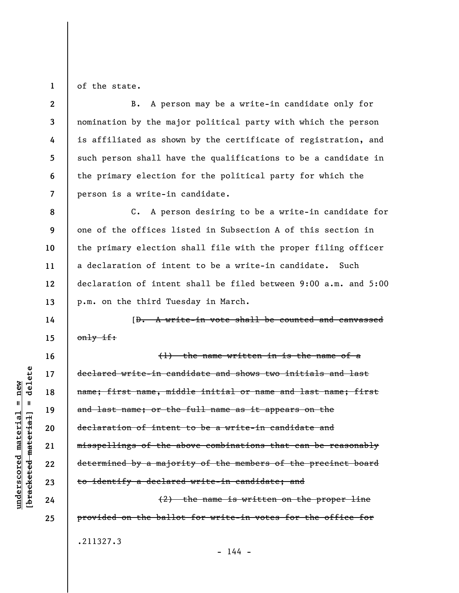**1**  of the state.

**8** 

**9** 

**10** 

**11** 

**12** 

**13** 

**14** 

**15** 

**16** 

**17** 

**18** 

**19** 

**20** 

**21** 

**22** 

**23** 

**24** 

**25** 

**2 3 4 5 6 7**  B. A person may be a write-in candidate only for nomination by the major political party with which the person is affiliated as shown by the certificate of registration, and such person shall have the qualifications to be a candidate in the primary election for the political party for which the person is a write-in candidate.

C. A person desiring to be a write-in candidate for one of the offices listed in Subsection A of this section in the primary election shall file with the proper filing officer a declaration of intent to be a write-in candidate. Such declaration of intent shall be filed between 9:00 a.m. and 5:00 p.m. on the third Tuesday in March.

[D. A write-in vote shall be counted and canvassed  $only$  if:

(1) the name written in is the name of a declared write-in candidate and shows two initials and last name; first name, middle initial or name and last name; first and last name; or the full name as it appears on the declaration of intent to be a write-in candidate and misspellings of the above combinations that can be reasonably determined by a majority of the members of the precinct board to identify a declared write-in candidate; and (2) the name is written on the proper line

.211327.3

 $- 144 -$ 

provided on the ballot for write-in votes for the office for

delete **[bracketed material] = delete**  $underscored material = new$ **underscored material = new**  $\mathbf{I}$ bracketed material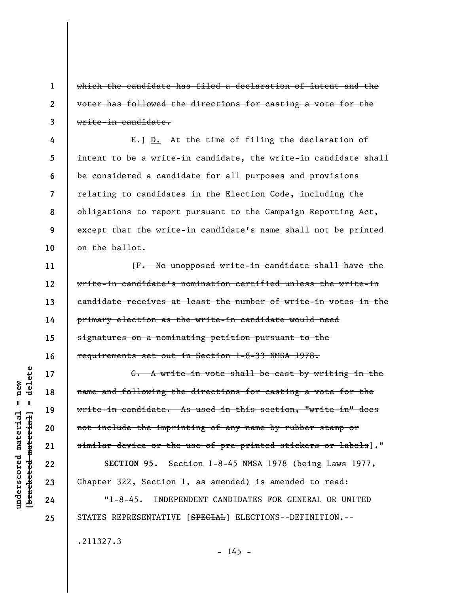which the candidate has filed a declaration of intent and the voter has followed the directions for casting a vote for the write-in candidate.

 $E_{\tau}$ ] D. At the time of filing the declaration of intent to be a write-in candidate, the write-in candidate shall be considered a candidate for all purposes and provisions relating to candidates in the Election Code, including the obligations to report pursuant to the Campaign Reporting Act, except that the write-in candidate's name shall not be printed on the ballot.

[F. No unopposed write-in candidate shall have the write-in candidate's nomination certified unless the write-in candidate receives at least the number of write-in votes in the primary election as the write-in candidate would need signatures on a nominating petition pursuant to the requirements set out in Section 1-8-33 NMSA 1978.

G. A write-in vote shall be cast by writing in the name and following the directions for casting a vote for the write-in candidate. As used in this section, "write-in" does not include the imprinting of any name by rubber stamp or similar device or the use of pre-printed stickers or labels]."

**SECTION 95.** Section 1-8-45 NMSA 1978 (being Laws 1977, Chapter 322, Section 1, as amended) is amended to read:

"1-8-45. INDEPENDENT CANDIDATES FOR GENERAL OR UNITED STATES REPRESENTATIVE [SPECIAL] ELECTIONS--DEFINITION.--

.211327.3

delete **[bracketed material] = delete**  $underscored material = new$ **underscored material = new**  $\mathbf{I}$ bracketed material

**1** 

**2** 

**3** 

**4** 

**5** 

**6** 

**7** 

**8** 

**9** 

**10** 

**11** 

**12** 

**13** 

**14** 

**15** 

**16** 

**17** 

**18** 

**19** 

**20** 

**21** 

**22** 

**23** 

**24**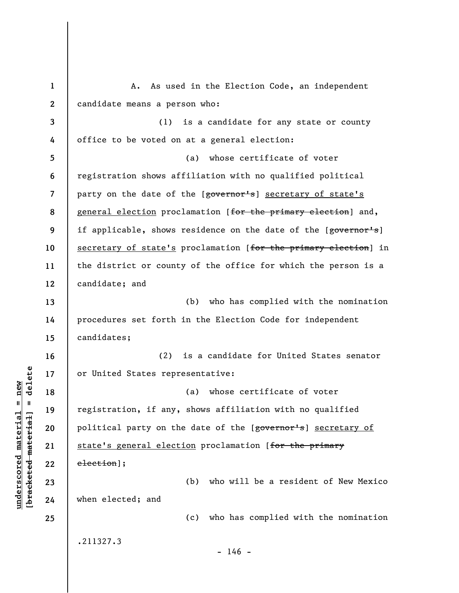**1 2 3 4 5 6 7 8 9 10 11 12 13 14 15 16 17 18 19 20 21 22 23 24 25**  A. As used in the Election Code, an independent candidate means a person who: (1) is a candidate for any state or county office to be voted on at a general election: (a) whose certificate of voter registration shows affiliation with no qualified political party on the date of the [governor's] secretary of state's general election proclamation [for the primary election] and, if applicable, shows residence on the date of the [governor's] secretary of state's proclamation [for the primary election] in the district or county of the office for which the person is a candidate; and (b) who has complied with the nomination procedures set forth in the Election Code for independent candidates; (2) is a candidate for United States senator or United States representative: (a) whose certificate of voter registration, if any, shows affiliation with no qualified political party on the date of the [governor's] secretary of state's general election proclamation [for the primary election]; (b) who will be a resident of New Mexico when elected; and (c) who has complied with the nomination .211327.3  $- 146 -$ 

**underscored material = new [bracketed material] = delete**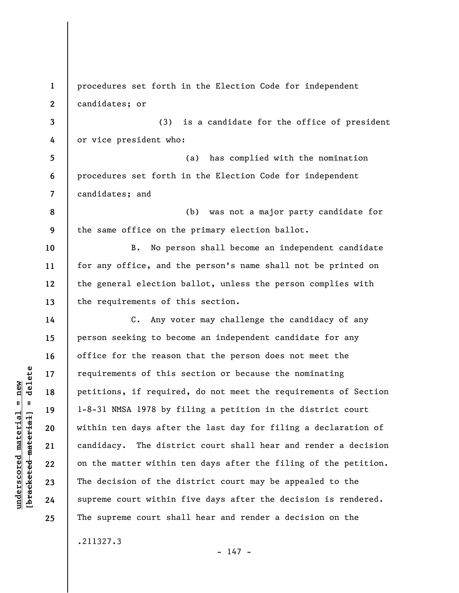**1 2 3 4 5 6 7 8 9 10 11 12 13 14 15 16 17 18 19 20 21 22 23 24 25**  procedures set forth in the Election Code for independent candidates; or (3) is a candidate for the office of president or vice president who: (a) has complied with the nomination procedures set forth in the Election Code for independent candidates; and (b) was not a major party candidate for the same office on the primary election ballot. B. No person shall become an independent candidate for any office, and the person's name shall not be printed on the general election ballot, unless the person complies with the requirements of this section. C. Any voter may challenge the candidacy of any person seeking to become an independent candidate for any office for the reason that the person does not meet the requirements of this section or because the nominating petitions, if required, do not meet the requirements of Section 1-8-31 NMSA 1978 by filing a petition in the district court within ten days after the last day for filing a declaration of candidacy. The district court shall hear and render a decision on the matter within ten days after the filing of the petition. The decision of the district court may be appealed to the supreme court within five days after the decision is rendered. The supreme court shall hear and render a decision on the .211327.3

 $- 147 -$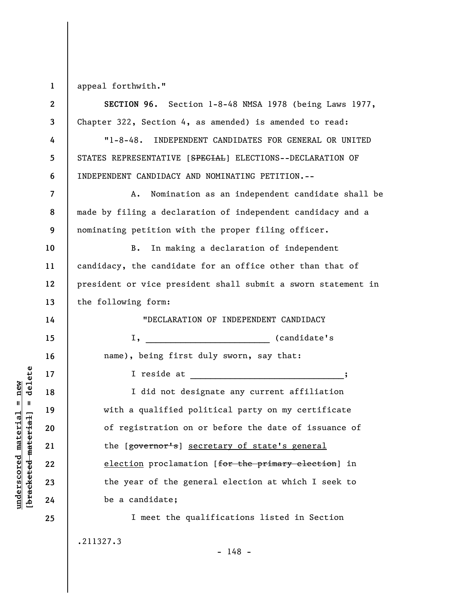**1** 

**underscored material = new [bracketed material] = delete**

 $\frac{1}{2}$  intereted material = delete  $underscored material = new$ 

appeal forthwith."

**2 3 4 5 6 7 8 9 10 11 12 13 14 15 16 17 18 19 20 21 22 23 24 25 SECTION 96.** Section 1-8-48 NMSA 1978 (being Laws 1977, Chapter 322, Section 4, as amended) is amended to read: "1-8-48. INDEPENDENT CANDIDATES FOR GENERAL OR UNITED STATES REPRESENTATIVE [SPECIAL] ELECTIONS--DECLARATION OF INDEPENDENT CANDIDACY AND NOMINATING PETITION.-- A. Nomination as an independent candidate shall be made by filing a declaration of independent candidacy and a nominating petition with the proper filing officer. B. In making a declaration of independent candidacy, the candidate for an office other than that of president or vice president shall submit a sworn statement in the following form: "DECLARATION OF INDEPENDENT CANDIDACY I, \_\_\_\_\_\_\_\_\_\_\_\_\_\_\_\_\_\_\_\_\_\_\_\_\_ (candidate's name), being first duly sworn, say that: I reside at I did not designate any current affiliation with a qualified political party on my certificate of registration on or before the date of issuance of the [governor's] secretary of state's general election proclamation [for the primary election] in the year of the general election at which I seek to be a candidate; I meet the qualifications listed in Section .211327.3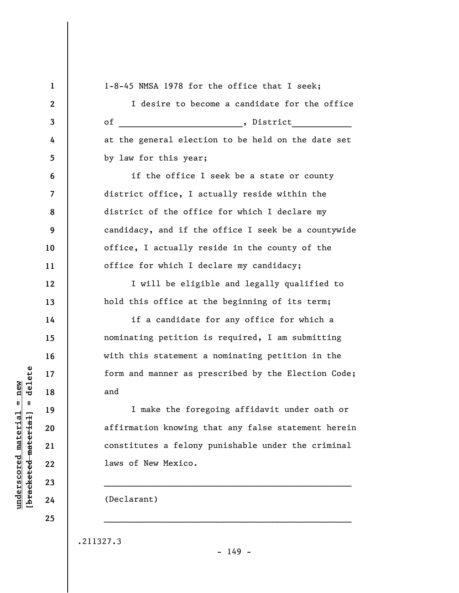**1 2 3 4 5 6 7 8 9 10 11 12 13 14 15 16 17 18 19 20 21 22 23 24 25**  1-8-45 NMSA 1978 for the office that I seek; I desire to become a candidate for the office of  $\begin{array}{|c|c|c|c|c|}\n\hline\n\text{of} & \text{.} & \text{.} & \text{.} & \text{.} & \text{.} & \text{.} & \text{.} & \text{.} & \text{.} & \text{.} & \text{.} & \text{.} & \text{.} & \text{.} & \text{.} & \text{.} & \text{.} & \text{.} & \text{.} & \text{.} & \text{.} & \text{.} & \text{.} & \text{.} & \text{.} & \text{.} & \text{.} & \text{.} & \text{.} & \text{.} & \text{.} & \text{$ at the general election to be held on the date set by law for this year; if the office I seek be a state or county district office, I actually reside within the district of the office for which I declare my candidacy, and if the office I seek be a countywide office, I actually reside in the county of the office for which I declare my candidacy; I will be eligible and legally qualified to hold this office at the beginning of its term; if a candidate for any office for which a nominating petition is required, I am submitting with this statement a nominating petition in the form and manner as prescribed by the Election Code; and I make the foregoing affidavit under oath or affirmation knowing that any false statement herein constitutes a felony punishable under the criminal laws of New Mexico.  $\mathcal{L}_\text{max} = \mathcal{L}_\text{max} = \mathcal{L}_\text{max} = \mathcal{L}_\text{max} = \mathcal{L}_\text{max} = \mathcal{L}_\text{max} = \mathcal{L}_\text{max} = \mathcal{L}_\text{max} = \mathcal{L}_\text{max} = \mathcal{L}_\text{max} = \mathcal{L}_\text{max} = \mathcal{L}_\text{max} = \mathcal{L}_\text{max} = \mathcal{L}_\text{max} = \mathcal{L}_\text{max} = \mathcal{L}_\text{max} = \mathcal{L}_\text{max} = \mathcal{L}_\text{max} = \mathcal{$ (Declarant)  $\mathcal{L}_\text{max} = \mathcal{L}_\text{max} = \mathcal{L}_\text{max} = \mathcal{L}_\text{max} = \mathcal{L}_\text{max} = \mathcal{L}_\text{max} = \mathcal{L}_\text{max} = \mathcal{L}_\text{max} = \mathcal{L}_\text{max} = \mathcal{L}_\text{max} = \mathcal{L}_\text{max} = \mathcal{L}_\text{max} = \mathcal{L}_\text{max} = \mathcal{L}_\text{max} = \mathcal{L}_\text{max} = \mathcal{L}_\text{max} = \mathcal{L}_\text{max} = \mathcal{L}_\text{max} = \mathcal{$ 

 $\frac{1}{2}$  intereted material = delete **[bracketed material] = delete**  $underscored material = new$ **underscored material = new**

.211327.3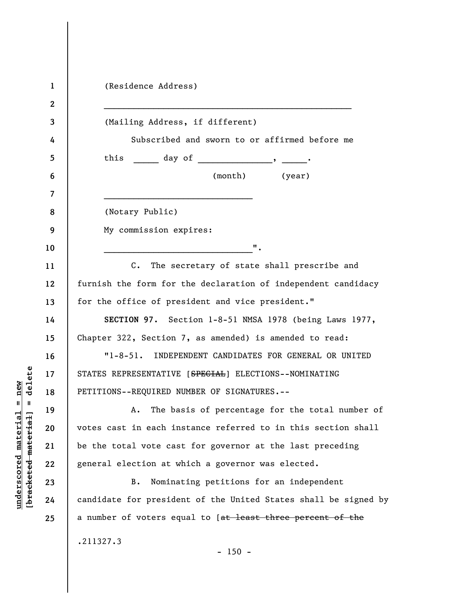| 1            | (Residence Address)                                             |
|--------------|-----------------------------------------------------------------|
| $\mathbf{2}$ |                                                                 |
| 3            | (Mailing Address, if different)                                 |
| 4            | Subscribed and sworn to or affirmed before me                   |
| 5            | this $\qquad \qquad \text{day of} \qquad \qquad \text{}$        |
| 6            | (month) (year)                                                  |
| 7            |                                                                 |
| 8            | (Notary Public)                                                 |
| 9            | My commission expires:                                          |
| 10           | $\mathbf{u}$ .                                                  |
| 11           | $C$ .<br>The secretary of state shall prescribe and             |
| 12           | furnish the form for the declaration of independent candidacy   |
| 13           | for the office of president and vice president."                |
| 14           | SECTION 97. Section 1-8-51 NMSA 1978 (being Laws 1977,          |
| 15           | Chapter 322, Section 7, as amended) is amended to read:         |
| 16           | "1-8-51. INDEPENDENT CANDIDATES FOR GENERAL OR UNITED           |
| 17           | STATES REPRESENTATIVE [SPECIAL] ELECTIONS--NOMINATING           |
| 18           | PETITIONS--REQUIRED NUMBER OF SIGNATURES.--                     |
| 19           | The basis of percentage for the total number of<br>Α.           |
| 20           | votes cast in each instance referred to in this section shall   |
| 21           | be the total vote cast for governor at the last preceding       |
| 22           | general election at which a governor was elected.               |
| 23           | Nominating petitions for an independent<br>B.                   |
| 24           | candidate for president of the United States shall be signed by |
| 25           | a number of voters equal to [at least three percent of the      |
|              | .211327.3                                                       |
|              | $-150 -$                                                        |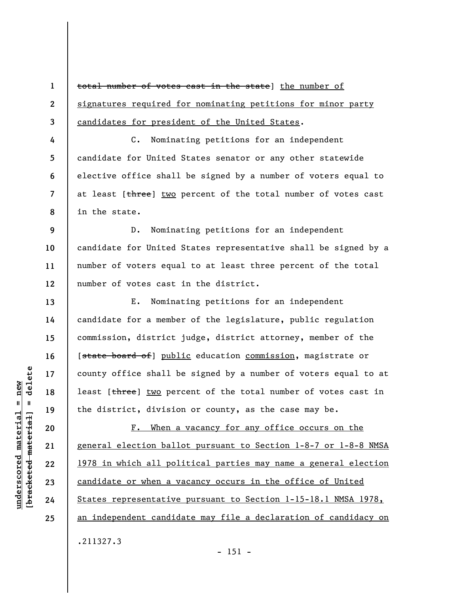total number of votes cast in the state] the number of signatures required for nominating petitions for minor party candidates for president of the United States.

**4 5 6 7 8**  C. Nominating petitions for an independent candidate for United States senator or any other statewide elective office shall be signed by a number of voters equal to at least [three] two percent of the total number of votes cast in the state.

**9 10 11 12**  D. Nominating petitions for an independent candidate for United States representative shall be signed by a number of voters equal to at least three percent of the total number of votes cast in the district.

E. Nominating petitions for an independent candidate for a member of the legislature, public regulation commission, district judge, district attorney, member of the [state board of] public education commission, magistrate or county office shall be signed by a number of voters equal to at least [three] two percent of the total number of votes cast in the district, division or county, as the case may be.

F. When a vacancy for any office occurs on the general election ballot pursuant to Section 1-8-7 or 1-8-8 NMSA 1978 in which all political parties may name a general election candidate or when a vacancy occurs in the office of United States representative pursuant to Section 1-15-18.1 NMSA 1978, an independent candidate may file a declaration of candidacy on .211327.3

 $\frac{1}{2}$  intereted material = delete **[bracketed material] = delete**  $anderscored material = new$ **underscored material = new**

**1** 

**2** 

**3** 

**13** 

**14** 

**15** 

**16** 

**17** 

**18** 

**19** 

**20** 

**21** 

**22** 

**23** 

**24**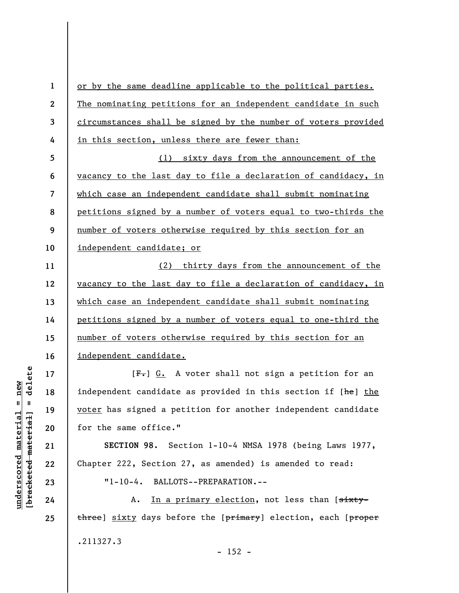**1 2 3 4 5 6 7 8 9 10 11 12 13 14 15 16 17 18 19 20 21**  or by the same deadline applicable to the political parties. The nominating petitions for an independent candidate in such circumstances shall be signed by the number of voters provided in this section, unless there are fewer than: (1) sixty days from the announcement of the vacancy to the last day to file a declaration of candidacy, in which case an independent candidate shall submit nominating petitions signed by a number of voters equal to two-thirds the number of voters otherwise required by this section for an independent candidate; or (2) thirty days from the announcement of the vacancy to the last day to file a declaration of candidacy, in which case an independent candidate shall submit nominating petitions signed by a number of voters equal to one-third the number of voters otherwise required by this section for an independent candidate.  $[F-]$  G. A voter shall not sign a petition for an independent candidate as provided in this section if [he] the voter has signed a petition for another independent candidate for the same office." **SECTION 98.** Section 1-10-4 NMSA 1978 (being Laws 1977,

Chapter 222, Section 27, as amended) is amended to read:

"1-10-4. BALLOTS--PREPARATION.--

A. In a primary election, not less than [sixtythree] sixty days before the [primary] election, each [proper .211327.3

delete **[bracketed material] = delete**  $anderscored material = new$ **underscored material = new**  $\frac{1}{2}$  bracketed material =

**22** 

**23** 

**24**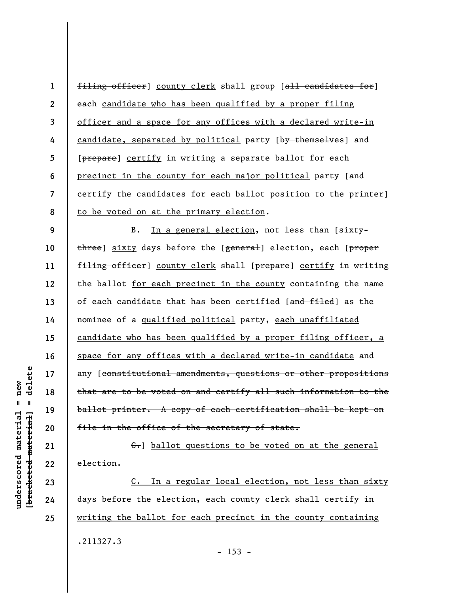**1 2 3 4 5 6 7 8**  filing officer] county clerk shall group [all candidates for] each candidate who has been qualified by a proper filing officer and a space for any offices with a declared write-in candidate, separated by political party [by themselves] and [prepare] certify in writing a separate ballot for each precinct in the county for each major political party [and certify the candidates for each ballot position to the printer] to be voted on at the primary election.

**9 10 11 12 13 14 15 16 17 18 19 20**  B. In a general election, not less than [sixtythree] sixty days before the [general] election, each [proper filing officer] county clerk shall [prepare] certify in writing the ballot for each precinct in the county containing the name of each candidate that has been certified [and filed] as the nominee of a qualified political party, each unaffiliated candidate who has been qualified by a proper filing officer, a space for any offices with a declared write-in candidate and any [constitutional amendments, questions or other propositions that are to be voted on and certify all such information to the ballot printer. A copy of each certification shall be kept on file in the office of the secretary of state.

 $\epsilon$ . ballot questions to be voted on at the general election.

C. In a regular local election, not less than sixty days before the election, each county clerk shall certify in writing the ballot for each precinct in the county containing .211327.3  $- 153 -$ 

delete **[bracketed material] = delete**  $anderscored material = new$ **underscored material = new**  $\mathbf{I}$ bracketed material

**21** 

**22** 

**23** 

**24**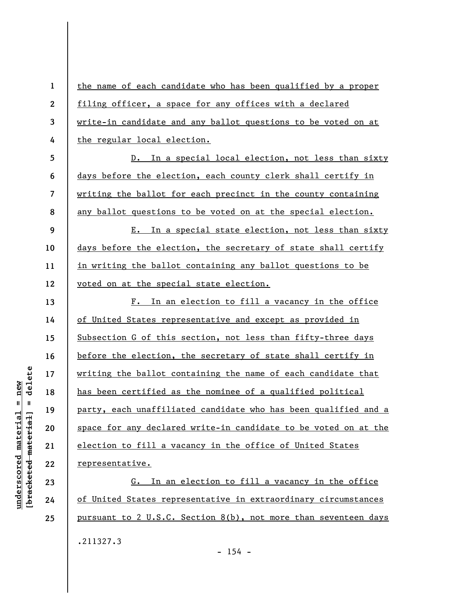**1 2 3 4 5 6 7 8 9 10 11 12 13 14 15 16 17 18 19 20 21 22 23**  the name of each candidate who has been qualified by a proper filing officer, a space for any offices with a declared write-in candidate and any ballot questions to be voted on at the regular local election. D. In a special local election, not less than sixty days before the election, each county clerk shall certify in writing the ballot for each precinct in the county containing any ballot questions to be voted on at the special election. E. In a special state election, not less than sixty days before the election, the secretary of state shall certify in writing the ballot containing any ballot questions to be voted on at the special state election. F. In an election to fill a vacancy in the office of United States representative and except as provided in Subsection G of this section, not less than fifty-three days before the election, the secretary of state shall certify in writing the ballot containing the name of each candidate that has been certified as the nominee of a qualified political party, each unaffiliated candidate who has been qualified and a space for any declared write-in candidate to be voted on at the election to fill a vacancy in the office of United States representative. G. In an election to fill a vacancy in the office

of United States representative in extraordinary circumstances pursuant to 2 U.S.C. Section 8(b), not more than seventeen days .211327.3

delete **[bracketed material] = delete**  $anderscored material = new$ **underscored material = new**  $\mathbf{I}$ bracketed material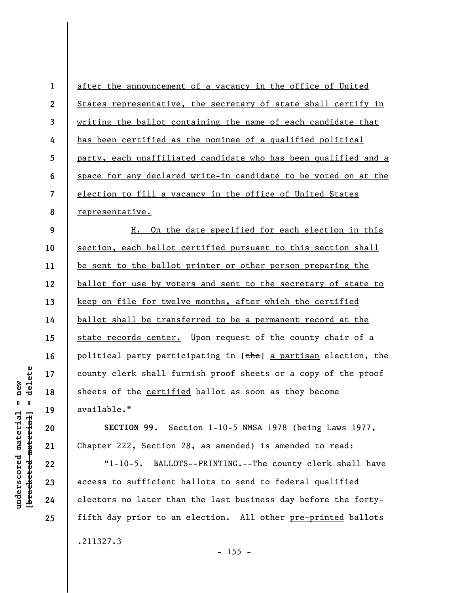**1 2 3 4 5 6 7 8**  after the announcement of a vacancy in the office of United States representative, the secretary of state shall certify in writing the ballot containing the name of each candidate that has been certified as the nominee of a qualified political party, each unaffiliated candidate who has been qualified and a space for any declared write-in candidate to be voted on at the election to fill a vacancy in the office of United States representative.

**9 10 11 12 13 14 15 16 17 18 19**  H. On the date specified for each election in this section, each ballot certified pursuant to this section shall be sent to the ballot printer or other person preparing the ballot for use by voters and sent to the secretary of state to keep on file for twelve months, after which the certified ballot shall be transferred to be a permanent record at the state records center. Upon request of the county chair of a political party participating in  $[the]$  a partisan election, the county clerk shall furnish proof sheets or a copy of the proof sheets of the **certified** ballot as soon as they become available."

**SECTION 99.** Section 1-10-5 NMSA 1978 (being Laws 1977, Chapter 222, Section 28, as amended) is amended to read:

"1-10-5. BALLOTS--PRINTING.--The county clerk shall have access to sufficient ballots to send to federal qualified electors no later than the last business day before the fortyfifth day prior to an election. All other pre-printed ballots .211327.3

**20** 

**21** 

**22** 

**23** 

**24**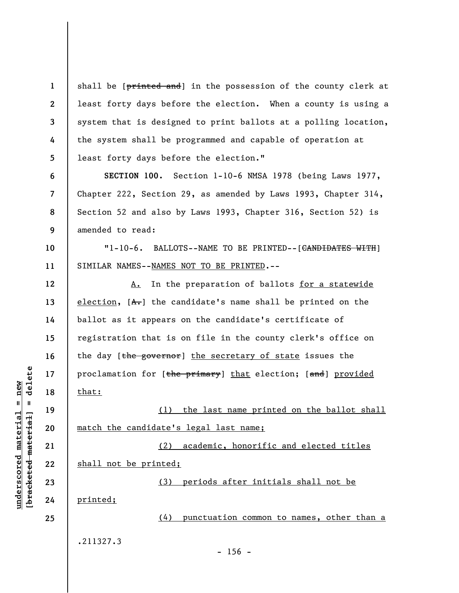**1 2 3 4 5**  shall be [printed and] in the possession of the county clerk at least forty days before the election. When a county is using a system that is designed to print ballots at a polling location, the system shall be programmed and capable of operation at least forty days before the election."

**SECTION 100.** Section 1-10-6 NMSA 1978 (being Laws 1977, Chapter 222, Section 29, as amended by Laws 1993, Chapter 314, Section 52 and also by Laws 1993, Chapter 316, Section 52) is amended to read:

**10 11**  "1-10-6. BALLOTS--NAME TO BE PRINTED--[CANDIDATES WITH] SIMILAR NAMES--NAMES NOT TO BE PRINTED.--

A. In the preparation of ballots for a statewide election,  $[A,-]$  the candidate's name shall be printed on the ballot as it appears on the candidate's certificate of registration that is on file in the county clerk's office on the day [the governor] the secretary of state issues the proclamation for [the primary] that election; [and] provided that:

(1) the last name printed on the ballot shall match the candidate's legal last name;

(2) academic, honorific and elected titles shall not be printed; (3) periods after initials shall not be printed;

 $- 156 -$ 

(4) punctuation common to names, other than a

.211327.3

 $\frac{1}{2}$  of  $\frac{1}{2}$  and  $\frac{1}{2}$  and  $\frac{1}{2}$  and  $\frac{1}{2}$  and  $\frac{1}{2}$  and  $\frac{1}{2}$  and  $\frac{1}{2}$  and  $\frac{1}{2}$  and  $\frac{1}{2}$  and  $\frac{1}{2}$  and  $\frac{1}{2}$  and  $\frac{1}{2}$  and  $\frac{1}{2}$  and  $\frac{1}{2}$  and  $\frac{1}{2}$  an **[bracketed material] = delete**  $underscored material = new$ **underscored material = new**

**6** 

**7** 

**8** 

**9** 

**12** 

**13** 

**14** 

**15** 

**16** 

**17** 

**18** 

**19** 

**20** 

**21** 

**22** 

**23** 

**24**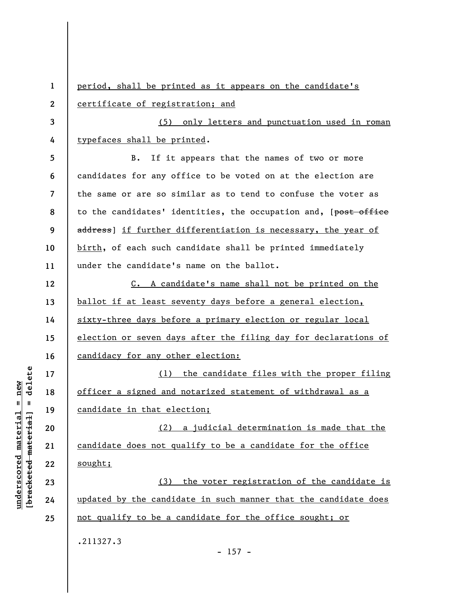**1 2 3 4 5 6 7 8 9 10 11 12 13 14 15 16 17 18 19 20 21 22 23 24 25**  period, shall be printed as it appears on the candidate's certificate of registration; and (5) only letters and punctuation used in roman typefaces shall be printed. B. If it appears that the names of two or more candidates for any office to be voted on at the election are the same or are so similar as to tend to confuse the voter as to the candidates' identities, the occupation and, [post office address) if further differentiation is necessary, the year of birth, of each such candidate shall be printed immediately under the candidate's name on the ballot. C. A candidate's name shall not be printed on the ballot if at least seventy days before a general election, sixty-three days before a primary election or regular local election or seven days after the filing day for declarations of candidacy for any other election: (1) the candidate files with the proper filing officer a signed and notarized statement of withdrawal as a candidate in that election; (2) a judicial determination is made that the candidate does not qualify to be a candidate for the office sought; (3) the voter registration of the candidate is updated by the candidate in such manner that the candidate does not qualify to be a candidate for the office sought; or .211327.3  $- 157 -$ 

 $b$ racketed material] = delete **[bracketed material] = delete**  $anderscored material = new$ **underscored material = new**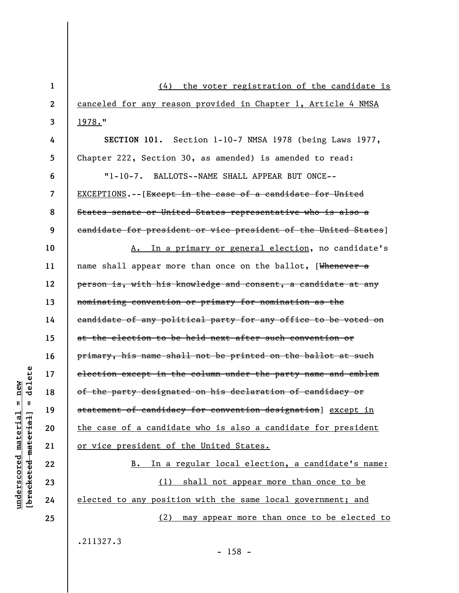| $\mathbf{1}$   | (4) the voter registration of the candidate is                     |
|----------------|--------------------------------------------------------------------|
| $\overline{2}$ | canceled for any reason provided in Chapter 1, Article 4 NMSA      |
| 3              | 1978."                                                             |
| 4              | SECTION 101. Section 1-10-7 NMSA 1978 (being Laws 1977,            |
| 5              | Chapter 222, Section 30, as amended) is amended to read:           |
| 6              | "1-10-7. BALLOTS--NAME SHALL APPEAR BUT ONCE--                     |
| 7              | <b>EXCEPTIONS.--</b> [Except in the case of a candidate for United |
| 8              | States senate or United States representative who is also a        |
| 9              | eandidate for president or vice president of the United States]    |
| 10             | A. In a primary or general election, no candidate's                |
| 11             | name shall appear more than once on the ballot, [Whenever a        |
| 12             | person is, with his knowledge and consent, a candidate at any      |
| 13             | nominating convention or primary for nomination as the             |
| 14             | candidate of any political party for any office to be voted on     |
| 15             | at the election to be held next after such convention or           |
| 16             | primary, his name shall not be printed on the ballot at such       |
| 17             | election except in the column under the party name and emblem      |
| 18             | of the party designated on his declaration of candidacy or         |
| 19             | statement of candidacy for convention designation] except in       |
| 20             | the case of a candidate who is also a candidate for president      |
| 21             | or vice president of the United States.                            |
| 22             | B. In a regular local election, a candidate's name:                |
| 23             | (1) shall not appear more than once to be                          |
| 24             | elected to any position with the same local government; and        |
| 25             | (2) may appear more than once to be elected to                     |
|                | .211327.3                                                          |

- 158 -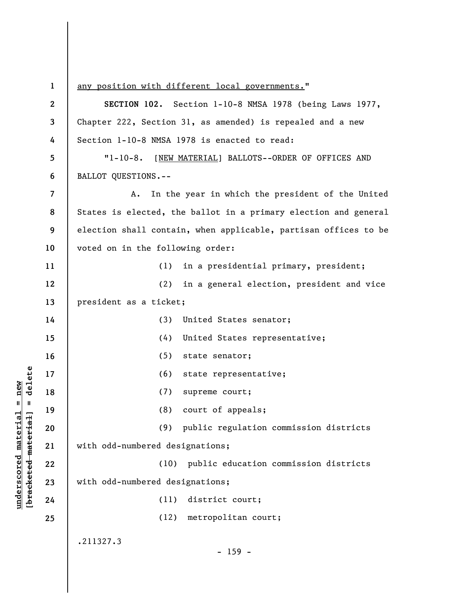**1 2 3 4 5 6 7 8 9 10 11 12 13 14 15 16 17 18 19 20 21 22 23 24 25**  any position with different local governments." **SECTION 102.** Section 1-10-8 NMSA 1978 (being Laws 1977, Chapter 222, Section 31, as amended) is repealed and a new Section 1-10-8 NMSA 1978 is enacted to read: "1-10-8. [NEW MATERIAL] BALLOTS--ORDER OF OFFICES AND BALLOT QUESTIONS.-- A. In the year in which the president of the United States is elected, the ballot in a primary election and general election shall contain, when applicable, partisan offices to be voted on in the following order: (1) in a presidential primary, president; (2) in a general election, president and vice president as a ticket; (3) United States senator; (4) United States representative; (5) state senator; (6) state representative; (7) supreme court; (8) court of appeals; (9) public regulation commission districts with odd-numbered designations; (10) public education commission districts with odd-numbered designations; (11) district court; (12) metropolitan court; .211327.3 - 159 -

**underscored material = new [bracketed material] = delete**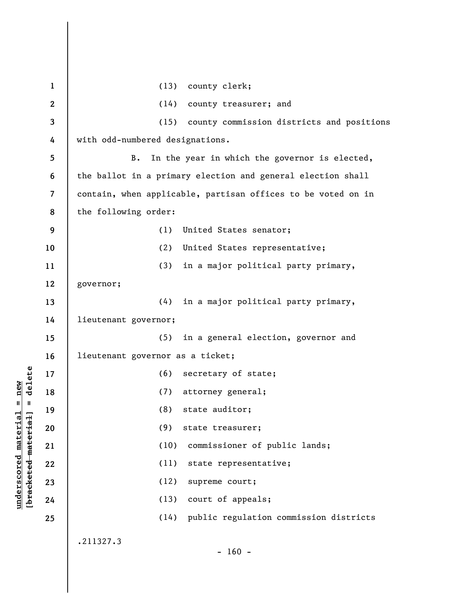**1 2 3 4 5 6 7 8 9 10 11 12 13 14 15 16 17 18 19 20 21 22 23 24 25**  (13) county clerk; (14) county treasurer; and (15) county commission districts and positions with odd-numbered designations. B. In the year in which the governor is elected, the ballot in a primary election and general election shall contain, when applicable, partisan offices to be voted on in the following order: (1) United States senator; (2) United States representative; (3) in a major political party primary, governor; (4) in a major political party primary, lieutenant governor; (5) in a general election, governor and lieutenant governor as a ticket; (6) secretary of state; (7) attorney general; (8) state auditor; (9) state treasurer; (10) commissioner of public lands; (11) state representative; (12) supreme court; (13) court of appeals; (14) public regulation commission districts .211327.3  $- 160 -$ 

**underscored material = new [bracketed material] = delete**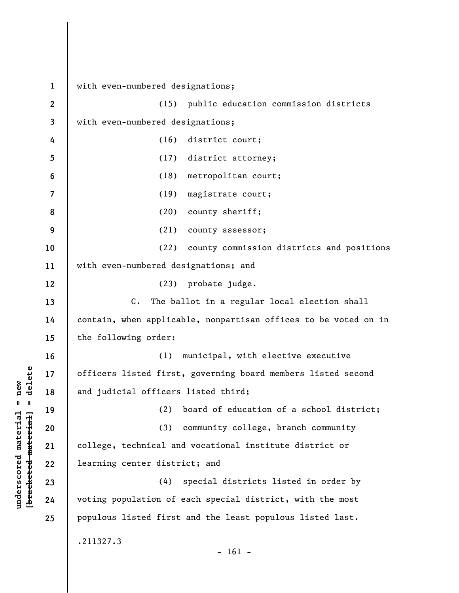**1 2 3 4 5 6 7 8 9 10 11 12 13 14 15 16 17 18 19 20 21 22 23 24 25**  with even-numbered designations; (15) public education commission districts with even-numbered designations; (16) district court; (17) district attorney; (18) metropolitan court; (19) magistrate court; (20) county sheriff; (21) county assessor; (22) county commission districts and positions with even-numbered designations; and (23) probate judge. C. The ballot in a regular local election shall contain, when applicable, nonpartisan offices to be voted on in the following order: (1) municipal, with elective executive officers listed first, governing board members listed second and judicial officers listed third; (2) board of education of a school district; (3) community college, branch community college, technical and vocational institute district or learning center district; and (4) special districts listed in order by voting population of each special district, with the most populous listed first and the least populous listed last. .211327.3  $- 161 -$ 

**underscored material = new [bracketed material] = delete**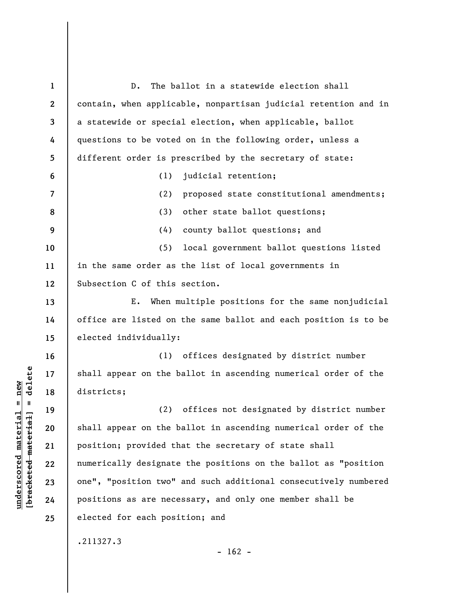| $\mathbf{1}$     | The ballot in a statewide election shall<br>$D$ .               |
|------------------|-----------------------------------------------------------------|
| $\boldsymbol{2}$ | contain, when applicable, nonpartisan judicial retention and in |
| 3                | a statewide or special election, when applicable, ballot        |
| 4                | questions to be voted on in the following order, unless a       |
| 5                | different order is prescribed by the secretary of state:        |
| 6                | judicial retention;<br>(1)                                      |
| 7                | (2)<br>proposed state constitutional amendments;                |
| 8                | (3)<br>other state ballot questions;                            |
| 9                | (4)<br>county ballot questions; and                             |
| 10               | (5)<br>local government ballot questions listed                 |
| 11               | in the same order as the list of local governments in           |
| 12               | Subsection C of this section.                                   |
| 13               | When multiple positions for the same nonjudicial<br>E.          |
| 14               | office are listed on the same ballot and each position is to be |
| 15               | elected individually:                                           |
| 16               | (1) offices designated by district number                       |
| 17               | shall appear on the ballot in ascending numerical order of the  |
| 18               | districts;                                                      |
| 19               | (2)<br>offices not designated by district number                |
| 20               | shall appear on the ballot in ascending numerical order of the  |
| 21               | position; provided that the secretary of state shall            |
| 22               | numerically designate the positions on the ballot as "position  |
| 23               | one", "position two" and such additional consecutively numbered |
| 24               | positions as are necessary, and only one member shall be        |
| 25               | elected for each position; and                                  |
|                  | .211327.3                                                       |
|                  | $-162 -$                                                        |

**underscored material = new [bracketed material] = delete**

 $[**bracket eted metert et**] = **del et e**$  $underscored material = new$ 

 $\overline{\phantom{a}}$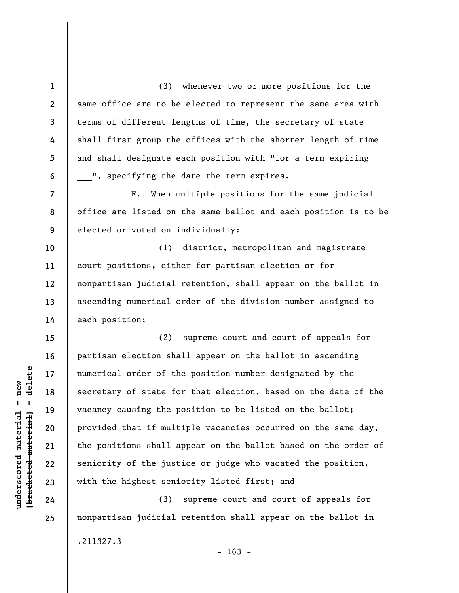(3) whenever two or more positions for the same office are to be elected to represent the same area with terms of different lengths of time, the secretary of state shall first group the offices with the shorter length of time and shall designate each position with "for a term expiring ", specifying the date the term expires.

F. When multiple positions for the same judicial office are listed on the same ballot and each position is to be elected or voted on individually:

(1) district, metropolitan and magistrate court positions, either for partisan election or for nonpartisan judicial retention, shall appear on the ballot in ascending numerical order of the division number assigned to each position;

(2) supreme court and court of appeals for partisan election shall appear on the ballot in ascending numerical order of the position number designated by the secretary of state for that election, based on the date of the vacancy causing the position to be listed on the ballot; provided that if multiple vacancies occurred on the same day, the positions shall appear on the ballot based on the order of seniority of the justice or judge who vacated the position, with the highest seniority listed first; and

(3) supreme court and court of appeals for nonpartisan judicial retention shall appear on the ballot in

.211327.3

 $- 163 -$ 

 $\frac{1}{2}$  of  $\frac{1}{2}$  and  $\frac{1}{2}$  and  $\frac{1}{2}$  and  $\frac{1}{2}$  and  $\frac{1}{2}$  and  $\frac{1}{2}$  and  $\frac{1}{2}$  and  $\frac{1}{2}$  and  $\frac{1}{2}$  and  $\frac{1}{2}$  and  $\frac{1}{2}$  and  $\frac{1}{2}$  and  $\frac{1}{2}$  and  $\frac{1}{2}$  and  $\frac{1}{2}$  an **[bracketed material] = delete**  $underscored material = new$ **underscored material = new**

**1** 

**2** 

**3** 

**4** 

**5** 

**6** 

**7** 

**8** 

**9** 

**10** 

**11** 

**12** 

**13** 

**14** 

**15** 

**16** 

**17** 

**18** 

**19** 

**20** 

**21** 

**22** 

**23** 

**24**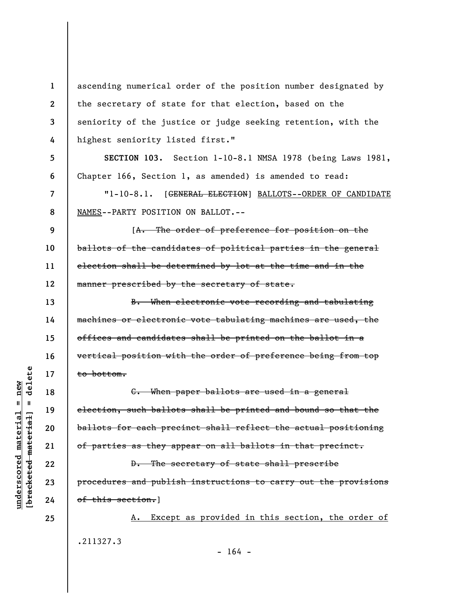ascending numerical order of the position number designated by the secretary of state for that election, based on the seniority of the justice or judge seeking retention, with the highest seniority listed first."

**SECTION 103.** Section 1-10-8.1 NMSA 1978 (being Laws 1981, Chapter 166, Section 1, as amended) is amended to read:

"1-10-8.1. [GENERAL ELECTION] BALLOTS--ORDER OF CANDIDATE NAMES--PARTY POSITION ON BALLOT.--

**9 10 11 12**  [A. The order of preference for position on the ballots of the candidates of political parties in the general election shall be determined by lot at the time and in the manner prescribed by the secretary of state.

B. When electronic vote recording and tabulating machines or electronic vote tabulating machines are used, the offices and candidates shall be printed on the ballot in a vertical position with the order of preference being from top to bottom.

C. When paper ballots are used in a general election, such ballots shall be printed and bound so that the ballots for each precinct shall reflect the actual positioning of parties as they appear on all ballots in that precinct.

D. The secretary of state shall prescribe procedures and publish instructions to carry out the provisions of this section.]

A. Except as provided in this section, the order of .211327.3  $- 164 -$ 

delete **[bracketed material] = delete**  $anderscored material = new$ **underscored material = new**  $\mathbf{I}$ bracketed material

**25** 

**1** 

**2** 

**3** 

**4** 

**5** 

**6** 

**7** 

**8** 

**13** 

**14** 

**15** 

**16** 

**17** 

**18** 

**19** 

**20** 

**21** 

**22** 

**23**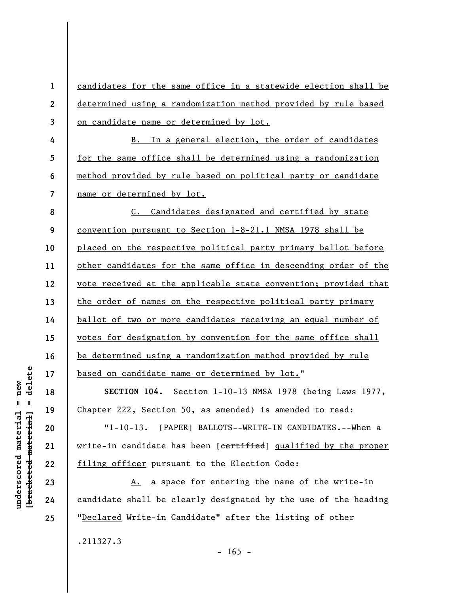**1 2 3**  candidates for the same office in a statewide election shall be determined using a randomization method provided by rule based on candidate name or determined by lot.

B. In a general election, the order of candidates for the same office shall be determined using a randomization method provided by rule based on political party or candidate name or determined by lot.

**8 9 10 11 12 13 14 15 16 17**  C. Candidates designated and certified by state convention pursuant to Section 1-8-21.1 NMSA 1978 shall be placed on the respective political party primary ballot before other candidates for the same office in descending order of the vote received at the applicable state convention; provided that the order of names on the respective political party primary ballot of two or more candidates receiving an equal number of votes for designation by convention for the same office shall be determined using a randomization method provided by rule based on candidate name or determined by lot."

**SECTION 104.** Section 1-10-13 NMSA 1978 (being Laws 1977, Chapter 222, Section 50, as amended) is amended to read:

"1-10-13. [PAPER] BALLOTS--WRITE-IN CANDIDATES.--When a write-in candidate has been [certified] qualified by the proper filing officer pursuant to the Election Code:

A. a space for entering the name of the write-in candidate shall be clearly designated by the use of the heading "Declared Write-in Candidate" after the listing of other

.211327.3

delete **[bracketed material] = delete**  $underscored material = new$ **underscored material = new**  $\mathbf{I}$ bracketed material]

**18** 

**19** 

**20** 

**21** 

**22** 

**23** 

**24** 

**25** 

**4** 

**5** 

**6**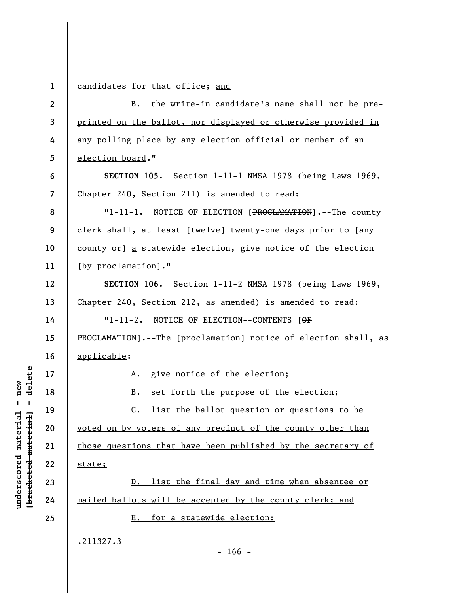**1 2 3 4 5 6 7 8 9 10 11 12 13 14 15 16 17 18 19 20 21 22 23 24 25**  candidates for that office; and B. the write-in candidate's name shall not be preprinted on the ballot, nor displayed or otherwise provided in any polling place by any election official or member of an election board." **SECTION 105.** Section 1-11-1 NMSA 1978 (being Laws 1969, Chapter 240, Section 211) is amended to read: "1-11-1. NOTICE OF ELECTION [PROCLAMATION].--The county clerk shall, at least [twelve] twenty-one days prior to [any eounty or] a statewide election, give notice of the election [by proclamation]." **SECTION 106.** Section 1-11-2 NMSA 1978 (being Laws 1969, Chapter 240, Section 212, as amended) is amended to read: "1-11-2. NOTICE OF ELECTION--CONTENTS [OF PROCLAMATION].--The [proclamation] notice of election shall, as applicable: A. give notice of the election; B. set forth the purpose of the election; C. list the ballot question or questions to be voted on by voters of any precinct of the county other than those questions that have been published by the secretary of state; D. list the final day and time when absentee or mailed ballots will be accepted by the county clerk; and E. for a statewide election: .211327.3  $- 166 -$ 

 $\frac{1}{2}$  intereted material = delete **[bracketed material] = delete**  $underscored material = new$ **underscored material = new**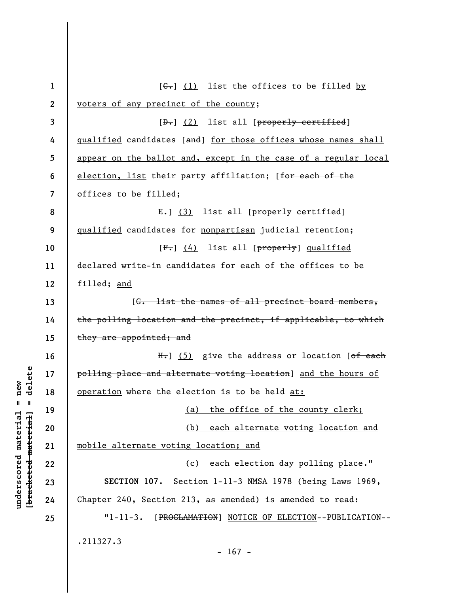| $\mathbf{1}$     | $[\theta - \theta$ $(1)$ list the offices to be filled by                    |
|------------------|------------------------------------------------------------------------------|
| $\boldsymbol{2}$ | voters of any precinct of the county;                                        |
| 3                | [ <del>D.</del> ] (2) list all [properly certified]                          |
| 4                | <u>qualified</u> candidates [and] <u>for those offices whose names shall</u> |
| 5                | appear on the ballot and, except in the case of a regular local              |
| 6                | election, list their party affiliation; [for each of the                     |
| 7                | offices to be filled;                                                        |
| 8                | E.] (3) list all [properly certified]                                        |
| 9                | qualified candidates for nonpartisan judicial retention;                     |
| 10               | [ <del>F.</del> ] (4) list all [properly] qualified                          |
| 11               | declared write-in candidates for each of the offices to be                   |
| 12               | filled; and                                                                  |
| 13               | [G. list the names of all precinct board members,                            |
| 14               | the polling location and the precinct, if applicable, to which               |
| 15               | they are appointed; and                                                      |
| 16               | $H_{\bullet}$ ] (5) give the address or location [ <del>of each</del>        |
| 17               | polling place and alternate voting location] and the hours of                |
| 18               | operation where the election is to be held at:                               |
| 19               | (a) the office of the county clerk;                                          |
| 20               | each alternate voting location and<br>(b)                                    |
| 21               | mobile alternate voting location; and                                        |
| 22               | (c) each election day polling place."                                        |
| 23               | SECTION 107. Section 1-11-3 NMSA 1978 (being Laws 1969,                      |
| 24               | Chapter 240, Section 213, as amended) is amended to read:                    |
| 25               | $"1 - 11 - 3.$<br>[PROCLAMATION] NOTICE OF ELECTION--PUBLICATION--           |
|                  | .211327.3<br>$-167 -$                                                        |

**underscored material = new [bracketed material] = delete**

 $[bracketeed-materiat] = delete$  $underscored material = new$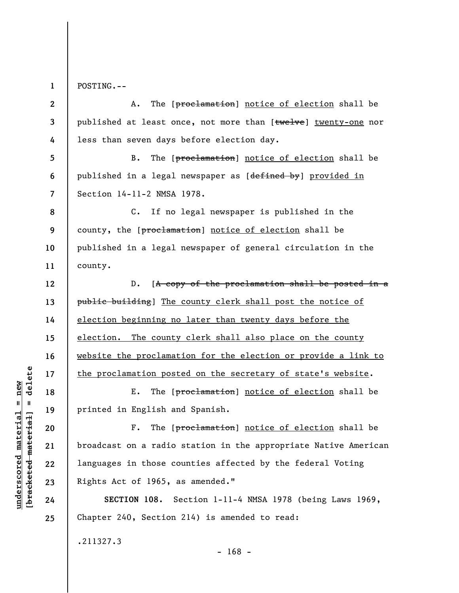**1**  POSTING.--

**2 3 4 5 6 7 8 9 10 11 12 13 14 15 16 17 18 19 20 21 22 23 24 25**  A. The [proclamation] notice of election shall be published at least once, not more than [twelve] twenty-one nor less than seven days before election day. B. The [proclamation] notice of election shall be published in a legal newspaper as [defined by] provided in Section 14-11-2 NMSA 1978. C. If no legal newspaper is published in the county, the [proclamation] notice of election shall be published in a legal newspaper of general circulation in the county. D. [A copy of the proclamation shall be posted in a public building] The county clerk shall post the notice of election beginning no later than twenty days before the election. The county clerk shall also place on the county website the proclamation for the election or provide a link to the proclamation posted on the secretary of state's website. E. The [proclamation] notice of election shall be printed in English and Spanish. F. The [proclamation] notice of election shall be broadcast on a radio station in the appropriate Native American languages in those counties affected by the federal Voting Rights Act of 1965, as amended." **SECTION 108.** Section 1-11-4 NMSA 1978 (being Laws 1969, Chapter 240, Section 214) is amended to read:

- 168 -

 $\frac{1}{2}$  bracketed material] = delete **[bracketed material] = delete**  $underscored material = new$ **underscored material = new**

.211327.3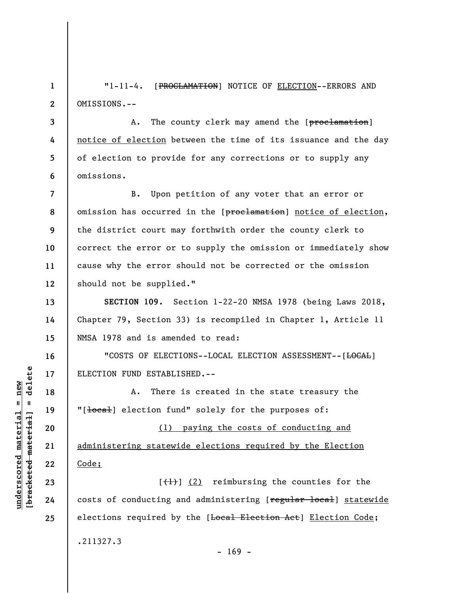**1 2**  "1-11-4. [PROCLAMATION] NOTICE OF ELECTION--ERRORS AND OMISSIONS.--

**3 4 5 6**  A. The county clerk may amend the [proclamation] notice of election between the time of its issuance and the day of election to provide for any corrections or to supply any omissions.

**7 8 9 10 11 12**  B. Upon petition of any voter that an error or omission has occurred in the [proclamation] notice of election, the district court may forthwith order the county clerk to correct the error or to supply the omission or immediately show cause why the error should not be corrected or the omission should not be supplied."

**SECTION 109.** Section 1-22-20 NMSA 1978 (being Laws 2018, Chapter 79, Section 33) is recompiled in Chapter 1, Article 11 NMSA 1978 and is amended to read:

"COSTS OF ELECTIONS--LOCAL ELECTION ASSESSMENT--[<del>LOCAL</del>] ELECTION FUND ESTABLISHED.--

A. There is created in the state treasury the "[local] election fund" solely for the purposes of:

(1) paying the costs of conducting and administering statewide elections required by the Election Code;

 $[\frac{1}{1}]$  (2) reimbursing the counties for the costs of conducting and administering [regular local] statewide elections required by the [Local Election Act] Election Code; .211327.3  $- 169 -$ 

 $\frac{1}{2}$  intereted material = delete **[bracketed material] = delete**  $underscored material = new$ **underscored material = new**

**13** 

**14** 

**15** 

**16** 

**17** 

**18** 

**19** 

**20** 

**21** 

**22** 

**23** 

**24**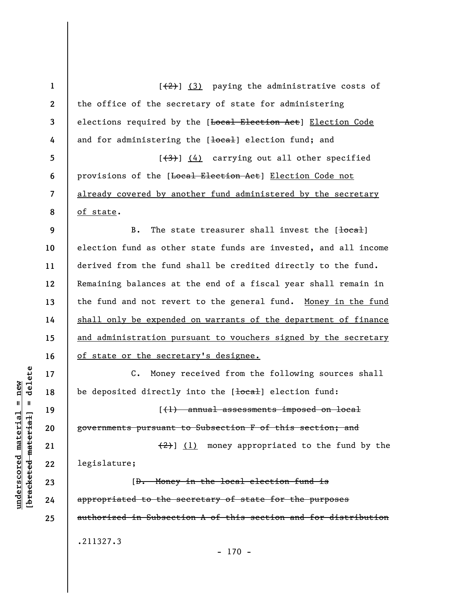**1 2 3 4 5 6 7 8 9 10 11 12 13 14 15 16 17 18 19 20 21 22 23 24 25**   $[\frac{1}{2}]$  (3) paying the administrative costs of the office of the secretary of state for administering elections required by the [Local Election Act] Election Code and for administering the [local] election fund; and  $[43]$  (4) carrying out all other specified provisions of the [Local Election Act] Election Code not already covered by another fund administered by the secretary of state. B. The state treasurer shall invest the  $\lceil \frac{\text{local}}{\text{total}} \rceil$ election fund as other state funds are invested, and all income derived from the fund shall be credited directly to the fund. Remaining balances at the end of a fiscal year shall remain in the fund and not revert to the general fund. Money in the fund shall only be expended on warrants of the department of finance and administration pursuant to vouchers signed by the secretary of state or the secretary's designee. C. Money received from the following sources shall be deposited directly into the [local] election fund: [(1) annual assessments imposed on local governments pursuant to Subsection F of this section; and  $(2)$ ] (1) money appropriated to the fund by the legislature; [D. Money in the local election fund is appropriated to the secretary of state for the purposes authorized in Subsection A of this section and for distribution .211327.3 - 170 -

 $=$  delete **[bracketed material] = delete**  $underscored material = new$ **underscored material = new** bracketed material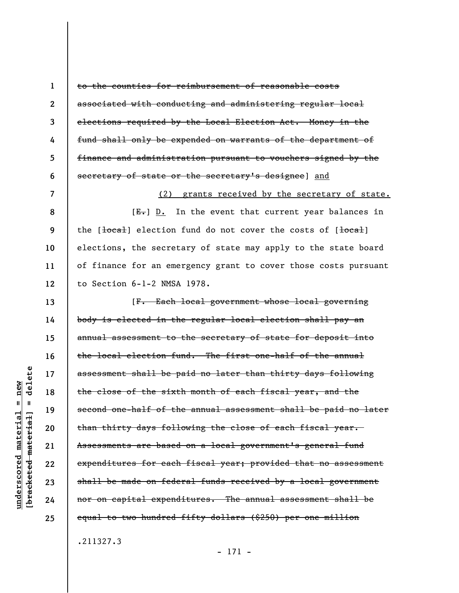**1 2 3 4 5 6 7 8 9 10 11 12 13 14 15 16 17 18 19 20 21 22 23 24 25**  to the counties for reimbursement of reasonable costs associated with conducting and administering regular local elections required by the Local Election Act. Money in the fund shall only be expended on warrants of the department of finance and administration pursuant to vouchers signed by the secretary of state or the secretary's designee] and (2) grants received by the secretary of state.  $[E-]$  D. In the event that current year balances in the  $\left[\frac{1}{\text{total}}\right]$  election fund do not cover the costs of  $\left[\frac{1}{\text{total}}\right]$ elections, the secretary of state may apply to the state board of finance for an emergency grant to cover those costs pursuant to Section 6-1-2 NMSA 1978. [F. Each local government whose local governing body is elected in the regular local election shall pay an annual assessment to the secretary of state for deposit into the local election fund. The first one-half of the annual assessment shall be paid no later than thirty days following the close of the sixth month of each fiscal year, and the second one-half of the annual assessment shall be paid no later than thirty days following the close of each fiscal year. Assessments are based on a local government's general fund expenditures for each fiscal year; provided that no assessment shall be made on federal funds received by a local government nor on capital expenditures. The annual assessment shall be equal to two hundred fifty dollars (\$250) per one million

.211327.3

- 171 -

delete **[bracketed material] = delete**  $anderscored material = new$ **underscored material = new**  $\mathbf{I}$ bracketed material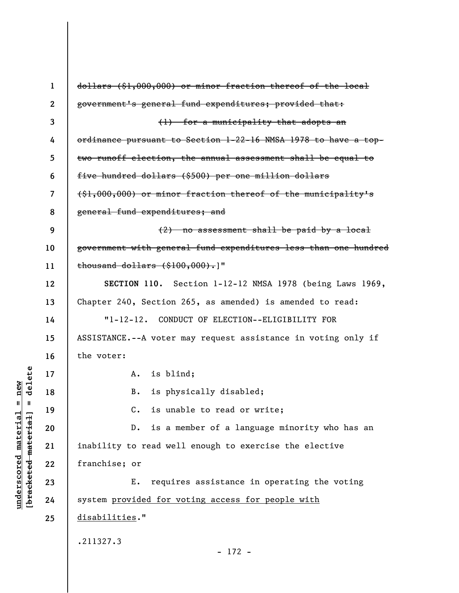| $\mathbf 1$  | dollars (\$1,000,000) or minor fraction thereof of the local    |
|--------------|-----------------------------------------------------------------|
| $\mathbf{2}$ | government's general fund expenditures; provided that:          |
| 3            | (1) for a municipality that adopts an                           |
| 4            | ordinance pursuant to Section 1-22-16 NMSA 1978 to have a top-  |
| 5            | two runoff election, the annual assessment shall be equal to    |
| 6            | five hundred dollars (\$500) per one million dollars            |
| 7            | $(\$1,000,000)$ or minor fraction thereof of the municipality's |
| 8            | general fund expenditures; and                                  |
| 9            | $(2)$ no assessment shall be paid by a local                    |
| 10           | government with general fund expenditures less than one hundred |
| 11           | $\frac{1}{2}$ thousand dollars $(\$100,000)$ .                  |
| 12           | SECTION 110. Section 1-12-12 NMSA 1978 (being Laws 1969,        |
| 13           | Chapter 240, Section 265, as amended) is amended to read:       |
| 14           | "1-12-12. CONDUCT OF ELECTION--ELIGIBILITY FOR                  |
| 15           | ASSISTANCE.--A voter may request assistance in voting only if   |
| 16           | the voter:                                                      |
| 17           | A. is blind;                                                    |
| 18           | is physically disabled;<br>B.                                   |
| 19           | C. is unable to read or write;                                  |
| 20           | is a member of a language minority who has an<br>$D$ .          |
| 21           | inability to read well enough to exercise the elective          |
| 22           | franchise; or                                                   |
| 23           | requires assistance in operating the voting<br>Ε.               |
| 24           | system provided for voting access for people with               |
| 25           | disabilities."                                                  |
|              | .211327.3                                                       |
|              | $-172 -$                                                        |

**underscored material = new [bracketed material] = delete**

 $[**bracket eted metert et**] = **del et e**$  $underscored material = new$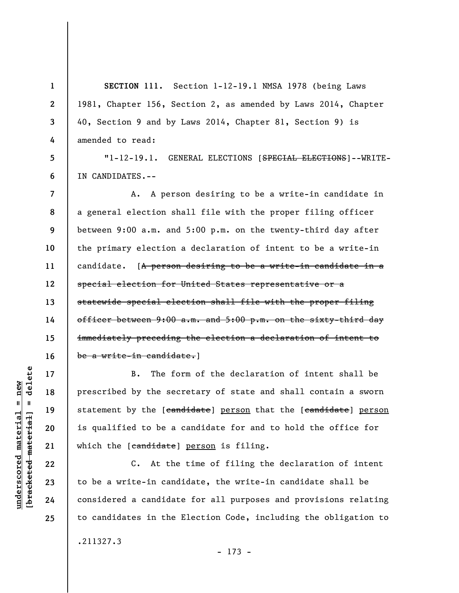**SECTION 111.** Section 1-12-19.1 NMSA 1978 (being Laws 1981, Chapter 156, Section 2, as amended by Laws 2014, Chapter 40, Section 9 and by Laws 2014, Chapter 81, Section 9) is amended to read:

**5 6**  "1-12-19.1. GENERAL ELECTIONS [SPECIAL ELECTIONS]--WRITE-IN CANDIDATES.--

**7 8 9 10 11 12 13 14 15 16**  A. A person desiring to be a write-in candidate in a general election shall file with the proper filing officer between 9:00 a.m. and 5:00 p.m. on the twenty-third day after the primary election a declaration of intent to be a write-in candidate. [A person desiring to be a write-in candidate in a special election for United States representative or a statewide special election shall file with the proper filing officer between 9:00 a.m. and 5:00 p.m. on the sixty-third day immediately preceding the election a declaration of intent to be a write-in candidate.]

B. The form of the declaration of intent shall be prescribed by the secretary of state and shall contain a sworn statement by the [candidate] person that the [candidate] person is qualified to be a candidate for and to hold the office for which the [candidate] person is filing.

C. At the time of filing the declaration of intent to be a write-in candidate, the write-in candidate shall be considered a candidate for all purposes and provisions relating to candidates in the Election Code, including the obligation to .211327.3

**17** 

**18** 

**19** 

**20** 

**21** 

**22** 

**23** 

**24** 

**25** 

**1** 

**2** 

**3**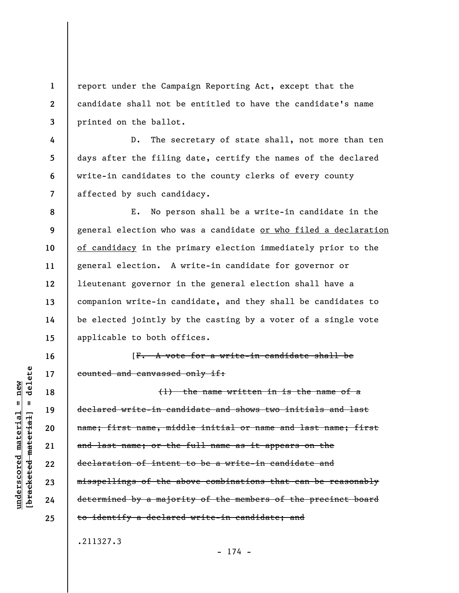**1 2 3**  report under the Campaign Reporting Act, except that the candidate shall not be entitled to have the candidate's name printed on the ballot.

D. The secretary of state shall, not more than ten days after the filing date, certify the names of the declared write-in candidates to the county clerks of every county affected by such candidacy.

**8 9 10 11 12 13 14 15**  E. No person shall be a write-in candidate in the general election who was a candidate or who filed a declaration of candidacy in the primary election immediately prior to the general election. A write-in candidate for governor or lieutenant governor in the general election shall have a companion write-in candidate, and they shall be candidates to be elected jointly by the casting by a voter of a single vote applicable to both offices.

[F. A vote for a write-in candidate shall be counted and canvassed only if:

(1) the name written in is the name of a declared write-in candidate and shows two initials and last name; first name, middle initial or name and last name; first and last name; or the full name as it appears on the declaration of intent to be a write-in candidate and misspellings of the above combinations that can be reasonably determined by a majority of the members of the precinct board to identify a declared write-in candidate; and

- 174 -

.211327.3

delete **[bracketed material] = delete**  $anderscored material = new$ **underscored material = new**  $\mathbf{I}$ bracketed material

**4** 

**5** 

**6** 

**7** 

**16** 

**17** 

**18** 

**19** 

**20** 

**21** 

**22** 

**23** 

**24**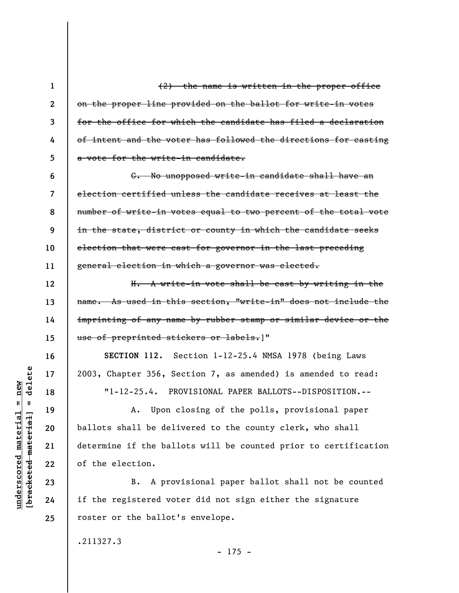(2) the name is written in the proper office on the proper line provided on the ballot for write-in votes for the office for which the candidate has filed a declaration of intent and the voter has followed the directions for casting a vote for the write-in candidate.

**6 7 8 9 10 11**  G. No unopposed write-in candidate shall have an election certified unless the candidate receives at least the number of write-in votes equal to two percent of the total vote in the state, district or county in which the candidate seeks election that were cast for governor in the last preceding general election in which a governor was elected.

H. A write-in vote shall be cast by writing in the name. As used in this section, "write-in" does not include the imprinting of any name by rubber stamp or similar device or the use of preprinted stickers or labels.]"

**SECTION 112.** Section 1-12-25.4 NMSA 1978 (being Laws 2003, Chapter 356, Section 7, as amended) is amended to read:

"1-12-25.4. PROVISIONAL PAPER BALLOTS--DISPOSITION.--

A. Upon closing of the polls, provisional paper ballots shall be delivered to the county clerk, who shall determine if the ballots will be counted prior to certification of the election.

B. A provisional paper ballot shall not be counted if the registered voter did not sign either the signature roster or the ballot's envelope.

 $- 175 -$ 

.211327.3

delete **[bracketed material] = delete**  $anderscored material = new$ **underscored material = new**  $\mathbf{I}$ bracketed material

**1** 

**2** 

**3** 

**4** 

**5** 

**12** 

**13** 

**14** 

**15** 

**16** 

**17** 

**18** 

**19** 

**20** 

**21** 

**22** 

**23** 

**24**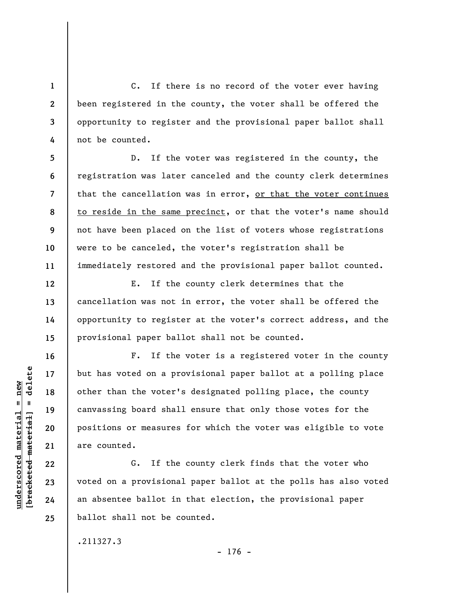C. If there is no record of the voter ever having been registered in the county, the voter shall be offered the opportunity to register and the provisional paper ballot shall not be counted.

**5 6 7 8 9 10 11**  D. If the voter was registered in the county, the registration was later canceled and the county clerk determines that the cancellation was in error, or that the voter continues to reside in the same precinct, or that the voter's name should not have been placed on the list of voters whose registrations were to be canceled, the voter's registration shall be immediately restored and the provisional paper ballot counted.

E. If the county clerk determines that the cancellation was not in error, the voter shall be offered the opportunity to register at the voter's correct address, and the provisional paper ballot shall not be counted.

F. If the voter is a registered voter in the county but has voted on a provisional paper ballot at a polling place other than the voter's designated polling place, the county canvassing board shall ensure that only those votes for the positions or measures for which the voter was eligible to vote are counted.

G. If the county clerk finds that the voter who voted on a provisional paper ballot at the polls has also voted an absentee ballot in that election, the provisional paper ballot shall not be counted.

.211327.3

 $b$ racketed material] = delete **[bracketed material] = delete**  $underscored material = new$ **underscored material = new**

**1** 

**2** 

**3** 

**4** 

**12** 

**13** 

**14** 

**15** 

**16** 

**17** 

**18** 

**19** 

**20** 

**21** 

**22** 

**23** 

**24**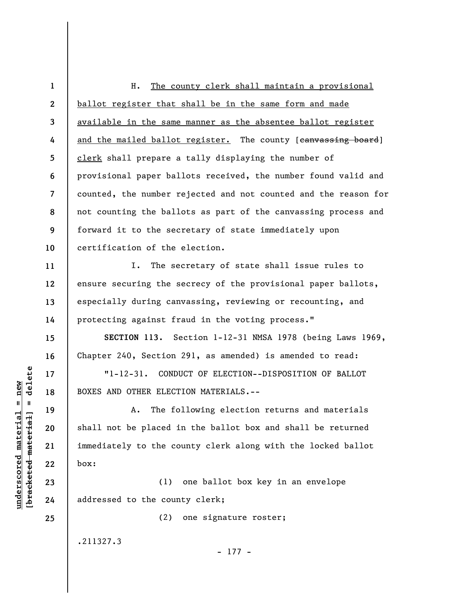**1 2 3 4 5 6 7 8 9 10**  H. The county clerk shall maintain a provisional ballot register that shall be in the same form and made available in the same manner as the absentee ballot register and the mailed ballot register. The county [canvassing board] clerk shall prepare a tally displaying the number of provisional paper ballots received, the number found valid and counted, the number rejected and not counted and the reason for not counting the ballots as part of the canvassing process and forward it to the secretary of state immediately upon certification of the election.

I. The secretary of state shall issue rules to ensure securing the secrecy of the provisional paper ballots, especially during canvassing, reviewing or recounting, and protecting against fraud in the voting process."

**SECTION 113.** Section 1-12-31 NMSA 1978 (being Laws 1969, Chapter 240, Section 291, as amended) is amended to read:

"1-12-31. CONDUCT OF ELECTION--DISPOSITION OF BALLOT BOXES AND OTHER ELECTION MATERIALS.--

A. The following election returns and materials shall not be placed in the ballot box and shall be returned immediately to the county clerk along with the locked ballot box:

(1) one ballot box key in an envelope addressed to the county clerk;

(2) one signature roster;

- 177 -

.211327.3

 $\frac{1}{2}$  bracketed material = delete **[bracketed material] = delete**  $underscored material = new$ **underscored material = new**

**11** 

**12** 

**13** 

**14** 

**15** 

**16** 

**17** 

**18** 

**19** 

**20** 

**21** 

**22** 

**23** 

**24**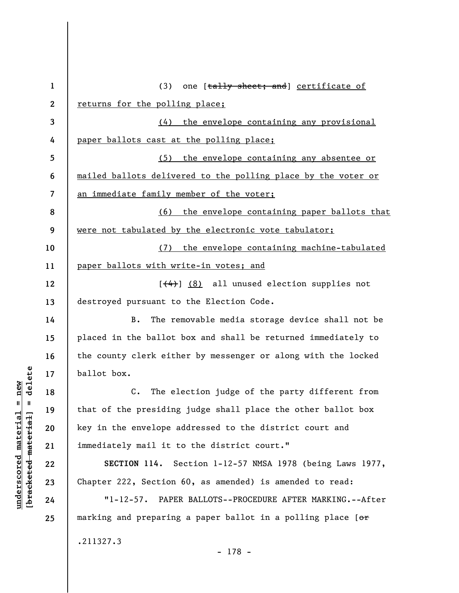| $\mathbf{1}$ | (3) one [tally sheet; and] certificate of                         |
|--------------|-------------------------------------------------------------------|
| $\mathbf{2}$ | returns for the polling place;                                    |
| 3            | (4) the envelope containing any provisional                       |
| 4            | paper ballots cast at the polling place;                          |
| 5            | (5) the envelope containing any absentee or                       |
| 6            | mailed ballots delivered to the polling place by the voter or     |
| 7            | <u>an immediate family member of the voter;</u>                   |
| 8            | (6) the envelope containing paper ballots that                    |
| 9            | were not tabulated by the electronic vote tabulator;              |
| 10           | (7) the envelope containing machine-tabulated                     |
| 11           | paper ballots with write-in votes; and                            |
| 12           | $[\left(4\right)]$ (8) all unused election supplies not           |
| 13           | destroyed pursuant to the Election Code.                          |
| 14           | The removable media storage device shall not be<br>B.             |
| 15           | placed in the ballot box and shall be returned immediately to     |
| 16           | the county clerk either by messenger or along with the locked     |
| 17           | ballot box.                                                       |
| 18           | The election judge of the party different from<br>$\mathsf{c}$ .  |
| 19           | that of the presiding judge shall place the other ballot box      |
| 20           | key in the envelope addressed to the district court and           |
| 21           | immediately mail it to the district court."                       |
| 22           | SECTION 114.<br>Section 1-12-57 NMSA 1978 (being Laws 1977,       |
| 23           | Chapter 222, Section 60, as amended) is amended to read:          |
| 24           | $"1 - 12 - 57.$<br>PAPER BALLOTS--PROCEDURE AFTER MARKING.--After |
| 25           | marking and preparing a paper ballot in a polling place [or       |
|              | .211327.3                                                         |
|              |                                                                   |

 $[bracketeed-materiat] = delete$ **[bracketed material] = delete**  $underscored material = new$ **underscored material = new**

- 178 -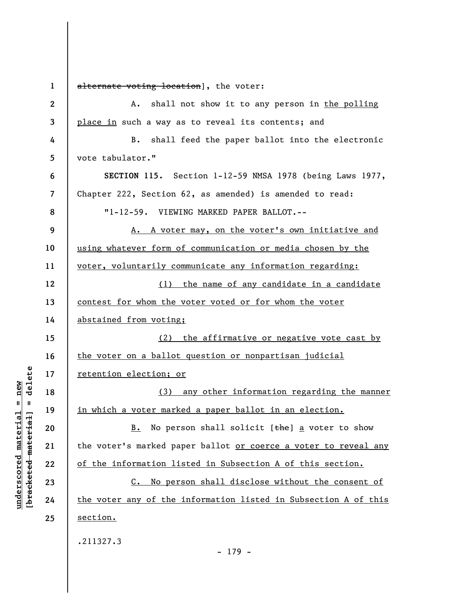**1 2 3 4 5 6 7 8 9 10 11 12 13 14 15 16 17 18 19 20 21 22 23 24 25**  alternate voting location], the voter: A. shall not show it to any person in the polling place in such a way as to reveal its contents; and B. shall feed the paper ballot into the electronic vote tabulator." **SECTION 115.** Section 1-12-59 NMSA 1978 (being Laws 1977, Chapter 222, Section 62, as amended) is amended to read: "1-12-59. VIEWING MARKED PAPER BALLOT.-- A. A voter may, on the voter's own initiative and using whatever form of communication or media chosen by the voter, voluntarily communicate any information regarding: (1) the name of any candidate in a candidate contest for whom the voter voted or for whom the voter abstained from voting; (2) the affirmative or negative vote cast by the voter on a ballot question or nonpartisan judicial retention election; or (3) any other information regarding the manner in which a voter marked a paper ballot in an election. B. No person shall solicit  $[\frac{the}{b}]$  a voter to show the voter's marked paper ballot or coerce a voter to reveal any of the information listed in Subsection A of this section. C. No person shall disclose without the consent of the voter any of the information listed in Subsection A of this section. .211327.3 - 179 -

**underscored material = new [bracketed material] = delete**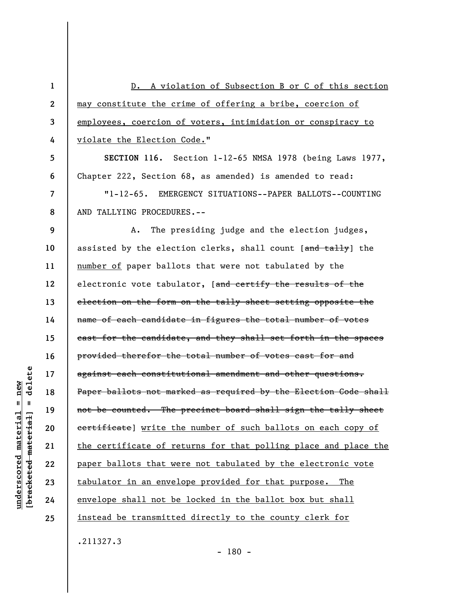**1 2 3 4 5 6 7 8 9 10 11 12 13 14 15 16 17 18 19 20 21 22 23 24 25**  D. A violation of Subsection B or C of this section may constitute the crime of offering a bribe, coercion of employees, coercion of voters, intimidation or conspiracy to violate the Election Code." **SECTION 116.** Section 1-12-65 NMSA 1978 (being Laws 1977, Chapter 222, Section 68, as amended) is amended to read: "1-12-65. EMERGENCY SITUATIONS--PAPER BALLOTS--COUNTING AND TALLYING PROCEDURES.-- A. The presiding judge and the election judges, assisted by the election clerks, shall count [and tally] the number of paper ballots that were not tabulated by the electronic vote tabulator, [and certify the results of the election on the form on the tally sheet setting opposite the name of each candidate in figures the total number of votes cast for the candidate, and they shall set forth in the spaces provided therefor the total number of votes cast for and against each constitutional amendment and other questions. Paper ballots not marked as required by the Election Code shall not be counted. The precinct board shall sign the tally sheet certificate] write the number of such ballots on each copy of the certificate of returns for that polling place and place the paper ballots that were not tabulated by the electronic vote tabulator in an envelope provided for that purpose. The envelope shall not be locked in the ballot box but shall instead be transmitted directly to the county clerk for .211327.3

delete **[bracketed material] = delete**  $anderscored material = new$ **underscored material = new**  $\mathbf{I}$ bracketed material

- 180 -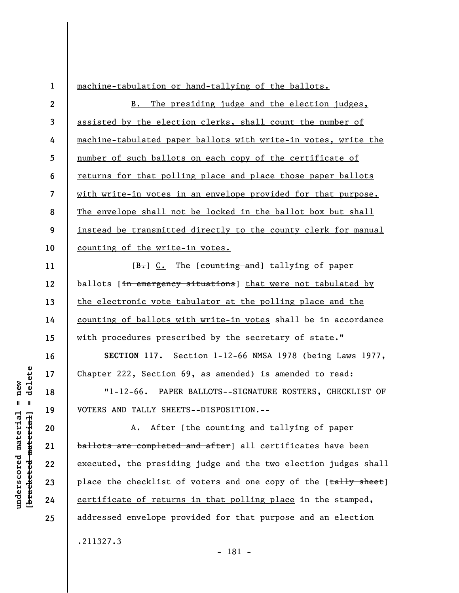**1 2 3 4 5 6 7 8 9 10 11 12 13 14 15 16 17 18 19 20 21 22 23 24 25**  machine-tabulation or hand-tallying of the ballots. B. The presiding judge and the election judges, assisted by the election clerks, shall count the number of machine-tabulated paper ballots with write-in votes, write the number of such ballots on each copy of the certificate of returns for that polling place and place those paper ballots with write-in votes in an envelope provided for that purpose. The envelope shall not be locked in the ballot box but shall instead be transmitted directly to the county clerk for manual counting of the write-in votes. [B.] C. The [counting and] tallying of paper ballots [in emergency situations] that were not tabulated by the electronic vote tabulator at the polling place and the counting of ballots with write-in votes shall be in accordance with procedures prescribed by the secretary of state." **SECTION 117.** Section 1-12-66 NMSA 1978 (being Laws 1977, Chapter 222, Section 69, as amended) is amended to read: "1-12-66. PAPER BALLOTS--SIGNATURE ROSTERS, CHECKLIST OF VOTERS AND TALLY SHEETS--DISPOSITION.-- A. After [the counting and tallying of paper ballots are completed and after] all certificates have been executed, the presiding judge and the two election judges shall place the checklist of voters and one copy of the [tally sheet] certificate of returns in that polling place in the stamped, addressed envelope provided for that purpose and an election .211327.3

delete **[bracketed material] = delete**  $anderscored material = new$ **underscored material = new**  $\frac{1}{2}$ 

- 181 -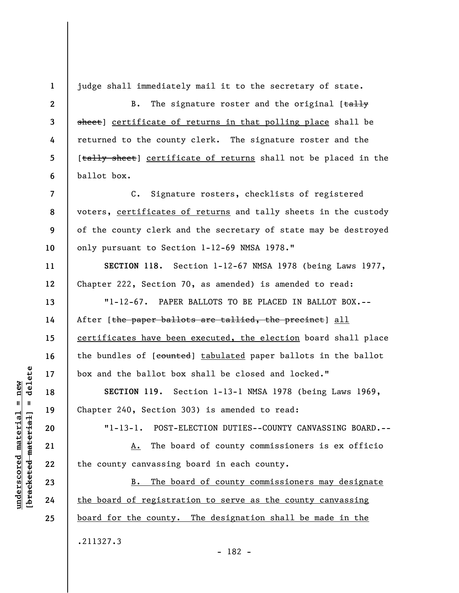judge shall immediately mail it to the secretary of state.

B. The signature roster and the original  $[taHy]$ sheet] certificate of returns in that polling place shall be returned to the county clerk. The signature roster and the [tally sheet] certificate of returns shall not be placed in the ballot box.

C. Signature rosters, checklists of registered voters, certificates of returns and tally sheets in the custody of the county clerk and the secretary of state may be destroyed only pursuant to Section 1-12-69 NMSA 1978."

**SECTION 118.** Section 1-12-67 NMSA 1978 (being Laws 1977, Chapter 222, Section 70, as amended) is amended to read:

"1-12-67. PAPER BALLOTS TO BE PLACED IN BALLOT BOX.-- After [the paper ballots are tallied, the precinct] all certificates have been executed, the election board shall place the bundles of [counted] tabulated paper ballots in the ballot box and the ballot box shall be closed and locked."

**SECTION 119.** Section 1-13-1 NMSA 1978 (being Laws 1969, Chapter 240, Section 303) is amended to read:

"1-13-1. POST-ELECTION DUTIES--COUNTY CANVASSING BOARD.--

A. The board of county commissioners is ex officio the county canvassing board in each county.

B. The board of county commissioners may designate the board of registration to serve as the county canvassing board for the county. The designation shall be made in the .211327.3

delete **[bracketed material] = delete**  $anderscored material = new$ **underscored material = new**  $\mathbf{u}$ bracketed material

**1** 

**2** 

**3** 

**4** 

**5** 

**6** 

**7** 

**8** 

**9** 

**10** 

**11** 

**12** 

**13** 

**14** 

**15** 

**16** 

**17** 

**18** 

**19** 

**20** 

**21** 

**22** 

**23** 

**24**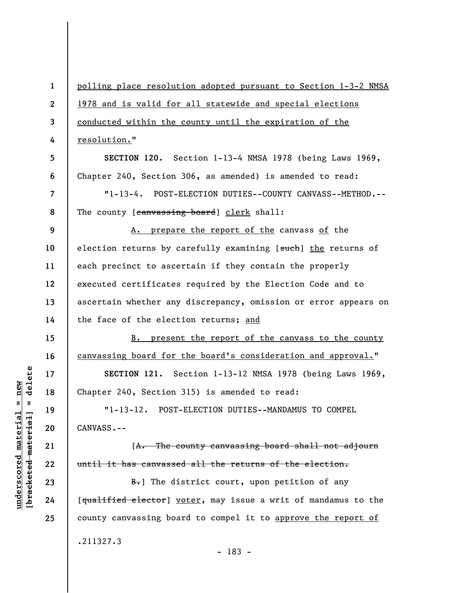**1 2 3 4 5 6 7 8 9 10 11 12 13 14 15 16 17 18 19 20 21 22 23 24 25**  polling place resolution adopted pursuant to Section 1-3-2 NMSA 1978 and is valid for all statewide and special elections conducted within the county until the expiration of the resolution." **SECTION 120.** Section 1-13-4 NMSA 1978 (being Laws 1969, Chapter 240, Section 306, as amended) is amended to read: "1-13-4. POST-ELECTION DUTIES--COUNTY CANVASS--METHOD.-- The county [canvassing board] clerk shall: A. prepare the report of the canvass of the election returns by carefully examining [such] the returns of each precinct to ascertain if they contain the properly executed certificates required by the Election Code and to ascertain whether any discrepancy, omission or error appears on the face of the election returns; and B. present the report of the canvass to the county canvassing board for the board's consideration and approval." **SECTION 121.** Section 1-13-12 NMSA 1978 (being Laws 1969, Chapter 240, Section 315) is amended to read: "1-13-12. POST-ELECTION DUTIES--MANDAMUS TO COMPEL CANVASS.-- [A. The county canvassing board shall not adjourn until it has canvassed all the returns of the election.  $B<sub>r</sub>$ ] The district court, upon petition of any [qualified elector] voter, may issue a writ of mandamus to the county canvassing board to compel it to approve the report of .211327.3

- 183 -

delete **[bracketed material] = delete**  $anderscored material = new$ **underscored material = new**  $\frac{1}{2}$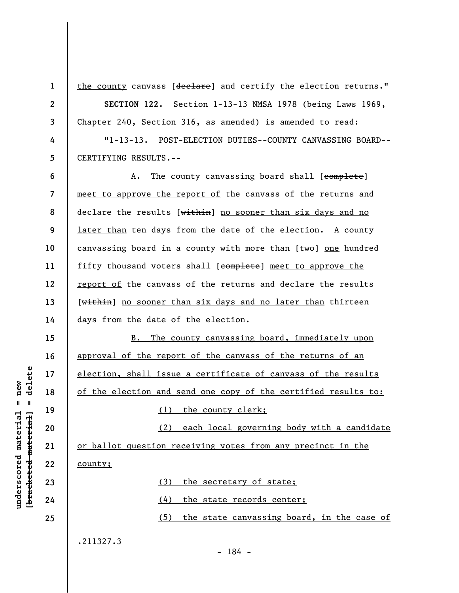**1 2** 

**3** 

the county canvass [declare] and certify the election returns."

**SECTION 122.** Section 1-13-13 NMSA 1978 (being Laws 1969, Chapter 240, Section 316, as amended) is amended to read:

**4 5**  "1-13-13. POST-ELECTION DUTIES--COUNTY CANVASSING BOARD-- CERTIFYING RESULTS.--

**6 7 8 9 10 11 12 13 14**  A. The county canvassing board shall [complete] meet to approve the report of the canvass of the returns and declare the results [within] no sooner than six days and no later than ten days from the date of the election. A county canvassing board in a county with more than  $[tw0]$  one hundred fifty thousand voters shall [complete] meet to approve the report of the canvass of the returns and declare the results [within] no sooner than six days and no later than thirteen days from the date of the election.

B. The county canvassing board, immediately upon approval of the report of the canvass of the returns of an election, shall issue a certificate of canvass of the results of the election and send one copy of the certified results to:

(1) the county clerk;

(2) each local governing body with a candidate or ballot question receiving votes from any precinct in the county;

(3) the secretary of state;

(4) the state records center;

(5) the state canvassing board, in the case of

**23** 

**underscored material = new [bracketed material] = delete**

 $\frac{1}{2}$  intereted material = delete  $underscored material = new$ 

**24 25** 

.211327.3

**15** 

**16** 

**17** 

**18** 

**19** 

**20** 

**21** 

**22** 

- 184 -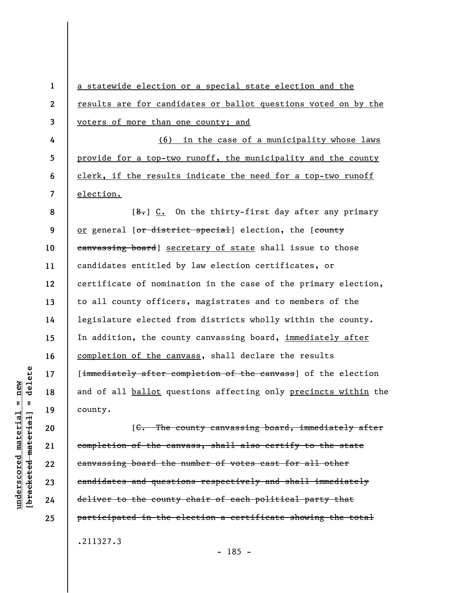a statewide election or a special state election and the results are for candidates or ballot questions voted on by the voters of more than one county; and

(6) in the case of a municipality whose laws provide for a top-two runoff, the municipality and the county clerk, if the results indicate the need for a top-two runoff election.

**8 9 10 11 12 13 14 15 16 17 18 19**   $[B<sub>r</sub>]$  C. On the thirty-first day after any primary or general [or district special] election, the [county eanvassing board] secretary of state shall issue to those candidates entitled by law election certificates, or certificate of nomination in the case of the primary election, to all county officers, magistrates and to members of the legislature elected from districts wholly within the county. In addition, the county canvassing board, immediately after completion of the canvass, shall declare the results [immediately after completion of the canvass] of the election and of all ballot questions affecting only precincts within the county.

[C. The county canvassing board, immediately after completion of the canvass, shall also certify to the state canvassing board the number of votes cast for all other candidates and questions respectively and shall immediately deliver to the county chair of each political party that participated in the election a certificate showing the total .211327.3

delete **[bracketed material] = delete**  $anderscored material = new$ **underscored material = new**  $\frac{1}{2}$  bracketed material =

**20** 

**21** 

**22** 

**23** 

**24** 

**25** 

**1** 

**2** 

**3** 

**4** 

**5** 

**6**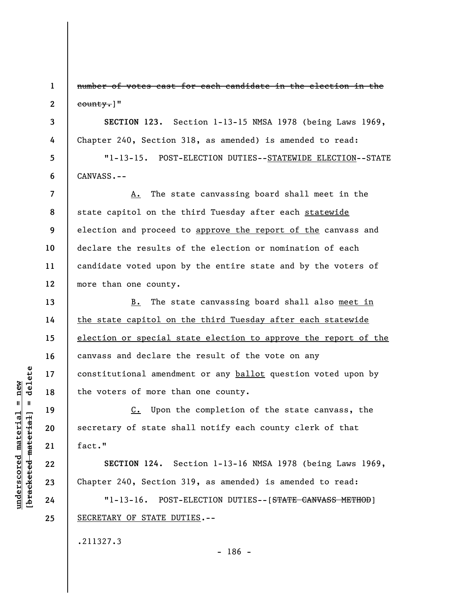**1 2**  number of votes cast for each candidate in the election in the county.]"

**SECTION 123.** Section 1-13-15 NMSA 1978 (being Laws 1969, Chapter 240, Section 318, as amended) is amended to read:

"1-13-15. POST-ELECTION DUTIES--STATEWIDE ELECTION--STATE CANVASS.--

**7 8 9 10 11 12**  A. The state canvassing board shall meet in the state capitol on the third Tuesday after each statewide election and proceed to approve the report of the canvass and declare the results of the election or nomination of each candidate voted upon by the entire state and by the voters of more than one county.

B. The state canvassing board shall also meet in the state capitol on the third Tuesday after each statewide election or special state election to approve the report of the canvass and declare the result of the vote on any constitutional amendment or any ballot question voted upon by the voters of more than one county.

C. Upon the completion of the state canvass, the secretary of state shall notify each county clerk of that fact."

**SECTION 124.** Section 1-13-16 NMSA 1978 (being Laws 1969, Chapter 240, Section 319, as amended) is amended to read:

"1-13-16. POST-ELECTION DUTIES--[STATE CANVASS METHOD] SECRETARY OF STATE DUTIES.--

.211327.3

 $=$  delete **[bracketed material] = delete**  $underscored material = new$ bracketed material

**3** 

**4** 

**5** 

**6** 

**13** 

**14** 

**15** 

**16** 

**17** 

**18** 

**19** 

**20** 

**21** 

**22** 

**23** 

**24** 

**25** 

**underscored material = new**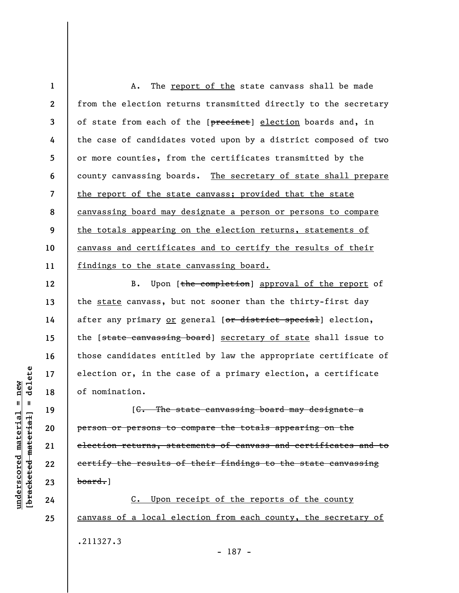**1 2 3 4 5 6 7 8 9 10 11**  A. The report of the state canvass shall be made from the election returns transmitted directly to the secretary of state from each of the [precinct] election boards and, in the case of candidates voted upon by a district composed of two or more counties, from the certificates transmitted by the county canvassing boards. The secretary of state shall prepare the report of the state canvass; provided that the state canvassing board may designate a person or persons to compare the totals appearing on the election returns, statements of canvass and certificates and to certify the results of their findings to the state canvassing board.

B. Upon [the completion] approval of the report of the state canvass, but not sooner than the thirty-first day after any primary or general [or district special] election, the [state canvassing board] secretary of state shall issue to those candidates entitled by law the appropriate certificate of election or, in the case of a primary election, a certificate of nomination.

[C. The state canvassing board may designate a person or persons to compare the totals appearing on the election returns, statements of canvass and certificates and to certify the results of their findings to the state canvassing board.]

C. Upon receipt of the reports of the county canvass of a local election from each county, the secretary of .211327.3 - 187 -

 $\frac{1}{2}$  intereted material = delete **[bracketed material] = delete**  $anderscored material = new$ **underscored material = new**

**12** 

**13** 

**14** 

**15** 

**16** 

**17** 

**18** 

**19** 

**20** 

**21** 

**22** 

**23** 

**24**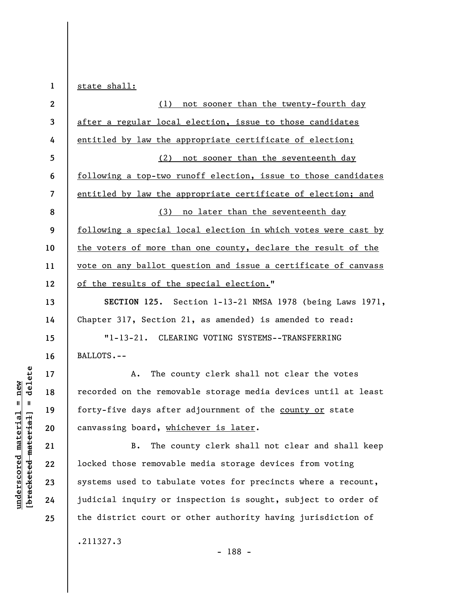**1**  state shall:

| $\mathbf{2}$             | (1) not sooner than the twenty-fourth day                      |
|--------------------------|----------------------------------------------------------------|
| 3                        | after a regular local election, issue to those candidates      |
| 4                        | entitled by law the appropriate certificate of election;       |
| 5                        | (2) not sooner than the seventeenth day                        |
| 6                        | following a top-two runoff election, issue to those candidates |
| $\overline{\mathcal{L}}$ | entitled by law the appropriate certificate of election; and   |
| 8                        | (3) no later than the seventeenth day                          |
| 9                        | following a special local election in which votes were cast by |
| 10                       | the voters of more than one county, declare the result of the  |
| 11                       | vote on any ballot question and issue a certificate of canvass |
| 12                       | of the results of the special election."                       |
| 13                       | SECTION 125. Section 1-13-21 NMSA 1978 (being Laws 1971,       |
| 14                       | Chapter 317, Section 21, as amended) is amended to read:       |
| 15                       | $"1 - 13 - 21.$<br>CLEARING VOTING SYSTEMS--TRANSFERRING       |
| 16                       | BALLOTS.--                                                     |
| 17                       | The county clerk shall not clear the votes<br>Α.               |
| 18                       | recorded on the removable storage media devices until at least |
| 19                       | forty-five days after adjournment of the county or state       |
| 20                       | canvassing board, whichever is later.                          |
| 21                       | The county clerk shall not clear and shall keep<br><b>B.</b>   |
| 22                       | locked those removable media storage devices from voting       |
| 23                       | systems used to tabulate votes for precincts where a recount,  |
| 24                       | judicial inquiry or inspection is sought, subject to order of  |
| 25                       | the district court or other authority having jurisdiction of   |

.211327.3

- 188 -

 $[$ bracketed material] = delete **[bracketed material] = delete**  $underscored material = new$ **underscored material = new**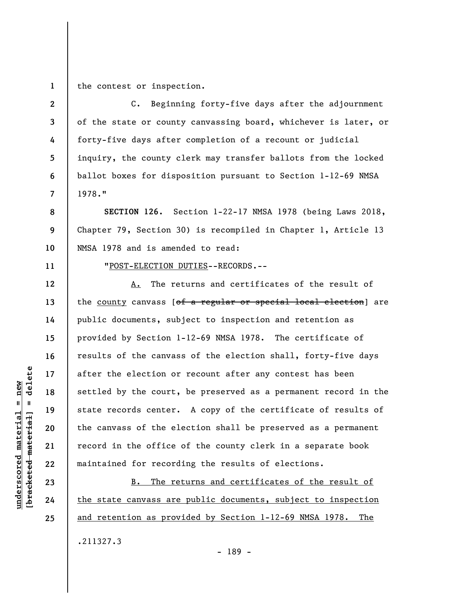**1**  the contest or inspection.

**3**  C. Beginning forty-five days after the adjournment of the state or county canvassing board, whichever is later, or forty-five days after completion of a recount or judicial inquiry, the county clerk may transfer ballots from the locked ballot boxes for disposition pursuant to Section 1-12-69 NMSA 1978."

**SECTION 126.** Section 1-22-17 NMSA 1978 (being Laws 2018, Chapter 79, Section 30) is recompiled in Chapter 1, Article 13 NMSA 1978 and is amended to read:

**11** 

**2** 

**4** 

**5** 

**6** 

**7** 

**8** 

**9** 

**10** 

**12** 

**13** 

**14** 

**15** 

**16** 

**17** 

**18** 

**19** 

**20** 

**21** 

**22** 

**23** 

**24** 

**25** 

"POST-ELECTION DUTIES--RECORDS.--

A. The returns and certificates of the result of the county canvass [of a regular or special local election] are public documents, subject to inspection and retention as provided by Section 1-12-69 NMSA 1978. The certificate of results of the canvass of the election shall, forty-five days after the election or recount after any contest has been settled by the court, be preserved as a permanent record in the state records center. A copy of the certificate of results of the canvass of the election shall be preserved as a permanent record in the office of the county clerk in a separate book maintained for recording the results of elections.

B. The returns and certificates of the result of the state canvass are public documents, subject to inspection and retention as provided by Section 1-12-69 NMSA 1978. The .211327.3

- 189 -

 $\frac{1}{2}$  of  $\frac{1}{2}$  and  $\frac{1}{2}$  and  $\frac{1}{2}$  and  $\frac{1}{2}$  and  $\frac{1}{2}$  and  $\frac{1}{2}$  and  $\frac{1}{2}$  and  $\frac{1}{2}$  and  $\frac{1}{2}$  and  $\frac{1}{2}$  and  $\frac{1}{2}$  and  $\frac{1}{2}$  and  $\frac{1}{2}$  and  $\frac{1}{2}$  and  $\frac{1}{2}$  an **[bracketed material] = delete**  $underscored material = new$ **underscored material = new**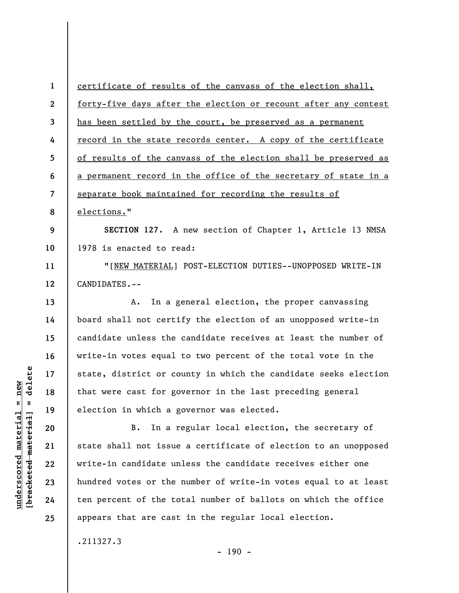**1 2 3 4 5 6 7 8 9 10 11 12 13 14 15 16 17 18**  certificate of results of the canvass of the election shall, forty-five days after the election or recount after any contest has been settled by the court, be preserved as a permanent record in the state records center. A copy of the certificate of results of the canvass of the election shall be preserved as a permanent record in the office of the secretary of state in a separate book maintained for recording the results of elections." **SECTION 127.** A new section of Chapter 1, Article 13 NMSA 1978 is enacted to read: "[NEW MATERIAL] POST-ELECTION DUTIES--UNOPPOSED WRITE-IN CANDIDATES.-- A. In a general election, the proper canvassing board shall not certify the election of an unopposed write-in candidate unless the candidate receives at least the number of write-in votes equal to two percent of the total vote in the state, district or county in which the candidate seeks election that were cast for governor in the last preceding general

B. In a regular local election, the secretary of state shall not issue a certificate of election to an unopposed write-in candidate unless the candidate receives either one hundred votes or the number of write-in votes equal to at least ten percent of the total number of ballots on which the office appears that are cast in the regular local election.

election in which a governor was elected.

.211327.3

 $- 190 -$ 

 $\frac{1}{2}$  intereted material = delete **[bracketed material] = delete**  $anderscored material = new$ **underscored material = new**

**19** 

**20** 

**21** 

**22** 

**23** 

**24**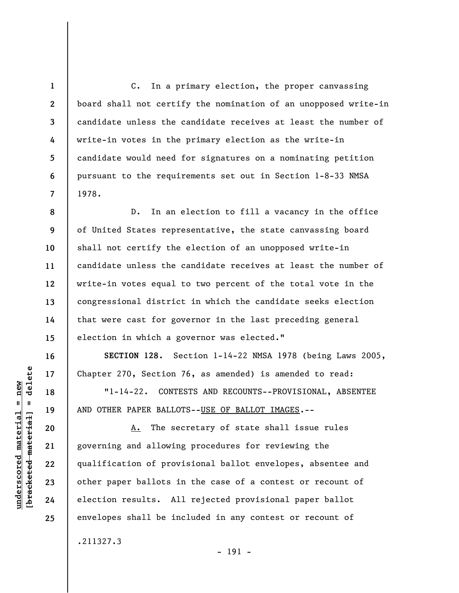C. In a primary election, the proper canvassing board shall not certify the nomination of an unopposed write-in candidate unless the candidate receives at least the number of write-in votes in the primary election as the write-in candidate would need for signatures on a nominating petition pursuant to the requirements set out in Section 1-8-33 NMSA 1978.

**8 9 10 11 12 13 14 15**  D. In an election to fill a vacancy in the office of United States representative, the state canvassing board shall not certify the election of an unopposed write-in candidate unless the candidate receives at least the number of write-in votes equal to two percent of the total vote in the congressional district in which the candidate seeks election that were cast for governor in the last preceding general election in which a governor was elected."

**SECTION 128.** Section 1-14-22 NMSA 1978 (being Laws 2005, Chapter 270, Section 76, as amended) is amended to read:

"1-14-22. CONTESTS AND RECOUNTS--PROVISIONAL, ABSENTEE AND OTHER PAPER BALLOTS--USE OF BALLOT IMAGES.--

A. The secretary of state shall issue rules governing and allowing procedures for reviewing the qualification of provisional ballot envelopes, absentee and other paper ballots in the case of a contest or recount of election results. All rejected provisional paper ballot envelopes shall be included in any contest or recount of .211327.3

- 191 -

**1** 

**2** 

**3** 

**4** 

**5** 

**6** 

**7** 

**16** 

**17** 

**18** 

**19** 

**20** 

**21** 

**22** 

**23** 

**24**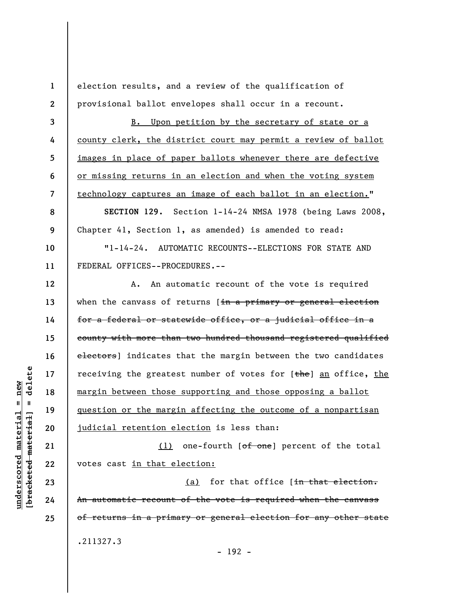election results, and a review of the qualification of provisional ballot envelopes shall occur in a recount.

B. Upon petition by the secretary of state or a county clerk, the district court may permit a review of ballot images in place of paper ballots whenever there are defective or missing returns in an election and when the voting system technology captures an image of each ballot in an election."

**SECTION 129.** Section 1-14-24 NMSA 1978 (being Laws 2008, Chapter 41, Section 1, as amended) is amended to read:

"1-14-24. AUTOMATIC RECOUNTS--ELECTIONS FOR STATE AND FEDERAL OFFICES--PROCEDURES.--

**12**  A. An automatic recount of the vote is required when the canvass of returns [in a primary or general election for a federal or statewide office, or a judicial office in a county with more than two hundred thousand registered qualified electors) indicates that the margin between the two candidates receiving the greatest number of votes for  $[the]$  an office, the margin between those supporting and those opposing a ballot question or the margin affecting the outcome of a nonpartisan judicial retention election is less than:

(1) one-fourth [of one] percent of the total votes cast in that election:

(a) for that office  $[in + that +$  election. An automatic recount of the vote is required when the canvass of returns in a primary or general election for any other state .211327.3

**1** 

**2** 

**3** 

**4** 

**5** 

**6** 

**7** 

**8** 

**9** 

**10** 

**11** 

**13** 

**14** 

**15** 

**16** 

**17** 

**18** 

**19** 

**20** 

**21** 

**22** 

**23** 

**24** 

**25** 

- 192 -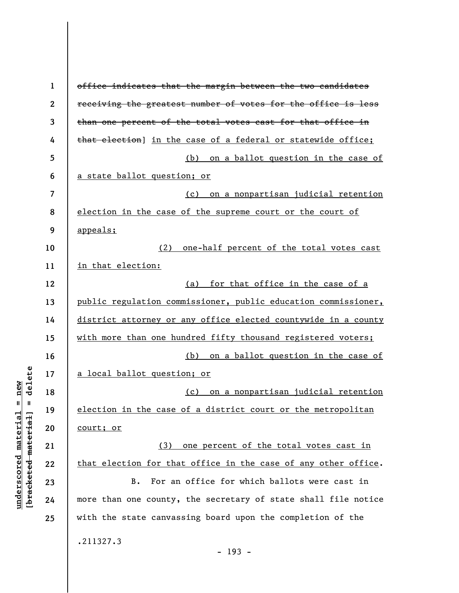| $\mathbf{1}$ | office indicates that the margin between the two candidates    |
|--------------|----------------------------------------------------------------|
| $\mathbf{2}$ | receiving the greatest number of votes for the office is less  |
| 3            | than one percent of the total votes cast for that office in    |
| 4            | that election] in the case of a federal or statewide office;   |
| 5            | (b) on a ballot question in the case of                        |
| 6            | a state ballot question; or                                    |
| 7            | (c) on a nonpartisan judicial retention                        |
| 8            | election in the case of the supreme court or the court of      |
| 9            | appeals;                                                       |
| 10           | (2) one-half percent of the total votes cast                   |
| 11           | in that election:                                              |
| 12           | (a) for that office in the case of a                           |
| 13           | public regulation commissioner, public education commissioner, |
| 14           | district attorney or any office elected countywide in a county |
| 15           | with more than one hundred fifty thousand registered voters;   |
| 16           | (b)<br>on a ballot question in the case of                     |
| 17           | a local ballot question; or                                    |
| 18           | on a nonpartisan judicial retention<br>(c)                     |
| 19           | election in the case of a district court or the metropolitan   |
| 20           | <u>court; or</u>                                               |
| 21           | one percent of the total votes cast in<br>(3)                  |
| 22           | that election for that office in the case of any other office. |
| 23           | For an office for which ballots were cast in<br><b>B.</b>      |
| 24           | more than one county, the secretary of state shall file notice |
| 25           | with the state canvassing board upon the completion of the     |
|              | .211327.3<br>$-193 -$                                          |

 $\overline{\phantom{a}}$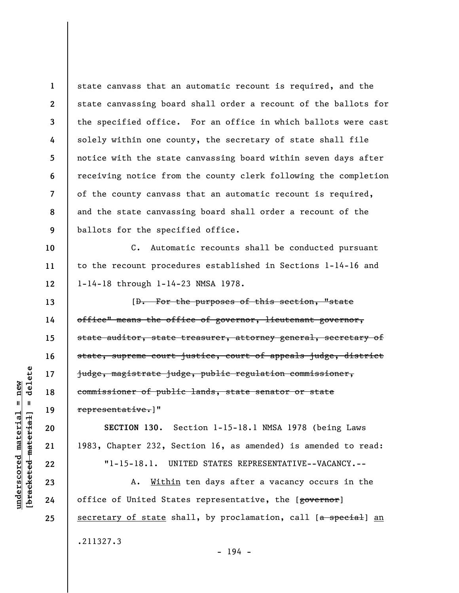**1 2 3 4 5 6 7 8 9**  state canvass that an automatic recount is required, and the state canvassing board shall order a recount of the ballots for the specified office. For an office in which ballots were cast solely within one county, the secretary of state shall file notice with the state canvassing board within seven days after receiving notice from the county clerk following the completion of the county canvass that an automatic recount is required, and the state canvassing board shall order a recount of the ballots for the specified office.

C. Automatic recounts shall be conducted pursuant to the recount procedures established in Sections 1-14-16 and 1-14-18 through 1-14-23 NMSA 1978.

[D. For the purposes of this section, "state office" means the office of governor, lieutenant governor, state auditor, state treasurer, attorney general, secretary of state, supreme court justice, court of appeals judge, district judge, magistrate judge, public regulation commissioner, commissioner of public lands, state senator or state representative.]"

**SECTION 130.** Section 1-15-18.1 NMSA 1978 (being Laws 1983, Chapter 232, Section 16, as amended) is amended to read: "1-15-18.1. UNITED STATES REPRESENTATIVE--VACANCY.--

A. Within ten days after a vacancy occurs in the office of United States representative, the [governor] secretary of state shall, by proclamation, call  $[a$  special an .211327.3 - 194 -

**10** 

**11** 

**12** 

**13** 

**14** 

**15** 

**16** 

**17** 

**18** 

**19** 

**20** 

**21** 

**22** 

**23** 

**24**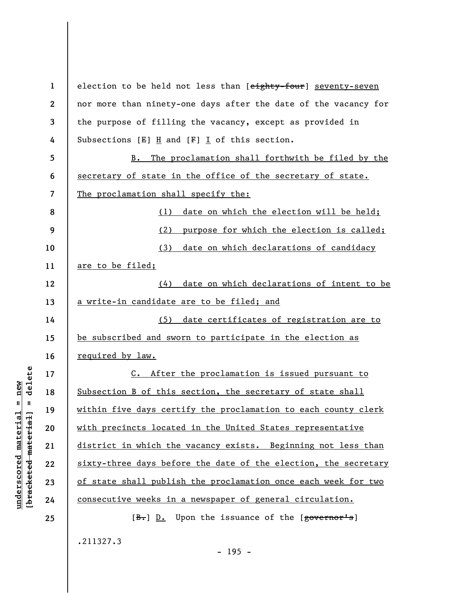| $\mathbf{1}$             | election to be held not less than [eighty-four] seventy-seven   |
|--------------------------|-----------------------------------------------------------------|
| $\boldsymbol{2}$         | nor more than ninety-one days after the date of the vacancy for |
| 3                        | the purpose of filling the vacancy, except as provided in       |
| 4                        | Subsections $[E]$ H and $[F]$ I of this section.                |
| 5                        | The proclamation shall forthwith be filed by the<br>B.          |
| 6                        | secretary of state in the office of the secretary of state.     |
| $\overline{\phantom{a}}$ | The proclamation shall specify the:                             |
| 8                        | date on which the election will be held;<br>(1)                 |
| 9                        | purpose for which the election is called;<br>(2)                |
| 10                       | date on which declarations of candidacy<br>(3)                  |
| 11                       | are to be filed;                                                |
| 12                       | date on which declarations of intent to be<br>(4)               |
| 13                       | a write-in candidate are to be filed; and                       |
| 14                       | date certificates of registration are to<br>(5)                 |
| 15                       | be subscribed and sworn to participate in the election as       |
| 16                       | <u>required by law.</u>                                         |
| 17                       | C. After the proclamation is issued pursuant to                 |
| 18                       | Subsection B of this section, the secretary of state shall      |
| 19                       | within five days certify the proclamation to each county clerk  |
| 20                       | with precincts located in the United States representative      |
| 21                       | district in which the vacancy exists. Beginning not less than   |
| 22                       | sixty-three days before the date of the election, the secretary |
| 23                       | of state shall publish the proclamation once each week for two  |
| 24                       | consecutive weeks in a newspaper of general circulation.        |
| 25                       | [B.] D. Upon the issuance of the [governor's]                   |
|                          | .211327.3                                                       |
|                          |                                                                 |

 $[**bracket**et~~eted matcherial~~] = **delete**$ **[bracketed material] = delete**  $underscored material = new$ **underscored material = new**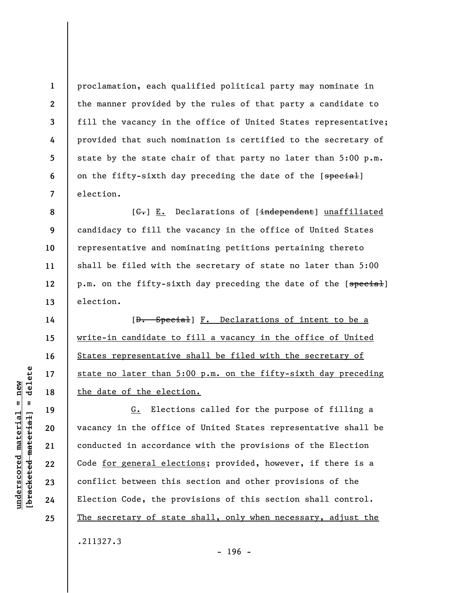proclamation, each qualified political party may nominate in the manner provided by the rules of that party a candidate to fill the vacancy in the office of United States representative; provided that such nomination is certified to the secretary of state by the state chair of that party no later than 5:00 p.m. on the fifty-sixth day preceding the date of the [special] election.

[ $G$ .] E. Declarations of [independent] unaffiliated candidacy to fill the vacancy in the office of United States representative and nominating petitions pertaining thereto shall be filed with the secretary of state no later than 5:00 p.m. on the fifty-sixth day preceding the date of the [special] election.

[D. Special] F. Declarations of intent to be a write-in candidate to fill a vacancy in the office of United States representative shall be filed with the secretary of state no later than 5:00 p.m. on the fifty-sixth day preceding the date of the election.

G. Elections called for the purpose of filling a vacancy in the office of United States representative shall be conducted in accordance with the provisions of the Election Code for general elections; provided, however, if there is a conflict between this section and other provisions of the Election Code, the provisions of this section shall control. The secretary of state shall, only when necessary, adjust the .211327.3

 $\frac{1}{2}$  intereted material = delete **[bracketed material] = delete**  $anderscored material = new$ **underscored material = new**

**1** 

**2** 

**3** 

**4** 

**5** 

**6** 

**7** 

**8** 

**9** 

**10** 

**11** 

**12** 

**13** 

**14** 

**15** 

**16** 

**17** 

**18** 

**19** 

**20** 

**21** 

**22** 

**23** 

**24**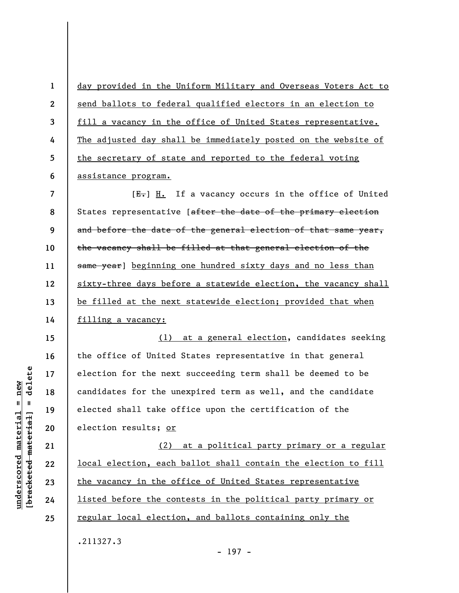**1 2 3 4 5 6**  day provided in the Uniform Military and Overseas Voters Act to send ballots to federal qualified electors in an election to fill a vacancy in the office of United States representative. The adjusted day shall be immediately posted on the website of the secretary of state and reported to the federal voting assistance program.

**7 8 9 10 11 12 13 14**   $[E-]$  H. If a vacancy occurs in the office of United States representative [after the date of the primary election and before the date of the general election of that same year, the vacancy shall be filled at that general election of the same year] beginning one hundred sixty days and no less than sixty-three days before a statewide election, the vacancy shall be filled at the next statewide election; provided that when filling a vacancy:

(1) at a general election, candidates seeking the office of United States representative in that general election for the next succeeding term shall be deemed to be candidates for the unexpired term as well, and the candidate elected shall take office upon the certification of the election results; or

(2) at a political party primary or a regular local election, each ballot shall contain the election to fill the vacancy in the office of United States representative listed before the contests in the political party primary or regular local election, and ballots containing only the

 $\frac{1}{2}$  intereted material = delete **[bracketed material] = delete**  $anderscored material = new$ **underscored material = new**

**15** 

**16** 

**17** 

**18** 

**19** 

**20** 

**21** 

**22** 

**23** 

**24** 

**25** 

.211327.3

- 197 -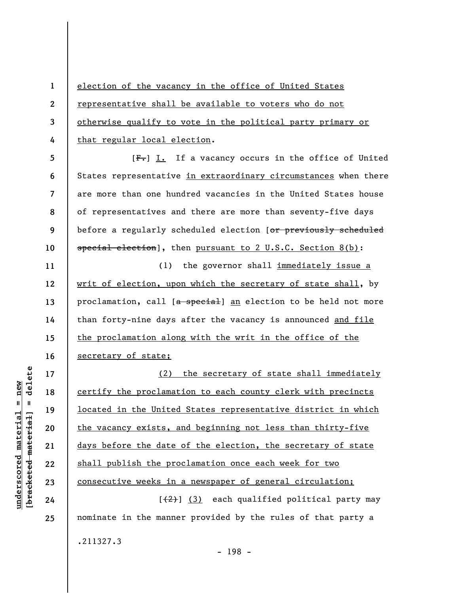**1 2 3 4**  election of the vacancy in the office of United States representative shall be available to voters who do not otherwise qualify to vote in the political party primary or that regular local election.

**5 6 7 8 9 10**   $[F_{\bullet}]$  I. If a vacancy occurs in the office of United States representative in extraordinary circumstances when there are more than one hundred vacancies in the United States house of representatives and there are more than seventy-five days before a regularly scheduled election [or previously scheduled special election], then pursuant to 2 U.S.C. Section 8(b):

(1) the governor shall immediately issue a writ of election, upon which the secretary of state shall, by proclamation, call [a special] an election to be held not more than forty-nine days after the vacancy is announced and file the proclamation along with the writ in the office of the secretary of state;

(2) the secretary of state shall immediately certify the proclamation to each county clerk with precincts located in the United States representative district in which the vacancy exists, and beginning not less than thirty-five days before the date of the election, the secretary of state shall publish the proclamation once each week for two consecutive weeks in a newspaper of general circulation;  $[\frac{2}{2}]$  (3) each qualified political party may nominate in the manner provided by the rules of that party a

**25** 

.211327.3

**11** 

**12** 

**13** 

**14** 

**15** 

**16** 

**17** 

**18** 

**19** 

**20** 

**21** 

**22** 

**underscored material = new [bracketed material] = delete**

 $\frac{1}{2}$  intereted material = delete  $underscored material = new$ 

- 198 -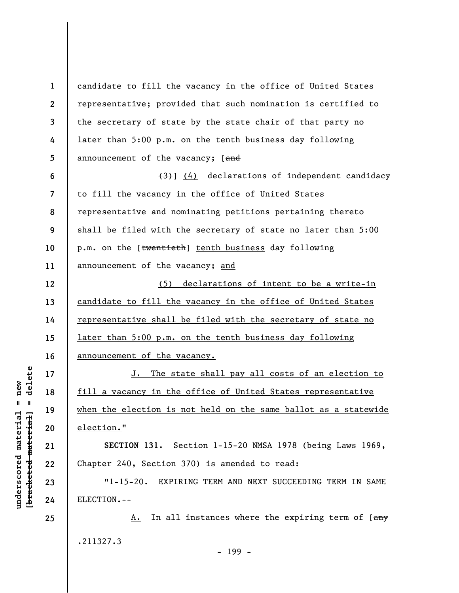**1 2 3 4 5 6 7 8 9 10 11 12 13 14 15 16 17 18 19 20 21 22 23 24 25**  candidate to fill the vacancy in the office of United States representative; provided that such nomination is certified to the secretary of state by the state chair of that party no later than 5:00 p.m. on the tenth business day following announcement of the vacancy; [and  $(3)$ ] (4) declarations of independent candidacy to fill the vacancy in the office of United States representative and nominating petitions pertaining thereto shall be filed with the secretary of state no later than 5:00 p.m. on the [twentieth] tenth business day following announcement of the vacancy; and (5) declarations of intent to be a write-in candidate to fill the vacancy in the office of United States representative shall be filed with the secretary of state no later than 5:00 p.m. on the tenth business day following announcement of the vacancy. J. The state shall pay all costs of an election to fill a vacancy in the office of United States representative when the election is not held on the same ballot as a statewide election." **SECTION 131.** Section 1-15-20 NMSA 1978 (being Laws 1969, Chapter 240, Section 370) is amended to read: "1-15-20. EXPIRING TERM AND NEXT SUCCEEDING TERM IN SAME ELECTION.-- A. In all instances where the expiring term of [any .211327.3 - 199 -

 $\frac{1}{2}$  of  $\frac{1}{2}$  and  $\frac{1}{2}$  and  $\frac{1}{2}$  and  $\frac{1}{2}$  and  $\frac{1}{2}$  and  $\frac{1}{2}$  and  $\frac{1}{2}$  and  $\frac{1}{2}$  and  $\frac{1}{2}$  and  $\frac{1}{2}$  and  $\frac{1}{2}$  and  $\frac{1}{2}$  and  $\frac{1}{2}$  and  $\frac{1}{2}$  and  $\frac{1}{2}$  an **[bracketed material] = delete**  $underscored material = new$ **underscored material = new**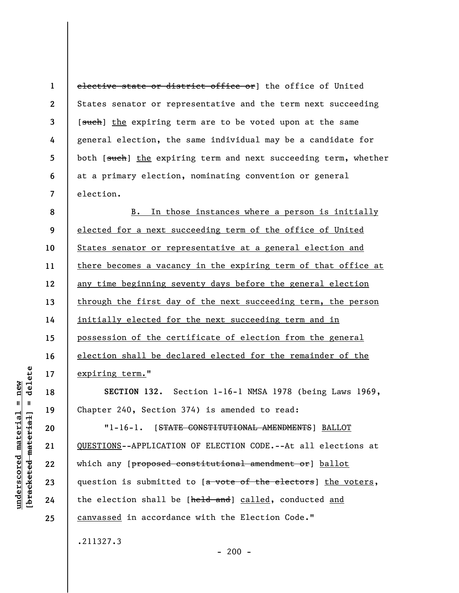**1 2 3 4 5 6 7**  elective state or district office or] the office of United States senator or representative and the term next succeeding [such] the expiring term are to be voted upon at the same general election, the same individual may be a candidate for both [such] the expiring term and next succeeding term, whether at a primary election, nominating convention or general election.

**8 9 10 11 12 13 14 15 16 17**  B. In those instances where a person is initially elected for a next succeeding term of the office of United States senator or representative at a general election and there becomes a vacancy in the expiring term of that office at any time beginning seventy days before the general election through the first day of the next succeeding term, the person initially elected for the next succeeding term and in possession of the certificate of election from the general election shall be declared elected for the remainder of the expiring term."

**SECTION 132.** Section 1-16-1 NMSA 1978 (being Laws 1969, Chapter 240, Section 374) is amended to read:

"1-16-1. [STATE CONSTITUTIONAL AMENDMENTS] BALLOT QUESTIONS--APPLICATION OF ELECTION CODE.--At all elections at which any [proposed constitutional amendment or] ballot question is submitted to [a vote of the electors] the voters, the election shall be [held and] called, conducted and canvassed in accordance with the Election Code."

.211327.3

delete **[bracketed material] = delete**  $underscored material = new$ **underscored material = new**  $\mathbf{I}$ bracketed material

**18** 

**19** 

**20** 

**21** 

**22** 

**23** 

**24**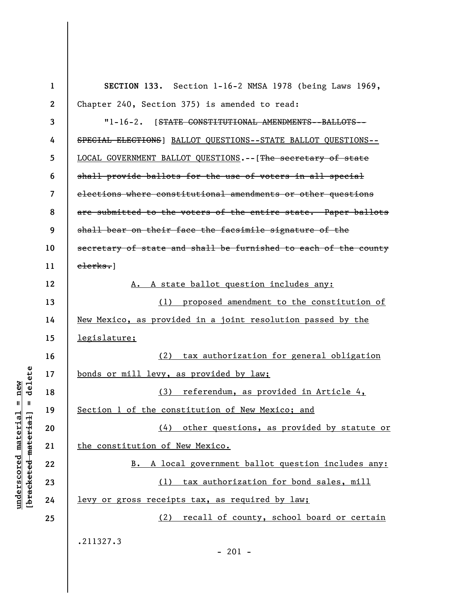| $\mathbf{1}$ | SECTION 133. Section 1-16-2 NMSA 1978 (being Laws 1969,         |
|--------------|-----------------------------------------------------------------|
| $\mathbf{2}$ | Chapter 240, Section 375) is amended to read:                   |
| 3            | "1-16-2. [STATE CONSTITUTIONAL AMENDMENTS--BALLOTS--            |
| 4            | SPECIAL ELECTIONS] BALLOT QUESTIONS--STATE BALLOT QUESTIONS--   |
| 5            | LOCAL GOVERNMENT BALLOT QUESTIONS. -- [The secretary of state   |
| 6            | shall provide ballots for the use of voters in all special      |
| 7            | elections where constitutional amendments or other questions    |
| 8            | are submitted to the voters of the entire state. Paper ballots  |
| 9            | shall bear on their face the facsimile signature of the         |
| 10           | secretary of state and shall be furnished to each of the county |
| 11           | $e$ lerks.                                                      |
| 12           | A state ballot question includes any:                           |
| 13           | (1) proposed amendment to the constitution of                   |
| 14           | New Mexico, as provided in a joint resolution passed by the     |
| 15           | <u>legislature;</u>                                             |
| 16           | tax authorization for general obligation<br>(2)                 |
| 17           | bonds or mill levy, as provided by law;                         |
| 18           | (3) referendum, as provided in Article 4,                       |
| 19           | Section 1 of the constitution of New Mexico; and                |
| 20           | (4) other questions, as provided by statute or                  |
| 21           | the constitution of New Mexico.                                 |
| 22           | A local government ballot question includes any:<br>B.          |
| 23           | (1) tax authorization for bond sales, mill                      |
| 24           | levy or gross receipts tax, as required by law;                 |
| 25           | (2) recall of county, school board or certain                   |
|              | .211327.3                                                       |

 $[bracketeed-materiat] = delete$ **[bracketed material] = delete**  $underscored material = new$ **underscored material = new**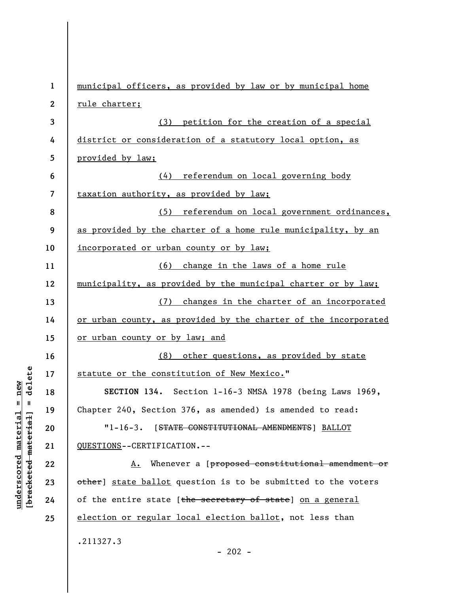| $\mathbf{1}$            | municipal officers, as provided by law or by municipal home     |
|-------------------------|-----------------------------------------------------------------|
| $\boldsymbol{2}$        | rule charter;                                                   |
| 3                       | (3) petition for the creation of a special                      |
| 4                       | district or consideration of a statutory local option, as       |
| 5                       | provided by law;                                                |
| 6                       | (4) referendum on local governing body                          |
| $\overline{\mathbf{z}}$ | taxation authority, as provided by law;                         |
| 8                       | (5) referendum on local government ordinances,                  |
| 9                       | as provided by the charter of a home rule municipality, by an   |
| 10                      | incorporated or urban county or by law;                         |
| 11                      | (6) change in the laws of a home rule                           |
| 12                      | municipality, as provided by the municipal charter or by law;   |
| 13                      | (7) changes in the charter of an incorporated                   |
| 14                      | or urban county, as provided by the charter of the incorporated |
| 15                      | or urban county or by law; and                                  |
| 16                      | (8) other questions, as provided by state                       |
| 17                      | statute or the constitution of New Mexico."                     |
| 18                      | SECTION 134. Section 1-16-3 NMSA 1978 (being Laws 1969,         |
| 19                      | Chapter 240, Section 376, as amended) is amended to read:       |
| 20                      | "1-16-3. [STATE CONSTITUTIONAL AMENDMENTS] BALLOT               |
| 21                      | QUESTIONS--CERTIFICATION.--                                     |
| 22                      | A. Whenever a [proposed constitutional amendment or             |
| 23                      | other] state ballot question is to be submitted to the voters   |
| 24                      | of the entire state [the secretary of state] on a general       |
| 25                      | election or regular local election ballot, not less than        |
|                         | .211327.3                                                       |
|                         | $-202 -$                                                        |

**underscored material = new [bracketed material] = delete**

 $[**bracket eted metert et**] = **del et e**$  $underscored material = new$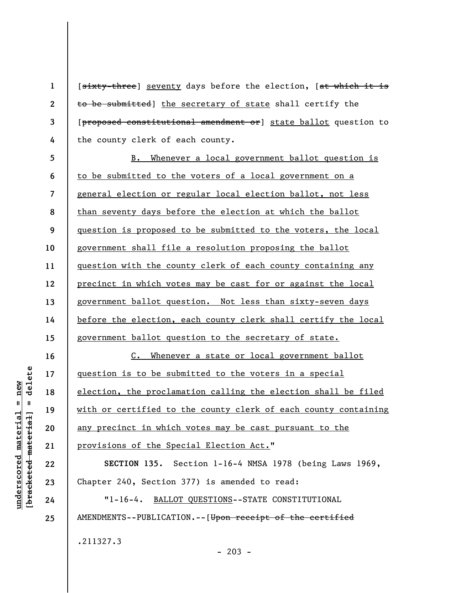**2 3**  [sixty-three] seventy days before the election, [at which it is to be submitted] the secretary of state shall certify the [proposed constitutional amendment or] state ballot question to the county clerk of each county.

**5 6 7 8 9 10 11 12 13 14 15**  B. Whenever a local government ballot question is to be submitted to the voters of a local government on a general election or regular local election ballot, not less than seventy days before the election at which the ballot question is proposed to be submitted to the voters, the local government shall file a resolution proposing the ballot question with the county clerk of each county containing any precinct in which votes may be cast for or against the local government ballot question. Not less than sixty-seven days before the election, each county clerk shall certify the local government ballot question to the secretary of state.

C. Whenever a state or local government ballot question is to be submitted to the voters in a special election, the proclamation calling the election shall be filed with or certified to the county clerk of each county containing any precinct in which votes may be cast pursuant to the provisions of the Special Election Act."

**SECTION 135.** Section 1-16-4 NMSA 1978 (being Laws 1969, Chapter 240, Section 377) is amended to read:

"1-16-4. BALLOT QUESTIONS--STATE CONSTITUTIONAL AMENDMENTS--PUBLICATION.--[Upon receipt of the certified .211327.3

delete **[bracketed material] = delete**  $underscored material = new$ **underscored material = new**  $\mathbf{I}$ bracketed material

**16** 

**17** 

**18** 

**19** 

**20** 

**21** 

**22** 

**23** 

**24** 

**25** 

**1**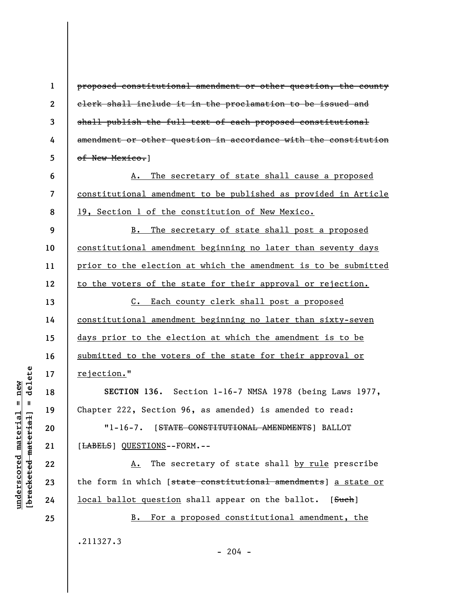**1** 

**2** 

**3** 

**4** 

**5** 

**6** 

**7** 

**8** 

**9** 

**10** 

**11** 

**12** 

**13** 

**14** 

**15** 

**16** 

**17** 

**18** 

**19** 

**20** 

**21** 

**22** 

**23** 

**24** 

**25** 

proposed constitutional amendment or other question, the county clerk shall include it in the proclamation to be issued and shall publish the full text of each proposed constitutional amendment or other question in accordance with the constitution of New Mexico.1

A. The secretary of state shall cause a proposed constitutional amendment to be published as provided in Article 19, Section 1 of the constitution of New Mexico.

B. The secretary of state shall post a proposed constitutional amendment beginning no later than seventy days prior to the election at which the amendment is to be submitted to the voters of the state for their approval or rejection.

C. Each county clerk shall post a proposed constitutional amendment beginning no later than sixty-seven days prior to the election at which the amendment is to be submitted to the voters of the state for their approval or rejection."

**SECTION 136.** Section 1-16-7 NMSA 1978 (being Laws 1977, Chapter 222, Section 96, as amended) is amended to read:

"1-16-7. [STATE CONSTITUTIONAL AMENDMENTS] BALLOT [LABELS] QUESTIONS--FORM.--

A. The secretary of state shall by rule prescribe the form in which [state constitutional amendments] a state or local ballot question shall appear on the ballot. [Such]

B. For a proposed constitutional amendment, the .211327.3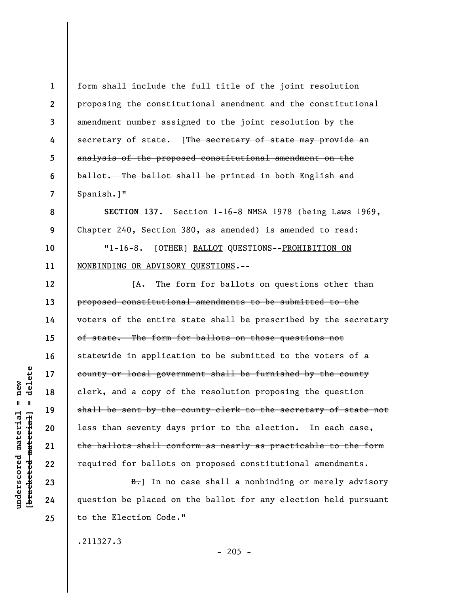**1 2 3 4 5 6 7 8 9 10 11 12 13 14 15 16 17 18 19 20 21 22 23 24**  form shall include the full title of the joint resolution proposing the constitutional amendment and the constitutional amendment number assigned to the joint resolution by the secretary of state. [The secretary of state may provide an analysis of the proposed constitutional amendment on the ballot. The ballot shall be printed in both English and Spanish.]" **SECTION 137.** Section 1-16-8 NMSA 1978 (being Laws 1969, Chapter 240, Section 380, as amended) is amended to read: "1-16-8. [OTHER] BALLOT QUESTIONS--PROHIBITION ON NONBINDING OR ADVISORY QUESTIONS.-- [A. The form for ballots on questions other than proposed constitutional amendments to be submitted to the voters of the entire state shall be prescribed by the secretary of state. The form for ballots on those questions not statewide in application to be submitted to the voters of a county or local government shall be furnished by the county clerk, and a copy of the resolution proposing the question shall be sent by the county clerk to the secretary of state not less than seventy days prior to the election. In each case, the ballots shall conform as nearly as practicable to the form required for ballots on proposed constitutional amendments.  $B\rightarrow$ ] In no case shall a nonbinding or merely advisory question be placed on the ballot for any election held pursuant

.211327.3

to the Election Code."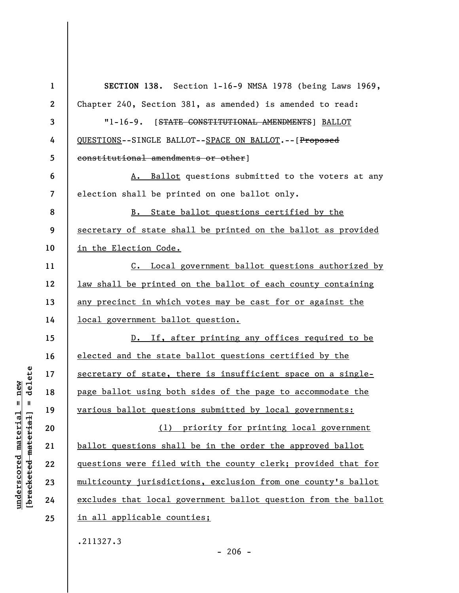| $\mathbf{1}$     | SECTION 138. Section 1-16-9 NMSA 1978 (being Laws 1969,        |
|------------------|----------------------------------------------------------------|
| $\boldsymbol{2}$ | Chapter 240, Section 381, as amended) is amended to read:      |
| 3                | "1-16-9. [STATE CONSTITUTIONAL AMENDMENTS] BALLOT              |
| 4                | QUESTIONS--SINGLE BALLOT--SPACE ON BALLOT. -- [Proposed        |
| 5                | constitutional amendments or other]                            |
| 6                | A. Ballot questions submitted to the voters at any             |
| $\overline{7}$   | election shall be printed on one ballot only.                  |
| 8                | B. State ballot questions certified by the                     |
| 9                | secretary of state shall be printed on the ballot as provided  |
| 10               | in the Election Code.                                          |
| 11               | C. Local government ballot questions authorized by             |
| 12               | law shall be printed on the ballot of each county containing   |
| 13               | any precinct in which votes may be cast for or against the     |
| 14               | local government ballot question.                              |
| 15               | D. If, after printing any offices required to be               |
| 16               | elected and the state ballot questions certified by the        |
| 17               | secretary of state, there is insufficient space on a single-   |
| 18               | page ballot using both sides of the page to accommodate the    |
| 19               | various ballot questions submitted by local governments:       |
| 20               | (1) priority for printing local government                     |
| 21               | ballot questions shall be in the order the approved ballot     |
| 22               | questions were filed with the county clerk; provided that for  |
| 23               | multicounty jurisdictions, exclusion from one county's ballot  |
| 24               | excludes that local government ballot question from the ballot |
| 25               | in all applicable counties;                                    |
|                  | .211327.3                                                      |

 $[bracketeed-materiat] = delete$ **[bracketed material] = delete**  $underscored material = new$ **underscored material = new**

- 206 -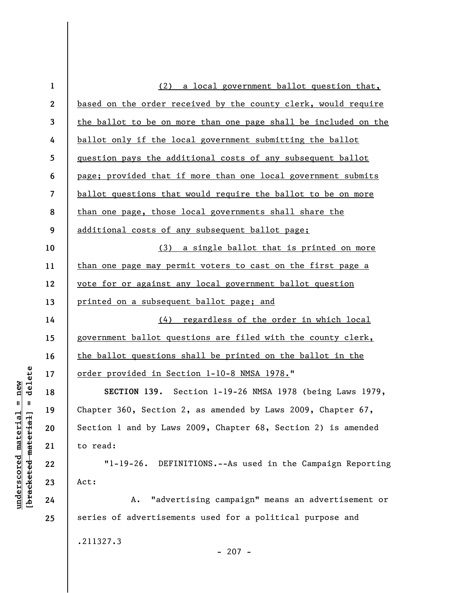| $\mathbf 1$      | (2) a local government ballot question that,                       |
|------------------|--------------------------------------------------------------------|
| $\boldsymbol{2}$ | based on the order received by the county clerk, would require     |
| 3                | the ballot to be on more than one page shall be included on the    |
| 4                | ballot only if the local government submitting the ballot          |
| 5                | question pays the additional costs of any subsequent ballot        |
| 6                | page; provided that if more than one local government submits      |
| 7                | ballot questions that would require the ballot to be on more       |
| 8                | than one page, those local governments shall share the             |
| 9                | additional costs of any subsequent ballot page;                    |
| 10               | (3) a single ballot that is printed on more                        |
| 11               | <u>than one page may permit voters to cast on the first page a</u> |
| 12               | vote for or against any local government ballot question           |
| 13               | printed on a subsequent ballot page; and                           |
| 14               | (4) regardless of the order in which local                         |
| 15               | government ballot questions are filed with the county clerk,       |
| 16               | the ballot questions shall be printed on the ballot in the         |
| 17               | order provided in Section 1-10-8 NMSA 1978."                       |
| 18               | SECTION 139. Section 1-19-26 NMSA 1978 (being Laws 1979,           |
| 19               | Chapter 360, Section 2, as amended by Laws 2009, Chapter $67$ ,    |
| 20               | Section 1 and by Laws 2009, Chapter 68, Section 2) is amended      |
| 21               | to read:                                                           |
| 22               | "1-19-26. DEFINITIONS.--As used in the Campaign Reporting          |
| 23               | Act:                                                               |
| 24               | "advertising campaign" means an advertisement or<br>Α.             |
| 25               | series of advertisements used for a political purpose and          |
|                  | .211327.3                                                          |
|                  | $-207 -$                                                           |

 $[**bracket eted metert et**] = **del et e**$ **[bracketed material] = delete**  $underscored material = new$ **underscored material = new**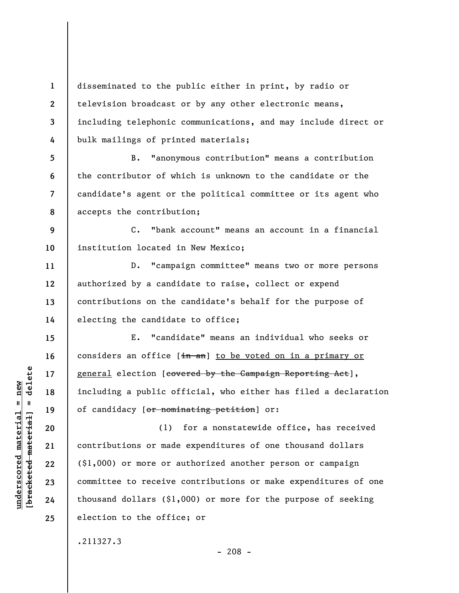**1 2 3 4**  disseminated to the public either in print, by radio or television broadcast or by any other electronic means, including telephonic communications, and may include direct or bulk mailings of printed materials;

**8**  B. "anonymous contribution" means a contribution the contributor of which is unknown to the candidate or the candidate's agent or the political committee or its agent who accepts the contribution;

**9 10**  C. "bank account" means an account in a financial institution located in New Mexico;

D. "campaign committee" means two or more persons authorized by a candidate to raise, collect or expend contributions on the candidate's behalf for the purpose of electing the candidate to office;

E. "candidate" means an individual who seeks or considers an office  $[\frac{1}{n} + \frac{1}{n}]$  to be voted on in a primary or general election [covered by the Campaign Reporting Act], including a public official, who either has filed a declaration of candidacy [or nominating petition] or:

(1) for a nonstatewide office, has received contributions or made expenditures of one thousand dollars (\$1,000) or more or authorized another person or campaign committee to receive contributions or make expenditures of one thousand dollars (\$1,000) or more for the purpose of seeking election to the office; or

.211327.3

 $\frac{1}{2}$  of  $\frac{1}{2}$  and  $\frac{1}{2}$  and  $\frac{1}{2}$  and  $\frac{1}{2}$  and  $\frac{1}{2}$  and  $\frac{1}{2}$  and  $\frac{1}{2}$  and  $\frac{1}{2}$  and  $\frac{1}{2}$  and  $\frac{1}{2}$  and  $\frac{1}{2}$  and  $\frac{1}{2}$  and  $\frac{1}{2}$  and  $\frac{1}{2}$  and  $\frac{1}{2}$  an **[bracketed material] = delete**  $underscored material = new$ **underscored material = new**

**5** 

**6** 

**7** 

**11** 

**12** 

**13** 

**14** 

**15** 

**16** 

**17** 

**18** 

**19** 

**20** 

**21** 

**22** 

**23** 

**24**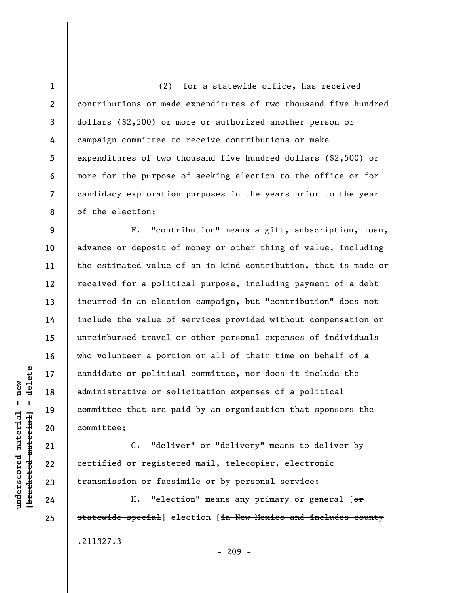**1 2 3 4 5 6 7 8**  (2) for a statewide office, has received contributions or made expenditures of two thousand five hundred dollars (\$2,500) or more or authorized another person or campaign committee to receive contributions or make expenditures of two thousand five hundred dollars (\$2,500) or more for the purpose of seeking election to the office or for candidacy exploration purposes in the years prior to the year of the election;

**9 10 11 12 13 14 15 16 17 18 19 20**  F. "contribution" means a gift, subscription, loan, advance or deposit of money or other thing of value, including the estimated value of an in-kind contribution, that is made or received for a political purpose, including payment of a debt incurred in an election campaign, but "contribution" does not include the value of services provided without compensation or unreimbursed travel or other personal expenses of individuals who volunteer a portion or all of their time on behalf of a candidate or political committee, nor does it include the administrative or solicitation expenses of a political committee that are paid by an organization that sponsors the committee;

G. "deliver" or "delivery" means to deliver by certified or registered mail, telecopier, electronic transmission or facsimile or by personal service;

H. "election" means any primary or general  $[ $\sigma$  r]$ statewide special] election [in New Mexico and includes county .211327.3

 $\frac{1}{2}$  intereted material = delete **[bracketed material] = delete**  $underscored material = new$ **underscored material = new**

**21** 

**22** 

**23** 

**24**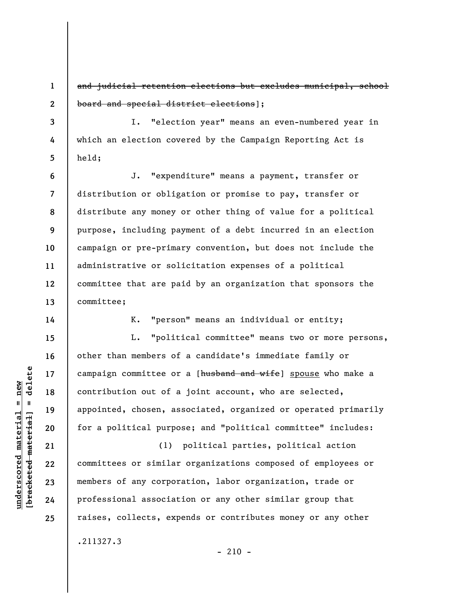and judicial retention elections but excludes municipal, school board and special district elections];

I. "election year" means an even-numbered year in which an election covered by the Campaign Reporting Act is held;

**6 7 8 9 10 11 12 13**  J. "expenditure" means a payment, transfer or distribution or obligation or promise to pay, transfer or distribute any money or other thing of value for a political purpose, including payment of a debt incurred in an election campaign or pre-primary convention, but does not include the administrative or solicitation expenses of a political committee that are paid by an organization that sponsors the committee;

K. "person" means an individual or entity;

L. "political committee" means two or more persons, other than members of a candidate's immediate family or campaign committee or a [husband and wife] spouse who make a contribution out of a joint account, who are selected, appointed, chosen, associated, organized or operated primarily for a political purpose; and "political committee" includes:

(1) political parties, political action committees or similar organizations composed of employees or members of any corporation, labor organization, trade or professional association or any other similar group that raises, collects, expends or contributes money or any other .211327.3

 $- 210 -$ 

**1** 

**2** 

**3** 

**4** 

**5** 

**14** 

**15** 

**16** 

**17** 

**18** 

**19** 

**20** 

**21** 

**22** 

**23** 

**24**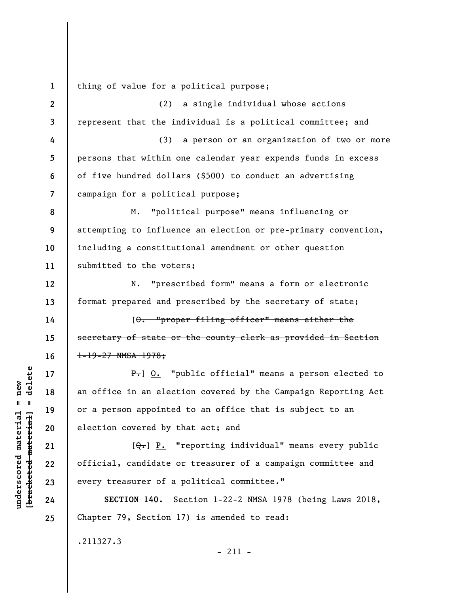**1**  thing of value for a political purpose;

**2 3 4 5 6 7 8 9 10 11 12 13 14 15 16 17 18 19 20 21 22 23 24 25**  (2) a single individual whose actions represent that the individual is a political committee; and (3) a person or an organization of two or more persons that within one calendar year expends funds in excess of five hundred dollars (\$500) to conduct an advertising campaign for a political purpose; M. "political purpose" means influencing or attempting to influence an election or pre-primary convention, including a constitutional amendment or other question submitted to the voters; N. "prescribed form" means a form or electronic format prepared and prescribed by the secretary of state; [O. "proper filing officer" means either the secretary of state or the county clerk as provided in Section 1-19-27 NMSA 1978; P. 0. "public official" means a person elected to an office in an election covered by the Campaign Reporting Act or a person appointed to an office that is subject to an election covered by that act; and  $[Q_{\tau}]$  P. "reporting individual" means every public official, candidate or treasurer of a campaign committee and every treasurer of a political committee." **SECTION 140.** Section 1-22-2 NMSA 1978 (being Laws 2018, Chapter 79, Section 17) is amended to read:

.211327.3

 $\frac{1}{2}$  of  $\frac{1}{2}$  and  $\frac{1}{2}$  and  $\frac{1}{2}$  and  $\frac{1}{2}$  and  $\frac{1}{2}$  and  $\frac{1}{2}$  and  $\frac{1}{2}$  and  $\frac{1}{2}$  and  $\frac{1}{2}$  and  $\frac{1}{2}$  and  $\frac{1}{2}$  and  $\frac{1}{2}$  and  $\frac{1}{2}$  and  $\frac{1}{2}$  and  $\frac{1}{2}$  an **[bracketed material] = delete**  $anderscored material = new$ **underscored material = new**

- 211 -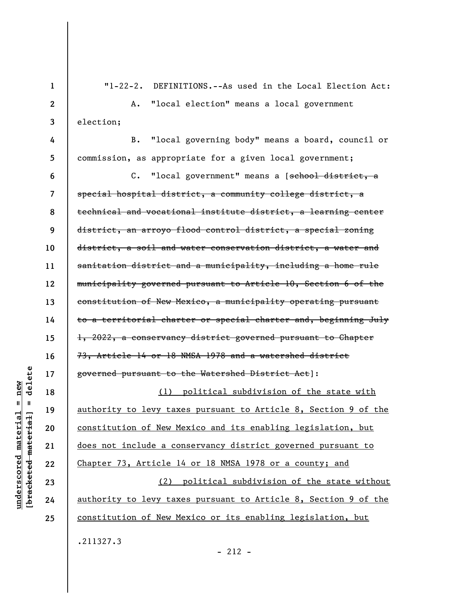**1 2 3 4 5 6 7 8 9 10 11 12 13 14 15 16 17 18 19 20 21 22 23 24 25**  "1-22-2. DEFINITIONS.--As used in the Local Election Act: A. "local election" means a local government election; B. "local governing body" means a board, council or commission, as appropriate for a given local government; C. "local government" means a [school district, a special hospital district, a community college district, a technical and vocational institute district, a learning center district, an arroyo flood control district, a special zoning district, a soil and water conservation district, a water and sanitation district and a municipality, including a home rule municipality governed pursuant to Article 10, Section 6 of the constitution of New Mexico, a municipality operating pursuant to a territorial charter or special charter and, beginning July 1, 2022, a conservancy district governed pursuant to Chapter 73, Article 14 or 18 NMSA 1978 and a watershed district governed pursuant to the Watershed District Act]: (1) political subdivision of the state with authority to levy taxes pursuant to Article 8, Section 9 of the constitution of New Mexico and its enabling legislation, but does not include a conservancy district governed pursuant to Chapter 73, Article 14 or 18 NMSA 1978 or a county; and (2) political subdivision of the state without authority to levy taxes pursuant to Article 8, Section 9 of the constitution of New Mexico or its enabling legislation, but .211327.3

delete **[bracketed material] = delete**  $anderscored material = new$ **underscored material = new**  $\mathbf{I}$ bracketed material

 $-212 -$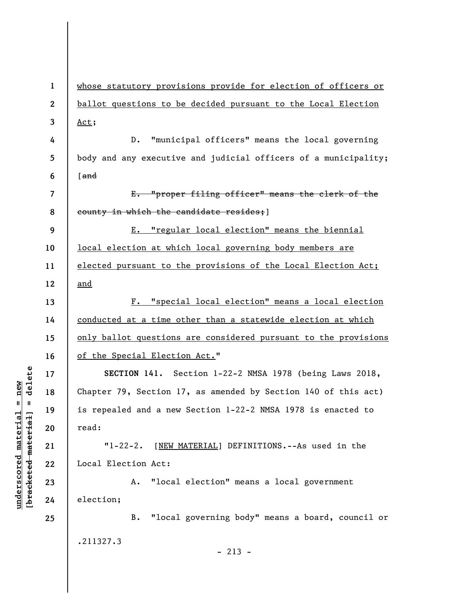| $\mathbf{1}$ | whose statutory provisions provide for election of officers or  |
|--------------|-----------------------------------------------------------------|
| $\mathbf{2}$ | ballot questions to be decided pursuant to the Local Election   |
| 3            | Act;                                                            |
| 4            | "municipal officers" means the local governing<br>$D$ .         |
| 5            | body and any executive and judicial officers of a municipality; |
| 6            | $[$ and                                                         |
| 7            | E. "proper filing officer" means the clerk of the               |
| 8            | county in which the candidate resides; ]                        |
| 9            | E. "regular local election" means the biennial                  |
| 10           | local election at which local governing body members are        |
| 11           | elected pursuant to the provisions of the Local Election Act;   |
| 12           | and                                                             |
| 13           | F. "special local election" means a local election              |
| 14           | conducted at a time other than a statewide election at which    |
| 15           | only ballot questions are considered pursuant to the provisions |
| 16           | of the Special Election Act."                                   |
| 17           | SECTION 141. Section 1-22-2 NMSA 1978 (being Laws 2018,         |
| 18           | Chapter 79, Section 17, as amended by Section 140 of this act)  |
| 19           | is repealed and a new Section 1-22-2 NMSA 1978 is enacted to    |
| 20           | read:                                                           |
| 21           | $1 - 22 - 2$ .<br>[NEW MATERIAL] DEFINITIONS.--As used in the   |
| 22           | Local Election Act:                                             |
| 23           | "local election" means a local government<br>Α.                 |
| 24           | election;                                                       |
| 25           | "local governing body" means a board, council or<br><b>B.</b>   |
|              | .211327.3                                                       |
|              | $-213 -$                                                        |

 $[bracketeed-materiat] = delete$ **[bracketed material] = delete**  $underscored material = new$ **underscored material = new**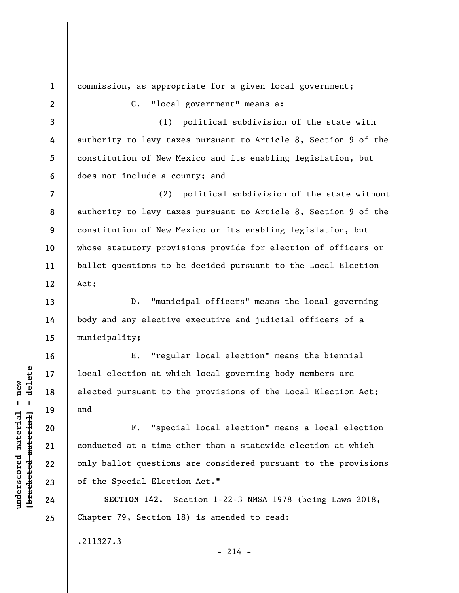**1 2 3 4 5 6 7 8 9 10 11 12 13 14 15 16 17 18 19 20 21 22 23 24 25**  commission, as appropriate for a given local government; C. "local government" means a: (1) political subdivision of the state with authority to levy taxes pursuant to Article 8, Section 9 of the constitution of New Mexico and its enabling legislation, but does not include a county; and (2) political subdivision of the state without authority to levy taxes pursuant to Article 8, Section 9 of the constitution of New Mexico or its enabling legislation, but whose statutory provisions provide for election of officers or ballot questions to be decided pursuant to the Local Election Act; D. "municipal officers" means the local governing body and any elective executive and judicial officers of a municipality; E. "regular local election" means the biennial local election at which local governing body members are elected pursuant to the provisions of the Local Election Act; and F. "special local election" means a local election conducted at a time other than a statewide election at which only ballot questions are considered pursuant to the provisions of the Special Election Act." **SECTION 142.** Section 1-22-3 NMSA 1978 (being Laws 2018, Chapter 79, Section 18) is amended to read: .211327.3  $-214 -$ 

**underscored material = new [bracketed material] = delete**

 $b$ racketed material] = delete  $underscored material = new$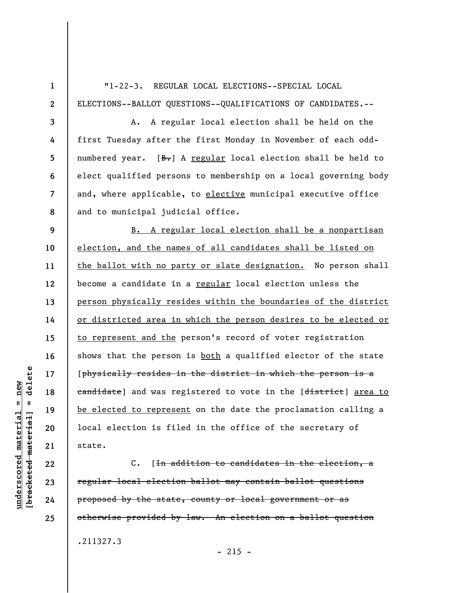**1 2 3 4 5 6 7 8 9 10 11 12 13 14 15 16 17 18 19 20 21 22**  "1-22-3. REGULAR LOCAL ELECTIONS--SPECIAL LOCAL ELECTIONS--BALLOT QUESTIONS--QUALIFICATIONS OF CANDIDATES.-- A. A regular local election shall be held on the first Tuesday after the first Monday in November of each oddnumbered year.  $[**B**]<sub>1</sub>$  A regular local election shall be held to elect qualified persons to membership on a local governing body and, where applicable, to elective municipal executive office and to municipal judicial office. B. A regular local election shall be a nonpartisan election, and the names of all candidates shall be listed on the ballot with no party or slate designation. No person shall become a candidate in a regular local election unless the person physically resides within the boundaries of the district or districted area in which the person desires to be elected or to represent and the person's record of voter registration shows that the person is both a qualified elector of the state [physically resides in the district in which the person is a eandidate) and was registered to vote in the [district] area to be elected to represent on the date the proclamation calling a local election is filed in the office of the secretary of state.

C. [In addition to candidates in the election, a regular local election ballot may contain ballot questions proposed by the state, county or local government or as otherwise provided by law. An election on a ballot question .211327.3

delete **[bracketed material] = delete**  $underscored material = new$ **underscored material = new**  $\mathbf{I}$ bracketed material

**23** 

**24** 

**25** 

 $-215 -$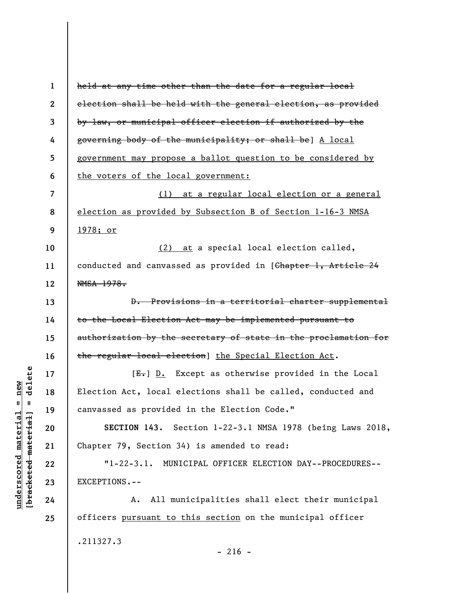| $\mathbf{1}$             | held at any time other than the date for a regular local        |
|--------------------------|-----------------------------------------------------------------|
| $\mathbf{2}$             | election shall be held with the general election, as provided   |
| 3                        | by law, or municipal officer election if authorized by the      |
| 4                        | governing body of the municipality; or shall be] A local        |
| 5                        | government may propose a ballot question to be considered by    |
| 6                        | the voters of the local government:                             |
| $\overline{\mathcal{L}}$ | (1) at a regular local election or a general                    |
| 8                        | election as provided by Subsection B of Section 1-16-3 NMSA     |
| 9                        | <u>1978; or</u>                                                 |
| 10                       | (2) at a special local election called,                         |
| 11                       | conducted and canvassed as provided in [Chapter 1, Article 24   |
| 12                       | NMSA 1978.                                                      |
| 13                       | D. Provisions in a territorial charter supplemental             |
| 14                       | to the Local Election Act may be implemented pursuant to        |
| 15                       | authorization by the secretary of state in the proclamation for |
| 16                       | the regular local election] the Special Election Act.           |
| 17                       | $[E-]$ D. Except as otherwise provided in the Local             |
| 18                       | Election Act, local elections shall be called, conducted and    |
| 19                       | canvassed as provided in the Election Code."                    |
| 20                       | SECTION 143. Section 1-22-3.1 NMSA 1978 (being Laws 2018,       |
| 21                       | Chapter 79, Section 34) is amended to read:                     |
| 22                       | "1-22-3.1. MUNICIPAL OFFICER ELECTION DAY--PROCEDURES--         |
| 23                       | EXCEPTIONS.--                                                   |
| 24                       | A. All municipalities shall elect their municipal               |
| 25                       | officers pursuant to this section on the municipal officer      |
|                          | .211327.3<br>$-216 -$                                           |

 $[bracketeed-materiat] = delete$ **[bracketed material] = delete**  $underscored material = new$ **underscored material = new**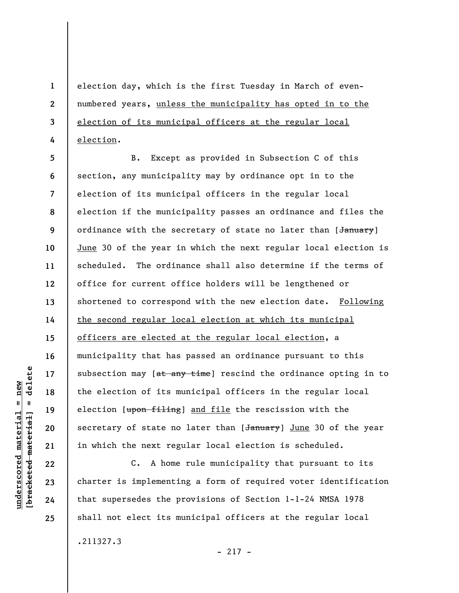election day, which is the first Tuesday in March of evennumbered years, unless the municipality has opted in to the election of its municipal officers at the regular local election.

**5 6 7 8 9 10 11 12 13 14 15 16 17 18 19 20 21**  B. Except as provided in Subsection C of this section, any municipality may by ordinance opt in to the election of its municipal officers in the regular local election if the municipality passes an ordinance and files the ordinance with the secretary of state no later than [January] June 30 of the year in which the next regular local election is scheduled. The ordinance shall also determine if the terms of office for current office holders will be lengthened or shortened to correspond with the new election date. Following the second regular local election at which its municipal officers are elected at the regular local election, a municipality that has passed an ordinance pursuant to this subsection may  $[$  at any time] rescind the ordinance opting in to the election of its municipal officers in the regular local election [upon filing] and file the rescission with the secretary of state no later than [January] June 30 of the year in which the next regular local election is scheduled.

C. A home rule municipality that pursuant to its charter is implementing a form of required voter identification that supersedes the provisions of Section 1-1-24 NMSA 1978 shall not elect its municipal officers at the regular local

.211327.3

 $-217 -$ 

 $\frac{1}{2}$  of  $\frac{1}{2}$  and  $\frac{1}{2}$  and  $\frac{1}{2}$  and  $\frac{1}{2}$  and  $\frac{1}{2}$  and  $\frac{1}{2}$  and  $\frac{1}{2}$  and  $\frac{1}{2}$  and  $\frac{1}{2}$  and  $\frac{1}{2}$  and  $\frac{1}{2}$  and  $\frac{1}{2}$  and  $\frac{1}{2}$  and  $\frac{1}{2}$  and  $\frac{1}{2}$  an **[bracketed material] = delete**  $underscored material = new$ **underscored material = new**

**22** 

**23** 

**24** 

**25** 

**1** 

**2** 

**3**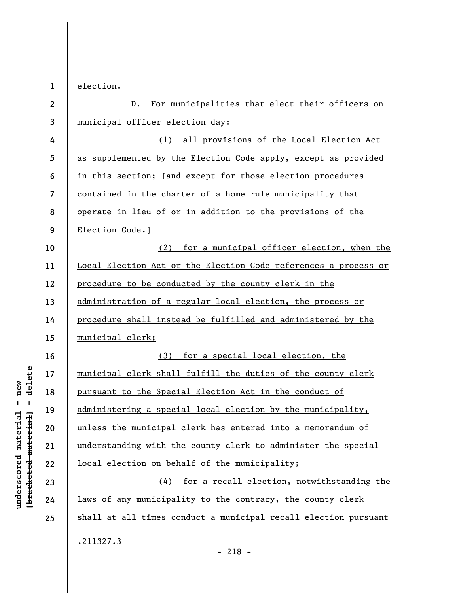**1**  election.

**2 3 4 5 6 7 8 9 10 11 12 13 14 15 16 17 18 19 20 21 22 23 24 25**  D. For municipalities that elect their officers on municipal officer election day: (1) all provisions of the Local Election Act as supplemented by the Election Code apply, except as provided in this section; [and except for those election procedures contained in the charter of a home rule municipality that operate in lieu of or in addition to the provisions of the Election Code.] (2) for a municipal officer election, when the Local Election Act or the Election Code references a process or procedure to be conducted by the county clerk in the administration of a regular local election, the process or procedure shall instead be fulfilled and administered by the municipal clerk; (3) for a special local election, the municipal clerk shall fulfill the duties of the county clerk pursuant to the Special Election Act in the conduct of administering a special local election by the municipality, unless the municipal clerk has entered into a memorandum of understanding with the county clerk to administer the special local election on behalf of the municipality; (4) for a recall election, notwithstanding the laws of any municipality to the contrary, the county clerk shall at all times conduct a municipal recall election pursuant .211327.3

 $\frac{1}{2}$  intereted material = delete **[bracketed material] = delete**  $anderscored material = new$ **underscored material = new**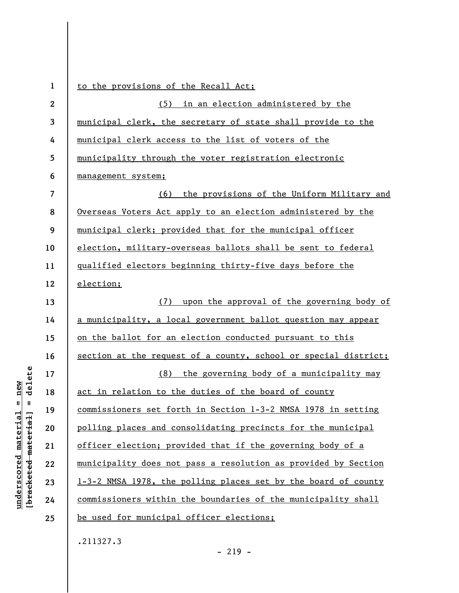| $\mathbf{1}$     | to the provisions of the Recall Act;                            |
|------------------|-----------------------------------------------------------------|
| $\boldsymbol{2}$ | (5) in an election administered by the                          |
| 3                | municipal clerk, the secretary of state shall provide to the    |
| 4                | municipal clerk access to the list of voters of the             |
| 5                | municipality through the voter registration electronic          |
| 6                | management system;                                              |
| $\overline{7}$   | (6) the provisions of the Uniform Military and                  |
| 8                | Overseas Voters Act apply to an election administered by the    |
| 9                | municipal clerk; provided that for the municipal officer        |
| 10               | election, military-overseas ballots shall be sent to federal    |
| 11               | qualified electors beginning thirty-five days before the        |
| 12               | election;                                                       |
| 13               | upon the approval of the governing body of<br>(7)               |
| 14               | a municipality, a local government ballot question may appear   |
| 15               | on the ballot for an election conducted pursuant to this        |
| 16               | section at the request of a county, school or special district; |
| 17               | (8) the governing body of a municipality may                    |
| 18               | act in relation to the duties of the board of county            |
| 19               | commissioners set forth in Section 1-3-2 NMSA 1978 in setting   |
| 20               | polling places and consolidating precincts for the municipal    |
| 21               | officer election; provided that if the governing body of a      |
| 22               | municipality does not pass a resolution as provided by Section  |
| 23               | 1-3-2 NMSA 1978, the polling places set by the board of county  |
| 24               | commissioners within the boundaries of the municipality shall   |
| 25               | be used for municipal officer elections;                        |
|                  | .211327.3                                                       |

 $[**bracket**et~~ed matched~~ + **net** + **1** + **1**$  = delete **[bracketed material] = delete**  $underscored material = new$ **underscored material = new**

- 219 -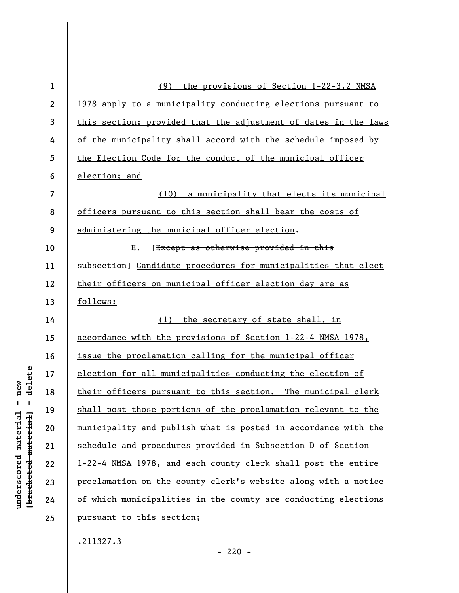| $\mathbf{1}$     | the provisions of Section 1-22-3.2 NMSA<br>(9)                     |
|------------------|--------------------------------------------------------------------|
| $\boldsymbol{2}$ | 1978 apply to a municipality conducting elections pursuant to      |
| 3                | this section; provided that the adjustment of dates in the laws    |
| 4                | of the municipality shall accord with the schedule imposed by      |
| 5                | the Election Code for the conduct of the municipal officer         |
| 6                | election; and                                                      |
| 7                | (10) a municipality that elects its municipal                      |
| 8                | officers pursuant to this section shall bear the costs of          |
| 9                | administering the municipal officer election.                      |
| 10               | Ε.<br>[Except as otherwise provided in this                        |
| 11               | subsection] Candidate procedures for municipalities that elect     |
| 12               | their officers on municipal officer election day are as            |
| 13               | follows:                                                           |
| 14               | (1) the secretary of state shall, in                               |
| 15               | <u>accordance with the provisions of Section 1-22-4 NMSA 1978,</u> |
| 16               | issue the proclamation calling for the municipal officer           |
| 17               | election for all municipalities conducting the election of         |
| 18               | their officers pursuant to this section. The municipal clerk       |
| 19               | shall post those portions of the proclamation relevant to the      |
| 20               | municipality and publish what is posted in accordance with the     |
| 21               | schedule and procedures provided in Subsection D of Section        |
| 22               | 1-22-4 NMSA 1978, and each county clerk shall post the entire      |
| 23               | proclamation on the county clerk's website along with a notice     |
| 24               | of which municipalities in the county are conducting elections     |
| 25               | pursuant to this section;                                          |
|                  |                                                                    |

.211327.3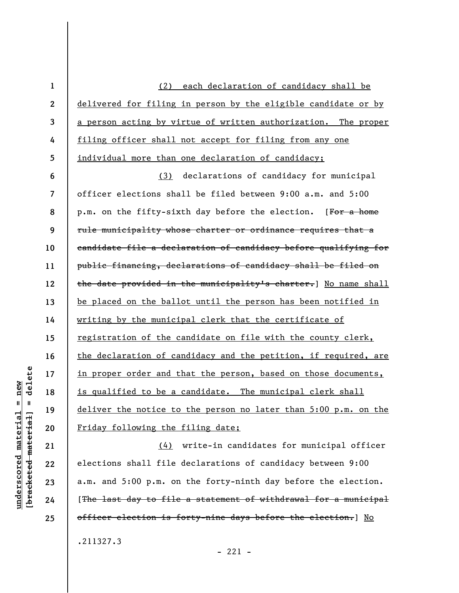(2) each declaration of candidacy shall be delivered for filing in person by the eligible candidate or by a person acting by virtue of written authorization. The proper filing officer shall not accept for filing from any one individual more than one declaration of candidacy;

**6 7 8 9 10 11 12 13 14 15 16 17 18 19 20**  (3) declarations of candidacy for municipal officer elections shall be filed between 9:00 a.m. and 5:00 p.m. on the fifty-sixth day before the election. [For a home rule municipality whose charter or ordinance requires that a candidate file a declaration of candidacy before qualifying for public financing, declarations of candidacy shall be filed on the date provided in the municipality's charter.] No name shall be placed on the ballot until the person has been notified in writing by the municipal clerk that the certificate of registration of the candidate on file with the county clerk, the declaration of candidacy and the petition, if required, are in proper order and that the person, based on those documents, is qualified to be a candidate. The municipal clerk shall deliver the notice to the person no later than 5:00 p.m. on the Friday following the filing date;

(4) write-in candidates for municipal officer elections shall file declarations of candidacy between 9:00 a.m. and 5:00 p.m. on the forty-ninth day before the election. [The last day to file a statement of withdrawal for a municipal officer election is forty-nine days before the election.] No .211327.3

**21** 

**22** 

**23** 

**24** 

**25** 

**1** 

**2** 

**3** 

**4** 

**5** 

 $- 221 -$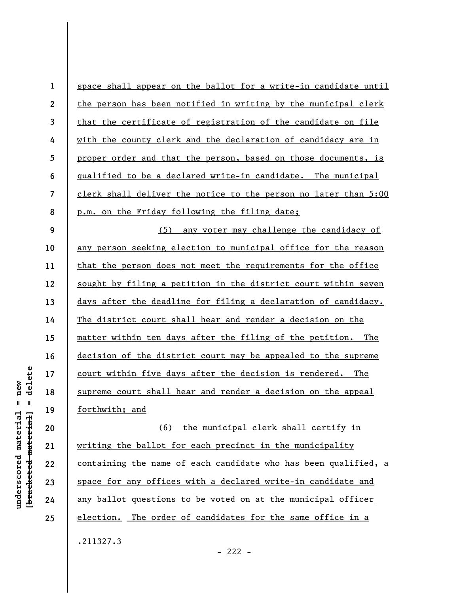| $\mathbf{1}$             | space shall appear on the ballot for a write-in candidate until |
|--------------------------|-----------------------------------------------------------------|
| $\boldsymbol{2}$         | the person has been notified in writing by the municipal clerk  |
| 3                        | that the certificate of registration of the candidate on file   |
| 4                        | with the county clerk and the declaration of candidacy are in   |
| 5                        | proper order and that the person, based on those documents, is  |
| 6                        | qualified to be a declared write-in candidate. The municipal    |
| $\overline{\mathcal{L}}$ | clerk shall deliver the notice to the person no later than 5:00 |
| 8                        | p.m. on the Friday following the filing date;                   |
| 9                        | (5) any voter may challenge the candidacy of                    |
| 10                       | any person seeking election to municipal office for the reason  |
| 11                       | that the person does not meet the requirements for the office   |
| 12                       | sought by filing a petition in the district court within seven  |
| 13                       | days after the deadline for filing a declaration of candidacy.  |
| 14                       | The district court shall hear and render a decision on the      |
| 15                       | matter within ten days after the filing of the petition. The    |
| 16                       | decision of the district court may be appealed to the supreme   |
| 17                       | court within five days after the decision is rendered. The      |
| 18                       | supreme court shall hear and render a decision on the appeal    |
| 19                       | forthwith; and                                                  |
| 20                       | (6) the municipal clerk shall certify in                        |
| 21                       | writing the ballot for each precinct in the municipality        |
| 22                       | containing the name of each candidate who has been qualified, a |
| 23                       | space for any offices with a declared write-in candidate and    |
| 24                       | any ballot questions to be voted on at the municipal officer    |
| 25                       | election. The order of candidates for the same office in a      |
|                          | .211327.3                                                       |

 $[**bracketed**-**meterial**] = **delete**$ **[bracketed material] = delete**  $underscored material = new$ **underscored material = new**

- 222 -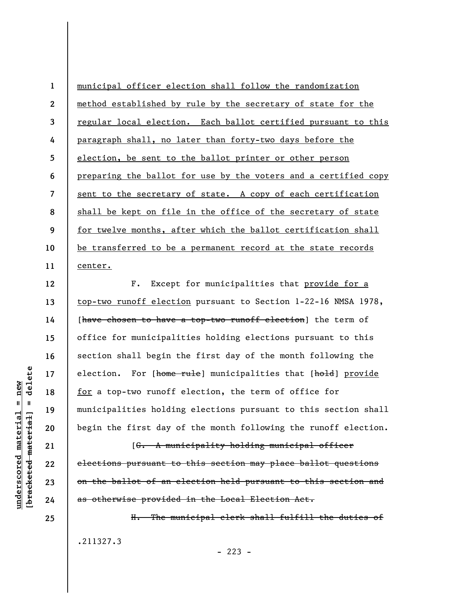**1 2 3 4 5 6 7 8 9 10 11**  municipal officer election shall follow the randomization method established by rule by the secretary of state for the regular local election. Each ballot certified pursuant to this paragraph shall, no later than forty-two days before the election, be sent to the ballot printer or other person preparing the ballot for use by the voters and a certified copy sent to the secretary of state. A copy of each certification shall be kept on file in the office of the secretary of state for twelve months, after which the ballot certification shall be transferred to be a permanent record at the state records center.

F. Except for municipalities that provide for a top-two runoff election pursuant to Section 1-22-16 NMSA 1978, [have chosen to have a top-two runoff election] the term of office for municipalities holding elections pursuant to this section shall begin the first day of the month following the election. For [home rule] municipalities that [hold] provide for a top-two runoff election, the term of office for municipalities holding elections pursuant to this section shall begin the first day of the month following the runoff election.

[G. A municipality holding municipal officer elections pursuant to this section may place ballot questions on the ballot of an election held pursuant to this section and as otherwise provided in the Local Election Act.

H. The municipal clerk shall fulfill the duties of .211327.3  $-223 -$ 

delete **[bracketed material] = delete**  $anderscored material = new$ **underscored material = new**  $\mathbf{I}$ bracketed material

**12** 

**13** 

**14** 

**15** 

**16** 

**17** 

**18** 

**19** 

**20** 

**21** 

**22** 

**23** 

**24**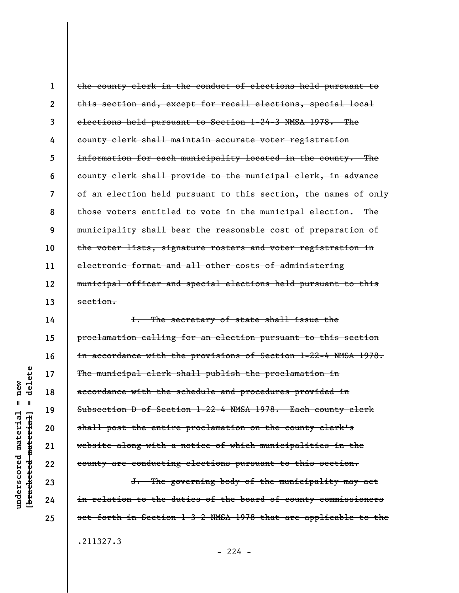**1 2 3 4 5 6 7 8 9 10 11 12 13**  the county clerk in the conduct of elections held pursuant to this section and, except for recall elections, special local elections held pursuant to Section 1-24-3 NMSA 1978. The county clerk shall maintain accurate voter registration information for each municipality located in the county. The county clerk shall provide to the municipal clerk, in advance of an election held pursuant to this section, the names of only those voters entitled to vote in the municipal election. The municipality shall bear the reasonable cost of preparation of the voter lists, signature rosters and voter registration in electronic format and all other costs of administering municipal officer and special elections held pursuant to this section.

I. The secretary of state shall issue the proclamation calling for an election pursuant to this section in accordance with the provisions of Section 1-22-4 NMSA 1978. The municipal clerk shall publish the proclamation in accordance with the schedule and procedures provided in Subsection D of Section 1-22-4 NMSA 1978. Each county clerk shall post the entire proclamation on the county clerk's website along with a notice of which municipalities in the county are conducting elections pursuant to this section.

J. The governing body of the municipality may act in relation to the duties of the board of county commissioners set forth in Section 1-3-2 NMSA 1978 that are applicable to the .211327.3

**14** 

**15** 

**16** 

**17** 

**18** 

**19** 

**20** 

**21** 

**22** 

**23** 

**24** 

**25** 

 $-224 -$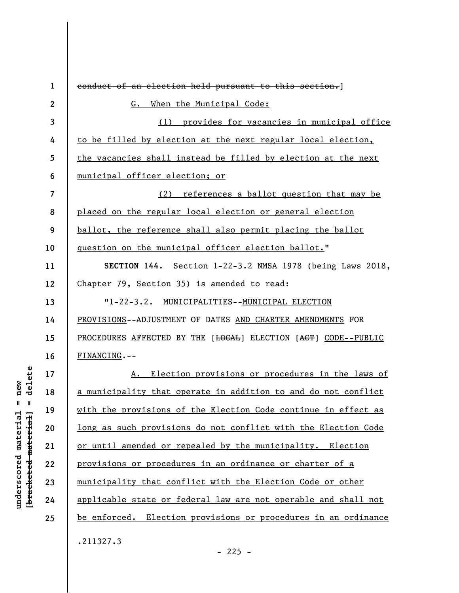| $\mathbf{1}$             | conduct of an election held pursuant to this section.]                                   |
|--------------------------|------------------------------------------------------------------------------------------|
| $\boldsymbol{2}$         | When the Municipal Code:<br>G.                                                           |
| 3                        | (1) provides for vacancies in municipal office                                           |
| 4                        | to be filled by election at the next regular local election,                             |
| 5                        | the vacancies shall instead be filled by election at the next                            |
| 6                        | municipal officer election; or                                                           |
| $\overline{\mathcal{L}}$ | (2) references a ballot question that may be                                             |
| 8                        | placed on the regular local election or general election                                 |
| 9                        | ballot, the reference shall also permit placing the ballot                               |
| 10                       | question on the municipal officer election ballot."                                      |
| 11                       | SECTION 144. Section 1-22-3.2 NMSA 1978 (being Laws 2018,                                |
| 12                       | Chapter 79, Section 35) is amended to read:                                              |
| 13                       | "1-22-3.2. MUNICIPALITIES--MUNICIPAL ELECTION                                            |
| 14                       | PROVISIONS--ADJUSTMENT OF DATES AND CHARTER AMENDMENTS FOR                               |
| 15                       | PROCEDURES AFFECTED BY THE [ <del>LOCAL</del> ] ELECTION [ <del>ACT</del> ] CODE--PUBLIC |
| 16                       | FINANCING.--                                                                             |
| 17                       | Election provisions or procedures in the laws of<br>A.                                   |
| 18                       | a municipality that operate in addition to and do not conflict                           |
| 19                       | with the provisions of the Election Code continue in effect as                           |
| 20                       | long as such provisions do not conflict with the Election Code                           |
| 21                       | or until amended or repealed by the municipality. Election                               |
| 22                       | provisions or procedures in an ordinance or charter of a                                 |
| 23                       | municipality that conflict with the Election Code or other                               |
| 24                       | applicable state or federal law are not operable and shall not                           |
| 25                       | be enforced. Election provisions or procedures in an ordinance                           |
|                          | .211327.3                                                                                |

 $[**bracket**et~~ed matched~~ + **net** + **1** + **1**$  = delete **[bracketed material] = delete**  $underscored material = new$ **underscored material = new**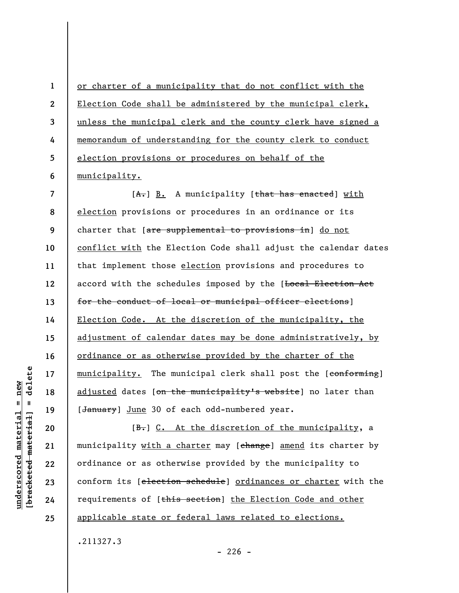**2 3**  or charter of a municipality that do not conflict with the Election Code shall be administered by the municipal clerk, unless the municipal clerk and the county clerk have signed a memorandum of understanding for the county clerk to conduct election provisions or procedures on behalf of the municipality.

**7 8 9 10 11 12 13 14 15 16 17 18 19**  [A.] B. A municipality [that has enacted] with election provisions or procedures in an ordinance or its charter that [are supplemental to provisions in] do not conflict with the Election Code shall adjust the calendar dates that implement those election provisions and procedures to accord with the schedules imposed by the [Local Election Act for the conduct of local or municipal officer elections] Election Code. At the discretion of the municipality, the adjustment of calendar dates may be done administratively, by ordinance or as otherwise provided by the charter of the municipality. The municipal clerk shall post the [conforming] adjusted dates [on the municipality's website] no later than [January] June 30 of each odd-numbered year.

[B.] C. At the discretion of the municipality, a municipality with a charter may [change] amend its charter by ordinance or as otherwise provided by the municipality to conform its [election schedule] ordinances or charter with the requirements of [this section] the Election Code and other applicable state or federal laws related to elections.

.211327.3

 $-226 -$ 

delete **[bracketed material] = delete**  $anderscored material = new$ **underscored material = new**  $\mathbf{I}$ bracketed material]

**20** 

**21** 

**22** 

**23** 

**24** 

**25** 

**1** 

**4** 

**5**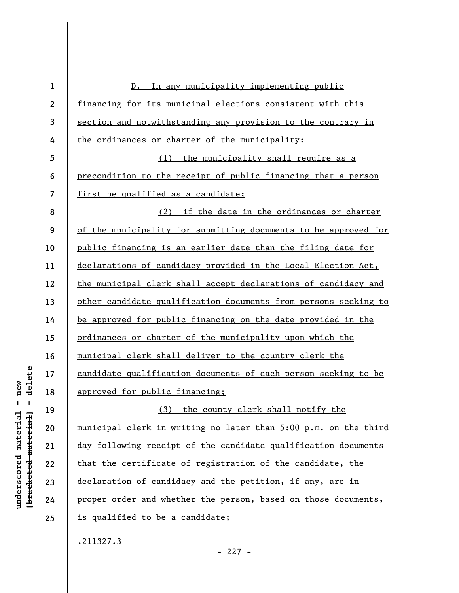| $\mathbf{1}$             | In any municipality implementing public<br>$D$ .                |
|--------------------------|-----------------------------------------------------------------|
| $\boldsymbol{2}$         | financing for its municipal elections consistent with this      |
| 3                        | section and notwithstanding any provision to the contrary in    |
| 4                        | the ordinances or charter of the municipality:                  |
| 5                        | (1) the municipality shall require as a                         |
| 6                        | precondition to the receipt of public financing that a person   |
| $\overline{\mathcal{L}}$ | first be qualified as a candidate;                              |
| 8                        | (2) if the date in the ordinances or charter                    |
| 9                        | of the municipality for submitting documents to be approved for |
| 10                       | public financing is an earlier date than the filing date for    |
| 11                       | declarations of candidacy provided in the Local Election Act,   |
| 12                       | the municipal clerk shall accept declarations of candidacy and  |
| 13                       | other candidate qualification documents from persons seeking to |
| 14                       | be approved for public financing on the date provided in the    |
| 15                       | ordinances or charter of the municipality upon which the        |
| 16                       | municipal clerk shall deliver to the country clerk the          |
| 17                       | candidate qualification documents of each person seeking to be  |
| 18                       | approved for public financing;                                  |
| 19                       | (3) the county clerk shall notify the                           |
| 20                       | municipal clerk in writing no later than 5:00 p.m. on the third |
| 21                       | day following receipt of the candidate qualification documents  |
| 22                       | that the certificate of registration of the candidate, the      |
| 23                       | declaration of candidacy and the petition, if any, are in       |
| 24                       | proper order and whether the person, based on those documents,  |
| 25                       | is qualified to be a candidate;                                 |
|                          |                                                                 |

.211327.3

 $[**bracket**et~~ed matched~~ + **net** + **1** + **1**$  = delete **[bracketed material] = delete**  $underscored material = new$ **underscored material = new**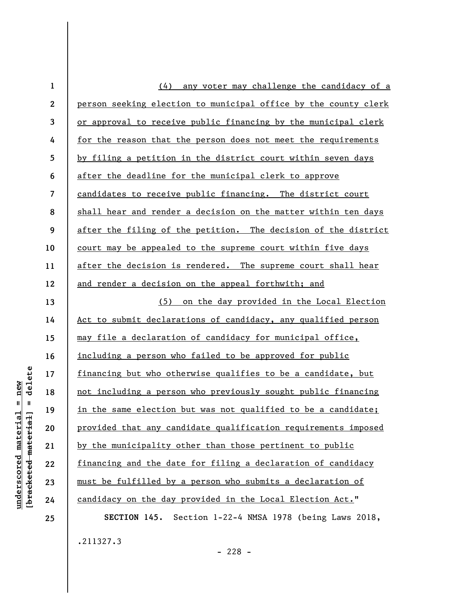| $\mathbf{1}$    | (4) any voter may challenge the candidacy of a                  |
|-----------------|-----------------------------------------------------------------|
| $\mathbf{2}$    | person seeking election to municipal office by the county clerk |
| 3               | or approval to receive public financing by the municipal clerk  |
| 4               | for the reason that the person does not meet the requirements   |
| $5\phantom{.0}$ | by filing a petition in the district court within seven days    |
| 6               | after the deadline for the municipal clerk to approve           |
| $\overline{7}$  | candidates to receive public financing. The district court      |
| 8               | shall hear and render a decision on the matter within ten days  |
| 9               | after the filing of the petition. The decision of the district  |
| 10              | court may be appealed to the supreme court within five days     |
| 11              | after the decision is rendered. The supreme court shall hear    |
| 12              | and render a decision on the appeal forthwith; and              |
| 13              | on the day provided in the Local Election<br>(5)                |
| 14              | Act to submit declarations of candidacy, any qualified person   |
| 15              | may file a declaration of candidacy for municipal office,       |
| 16              | including a person who failed to be approved for public         |
| 17              | financing but who otherwise qualifies to be a candidate, but    |
| 18              | not including a person who previously sought public financing   |
| 19              | in the same election but was not qualified to be a candidate;   |
| 20              | provided that any candidate qualification requirements imposed  |
| 21              | by the municipality other than those pertinent to public        |
| 22              | financing and the date for filing a declaration of candidacy    |
| 23              | must be fulfilled by a person who submits a declaration of      |
| 24              | candidacy on the day provided in the Local Election Act."       |
| 25              | SECTION 145. Section 1-22-4 NMSA 1978 (being Laws 2018,         |
|                 | .211327.3                                                       |

 $[**bracket**et~~ed matched~~ + **net** + **1** + **1**$  = delete **[bracketed material] = delete**  $underscored material = new$ **underscored material = new**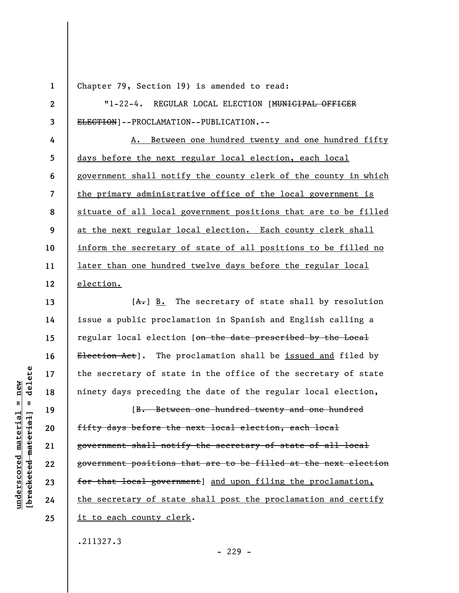**1 2** 

**3** 

**13** 

**14** 

**15** 

**16** 

**17** 

**18** 

**19** 

**20** 

**21** 

**22** 

**23** 

**24** 

**25** 

Chapter 79, Section 19) is amended to read:

"1-22-4. REGULAR LOCAL ELECTION [MUNICIPAL OFFICER ELECTION]--PROCLAMATION--PUBLICATION.--

**4 5 6 7 8 9 10 11 12**  A. Between one hundred twenty and one hundred fifty days before the next regular local election, each local government shall notify the county clerk of the county in which the primary administrative office of the local government is situate of all local government positions that are to be filled at the next regular local election. Each county clerk shall inform the secretary of state of all positions to be filled no later than one hundred twelve days before the regular local election.

 $[A<sub>1</sub>]$  B. The secretary of state shall by resolution issue a public proclamation in Spanish and English calling a regular local election [on the date prescribed by the Local Election Act]. The proclamation shall be issued and filed by the secretary of state in the office of the secretary of state ninety days preceding the date of the regular local election,

[B. Between one hundred twenty and one hundred fifty days before the next local election, each local government shall notify the secretary of state of all local government positions that are to be filled at the next election for that local government] and upon filing the proclamation, the secretary of state shall post the proclamation and certify it to each county clerk.

.211327.3

delete **[bracketed material] = delete**  $anderscored material = new$ **underscored material = new**  $\mathbf{I}$ bracketed material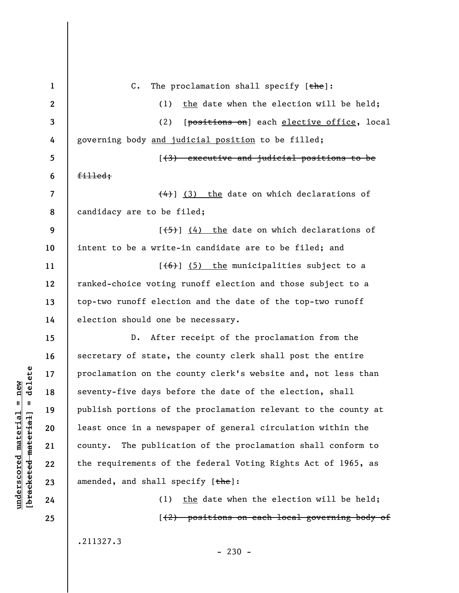| $\mathbf{1}$   | $C$ .<br>The proclamation shall specify $[\frac{the}{ }]$ :      |
|----------------|------------------------------------------------------------------|
| $\mathbf{2}$   | the date when the election will be held;<br>(1)                  |
| 3              | [positions on] each elective office, local<br>(2)                |
| 4              | governing body and judicial position to be filled;               |
| 5              | [(3) executive and judicial positions to be                      |
| 6              | $f$ illed;                                                       |
| $\overline{7}$ | $\left(\frac{4}{4}\right)$ (3) the date on which declarations of |
| 8              | candidacy are to be filed;                                       |
| 9              | $[\frac{1}{5}]$ (4) the date on which declarations of            |
| 10             | intent to be a write-in candidate are to be filed; and           |
| 11             | $[\left(6\right)]$ (5) the municipalities subject to a           |
| 12             | ranked-choice voting runoff election and those subject to a      |
| 13             | top-two runoff election and the date of the top-two runoff       |
| 14             | election should one be necessary.                                |
| 15             | After receipt of the proclamation from the<br>$D$ .              |
| 16             | secretary of state, the county clerk shall post the entire       |
| 17             | proclamation on the county clerk's website and, not less than    |
| 18             | seventy-five days before the date of the election, shall         |
| 19             | publish portions of the proclamation relevant to the county at   |
| 20             | least once in a newspaper of general circulation within the      |
| 21             | The publication of the proclamation shall conform to<br>county.  |
| 22             | the requirements of the federal Voting Rights Act of 1965, as    |
| 23             | amended, and shall specify $[\frac{the}{).}$                     |
| 24             | the date when the election will be held;<br>(1)                  |
| 25             | [(2) positions on each local governing body of                   |
|                |                                                                  |

.211327.3

 $[**bracket**et~~ed matched~~ + **net** + **1** + **1**$  = delete **[bracketed material] = delete**  $underscored material = new$ **underscored material = new**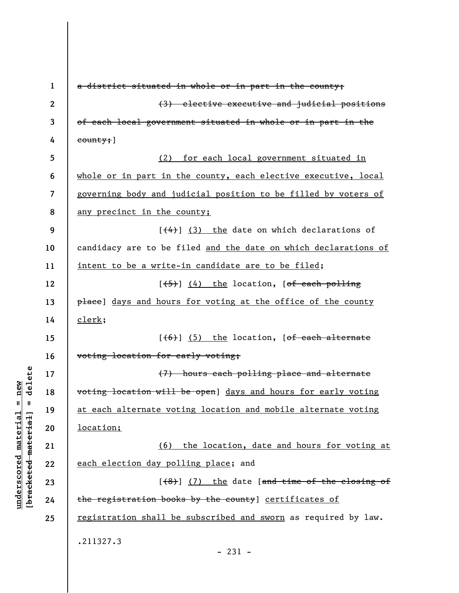| 1                | a district situated in whole or in part in the county;          |
|------------------|-----------------------------------------------------------------|
| $\boldsymbol{2}$ | (3) elective executive and judicial positions                   |
| 3                | of each local government situated in whole or in part in the    |
| 4                | county;                                                         |
| 5                | (2) for each local government situated in                       |
| 6                | whole or in part in the county, each elective executive, local  |
| 7                | governing body and judicial position to be filled by voters of  |
| 8                | any precinct in the county;                                     |
| 9                | $[$ $(4)$ ] $(3)$ the date on which declarations of             |
| 10               | candidacy are to be filed and the date on which declarations of |
| 11               | intent to be a write-in candidate are to be filed;              |
| 12               | $[\frac{+5}{5}]$ (4) the location, [ <del>of each polling</del> |
| 13               | place] days and hours for voting at the office of the county    |
| 14               | $_{\rm clerk}$ ;                                                |
| 15               | $[ (6) ] (5)$ the location, [of each alternate                  |
| 16               | voting location for early voting;                               |
| 17               | (7) hours each polling place and alternate                      |
| 18               | voting location will be open] days and hours for early voting   |
| 19               | at each alternate voting location and mobile alternate voting   |
| 20               | location;                                                       |
| 21               | (6) the location, date and hours for voting at                  |
| 22               | each election day polling place; and                            |
| 23               | $[ (8) ]$ (7) the date [and time of the closing of              |
| 24               | the registration books by the county] certificates of           |
| 25               | registration shall be subscribed and sworn as required by law.  |
|                  | .211327.3<br>$-231 -$                                           |

 $[**bracket eted metert et**] = **del et e**$ **[bracketed material] = delete**  $underscored material = new$ **underscored material = new**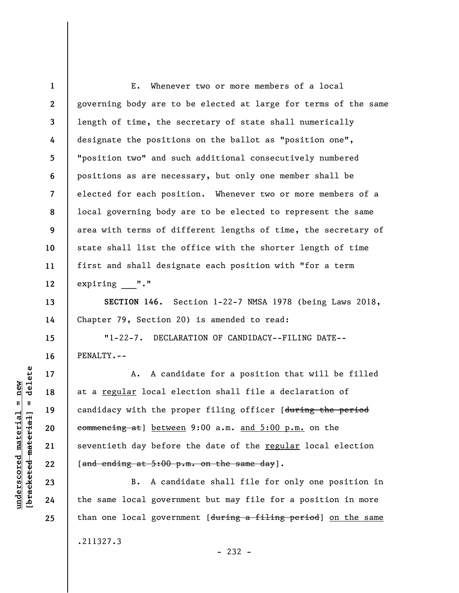**1 2 3 4 5 6 7 8 9 10 11 12 13**  E. Whenever two or more members of a local governing body are to be elected at large for terms of the same length of time, the secretary of state shall numerically designate the positions on the ballot as "position one", "position two" and such additional consecutively numbered positions as are necessary, but only one member shall be elected for each position. Whenever two or more members of a local governing body are to be elected to represent the same area with terms of different lengths of time, the secretary of state shall list the office with the shorter length of time first and shall designate each position with "for a term expiring "."

**SECTION 146.** Section 1-22-7 NMSA 1978 (being Laws 2018, Chapter 79, Section 20) is amended to read:

"1-22-7. DECLARATION OF CANDIDACY--FILING DATE-- PENALTY.--

A. A candidate for a position that will be filled at a regular local election shall file a declaration of candidacy with the proper filing officer [during the period commencing at] between 9:00 a.m. and 5:00 p.m. on the seventieth day before the date of the regular local election [and ending at  $5:00$  p.m. on the same day].

B. A candidate shall file for only one position in the same local government but may file for a position in more than one local government [during a filing period] on the same .211327.3 - 232 -

delete **[bracketed material] = delete**  $underscored material = new$ **underscored material = new**  $\mathbf{I}$ bracketed material

**14** 

**15** 

**16** 

**17** 

**18** 

**19** 

**20** 

**21** 

**22** 

**23** 

**24**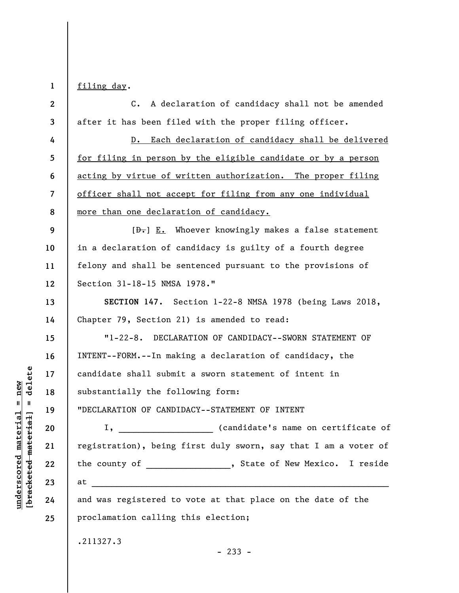**1 2 3 4 5 6 7 8 9 10 11 12 13 14 15 16 17 18 19 20 21 22 23 24 25**  filing day. C. A declaration of candidacy shall not be amended after it has been filed with the proper filing officer. D. Each declaration of candidacy shall be delivered for filing in person by the eligible candidate or by a person acting by virtue of written authorization. The proper filing officer shall not accept for filing from any one individual more than one declaration of candidacy.  $[\frac{D-1}{2}]$  E. Whoever knowingly makes a false statement in a declaration of candidacy is guilty of a fourth degree felony and shall be sentenced pursuant to the provisions of Section 31-18-15 NMSA 1978." **SECTION 147.** Section 1-22-8 NMSA 1978 (being Laws 2018, Chapter 79, Section 21) is amended to read: "1-22-8. DECLARATION OF CANDIDACY--SWORN STATEMENT OF INTENT--FORM.--In making a declaration of candidacy, the candidate shall submit a sworn statement of intent in substantially the following form: "DECLARATION OF CANDIDACY--STATEMENT OF INTENT I, \_\_\_\_\_\_\_\_\_\_\_\_\_\_\_\_\_\_\_ (candidate's name on certificate of registration), being first duly sworn, say that I am a voter of the county of \_\_\_\_\_\_\_\_\_\_\_\_\_\_\_, State of New Mexico. I reside  $\quad$  at and was registered to vote at that place on the date of the proclamation calling this election; .211327.3 - 233 -

delete **[bracketed material] = delete**  $anderscored material = new$ **underscored material = new**  $\mathbf{u}$ bracketed material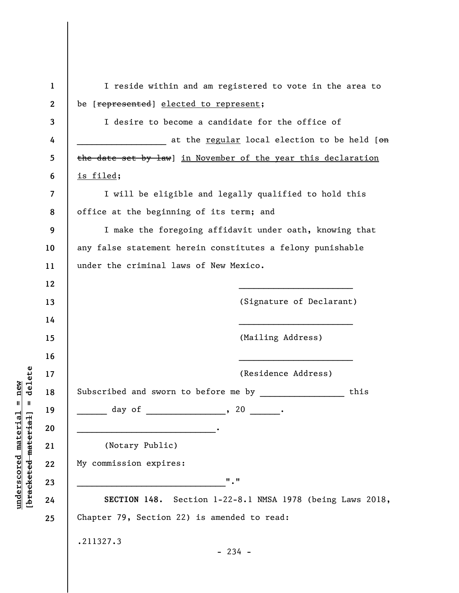| $\mathbf{1}$     | I reside within and am registered to vote in the area to      |
|------------------|---------------------------------------------------------------|
| $\boldsymbol{2}$ | be [represented] elected to represent;                        |
| 3                | I desire to become a candidate for the office of              |
| 4                | at the <u>regular</u> local election to be held [on           |
| 5                | the date set by law] in November of the year this declaration |
| 6                | <u>is filed;</u>                                              |
| 7                | I will be eligible and legally qualified to hold this         |
| 8                | office at the beginning of its term; and                      |
| 9                | I make the foregoing affidavit under oath, knowing that       |
| 10               | any false statement herein constitutes a felony punishable    |
| 11               | under the criminal laws of New Mexico.                        |
| 12               |                                                               |
| 13               | (Signature of Declarant)                                      |
| 14               |                                                               |
| 15               | (Mailing Address)                                             |
| 16               |                                                               |
| 17               | (Residence Address)                                           |
| 18               | Subscribed and sworn to before me by<br>this                  |
| 19               | day of<br>, 20                                                |
| 20               |                                                               |
| 21               | (Notary Public)                                               |
| 22               | My commission expires:                                        |
| 23               | $\mathbf{u}$ , $\mathbf{u}$                                   |
| 24               | SECTION 148. Section 1-22-8.1 NMSA 1978 (being Laws 2018,     |
| 25               | Chapter 79, Section 22) is amended to read:                   |
|                  | .211327.3                                                     |
|                  | $-234 -$                                                      |
|                  |                                                               |

**underscored material = new [bracketed material] = delete**

 $[bracketeed-materiat] = delete$  $underscored material = new$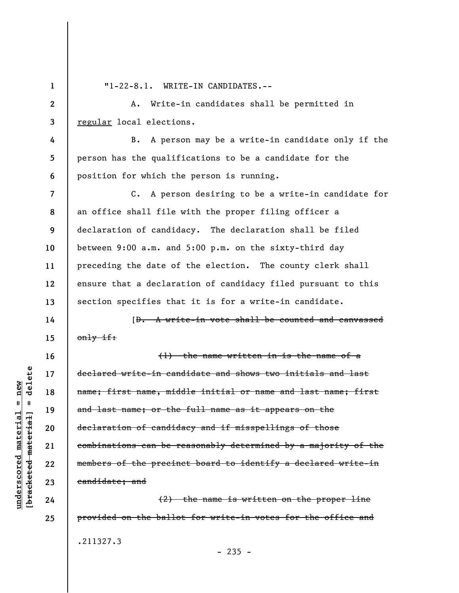**1** 

**14** 

**15** 

**16** 

**17** 

**18** 

**19** 

**20** 

**21** 

**22** 

**23** 

**24** 

**25** 

"1-22-8.1. WRITE-IN CANDIDATES.--

**2 3**  A. Write-in candidates shall be permitted in regular local elections.

**4 5 6**  B. A person may be a write-in candidate only if the person has the qualifications to be a candidate for the position for which the person is running.

**7 8 9 10 11 12 13**  C. A person desiring to be a write-in candidate for an office shall file with the proper filing officer a declaration of candidacy. The declaration shall be filed between 9:00 a.m. and 5:00 p.m. on the sixty-third day preceding the date of the election. The county clerk shall ensure that a declaration of candidacy filed pursuant to this section specifies that it is for a write-in candidate.

[D. A write-in vote shall be counted and canvassed only if:

(1) the name written in is the name of a declared write-in candidate and shows two initials and last name; first name, middle initial or name and last name; first and last name; or the full name as it appears on the declaration of candidacy and if misspellings of those combinations can be reasonably determined by a majority of the members of the precinct board to identify a declared write-in candidate; and

(2) the name is written on the proper line provided on the ballot for write-in votes for the office and .211327.3

 $-235 -$ 

delete **[bracketed material] = delete**  $anderscored material = new$ **underscored material = new**  $\mathbf{I}$ bracketed material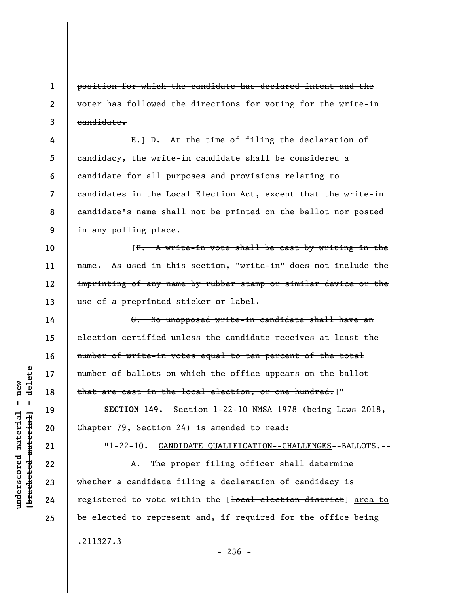position for which the candidate has declared intent and the voter has followed the directions for voting for the write-in candidate.

**4 5 6 7 8 9**  E.] D. At the time of filing the declaration of candidacy, the write-in candidate shall be considered a candidate for all purposes and provisions relating to candidates in the Local Election Act, except that the write-in candidate's name shall not be printed on the ballot nor posted in any polling place.

[F. A write-in vote shall be cast by writing in the name. As used in this section, "write-in" does not include the imprinting of any name by rubber stamp or similar device or the use of a preprinted sticker or label.

G. No unopposed write-in candidate shall have an election certified unless the candidate receives at least the number of write-in votes equal to ten percent of the total number of ballots on which the office appears on the ballot that are cast in the local election, or one hundred.]"

**SECTION 149.** Section 1-22-10 NMSA 1978 (being Laws 2018, Chapter 79, Section 24) is amended to read:

"1-22-10. CANDIDATE QUALIFICATION--CHALLENGES--BALLOTS.--

A. The proper filing officer shall determine whether a candidate filing a declaration of candidacy is registered to vote within the [<del>local election district</del>] area to be elected to represent and, if required for the office being .211327.3  $-236 -$ 

delete **[bracketed material] = delete**  $anderscored material = new$ **underscored material = new**  $\mathbf{I}$ bracketed material

**1** 

**2** 

**3** 

**10** 

**11** 

**12** 

**13** 

**14** 

**15** 

**16** 

**17** 

**18** 

**19** 

**20** 

**21** 

**22** 

**23** 

**24**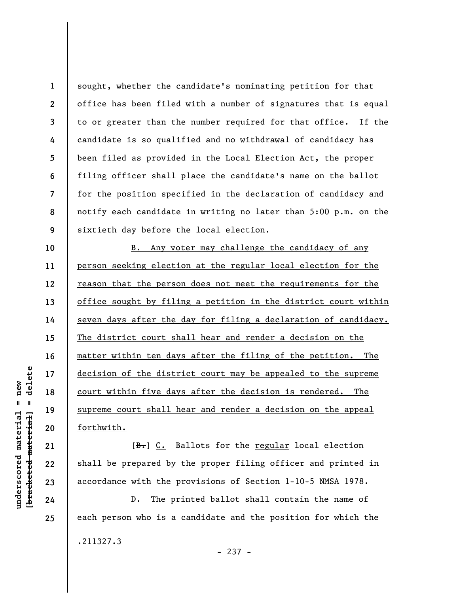**1 2 3 4 5 6 7 8 9**  sought, whether the candidate's nominating petition for that office has been filed with a number of signatures that is equal to or greater than the number required for that office. If the candidate is so qualified and no withdrawal of candidacy has been filed as provided in the Local Election Act, the proper filing officer shall place the candidate's name on the ballot for the position specified in the declaration of candidacy and notify each candidate in writing no later than 5:00 p.m. on the sixtieth day before the local election.

B. Any voter may challenge the candidacy of any person seeking election at the regular local election for the reason that the person does not meet the requirements for the office sought by filing a petition in the district court within seven days after the day for filing a declaration of candidacy. The district court shall hear and render a decision on the matter within ten days after the filing of the petition. The decision of the district court may be appealed to the supreme court within five days after the decision is rendered. The supreme court shall hear and render a decision on the appeal forthwith.

[B.] C. Ballots for the regular local election shall be prepared by the proper filing officer and printed in accordance with the provisions of Section 1-10-5 NMSA 1978.

D. The printed ballot shall contain the name of each person who is a candidate and the position for which the .211327.3 - 237 -

 $\frac{1}{2}$  intereted material = delete **[bracketed material] = delete**  $anderscored material = new$ **underscored material = new**

**10** 

**11** 

**12** 

**13** 

**14** 

**15** 

**16** 

**17** 

**18** 

**19** 

**20** 

**21** 

**22** 

**23** 

**24**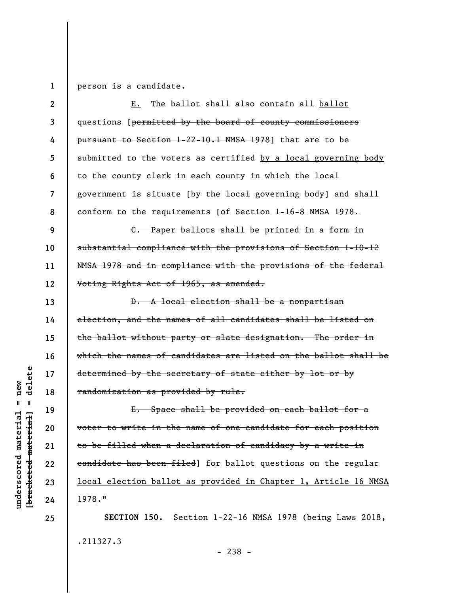**1**  person is a candidate.

| $\mathbf{2}$ | The ballot shall also contain all ballot<br>Е.                             |
|--------------|----------------------------------------------------------------------------|
| 3            | questions [ <del>permitted by the board of county commissioners</del>      |
| 4            | pursuant to Section 1-22-10.1 NMSA 1978] that are to be                    |
| 5            | submitted to the voters as certified by a local governing body             |
| 6            | to the county clerk in each county in which the local                      |
| 7            | government is situate [ <del>by the local governing body</del> ] and shall |
| 8            | conform to the requirements [of Section 1-16-8 NMSA 1978.                  |
| 9            | C. Paper ballots shall be printed in a form in                             |
| 10           | substantial compliance with the provisions of Section 1-10-12              |
| 11           | NMSA 1978 and in compliance with the provisions of the federal             |
| 12           | Voting Rights Act of 1965, as amended.                                     |
| 13           | D. A local election shall be a nonpartisan                                 |
| 14           | election, and the names of all candidates shall be listed on               |
| 15           | the ballot without party or slate designation. The order in                |
| 16           | which the names of candidates are listed on the ballot shall be            |
| 17           | determined by the secretary of state either by lot or by                   |
| 18           | randomization as provided by rule.                                         |
| 19           | E. Space shall be provided on each ballot for a                            |
| 20           | voter to write in the name of one candidate for each position              |
| 21           | to be filled when a declaration of candidacy by a write-in                 |
| 22           | eandidate has been filed] for ballot questions on the regular              |
| 23           | local election ballot as provided in Chapter 1, Article 16 NMSA            |
| 24           | 1978."                                                                     |
| 25           | SECTION 150. Section 1-22-16 NMSA 1978 (being Laws 2018,                   |
|              | .211327.3                                                                  |

- 238 -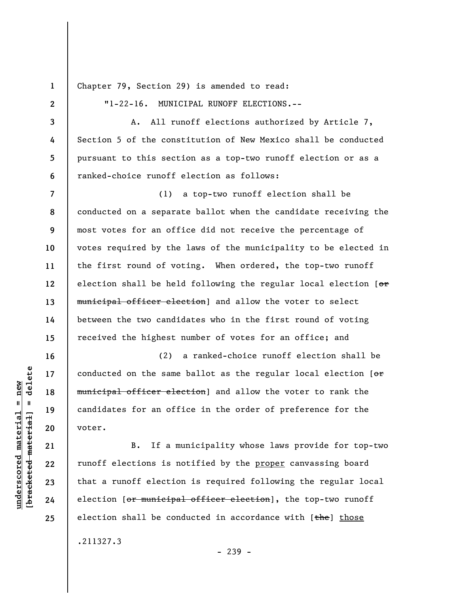**1 2** 

**3** 

**4** 

**5** 

**6** 

**16** 

**17** 

**18** 

**19** 

**20** 

**21** 

**22** 

**23** 

**24** 

**25** 

Chapter 79, Section 29) is amended to read:

"1-22-16. MUNICIPAL RUNOFF ELECTIONS.--

A. All runoff elections authorized by Article 7, Section 5 of the constitution of New Mexico shall be conducted pursuant to this section as a top-two runoff election or as a ranked-choice runoff election as follows:

**7 8 9 10 11 12 13 14 15**  (1) a top-two runoff election shall be conducted on a separate ballot when the candidate receiving the most votes for an office did not receive the percentage of votes required by the laws of the municipality to be elected in the first round of voting. When ordered, the top-two runoff election shall be held following the regular local election [or municipal officer election] and allow the voter to select between the two candidates who in the first round of voting received the highest number of votes for an office; and

(2) a ranked-choice runoff election shall be conducted on the same ballot as the regular local election  $[ $\Theta$ rff$ municipal officer election] and allow the voter to rank the candidates for an office in the order of preference for the voter.

B. If a municipality whose laws provide for top-two runoff elections is notified by the proper canvassing board that a runoff election is required following the regular local election [or municipal officer election], the top-two runoff election shall be conducted in accordance with  $[the]$  those .211327.3

- 239 -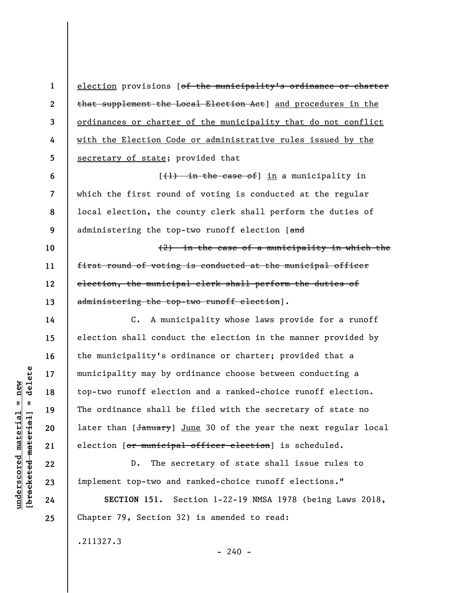election provisions [of the municipality's ordinance or charter that supplement the Local Election Act] and procedures in the ordinances or charter of the municipality that do not conflict with the Election Code or administrative rules issued by the secretary of state; provided that

**6 7 8 9**   $[$ ( $\{$ + $\}$ ) in the case of  $\}$  in a municipality in which the first round of voting is conducted at the regular local election, the county clerk shall perform the duties of administering the top-two runoff election [and

(2) in the case of a municipality in which the first round of voting is conducted at the municipal officer election, the municipal clerk shall perform the duties of administering the top-two runoff election].

C. A municipality whose laws provide for a runoff election shall conduct the election in the manner provided by the municipality's ordinance or charter; provided that a municipality may by ordinance choose between conducting a top-two runoff election and a ranked-choice runoff election. The ordinance shall be filed with the secretary of state no later than [January] June 30 of the year the next regular local election [or municipal officer election] is scheduled.

D. The secretary of state shall issue rules to implement top-two and ranked-choice runoff elections."

**SECTION 151.** Section 1-22-19 NMSA 1978 (being Laws 2018, Chapter 79, Section 32) is amended to read:

 $- 240 -$ 

.211327.3

delete **[bracketed material] = delete**  $anderscored material = new$ **underscored material = new**  $\frac{1}{2}$ 

**1** 

**2** 

**3** 

**4** 

**5** 

**10** 

**11** 

**12** 

**13** 

**14** 

**15** 

**16** 

**17** 

**18** 

**19** 

**20** 

**21** 

**22** 

**23** 

**24**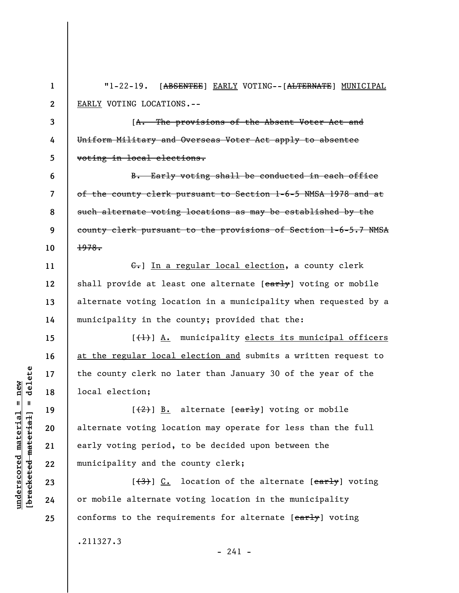**1 2 3 4 5 6 7 8 9 10 11 12 13 14 15 16 17 18 19 20 21 22 23 24 25**  "1-22-19. [ABSENTEE] EARLY VOTING--[ALTERNATE] MUNICIPAL EARLY VOTING LOCATIONS.-- [A. The provisions of the Absent Voter Act and Uniform Military and Overseas Voter Act apply to absentee voting in local elections. B. Early voting shall be conducted in each office of the county clerk pursuant to Section 1-6-5 NMSA 1978 and at such alternate voting locations as may be established by the county clerk pursuant to the provisions of Section 1-6-5.7 NMSA 1978. C.] In a regular local election, a county clerk shall provide at least one alternate [early] voting or mobile alternate voting location in a municipality when requested by a municipality in the county; provided that the:  $[\frac{(1)}{2}]$   $\underline{A}.$  municipality elects its municipal officers at the regular local election and submits a written request to the county clerk no later than January 30 of the year of the local election;  $[\frac{2}{2}]$  B. alternate  $\frac{1}{2}$  voting or mobile alternate voting location may operate for less than the full early voting period, to be decided upon between the municipality and the county clerk;  $[\frac{(3)}{2}]$  C. location of the alternate  $[\frac{earth}{2}]$  voting or mobile alternate voting location in the municipality conforms to the requirements for alternate [early] voting .211327.3

 $\frac{1}{2}$  intereted material = delete **[bracketed material] = delete**  $underscored material = new$ **underscored material = new**

 $- 241 -$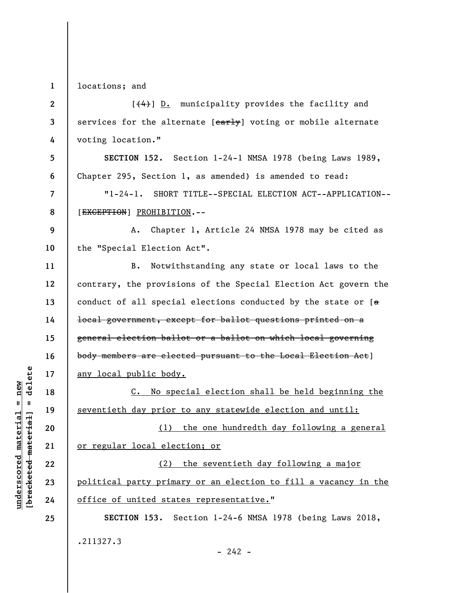**1**  locations; and

| $\overline{2}$ | [(4)] D. municipality provides the facility and                       |
|----------------|-----------------------------------------------------------------------|
| 3              | services for the alternate [early] voting or mobile alternate         |
| 4              | voting location."                                                     |
| 5              | SECTION 152. Section 1-24-1 NMSA 1978 (being Laws 1989,               |
| 6              | Chapter 295, Section 1, as amended) is amended to read:               |
| $\overline{7}$ | "1-24-1. SHORT TITLE--SPECIAL ELECTION ACT--APPLICATION--             |
| 8              | [EXCEPTION] PROHIBITION.--                                            |
| 9              | A. Chapter 1, Article 24 NMSA 1978 may be cited as                    |
| 10             | the "Special Election Act".                                           |
| 11             | Notwithstanding any state or local laws to the<br><b>B.</b>           |
| 12             | contrary, the provisions of the Special Election Act govern the       |
| 13             | conduct of all special elections conducted by the state or $[a]$      |
| 14             | <del>local government, except for ballot questions printed on a</del> |
| 15             | general election ballot or a ballot on which local governing          |
| 16             | body members are elected pursuant to the Local Election Act]          |
| 17             | <u>any local public body.</u>                                         |
| 18             | C. No special election shall be held beginning the                    |
| 19             | seventieth day prior to any statewide election and until:             |
| 20             | (1) the one hundredth day following a general                         |
| 21             | or regular local election; or                                         |
| 22             | (2) the seventieth day following a major                              |
| 23             | political party primary or an election to fill a vacancy in the       |
| 24             | office of united states representative."                              |
| 25             | SECTION 153. Section 1-24-6 NMSA 1978 (being Laws 2018,               |
|                | .211327.3<br>$-242 -$                                                 |

 $\frac{\text{underscored material} = \text{new}}{(\text{bracketed-materiat})}$ **[bracketed material] = delete underscored material = new**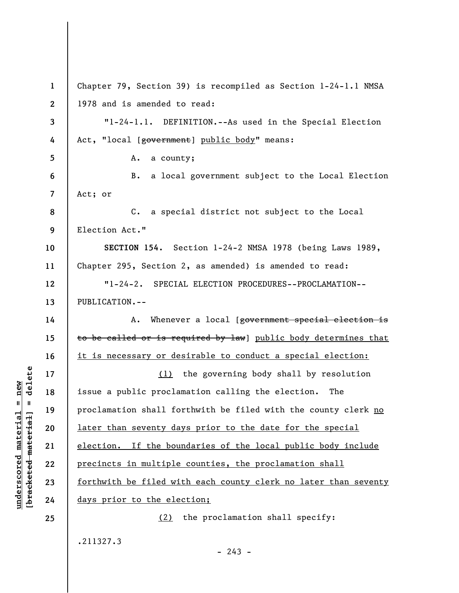**1 2 3 4 5 6 7 8 9 10 11 12 13 14 15 16 17 18 19 20 21 22 23 24 25**  Chapter 79, Section 39) is recompiled as Section 1-24-1.1 NMSA 1978 and is amended to read: "1-24-1.1. DEFINITION.--As used in the Special Election Act, "local [government] public body" means: A. a county; B. a local government subject to the Local Election Act; or C. a special district not subject to the Local Election Act." **SECTION 154.** Section 1-24-2 NMSA 1978 (being Laws 1989, Chapter 295, Section 2, as amended) is amended to read: "1-24-2. SPECIAL ELECTION PROCEDURES--PROCLAMATION-- PUBLICATION.-- A. Whenever a local [government special election is to be called or is required by law] public body determines that it is necessary or desirable to conduct a special election: (1) the governing body shall by resolution issue a public proclamation calling the election. The proclamation shall forthwith be filed with the county clerk no later than seventy days prior to the date for the special election. If the boundaries of the local public body include precincts in multiple counties, the proclamation shall forthwith be filed with each county clerk no later than seventy days prior to the election; (2) the proclamation shall specify: .211327.3

 $- 243 -$ 

**[bracketed material] = delete**  $\frac{1}{2}$ 

**underscored material = new**

 $underscored material = new$ 

delete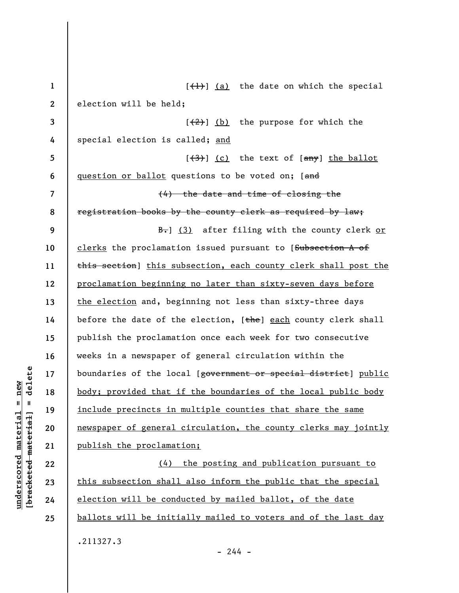| $\mathbf{1}$             | $[\frac{1}{1}]$ (a) the date on which the special                                  |
|--------------------------|------------------------------------------------------------------------------------|
| $\mathbf{2}$             | election will be held;                                                             |
| 3                        | $[\frac{2}{2}]$ (b) the purpose for which the                                      |
| 4                        | special election is called; and                                                    |
| 5                        | $\left[\frac{3}{3}\right]$ (c) the text of $\left[\frac{any}{n}\right]$ the ballot |
| 6                        | question or ballot questions to be voted on; [and                                  |
| $\overline{\mathcal{L}}$ | (4) the date and time of closing the                                               |
| 8                        | registration books by the county clerk as required by law;                         |
| 9                        | <b>B.</b> ] (3) after filing with the county clerk or                              |
| 10                       | clerks the proclamation issued pursuant to [Subsection A of                        |
| 11                       | this section] this subsection, each county clerk shall post the                    |
| 12                       | proclamation beginning no later than sixty-seven days before                       |
| 13                       | the election and, beginning not less than sixty-three days                         |
| 14                       | before the date of the election, [the] each county clerk shall                     |
| 15                       | publish the proclamation once each week for two consecutive                        |
| 16                       | weeks in a newspaper of general circulation within the                             |
| 17                       | boundaries of the local [government or special district] public                    |
| 18                       | body; provided that if the boundaries of the local public body                     |
| 19                       | include precincts in multiple counties that share the same                         |
| 20                       | newspaper of general circulation, the county clerks may jointly                    |
| 21                       | publish the proclamation;                                                          |
| 22                       | the posting and publication pursuant to<br>(4)                                     |
| 23                       | this subsection shall also inform the public that the special                      |
| 24                       | election will be conducted by mailed ballot, of the date                           |
| 25                       | ballots will be initially mailed to voters and of the last day                     |
|                          | .211327.3<br>$-244 -$                                                              |

 $[bracketeed-materiat] = delete$ **[bracketed material] = delete**  $underscored material = new$ **underscored material = new**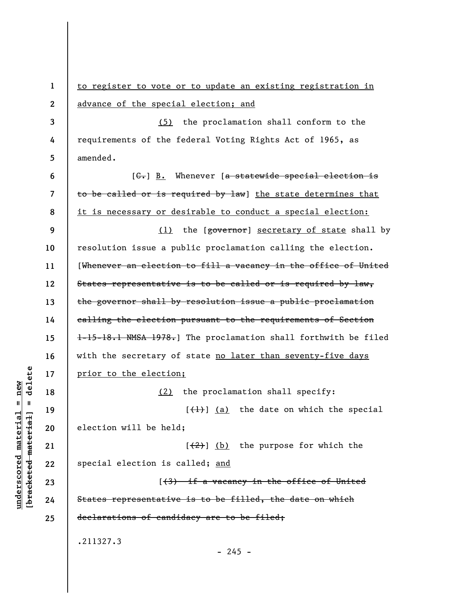**1 2 3 4 5 6 7 8 9 10 11 12 13 14 15 16 17 18 19 20 21 22 23 24 25**  to register to vote or to update an existing registration in advance of the special election; and (5) the proclamation shall conform to the requirements of the federal Voting Rights Act of 1965, as amended.  $[G<sub>r</sub>]$  B. Whenever [a statewide special election is to be called or is required by law] the state determines that it is necessary or desirable to conduct a special election: (1) the [governor] secretary of state shall by resolution issue a public proclamation calling the election. [Whenever an election to fill a vacancy in the office of United States representative is to be called or is required by law, the governor shall by resolution issue a public proclamation calling the election pursuant to the requirements of Section 1-15-18.1 NMSA 1978.] The proclamation shall forthwith be filed with the secretary of state no later than seventy-five days prior to the election; (2) the proclamation shall specify:  $[\frac{1}{1}]$  (a) the date on which the special election will be held;  $[2]$  (b) the purpose for which the special election is called; and [(3) if a vacancy in the office of United States representative is to be filled, the date on which declarations of candidacy are to be filed; .211327.3  $- 245 -$ 

**underscored material = new [bracketed material] = delete**

 $\frac{1}{2}$  intereted material = delete  $anderscored material = new$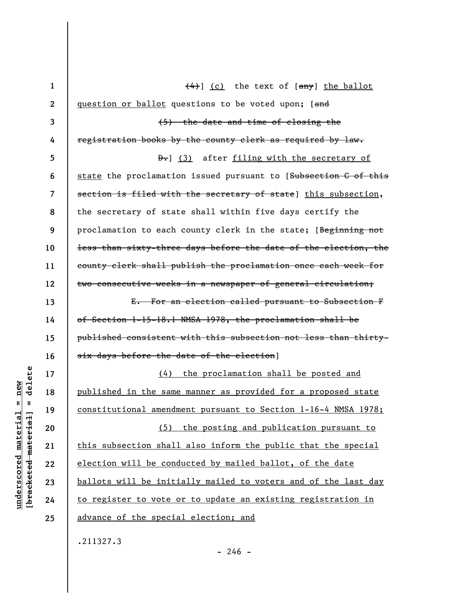| $\mathbf{1}$ | $\left(\frac{4}{4}\right)$ (c) the text of $\left[\frac{any}{1}\right]$ the ballot |
|--------------|------------------------------------------------------------------------------------|
| $\mathbf{2}$ | question or ballot questions to be voted upon; [and                                |
| 3            | (5) the date and time of closing the                                               |
| 4            | registration books by the county clerk as required by law.                         |
| 5            | D. (3) after filing with the secretary of                                          |
| 6            | state the proclamation issued pursuant to [Subsection C of this                    |
| 7            | section is filed with the secretary of state] this subsection,                     |
| 8            | the secretary of state shall within five days certify the                          |
| 9            | proclamation to each county clerk in the state; [Beginning not                     |
| 10           | less than sixty-three days before the date of the election, the                    |
| 11           | county clerk shall publish the proclamation once each week for                     |
| 12           | two consecutive weeks in a newspaper of general circulation;                       |
| 13           | E. For an election called pursuant to Subsection F                                 |
| 14           | of Section 1-15-18.1 NMSA 1978, the proclamation shall be                          |
| 15           | published consistent with this subsection not less than thirty-                    |
| 16           | six days before the date of the election]                                          |
| 17           | (4) the proclamation shall be posted and                                           |
| 18           | published in the same manner as provided for a proposed state                      |
| 19           | constitutional amendment pursuant to Section 1-16-4 NMSA 1978;                     |
| 20           | (5) the posting and publication pursuant to                                        |
| 21           | this subsection shall also inform the public that the special                      |
| 22           | election will be conducted by mailed ballot, of the date                           |
| 23           | ballots will be initially mailed to voters and of the last day                     |
| 24           | to register to vote or to update an existing registration in                       |
| 25           | advance of the special election; and                                               |
|              | .211327.3                                                                          |

 $[$ bracketed material] = delete **[bracketed material] = delete**  $underscored material = new$ **underscored material = new**

**24 25** 

- 246 -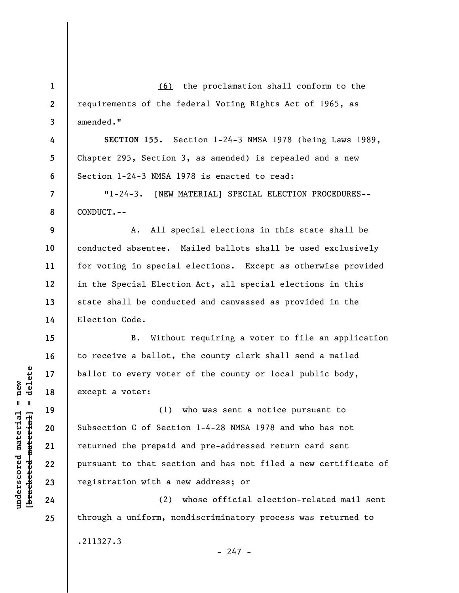**1 2 3 4 5 6 7 8 9 10 11 12 13 14 15 16 17 18 19 20 21 22 23 24 25**  (6) the proclamation shall conform to the requirements of the federal Voting Rights Act of 1965, as amended." **SECTION 155.** Section 1-24-3 NMSA 1978 (being Laws 1989, Chapter 295, Section 3, as amended) is repealed and a new Section 1-24-3 NMSA 1978 is enacted to read: "1-24-3. [NEW MATERIAL] SPECIAL ELECTION PROCEDURES-- CONDUCT.-- A. All special elections in this state shall be conducted absentee. Mailed ballots shall be used exclusively for voting in special elections. Except as otherwise provided in the Special Election Act, all special elections in this state shall be conducted and canvassed as provided in the Election Code. B. Without requiring a voter to file an application to receive a ballot, the county clerk shall send a mailed ballot to every voter of the county or local public body, except a voter: (1) who was sent a notice pursuant to Subsection C of Section 1-4-28 NMSA 1978 and who has not returned the prepaid and pre-addressed return card sent pursuant to that section and has not filed a new certificate of registration with a new address; or (2) whose official election-related mail sent through a uniform, nondiscriminatory process was returned to .211327.3

 $\frac{1}{2}$  intereted material = delete **[bracketed material] = delete**  $underscored material = new$ **underscored material = new**

 $- 247 -$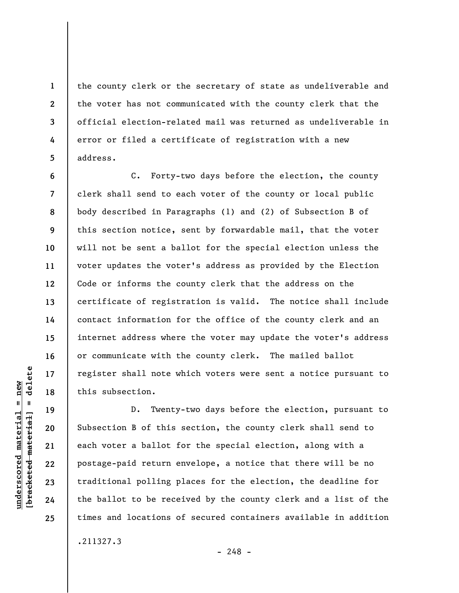the county clerk or the secretary of state as undeliverable and the voter has not communicated with the county clerk that the official election-related mail was returned as undeliverable in error or filed a certificate of registration with a new address.

C. Forty-two days before the election, the county clerk shall send to each voter of the county or local public body described in Paragraphs (1) and (2) of Subsection B of this section notice, sent by forwardable mail, that the voter will not be sent a ballot for the special election unless the voter updates the voter's address as provided by the Election Code or informs the county clerk that the address on the certificate of registration is valid. The notice shall include contact information for the office of the county clerk and an internet address where the voter may update the voter's address or communicate with the county clerk. The mailed ballot register shall note which voters were sent a notice pursuant to this subsection.

D. Twenty-two days before the election, pursuant to Subsection B of this section, the county clerk shall send to each voter a ballot for the special election, along with a postage-paid return envelope, a notice that there will be no traditional polling places for the election, the deadline for the ballot to be received by the county clerk and a list of the times and locations of secured containers available in addition

 $\frac{1}{2}$  bracketed material = delete **[bracketed material] = delete** **1** 

**2** 

**3** 

**4** 

**5** 

**6** 

**7** 

**8** 

**9** 

**10** 

**11** 

**12** 

**13** 

**14** 

**15** 

**16** 

**17** 

**18** 

**19** 

**20** 

**21** 

**22** 

**23** 

**24** 

**25** 

.211327.3

**underscored material = new**

 $underscored material = new$ 

 $- 248 -$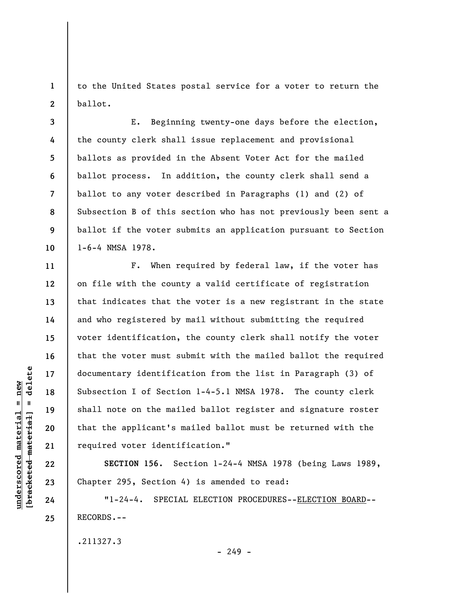**1 2**  to the United States postal service for a voter to return the ballot.

**3 4 5 6 7 8 9 10**  E. Beginning twenty-one days before the election, the county clerk shall issue replacement and provisional ballots as provided in the Absent Voter Act for the mailed ballot process. In addition, the county clerk shall send a ballot to any voter described in Paragraphs (1) and (2) of Subsection B of this section who has not previously been sent a ballot if the voter submits an application pursuant to Section 1-6-4 NMSA 1978.

F. When required by federal law, if the voter has on file with the county a valid certificate of registration that indicates that the voter is a new registrant in the state and who registered by mail without submitting the required voter identification, the county clerk shall notify the voter that the voter must submit with the mailed ballot the required documentary identification from the list in Paragraph (3) of Subsection I of Section 1-4-5.1 NMSA 1978. The county clerk shall note on the mailed ballot register and signature roster that the applicant's mailed ballot must be returned with the required voter identification."

**SECTION 156.** Section 1-24-4 NMSA 1978 (being Laws 1989, Chapter 295, Section 4) is amended to read:

"1-24-4. SPECIAL ELECTION PROCEDURES--ELECTION BOARD-- RECORDS.--

.211327.3

 $-249 -$ 

delete **[bracketed material] = delete**  $underscored material = new$ **underscored material = new**  $\mathbf{I}$ bracketed material

**11** 

**12** 

**13** 

**14** 

**15** 

**16** 

**17** 

**18** 

**19** 

**20** 

**21** 

**22** 

**23** 

**24**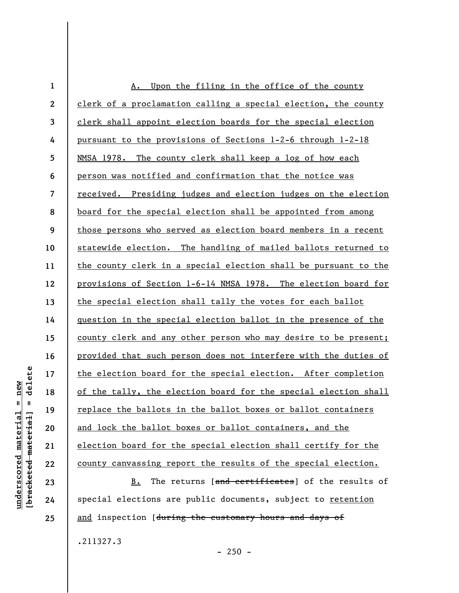| $\mathbf{1}$             | Upon the filing in the office of the county<br>Α.               |
|--------------------------|-----------------------------------------------------------------|
| $\boldsymbol{2}$         | clerk of a proclamation calling a special election, the county  |
| $\mathbf{3}$             | clerk shall appoint election boards for the special election    |
| 4                        | pursuant to the provisions of Sections 1-2-6 through 1-2-18     |
| 5                        | NMSA 1978. The county clerk shall keep a log of how each        |
| 6                        | person was notified and confirmation that the notice was        |
| $\overline{\mathcal{L}}$ | received. Presiding judges and election judges on the election  |
| 8                        | board for the special election shall be appointed from among    |
| 9                        | those persons who served as election board members in a recent  |
| 10                       | statewide election. The handling of mailed ballots returned to  |
| 11                       | the county clerk in a special election shall be pursuant to the |
| 12                       | provisions of Section 1-6-14 NMSA 1978. The election board for  |
| 13                       | the special election shall tally the votes for each ballot      |
| 14                       | question in the special election ballot in the presence of the  |
| 15                       | county clerk and any other person who may desire to be present; |
| 16                       | provided that such person does not interfere with the duties of |
| 17                       | the election board for the special election. After completion   |
| 18                       | of the tally, the election board for the special election shall |
| 19                       | replace the ballots in the ballot boxes or ballot containers    |
| 20                       | and lock the ballot boxes or ballot containers, and the         |
| 21                       | election board for the special election shall certify for the   |
| 22                       | county canvassing report the results of the special election.   |

B. The returns [and certificates] of the results of special elections are public documents, subject to retention and inspection [during the customary hours and days of

.211327.3

- 250 -

 $[breaked$  material = delete **[bracketed material] = delete**  $underscored material = new$ **underscored material = new**

**23** 

**24**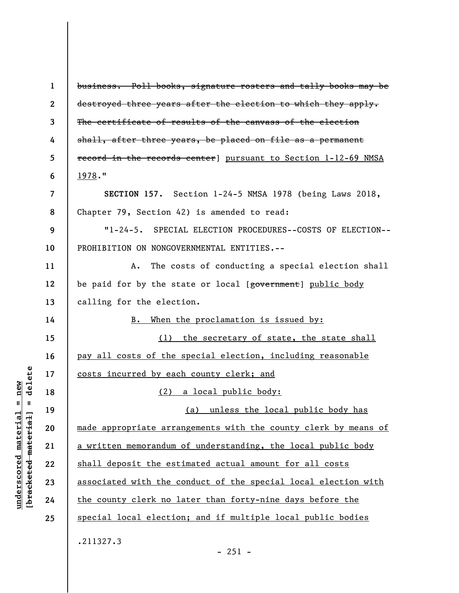**1 2 3 4 5 6 7 8 9 10 11 12 13 14 15 16 17 18 19 20 21 22 23 24 25**  business. Poll books, signature rosters and tally books may be destroyed three years after the election to which they apply. The certificate of results of the canvass of the election shall, after three years, be placed on file as a permanent record in the records center] pursuant to Section 1-12-69 NMSA 1978." **SECTION 157.** Section 1-24-5 NMSA 1978 (being Laws 2018, Chapter 79, Section 42) is amended to read: "1-24-5. SPECIAL ELECTION PROCEDURES--COSTS OF ELECTION-- PROHIBITION ON NONGOVERNMENTAL ENTITIES.-- A. The costs of conducting a special election shall be paid for by the state or local [government] public body calling for the election. B. When the proclamation is issued by: (1) the secretary of state, the state shall pay all costs of the special election, including reasonable costs incurred by each county clerk; and (2) a local public body: (a) unless the local public body has made appropriate arrangements with the county clerk by means of a written memorandum of understanding, the local public body shall deposit the estimated actual amount for all costs associated with the conduct of the special local election with the county clerk no later than forty-nine days before the special local election; and if multiple local public bodies .211327.3  $-251 -$ 

**underscored material = new [bracketed material] = delete**

 $underscored material = new$  $\frac{1}{2}$ 

delete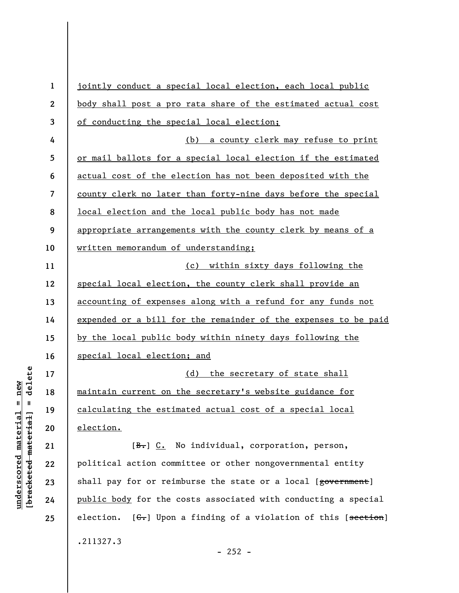| $\mathbf{1}$    | jointly conduct a special local election, each local public     |
|-----------------|-----------------------------------------------------------------|
| $\mathbf{2}$    | body shall post a pro rata share of the estimated actual cost   |
| $\mathbf{3}$    | of conducting the special local election;                       |
| 4               | a county clerk may refuse to print<br>(b)                       |
| $5\phantom{.0}$ | or mail ballots for a special local election if the estimated   |
| 6               | actual cost of the election has not been deposited with the     |
| $\overline{7}$  | county clerk no later than forty-nine days before the special   |
| 8               | local election and the local public body has not made           |
| 9               | appropriate arrangements with the county clerk by means of a    |
| 10              | written memorandum of understanding;                            |
| 11              | (c) within sixty days following the                             |
| 12              | special local election, the county clerk shall provide an       |
| 13              | accounting of expenses along with a refund for any funds not    |
| 14              | expended or a bill for the remainder of the expenses to be paid |
| 15              | by the local public body within ninety days following the       |
| 16              | special local election; and                                     |
| 17              | the secretary of state shall<br>(d)                             |
| 18              | maintain current on the secretary's website guidance for        |
| 19              | calculating the estimated actual cost of a special local        |
| 20              | election.                                                       |
| 21              | [B.] C. No individual, corporation, person,                     |
| 22              | political action committee or other nongovernmental entity      |
| 23              | shall pay for or reimburse the state or a local [government]    |
| 24              | public body for the costs associated with conducting a special  |
| 25              | election. [G.] Upon a finding of a violation of this [section]  |
|                 | .211327.3                                                       |

 $[bracketeed-materiat] = delete$ **[bracketed material] = delete**  $underscored material = new$ **underscored material = new**

- 252 -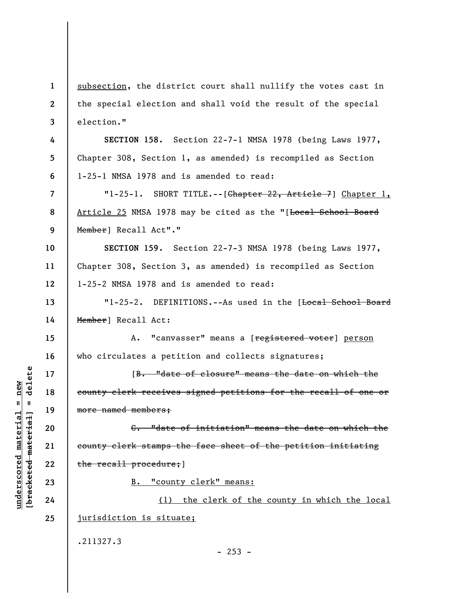**1 2 3 4 5 6 7 8 9 10 11 12 13 14 15 16 17 18 19 20 21 22 23 24 25**  subsection, the district court shall nullify the votes cast in the special election and shall void the result of the special election." **SECTION 158.** Section 22-7-1 NMSA 1978 (being Laws 1977, Chapter 308, Section 1, as amended) is recompiled as Section 1-25-1 NMSA 1978 and is amended to read: "1-25-1. SHORT TITLE.--[Chapter 22, Article 7] Chapter 1, Article 25 NMSA 1978 may be cited as the "[Local School Board Member] Recall Act"." **SECTION 159.** Section 22-7-3 NMSA 1978 (being Laws 1977, Chapter 308, Section 3, as amended) is recompiled as Section 1-25-2 NMSA 1978 and is amended to read: "1-25-2. DEFINITIONS.--As used in the [Local School Board Member] Recall Act: A. "canvasser" means a [registered voter] person who circulates a petition and collects signatures; [B. "date of closure" means the date on which the county clerk receives signed petitions for the recall of one or more named members; C. "date of initiation" means the date on which the county clerk stamps the face sheet of the petition initiating the recall procedure; ] B. "county clerk" means: (1) the clerk of the county in which the local jurisdiction is situate; .211327.3  $-253 -$ 

**underscored material = new [bracketed material] = delete**

 $underscored material = new$ 

delete

 $\mathbf{I}$ 

bracketed material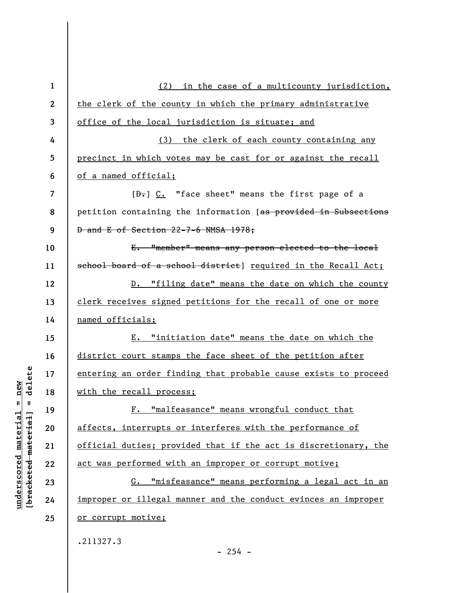| $\mathbf 1$ | (2) in the case of a multicounty jurisdiction,                        |
|-------------|-----------------------------------------------------------------------|
| 2           | the clerk of the county in which the primary administrative           |
| 3           | office of the local jurisdiction is situate; and                      |
| 4           | (3) the clerk of each county containing any                           |
| 5           | precinct in which votes may be cast for or against the recall         |
| 6           | of a named official;                                                  |
| 7           | $[\frac{b}{c}, \frac{c}{c}]$ . "face sheet" means the first page of a |
| 8           | petition containing the information [as provided in Subsections       |
| 9           | <b>D</b> and E of Section 22-7-6 NMSA 1978;                           |
| 10          | E. "member" means any person elected to the local                     |
| 11          | school board of a school district] required in the Recall Act;        |
| 12          | D. "filing date" means the date on which the county                   |
| 13          | clerk receives signed petitions for the recall of one or more         |
| 14          | named officials;                                                      |
| 15          | E. "initiation date" means the date on which the                      |
| 16          | district court stamps the face sheet of the petition after            |
| 17          | entering an order finding that probable cause exists to proceed       |
| 18          | with the recall process;                                              |
| 19          | F. "malfeasance" means wrongful conduct that                          |
| 20          | affects, interrupts or interferes with the performance of             |
| 21          | official duties; provided that if the act is discretionary, the       |
| 22          | act was performed with an improper or corrupt motive;                 |
| 23          | G. "misfeasance" means performing a legal act in an                   |
| 24          | improper or illegal manner and the conduct evinces an improper        |
| 25          | or corrupt motive;                                                    |
|             | .211327.3                                                             |
|             | $-254 -$                                                              |

 $[**bracket eted metert et**] = **del et e**$ **[bracketed material] = delete**  $underscored material = new$ **underscored material = new**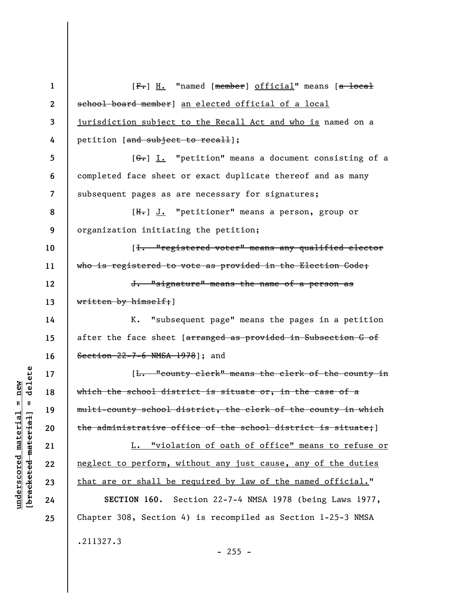| $\mathbf{1}$     | [F.] H. "named [member] official" means [a local               |
|------------------|----------------------------------------------------------------|
| $\boldsymbol{2}$ | school board member] an elected official of a local            |
| 3                | jurisdiction subject to the Recall Act and who is named on a   |
| 4                | petition [and subject to recall];                              |
| 5                | $[6-]$ I. "petition" means a document consisting of a          |
| 6                | completed face sheet or exact duplicate thereof and as many    |
| 7                | subsequent pages as are necessary for signatures;              |
| 8                | [H.] J. "petitioner" means a person, group or                  |
| 9                | organization initiating the petition;                          |
| 10               | [ <del>I. "registered voter" means any qualified elector</del> |
| 11               | who is registered to vote as provided in the Election Gode;    |
| 12               | J. "signature" means the name of a person as                   |
| 13               | written by himself; ]                                          |
| 14               | K. "subsequent page" means the pages in a petition             |
| 15               | after the face sheet [arranged as provided in Subsection G of  |
| 16               | Section 22-7-6 NMSA 1978]; and                                 |
| 17               | [L. "county clerk" means the clerk of the county in            |
| 18               | which the school district is situate or, in the case of a      |
| 19               | multi-county school district, the clerk of the county in which |
| 20               | the administrative office of the school district is situate;   |
| 21               | L. "violation of oath of office" means to refuse or            |
| 22               | neglect to perform, without any just cause, any of the duties  |
| 23               | that are or shall be required by law of the named official."   |
| 24               | SECTION 160. Section 22-7-4 NMSA 1978 (being Laws 1977,        |
| 25               | Chapter 308, Section 4) is recompiled as Section 1-25-3 NMSA   |
|                  | .211327.3                                                      |

## $[**bracket**et~~eted matcherial~~] = **delete**$ **[bracketed material] = delete**  $underscored material = new$ **underscored material = new**

- 255 -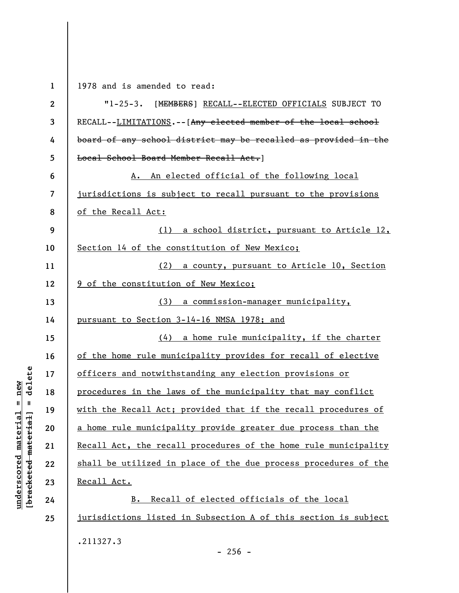**1 2 3 4 5 6 7 8 9 10 11 12 13 14 15 16 17 18 19 20 21 22 23 24 25**  1978 and is amended to read: "1-25-3. [MEMBERS] RECALL--ELECTED OFFICIALS SUBJECT TO RECALL--LIMITATIONS.--[Any elected member of the local school board of any school district may be recalled as provided in the Local School Board Member Recall Act. 1 A. An elected official of the following local jurisdictions is subject to recall pursuant to the provisions of the Recall Act: (1) a school district, pursuant to Article 12, Section 14 of the constitution of New Mexico; (2) a county, pursuant to Article 10, Section 9 of the constitution of New Mexico; (3) a commission-manager municipality, pursuant to Section 3-14-16 NMSA 1978; and (4) a home rule municipality, if the charter of the home rule municipality provides for recall of elective officers and notwithstanding any election provisions or procedures in the laws of the municipality that may conflict with the Recall Act; provided that if the recall procedures of a home rule municipality provide greater due process than the Recall Act, the recall procedures of the home rule municipality shall be utilized in place of the due process procedures of the Recall Act. B. Recall of elected officials of the local jurisdictions listed in Subsection A of this section is subject .211327.3

**underscored material = new [bracketed material] = delete**

 $anderscored material = new$  $\frac{1}{2}$ 

delete

 $-256 -$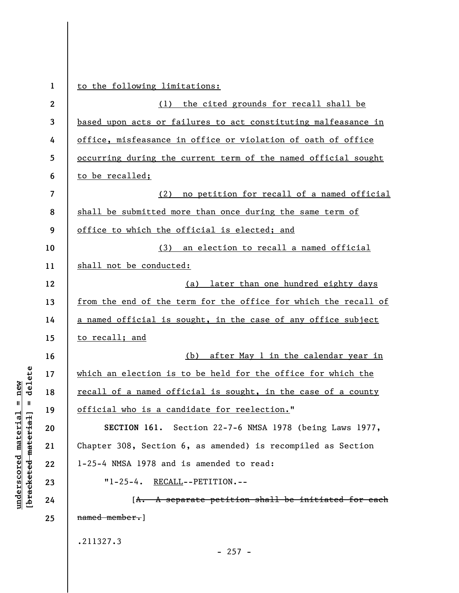| $\mathbf{1}$     | to the following limitations:                                   |
|------------------|-----------------------------------------------------------------|
| $\boldsymbol{2}$ | (1) the cited grounds for recall shall be                       |
| 3                | based upon acts or failures to act constituting malfeasance in  |
| 4                | office, misfeasance in office or violation of oath of office    |
| 5                | occurring during the current term of the named official sought  |
| 6                | to be recalled;                                                 |
| 7                | (2) no petition for recall of a named official                  |
| 8                | shall be submitted more than once during the same term of       |
| 9                | office to which the official is elected; and                    |
| 10               | (3) an election to recall a named official                      |
| 11               | shall not be conducted:                                         |
| 12               | (a) later than one hundred eighty days                          |
| 13               | from the end of the term for the office for which the recall of |
| 14               | a named official is sought, in the case of any office subject   |
| 15               | to recall; and                                                  |
| 16               | (b) after May 1 in the calendar year in                         |
| 17               | which an election is to be held for the office for which the    |
| 18               | recall of a named official is sought, in the case of a county   |
| 19               | official who is a candidate for reelection."                    |
| 20               | SECTION 161. Section 22-7-6 NMSA 1978 (being Laws 1977,         |
| 21               | Chapter 308, Section 6, as amended) is recompiled as Section    |
| 22               | 1-25-4 NMSA 1978 and is amended to read:                        |
| 23               | $"1-25-4.$ RECALL--PETITION.--                                  |
| 24               | [A. A separate petition shall be initiated for each             |
| 25               | named member.]                                                  |
|                  | .211327.3                                                       |
|                  | $-257 -$                                                        |

**underscored material = new [bracketed material] = delete**

 $[**bracket eted metert et**] = **del et e**$  $underscored material = new$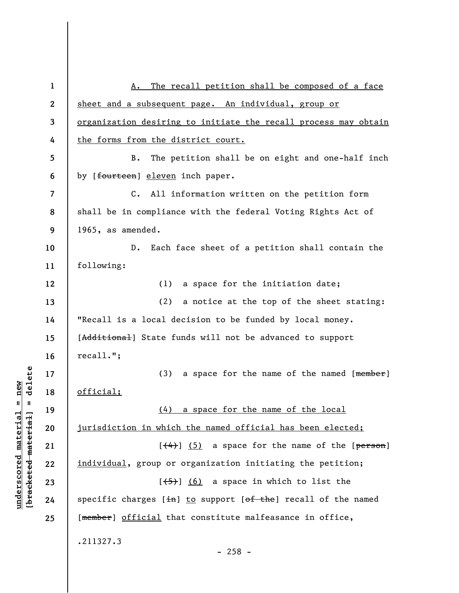| $\mathbf{1}$ | The recall petition shall be composed of a face<br>А.                        |
|--------------|------------------------------------------------------------------------------|
| $\mathbf{2}$ | sheet and a subsequent page. An individual, group or                         |
| 3            | <u>organization desiring to initiate the recall process may obtain</u>       |
| 4            | the forms from the district court.                                           |
| 5            | The petition shall be on eight and one-half inch<br><b>B.</b>                |
| 6            | by [fourteen] eleven inch paper.                                             |
| 7            | All information written on the petition form<br>$c_{\bullet}$                |
| 8            | shall be in compliance with the federal Voting Rights Act of                 |
| 9            | 1965, as amended.                                                            |
| 10           | Each face sheet of a petition shall contain the<br>D.                        |
| 11           | following:                                                                   |
| 12           | a space for the initiation date;<br>(1)                                      |
| 13           | (2)<br>a notice at the top of the sheet stating:                             |
| 14           | "Recall is a local decision to be funded by local money.                     |
| 15           | [Additional] State funds will not be advanced to support                     |
| 16           | recall."                                                                     |
| 17           | (3)<br>a space for the name of the named [member]                            |
| 18           | official;                                                                    |
| 19           | (4) a space for the name of the local                                        |
| 20           | jurisdiction in which the named official has been elected;                   |
| 21           | $[\left(4\right)]$ (5) a space for the name of the [ $person$ ]              |
| 22           | individual, group or organization initiating the petition;                   |
| 23           | $[\frac{1}{5}]$ (6) a space in which to list the                             |
| 24           | specific charges $[\pm n]$ to support $[\theta f + h e]$ recall of the named |
| 25           | [member] official that constitute malfeasance in office,                     |
|              | .211327.3<br>$-258 -$                                                        |

 $[**bracket eted metert et**] = **del et e**$ **[bracketed material] = delete**  $underscored material = new$ **underscored material = new**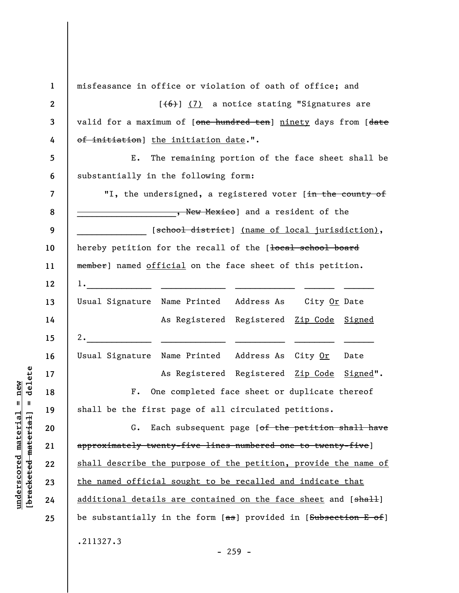**1 2 3 4 5 6 7 8 9 10 11 12 13 14 15 16 17 18 19 20 21 22 23 24 25**  misfeasance in office or violation of oath of office; and  $[$ ( $\{6\}$ ) (7) a notice stating "Signatures are valid for a maximum of [one hundred ten] ninety days from [date of initiation] the initiation date.". E. The remaining portion of the face sheet shall be substantially in the following form: "I, the undersigned, a registered voter [in the county of **Example 2018**, New Mexico) and a resident of the [<del>school district</del>] <u>(name of local jurisdiction)</u>, hereby petition for the recall of the [local school board member] named official on the face sheet of this petition. 1.\_\_\_\_\_\_\_\_\_\_\_\_\_ \_\_\_\_\_\_\_\_\_\_\_\_\_ \_\_\_\_\_\_\_\_\_\_\_\_ \_\_\_\_\_\_ \_\_\_\_\_\_ Usual Signature Name Printed Address As City Or Date As Registered Registered Zip Code Signed 2.  $\frac{1}{2}$ Usual Signature Name Printed Address As City Or Date As Registered Registered Zip Code Signed". F. One completed face sheet or duplicate thereof shall be the first page of all circulated petitions. G. Each subsequent page [of the petition shall have approximately twenty-five lines numbered one to twenty-five] shall describe the purpose of the petition, provide the name of the named official sought to be recalled and indicate that additional details are contained on the face sheet and [shall] be substantially in the form  $[$ as] provided in  $[$ Subsection E of] .211327.3

delete **[bracketed material] = delete**  $anderscored material = new$ **underscored material = new**  $\mathbf{I}$ bracketed material

- 259 -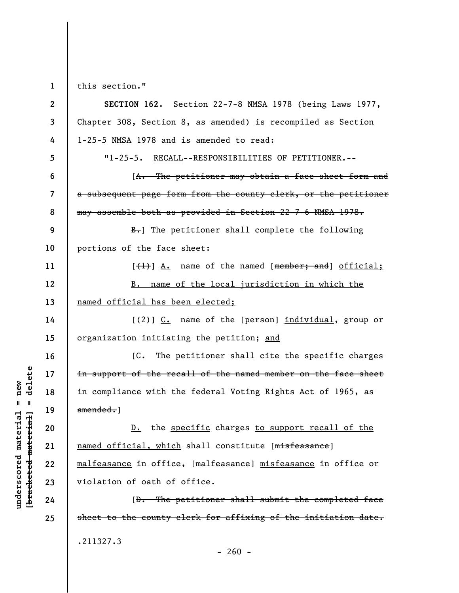**1**  this section."

| $\mathbf{2}$   | SECTION 162. Section 22-7-8 NMSA 1978 (being Laws 1977,         |
|----------------|-----------------------------------------------------------------|
| 3              | Chapter 308, Section 8, as amended) is recompiled as Section    |
| 4              | 1-25-5 NMSA 1978 and is amended to read:                        |
| 5              | "1-25-5. RECALL--RESPONSIBILITIES OF PETITIONER.--              |
| 6              | [A. The petitioner may obtain a face sheet form and             |
| $\overline{7}$ | a subsequent page form from the county clerk, or the petitioner |
| 8              | may assemble both as provided in Section 22-7-6 NMSA 1978.      |
| 9              | $\frac{B}{B}$ .] The petitioner shall complete the following    |
| 10             | portions of the face sheet:                                     |
| 11             | $[\frac{1}{1}]$ A. name of the named [member; and] official;    |
| 12             | B. name of the local jurisdiction in which the                  |
| 13             | named official has been elected;                                |
| 14             | $[2, 0]$ $[2, 0]$ name of the [person] individual, group or     |
| 15             | organization initiating the petition; and                       |
| 16             | [C. The petitioner shall cite the specific charges              |
| 17             | in support of the recall of the named member on the face sheet  |
| 18             | in compliance with the federal Voting Rights Act of 1965, as    |
| 19             | amended.                                                        |
| 20             | D. the specific charges to support recall of the                |
| 21             | named official, which shall constitute [misfeasance]            |
| 22             | malfeasance in office, [malfeasance] misfeasance in office or   |
| 23             | violation of oath of office.                                    |
| 24             | [D. The petitioner shall submit the completed face              |
| 25             | sheet to the county clerk for affixing of the initiation date.  |
|                | .211327.3                                                       |

 $\frac{\text{underscored material} = \text{new}}{(\text{bracketed material})}$  =  $\frac{\text{new}}{\text{t}}$ **[bracketed material] = delete underscored material = new**

- 260 -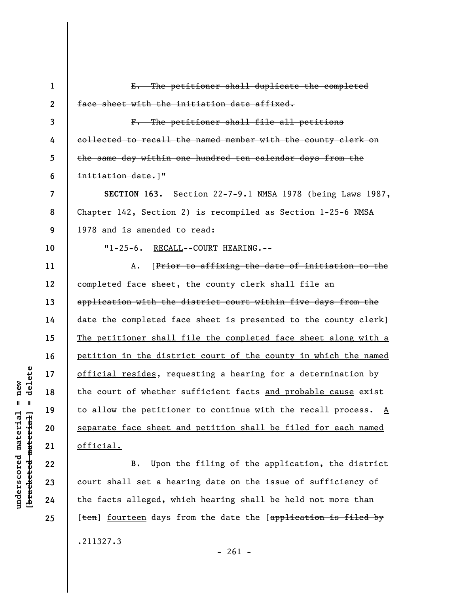| $\mathbf{1}$             | E. The petitioner shall duplicate the completed                              |
|--------------------------|------------------------------------------------------------------------------|
| $\mathbf{2}$             | face sheet with the initiation date affixed.                                 |
| 3                        | F. The petitioner shall file all petitions                                   |
| 4                        | collected to recall the named member with the county clerk on                |
| 5                        | the same day within one hundred ten calendar days from the                   |
| 6                        | initiation date.]"                                                           |
| $\overline{\mathcal{L}}$ | SECTION 163. Section 22-7-9.1 NMSA 1978 (being Laws 1987,                    |
| 8                        | Chapter 142, Section 2) is recompiled as Section 1-25-6 NMSA                 |
| 9                        | 1978 and is amended to read:                                                 |
| 10                       | "1-25-6. RECALL--COURT HEARING.--                                            |
| 11                       | [Prior to affixing the date of initiation to the<br>Α.                       |
| 12                       | completed face sheet, the county clerk shall file an                         |
| 13                       | application with the district court within five days from the                |
| 14                       | date the completed face sheet is presented to the county clerk]              |
| 15                       | The petitioner shall file the completed face sheet along with a              |
| 16                       | petition in the district court of the county in which the named              |
| 17                       | official resides, requesting a hearing for a determination by                |
| 18                       | the court of whether sufficient facts and probable cause exist               |
| 19                       | to allow the petitioner to continue with the recall process. $\underline{A}$ |
| 20                       | separate face sheet and petition shall be filed for each named               |
| 21                       | official.                                                                    |
| 22                       | Upon the filing of the application, the district<br>B.                       |
| 23                       | court shall set a hearing date on the issue of sufficiency of                |
| 24                       | the facts alleged, which hearing shall be held not more than                 |

.211327.3

- 261 -

[<del>ten</del>] <u>fourteen</u> days from the date the [<del>application is filed by</del>

 $[**bracketed**-**meterial**] = **delete**$ **[bracketed material] = delete**  $underscored material = new$ **underscored material = new**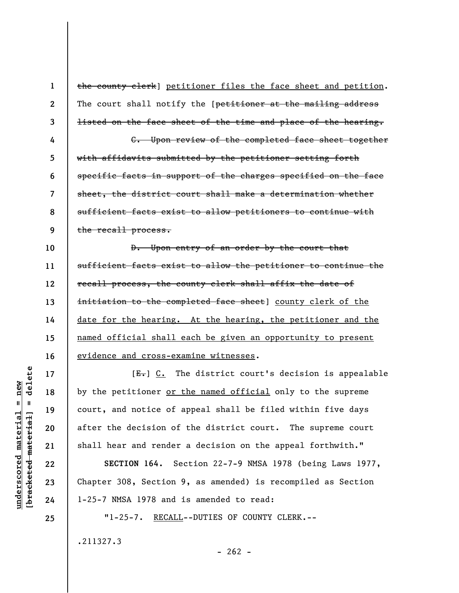**1 2 3 4 5 6 7 8 9 10 11 12 13 14 15 16 17 18 19 20**  the county clerk] petitioner files the face sheet and petition. The court shall notify the [petitioner at the mailing address listed on the face sheet of the time and place of the hearing. C. Upon review of the completed face sheet together with affidavits submitted by the petitioner setting forth specific facts in support of the charges specified on the face sheet, the district court shall make a determination whether sufficient facts exist to allow petitioners to continue with the recall process. D. Upon entry of an order by the court that sufficient facts exist to allow the petitioner to continue the recall process, the county clerk shall affix the date of initiation to the completed face sheet] county clerk of the date for the hearing. At the hearing, the petitioner and the named official shall each be given an opportunity to present evidence and cross-examine witnesses.  $[E_r]$   $C_t$ . The district court's decision is appealable by the petitioner or the named official only to the supreme court, and notice of appeal shall be filed within five days after the decision of the district court. The supreme court

shall hear and render a decision on the appeal forthwith."

**SECTION 164.** Section 22-7-9 NMSA 1978 (being Laws 1977, Chapter 308, Section 9, as amended) is recompiled as Section 1-25-7 NMSA 1978 and is amended to read:

"1-25-7. RECALL--DUTIES OF COUNTY CLERK.--

.211327.3

delete **[bracketed material] = delete**  $anderscored material = new$ **underscored material = new**  $\mathbf{I}$ bracketed material

**21** 

**22** 

**23** 

**24**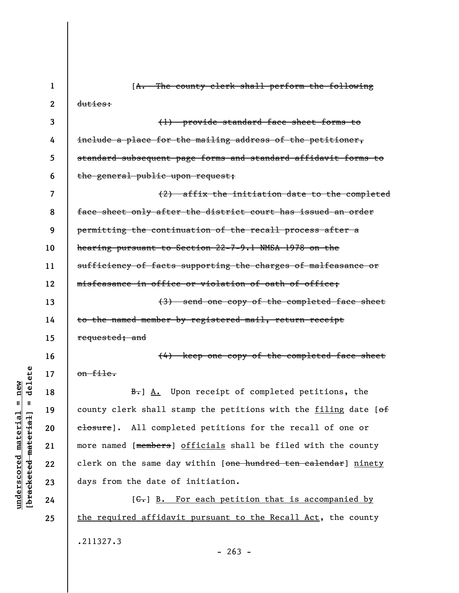| 1  | [A. The county clerk shall perform the following                |
|----|-----------------------------------------------------------------|
| 2  | duties:                                                         |
| 3  | (1) provide standard face sheet forms to                        |
| 4  | include a place for the mailing address of the petitioner,      |
| 5  | standard subsequent page forms and standard affidavit forms to  |
| 6  | the general public upon request;                                |
| 7  | (2) affix the initiation date to the completed                  |
| 8  | face sheet only after the district court has issued an order    |
| 9  | permitting the continuation of the recall process after a       |
| 10 | hearing pursuant to Section 22-7-9.1 NMSA 1978 on the           |
| 11 | sufficiency of facts supporting the charges of malfeasance or   |
| 12 | misfeasance in office or violation of oath of office;           |
| 13 | (3) send one copy of the completed face sheet                   |
| 14 | to the named member by registered mail, return receipt          |
| 15 | requested; and                                                  |
| 16 | (4) keep one copy of the completed face sheet                   |
| 17 | on file.                                                        |
| 18 | B. A. Upon receipt of completed petitions, the                  |
| 19 | county clerk shall stamp the petitions with the filing date [of |
| 20 | elosure]. All completed petitions for the recall of one or      |
| 21 | more named [members] officials shall be filed with the county   |
| 22 | clerk on the same day within [one hundred ten calendar] ninety  |
| 23 | days from the date of initiation.                               |
| 24 | [ $C_r$ ] B. For each petition that is accompanied by           |
| 25 | the required affidavit pursuant to the Recall Act, the county   |
|    | .211327.3<br>$-263 -$                                           |

 $[bracketeed-materiat] = delete$ **[bracketed material] = delete**  $underscored material = new$ **underscored material = new**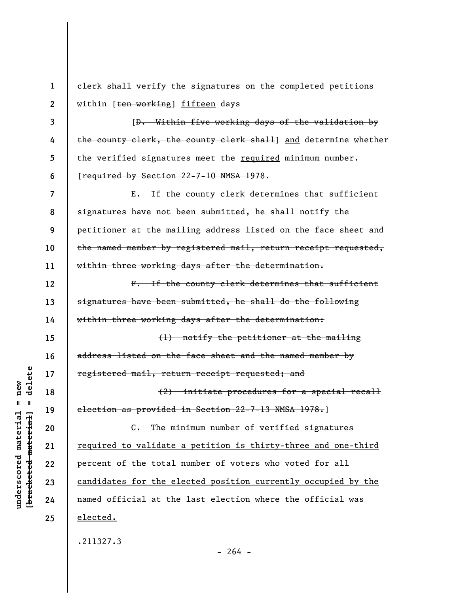| $\mathbf 1$      | clerk shall verify the signatures on the completed petitions    |
|------------------|-----------------------------------------------------------------|
| $\boldsymbol{2}$ | within [ten working] fifteen days                               |
| 3                | [D. Within five working days of the validation by               |
| 4                | the county clerk, the county clerk shall] and determine whether |
| 5                | the verified signatures meet the required minimum number.       |
| 6                | [required by Section 22-7-10 NMSA 1978.                         |
| 7                | E. If the county clerk determines that sufficient               |
| 8                | signatures have not been submitted, he shall notify the         |
| 9                | petitioner at the mailing address listed on the face sheet and  |
| 10               | the named member by registered mail, return receipt requested,  |
| 11               | within three working days after the determination.              |
| 12               | F. If the county clerk determines that sufficient               |
| 13               | signatures have been submitted, he shall do the following       |
| 14               | within three working days after the determination:              |
| 15               | (1) notify the petitioner at the mailing                        |
| 16               | address listed on the face sheet and the named member by        |
| 17               | registered mail, return receipt requested; and                  |
| 18               | $(2)$ initiate procedures for a special recall                  |
| 19               | election as provided in Section 22-7-13 NMSA 1978.]             |
| 20               | C. The minimum number of verified signatures                    |
| 21               | required to validate a petition is thirty-three and one-third   |
| 22               | percent of the total number of voters who voted for all         |
| 23               | candidates for the elected position currently occupied by the   |
| 24               | named official at the last election where the official was      |
| 25               | elected.                                                        |
|                  | .211327.3                                                       |

 $[bracketeed-materiat] = delete$ **[bracketed material] = delete**  $underscored material = new$ **underscored material = new**

 $- 264 -$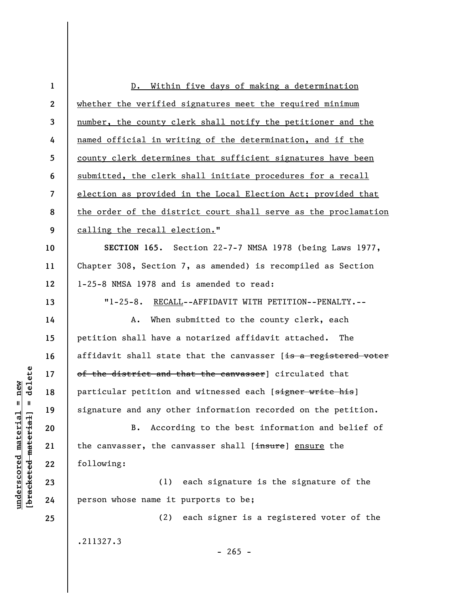| $\mathbf{1}$            | D. Within five days of making a determination                   |
|-------------------------|-----------------------------------------------------------------|
| $\mathbf{2}$            | whether the verified signatures meet the required minimum       |
| $\mathbf{3}$            | number, the county clerk shall notify the petitioner and the    |
| 4                       | named official in writing of the determination, and if the      |
| 5                       | county clerk determines that sufficient signatures have been    |
| 6                       | submitted, the clerk shall initiate procedures for a recall     |
| $\overline{\mathbf{z}}$ | election as provided in the Local Election Act; provided that   |
| 8                       | the order of the district court shall serve as the proclamation |
| 9                       | calling the recall election."                                   |
| 10                      | SECTION 165. Section 22-7-7 NMSA 1978 (being Laws 1977,         |
| 11                      | Chapter 308, Section 7, as amended) is recompiled as Section    |
| 12                      | 1-25-8 NMSA 1978 and is amended to read:                        |
| 13                      | $"1 - 25 - 8.$<br>RECALL--AFFIDAVIT WITH PETITION--PENALTY.--   |
| 14                      | When submitted to the county clerk, each<br>Α.                  |
| 15                      | petition shall have a notarized affidavit attached.<br>The      |
| 16                      | affidavit shall state that the canvasser [is a registered voter |
| 17                      | of the district and that the canvasser] circulated that         |
| 18                      | particular petition and witnessed each [signer write his]       |
| 19                      | signature and any other information recorded on the petition.   |
| 20                      | According to the best information and belief of<br><b>B.</b>    |
| 21                      | the canvasser, the canvasser shall [insure] ensure the          |
| 22                      | following:                                                      |
| 23                      | (1) each signature is the signature of the                      |
| 24                      | person whose name it purports to be;                            |
| 25                      | (2) each signer is a registered voter of the                    |
|                         | .211327.3<br>$-265 -$                                           |

 $[bracketeed-materiat] = delete$ **[bracketed material] = delete**  $underscored material = new$ **underscored material = new**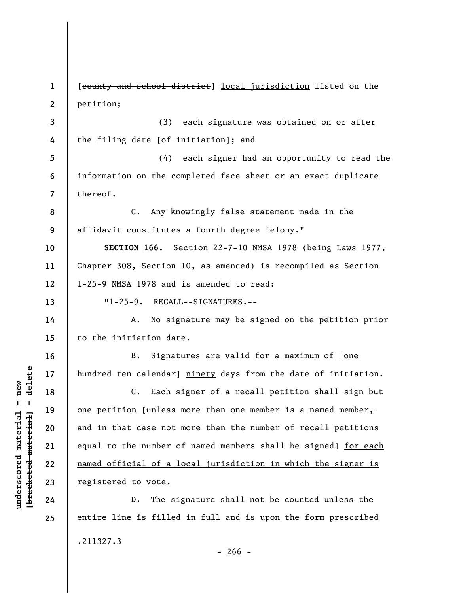**1 2 3 4 5 6 7 8 9 10 11 12 13 14 15 16 17 18 19 20 21 22 23 24 25**  [county and school district] local jurisdiction listed on the petition; (3) each signature was obtained on or after the filing date [of initiation]; and (4) each signer had an opportunity to read the information on the completed face sheet or an exact duplicate thereof. C. Any knowingly false statement made in the affidavit constitutes a fourth degree felony." **SECTION 166.** Section 22-7-10 NMSA 1978 (being Laws 1977, Chapter 308, Section 10, as amended) is recompiled as Section 1-25-9 NMSA 1978 and is amended to read: "1-25-9. RECALL--SIGNATURES.-- A. No signature may be signed on the petition prior to the initiation date. B. Signatures are valid for a maximum of [one hundred ten calendar] ninety days from the date of initiation. C. Each signer of a recall petition shall sign but one petition [unless more than one member is a named member, and in that case not more than the number of recall petitions equal to the number of named members shall be signed] for each named official of a local jurisdiction in which the signer is registered to vote. D. The signature shall not be counted unless the entire line is filled in full and is upon the form prescribed .211327.3

**underscored material = new [bracketed material] = delete**

 $\frac{1}{2}$  intereted material = delete  $underscored material = new$ 

 $- 266 -$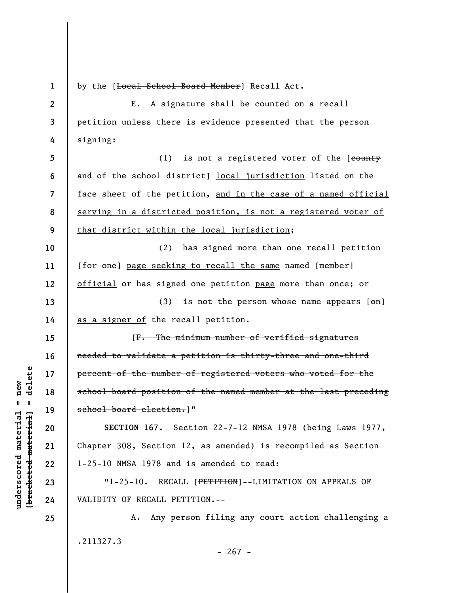**1** 

**14** 

**15** 

**16** 

**17** 

**18** 

**19** 

**20** 

**21** 

**22** 

**23** 

**24** 

**25** 

by the [Local School Board Member] Recall Act.

**2 3 4**  E. A signature shall be counted on a recall petition unless there is evidence presented that the person signing:

**5 6 7 8 9**  (1) is not a registered voter of the  $[*count*$ and of the school district] local jurisdiction listed on the face sheet of the petition, and in the case of a named official serving in a districted position, is not a registered voter of that district within the local jurisdiction;

**10 11 12 13**  (2) has signed more than one recall petition [for one] page seeking to recall the same named [member] official or has signed one petition page more than once; or (3) is not the person whose name appears  $[\Theta_n]$ 

as a signer of the recall petition.

[F. The minimum number of verified signatures needed to validate a petition is thirty-three and one-third percent of the number of registered voters who voted for the school board position of the named member at the last preceding school board election.]"

**SECTION 167.** Section 22-7-12 NMSA 1978 (being Laws 1977, Chapter 308, Section 12, as amended) is recompiled as Section 1-25-10 NMSA 1978 and is amended to read:

"1-25-10. RECALL [PETITION]--LIMITATION ON APPEALS OF VALIDITY OF RECALL PETITION.--

A. Any person filing any court action challenging a .211327.3

 $\frac{1}{2}$  intereted material = delete **[bracketed material] = delete**  $underscored material = new$ **underscored material = new**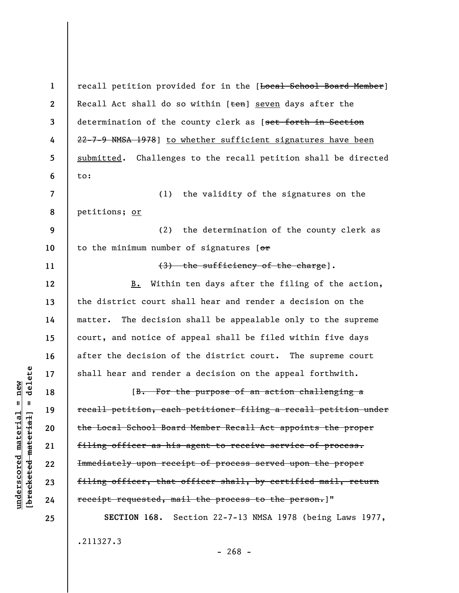**2 3 4 5 6 7 8 9 10 11 12 13 14 15 16 17 18 19 20 21 22 23 24 25**  Recall Act shall do so within  $[ten]$  seven days after the determination of the county clerk as [set forth in Section 22-7-9 NMSA 1978] to whether sufficient signatures have been submitted. Challenges to the recall petition shall be directed to: (1) the validity of the signatures on the petitions; or (2) the determination of the county clerk as to the minimum number of signatures  $[ $\sigma$  r]$ (3) the sufficiency of the charge]. B. Within ten days after the filing of the action, the district court shall hear and render a decision on the matter. The decision shall be appealable only to the supreme court, and notice of appeal shall be filed within five days after the decision of the district court. The supreme court shall hear and render a decision on the appeal forthwith. [B. For the purpose of an action challenging a recall petition, each petitioner filing a recall petition under the Local School Board Member Recall Act appoints the proper filing officer as his agent to receive service of process. Immediately upon receipt of process served upon the proper filing officer, that officer shall, by certified mail, return receipt requested, mail the process to the person.]" **SECTION 168.** Section 22-7-13 NMSA 1978 (being Laws 1977,

recall petition provided for in the [Local School Board Member]

.211327.3

 $- 268 -$ 

 $\frac{1}{2}$  bracketed material = delete **[bracketed material] = delete**  $anderscored material = new$ **underscored material = new**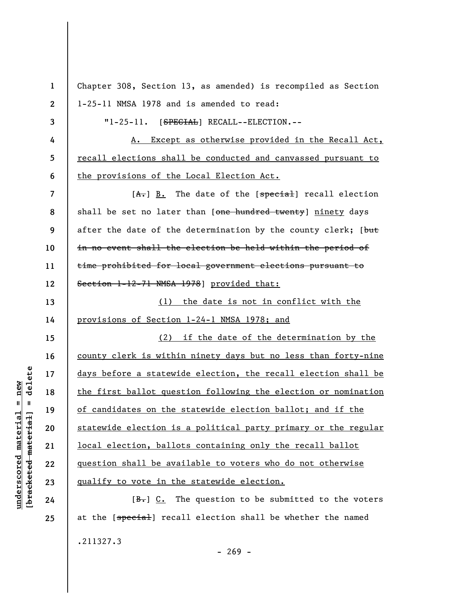**1 2 3 4 5 6 7 8 9 10 11 12 13 14 15 16 17 18 19 20 21 22 23 24 25**  Chapter 308, Section 13, as amended) is recompiled as Section 1-25-11 NMSA 1978 and is amended to read: "1-25-11. [SPECIAL] RECALL--ELECTION.--A. Except as otherwise provided in the Recall Act, recall elections shall be conducted and canvassed pursuant to the provisions of the Local Election Act.  $[A<sub>r</sub>]$  B. The date of the  $[spectal]$  recall election shall be set no later than [one hundred twenty] ninety days after the date of the determination by the county clerk; [but in no event shall the election be held within the period of time prohibited for local government elections pursuant to Section 1-12-71 NMSA 1978] provided that: (1) the date is not in conflict with the provisions of Section 1-24-1 NMSA 1978; and (2) if the date of the determination by the county clerk is within ninety days but no less than forty-nine days before a statewide election, the recall election shall be the first ballot question following the election or nomination of candidates on the statewide election ballot; and if the statewide election is a political party primary or the regular local election, ballots containing only the recall ballot question shall be available to voters who do not otherwise qualify to vote in the statewide election.  $[**B**]<sub>+</sub>] C. The question to be submitted to the voters$ at the [special] recall election shall be whether the named

 $\frac{1}{2}$  intereted material = delete **[bracketed material] = delete**  $anderscored material = new$ **underscored material = new**

.211327.3

 $- 269 -$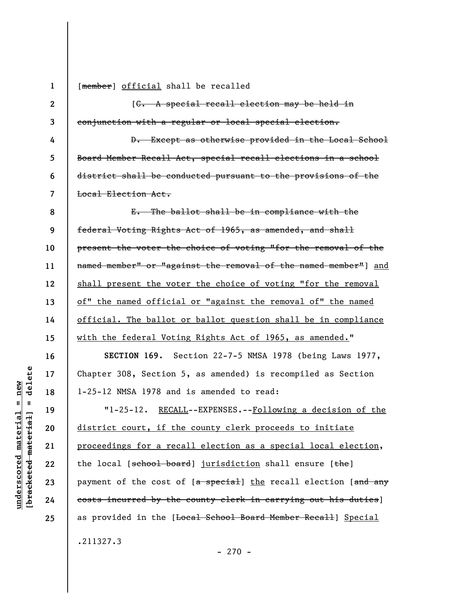**1 2** 

**3** 

**4** 

**5** 

**6** 

**7** 

**16** 

**17** 

**18** 

**19** 

**20** 

**21** 

**22** 

**23** 

**24** 

**25** 

[member] official shall be recalled

[C. A special recall election may be held in conjunction with a regular or local special election.

D. Except as otherwise provided in the Local School Board Member Recall Act, special recall elections in a school district shall be conducted pursuant to the provisions of the Local Election Act.

**8 9 10 11 12 13 14 15**  E. The ballot shall be in compliance with the federal Voting Rights Act of 1965, as amended, and shall present the voter the choice of voting "for the removal of the named member<sup>n</sup> or "against the removal of the named member<sup>n</sup>] and shall present the voter the choice of voting "for the removal of" the named official or "against the removal of" the named official. The ballot or ballot question shall be in compliance with the federal Voting Rights Act of 1965, as amended."

**SECTION 169.** Section 22-7-5 NMSA 1978 (being Laws 1977, Chapter 308, Section 5, as amended) is recompiled as Section 1-25-12 NMSA 1978 and is amended to read:

"1-25-12. RECALL--EXPENSES.--Following a decision of the district court, if the county clerk proceeds to initiate proceedings for a recall election as a special local election, the local [school board] jurisdiction shall ensure [the] payment of the cost of  $[a - s$  pecial] the recall election  $[a + s]$ costs incurred by the county clerk in carrying out his duties] as provided in the [Local School Board Member Recall] Special .211327.3

delete **[bracketed material] = delete**  $anderscored material = new$ **underscored material = new**  $\mathbf{I}$ bracketed material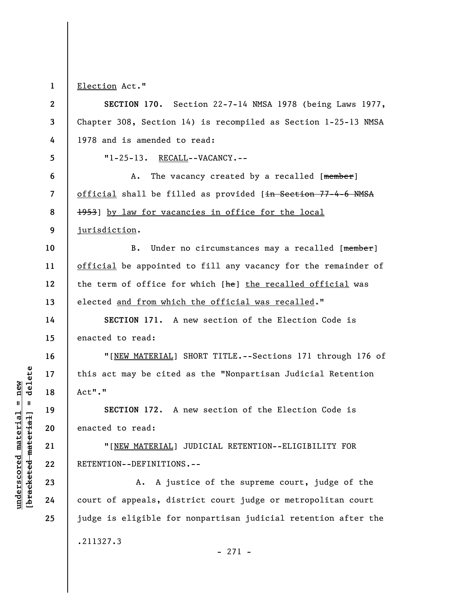**1**  Election Act."

**2 3 4 5 6 7 8 9 10 11 12 13 14 15 16 17 18 19 20 21 22 23 24 25 SECTION 170.** Section 22-7-14 NMSA 1978 (being Laws 1977, Chapter 308, Section 14) is recompiled as Section 1-25-13 NMSA 1978 and is amended to read: "1-25-13. RECALL--VACANCY.-- A. The vacancy created by a recalled [member] official shall be filled as provided [in Section 77-4-6 NMSA 1953] by law for vacancies in office for the local jurisdiction. B. Under no circumstances may a recalled [member] official be appointed to fill any vacancy for the remainder of the term of office for which [he] the recalled official was elected and from which the official was recalled." **SECTION 171.** A new section of the Election Code is enacted to read: "[NEW MATERIAL] SHORT TITLE.--Sections 171 through 176 of this act may be cited as the "Nonpartisan Judicial Retention Act"." **SECTION 172**. A new section of the Election Code is enacted to read: "[NEW MATERIAL] JUDICIAL RETENTION--ELIGIBILITY FOR RETENTION--DEFINITIONS.-- A. A justice of the supreme court, judge of the court of appeals, district court judge or metropolitan court judge is eligible for nonpartisan judicial retention after the .211327.3 - 271 -

 $\frac{1}{2}$  intereted material = delete **[bracketed material] = delete**  $underscored material = new$ **underscored material = new**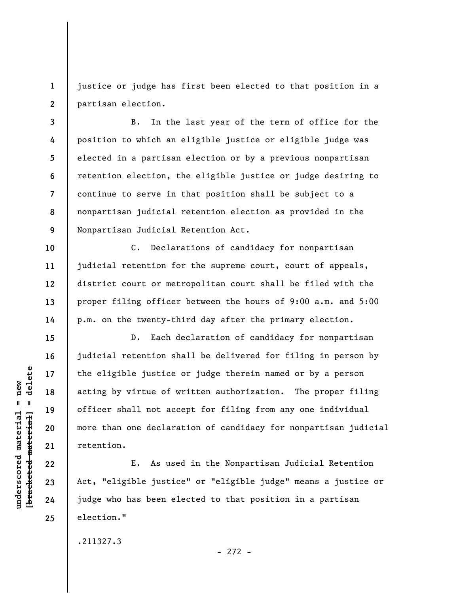**1 2**  justice or judge has first been elected to that position in a partisan election.

**3 4 5 6 7 8 9**  B. In the last year of the term of office for the position to which an eligible justice or eligible judge was elected in a partisan election or by a previous nonpartisan retention election, the eligible justice or judge desiring to continue to serve in that position shall be subject to a nonpartisan judicial retention election as provided in the Nonpartisan Judicial Retention Act.

C. Declarations of candidacy for nonpartisan judicial retention for the supreme court, court of appeals, district court or metropolitan court shall be filed with the proper filing officer between the hours of 9:00 a.m. and 5:00 p.m. on the twenty-third day after the primary election.

D. Each declaration of candidacy for nonpartisan judicial retention shall be delivered for filing in person by the eligible justice or judge therein named or by a person acting by virtue of written authorization. The proper filing officer shall not accept for filing from any one individual more than one declaration of candidacy for nonpartisan judicial retention.

E. As used in the Nonpartisan Judicial Retention Act, "eligible justice" or "eligible judge" means a justice or judge who has been elected to that position in a partisan election."

.211327.3

- 272 -

delete **[bracketed material] = delete**  $underscored material = new$ **underscored material = new**  $\mathbf{u}$ bracketed material **10** 

**11** 

**12** 

**13** 

**14** 

**15** 

**16** 

**17** 

**18** 

**19** 

**20** 

**21** 

**22** 

**23** 

**24**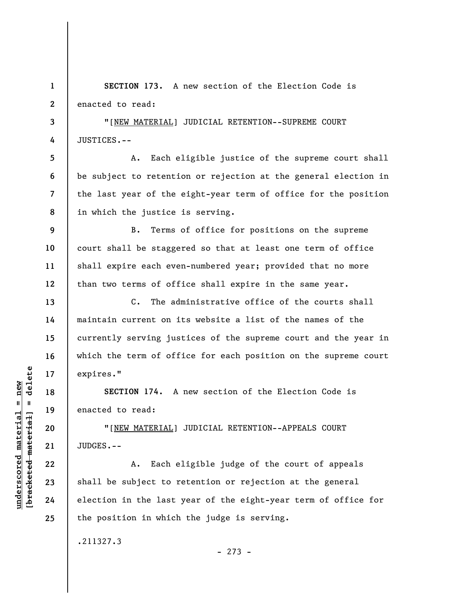**1 2 SECTION 173.** A new section of the Election Code is enacted to read:

**3 4**  "[NEW MATERIAL] JUDICIAL RETENTION--SUPREME COURT JUSTICES.--

A. Each eligible justice of the supreme court shall be subject to retention or rejection at the general election in the last year of the eight-year term of office for the position in which the justice is serving.

**9 10 11 12**  B. Terms of office for positions on the supreme court shall be staggered so that at least one term of office shall expire each even-numbered year; provided that no more than two terms of office shall expire in the same year.

C. The administrative office of the courts shall maintain current on its website a list of the names of the currently serving justices of the supreme court and the year in which the term of office for each position on the supreme court expires."

**SECTION 174.** A new section of the Election Code is enacted to read:

"[NEW MATERIAL] JUDICIAL RETENTION--APPEALS COURT JUDGES.--

A. Each eligible judge of the court of appeals shall be subject to retention or rejection at the general election in the last year of the eight-year term of office for the position in which the judge is serving.

.211327.3

- 273 -

 $\frac{1}{2}$  intereted material = delete **[bracketed material] = delete**  $underscored material = new$ **underscored material = new**

**5** 

**6** 

**7** 

**8** 

**13** 

**14** 

**15** 

**16** 

**17** 

**18** 

**19** 

**20** 

**21** 

**22** 

**23** 

**24**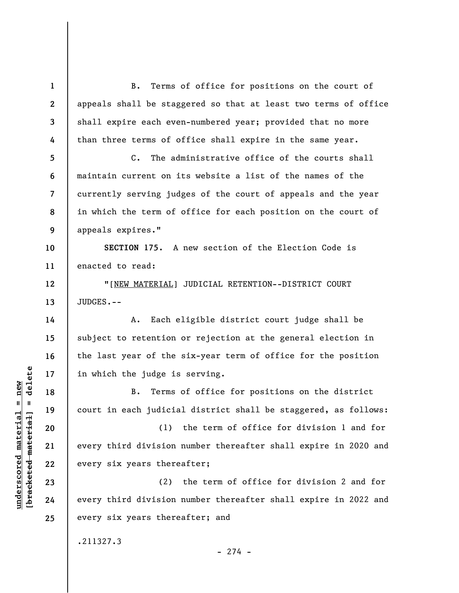**1 2 3 4 5 6 7 8 9 10 11 12 13 14 15 16 17 18 19 20 21 22 23 24 25**  B. Terms of office for positions on the court of appeals shall be staggered so that at least two terms of office shall expire each even-numbered year; provided that no more than three terms of office shall expire in the same year. C. The administrative office of the courts shall maintain current on its website a list of the names of the currently serving judges of the court of appeals and the year in which the term of office for each position on the court of appeals expires." **SECTION 175.** A new section of the Election Code is enacted to read: "[NEW MATERIAL] JUDICIAL RETENTION--DISTRICT COURT JUDGES.-- A. Each eligible district court judge shall be subject to retention or rejection at the general election in the last year of the six-year term of office for the position in which the judge is serving. B. Terms of office for positions on the district court in each judicial district shall be staggered, as follows: (1) the term of office for division 1 and for every third division number thereafter shall expire in 2020 and every six years thereafter; (2) the term of office for division 2 and for every third division number thereafter shall expire in 2022 and every six years thereafter; and .211327.3

 $-274 -$ 

 $\frac{1}{2}$  of  $\frac{1}{2}$  and  $\frac{1}{2}$  and  $\frac{1}{2}$  and  $\frac{1}{2}$  and  $\frac{1}{2}$  and  $\frac{1}{2}$  and  $\frac{1}{2}$  and  $\frac{1}{2}$  and  $\frac{1}{2}$  and  $\frac{1}{2}$  and  $\frac{1}{2}$  and  $\frac{1}{2}$  and  $\frac{1}{2}$  and  $\frac{1}{2}$  and  $\frac{1}{2}$  an **[bracketed material] = delete**  $underscored material = new$ **underscored material = new**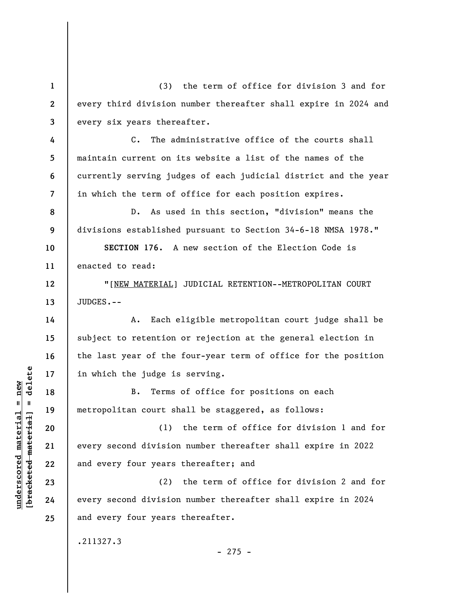**1 2 3**  (3) the term of office for division 3 and for every third division number thereafter shall expire in 2024 and every six years thereafter.

C. The administrative office of the courts shall maintain current on its website a list of the names of the currently serving judges of each judicial district and the year in which the term of office for each position expires.

D. As used in this section, "division" means the divisions established pursuant to Section 34-6-18 NMSA 1978."

**10 11 SECTION 176.** A new section of the Election Code is enacted to read:

"[NEW MATERIAL] JUDICIAL RETENTION--METROPOLITAN COURT JUDGES.--

A. Each eligible metropolitan court judge shall be subject to retention or rejection at the general election in the last year of the four-year term of office for the position in which the judge is serving.

B. Terms of office for positions on each metropolitan court shall be staggered, as follows:

(1) the term of office for division 1 and for every second division number thereafter shall expire in 2022 and every four years thereafter; and

(2) the term of office for division 2 and for every second division number thereafter shall expire in 2024 and every four years thereafter.

.211327.3

 $\frac{1}{2}$  of  $\frac{1}{2}$  and  $\frac{1}{2}$  and  $\frac{1}{2}$  and  $\frac{1}{2}$  and  $\frac{1}{2}$  and  $\frac{1}{2}$  and  $\frac{1}{2}$  and  $\frac{1}{2}$  and  $\frac{1}{2}$  and  $\frac{1}{2}$  and  $\frac{1}{2}$  and  $\frac{1}{2}$  and  $\frac{1}{2}$  and  $\frac{1}{2}$  and  $\frac{1}{2}$  an **[bracketed material] = delete 20 21 22 23 24** 

**4** 

**5** 

**6** 

**7** 

**8** 

**9** 

**12** 

**13** 

**14** 

**15** 

**16** 

**17** 

**18** 

**19** 

**25** 

**underscored material = new**

 $underscored material = new$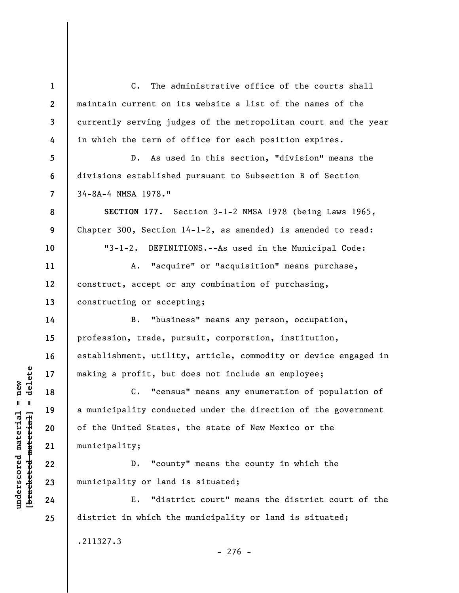**1 2 3 4 5 6 7 8 9 10 11 12 13 14 15 16 17 18 19 20 21 22 23 24 25**  C. The administrative office of the courts shall maintain current on its website a list of the names of the currently serving judges of the metropolitan court and the year in which the term of office for each position expires. D. As used in this section, "division" means the divisions established pursuant to Subsection B of Section 34-8A-4 NMSA 1978." **SECTION 177.** Section 3-1-2 NMSA 1978 (being Laws 1965, Chapter 300, Section 14-1-2, as amended) is amended to read: "3-1-2. DEFINITIONS.--As used in the Municipal Code: A. "acquire" or "acquisition" means purchase, construct, accept or any combination of purchasing, constructing or accepting; B. "business" means any person, occupation, profession, trade, pursuit, corporation, institution, establishment, utility, article, commodity or device engaged in making a profit, but does not include an employee; C. "census" means any enumeration of population of a municipality conducted under the direction of the government of the United States, the state of New Mexico or the municipality; D. "county" means the county in which the municipality or land is situated; E. "district court" means the district court of the district in which the municipality or land is situated;

 $\frac{1}{2}$  intereted material = delete **[bracketed material] = delete**  $underscored material = new$ **underscored material = new**

.211327.3

 $-276 -$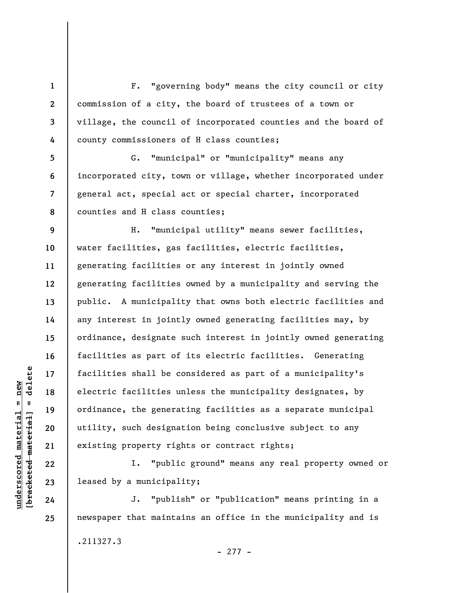**1 2 3 4**  F. "governing body" means the city council or city commission of a city, the board of trustees of a town or village, the council of incorporated counties and the board of county commissioners of H class counties;

**8**  G. "municipal" or "municipality" means any incorporated city, town or village, whether incorporated under general act, special act or special charter, incorporated counties and H class counties;

**9 10 11 12 13 14 15 16 17 18 19 20 21**  H. "municipal utility" means sewer facilities, water facilities, gas facilities, electric facilities, generating facilities or any interest in jointly owned generating facilities owned by a municipality and serving the public. A municipality that owns both electric facilities and any interest in jointly owned generating facilities may, by ordinance, designate such interest in jointly owned generating facilities as part of its electric facilities. Generating facilities shall be considered as part of a municipality's electric facilities unless the municipality designates, by ordinance, the generating facilities as a separate municipal utility, such designation being conclusive subject to any existing property rights or contract rights;

I. "public ground" means any real property owned or leased by a municipality;

J. "publish" or "publication" means printing in a newspaper that maintains an office in the municipality and is .211327.3 - 277 -

 $\frac{1}{2}$  intereted material = delete **[bracketed material] = delete**  $underscored material = new$ **underscored material = new**

**22** 

**23** 

**24** 

**25** 

**5** 

**6**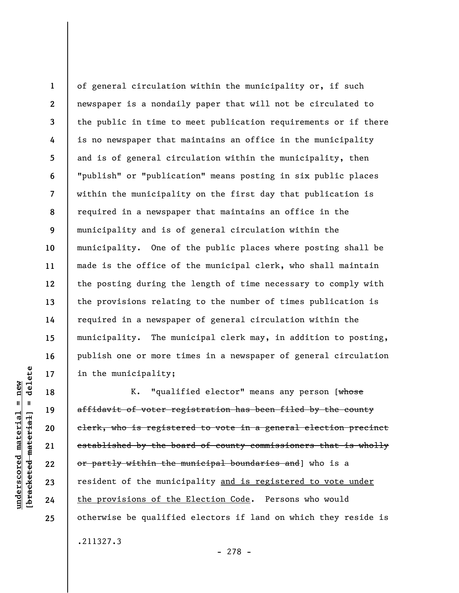**3 8 12**  of general circulation within the municipality or, if such newspaper is a nondaily paper that will not be circulated to the public in time to meet publication requirements or if there is no newspaper that maintains an office in the municipality and is of general circulation within the municipality, then "publish" or "publication" means posting in six public places within the municipality on the first day that publication is required in a newspaper that maintains an office in the municipality and is of general circulation within the municipality. One of the public places where posting shall be made is the office of the municipal clerk, who shall maintain the posting during the length of time necessary to comply with the provisions relating to the number of times publication is required in a newspaper of general circulation within the municipality. The municipal clerk may, in addition to posting, publish one or more times in a newspaper of general circulation in the municipality;

K. "qualified elector" means any person [whose affidavit of voter registration has been filed by the county clerk, who is registered to vote in a general election precinct established by the board of county commissioners that is wholly or partly within the municipal boundaries and] who is a resident of the municipality and is registered to vote under the provisions of the Election Code. Persons who would otherwise be qualified electors if land on which they reside is .211327.3

- 278 -

delete **[bracketed material] = delete**  $anderscored material = new$ **underscored material = new**  $\mathbf{u}$ bracketed material

**1** 

**2** 

**4** 

**5** 

**6** 

**7** 

**9** 

**10** 

**11** 

**13** 

**14** 

**15** 

**16** 

**17** 

**18** 

**19** 

**20** 

**21** 

**22** 

**23** 

**24**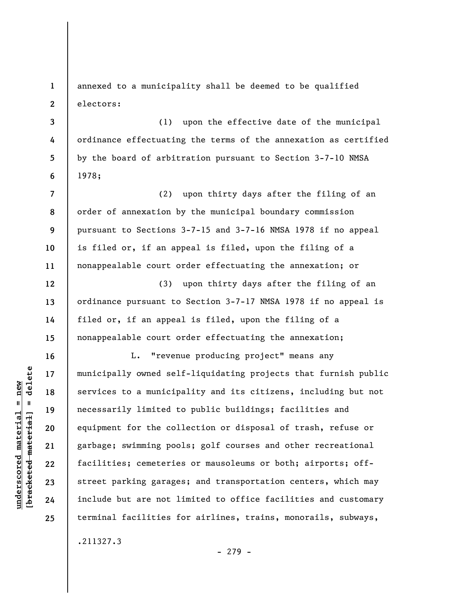**2 3 4 5 6 7**  electors: (1) upon the effective date of the municipal ordinance effectuating the terms of the annexation as certified by the board of arbitration pursuant to Section 3-7-10 NMSA 1978; (2) upon thirty days after the filing of an

annexed to a municipality shall be deemed to be qualified

order of annexation by the municipal boundary commission pursuant to Sections 3-7-15 and 3-7-16 NMSA 1978 if no appeal is filed or, if an appeal is filed, upon the filing of a nonappealable court order effectuating the annexation; or

**12 13 14 15**  (3) upon thirty days after the filing of an ordinance pursuant to Section 3-7-17 NMSA 1978 if no appeal is filed or, if an appeal is filed, upon the filing of a nonappealable court order effectuating the annexation;

L. "revenue producing project" means any municipally owned self-liquidating projects that furnish public services to a municipality and its citizens, including but not necessarily limited to public buildings; facilities and equipment for the collection or disposal of trash, refuse or garbage; swimming pools; golf courses and other recreational facilities; cemeteries or mausoleums or both; airports; offstreet parking garages; and transportation centers, which may include but are not limited to office facilities and customary terminal facilities for airlines, trains, monorails, subways,

.211327.3

 $\frac{1}{2}$  of  $\frac{1}{2}$  and  $\frac{1}{2}$  and  $\frac{1}{2}$  and  $\frac{1}{2}$  and  $\frac{1}{2}$  and  $\frac{1}{2}$  and  $\frac{1}{2}$  and  $\frac{1}{2}$  and  $\frac{1}{2}$  and  $\frac{1}{2}$  and  $\frac{1}{2}$  and  $\frac{1}{2}$  and  $\frac{1}{2}$  and  $\frac{1}{2}$  and  $\frac{1}{2}$  an **[bracketed material] = delete**  $underscored material = new$ **underscored material = new**

**1** 

**8** 

**9** 

**10** 

**11** 

**16** 

**17** 

**18** 

**19** 

**20** 

**21** 

**22** 

**23** 

**24**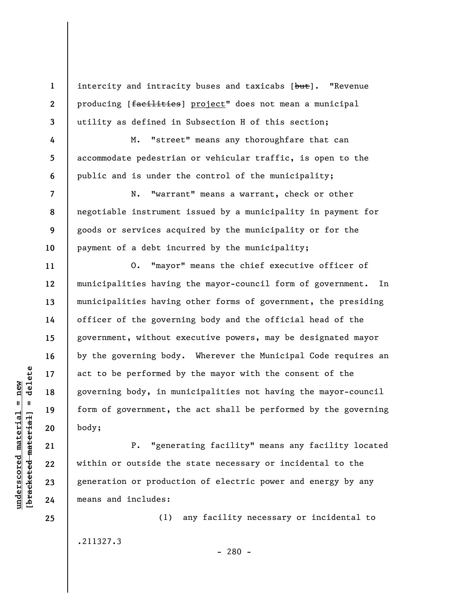intercity and intracity buses and taxicabs [but]. "Revenue producing [facilities] project" does not mean a municipal utility as defined in Subsection H of this section;

M. "street" means any thoroughfare that can accommodate pedestrian or vehicular traffic, is open to the public and is under the control of the municipality;

N. "warrant" means a warrant, check or other negotiable instrument issued by a municipality in payment for goods or services acquired by the municipality or for the payment of a debt incurred by the municipality;

O. "mayor" means the chief executive officer of municipalities having the mayor-council form of government. In municipalities having other forms of government, the presiding officer of the governing body and the official head of the government, without executive powers, may be designated mayor by the governing body. Wherever the Municipal Code requires an act to be performed by the mayor with the consent of the governing body, in municipalities not having the mayor-council form of government, the act shall be performed by the governing body;

P. "generating facility" means any facility located within or outside the state necessary or incidental to the generation or production of electric power and energy by any means and includes:

(1) any facility necessary or incidental to .211327.3

 $\frac{1}{2}$  intereted material = delete **[bracketed material] = delete**  $underscored material = new$ **underscored material = new**

**1** 

**2** 

**3** 

**4** 

**5** 

**6** 

**7** 

**8** 

**9** 

**10** 

**11** 

**12** 

**13** 

**14** 

**15** 

**16** 

**17** 

**18** 

**19** 

**20** 

**21** 

**22** 

**23** 

**24**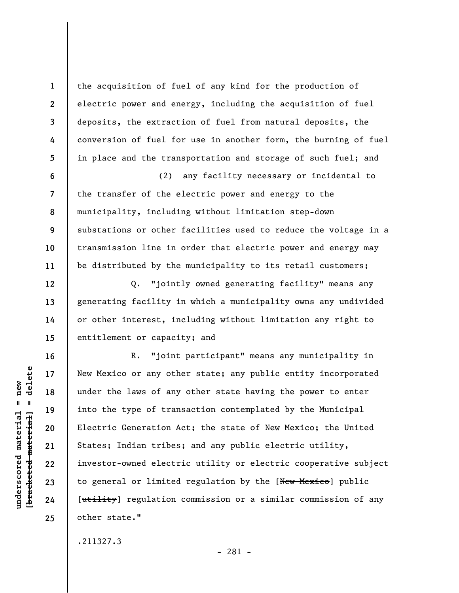the acquisition of fuel of any kind for the production of electric power and energy, including the acquisition of fuel deposits, the extraction of fuel from natural deposits, the conversion of fuel for use in another form, the burning of fuel in place and the transportation and storage of such fuel; and

(2) any facility necessary or incidental to the transfer of the electric power and energy to the municipality, including without limitation step-down substations or other facilities used to reduce the voltage in a transmission line in order that electric power and energy may be distributed by the municipality to its retail customers;

Q. "jointly owned generating facility" means any generating facility in which a municipality owns any undivided or other interest, including without limitation any right to entitlement or capacity; and

R. "joint participant" means any municipality in New Mexico or any other state; any public entity incorporated under the laws of any other state having the power to enter into the type of transaction contemplated by the Municipal Electric Generation Act; the state of New Mexico; the United States; Indian tribes; and any public electric utility, investor-owned electric utility or electric cooperative subject to general or limited regulation by the [New Mexico] public [utility] regulation commission or a similar commission of any other state."

.211327.3

 $\frac{1}{2}$  of  $\frac{1}{2}$  and  $\frac{1}{2}$  and  $\frac{1}{2}$  and  $\frac{1}{2}$  and  $\frac{1}{2}$  and  $\frac{1}{2}$  and  $\frac{1}{2}$  and  $\frac{1}{2}$  and  $\frac{1}{2}$  and  $\frac{1}{2}$  and  $\frac{1}{2}$  and  $\frac{1}{2}$  and  $\frac{1}{2}$  and  $\frac{1}{2}$  and  $\frac{1}{2}$  an **[bracketed material] = delete**  $anderscored material = new$ **underscored material = new**

**1** 

**2** 

**3** 

**4** 

**5** 

**6** 

**7** 

**8** 

**9** 

**10** 

**11** 

**12** 

**13** 

**14** 

**15** 

**16** 

**17** 

**18** 

**19** 

**20** 

**21** 

**22** 

**23** 

**24**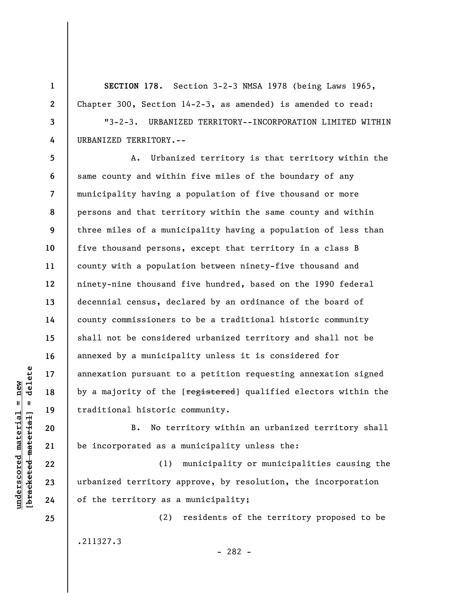**SECTION 178.** Section 3-2-3 NMSA 1978 (being Laws 1965, Chapter 300, Section 14-2-3, as amended) is amended to read:

"3-2-3. URBANIZED TERRITORY--INCORPORATION LIMITED WITHIN URBANIZED TERRITORY.--

**12**  A. Urbanized territory is that territory within the same county and within five miles of the boundary of any municipality having a population of five thousand or more persons and that territory within the same county and within three miles of a municipality having a population of less than five thousand persons, except that territory in a class B county with a population between ninety-five thousand and ninety-nine thousand five hundred, based on the 1990 federal decennial census, declared by an ordinance of the board of county commissioners to be a traditional historic community shall not be considered urbanized territory and shall not be annexed by a municipality unless it is considered for annexation pursuant to a petition requesting annexation signed by a majority of the [registered] qualified electors within the traditional historic community.

B. No territory within an urbanized territory shall be incorporated as a municipality unless the:

(1) municipality or municipalities causing the urbanized territory approve, by resolution, the incorporation of the territory as a municipality;

.211327.3

(2) residents of the territory proposed to be

- 282 -

 $\frac{1}{2}$  of  $\frac{1}{2}$  and  $\frac{1}{2}$  and  $\frac{1}{2}$  and  $\frac{1}{2}$  and  $\frac{1}{2}$  and  $\frac{1}{2}$  and  $\frac{1}{2}$  and  $\frac{1}{2}$  and  $\frac{1}{2}$  and  $\frac{1}{2}$  and  $\frac{1}{2}$  and  $\frac{1}{2}$  and  $\frac{1}{2}$  and  $\frac{1}{2}$  and  $\frac{1}{2}$  an **[bracketed material] = delete**  $underscored material = new$ **underscored material = new**

**1** 

**2** 

**3** 

**4** 

**5** 

**6** 

**7** 

**8** 

**9** 

**10** 

**11** 

**13** 

**14** 

**15** 

**16** 

**17** 

**18** 

**19** 

**20** 

**21** 

**22** 

**23** 

**24**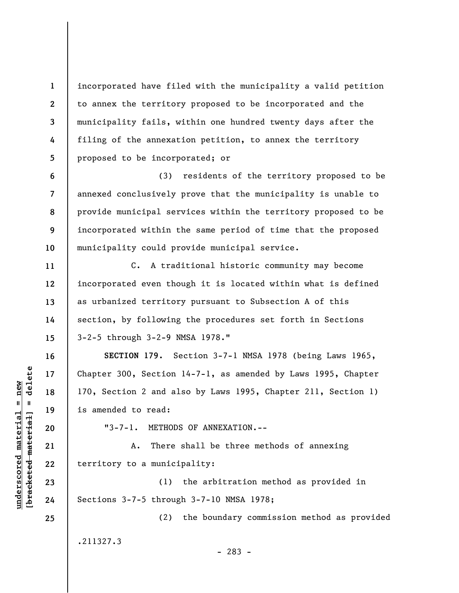incorporated have filed with the municipality a valid petition to annex the territory proposed to be incorporated and the municipality fails, within one hundred twenty days after the filing of the annexation petition, to annex the territory proposed to be incorporated; or

**6 7 8 9 10**  (3) residents of the territory proposed to be annexed conclusively prove that the municipality is unable to provide municipal services within the territory proposed to be incorporated within the same period of time that the proposed municipality could provide municipal service.

C. A traditional historic community may become incorporated even though it is located within what is defined as urbanized territory pursuant to Subsection A of this section, by following the procedures set forth in Sections 3-2-5 through 3-2-9 NMSA 1978."

**SECTION 179.** Section 3-7-1 NMSA 1978 (being Laws 1965, Chapter 300, Section 14-7-1, as amended by Laws 1995, Chapter 170, Section 2 and also by Laws 1995, Chapter 211, Section 1) is amended to read:

"3-7-1. METHODS OF ANNEXATION.--

A. There shall be three methods of annexing territory to a municipality:

(1) the arbitration method as provided in Sections 3-7-5 through 3-7-10 NMSA 1978;

(2) the boundary commission method as provided

.211327.3

- 283 -

 $\frac{1}{2}$  of  $\frac{1}{2}$  and  $\frac{1}{2}$  and  $\frac{1}{2}$  and  $\frac{1}{2}$  and  $\frac{1}{2}$  and  $\frac{1}{2}$  and  $\frac{1}{2}$  and  $\frac{1}{2}$  and  $\frac{1}{2}$  and  $\frac{1}{2}$  and  $\frac{1}{2}$  and  $\frac{1}{2}$  and  $\frac{1}{2}$  and  $\frac{1}{2}$  and  $\frac{1}{2}$  an **[bracketed material] = delete**  $underscored material = new$ **underscored material = new**

**1** 

**2** 

**3** 

**4** 

**5** 

**11** 

**12** 

**13** 

**14** 

**15** 

**16** 

**17** 

**18** 

**19** 

**20** 

**21** 

**22** 

**23** 

**24**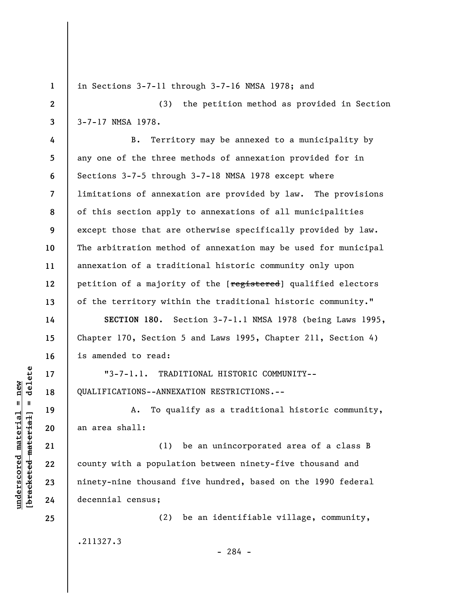**1**  in Sections 3-7-11 through 3-7-16 NMSA 1978; and **2**  (3) the petition method as provided in Section 3-7-17 NMSA 1978. **3 4**  B. Territory may be annexed to a municipality by **5**  any one of the three methods of annexation provided for in **6**  Sections 3-7-5 through 3-7-18 NMSA 1978 except where limitations of annexation are provided by law. The provisions **7**  of this section apply to annexations of all municipalities **8 9**  except those that are otherwise specifically provided by law. **10**  The arbitration method of annexation may be used for municipal annexation of a traditional historic community only upon **11**  petition of a majority of the [registered] qualified electors **12**  of the territory within the traditional historic community." **13 SECTION 180.** Section 3-7-1.1 NMSA 1978 (being Laws 1995, **14**  Chapter 170, Section 5 and Laws 1995, Chapter 211, Section 4) **15**  is amended to read: **16**   $\frac{1}{2}$  of  $\frac{1}{2}$  and  $\frac{1}{2}$  and  $\frac{1}{2}$  and  $\frac{1}{2}$  and  $\frac{1}{2}$  and  $\frac{1}{2}$  and  $\frac{1}{2}$  and  $\frac{1}{2}$  and  $\frac{1}{2}$  and  $\frac{1}{2}$  and  $\frac{1}{2}$  and  $\frac{1}{2}$  and  $\frac{1}{2}$  and  $\frac{1}{2}$  and  $\frac{1}{2}$  an **[bracketed material] = delete** "3-7-1.1. TRADITIONAL HISTORIC COMMUNITY-- **17 18**  QUALIFICATIONS--ANNEXATION RESTRICTIONS.-- A. To qualify as a traditional historic community, **19**  an area shall: **20**  (1) be an unincorporated area of a class B **21**  county with a population between ninety-five thousand and **22**  ninety-nine thousand five hundred, based on the 1990 federal **23**  decennial census; **24**  (2) be an identifiable village, community, **25**  .211327.3 - 284 -

**underscored material = new**

 $underscored material = new$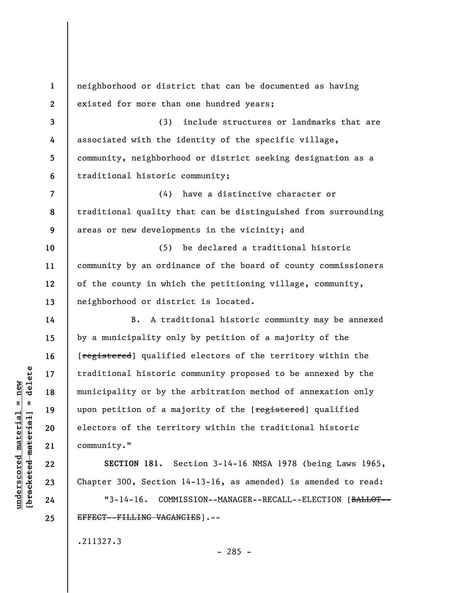**1 2 3 4 5 6 7 8 9 10 11 12 13 14 15 16 17 18 19 20 21 22 23 24 25**  neighborhood or district that can be documented as having existed for more than one hundred years; (3) include structures or landmarks that are associated with the identity of the specific village, community, neighborhood or district seeking designation as a traditional historic community; (4) have a distinctive character or traditional quality that can be distinguished from surrounding areas or new developments in the vicinity; and (5) be declared a traditional historic community by an ordinance of the board of county commissioners of the county in which the petitioning village, community, neighborhood or district is located. B. A traditional historic community may be annexed by a municipality only by petition of a majority of the [registered] qualified electors of the territory within the traditional historic community proposed to be annexed by the municipality or by the arbitration method of annexation only upon petition of a majority of the [registered] qualified electors of the territory within the traditional historic community." **SECTION 181.** Section 3-14-16 NMSA 1978 (being Laws 1965, Chapter 300, Section 14-13-16, as amended) is amended to read: "3-14-16. COMMISSION--MANAGER--RECALL--ELECTION [BALLOT-- EFFECT--FILLING VACANCIES].--

.211327.3

 $\frac{1}{2}$  intereted material = delete **[bracketed material] = delete**  $underscored material = new$ **underscored material = new**

 $- 285 -$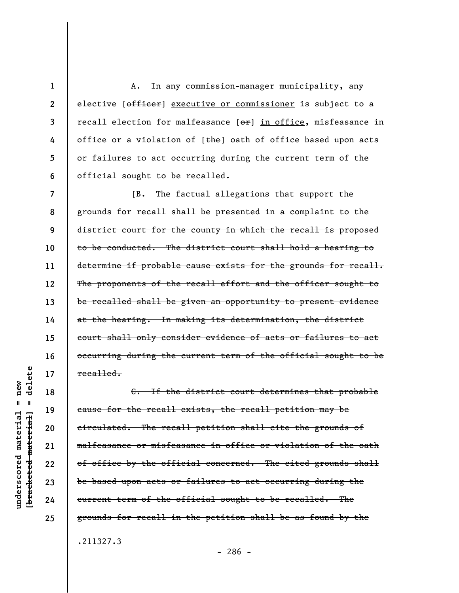A. In any commission-manager municipality, any elective [officer] executive or commissioner is subject to a recall election for malfeasance  $[ $\sigma$ **r**]$  in office, misfeasance in office or a violation of [the] oath of office based upon acts or failures to act occurring during the current term of the official sought to be recalled.

**7 8 9 10 11 12 13 14 15 16 17**  [B. The factual allegations that support the grounds for recall shall be presented in a complaint to the district court for the county in which the recall is proposed to be conducted. The district court shall hold a hearing to determine if probable cause exists for the grounds for recall. The proponents of the recall effort and the officer sought to be recalled shall be given an opportunity to present evidence at the hearing. In making its determination, the district court shall only consider evidence of acts or failures to act occurring during the current term of the official sought to be recalled.

C. If the district court determines that probable cause for the recall exists, the recall petition may be circulated. The recall petition shall cite the grounds of malfeasance or misfeasance in office or violation of the oath of office by the official concerned. The cited grounds shall be based upon acts or failures to act occurring during the current term of the official sought to be recalled. The grounds for recall in the petition shall be as found by the .211327.3

delete **[bracketed material] = delete**  $anderscored material = new$ **underscored material = new**  $\mathbf{I}$ bracketed material

**18** 

**19** 

**20** 

**21** 

**22** 

**23** 

**24** 

**25** 

**1** 

**2** 

**3** 

**4** 

**5** 

**6** 

- 286 -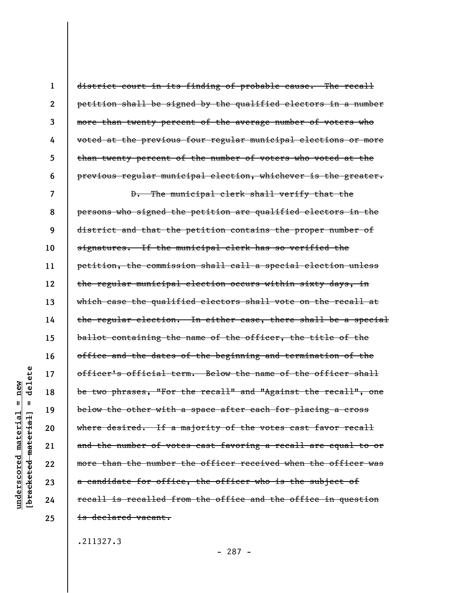| 1            | district court in its finding of probable cause. The recall    |
|--------------|----------------------------------------------------------------|
| $\mathbf{2}$ | petition shall be signed by the qualified electors in a number |
| 3            | more than twenty percent of the average number of voters who   |
| 4            | voted at the previous four regular municipal elections or more |
| 5            | than twenty percent of the number of voters who voted at the   |
| 6            | previous regular municipal election, whichever is the greater. |
| 7            | D. The municipal clerk shall verify that the                   |
| 8            | persons who signed the petition are qualified electors in the  |
| 9            | district and that the petition contains the proper number of   |
| 10           | signatures. If the municipal clerk has so verified the         |
| 11           | petition, the commission shall call a special election unless  |
| 12           | the regular municipal election occurs within sixty days, in    |
| 13           | which case the qualified electors shall vote on the recall at  |
| 14           | the regular election. In either case, there shall be a special |
| 15           | ballot containing the name of the officer, the title of the    |
| 16           | office and the dates of the beginning and termination of the   |
| 17           | officer's official term. Below the name of the officer shall   |
| 18           | be two phrases, "For the recall" and "Against the recall", one |
| 19           | below the other with a space after each for placing a cross    |
| 20           | where desired. If a majority of the votes cast favor recall    |
| 21           | and the number of votes cast favoring a recall are equal to or |
| 22           | more than the number the officer received when the officer was |
| 23           | a candidate for office, the officer who is the subject of      |
| 24           | recall is recalled from the office and the office in question  |
| 25           | <del>is declared vacant.</del>                                 |
|              |                                                                |

.211327.3

**underscored material = new [bracketed material] = delete**

 $[**bracket**et~~eted matcherial~~] = **delete**$  $underscored material = new$ 

- 287 -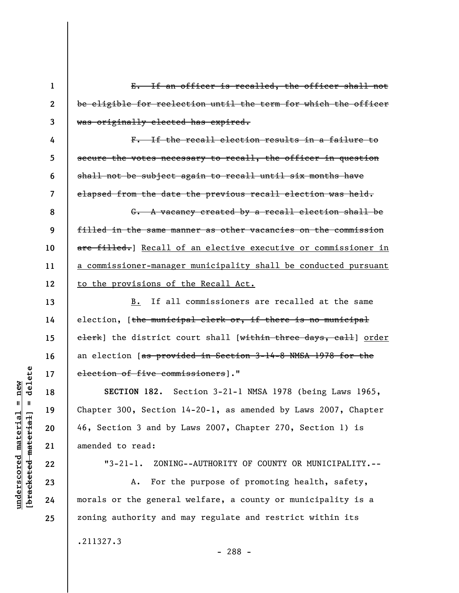**1 2 3 4 5 6 7 8 9 10 11 12 13 14 15 16 17 18 19 20 21 22 23**  E. If an officer is recalled, the officer shall not be eligible for reelection until the term for which the officer was originally elected has expired. F. If the recall election results in a failure to secure the votes necessary to recall, the officer in question shall not be subject again to recall until six months have elapsed from the date the previous recall election was held. G. A vacancy created by a recall election shall be filled in the same manner as other vacancies on the commission are filled. Recall of an elective executive or commissioner in a commissioner-manager municipality shall be conducted pursuant to the provisions of the Recall Act. B. If all commissioners are recalled at the same election, [the municipal clerk or, if there is no municipal elerk] the district court shall [within three days, call] order an election [as provided in Section 3-14-8 NMSA 1978 for the election of five commissioners]." **SECTION 182.** Section 3-21-1 NMSA 1978 (being Laws 1965, Chapter 300, Section 14-20-1, as amended by Laws 2007, Chapter 46, Section 3 and by Laws 2007, Chapter 270, Section 1) is amended to read: "3-21-1. ZONING--AUTHORITY OF COUNTY OR MUNICIPALITY.-- A. For the purpose of promoting health, safety,

morals or the general welfare, a county or municipality is a zoning authority and may regulate and restrict within its

.211327.3

delete **[bracketed material] = delete**  $anderscored material = new$ **underscored material = new**  $\mathbf{I}$ bracketed material

**24**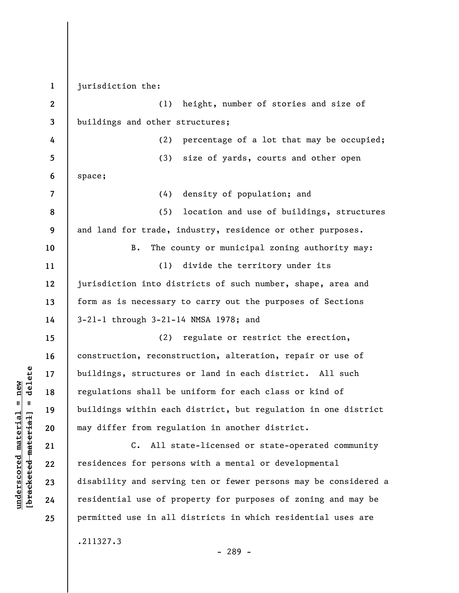**1 2 3 4 5 6 7 8 9 10 11 12 13 14 15 16 17 18 19 20 21 22 23 24 25**  jurisdiction the: (1) height, number of stories and size of buildings and other structures; (2) percentage of a lot that may be occupied; (3) size of yards, courts and other open space; (4) density of population; and (5) location and use of buildings, structures and land for trade, industry, residence or other purposes. B. The county or municipal zoning authority may: (1) divide the territory under its jurisdiction into districts of such number, shape, area and form as is necessary to carry out the purposes of Sections 3-21-1 through 3-21-14 NMSA 1978; and (2) regulate or restrict the erection, construction, reconstruction, alteration, repair or use of buildings, structures or land in each district. All such regulations shall be uniform for each class or kind of buildings within each district, but regulation in one district may differ from regulation in another district. C. All state-licensed or state-operated community residences for persons with a mental or developmental disability and serving ten or fewer persons may be considered a residential use of property for purposes of zoning and may be permitted use in all districts in which residential uses are .211327.3 - 289 -

 $\frac{1}{2}$  bracketed material = delete **[bracketed material] = delete**  $underscored material = new$ **underscored material = new**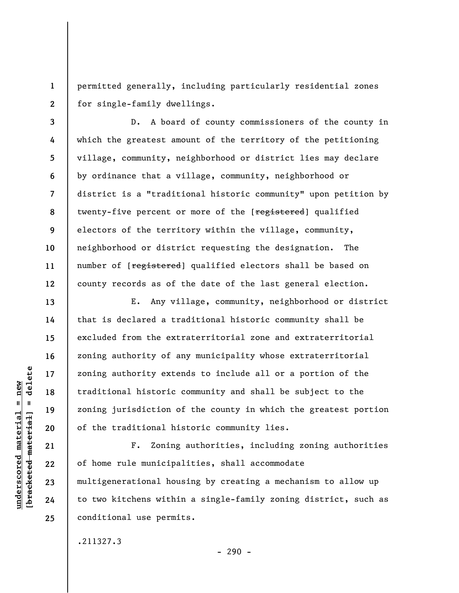**1 2**  permitted generally, including particularly residential zones for single-family dwellings.

**3 4 5 6 7 8 9 10 11 12**  D. A board of county commissioners of the county in which the greatest amount of the territory of the petitioning village, community, neighborhood or district lies may declare by ordinance that a village, community, neighborhood or district is a "traditional historic community" upon petition by twenty-five percent or more of the [registered] qualified electors of the territory within the village, community, neighborhood or district requesting the designation. The number of [registered] qualified electors shall be based on county records as of the date of the last general election.

E. Any village, community, neighborhood or district that is declared a traditional historic community shall be excluded from the extraterritorial zone and extraterritorial zoning authority of any municipality whose extraterritorial zoning authority extends to include all or a portion of the traditional historic community and shall be subject to the zoning jurisdiction of the county in which the greatest portion of the traditional historic community lies.

F. Zoning authorities, including zoning authorities of home rule municipalities, shall accommodate multigenerational housing by creating a mechanism to allow up to two kitchens within a single-family zoning district, such as conditional use permits.

.211327.3

 $\frac{1}{2}$  intereted material = delete **[bracketed material] = delete**  $anderscored material = new$ **underscored material = new**

**13** 

**14** 

**15** 

**16** 

**17** 

**18** 

**19** 

**20** 

**21** 

**22** 

**23** 

**24**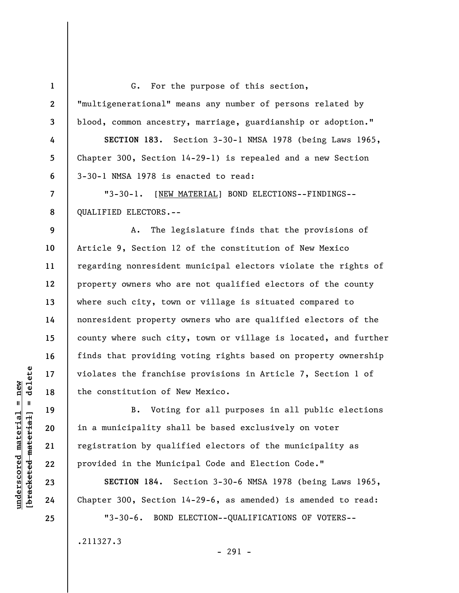**1 2 3 4 5 6 7 8 9 10 11 12 13 14 15 16 17 18 19 20 21 22 23 24 25**  G. For the purpose of this section, "multigenerational" means any number of persons related by blood, common ancestry, marriage, guardianship or adoption." **SECTION 183.** Section 3-30-1 NMSA 1978 (being Laws 1965, Chapter 300, Section 14-29-1) is repealed and a new Section 3-30-1 NMSA 1978 is enacted to read: "3-30-1. [NEW MATERIAL] BOND ELECTIONS--FINDINGS-- QUALIFIED ELECTORS.-- A. The legislature finds that the provisions of Article 9, Section 12 of the constitution of New Mexico regarding nonresident municipal electors violate the rights of property owners who are not qualified electors of the county where such city, town or village is situated compared to nonresident property owners who are qualified electors of the county where such city, town or village is located, and further finds that providing voting rights based on property ownership violates the franchise provisions in Article 7, Section 1 of the constitution of New Mexico. B. Voting for all purposes in all public elections in a municipality shall be based exclusively on voter registration by qualified electors of the municipality as provided in the Municipal Code and Election Code." **SECTION 184.** Section 3-30-6 NMSA 1978 (being Laws 1965, Chapter 300, Section 14-29-6, as amended) is amended to read: "3-30-6. BOND ELECTION--QUALIFICATIONS OF VOTERS-- .211327.3

 $=$  delete **[bracketed material] = delete**  $underscored material = new$ **underscored material = new** bracketed material

- 291 -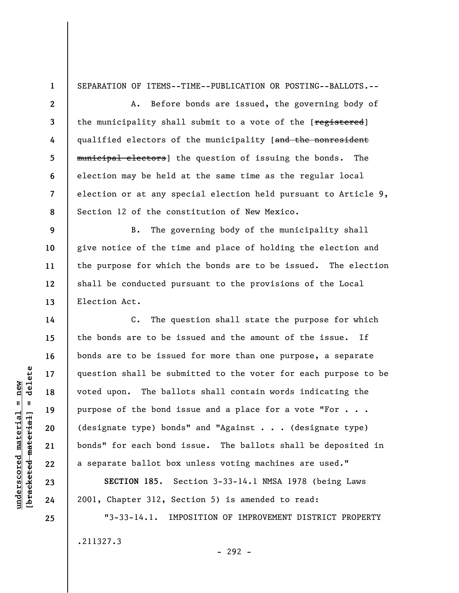SEPARATION OF ITEMS--TIME--PUBLICATION OR POSTING--BALLOTS.--

**3 8**  A. Before bonds are issued, the governing body of the municipality shall submit to a vote of the [registered] qualified electors of the municipality [and the nonresident municipal electors] the question of issuing the bonds. The election may be held at the same time as the regular local election or at any special election held pursuant to Article 9, Section 12 of the constitution of New Mexico.

B. The governing body of the municipality shall give notice of the time and place of holding the election and the purpose for which the bonds are to be issued. The election shall be conducted pursuant to the provisions of the Local Election Act.

C. The question shall state the purpose for which the bonds are to be issued and the amount of the issue. If bonds are to be issued for more than one purpose, a separate question shall be submitted to the voter for each purpose to be voted upon. The ballots shall contain words indicating the purpose of the bond issue and a place for a vote "For . . . (designate type) bonds" and "Against . . . (designate type) bonds" for each bond issue. The ballots shall be deposited in a separate ballot box unless voting machines are used."

**SECTION 185.** Section 3-33-14.1 NMSA 1978 (being Laws 2001, Chapter 312, Section 5) is amended to read:

"3-33-14.1. IMPOSITION OF IMPROVEMENT DISTRICT PROPERTY .211327.3 - 292 -

## $=$  delete **[bracketed material] = delete**  $underscored material = new$ **underscored material = new** bracketed material

**1** 

**2** 

**4** 

**5** 

**6** 

**7** 

**9** 

**10** 

**11** 

**12** 

**13** 

**14** 

**15** 

**16** 

**17** 

**18** 

**19** 

**20** 

**21** 

**22** 

**23** 

**24**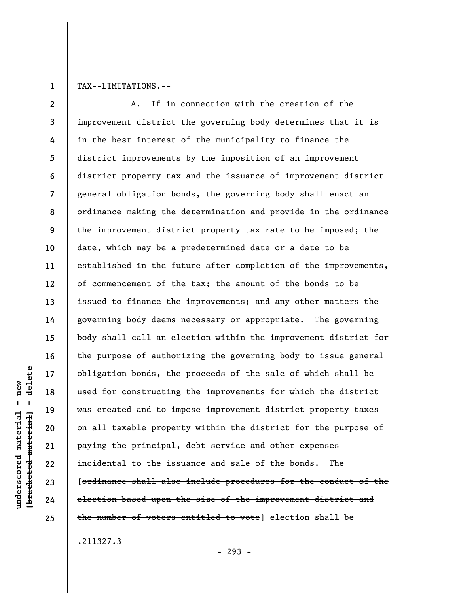**1** 

TAX--LIMITATIONS.--

**2 3 4 5 6 7 8 9 10 11 12 13 14 15 16 17 18 19 20 21 22 23 24 25**  A. If in connection with the creation of the improvement district the governing body determines that it is in the best interest of the municipality to finance the district improvements by the imposition of an improvement district property tax and the issuance of improvement district general obligation bonds, the governing body shall enact an ordinance making the determination and provide in the ordinance the improvement district property tax rate to be imposed; the date, which may be a predetermined date or a date to be established in the future after completion of the improvements, of commencement of the tax; the amount of the bonds to be issued to finance the improvements; and any other matters the governing body deems necessary or appropriate. The governing body shall call an election within the improvement district for the purpose of authorizing the governing body to issue general obligation bonds, the proceeds of the sale of which shall be used for constructing the improvements for which the district was created and to impose improvement district property taxes on all taxable property within the district for the purpose of paying the principal, debt service and other expenses incidental to the issuance and sale of the bonds. The [ordinance shall also include procedures for the conduct of the election based upon the size of the improvement district and the number of voters entitled to vote] election shall be

.211327.3

- 293 -

delete **[bracketed material] = delete**  $underscored material = new$ **underscored material = new**  $\mathbf{I}$ bracketed material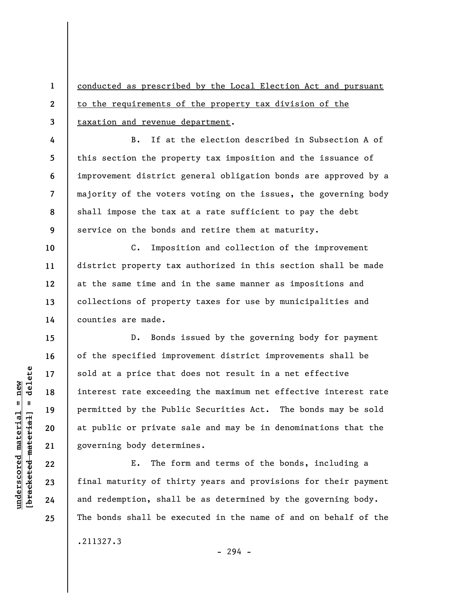**1 2 3**  conducted as prescribed by the Local Election Act and pursuant to the requirements of the property tax division of the taxation and revenue department.

**4 5 6 7 8 9**  B. If at the election described in Subsection A of this section the property tax imposition and the issuance of improvement district general obligation bonds are approved by a majority of the voters voting on the issues, the governing body shall impose the tax at a rate sufficient to pay the debt service on the bonds and retire them at maturity.

C. Imposition and collection of the improvement district property tax authorized in this section shall be made at the same time and in the same manner as impositions and collections of property taxes for use by municipalities and counties are made.

D. Bonds issued by the governing body for payment of the specified improvement district improvements shall be sold at a price that does not result in a net effective interest rate exceeding the maximum net effective interest rate permitted by the Public Securities Act. The bonds may be sold at public or private sale and may be in denominations that the governing body determines.

E. The form and terms of the bonds, including a final maturity of thirty years and provisions for their payment and redemption, shall be as determined by the governing body. The bonds shall be executed in the name of and on behalf of the

.211327.3

 $-294 -$ 

 $\frac{1}{2}$  of  $\frac{1}{2}$  and  $\frac{1}{2}$  and  $\frac{1}{2}$  and  $\frac{1}{2}$  and  $\frac{1}{2}$  and  $\frac{1}{2}$  and  $\frac{1}{2}$  and  $\frac{1}{2}$  and  $\frac{1}{2}$  and  $\frac{1}{2}$  and  $\frac{1}{2}$  and  $\frac{1}{2}$  and  $\frac{1}{2}$  and  $\frac{1}{2}$  and  $\frac{1}{2}$  an **[bracketed material] = delete**  $underscored material = new$ **underscored material = new**

**10** 

**11** 

**12** 

**13** 

**14** 

**15** 

**16** 

**17** 

**18** 

**19** 

**20** 

**21** 

**22** 

**23** 

**24**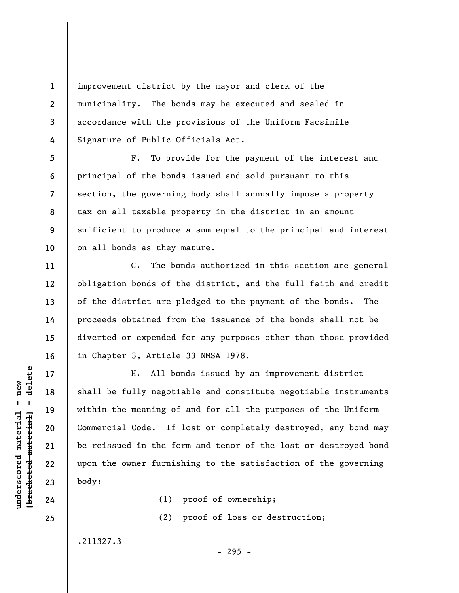improvement district by the mayor and clerk of the municipality. The bonds may be executed and sealed in accordance with the provisions of the Uniform Facsimile Signature of Public Officials Act.

**5 6 7 8 9 10**  F. To provide for the payment of the interest and principal of the bonds issued and sold pursuant to this section, the governing body shall annually impose a property tax on all taxable property in the district in an amount sufficient to produce a sum equal to the principal and interest on all bonds as they mature.

G. The bonds authorized in this section are general obligation bonds of the district, and the full faith and credit of the district are pledged to the payment of the bonds. The proceeds obtained from the issuance of the bonds shall not be diverted or expended for any purposes other than those provided in Chapter 3, Article 33 NMSA 1978.

H. All bonds issued by an improvement district shall be fully negotiable and constitute negotiable instruments within the meaning of and for all the purposes of the Uniform Commercial Code. If lost or completely destroyed, any bond may be reissued in the form and tenor of the lost or destroyed bond upon the owner furnishing to the satisfaction of the governing body:

> (1) proof of ownership; (2) proof of loss or destruction;

> > - 295 -

.211327.3

 $\frac{1}{2}$  of  $\frac{1}{2}$  and  $\frac{1}{2}$  and  $\frac{1}{2}$  and  $\frac{1}{2}$  and  $\frac{1}{2}$  and  $\frac{1}{2}$  and  $\frac{1}{2}$  and  $\frac{1}{2}$  and  $\frac{1}{2}$  and  $\frac{1}{2}$  and  $\frac{1}{2}$  and  $\frac{1}{2}$  and  $\frac{1}{2}$  and  $\frac{1}{2}$  and  $\frac{1}{2}$  an **[bracketed material] = delete**  $underscored material = new$ **underscored material = new**

**1** 

**2** 

**3** 

**4** 

**11** 

**12** 

**13** 

**14** 

**15** 

**16** 

**17** 

**18** 

**19** 

**20** 

**21** 

**22** 

**23** 

**24**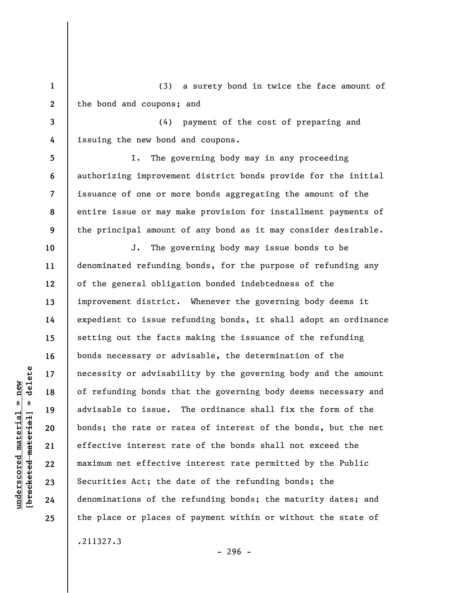**1 2**  (3) a surety bond in twice the face amount of the bond and coupons; and

**3 4**  (4) payment of the cost of preparing and issuing the new bond and coupons.

**5 6 7 8 9**  I. The governing body may in any proceeding authorizing improvement district bonds provide for the initial issuance of one or more bonds aggregating the amount of the entire issue or may make provision for installment payments of the principal amount of any bond as it may consider desirable.

**10 11 12 13 14 15 16 17 18 19 20 21 22 23 24 25**  J. The governing body may issue bonds to be denominated refunding bonds, for the purpose of refunding any of the general obligation bonded indebtedness of the improvement district. Whenever the governing body deems it expedient to issue refunding bonds, it shall adopt an ordinance setting out the facts making the issuance of the refunding bonds necessary or advisable, the determination of the necessity or advisability by the governing body and the amount of refunding bonds that the governing body deems necessary and advisable to issue. The ordinance shall fix the form of the bonds; the rate or rates of interest of the bonds, but the net effective interest rate of the bonds shall not exceed the maximum net effective interest rate permitted by the Public Securities Act; the date of the refunding bonds; the denominations of the refunding bonds; the maturity dates; and the place or places of payment within or without the state of

 $\frac{1}{2}$  of  $\frac{1}{2}$  and  $\frac{1}{2}$  and  $\frac{1}{2}$  and  $\frac{1}{2}$  and  $\frac{1}{2}$  and  $\frac{1}{2}$  and  $\frac{1}{2}$  and  $\frac{1}{2}$  and  $\frac{1}{2}$  and  $\frac{1}{2}$  and  $\frac{1}{2}$  and  $\frac{1}{2}$  and  $\frac{1}{2}$  and  $\frac{1}{2}$  and  $\frac{1}{2}$  an **[bracketed material] = delete**  $underscored material = new$ **underscored material = new**

.211327.3

- 296 -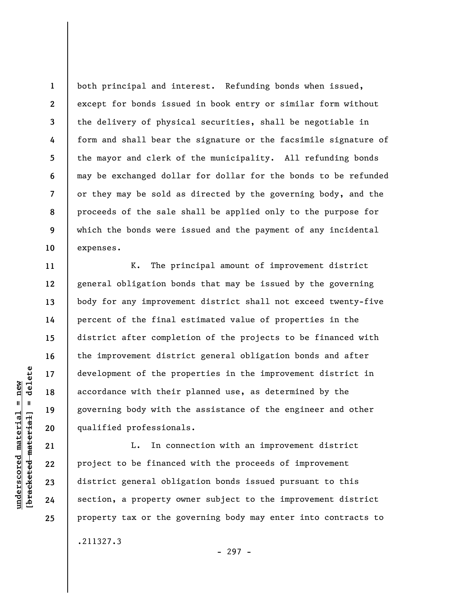both principal and interest. Refunding bonds when issued, except for bonds issued in book entry or similar form without the delivery of physical securities, shall be negotiable in form and shall bear the signature or the facsimile signature of the mayor and clerk of the municipality. All refunding bonds may be exchanged dollar for dollar for the bonds to be refunded or they may be sold as directed by the governing body, and the proceeds of the sale shall be applied only to the purpose for which the bonds were issued and the payment of any incidental expenses.

K. The principal amount of improvement district general obligation bonds that may be issued by the governing body for any improvement district shall not exceed twenty-five percent of the final estimated value of properties in the district after completion of the projects to be financed with the improvement district general obligation bonds and after development of the properties in the improvement district in accordance with their planned use, as determined by the governing body with the assistance of the engineer and other qualified professionals.

L. In connection with an improvement district project to be financed with the proceeds of improvement district general obligation bonds issued pursuant to this section, a property owner subject to the improvement district property tax or the governing body may enter into contracts to .211327.3

 $=$  delete **[bracketed material] = delete**  $underscored material = new$ **underscored material = new** bracketed material **1** 

**2** 

**3** 

**4** 

**5** 

**6** 

**7** 

**8** 

**9** 

**10** 

**11** 

**12** 

**13** 

**14** 

**15** 

**16** 

**17** 

**18** 

**19** 

**20** 

**21** 

**22** 

**23** 

**24** 

**25** 

- 297 -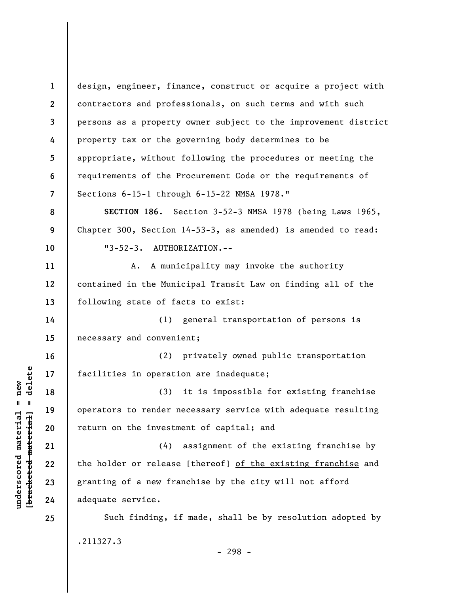**1 2 3 4 5 6 7 8 9 10 11 12 13 14 15 16 17 18 19 20 21 22 23 24 25**  design, engineer, finance, construct or acquire a project with contractors and professionals, on such terms and with such persons as a property owner subject to the improvement district property tax or the governing body determines to be appropriate, without following the procedures or meeting the requirements of the Procurement Code or the requirements of Sections 6-15-1 through 6-15-22 NMSA 1978." **SECTION 186.** Section 3-52-3 NMSA 1978 (being Laws 1965, Chapter 300, Section 14-53-3, as amended) is amended to read: "3-52-3. AUTHORIZATION.-- A. A municipality may invoke the authority contained in the Municipal Transit Law on finding all of the following state of facts to exist: (1) general transportation of persons is necessary and convenient; (2) privately owned public transportation facilities in operation are inadequate; (3) it is impossible for existing franchise operators to render necessary service with adequate resulting return on the investment of capital; and (4) assignment of the existing franchise by the holder or release [thereof] of the existing franchise and granting of a new franchise by the city will not afford adequate service. Such finding, if made, shall be by resolution adopted by .211327.3

- 298 -

 $\frac{1}{2}$  bracketed material] = delete **[bracketed material] = delete**  $underscored material = new$ **underscored material = new**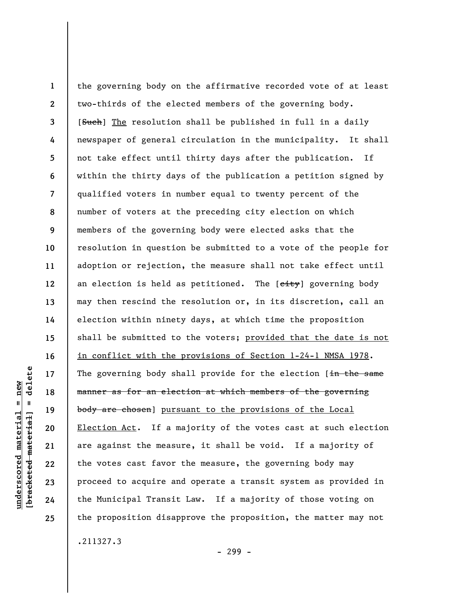**1 2 3 4 5 6 7 8 9 10 11 12 13 14 15 16 17 18 19 20 21 22 23 24 25**  the governing body on the affirmative recorded vote of at least two-thirds of the elected members of the governing body. [Such] The resolution shall be published in full in a daily newspaper of general circulation in the municipality. It shall not take effect until thirty days after the publication. If within the thirty days of the publication a petition signed by qualified voters in number equal to twenty percent of the number of voters at the preceding city election on which members of the governing body were elected asks that the resolution in question be submitted to a vote of the people for adoption or rejection, the measure shall not take effect until an election is held as petitioned. The [eity] governing body may then rescind the resolution or, in its discretion, call an election within ninety days, at which time the proposition shall be submitted to the voters; provided that the date is not in conflict with the provisions of Section 1-24-1 NMSA 1978. The governing body shall provide for the election [in the same manner as for an election at which members of the governing body are chosen] pursuant to the provisions of the Local Election Act. If a majority of the votes cast at such election are against the measure, it shall be void. If a majority of the votes cast favor the measure, the governing body may proceed to acquire and operate a transit system as provided in the Municipal Transit Law. If a majority of those voting on the proposition disapprove the proposition, the matter may not .211327.3

- 299 -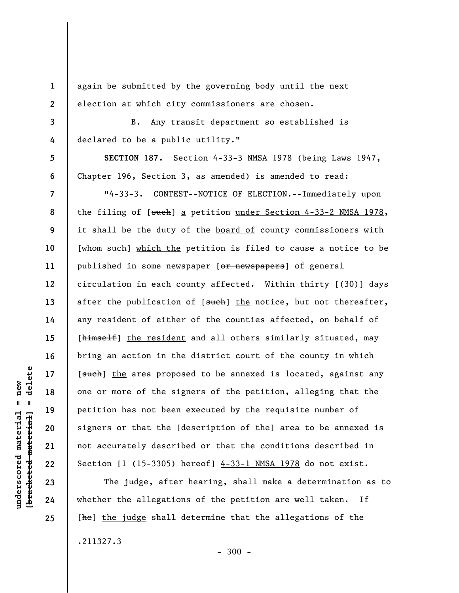again be submitted by the governing body until the next election at which city commissioners are chosen.

B. Any transit department so established is declared to be a public utility."

**SECTION 187.** Section 4-33-3 NMSA 1978 (being Laws 1947, Chapter 196, Section 3, as amended) is amended to read:

"4-33-3. CONTEST--NOTICE OF ELECTION.--Immediately upon the filing of [such] a petition under Section 4-33-2 NMSA 1978, it shall be the duty of the board of county commissioners with [whom such] which the petition is filed to cause a notice to be published in some newspaper [or newspapers] of general circulation in each county affected. Within thirty  $[430)$  days after the publication of [such] the notice, but not thereafter, any resident of either of the counties affected, on behalf of [himself] the resident and all others similarly situated, may bring an action in the district court of the county in which [such] the area proposed to be annexed is located, against any one or more of the signers of the petition, alleging that the petition has not been executed by the requisite number of signers or that the [description of the] area to be annexed is not accurately described or that the conditions described in Section  $[1 + (15-3305)$  hereof] 4-33-1 NMSA 1978 do not exist.

The judge, after hearing, shall make a determination as to whether the allegations of the petition are well taken. If [he] the judge shall determine that the allegations of the .211327.3

**1** 

**2** 

**3** 

**4** 

**5** 

**6** 

**7** 

**8** 

**9** 

**10** 

**11** 

**12** 

**13** 

**14** 

**15** 

**16** 

**17** 

**18** 

**19** 

**20** 

**21** 

**22** 

**23** 

**24**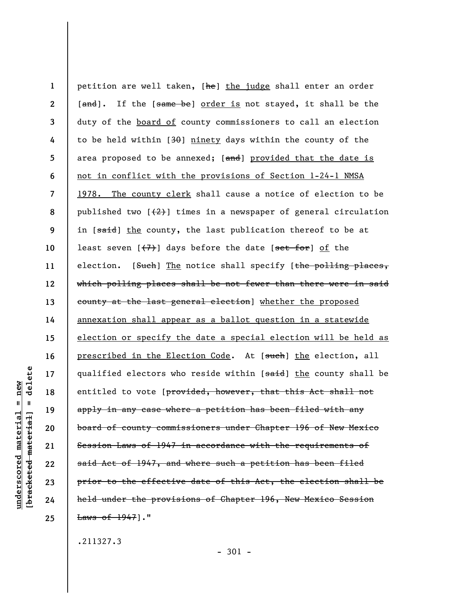**1 2 3 4 5 6 7 8 9 10 11 12 13 14 15 16 17 18 19 20 21 22 23 24 25**  petition are well taken, [he] the judge shall enter an order [and]. If the [same be] order is not stayed, it shall be the duty of the board of county commissioners to call an election to be held within [30] ninety days within the county of the area proposed to be annexed;  $[\text{and}]$  provided that the date is not in conflict with the provisions of Section 1-24-1 NMSA 1978. The county clerk shall cause a notice of election to be published two  $\left[\frac{2}{2}\right]$  times in a newspaper of general circulation in [said] the county, the last publication thereof to be at least seven  $[\frac{1}{2}]$  days before the date  $[\frac{1}{2}]$  of the election. [Such] The notice shall specify [the polling places, which polling places shall be not fewer than there were in said county at the last general election] whether the proposed annexation shall appear as a ballot question in a statewide election or specify the date a special election will be held as prescribed in the Election Code. At [such] the election, all qualified electors who reside within [said] the county shall be entitled to vote [provided, however, that this Act shall not apply in any case where a petition has been filed with any board of county commissioners under Chapter 196 of New Mexico Session Laws of 1947 in accordance with the requirements of said Act of 1947, and where such a petition has been filed prior to the effective date of this Act, the election shall be held under the provisions of Chapter 196, New Mexico Session Laws of 1947]."

.211327.3

- 301 -

delete **[bracketed material] = delete**  $anderscored material = new$ **underscored material = new**  $\mathbf{I}$ bracketed material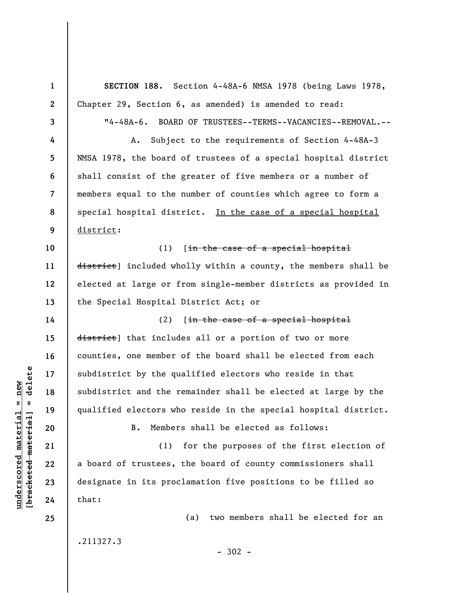**1 2 3 4 5 6 7 8 9 10 11 12 13 14 15 16 17 18 19 20 21 22 23 24 25 SECTION 188.** Section 4-48A-6 NMSA 1978 (being Laws 1978, Chapter 29, Section 6, as amended) is amended to read: "4-48A-6. BOARD OF TRUSTEES--TERMS--VACANCIES--REMOVAL.-- A. Subject to the requirements of Section 4-48A-3 NMSA 1978, the board of trustees of a special hospital district shall consist of the greater of five members or a number of members equal to the number of counties which agree to form a special hospital district. In the case of a special hospital district: (1)  $\int \frac{1}{\ln}$  the case of a special hospital district] included wholly within a county, the members shall be elected at large or from single-member districts as provided in the Special Hospital District Act; or (2)  $[in - the case of a special hospital]$ district] that includes all or a portion of two or more counties, one member of the board shall be elected from each subdistrict by the qualified electors who reside in that subdistrict and the remainder shall be elected at large by the qualified electors who reside in the special hospital district. B. Members shall be elected as follows: (1) for the purposes of the first election of a board of trustees, the board of county commissioners shall designate in its proclamation five positions to be filled so that: (a) two members shall be elected for an .211327.3  $-302 -$ 

**underscored material = new [bracketed material] = delete**

 $\frac{1}{2}$  of  $\frac{1}{2}$  and  $\frac{1}{2}$  and  $\frac{1}{2}$  and  $\frac{1}{2}$  and  $\frac{1}{2}$  and  $\frac{1}{2}$  and  $\frac{1}{2}$  and  $\frac{1}{2}$  and  $\frac{1}{2}$  and  $\frac{1}{2}$  and  $\frac{1}{2}$  and  $\frac{1}{2}$  and  $\frac{1}{2}$  and  $\frac{1}{2}$  and  $\frac{1}{2}$  an  $underscored material = new$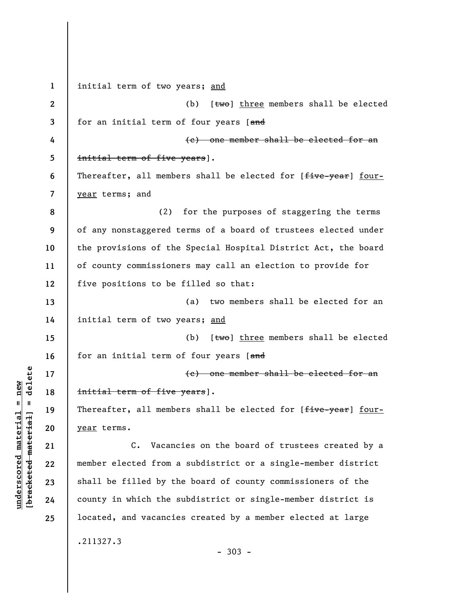**1 2 3 4 5 6 7 8 9 10 11 12 13 14 15 16 17 18 19 20 21 22 23 24 25**  initial term of two years; and (b)  $[$ two] three members shall be elected for an initial term of four years [and (c) one member shall be elected for an initial term of five years]. Thereafter, all members shall be elected for [five-year] fouryear terms; and (2) for the purposes of staggering the terms of any nonstaggered terms of a board of trustees elected under the provisions of the Special Hospital District Act, the board of county commissioners may call an election to provide for five positions to be filled so that: (a) two members shall be elected for an initial term of two years; and (b)  $[$ two] three members shall be elected for an initial term of four years [and (c) one member shall be elected for an initial term of five years]. Thereafter, all members shall be elected for [five-year] fouryear terms. C. Vacancies on the board of trustees created by a member elected from a subdistrict or a single-member district shall be filled by the board of county commissioners of the county in which the subdistrict or single-member district is located, and vacancies created by a member elected at large .211327.3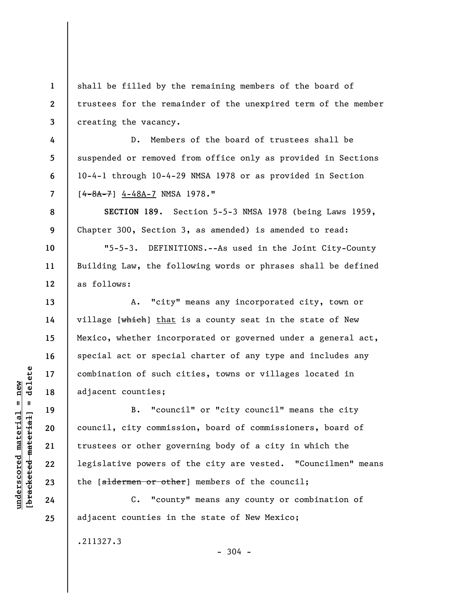shall be filled by the remaining members of the board of trustees for the remainder of the unexpired term of the member creating the vacancy.

D. Members of the board of trustees shall be suspended or removed from office only as provided in Sections 10-4-1 through 10-4-29 NMSA 1978 or as provided in Section  $[4 - 8A - 7]$  4-48A-7 NMSA 1978."

**SECTION 189.** Section 5-5-3 NMSA 1978 (being Laws 1959, Chapter 300, Section 3, as amended) is amended to read:

"5-5-3. DEFINITIONS.--As used in the Joint City-County Building Law, the following words or phrases shall be defined as follows:

A. "city" means any incorporated city, town or village [which] that is a county seat in the state of New Mexico, whether incorporated or governed under a general act, special act or special charter of any type and includes any combination of such cities, towns or villages located in adjacent counties;

B. "council" or "city council" means the city council, city commission, board of commissioners, board of trustees or other governing body of a city in which the legislative powers of the city are vested. "Councilmen" means the [aldermen or other] members of the council;

C. "county" means any county or combination of adjacent counties in the state of New Mexico;

 $-304 -$ 

.211327.3

 $b$ racketed material] = delete **[bracketed material] = delete**  $underscored material = new$ **underscored material = new**

**1** 

**2** 

**3** 

**4** 

**5** 

**6** 

**7** 

**8** 

**9** 

**10** 

**11** 

**12** 

**13** 

**14** 

**15** 

**16** 

**17** 

**18** 

**19** 

**20** 

**21** 

**22** 

**23** 

**24**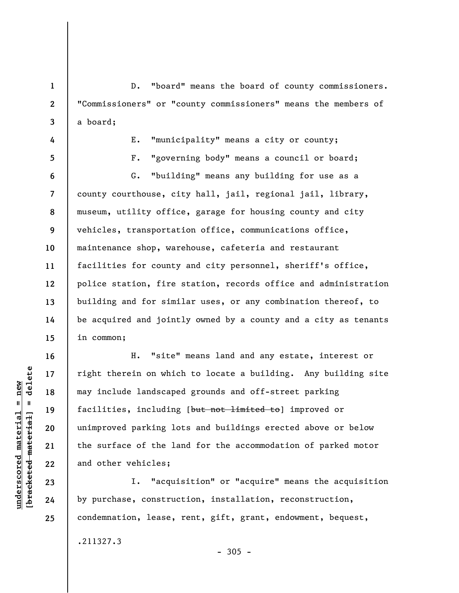**1 2 3 4 5 6 7 8 9 10 11 12 13 14**  D. "board" means the board of county commissioners. "Commissioners" or "county commissioners" means the members of a board; E. "municipality" means a city or county; F. "governing body" means a council or board; G. "building" means any building for use as a county courthouse, city hall, jail, regional jail, library, museum, utility office, garage for housing county and city vehicles, transportation office, communications office, maintenance shop, warehouse, cafeteria and restaurant facilities for county and city personnel, sheriff's office, police station, fire station, records office and administration building and for similar uses, or any combination thereof, to be acquired and jointly owned by a county and a city as tenants

in common;

**15** 

**16** 

**17** 

**18** 

**19** 

**20** 

**21** 

**22** 

**23** 

**24** 

**25** 

H. "site" means land and any estate, interest or right therein on which to locate a building. Any building site may include landscaped grounds and off-street parking facilities, including [but not limited to] improved or unimproved parking lots and buildings erected above or below the surface of the land for the accommodation of parked motor and other vehicles;

I. "acquisition" or "acquire" means the acquisition by purchase, construction, installation, reconstruction, condemnation, lease, rent, gift, grant, endowment, bequest,

.211327.3

 $-305 -$ 

 $b$ racketed material] = delete **[bracketed material] = delete**  $underscored material = new$ **underscored material = new**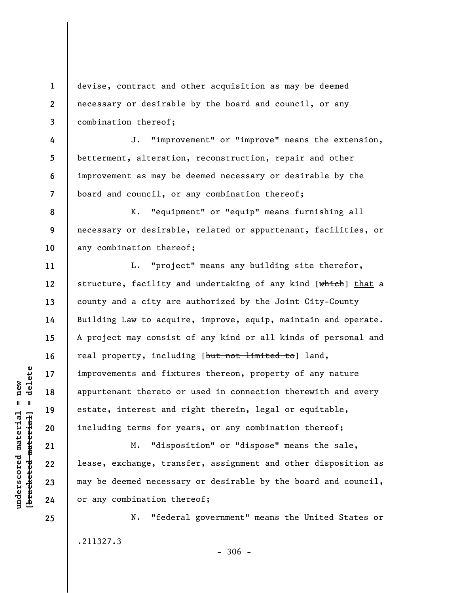**1 2 3**  devise, contract and other acquisition as may be deemed necessary or desirable by the board and council, or any combination thereof;

**7**  J. "improvement" or "improve" means the extension, betterment, alteration, reconstruction, repair and other improvement as may be deemed necessary or desirable by the board and council, or any combination thereof;

**8 9 10**  K. "equipment" or "equip" means furnishing all necessary or desirable, related or appurtenant, facilities, or any combination thereof;

L. "project" means any building site therefor, structure, facility and undertaking of any kind [which] that a county and a city are authorized by the Joint City-County Building Law to acquire, improve, equip, maintain and operate. A project may consist of any kind or all kinds of personal and real property, including [but not limited to] land, improvements and fixtures thereon, property of any nature appurtenant thereto or used in connection therewith and every estate, interest and right therein, legal or equitable, including terms for years, or any combination thereof;

M. "disposition" or "dispose" means the sale, lease, exchange, transfer, assignment and other disposition as may be deemed necessary or desirable by the board and council, or any combination thereof;

N. "federal government" means the United States or .211327.3

 $b$ racketed material] = delete **[bracketed material] = delete**  $underscored material = new$ **underscored material = new**

**4** 

**5** 

**6** 

**11** 

**12** 

**13** 

**14** 

**15** 

**16** 

**17** 

**18** 

**19** 

**20** 

**21** 

**22** 

**23** 

**24**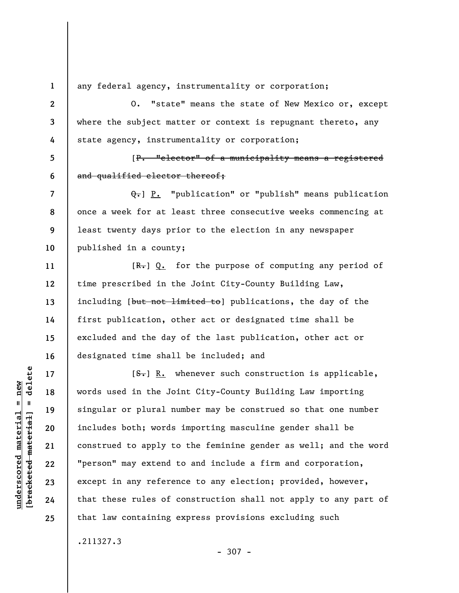**1 2** 

**3** 

**4** 

**5** 

**6** 

**7** 

**8** 

**9** 

**10** 

**11** 

**12** 

**13** 

**14** 

**15** 

**16** 

**17** 

**18** 

**19** 

**20** 

**21** 

**22** 

**23** 

**24** 

**25** 

any federal agency, instrumentality or corporation;

O. "state" means the state of New Mexico or, except where the subject matter or context is repugnant thereto, any state agency, instrumentality or corporation;

[P. "elector" of a municipality means a registered and qualified elector thereof;

Q.] P. "publication" or "publish" means publication once a week for at least three consecutive weeks commencing at least twenty days prior to the election in any newspaper published in a county;

 $[R_r]$  Q. for the purpose of computing any period of time prescribed in the Joint City-County Building Law, including [but not limited to] publications, the day of the first publication, other act or designated time shall be excluded and the day of the last publication, other act or designated time shall be included; and

 $[**S**$ . Whenever such construction is applicable, words used in the Joint City-County Building Law importing singular or plural number may be construed so that one number includes both; words importing masculine gender shall be construed to apply to the feminine gender as well; and the word "person" may extend to and include a firm and corporation, except in any reference to any election; provided, however, that these rules of construction shall not apply to any part of that law containing express provisions excluding such

.211327.3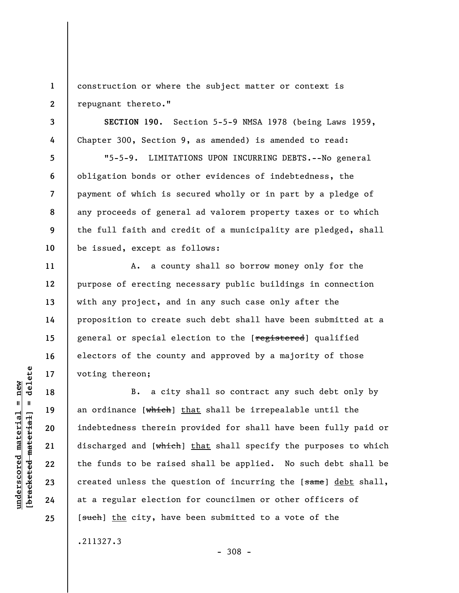**1 2**  construction or where the subject matter or context is repugnant thereto."

**SECTION 190.** Section 5-5-9 NMSA 1978 (being Laws 1959, Chapter 300, Section 9, as amended) is amended to read:

"5-5-9. LIMITATIONS UPON INCURRING DEBTS.--No general obligation bonds or other evidences of indebtedness, the payment of which is secured wholly or in part by a pledge of any proceeds of general ad valorem property taxes or to which the full faith and credit of a municipality are pledged, shall be issued, except as follows:

A. a county shall so borrow money only for the purpose of erecting necessary public buildings in connection with any project, and in any such case only after the proposition to create such debt shall have been submitted at a general or special election to the [registered] qualified electors of the county and approved by a majority of those voting thereon;

B. a city shall so contract any such debt only by an ordinance [which] that shall be irrepealable until the indebtedness therein provided for shall have been fully paid or discharged and [which] that shall specify the purposes to which the funds to be raised shall be applied. No such debt shall be created unless the question of incurring the [same] debt shall, at a regular election for councilmen or other officers of [such] the city, have been submitted to a vote of the

.211327.3

**3** 

**4** 

**5** 

**6** 

**7** 

**8** 

**9** 

**10** 

**11** 

**12** 

**13** 

**14** 

**15** 

**16** 

**17** 

**18** 

**19** 

**20** 

**21** 

**22** 

**23** 

**24**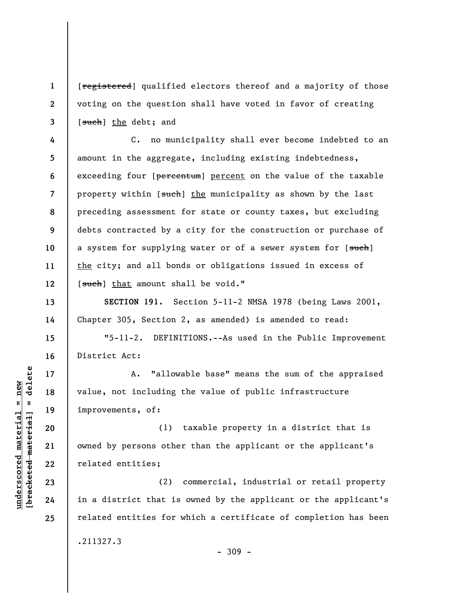[registered] qualified electors thereof and a majority of those voting on the question shall have voted in favor of creating [such] the debt; and

**4 5 6 7 8 9 10 11 12**  C. no municipality shall ever become indebted to an amount in the aggregate, including existing indebtedness, exceeding four [percentum] percent on the value of the taxable property within [such] the municipality as shown by the last preceding assessment for state or county taxes, but excluding debts contracted by a city for the construction or purchase of a system for supplying water or of a sewer system for [such] the city; and all bonds or obligations issued in excess of [such] that amount shall be void."

**SECTION 191.** Section 5-11-2 NMSA 1978 (being Laws 2001, Chapter 305, Section 2, as amended) is amended to read:

"5-11-2. DEFINITIONS.--As used in the Public Improvement District Act:

A. "allowable base" means the sum of the appraised value, not including the value of public infrastructure improvements, of:

(1) taxable property in a district that is owned by persons other than the applicant or the applicant's related entities;

(2) commercial, industrial or retail property in a district that is owned by the applicant or the applicant's related entities for which a certificate of completion has been .211327.3

 $\frac{1}{2}$  intereted material = delete **[bracketed material] = delete**  $underscored material = new$ **underscored material = new**

**1** 

**2** 

**3** 

**13** 

**14** 

**15** 

**16** 

**17** 

**18** 

**19** 

**20** 

**21** 

**22** 

**23** 

**24**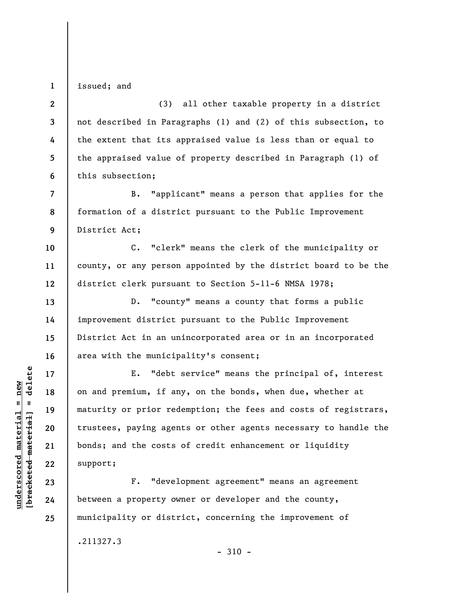issued; and

**1** 

**13** 

**14** 

**15** 

**16** 

**17** 

**18** 

**19** 

**20** 

**21** 

**22** 

**23** 

**24** 

**25** 

**2 3 4 5 6**  (3) all other taxable property in a district not described in Paragraphs (1) and (2) of this subsection, to the extent that its appraised value is less than or equal to the appraised value of property described in Paragraph (1) of this subsection;

**7 8 9**  B. "applicant" means a person that applies for the formation of a district pursuant to the Public Improvement District Act;

**10 11 12**  C. "clerk" means the clerk of the municipality or county, or any person appointed by the district board to be the district clerk pursuant to Section 5-11-6 NMSA 1978;

D. "county" means a county that forms a public improvement district pursuant to the Public Improvement District Act in an unincorporated area or in an incorporated area with the municipality's consent;

E. "debt service" means the principal of, interest on and premium, if any, on the bonds, when due, whether at maturity or prior redemption; the fees and costs of registrars, trustees, paying agents or other agents necessary to handle the bonds; and the costs of credit enhancement or liquidity support;

F. "development agreement" means an agreement between a property owner or developer and the county, municipality or district, concerning the improvement of

.211327.3

 $-310 -$ 

 $b$ racketed material] = delete **[bracketed material] = delete**  $underscored material = new$ **underscored material = new**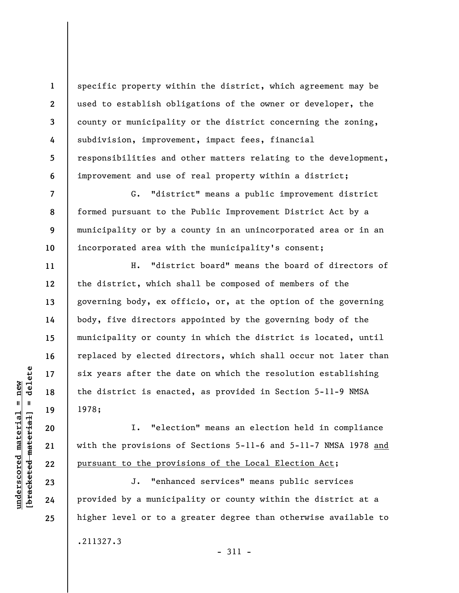specific property within the district, which agreement may be used to establish obligations of the owner or developer, the county or municipality or the district concerning the zoning, subdivision, improvement, impact fees, financial responsibilities and other matters relating to the development, improvement and use of real property within a district;

G. "district" means a public improvement district formed pursuant to the Public Improvement District Act by a municipality or by a county in an unincorporated area or in an incorporated area with the municipality's consent;

H. "district board" means the board of directors of the district, which shall be composed of members of the governing body, ex officio, or, at the option of the governing body, five directors appointed by the governing body of the municipality or county in which the district is located, until replaced by elected directors, which shall occur not later than six years after the date on which the resolution establishing the district is enacted, as provided in Section 5-11-9 NMSA 1978;

I. "election" means an election held in compliance with the provisions of Sections 5-11-6 and 5-11-7 NMSA 1978 and pursuant to the provisions of the Local Election Act;

J. "enhanced services" means public services provided by a municipality or county within the district at a higher level or to a greater degree than otherwise available to .211327.3

**1** 

**2** 

**3** 

**4** 

**5** 

**6** 

**7** 

**8** 

**9** 

**10** 

**11** 

**12** 

**13** 

**14** 

**15** 

**16** 

**17** 

**18** 

**19** 

**20** 

**21** 

**22** 

**23** 

**24**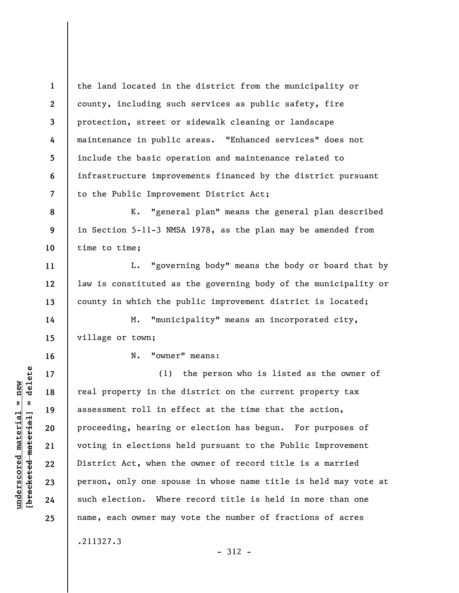**1 2 3 4 5 6 7**  the land located in the district from the municipality or county, including such services as public safety, fire protection, street or sidewalk cleaning or landscape maintenance in public areas. "Enhanced services" does not include the basic operation and maintenance related to infrastructure improvements financed by the district pursuant to the Public Improvement District Act;

**8 9 10**  K. "general plan" means the general plan described in Section 5-11-3 NMSA 1978, as the plan may be amended from time to time;

L. "governing body" means the body or board that by law is constituted as the governing body of the municipality or county in which the public improvement district is located;

M. "municipality" means an incorporated city, village or town;

**16** 

**11** 

**12** 

**13** 

**14** 

**15** 

**17** 

**18** 

**19** 

**20** 

**21** 

**22** 

**23** 

**24** 

**25** 

**underscored material = new [bracketed material] = delete**

 $\frac{1}{2}$  bracketed material = delete  $underscored material = new$ 

N. "owner" means:

(1) the person who is listed as the owner of real property in the district on the current property tax assessment roll in effect at the time that the action, proceeding, hearing or election has begun. For purposes of voting in elections held pursuant to the Public Improvement District Act, when the owner of record title is a married person, only one spouse in whose name title is held may vote at such election. Where record title is held in more than one name, each owner may vote the number of fractions of acres

.211327.3

- 312 -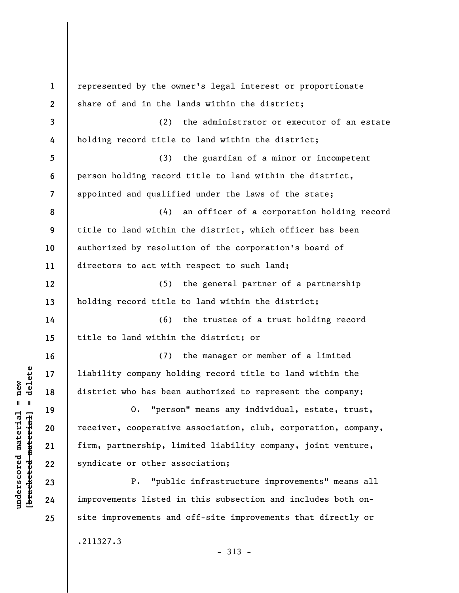| $\mathbf{1}$    | represented by the owner's legal interest or proportionate     |
|-----------------|----------------------------------------------------------------|
| $\mathbf{2}$    | share of and in the lands within the district;                 |
| 3               | the administrator or executor of an estate<br>(2)              |
| 4               | holding record title to land within the district;              |
| $5\phantom{.0}$ | the guardian of a minor or incompetent<br>(3)                  |
| 6               | person holding record title to land within the district,       |
| 7               | appointed and qualified under the laws of the state;           |
| 8               | an officer of a corporation holding record<br>(4)              |
| 9               | title to land within the district, which officer has been      |
| 10              | authorized by resolution of the corporation's board of         |
| 11              | directors to act with respect to such land;                    |
| 12              | the general partner of a partnership<br>(5)                    |
| 13              | holding record title to land within the district;              |
| 14              | the trustee of a trust holding record<br>(6)                   |
| 15              | title to land within the district; or                          |
| 16              | the manager or member of a limited<br>(7)                      |
| 17              | liability company holding record title to land within the      |
| 18              | district who has been authorized to represent the company;     |
| 19              | 0. "person" means any individual, estate, trust,               |
| 20              | receiver, cooperative association, club, corporation, company, |
| 21              | firm, partnership, limited liability company, joint venture,   |
| 22              | syndicate or other association;                                |
| 23              | "public infrastructure improvements" means all<br>$P$ .        |
| 24              | improvements listed in this subsection and includes both on-   |
| 25              | site improvements and off-site improvements that directly or   |
|                 | .211327.3                                                      |
|                 |                                                                |

 $[bracketeed-materiat] = delete$ **[bracketed material] = delete**  $underscored material = new$ **underscored material = new**

- 313 -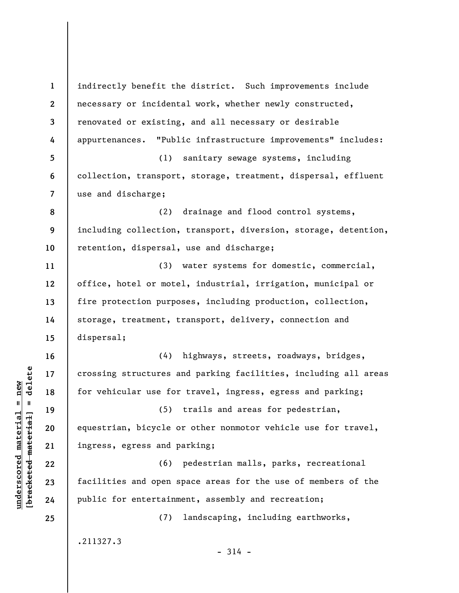**1 2 3 4 5 6 7 8 9 10 11 12 13 14 15 16 17 18 19 20 21 22 23 24 25**  indirectly benefit the district. Such improvements include necessary or incidental work, whether newly constructed, renovated or existing, and all necessary or desirable appurtenances. "Public infrastructure improvements" includes: (1) sanitary sewage systems, including collection, transport, storage, treatment, dispersal, effluent use and discharge; (2) drainage and flood control systems, including collection, transport, diversion, storage, detention, retention, dispersal, use and discharge; (3) water systems for domestic, commercial, office, hotel or motel, industrial, irrigation, municipal or fire protection purposes, including production, collection, storage, treatment, transport, delivery, connection and dispersal; (4) highways, streets, roadways, bridges, crossing structures and parking facilities, including all areas for vehicular use for travel, ingress, egress and parking; (5) trails and areas for pedestrian, equestrian, bicycle or other nonmotor vehicle use for travel, ingress, egress and parking; (6) pedestrian malls, parks, recreational facilities and open space areas for the use of members of the public for entertainment, assembly and recreation; (7) landscaping, including earthworks, .211327.3  $-314 -$ 

**underscored material = new [bracketed material] = delete**

 $\frac{1}{2}$  bracketed material = delete  $underscored material = new$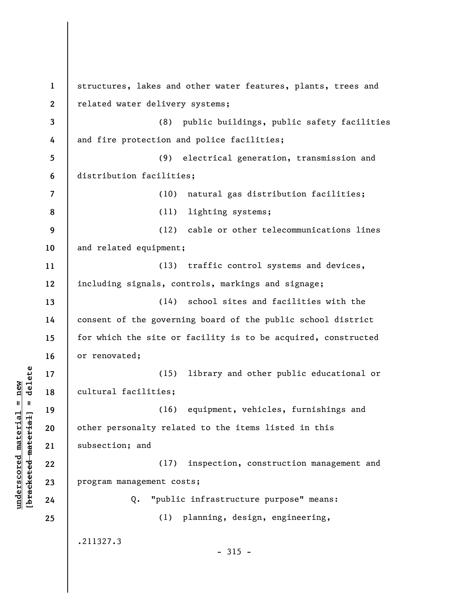**1 2 3 4 5 6 7 8 9 10 11 12 13 14 15 16 17 18 19 20 21 22 23 24 25**  structures, lakes and other water features, plants, trees and related water delivery systems; (8) public buildings, public safety facilities and fire protection and police facilities; (9) electrical generation, transmission and distribution facilities; (10) natural gas distribution facilities; (11) lighting systems; (12) cable or other telecommunications lines and related equipment; (13) traffic control systems and devices, including signals, controls, markings and signage; (14) school sites and facilities with the consent of the governing board of the public school district for which the site or facility is to be acquired, constructed or renovated; (15) library and other public educational or cultural facilities; (16) equipment, vehicles, furnishings and other personalty related to the items listed in this subsection; and (17) inspection, construction management and program management costs; Q. "public infrastructure purpose" means: (1) planning, design, engineering, .211327.3  $-315 -$ 

**underscored material = new [bracketed material] = delete**

 $\frac{1}{2}$  intereted material = delete  $underscored material = new$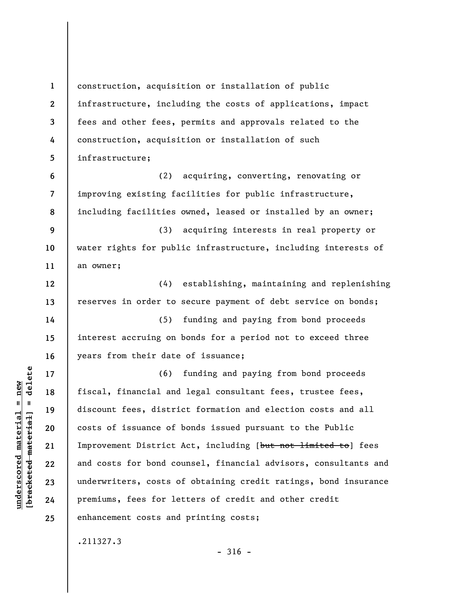**1 2 3 4 5 6 7 8 9 10 11 12 13 14 15 16 17 18 19 20 21 22 23 24 25**  construction, acquisition or installation of public infrastructure, including the costs of applications, impact fees and other fees, permits and approvals related to the construction, acquisition or installation of such infrastructure; (2) acquiring, converting, renovating or improving existing facilities for public infrastructure, including facilities owned, leased or installed by an owner; (3) acquiring interests in real property or water rights for public infrastructure, including interests of an owner; (4) establishing, maintaining and replenishing reserves in order to secure payment of debt service on bonds; (5) funding and paying from bond proceeds interest accruing on bonds for a period not to exceed three years from their date of issuance; (6) funding and paying from bond proceeds fiscal, financial and legal consultant fees, trustee fees, discount fees, district formation and election costs and all costs of issuance of bonds issued pursuant to the Public Improvement District Act, including [but not limited to] fees and costs for bond counsel, financial advisors, consultants and underwriters, costs of obtaining credit ratings, bond insurance premiums, fees for letters of credit and other credit enhancement costs and printing costs; .211327.3

**underscored material = new [bracketed material] = delete**

 $\frac{1}{2}$  bracketed material = delete  $underscored material = new$ 

 $-316 -$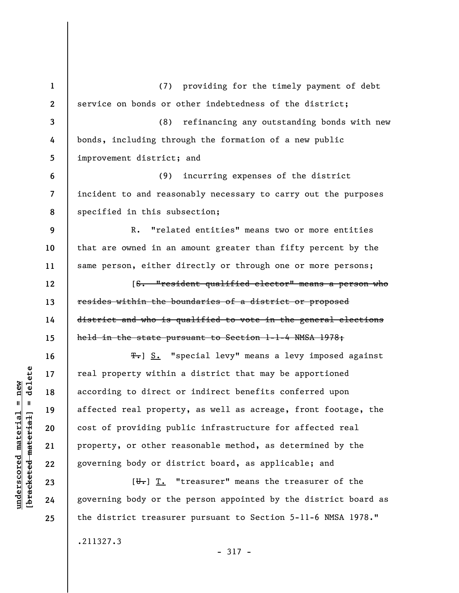**1 2 3 4 5 6 7 8 9 10 11 12 13 14 15 16 17 18 19 20 21 22 23 24 25**  (7) providing for the timely payment of debt service on bonds or other indebtedness of the district; (8) refinancing any outstanding bonds with new bonds, including through the formation of a new public improvement district; and (9) incurring expenses of the district incident to and reasonably necessary to carry out the purposes specified in this subsection; R. "related entities" means two or more entities that are owned in an amount greater than fifty percent by the same person, either directly or through one or more persons; [S. "resident qualified elector" means a person who resides within the boundaries of a district or proposed district and who is qualified to vote in the general elections held in the state pursuant to Section 1-1-4 NMSA 1978; T. S. "special levy" means a levy imposed against real property within a district that may be apportioned according to direct or indirect benefits conferred upon affected real property, as well as acreage, front footage, the cost of providing public infrastructure for affected real property, or other reasonable method, as determined by the governing body or district board, as applicable; and  $[\overline{\mathbf{u}}_r]$   $\overline{\mathbf{T}}_r$  "treasurer" means the treasurer of the governing body or the person appointed by the district board as the district treasurer pursuant to Section 5-11-6 NMSA 1978."

- 317 -

 $\frac{1}{2}$  intereted material = delete **[bracketed material] = delete**  $anderscored material = new$ **underscored material = new**

.211327.3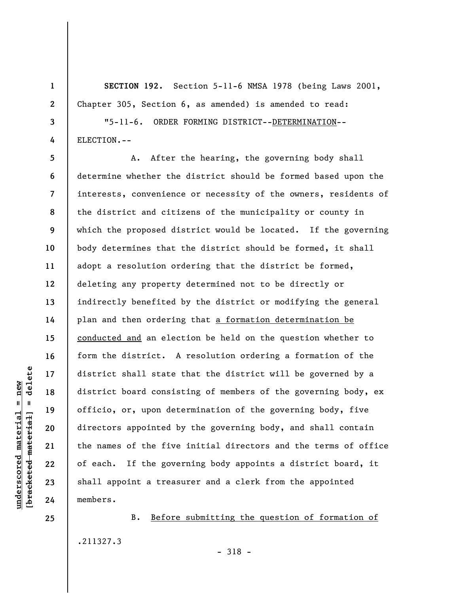**SECTION 192.** Section 5-11-6 NMSA 1978 (being Laws 2001, Chapter 305, Section 6, as amended) is amended to read:

"5-11-6. ORDER FORMING DISTRICT--DETERMINATION-- ELECTION.--

**5 6 7 8 9 10 11 12 13 14 15 16 17 18 19 20 22 23 24**  A. After the hearing, the governing body shall determine whether the district should be formed based upon the interests, convenience or necessity of the owners, residents of the district and citizens of the municipality or county in which the proposed district would be located. If the governing body determines that the district should be formed, it shall adopt a resolution ordering that the district be formed, deleting any property determined not to be directly or indirectly benefited by the district or modifying the general plan and then ordering that a formation determination be conducted and an election be held on the question whether to form the district. A resolution ordering a formation of the district shall state that the district will be governed by a district board consisting of members of the governing body, ex officio, or, upon determination of the governing body, five directors appointed by the governing body, and shall contain the names of the five initial directors and the terms of office of each. If the governing body appoints a district board, it shall appoint a treasurer and a clerk from the appointed members.

B. Before submitting the question of formation of .211327.3

 $\frac{1}{2}$  bracketed material = delete **[bracketed material] = delete**  $underscored material = new$ **underscored material = new**

**21** 

**25** 

**1** 

**2** 

**3**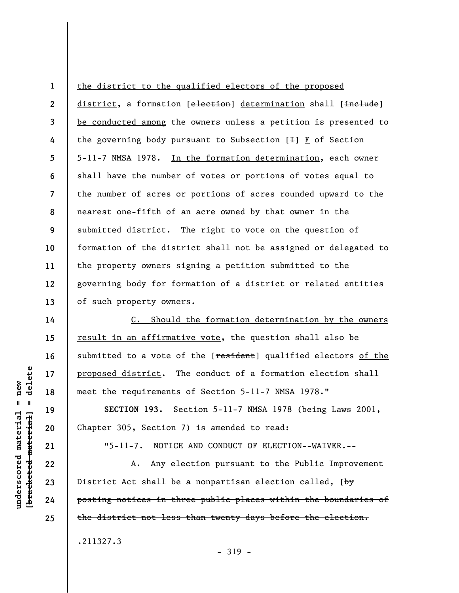**2 3 4 5 6 7 8 9 10 11 12 13**  district, a formation [election] determination shall [include] be conducted among the owners unless a petition is presented to the governing body pursuant to Subsection  $[+]$   $\underline{F}$  of Section 5-11-7 NMSA 1978. In the formation determination, each owner shall have the number of votes or portions of votes equal to the number of acres or portions of acres rounded upward to the nearest one-fifth of an acre owned by that owner in the submitted district. The right to vote on the question of formation of the district shall not be assigned or delegated to the property owners signing a petition submitted to the governing body for formation of a district or related entities of such property owners.

the district to the qualified electors of the proposed

C. Should the formation determination by the owners result in an affirmative vote, the question shall also be submitted to a vote of the [resident] qualified electors of the proposed district. The conduct of a formation election shall meet the requirements of Section 5-11-7 NMSA 1978."

**SECTION 193.** Section 5-11-7 NMSA 1978 (being Laws 2001, Chapter 305, Section 7) is amended to read:

"5-11-7. NOTICE AND CONDUCT OF ELECTION--WAIVER.--

A. Any election pursuant to the Public Improvement District Act shall be a nonpartisan election called,  $[\frac{b\psi}{c\psi}$ posting notices in three public places within the boundaries of the district not less than twenty days before the election.

- 319 -

.211327.3

delete **[bracketed material] = delete**  $underscored material = new$ **underscored material = new**  $\mathbf{I}$ bracketed material

**14** 

**15** 

**16** 

**17** 

**18** 

**19** 

**20** 

**21** 

**22** 

**23** 

**24** 

**25**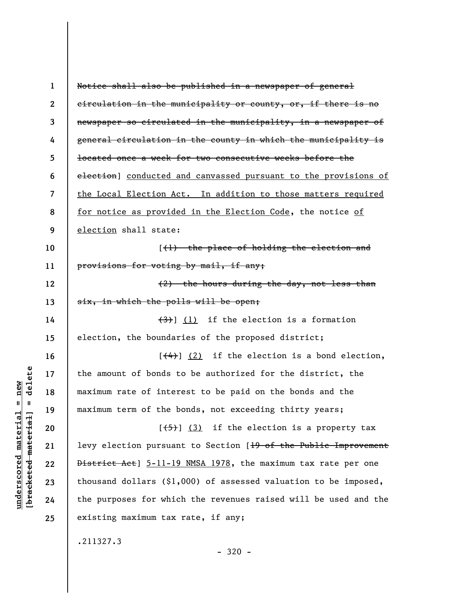| $\mathbf{1}$             | Notice shall also be published in a newspaper of general                    |
|--------------------------|-----------------------------------------------------------------------------|
| $\boldsymbol{2}$         | eirculation in the municipality or county, or, if there is no               |
| 3                        | newspaper so circulated in the municipality, in a newspaper of              |
| 4                        | general circulation in the county in which the municipality is              |
| 5                        | located once a week for two consecutive weeks before the                    |
| 6                        | election] conducted and canvassed pursuant to the provisions of             |
| $\overline{\mathcal{L}}$ | the Local Election Act. In addition to those matters required               |
| 8                        | for notice as provided in the Election Code, the notice of                  |
| 9                        | election shall state:                                                       |
| 10                       | $({\mathcal{H}})$ the place of holding the election and                     |
| 11                       | provisions for voting by mail, if any;                                      |
| 12                       | (2) the hours during the day, not less than                                 |
| 13                       | six, in which the polls will be open;                                       |
| 14                       | $\left(\frac{1}{2}\right)$ (1) if the election is a formation               |
| 15                       | election, the boundaries of the proposed district;                          |
| 16                       | $[$ $(4)$ ] $(2)$ if the election is a bond election,                       |
| 17                       | the amount of bonds to be authorized for the district, the                  |
| 18                       | maximum rate of interest to be paid on the bonds and the                    |
| 19                       | maximum term of the bonds, not exceeding thirty years;                      |
| 20                       | $[\frac{1}{5}]$ (3) if the election is a property tax                       |
| 21                       | levy election pursuant to Section [ <del>19 of the Public Improvement</del> |
| 22                       | District Act] 5-11-19 NMSA 1978, the maximum tax rate per one               |
| 23                       | thousand dollars $(91,000)$ of assessed valuation to be imposed,            |
| 24                       | the purposes for which the revenues raised will be used and the             |
| 25                       | existing maximum tax rate, if any;                                          |
|                          | .211327.3                                                                   |
|                          |                                                                             |

 $[bracketeed-materiat] = delete$ **[bracketed material] = delete**  $underscored material = new$ **underscored material = new**

- 320 -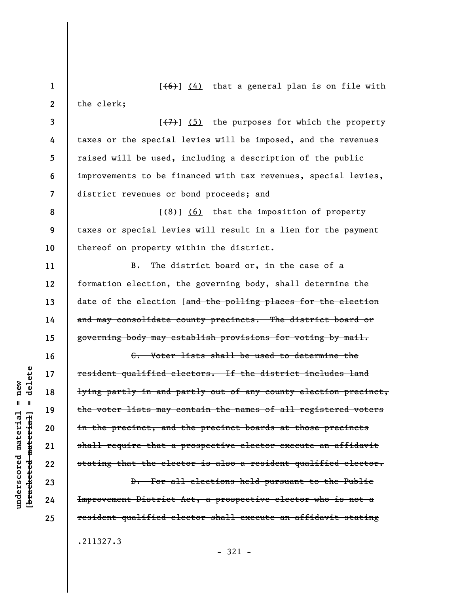**1 2 3 4 5 6 7 8 9 10 11 12 13 14 15 16 17 18 19 20 21 22**   $[ (6) ] (4)$  that a general plan is on file with the clerk;  $[\overline{(+7)}]$  (5) the purposes for which the property taxes or the special levies will be imposed, and the revenues raised will be used, including a description of the public improvements to be financed with tax revenues, special levies, district revenues or bond proceeds; and  $[$   $($ 8 $)$ ]  $($  6) that the imposition of property taxes or special levies will result in a lien for the payment thereof on property within the district. B. The district board or, in the case of a formation election, the governing body, shall determine the date of the election [and the polling places for the election and may consolidate county precincts. The district board or governing body may establish provisions for voting by mail. C. Voter lists shall be used to determine the resident qualified electors. If the district includes land lying partly in and partly out of any county election precinct, the voter lists may contain the names of all registered voters in the precinct, and the precinct boards at those precincts shall require that a prospective elector execute an affidavit stating that the elector is also a resident qualified elector. D. For all elections held pursuant to the Public Improvement District Act, a prospective elector who is not a

- 321 -

.211327.3

**23 24 25** 

**underscored material = new [bracketed material] = delete**

 $anderscored material = new$ 

delete

 $\mathbf{I}$ 

bracketed material

resident qualified elector shall execute an affidavit stating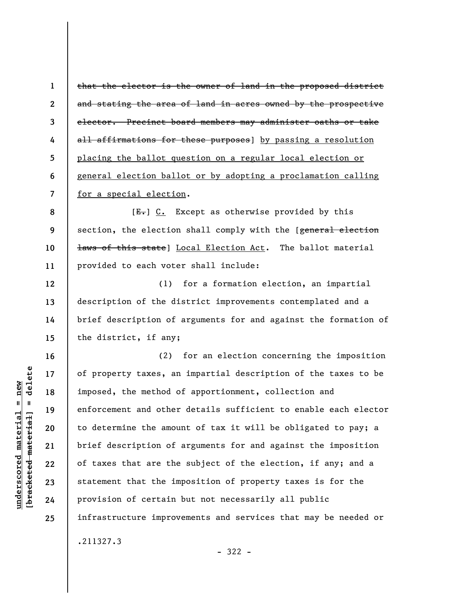**1 2 3 4 5 6 7**  that the elector is the owner of land in the proposed district and stating the area of land in acres owned by the prospective elector. Precinct board members may administer oaths or take all affirmations for these purposes] by passing a resolution placing the ballot question on a regular local election or general election ballot or by adopting a proclamation calling for a special election.

**8 9 10 11**   $[E-]$  C. Except as otherwise provided by this section, the election shall comply with the [general election laws of this state] Local Election Act. The ballot material provided to each voter shall include:

**12 13 14 15**  (1) for a formation election, an impartial description of the district improvements contemplated and a brief description of arguments for and against the formation of the district, if any;

(2) for an election concerning the imposition of property taxes, an impartial description of the taxes to be imposed, the method of apportionment, collection and enforcement and other details sufficient to enable each elector to determine the amount of tax it will be obligated to pay; a brief description of arguments for and against the imposition of taxes that are the subject of the election, if any; and a statement that the imposition of property taxes is for the provision of certain but not necessarily all public infrastructure improvements and services that may be needed or .211327.3

- 322 -

**16** 

**17** 

**18** 

**19** 

**20** 

**21** 

**22** 

**23** 

**24**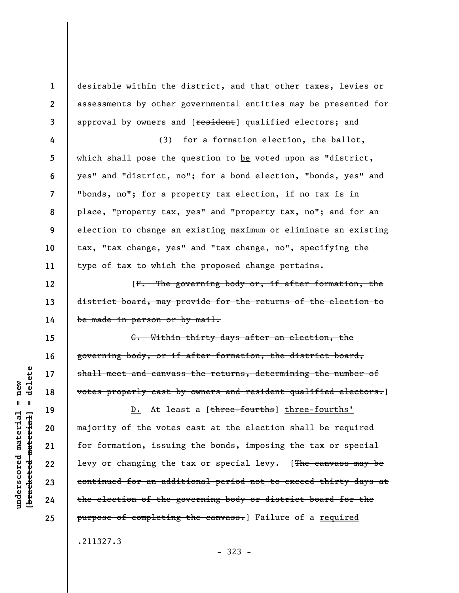desirable within the district, and that other taxes, levies or assessments by other governmental entities may be presented for approval by owners and [resident] qualified electors; and

**4 5 6 7 8 9 10 11**  (3) for a formation election, the ballot, which shall pose the question to be voted upon as "district, yes" and "district, no"; for a bond election, "bonds, yes" and "bonds, no"; for a property tax election, if no tax is in place, "property tax, yes" and "property tax, no"; and for an election to change an existing maximum or eliminate an existing tax, "tax change, yes" and "tax change, no", specifying the type of tax to which the proposed change pertains.

[F. The governing body or, if after formation, the district board, may provide for the returns of the election to be made in person or by mail.

G. Within thirty days after an election, the governing body, or if after formation, the district board, shall meet and canvass the returns, determining the number of votes properly cast by owners and resident qualified electors.]

D. At least a [three-fourths] three-fourths' majority of the votes cast at the election shall be required for formation, issuing the bonds, imposing the tax or special levy or changing the tax or special levy. [The canvass may be continued for an additional period not to exceed thirty days at the election of the governing body or district board for the purpose of completing the canvass.] Failure of a required

- 323 -

.211327.3

delete **[bracketed material] = delete**  $anderscored material = new$ **underscored material = new**  $\mathbf{I}$ bracketed material

**1** 

**2** 

**3** 

**12** 

**13** 

**14** 

**15** 

**16** 

**17** 

**18** 

**19** 

**20** 

**21** 

**22** 

**23** 

**24**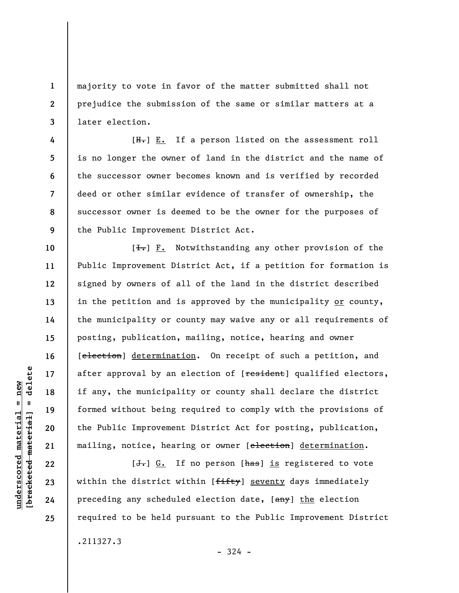majority to vote in favor of the matter submitted shall not prejudice the submission of the same or similar matters at a later election.

 $[H_r]$   $E.$  If a person listed on the assessment roll is no longer the owner of land in the district and the name of the successor owner becomes known and is verified by recorded deed or other similar evidence of transfer of ownership, the successor owner is deemed to be the owner for the purposes of the Public Improvement District Act.

 $[\frac{1}{\sqrt{1}}]$  F. Notwithstanding any other provision of the Public Improvement District Act, if a petition for formation is signed by owners of all of the land in the district described in the petition and is approved by the municipality or county, the municipality or county may waive any or all requirements of posting, publication, mailing, notice, hearing and owner [election] determination. On receipt of such a petition, and after approval by an election of [resident] qualified electors, if any, the municipality or county shall declare the district formed without being required to comply with the provisions of the Public Improvement District Act for posting, publication, mailing, notice, hearing or owner [election] determination.

 $[J<sub>r</sub>]$   $G<sub>r</sub>$  If no person [ $\frac{h}{h}$ as] is registered to vote within the district within [fifty] seventy days immediately preceding any scheduled election date, [any] the election required to be held pursuant to the Public Improvement District .211327.3

**1** 

**2** 

**3** 

**4** 

**5** 

**6** 

**7** 

**8** 

**9** 

**10** 

**11** 

**12** 

**13** 

**14** 

**15** 

**16** 

**17** 

**18** 

**19** 

**20** 

**21** 

**22** 

**23** 

**24** 

**25** 

 $-324 -$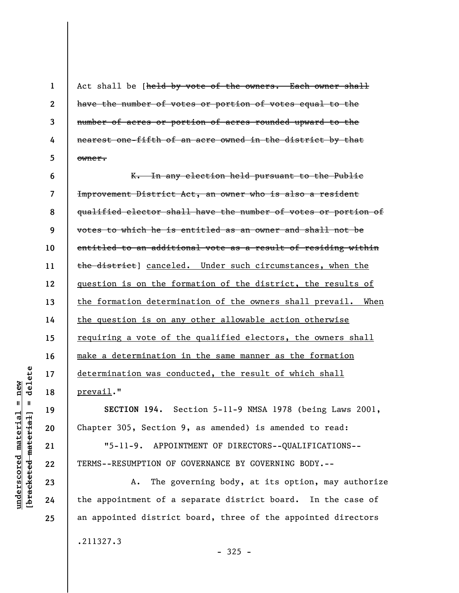Act shall be [held by vote of the owners. Each owner shall have the number of votes or portion of votes equal to the number of acres or portion of acres rounded upward to the nearest one-fifth of an acre owned in the district by that owner.

**6 7 8 9 10 11 12 13 14 15 16 17 18**  K. In any election held pursuant to the Public Improvement District Act, an owner who is also a resident qualified elector shall have the number of votes or portion of votes to which he is entitled as an owner and shall not be entitled to an additional vote as a result of residing within the district] canceled. Under such circumstances, when the question is on the formation of the district, the results of the formation determination of the owners shall prevail. When the question is on any other allowable action otherwise requiring a vote of the qualified electors, the owners shall make a determination in the same manner as the formation determination was conducted, the result of which shall prevail."

**SECTION 194.** Section 5-11-9 NMSA 1978 (being Laws 2001, Chapter 305, Section 9, as amended) is amended to read:

"5-11-9. APPOINTMENT OF DIRECTORS--QUALIFICATIONS-- TERMS--RESUMPTION OF GOVERNANCE BY GOVERNING BODY.--

A. The governing body, at its option, may authorize the appointment of a separate district board. In the case of an appointed district board, three of the appointed directors

.211327.3

delete **[bracketed material] = delete**  $underscored material = new$ **underscored material = new**  $\mathbf{I}$ bracketed material

**19** 

**20** 

**21** 

**22** 

**23** 

**24** 

**25** 

**1** 

**2** 

**3** 

**4**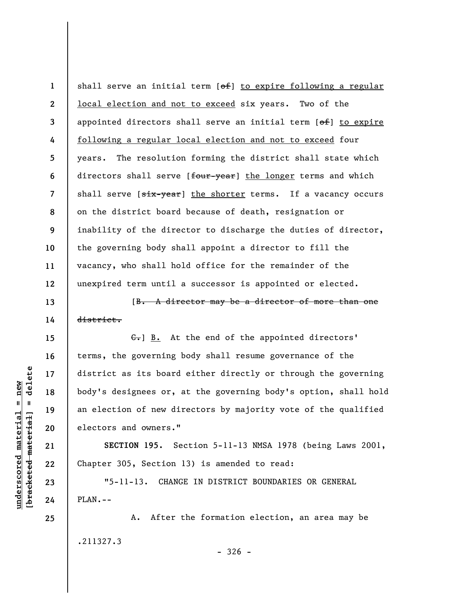**1 2 3 4 5 6 7 8 9 10 11 12**  shall serve an initial term [of] to expire following a regular local election and not to exceed six years. Two of the appointed directors shall serve an initial term [of] to expire following a regular local election and not to exceed four years. The resolution forming the district shall state which directors shall serve [four-year] the longer terms and which shall serve [six-year] the shorter terms. If a vacancy occurs on the district board because of death, resignation or inability of the director to discharge the duties of director, the governing body shall appoint a director to fill the vacancy, who shall hold office for the remainder of the unexpired term until a successor is appointed or elected.

[B. A director may be a director of more than one district.

G. B. At the end of the appointed directors' terms, the governing body shall resume governance of the district as its board either directly or through the governing body's designees or, at the governing body's option, shall hold an election of new directors by majority vote of the qualified electors and owners."

**SECTION 195.** Section 5-11-13 NMSA 1978 (being Laws 2001, Chapter 305, Section 13) is amended to read:

"5-11-13. CHANGE IN DISTRICT BOUNDARIES OR GENERAL PLAN.--

A. After the formation election, an area may be .211327.3  $-326 -$ 

 $\frac{1}{2}$  of  $\frac{1}{2}$  and  $\frac{1}{2}$  and  $\frac{1}{2}$  and  $\frac{1}{2}$  and  $\frac{1}{2}$  and  $\frac{1}{2}$  and  $\frac{1}{2}$  and  $\frac{1}{2}$  and  $\frac{1}{2}$  and  $\frac{1}{2}$  and  $\frac{1}{2}$  and  $\frac{1}{2}$  and  $\frac{1}{2}$  and  $\frac{1}{2}$  and  $\frac{1}{2}$  an **[bracketed material] = delete**  $underscored material = new$ **underscored material = new**

**13** 

**14** 

**15** 

**16** 

**17** 

**18** 

**19** 

**20** 

**21** 

**22** 

**23** 

**24**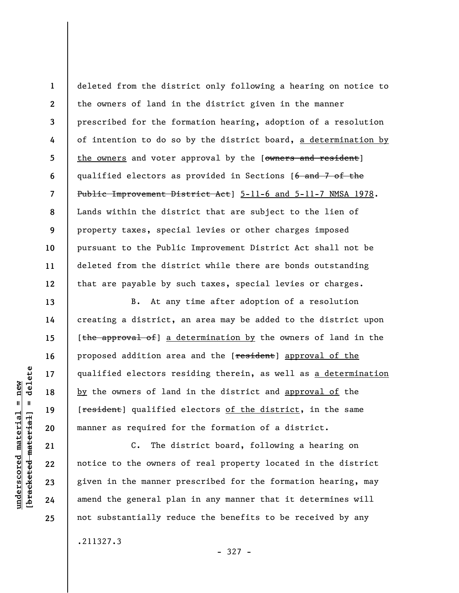**1 2 3 4 5 6 7 8 9 10 11 12**  deleted from the district only following a hearing on notice to the owners of land in the district given in the manner prescribed for the formation hearing, adoption of a resolution of intention to do so by the district board, a determination by the owners and voter approval by the [owners and resident] qualified electors as provided in Sections [6 and 7 of the Public Improvement District Act] 5-11-6 and 5-11-7 NMSA 1978. Lands within the district that are subject to the lien of property taxes, special levies or other charges imposed pursuant to the Public Improvement District Act shall not be deleted from the district while there are bonds outstanding that are payable by such taxes, special levies or charges.

B. At any time after adoption of a resolution creating a district, an area may be added to the district upon [the approval of] a determination by the owners of land in the proposed addition area and the [resident] approval of the qualified electors residing therein, as well as a determination by the owners of land in the district and approval of the [<del>resident</del>] qualified electors of the district, in the same manner as required for the formation of a district.

C. The district board, following a hearing on notice to the owners of real property located in the district given in the manner prescribed for the formation hearing, may amend the general plan in any manner that it determines will not substantially reduce the benefits to be received by any

.211327.3

- 327 -

delete **[bracketed material] = delete**  $anderscored material = new$ **underscored material = new**  $\mathbf{I}$ bracketed material

**13** 

**14** 

**15** 

**16** 

**17** 

**18** 

**19** 

**20** 

**21** 

**22** 

**23** 

**24**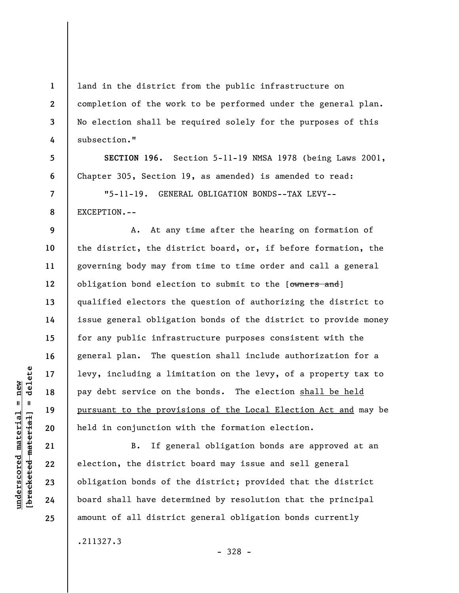land in the district from the public infrastructure on completion of the work to be performed under the general plan. No election shall be required solely for the purposes of this subsection."

**SECTION 196.** Section 5-11-19 NMSA 1978 (being Laws 2001, Chapter 305, Section 19, as amended) is amended to read:

"5-11-19. GENERAL OBLIGATION BONDS--TAX LEVY-- EXCEPTION.--

**12**  A. At any time after the hearing on formation of the district, the district board, or, if before formation, the governing body may from time to time order and call a general obligation bond election to submit to the [owners and] qualified electors the question of authorizing the district to issue general obligation bonds of the district to provide money for any public infrastructure purposes consistent with the general plan. The question shall include authorization for a levy, including a limitation on the levy, of a property tax to pay debt service on the bonds. The election shall be held pursuant to the provisions of the Local Election Act and may be held in conjunction with the formation election.

B. If general obligation bonds are approved at an election, the district board may issue and sell general obligation bonds of the district; provided that the district board shall have determined by resolution that the principal amount of all district general obligation bonds currently

.211327.3

- 328 -

 $\frac{1}{2}$  intereted material = delete **[bracketed material] = delete**  $underscored material = new$ **underscored material = new**

**1** 

**2** 

**3** 

**4** 

**5** 

**6** 

**7** 

**8** 

**9** 

**10** 

**11** 

**13** 

**14** 

**15** 

**16** 

**17** 

**18** 

**19** 

**20** 

**21** 

**22** 

**23** 

**24**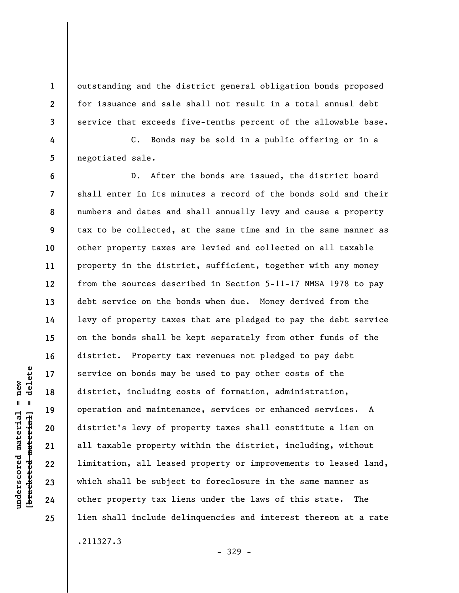outstanding and the district general obligation bonds proposed for issuance and sale shall not result in a total annual debt service that exceeds five-tenths percent of the allowable base.

C. Bonds may be sold in a public offering or in a negotiated sale.

**6 7 8 9 10 11 12 13 14 15 16 17 18 19 20 22 23 24 25**  D. After the bonds are issued, the district board shall enter in its minutes a record of the bonds sold and their numbers and dates and shall annually levy and cause a property tax to be collected, at the same time and in the same manner as other property taxes are levied and collected on all taxable property in the district, sufficient, together with any money from the sources described in Section 5-11-17 NMSA 1978 to pay debt service on the bonds when due. Money derived from the levy of property taxes that are pledged to pay the debt service on the bonds shall be kept separately from other funds of the district. Property tax revenues not pledged to pay debt service on bonds may be used to pay other costs of the district, including costs of formation, administration, operation and maintenance, services or enhanced services. A district's levy of property taxes shall constitute a lien on all taxable property within the district, including, without limitation, all leased property or improvements to leased land, which shall be subject to foreclosure in the same manner as other property tax liens under the laws of this state. The lien shall include delinquencies and interest thereon at a rate .211327.3

- 329 -

delete **[bracketed material] = delete**  $underscored material = new$ **underscored material = new**  $\frac{1}{2}$ 

**21** 

**1** 

**2** 

**3** 

**4**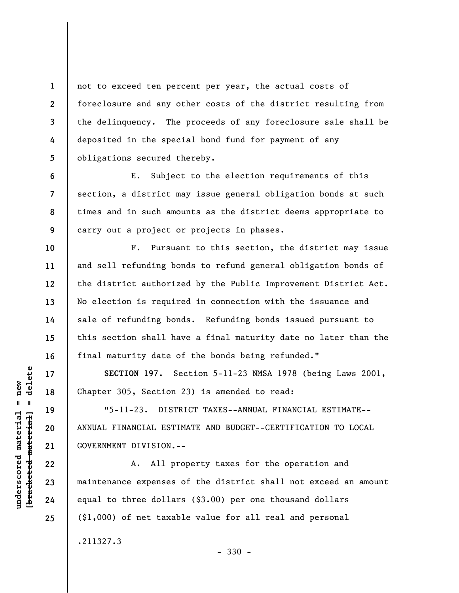not to exceed ten percent per year, the actual costs of foreclosure and any other costs of the district resulting from the delinquency. The proceeds of any foreclosure sale shall be deposited in the special bond fund for payment of any obligations secured thereby.

E. Subject to the election requirements of this section, a district may issue general obligation bonds at such times and in such amounts as the district deems appropriate to carry out a project or projects in phases.

F. Pursuant to this section, the district may issue and sell refunding bonds to refund general obligation bonds of the district authorized by the Public Improvement District Act. No election is required in connection with the issuance and sale of refunding bonds. Refunding bonds issued pursuant to this section shall have a final maturity date no later than the final maturity date of the bonds being refunded."

**SECTION 197.** Section 5-11-23 NMSA 1978 (being Laws 2001, Chapter 305, Section 23) is amended to read:

"5-11-23. DISTRICT TAXES--ANNUAL FINANCIAL ESTIMATE-- ANNUAL FINANCIAL ESTIMATE AND BUDGET--CERTIFICATION TO LOCAL GOVERNMENT DIVISION.--

A. All property taxes for the operation and maintenance expenses of the district shall not exceed an amount equal to three dollars (\$3.00) per one thousand dollars (\$1,000) of net taxable value for all real and personal .211327.3

- 330 -

 $\frac{1}{2}$  of  $\frac{1}{2}$  and  $\frac{1}{2}$  and  $\frac{1}{2}$  and  $\frac{1}{2}$  and  $\frac{1}{2}$  and  $\frac{1}{2}$  and  $\frac{1}{2}$  and  $\frac{1}{2}$  and  $\frac{1}{2}$  and  $\frac{1}{2}$  and  $\frac{1}{2}$  and  $\frac{1}{2}$  and  $\frac{1}{2}$  and  $\frac{1}{2}$  and  $\frac{1}{2}$  an **[bracketed material] = delete**  $underscored material = new$ **underscored material = new**

**1** 

**2** 

**3** 

**4** 

**5** 

**6** 

**7** 

**8** 

**9** 

**10** 

**11** 

**12** 

**13** 

**14** 

**15** 

**16** 

**17** 

**18** 

**19** 

**20** 

**21** 

**22** 

**23** 

**24**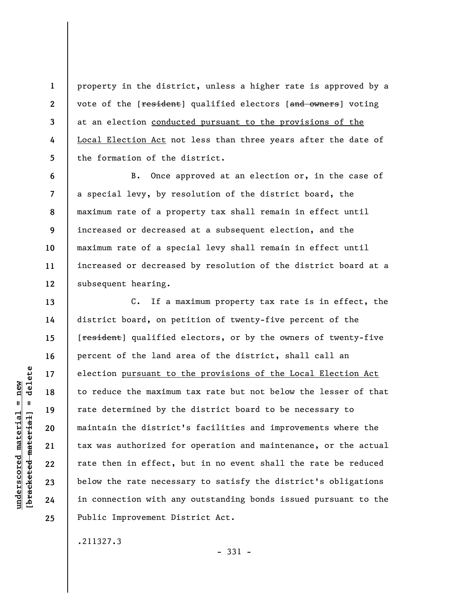property in the district, unless a higher rate is approved by a vote of the [resident] qualified electors [and owners] voting at an election conducted pursuant to the provisions of the Local Election Act not less than three years after the date of the formation of the district.

B. Once approved at an election or, in the case of a special levy, by resolution of the district board, the maximum rate of a property tax shall remain in effect until increased or decreased at a subsequent election, and the maximum rate of a special levy shall remain in effect until increased or decreased by resolution of the district board at a subsequent hearing.

C. If a maximum property tax rate is in effect, the district board, on petition of twenty-five percent of the [resident] qualified electors, or by the owners of twenty-five percent of the land area of the district, shall call an election pursuant to the provisions of the Local Election Act to reduce the maximum tax rate but not below the lesser of that rate determined by the district board to be necessary to maintain the district's facilities and improvements where the tax was authorized for operation and maintenance, or the actual rate then in effect, but in no event shall the rate be reduced below the rate necessary to satisfy the district's obligations in connection with any outstanding bonds issued pursuant to the Public Improvement District Act.

.211327.3

- 331 -

 $\frac{1}{2}$  of  $\frac{1}{2}$  and  $\frac{1}{2}$  and  $\frac{1}{2}$  and  $\frac{1}{2}$  and  $\frac{1}{2}$  and  $\frac{1}{2}$  and  $\frac{1}{2}$  and  $\frac{1}{2}$  and  $\frac{1}{2}$  and  $\frac{1}{2}$  and  $\frac{1}{2}$  and  $\frac{1}{2}$  and  $\frac{1}{2}$  and  $\frac{1}{2}$  and  $\frac{1}{2}$  an **[bracketed material] = delete**  $underscored material = new$ **underscored material = new**

**1** 

**2** 

**3** 

**4** 

**5** 

**6** 

**7** 

**8** 

**9** 

**10** 

**11** 

**12** 

**13** 

**14** 

**15** 

**16** 

**17** 

**18** 

**19** 

**20** 

**21** 

**22** 

**23** 

**24**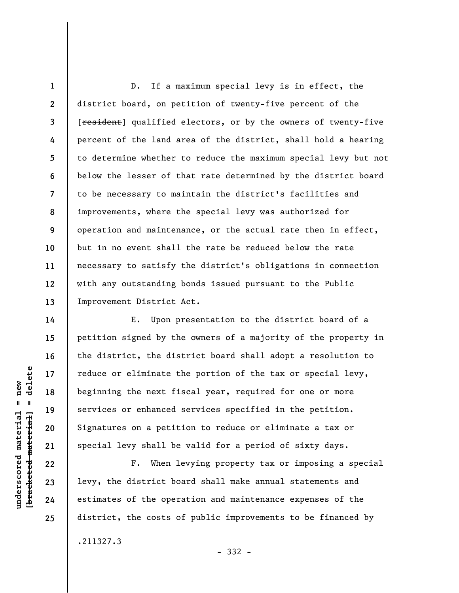**1 2 3 4 5 6 7 8 9 10 11 12 13**  D. If a maximum special levy is in effect, the district board, on petition of twenty-five percent of the [resident] qualified electors, or by the owners of twenty-five percent of the land area of the district, shall hold a hearing to determine whether to reduce the maximum special levy but not below the lesser of that rate determined by the district board to be necessary to maintain the district's facilities and improvements, where the special levy was authorized for operation and maintenance, or the actual rate then in effect, but in no event shall the rate be reduced below the rate necessary to satisfy the district's obligations in connection with any outstanding bonds issued pursuant to the Public Improvement District Act.

E. Upon presentation to the district board of a petition signed by the owners of a majority of the property in the district, the district board shall adopt a resolution to reduce or eliminate the portion of the tax or special levy, beginning the next fiscal year, required for one or more services or enhanced services specified in the petition. Signatures on a petition to reduce or eliminate a tax or special levy shall be valid for a period of sixty days.

F. When levying property tax or imposing a special levy, the district board shall make annual statements and estimates of the operation and maintenance expenses of the district, the costs of public improvements to be financed by .211327.3

- 332 -

delete **[bracketed material] = delete**  $anderscored material = new$ **underscored material = new**  $\mathbf{I}$ bracketed material

**14** 

**15** 

**16** 

**17** 

**18** 

**19** 

**20** 

**21** 

**22** 

**23** 

**24**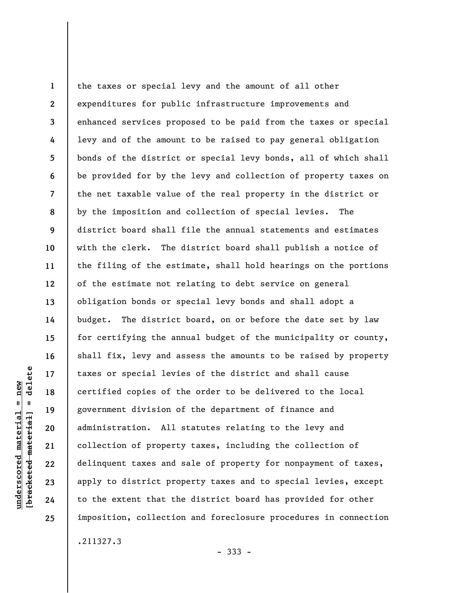**1 2 3 4 5 6 7 8 9 10 11 12 13 14 15 16 17 18 19 20 21 22 23 24 25**  the taxes or special levy and the amount of all other expenditures for public infrastructure improvements and enhanced services proposed to be paid from the taxes or special levy and of the amount to be raised to pay general obligation bonds of the district or special levy bonds, all of which shall be provided for by the levy and collection of property taxes on the net taxable value of the real property in the district or by the imposition and collection of special levies. The district board shall file the annual statements and estimates with the clerk. The district board shall publish a notice of the filing of the estimate, shall hold hearings on the portions of the estimate not relating to debt service on general obligation bonds or special levy bonds and shall adopt a budget. The district board, on or before the date set by law for certifying the annual budget of the municipality or county, shall fix, levy and assess the amounts to be raised by property taxes or special levies of the district and shall cause certified copies of the order to be delivered to the local government division of the department of finance and administration. All statutes relating to the levy and collection of property taxes, including the collection of delinquent taxes and sale of property for nonpayment of taxes, apply to district property taxes and to special levies, except to the extent that the district board has provided for other imposition, collection and foreclosure procedures in connection

- 333 -

delete **[bracketed material] = delete**  $underscored material = new$ **underscored material = new**  $\mathbf{I}$ bracketed material

.211327.3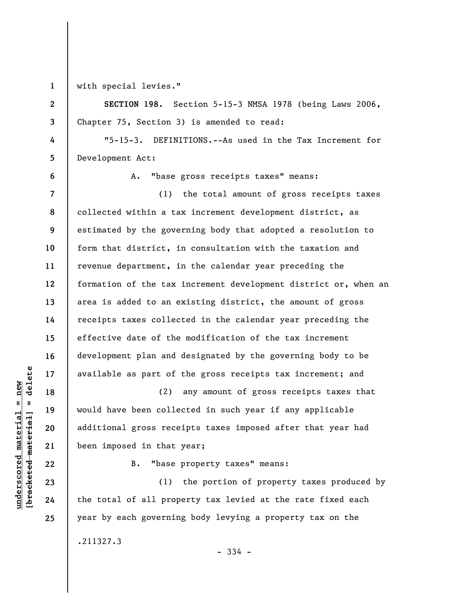**1 2** 

**3** 

**4** 

**5** 

**6** 

with special levies."

**SECTION 198.** Section 5-15-3 NMSA 1978 (being Laws 2006, Chapter 75, Section 3) is amended to read:

"5-15-3. DEFINITIONS.--As used in the Tax Increment for Development Act:

A. "base gross receipts taxes" means:

**7 8 9 10 11 12 13 14 15 16 17**  (1) the total amount of gross receipts taxes collected within a tax increment development district, as estimated by the governing body that adopted a resolution to form that district, in consultation with the taxation and revenue department, in the calendar year preceding the formation of the tax increment development district or, when an area is added to an existing district, the amount of gross receipts taxes collected in the calendar year preceding the effective date of the modification of the tax increment development plan and designated by the governing body to be available as part of the gross receipts tax increment; and

(2) any amount of gross receipts taxes that would have been collected in such year if any applicable additional gross receipts taxes imposed after that year had been imposed in that year;

B. "base property taxes" means:

(1) the portion of property taxes produced by the total of all property tax levied at the rate fixed each year by each governing body levying a property tax on the .211327.3

- 334 -

**18** 

**19** 

**20** 

**21** 

**22** 

**23** 

**24**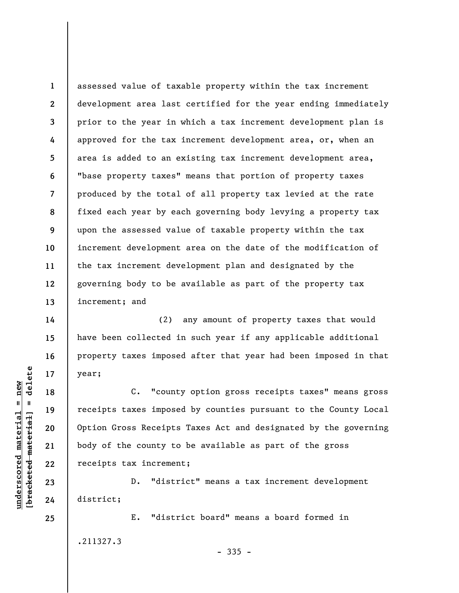**1 2 3 4 5 6 7 8 9 10 11 12 13**  assessed value of taxable property within the tax increment development area last certified for the year ending immediately prior to the year in which a tax increment development plan is approved for the tax increment development area, or, when an area is added to an existing tax increment development area, "base property taxes" means that portion of property taxes produced by the total of all property tax levied at the rate fixed each year by each governing body levying a property tax upon the assessed value of taxable property within the tax increment development area on the date of the modification of the tax increment development plan and designated by the governing body to be available as part of the property tax increment; and

(2) any amount of property taxes that would have been collected in such year if any applicable additional property taxes imposed after that year had been imposed in that year;

C. "county option gross receipts taxes" means gross receipts taxes imposed by counties pursuant to the County Local Option Gross Receipts Taxes Act and designated by the governing body of the county to be available as part of the gross receipts tax increment;

D. "district" means a tax increment development district;

E. "district board" means a board formed in .211327.3  $-335 -$ 

 $b$ racketed material] = delete **[bracketed material] = delete**  $underscored material = new$ **underscored material = new**

**25** 

**14** 

**15** 

**16** 

**17** 

**18** 

**19** 

**20** 

**21** 

**22** 

**23**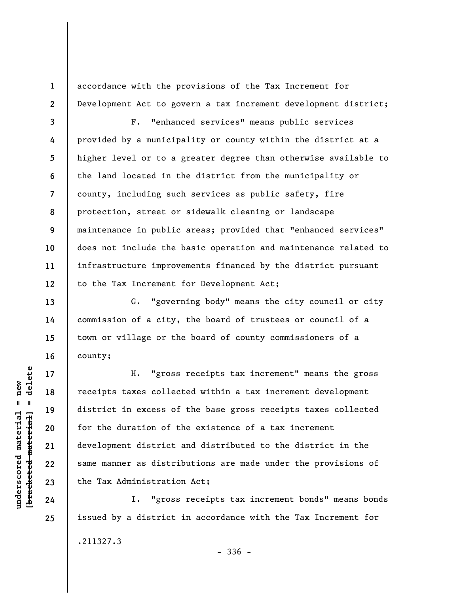accordance with the provisions of the Tax Increment for Development Act to govern a tax increment development district;

**3 4 5 6 7 8 9 10 11 12**  F. "enhanced services" means public services provided by a municipality or county within the district at a higher level or to a greater degree than otherwise available to the land located in the district from the municipality or county, including such services as public safety, fire protection, street or sidewalk cleaning or landscape maintenance in public areas; provided that "enhanced services" does not include the basic operation and maintenance related to infrastructure improvements financed by the district pursuant to the Tax Increment for Development Act;

G. "governing body" means the city council or city commission of a city, the board of trustees or council of a town or village or the board of county commissioners of a county;

H. "gross receipts tax increment" means the gross receipts taxes collected within a tax increment development district in excess of the base gross receipts taxes collected for the duration of the existence of a tax increment development district and distributed to the district in the same manner as distributions are made under the provisions of the Tax Administration Act;

I. "gross receipts tax increment bonds" means bonds issued by a district in accordance with the Tax Increment for .211327.3 - 336 -

 $\frac{1}{2}$  intereted material = delete **[bracketed material] = delete**  $underscored material = new$ **underscored material = new**

**1** 

**2** 

**13** 

**14** 

**15** 

**16** 

**17** 

**18** 

**19** 

**20** 

**21** 

**22** 

**23** 

**24**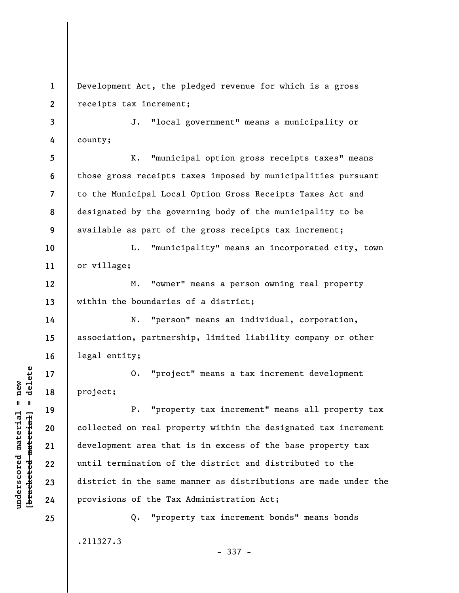**1 2**  Development Act, the pledged revenue for which is a gross receipts tax increment;

**3 4**  J. "local government" means a municipality or county;

**5 6 7 8 9**  K. "municipal option gross receipts taxes" means those gross receipts taxes imposed by municipalities pursuant to the Municipal Local Option Gross Receipts Taxes Act and designated by the governing body of the municipality to be available as part of the gross receipts tax increment;

**10 11**  L. "municipality" means an incorporated city, town or village;

M. "owner" means a person owning real property within the boundaries of a district;

N. "person" means an individual, corporation, association, partnership, limited liability company or other legal entity;

O. "project" means a tax increment development project;

P. "property tax increment" means all property tax collected on real property within the designated tax increment development area that is in excess of the base property tax until termination of the district and distributed to the district in the same manner as distributions are made under the provisions of the Tax Administration Act;

Q. "property tax increment bonds" means bonds .211327.3

 $b$ racketed material] = delete **[bracketed material] = delete**  $underscored material = new$ **underscored material = new**

**12** 

**13** 

**14** 

**15** 

**16** 

**17** 

**18** 

**19** 

**20** 

**21** 

**22** 

**23** 

**24**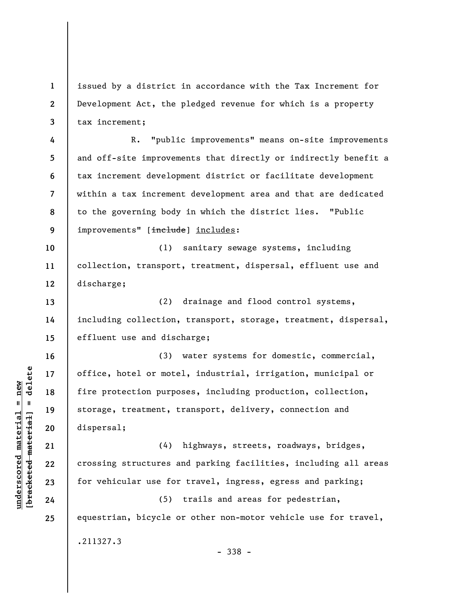**1 2 3**  issued by a district in accordance with the Tax Increment for Development Act, the pledged revenue for which is a property tax increment;

**4 5 6 7 8 9**  R. "public improvements" means on-site improvements and off-site improvements that directly or indirectly benefit a tax increment development district or facilitate development within a tax increment development area and that are dedicated to the governing body in which the district lies. "Public improvements" [include] includes:

**10 11 12**  (1) sanitary sewage systems, including collection, transport, treatment, dispersal, effluent use and discharge;

**13 14 15**  (2) drainage and flood control systems, including collection, transport, storage, treatment, dispersal, effluent use and discharge;

(3) water systems for domestic, commercial, office, hotel or motel, industrial, irrigation, municipal or fire protection purposes, including production, collection, storage, treatment, transport, delivery, connection and dispersal;

(4) highways, streets, roadways, bridges, crossing structures and parking facilities, including all areas for vehicular use for travel, ingress, egress and parking;

(5) trails and areas for pedestrian, equestrian, bicycle or other non-motor vehicle use for travel, .211327.3

 $\frac{1}{2}$  intereted material = delete **[bracketed material] = delete**  $underscored material = new$ **underscored material = new**

**16** 

**17** 

**18** 

**19** 

**20** 

**21** 

**22** 

**23** 

**24**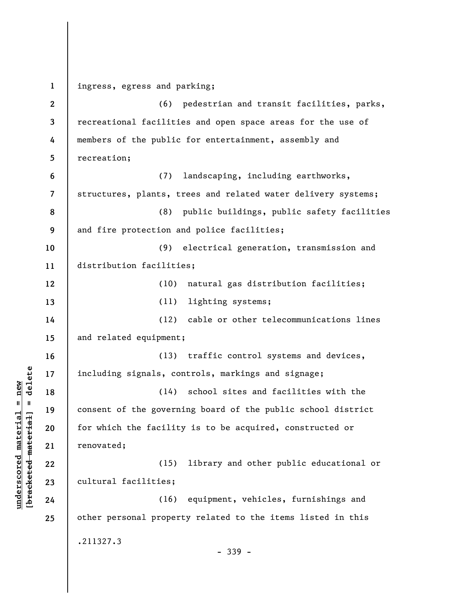**1 2 3 4 5 6 7 8 9 10 11 12 13 14 15 16 17 18 19 20 21 22 23 24 25**  ingress, egress and parking; (6) pedestrian and transit facilities, parks, recreational facilities and open space areas for the use of members of the public for entertainment, assembly and recreation; (7) landscaping, including earthworks, structures, plants, trees and related water delivery systems; (8) public buildings, public safety facilities and fire protection and police facilities; (9) electrical generation, transmission and distribution facilities; (10) natural gas distribution facilities; (11) lighting systems; (12) cable or other telecommunications lines and related equipment; (13) traffic control systems and devices, including signals, controls, markings and signage; (14) school sites and facilities with the consent of the governing board of the public school district for which the facility is to be acquired, constructed or renovated; (15) library and other public educational or cultural facilities; (16) equipment, vehicles, furnishings and other personal property related to the items listed in this .211327.3 - 339 -

**underscored material = new [bracketed material] = delete**

 $\frac{1}{2}$  intereted material = delete  $underscored material = new$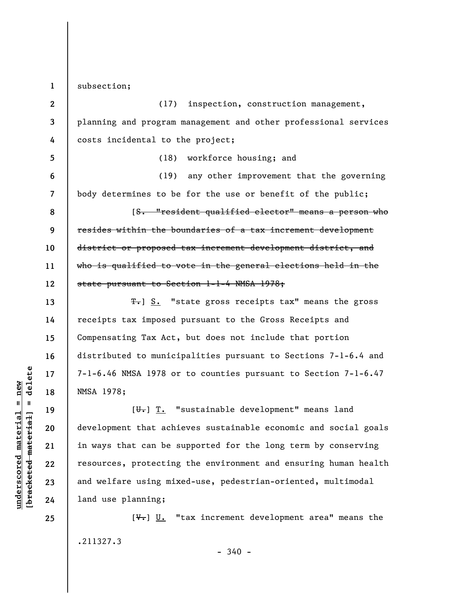**1**  subsection;

**2 3 4 5 6 7 8 9 10 11 12**  (17) inspection, construction management, planning and program management and other professional services costs incidental to the project; (18) workforce housing; and (19) any other improvement that the governing body determines to be for the use or benefit of the public; [S. "resident qualified elector" means a person who resides within the boundaries of a tax increment development district or proposed tax increment development district, and who is qualified to vote in the general elections held in the state pursuant to Section 1-1-4 NMSA 1978;

T.] S. "state gross receipts tax" means the gross receipts tax imposed pursuant to the Gross Receipts and Compensating Tax Act, but does not include that portion distributed to municipalities pursuant to Sections 7-1-6.4 and 7-1-6.46 NMSA 1978 or to counties pursuant to Section 7-1-6.47 NMSA 1978;

 $[\overline{\mathbf{u}}_t]$   $\overline{\mathbf{T}}_t$  "sustainable development" means land development that achieves sustainable economic and social goals in ways that can be supported for the long term by conserving resources, protecting the environment and ensuring human health and welfare using mixed-use, pedestrian-oriented, multimodal land use planning;

 $[\mathcal{F}_r]$  U. "tax increment development area" means the .211327.3

 $\frac{1}{2}$  bracketed material = delete **[bracketed material] = delete**  $underscored material = new$ **underscored material = new**

**13** 

**14** 

**15** 

**16** 

**17** 

**18** 

**19** 

**20** 

**21** 

**22** 

**23** 

**24**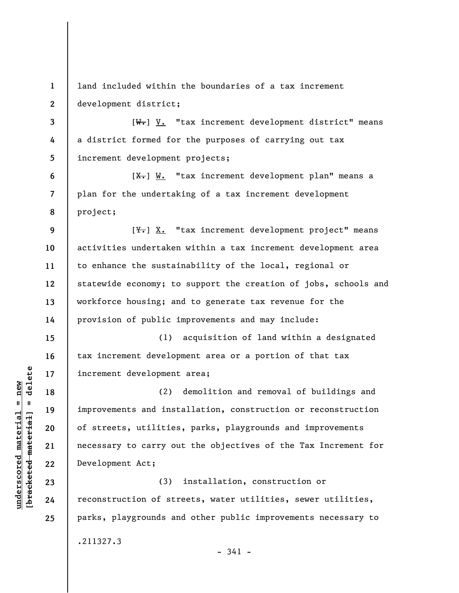**1 2 3 4 5 6 7 8 9 10 11 12 13 14 15 16 17 18 19 20 21 22 23 24 25**  land included within the boundaries of a tax increment development district;  $[W_{\bullet}]$  V. "tax increment development district" means a district formed for the purposes of carrying out tax increment development projects;  $[X<sub>1</sub>]$  W. "tax increment development plan" means a plan for the undertaking of a tax increment development project;  $[\frac{V}{N}]$  X. "tax increment development project" means activities undertaken within a tax increment development area to enhance the sustainability of the local, regional or statewide economy; to support the creation of jobs, schools and workforce housing; and to generate tax revenue for the provision of public improvements and may include: (1) acquisition of land within a designated tax increment development area or a portion of that tax increment development area; (2) demolition and removal of buildings and improvements and installation, construction or reconstruction of streets, utilities, parks, playgrounds and improvements necessary to carry out the objectives of the Tax Increment for Development Act; (3) installation, construction or reconstruction of streets, water utilities, sewer utilities, parks, playgrounds and other public improvements necessary to .211327.3

- 341 -

 $\frac{1}{2}$  bracketed material = delete **[bracketed material] = delete**  $underscored material = new$ **underscored material = new**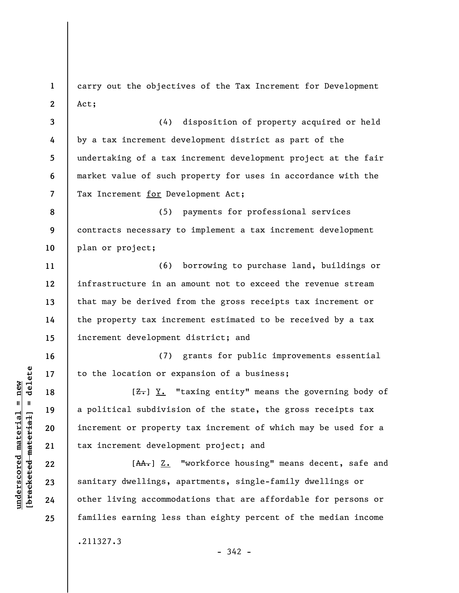**1 2**  carry out the objectives of the Tax Increment for Development Act;

**3 4 5 6 7**  (4) disposition of property acquired or held by a tax increment development district as part of the undertaking of a tax increment development project at the fair market value of such property for uses in accordance with the Tax Increment for Development Act;

**8 9 10**  (5) payments for professional services contracts necessary to implement a tax increment development plan or project;

(6) borrowing to purchase land, buildings or infrastructure in an amount not to exceed the revenue stream that may be derived from the gross receipts tax increment or the property tax increment estimated to be received by a tax increment development district; and

(7) grants for public improvements essential to the location or expansion of a business;

 $[**Z**]<sub>+</sub>$   $[**Y**]<sub>+</sub>$  "taxing entity" means the governing body of a political subdivision of the state, the gross receipts tax increment or property tax increment of which may be used for a tax increment development project; and

[AA.] Z. "workforce housing" means decent, safe and sanitary dwellings, apartments, single-family dwellings or other living accommodations that are affordable for persons or families earning less than eighty percent of the median income .211327.3  $-342 -$ 

 $\frac{1}{2}$  intereted material = delete **[bracketed material] = delete**  $underscored material = new$ **underscored material = new**

**11** 

**12** 

**13** 

**14** 

**15** 

**16** 

**17** 

**18** 

**19** 

**20** 

**21** 

**22** 

**23** 

**24**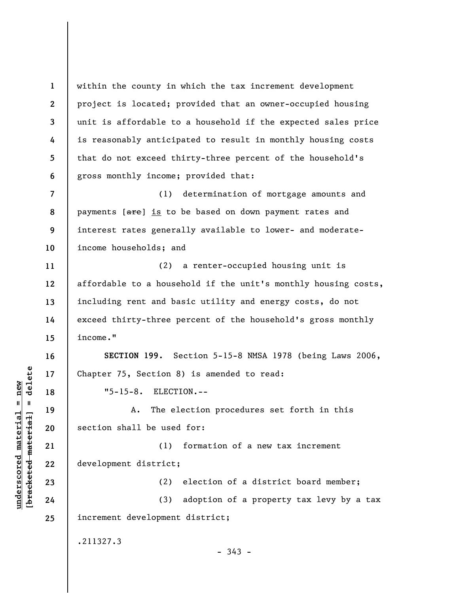**1 2 3 4 5 6 7 8 9 10 11 12 13 14 15 16 17 18 19 20 21 22 23 24 25**  within the county in which the tax increment development project is located; provided that an owner-occupied housing unit is affordable to a household if the expected sales price is reasonably anticipated to result in monthly housing costs that do not exceed thirty-three percent of the household's gross monthly income; provided that: (1) determination of mortgage amounts and payments [are] is to be based on down payment rates and interest rates generally available to lower- and moderateincome households; and (2) a renter-occupied housing unit is affordable to a household if the unit's monthly housing costs, including rent and basic utility and energy costs, do not exceed thirty-three percent of the household's gross monthly income." **SECTION 199.** Section 5-15-8 NMSA 1978 (being Laws 2006, Chapter 75, Section 8) is amended to read: "5-15-8. ELECTION.-- A. The election procedures set forth in this section shall be used for: (1) formation of a new tax increment development district; (2) election of a district board member; (3) adoption of a property tax levy by a tax increment development district; .211327.3  $-343 -$ 

 $\frac{1}{2}$  intereted material = delete **[bracketed material] = delete**  $underscored material = new$ **underscored material = new**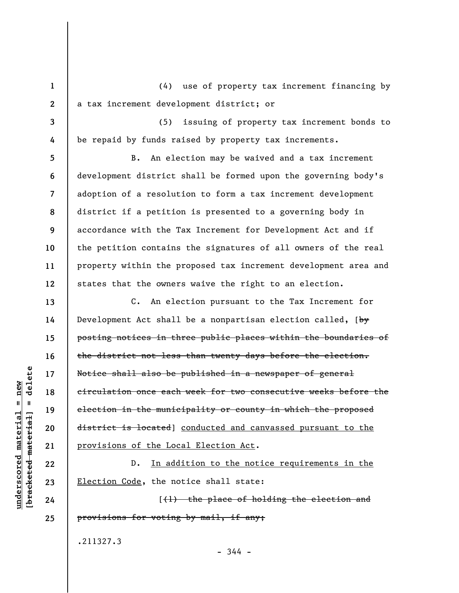(4) use of property tax increment financing by a tax increment development district; or

(5) issuing of property tax increment bonds to be repaid by funds raised by property tax increments.

**5 6 7 8 9 10 11 12**  B. An election may be waived and a tax increment development district shall be formed upon the governing body's adoption of a resolution to form a tax increment development district if a petition is presented to a governing body in accordance with the Tax Increment for Development Act and if the petition contains the signatures of all owners of the real property within the proposed tax increment development area and states that the owners waive the right to an election.

C. An election pursuant to the Tax Increment for Development Act shall be a nonpartisan election called,  $\{b^y\}$ posting notices in three public places within the boundaries of the district not less than twenty days before the election. Notice shall also be published in a newspaper of general circulation once each week for two consecutive weeks before the election in the municipality or county in which the proposed district is located] conducted and canvassed pursuant to the provisions of the Local Election Act.

D. In addition to the notice requirements in the Election Code, the notice shall state:

[(1) the place of holding the election and provisions for voting by mail, if any;

- 344 -

.211327.3

**[bracketed material] = delete**  $underscored material = new$ **underscored material = new** bracketed material

delete

 $\mathbf{I}$ 

**1** 

**2** 

**3** 

**4** 

**13** 

**14** 

**15** 

**16** 

**17** 

**18** 

**19** 

**20** 

**21** 

**22** 

**23** 

**24**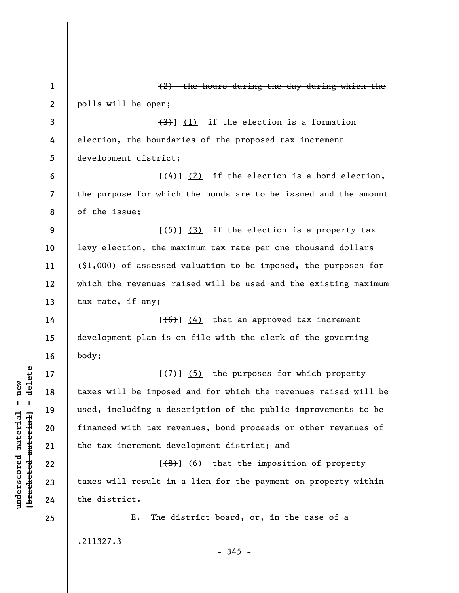**1 2 3 4 5 6 7 8 9 10 11 12 13 14 15 16 17 18 19 20 21 22 23 24 25**  (2) the hours during the day during which the polls will be open;  $(3)$ ] (1) if the election is a formation election, the boundaries of the proposed tax increment development district;  $[\frac{4}{4}]$  (2) if the election is a bond election, the purpose for which the bonds are to be issued and the amount of the issue;  $[\frac{1}{5}]$  (3) if the election is a property tax levy election, the maximum tax rate per one thousand dollars (\$1,000) of assessed valuation to be imposed, the purposes for which the revenues raised will be used and the existing maximum tax rate, if any;  $[\left(6\right)]$  (4) that an approved tax increment development plan is on file with the clerk of the governing body;  $[\overline{(7)}]$  (5) the purposes for which property taxes will be imposed and for which the revenues raised will be used, including a description of the public improvements to be financed with tax revenues, bond proceeds or other revenues of the tax increment development district; and  $[$   $($ 8 $)$ ]  $($  6) that the imposition of property taxes will result in a lien for the payment on property within the district. E. The district board, or, in the case of a .211327.3  $-345 -$ 

**underscored material = new [bracketed material] = delete**

 $\frac{1}{2}$  intereted material = delete  $underscored material = new$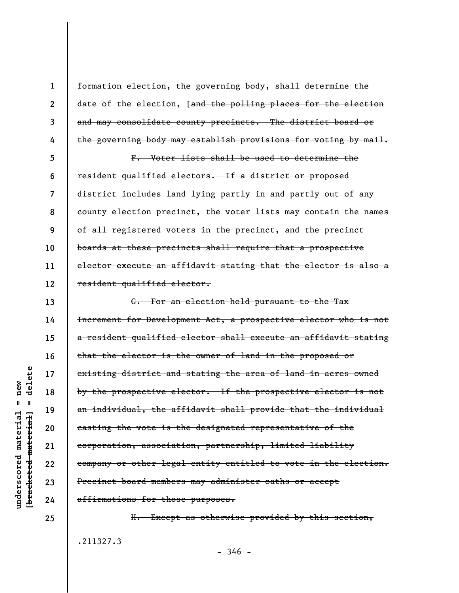formation election, the governing body, shall determine the date of the election, [and the polling places for the election and may consolidate county precincts. The district board or the governing body may establish provisions for voting by mail.

**5 6 7 8 9 10 11 12**  F. Voter lists shall be used to determine the resident qualified electors. If a district or proposed district includes land lying partly in and partly out of any county election precinct, the voter lists may contain the names of all registered voters in the precinct, and the precinct boards at these precincts shall require that a prospective elector execute an affidavit stating that the elector is also a resident qualified elector.

G. For an election held pursuant to the Tax Increment for Development Act, a prospective elector who is not a resident qualified elector shall execute an affidavit stating that the elector is the owner of land in the proposed or existing district and stating the area of land in acres owned by the prospective elector. If the prospective elector is not an individual, the affidavit shall provide that the individual casting the vote is the designated representative of the corporation, association, partnership, limited liability company or other legal entity entitled to vote in the election. Precinct board members may administer oaths or accept affirmations for those purposes.

H. Except as otherwise provided by this section, .211327.3  $-346 -$ 

delete **[bracketed material] = delete**  $anderscored material = new$ **underscored material = new**  $\mathbf{I}$ bracketed material

**24 25** 

**1** 

**2** 

**3** 

**4** 

**13** 

**14** 

**15** 

**16** 

**17** 

**18** 

**19** 

**20** 

**21** 

**22**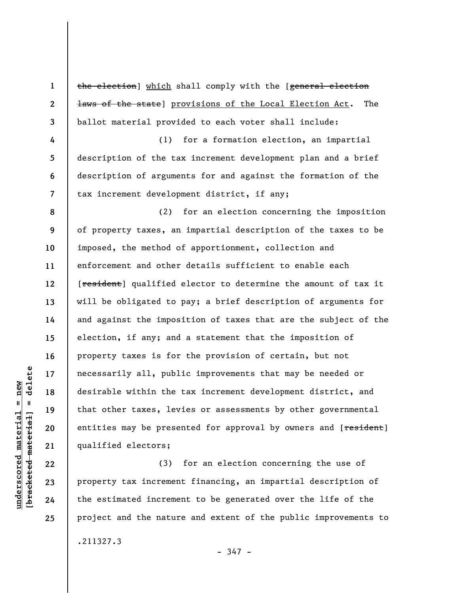**1 2 3 4 5 6 7 8 9 10 11 12 13 14 15 16 17 18 19 20 21 22**  the election] which shall comply with the [general election laws of the state] provisions of the Local Election Act. The ballot material provided to each voter shall include: (1) for a formation election, an impartial description of the tax increment development plan and a brief description of arguments for and against the formation of the tax increment development district, if any; (2) for an election concerning the imposition of property taxes, an impartial description of the taxes to be imposed, the method of apportionment, collection and enforcement and other details sufficient to enable each [resident] qualified elector to determine the amount of tax it will be obligated to pay; a brief description of arguments for and against the imposition of taxes that are the subject of the election, if any; and a statement that the imposition of property taxes is for the provision of certain, but not necessarily all, public improvements that may be needed or desirable within the tax increment development district, and that other taxes, levies or assessments by other governmental entities may be presented for approval by owners and [resident] qualified electors; (3) for an election concerning the use of

property tax increment financing, an impartial description of the estimated increment to be generated over the life of the project and the nature and extent of the public improvements to .211327.3

**23** 

**24** 

**25** 

- 347 -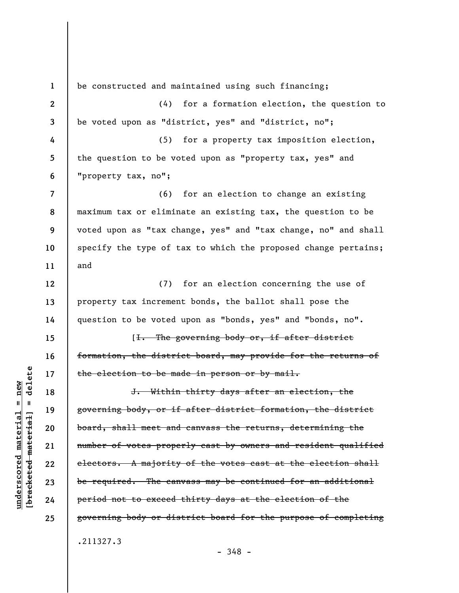**1 2 3 4 5 6 7 8 9 10 11 12 13 14 15 16 17 18 19 20 21 22 23 24 25**  be constructed and maintained using such financing; (4) for a formation election, the question to be voted upon as "district, yes" and "district, no"; (5) for a property tax imposition election, the question to be voted upon as "property tax, yes" and "property tax, no"; (6) for an election to change an existing maximum tax or eliminate an existing tax, the question to be voted upon as "tax change, yes" and "tax change, no" and shall specify the type of tax to which the proposed change pertains; and (7) for an election concerning the use of property tax increment bonds, the ballot shall pose the question to be voted upon as "bonds, yes" and "bonds, no". [I. The governing body or, if after district formation, the district board, may provide for the returns of the election to be made in person or by mail. J. Within thirty days after an election, the governing body, or if after district formation, the district board, shall meet and canvass the returns, determining the number of votes properly cast by owners and resident qualified electors. A majority of the votes cast at the election shall be required. The canvass may be continued for an additional period not to exceed thirty days at the election of the governing body or district board for the purpose of completing .211327.3

**[bracketed material] = delete**  $anderscored material = new$ **underscored material = new** bracketed material

 $=$  delete

- 348 -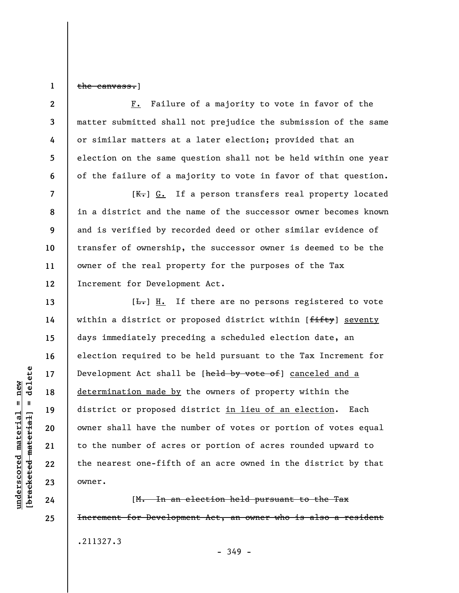**1**  the canvass.]

**2** 

**3** 

**4** 

**5** 

**6** 

**7** 

**8** 

**9** 

**10** 

**11** 

**12** 

**13** 

**14** 

**15** 

**16** 

**17** 

**18** 

**19** 

**20** 

**21** 

**22** 

**23** 

**24** 

**25** 

F. Failure of a majority to vote in favor of the matter submitted shall not prejudice the submission of the same or similar matters at a later election; provided that an election on the same question shall not be held within one year of the failure of a majority to vote in favor of that question.

 $[K_r]$  G. If a person transfers real property located in a district and the name of the successor owner becomes known and is verified by recorded deed or other similar evidence of transfer of ownership, the successor owner is deemed to be the owner of the real property for the purposes of the Tax Increment for Development Act.

 $[\frac{L}{\sqrt{L}}]$  If there are no persons registered to vote within a district or proposed district within [fifty] seventy days immediately preceding a scheduled election date, an election required to be held pursuant to the Tax Increment for Development Act shall be [held by vote of] canceled and a determination made by the owners of property within the district or proposed district in lieu of an election. Each owner shall have the number of votes or portion of votes equal to the number of acres or portion of acres rounded upward to the nearest one-fifth of an acre owned in the district by that owner.

[M. In an election held pursuant to the Tax Increment for Development Act, an owner who is also a resident .211327.3 - 349 -

 $\frac{1}{2}$  bracketed material = delete **[bracketed material] = delete**  $underscored material = new$ **underscored material = new**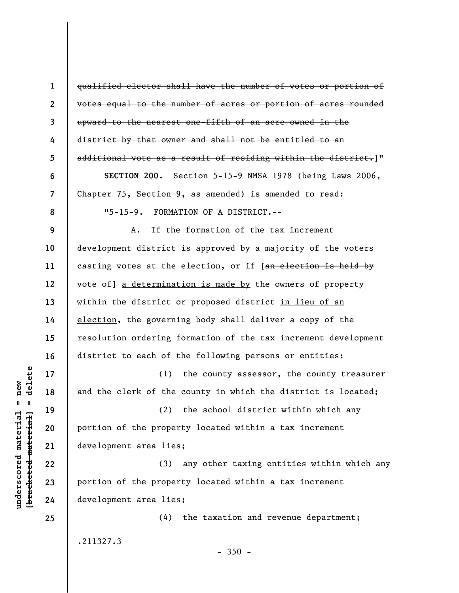**1 2 3 4 5 6 7 8 9 10 11 12 13 14 15 16 17 18 19 20 21 22 23 24 25**  qualified elector shall have the number of votes or portion of votes equal to the number of acres or portion of acres rounded upward to the nearest one-fifth of an acre owned in the district by that owner and shall not be entitled to an additional vote as a result of residing within the district.]" **SECTION 200.** Section 5-15-9 NMSA 1978 (being Laws 2006, Chapter 75, Section 9, as amended) is amended to read: "5-15-9. FORMATION OF A DISTRICT.-- A. If the formation of the tax increment development district is approved by a majority of the voters casting votes at the election, or if [an election is held by vote of] a determination is made by the owners of property within the district or proposed district in lieu of an election, the governing body shall deliver a copy of the resolution ordering formation of the tax increment development district to each of the following persons or entities: (1) the county assessor, the county treasurer and the clerk of the county in which the district is located; (2) the school district within which any portion of the property located within a tax increment development area lies; (3) any other taxing entities within which any portion of the property located within a tax increment development area lies; (4) the taxation and revenue department; .211327.3

 $-350 -$ 

delete **[bracketed material] = delete**  $underscored material = new$ **underscored material = new**  $\mathbf{I}$ bracketed material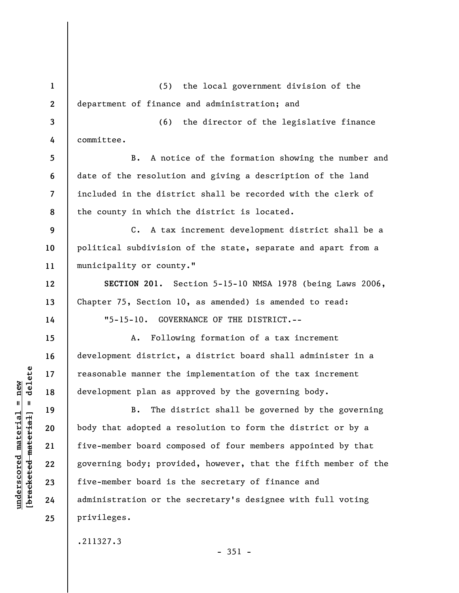**1 2 3 4 5 6 7 8 9 10 11 12 13 14 15 16 17 18 19 20 21 22 23 24 25**  (5) the local government division of the department of finance and administration; and (6) the director of the legislative finance committee. B. A notice of the formation showing the number and date of the resolution and giving a description of the land included in the district shall be recorded with the clerk of the county in which the district is located. C. A tax increment development district shall be a political subdivision of the state, separate and apart from a municipality or county." **SECTION 201.** Section 5-15-10 NMSA 1978 (being Laws 2006, Chapter 75, Section 10, as amended) is amended to read: "5-15-10. GOVERNANCE OF THE DISTRICT.-- A. Following formation of a tax increment development district, a district board shall administer in a reasonable manner the implementation of the tax increment development plan as approved by the governing body. B. The district shall be governed by the governing body that adopted a resolution to form the district or by a five-member board composed of four members appointed by that governing body; provided, however, that the fifth member of the five-member board is the secretary of finance and administration or the secretary's designee with full voting privileges. .211327.3

 $-351 -$ 

 $b$ racketed material] = delete **[bracketed material] = delete**  $underscored material = new$ **underscored material = new**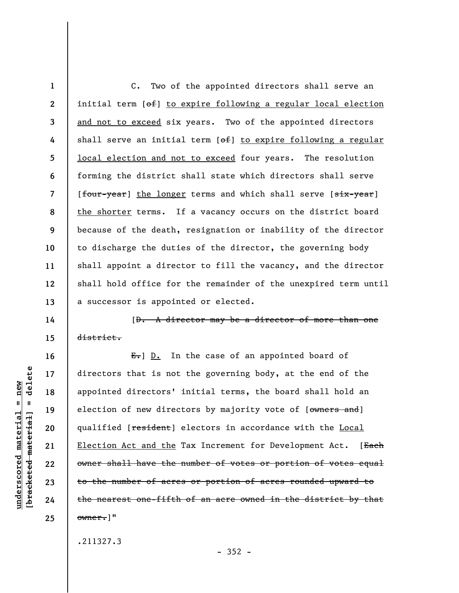**1 2 3 4 5 6 7 8 9 10 11 12 13**  C. Two of the appointed directors shall serve an initial term [of] to expire following a regular local election and not to exceed six years. Two of the appointed directors shall serve an initial term [of] to expire following a regular local election and not to exceed four years. The resolution forming the district shall state which directors shall serve [four-year] the longer terms and which shall serve [six-year] the shorter terms. If a vacancy occurs on the district board because of the death, resignation or inability of the director to discharge the duties of the director, the governing body shall appoint a director to fill the vacancy, and the director shall hold office for the remainder of the unexpired term until a successor is appointed or elected.

[D. A director may be a director of more than one district.

 $E_{\bullet}$ ] D. In the case of an appointed board of directors that is not the governing body, at the end of the appointed directors' initial terms, the board shall hold an election of new directors by majority vote of [owners and] qualified [**resident**] electors in accordance with the Local Election Act and the Tax Increment for Development Act. [Each owner shall have the number of votes or portion of votes equal to the number of acres or portion of acres rounded upward to the nearest one-fifth of an acre owned in the district by that owner.]"

.211327.3

delete **[bracketed material] = delete**  $underscored material = new$ **underscored material = new**  $\mathbf{I}$ bracketed material

**14** 

**15** 

**16** 

**17** 

**18** 

**19** 

**20** 

**21** 

**22** 

**23** 

**24**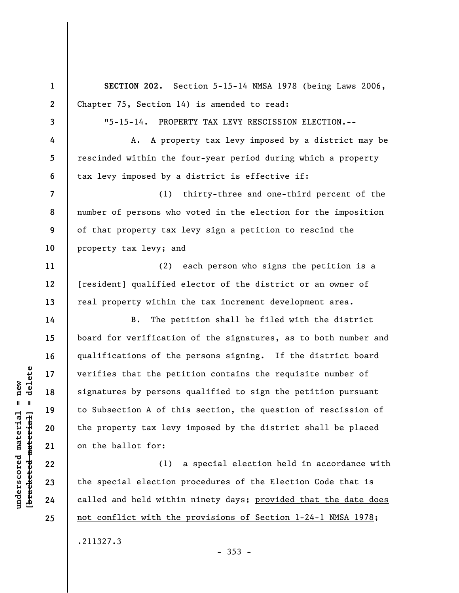**1 2 3 4 5 6 7 8 9 10 11 12 13 14 15 16 17 18 19 20 21 22 23 24 SECTION 202.** Section 5-15-14 NMSA 1978 (being Laws 2006, Chapter 75, Section 14) is amended to read: "5-15-14. PROPERTY TAX LEVY RESCISSION ELECTION.-- A. A property tax levy imposed by a district may be rescinded within the four-year period during which a property tax levy imposed by a district is effective if: (1) thirty-three and one-third percent of the number of persons who voted in the election for the imposition of that property tax levy sign a petition to rescind the property tax levy; and (2) each person who signs the petition is a [resident] qualified elector of the district or an owner of real property within the tax increment development area. B. The petition shall be filed with the district board for verification of the signatures, as to both number and qualifications of the persons signing. If the district board verifies that the petition contains the requisite number of signatures by persons qualified to sign the petition pursuant to Subsection A of this section, the question of rescission of the property tax levy imposed by the district shall be placed on the ballot for: (1) a special election held in accordance with the special election procedures of the Election Code that is called and held within ninety days; provided that the date does

 $\frac{1}{2}$  bracketed material = delete **[bracketed material] = delete**

**underscored material = new**

 $underscored material = new$ 

**25** 

.211327.3

 $-353 -$ 

not conflict with the provisions of Section 1-24-1 NMSA 1978;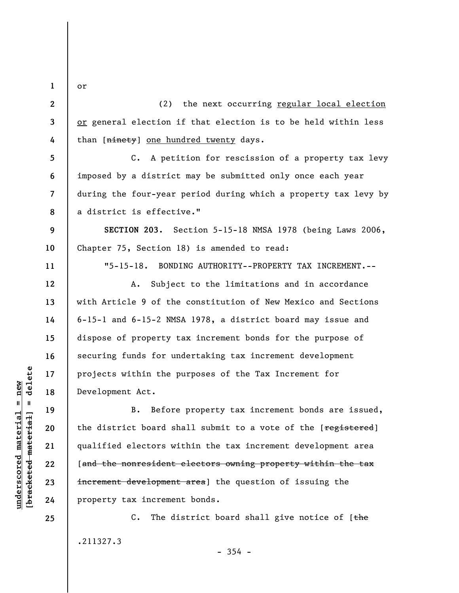**1** 

or

**5** 

**6** 

**7** 

**8** 

**9** 

**10** 

**11** 

**12** 

**13** 

**14** 

**15** 

**16** 

**17** 

**18** 

**19** 

**20** 

**21** 

**22** 

**23** 

**24** 

**25** 

**2 3 4**  (2) the next occurring regular local election or general election if that election is to be held within less than [ninety] one hundred twenty days.

C. A petition for rescission of a property tax levy imposed by a district may be submitted only once each year during the four-year period during which a property tax levy by a district is effective."

**SECTION 203.** Section 5-15-18 NMSA 1978 (being Laws 2006, Chapter 75, Section 18) is amended to read:

"5-15-18. BONDING AUTHORITY--PROPERTY TAX INCREMENT.--

A. Subject to the limitations and in accordance with Article 9 of the constitution of New Mexico and Sections 6-15-1 and 6-15-2 NMSA 1978, a district board may issue and dispose of property tax increment bonds for the purpose of securing funds for undertaking tax increment development projects within the purposes of the Tax Increment for Development Act.

B. Before property tax increment bonds are issued, the district board shall submit to a vote of the [registered] qualified electors within the tax increment development area [and the nonresident electors owning property within the tax increment development area] the question of issuing the property tax increment bonds.

C. The district board shall give notice of  $[the$ .211327.3

 $\frac{1}{2}$  bracketed material = delete **[bracketed material] = delete**  $underscored material = new$ **underscored material = new**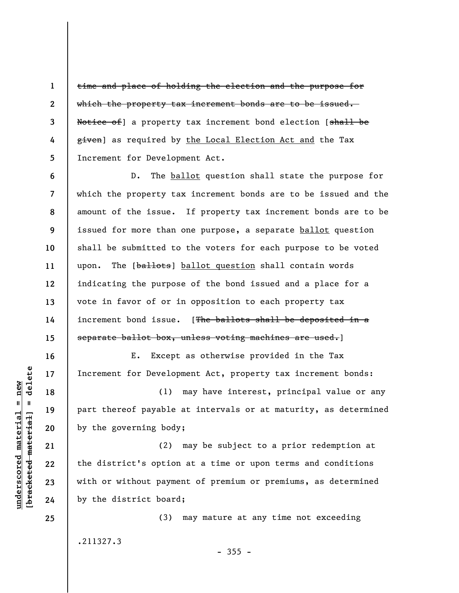time and place of holding the election and the purpose for which the property tax increment bonds are to be issued. Notice of] a property tax increment bond election [shall be given] as required by the Local Election Act and the Tax Increment for Development Act.

**6 7 8 9 10 11 12 13 14 15**  D. The ballot question shall state the purpose for which the property tax increment bonds are to be issued and the amount of the issue. If property tax increment bonds are to be issued for more than one purpose, a separate ballot question shall be submitted to the voters for each purpose to be voted upon. The [ballots] ballot question shall contain words indicating the purpose of the bond issued and a place for a vote in favor of or in opposition to each property tax increment bond issue. [The ballots shall be deposited in a separate ballot box, unless voting machines are used.]

E. Except as otherwise provided in the Tax Increment for Development Act, property tax increment bonds:

(1) may have interest, principal value or any part thereof payable at intervals or at maturity, as determined by the governing body;

(2) may be subject to a prior redemption at the district's option at a time or upon terms and conditions with or without payment of premium or premiums, as determined by the district board;

(3) may mature at any time not exceeding .211327.3

 $-355 -$ 

 $\frac{1}{2}$  intereted material = delete **[bracketed material] = delete**  $underscored material = new$ **underscored material = new**

**1** 

**2** 

**3** 

**4** 

**5** 

**16** 

**17** 

**18** 

**19** 

**20** 

**21** 

**22** 

**23** 

**24**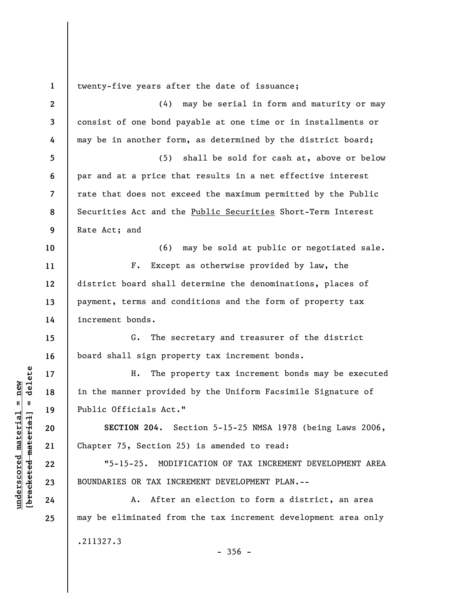**1 2 3 4 5 6 7 8 9 10 11 12 13 14 15 16 17 18 19 20 21 22 23 24 25**  twenty-five years after the date of issuance; (4) may be serial in form and maturity or may consist of one bond payable at one time or in installments or may be in another form, as determined by the district board; (5) shall be sold for cash at, above or below par and at a price that results in a net effective interest rate that does not exceed the maximum permitted by the Public Securities Act and the Public Securities Short-Term Interest Rate Act; and (6) may be sold at public or negotiated sale. F. Except as otherwise provided by law, the district board shall determine the denominations, places of payment, terms and conditions and the form of property tax increment bonds. G. The secretary and treasurer of the district board shall sign property tax increment bonds. H. The property tax increment bonds may be executed in the manner provided by the Uniform Facsimile Signature of Public Officials Act." **SECTION 204.** Section 5-15-25 NMSA 1978 (being Laws 2006, Chapter 75, Section 25) is amended to read: "5-15-25. MODIFICATION OF TAX INCREMENT DEVELOPMENT AREA BOUNDARIES OR TAX INCREMENT DEVELOPMENT PLAN.-- A. After an election to form a district, an area may be eliminated from the tax increment development area only .211327.3  $-356 -$ 

**underscored material = new [bracketed material] = delete**

 $\frac{1}{2}$  intereted material = delete  $underscored material = new$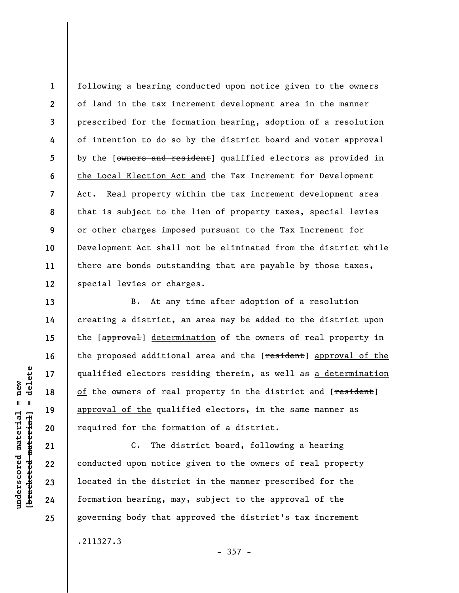**8 12**  following a hearing conducted upon notice given to the owners of land in the tax increment development area in the manner prescribed for the formation hearing, adoption of a resolution of intention to do so by the district board and voter approval by the [owners and resident] qualified electors as provided in the Local Election Act and the Tax Increment for Development Act. Real property within the tax increment development area that is subject to the lien of property taxes, special levies or other charges imposed pursuant to the Tax Increment for Development Act shall not be eliminated from the district while there are bonds outstanding that are payable by those taxes, special levies or charges.

B. At any time after adoption of a resolution creating a district, an area may be added to the district upon the [approval] determination of the owners of real property in the proposed additional area and the [resident] approval of the qualified electors residing therein, as well as a determination of the owners of real property in the district and [resident] approval of the qualified electors, in the same manner as required for the formation of a district.

C. The district board, following a hearing conducted upon notice given to the owners of real property located in the district in the manner prescribed for the formation hearing, may, subject to the approval of the governing body that approved the district's tax increment

.211327.3

 $-357 -$ 

delete **[bracketed material] = delete**  $anderscored material = new$ **underscored material = new**  $\mathbf{u}$ bracketed material

**1** 

**2** 

**3** 

**4** 

**5** 

**6** 

**7** 

**9** 

**10** 

**11** 

**13** 

**14** 

**15** 

**16** 

**17** 

**18** 

**19** 

**20** 

**21** 

**22** 

**23** 

**24**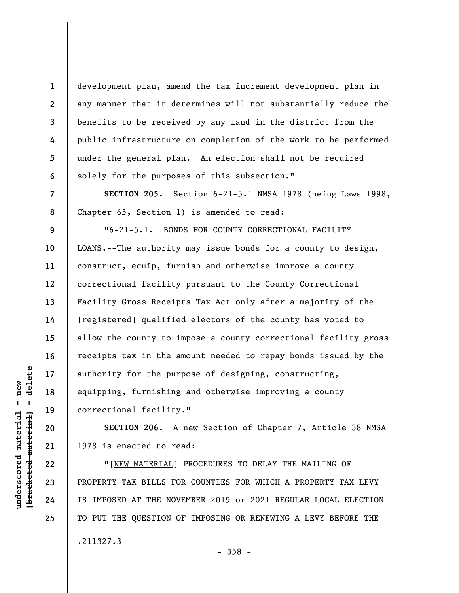development plan, amend the tax increment development plan in any manner that it determines will not substantially reduce the benefits to be received by any land in the district from the public infrastructure on completion of the work to be performed under the general plan. An election shall not be required solely for the purposes of this subsection."

**SECTION 205.** Section 6-21-5.1 NMSA 1978 (being Laws 1998, Chapter 65, Section 1) is amended to read:

**9 10 11 12 13 14 15 16 17 18 19**  "6-21-5.1. BONDS FOR COUNTY CORRECTIONAL FACILITY LOANS.--The authority may issue bonds for a county to design, construct, equip, furnish and otherwise improve a county correctional facility pursuant to the County Correctional Facility Gross Receipts Tax Act only after a majority of the [registered] qualified electors of the county has voted to allow the county to impose a county correctional facility gross receipts tax in the amount needed to repay bonds issued by the authority for the purpose of designing, constructing, equipping, furnishing and otherwise improving a county correctional facility."

**SECTION 206.** A new Section of Chapter 7, Article 38 NMSA 1978 is enacted to read:

**"**[NEW MATERIAL] PROCEDURES TO DELAY THE MAILING OF PROPERTY TAX BILLS FOR COUNTIES FOR WHICH A PROPERTY TAX LEVY IS IMPOSED AT THE NOVEMBER 2019 or 2021 REGULAR LOCAL ELECTION TO PUT THE QUESTION OF IMPOSING OR RENEWING A LEVY BEFORE THE .211327.3

**20** 

**21** 

**22** 

**23** 

**24** 

**25** 

**1** 

**2** 

**3** 

**4** 

**5** 

**6** 

**7**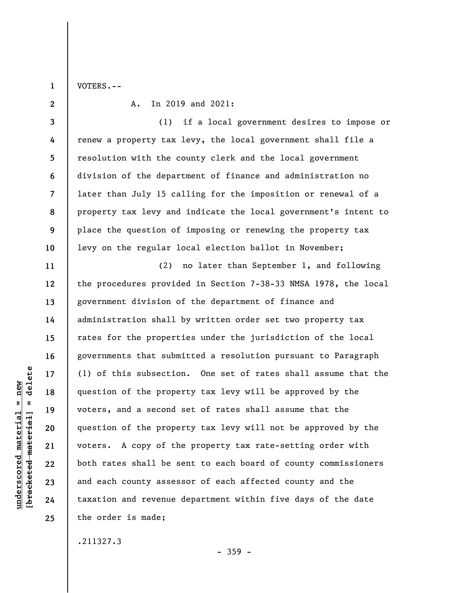VOTERS.--

**1** 

**2** 

**11** 

**12** 

**13** 

**14** 

**15** 

**16** 

**17** 

**18** 

**19** 

**20** 

**21** 

**22** 

**23** 

**24** 

**25** 

A. In 2019 and 2021:

**3 4 5 6 7 8 9 10**  (1) if a local government desires to impose or renew a property tax levy, the local government shall file a resolution with the county clerk and the local government division of the department of finance and administration no later than July 15 calling for the imposition or renewal of a property tax levy and indicate the local government's intent to place the question of imposing or renewing the property tax levy on the regular local election ballot in November;

(2) no later than September 1, and following the procedures provided in Section 7-38-33 NMSA 1978, the local government division of the department of finance and administration shall by written order set two property tax rates for the properties under the jurisdiction of the local governments that submitted a resolution pursuant to Paragraph (1) of this subsection. One set of rates shall assume that the question of the property tax levy will be approved by the voters, and a second set of rates shall assume that the question of the property tax levy will not be approved by the voters. A copy of the property tax rate-setting order with both rates shall be sent to each board of county commissioners and each county assessor of each affected county and the taxation and revenue department within five days of the date the order is made;

.211327.3

- 359 -

delete **[bracketed material] = delete**  $anderscored material = new$ **underscored material = new**  $\frac{1}{2}$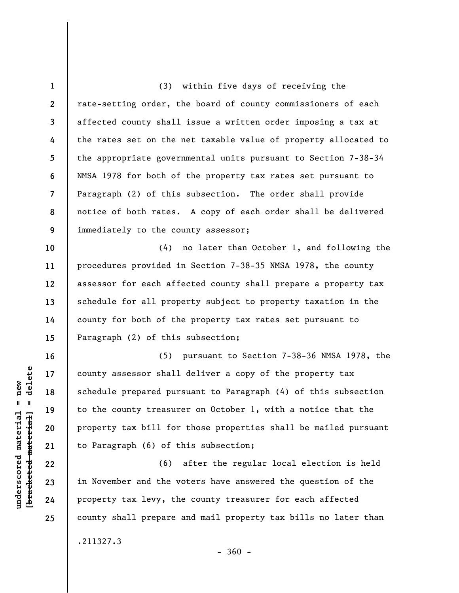**1 2 3 4 5 6 7 8 9**  (3) within five days of receiving the rate-setting order, the board of county commissioners of each affected county shall issue a written order imposing a tax at the rates set on the net taxable value of property allocated to the appropriate governmental units pursuant to Section 7-38-34 NMSA 1978 for both of the property tax rates set pursuant to Paragraph (2) of this subsection. The order shall provide notice of both rates. A copy of each order shall be delivered immediately to the county assessor;

**10 11 12 13 14 15**  (4) no later than October 1, and following the procedures provided in Section 7-38-35 NMSA 1978, the county assessor for each affected county shall prepare a property tax schedule for all property subject to property taxation in the county for both of the property tax rates set pursuant to Paragraph (2) of this subsection;

(5) pursuant to Section 7-38-36 NMSA 1978, the county assessor shall deliver a copy of the property tax schedule prepared pursuant to Paragraph (4) of this subsection to the county treasurer on October 1, with a notice that the property tax bill for those properties shall be mailed pursuant to Paragraph (6) of this subsection;

(6) after the regular local election is held in November and the voters have answered the question of the property tax levy, the county treasurer for each affected county shall prepare and mail property tax bills no later than .211327.3  $-360 -$ 

 $\frac{1}{2}$  intereted material = delete **[bracketed material] = delete**  $underscored material = new$ **underscored material = new**

**16** 

**17** 

**18** 

**19** 

**20** 

**21** 

**22** 

**23** 

**24**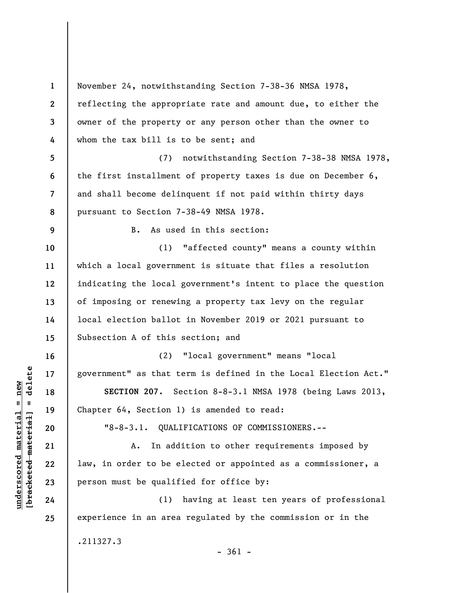**1 2 3 4 5 6 7 8 9 10 11 12 13 14 15 16 17 18 19 20 21 22 23 24 25**  November 24, notwithstanding Section 7-38-36 NMSA 1978, reflecting the appropriate rate and amount due, to either the owner of the property or any person other than the owner to whom the tax bill is to be sent; and (7) notwithstanding Section 7-38-38 NMSA 1978, the first installment of property taxes is due on December 6, and shall become delinquent if not paid within thirty days pursuant to Section 7-38-49 NMSA 1978. B. As used in this section: (1) "affected county" means a county within which a local government is situate that files a resolution indicating the local government's intent to place the question of imposing or renewing a property tax levy on the regular local election ballot in November 2019 or 2021 pursuant to Subsection A of this section; and (2) "local government" means "local government" as that term is defined in the Local Election Act." **SECTION 207.** Section 8-8-3.1 NMSA 1978 (being Laws 2013, Chapter 64, Section 1) is amended to read: "8-8-3.1. QUALIFICATIONS OF COMMISSIONERS.-- A. In addition to other requirements imposed by law, in order to be elected or appointed as a commissioner, a person must be qualified for office by: (1) having at least ten years of professional experience in an area regulated by the commission or in the .211327.3 - 361 -

**underscored material = new [bracketed material] = delete**

 $\frac{1}{2}$  of  $\frac{1}{2}$  and  $\frac{1}{2}$  and  $\frac{1}{2}$  and  $\frac{1}{2}$  and  $\frac{1}{2}$  and  $\frac{1}{2}$  and  $\frac{1}{2}$  and  $\frac{1}{2}$  and  $\frac{1}{2}$  and  $\frac{1}{2}$  and  $\frac{1}{2}$  and  $\frac{1}{2}$  and  $\frac{1}{2}$  and  $\frac{1}{2}$  and  $\frac{1}{2}$  an  $anderscored material = new$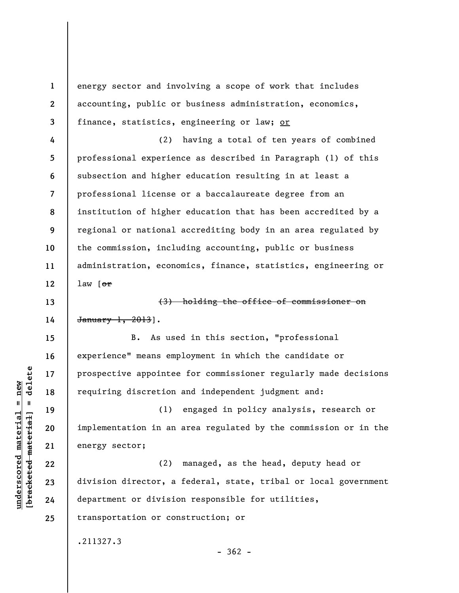energy sector and involving a scope of work that includes accounting, public or business administration, economics, finance, statistics, engineering or law; or

**4 5 6 7 8 9 10 11 12**  (2) having a total of ten years of combined professional experience as described in Paragraph (1) of this subsection and higher education resulting in at least a professional license or a baccalaureate degree from an institution of higher education that has been accredited by a regional or national accrediting body in an area regulated by the commission, including accounting, public or business administration, economics, finance, statistics, engineering or law  $[ $\theta$ r]$ 

(3) holding the office of commissioner on January 1, 2013].

B. As used in this section, "professional experience" means employment in which the candidate or prospective appointee for commissioner regularly made decisions requiring discretion and independent judgment and:

(1) engaged in policy analysis, research or implementation in an area regulated by the commission or in the energy sector;

(2) managed, as the head, deputy head or division director, a federal, state, tribal or local government department or division responsible for utilities, transportation or construction; or

.211327.3

 $\frac{1}{2}$ **[bracketed material] = delete**  $anderscored material = new$ **underscored material = new**

**1** 

**2** 

**3** 

**13** 

**14** 

**15** 

**16** 

**17** 

**18** 

**19** 

**20** 

**21** 

**22** 

**23** 

**24** 

**25** 

 $-362 -$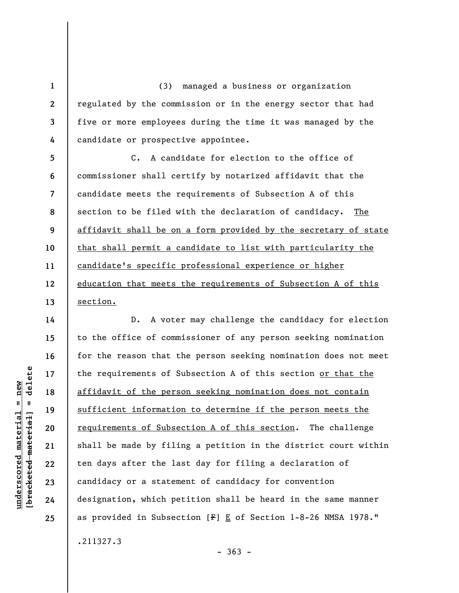**1 2 3 4**  (3) managed a business or organization regulated by the commission or in the energy sector that had five or more employees during the time it was managed by the candidate or prospective appointee.

**5 6 7 8 9 10 11 12 13**  C. A candidate for election to the office of commissioner shall certify by notarized affidavit that the candidate meets the requirements of Subsection A of this section to be filed with the declaration of candidacy. The affidavit shall be on a form provided by the secretary of state that shall permit a candidate to list with particularity the candidate's specific professional experience or higher education that meets the requirements of Subsection A of this section.

**14 15 16 17 18 19 20 21 22 23 24 25**  D. A voter may challenge the candidacy for election to the office of commissioner of any person seeking nomination for the reason that the person seeking nomination does not meet the requirements of Subsection A of this section or that the affidavit of the person seeking nomination does not contain sufficient information to determine if the person meets the requirements of Subsection A of this section. The challenge shall be made by filing a petition in the district court within ten days after the last day for filing a declaration of candidacy or a statement of candidacy for convention designation, which petition shall be heard in the same manner as provided in Subsection  $[F] \underline{E}$  of Section 1-8-26 NMSA 1978." .211327.3

 $\frac{1}{2}$  intereted material = delete **[bracketed material] = delete**  $underscored material = new$ **underscored material = new**

- 363 -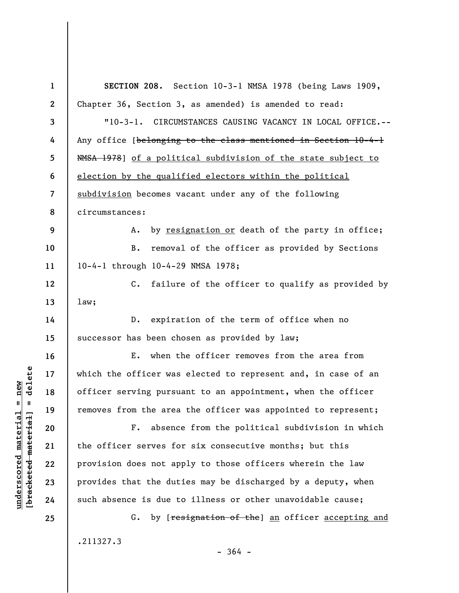| $\mathbf{1}$     | SECTION 208. Section 10-3-1 NMSA 1978 (being Laws 1909,           |
|------------------|-------------------------------------------------------------------|
| $\boldsymbol{2}$ | Chapter 36, Section 3, as amended) is amended to read:            |
| 3                | "10-3-1. CIRCUMSTANCES CAUSING VACANCY IN LOCAL OFFICE.--         |
| 4                | Any office [belonging to the class mentioned in Section 10-4-1    |
| $5\phantom{.0}$  | NMSA 1978] of a political subdivision of the state subject to     |
| 6                | election by the qualified electors within the political           |
| $\overline{7}$   | subdivision becomes vacant under any of the following             |
| 8                | circumstances:                                                    |
| 9                | by resignation or death of the party in office;<br>Α.             |
| 10               | removal of the officer as provided by Sections<br><b>B.</b>       |
| 11               | 10-4-1 through 10-4-29 NMSA 1978;                                 |
| 12               | $C_{\bullet}$<br>failure of the officer to qualify as provided by |
| 13               | 1aw;                                                              |
| 14               | expiration of the term of office when no<br>$D$ .                 |
| 15               | successor has been chosen as provided by law;                     |
| 16               | when the officer removes from the area from<br>Е.                 |
| 17               | which the officer was elected to represent and, in case of an     |
| 18               | officer serving pursuant to an appointment, when the officer      |
| 19               | removes from the area the officer was appointed to represent;     |
| 20               | absence from the political subdivision in which<br>$F$ .          |
| 21               | the officer serves for six consecutive months; but this           |
| 22               | provision does not apply to those officers wherein the law        |
| 23               | provides that the duties may be discharged by a deputy, when      |
| 24               | such absence is due to illness or other unavoidable cause;        |
| 25               | by [resignation of the] an officer accepting and<br>G.            |
|                  | .211327.3                                                         |
|                  |                                                                   |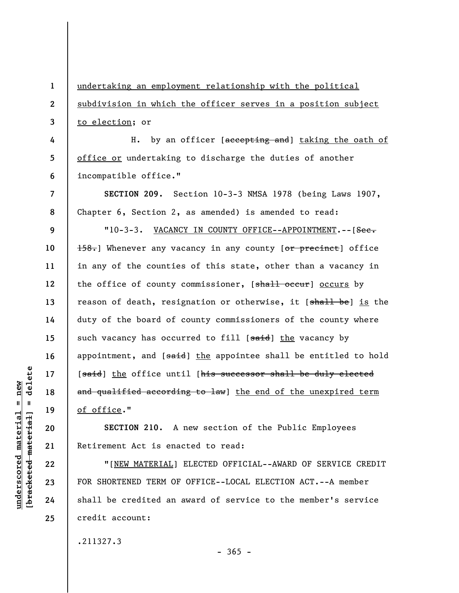**1 2 3 4 5 6 7 8 9 10 11 12 13 14 15 16 17 18 19 20 21**  undertaking an employment relationship with the political subdivision in which the officer serves in a position subject to election; or H. by an officer [accepting and] taking the oath of office or undertaking to discharge the duties of another incompatible office." **SECTION 209.** Section 10-3-3 NMSA 1978 (being Laws 1907, Chapter 6, Section 2, as amended) is amended to read: "10-3-3. VACANCY IN COUNTY OFFICE--APPOINTMENT.--[Sec. 158.] Whenever any vacancy in any county [or precinct] office in any of the counties of this state, other than a vacancy in the office of county commissioner, [shall occur] occurs by reason of death, resignation or otherwise, it [shall be] is the duty of the board of county commissioners of the county where such vacancy has occurred to fill [said] the vacancy by appointment, and  $[sa+d]$  the appointee shall be entitled to hold [said] the office until [his successor shall be duly elected and qualified according to law] the end of the unexpired term of office." **SECTION 210.** A new section of the Public Employees Retirement Act is enacted to read:

"[NEW MATERIAL] ELECTED OFFICIAL--AWARD OF SERVICE CREDIT FOR SHORTENED TERM OF OFFICE--LOCAL ELECTION ACT.--A member shall be credited an award of service to the member's service credit account:

 $-365 -$ 

.211327.3

delete **[bracketed material] = delete**  $underscored material = new$ **underscored material = new**  $\mathbf{I}$ bracketed material

**22** 

**23** 

**24**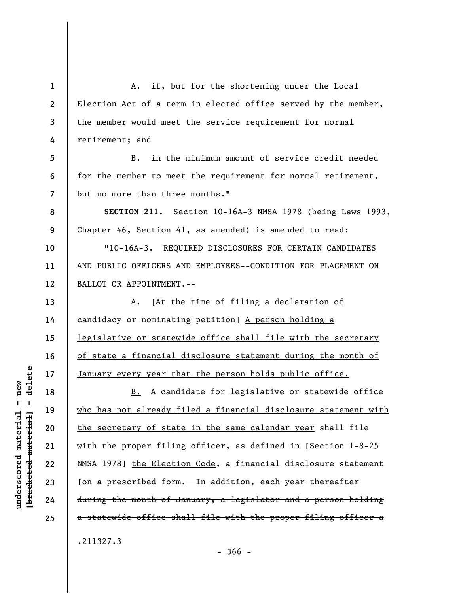**1 2 3 4 5 6 7 8 9 10 11 12 13 14 15 16 17 18 19 20 21 22 23 24 25**  A. if, but for the shortening under the Local Election Act of a term in elected office served by the member, the member would meet the service requirement for normal retirement; and B. in the minimum amount of service credit needed for the member to meet the requirement for normal retirement, but no more than three months." **SECTION 211.** Section 10-16A-3 NMSA 1978 (being Laws 1993, Chapter 46, Section 41, as amended) is amended to read: "10-16A-3. REQUIRED DISCLOSURES FOR CERTAIN CANDIDATES AND PUBLIC OFFICERS AND EMPLOYEES--CONDITION FOR PLACEMENT ON BALLOT OR APPOINTMENT.-- A. [At the time of filing a declaration of candidacy or nominating petition] A person holding a legislative or statewide office shall file with the secretary of state a financial disclosure statement during the month of January every year that the person holds public office. B. A candidate for legislative or statewide office who has not already filed a financial disclosure statement with the secretary of state in the same calendar year shall file with the proper filing officer, as defined in [Section 1-8-25 NMSA 1978] the Election Code, a financial disclosure statement [on a prescribed form. In addition, each year thereafter during the month of January, a legislator and a person holding a statewide office shall file with the proper filing officer a .211327.3

 $=$  delete **[bracketed material] = delete**  $underscored material = new$ **underscored material = new** bracketed material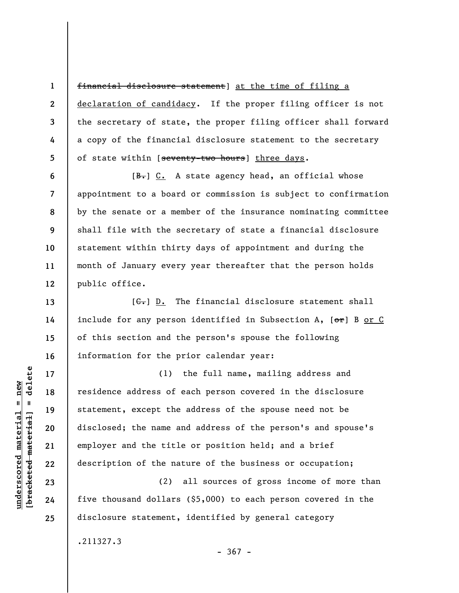financial disclosure statement] at the time of filing a declaration of candidacy. If the proper filing officer is not the secretary of state, the proper filing officer shall forward a copy of the financial disclosure statement to the secretary of state within [seventy-two hours] three days.

 $[\frac{B-}{C}]$  C. A state agency head, an official whose appointment to a board or commission is subject to confirmation by the senate or a member of the insurance nominating committee shall file with the secretary of state a financial disclosure statement within thirty days of appointment and during the month of January every year thereafter that the person holds public office.

 $[G<sub>1</sub>]$  D. The financial disclosure statement shall include for any person identified in Subsection A,  $[**o**r]$  B or C of this section and the person's spouse the following information for the prior calendar year:

(1) the full name, mailing address and residence address of each person covered in the disclosure statement, except the address of the spouse need not be disclosed; the name and address of the person's and spouse's employer and the title or position held; and a brief description of the nature of the business or occupation;

(2) all sources of gross income of more than five thousand dollars (\$5,000) to each person covered in the disclosure statement, identified by general category

- 367 -

.211327.3

 $\frac{1}{2}$  of  $\frac{1}{2}$  and  $\frac{1}{2}$  and  $\frac{1}{2}$  and  $\frac{1}{2}$  and  $\frac{1}{2}$  and  $\frac{1}{2}$  and  $\frac{1}{2}$  and  $\frac{1}{2}$  and  $\frac{1}{2}$  and  $\frac{1}{2}$  and  $\frac{1}{2}$  and  $\frac{1}{2}$  and  $\frac{1}{2}$  and  $\frac{1}{2}$  and  $\frac{1}{2}$  an **[bracketed material] = delete**  $anderscored material = new$ **underscored material = new**

**1** 

**2** 

**3** 

**4** 

**5** 

**6** 

**7** 

**8** 

**9** 

**10** 

**11** 

**12** 

**13** 

**14** 

**15** 

**16** 

**17** 

**18** 

**19** 

**20** 

**21** 

**22** 

**23** 

**24**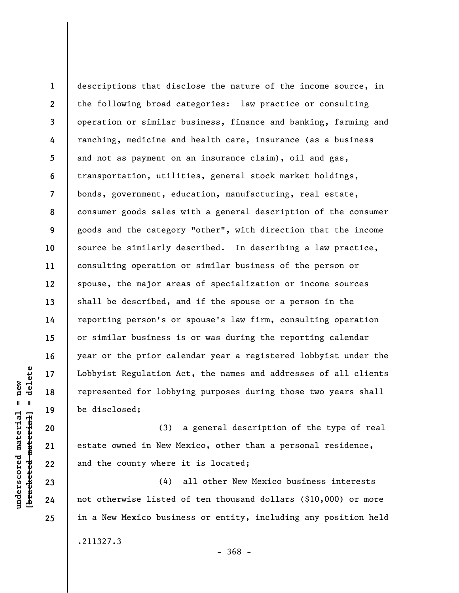**1 2 3 4 5 6 7 8 9 10 11 12 13 14 15 16 17 18 19**  descriptions that disclose the nature of the income source, in the following broad categories: law practice or consulting operation or similar business, finance and banking, farming and ranching, medicine and health care, insurance (as a business and not as payment on an insurance claim), oil and gas, transportation, utilities, general stock market holdings, bonds, government, education, manufacturing, real estate, consumer goods sales with a general description of the consumer goods and the category "other", with direction that the income source be similarly described. In describing a law practice, consulting operation or similar business of the person or spouse, the major areas of specialization or income sources shall be described, and if the spouse or a person in the reporting person's or spouse's law firm, consulting operation or similar business is or was during the reporting calendar year or the prior calendar year a registered lobbyist under the Lobbyist Regulation Act, the names and addresses of all clients represented for lobbying purposes during those two years shall be disclosed;

(3) a general description of the type of real estate owned in New Mexico, other than a personal residence, and the county where it is located;

(4) all other New Mexico business interests not otherwise listed of ten thousand dollars (\$10,000) or more in a New Mexico business or entity, including any position held .211327.3

**20** 

**21** 

**22** 

**23** 

**24** 

**25** 

- 368 -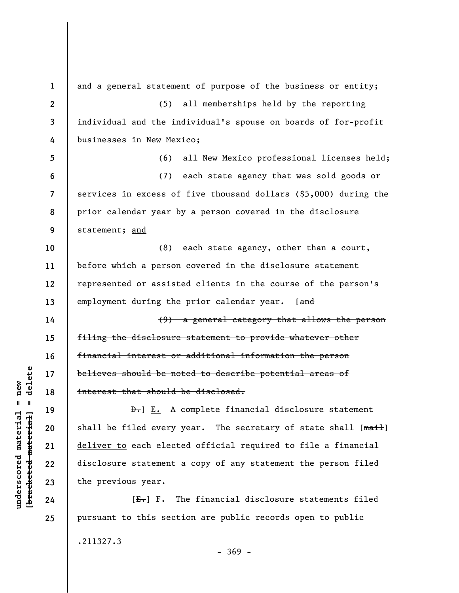**1 2 3 4 5 6 7 8 9 10 11 12 13 14 15 16 17 18 19 20 21 22 23 24 25**  and a general statement of purpose of the business or entity; (5) all memberships held by the reporting individual and the individual's spouse on boards of for-profit businesses in New Mexico; (6) all New Mexico professional licenses held; (7) each state agency that was sold goods or services in excess of five thousand dollars (\$5,000) during the prior calendar year by a person covered in the disclosure statement; and (8) each state agency, other than a court, before which a person covered in the disclosure statement represented or assisted clients in the course of the person's employment during the prior calendar year. [and (9) a general category that allows the person filing the disclosure statement to provide whatever other financial interest or additional information the person believes should be noted to describe potential areas of interest that should be disclosed. **D.**] E. A complete financial disclosure statement shall be filed every year. The secretary of state shall [mail] deliver to each elected official required to file a financial disclosure statement a copy of any statement the person filed the previous year.  $[E-] F.$  The financial disclosure statements filed pursuant to this section are public records open to public

.211327.3

- 369 -

 $\frac{1}{2}$  intereted material = delete **[bracketed material] = delete**  $anderscored material = new$ **underscored material = new**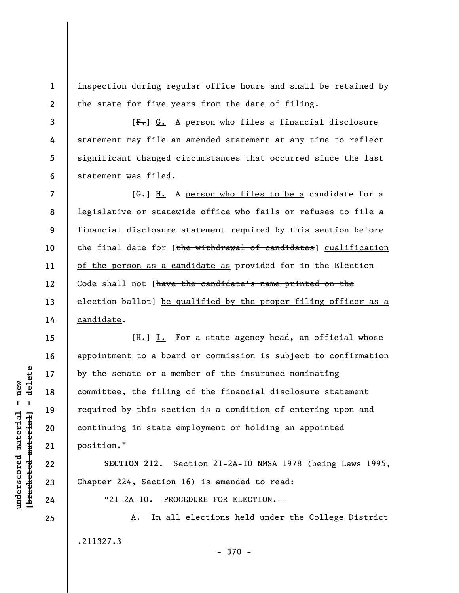**1 2**  inspection during regular office hours and shall be retained by the state for five years from the date of filing.

 $[F-]$  G. A person who files a financial disclosure statement may file an amended statement at any time to reflect significant changed circumstances that occurred since the last statement was filed.

**7 8 9 10 11 12 13 14**  [G.] H. A person who files to be a candidate for a legislative or statewide office who fails or refuses to file a financial disclosure statement required by this section before the final date for [the withdrawal of candidates] qualification of the person as a candidate as provided for in the Election Code shall not [have the candidate's name printed on the election ballot] be qualified by the proper filing officer as a candidate.

 $[H<sub>1</sub>]$  I. For a state agency head, an official whose appointment to a board or commission is subject to confirmation by the senate or a member of the insurance nominating committee, the filing of the financial disclosure statement required by this section is a condition of entering upon and continuing in state employment or holding an appointed position."

**SECTION 212.** Section 21-2A-10 NMSA 1978 (being Laws 1995, Chapter 224, Section 16) is amended to read:

"21-2A-10. PROCEDURE FOR ELECTION.--

A. In all elections held under the College District .211327.3 - 370 -

 $\frac{1}{2}$  intereted material = delete **[bracketed material] = delete**  $underscored material = new$ **underscored material = new**

**3** 

**4** 

**5** 

**6** 

**15** 

**16** 

**17** 

**18** 

**19** 

**20** 

**21** 

**22** 

**23** 

**24**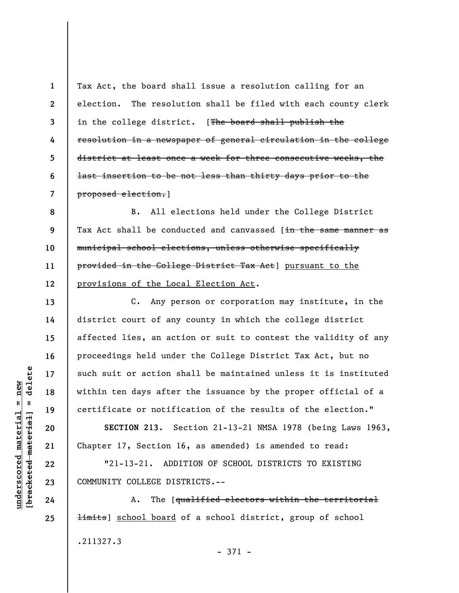**1 2 3 4 5 6 7**  Tax Act, the board shall issue a resolution calling for an election. The resolution shall be filed with each county clerk in the college district. [The board shall publish the resolution in a newspaper of general circulation in the college district at least once a week for three consecutive weeks, the last insertion to be not less than thirty days prior to the proposed election.]

**8 9 10 11 12**  B. All elections held under the College District Tax Act shall be conducted and canvassed [in the same manner as municipal school elections, unless otherwise specifically provided in the College District Tax Act] pursuant to the provisions of the Local Election Act.

C. Any person or corporation may institute, in the district court of any county in which the college district affected lies, an action or suit to contest the validity of any proceedings held under the College District Tax Act, but no such suit or action shall be maintained unless it is instituted within ten days after the issuance by the proper official of a certificate or notification of the results of the election."

**SECTION 213.** Section 21-13-21 NMSA 1978 (being Laws 1963, Chapter 17, Section 16, as amended) is amended to read:

"21-13-21. ADDITION OF SCHOOL DISTRICTS TO EXISTING COMMUNITY COLLEGE DISTRICTS.--

A. The [qualified electors within the territorial **limits**] school board of a school district, group of school .211327.3 - 371 -

delete **[bracketed material] = delete**  $underscored material = new$ **underscored material = new**  $\mathbf{I}$ bracketed material

**13** 

**14** 

**15** 

**16** 

**17** 

**18** 

**19** 

**20** 

**21** 

**22** 

**23** 

**24**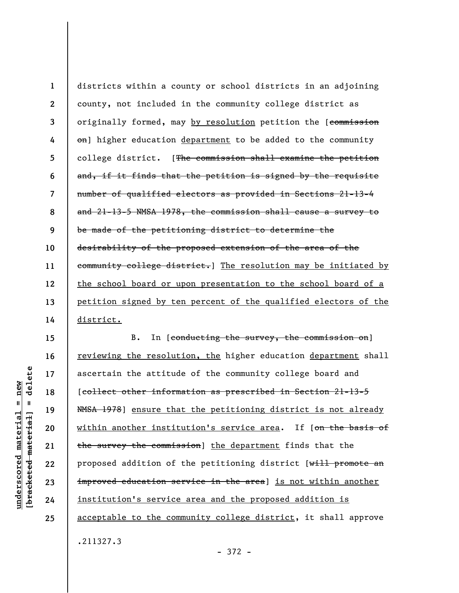**1 2 3 4 5 6 7 8 9 10 11 12 13 14**  districts within a county or school districts in an adjoining county, not included in the community college district as originally formed, may by resolution petition the [commission on] higher education department to be added to the community college district. [The commission shall examine the petition and, if it finds that the petition is signed by the requisite number of qualified electors as provided in Sections 21-13-4 and 21-13-5 NMSA 1978, the commission shall cause a survey to be made of the petitioning district to determine the desirability of the proposed extension of the area of the community college district.] The resolution may be initiated by the school board or upon presentation to the school board of a petition signed by ten percent of the qualified electors of the district.

B. In [conducting the survey, the commission on] reviewing the resolution, the higher education department shall ascertain the attitude of the community college board and [collect other information as prescribed in Section 21-13-5 NMSA 1978] ensure that the petitioning district is not already within another institution's service area. If [on the basis of the survey the commission] the department finds that the proposed addition of the petitioning district [will promote an improved education service in the area] is not within another institution's service area and the proposed addition is acceptable to the community college district, it shall approve .211327.3

delete **[bracketed material] = delete**  $underscored material = new$ **underscored material = new**  $\mathbf{I}$ bracketed material

**15** 

**16** 

**17** 

**18** 

**19** 

**20** 

**21** 

**22** 

**23** 

**24** 

**25** 

- 372 -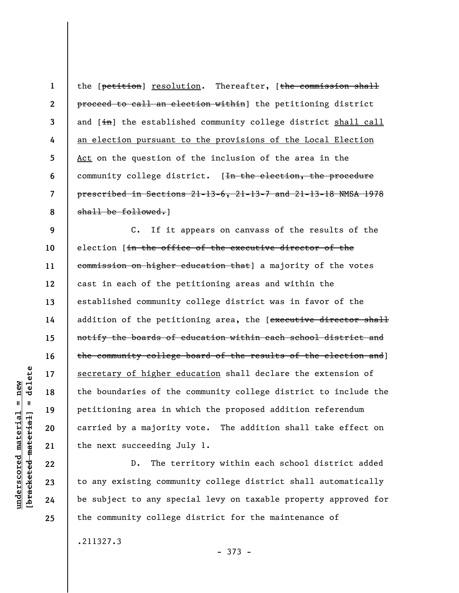**1 2 3 4 5 6 7 8**  the [petition] resolution. Thereafter, [the commission shall proceed to call an election within] the petitioning district and  $[\frac{1}{1} \text{th}]$  the established community college district shall call an election pursuant to the provisions of the Local Election Act on the question of the inclusion of the area in the community college district. [<del>In the election, the procedure</del> prescribed in Sections 21-13-6, 21-13-7 and 21-13-18 NMSA 1978 shall be followed.

**9 10 11 12 13 14 15 16 17 18 19 20 21**  C. If it appears on canvass of the results of the election [in the office of the executive director of the commission on higher education that] a majority of the votes cast in each of the petitioning areas and within the established community college district was in favor of the addition of the petitioning area, the [executive director shall notify the boards of education within each school district and the community college board of the results of the election and] secretary of higher education shall declare the extension of the boundaries of the community college district to include the petitioning area in which the proposed addition referendum carried by a majority vote. The addition shall take effect on the next succeeding July 1.

D. The territory within each school district added to any existing community college district shall automatically be subject to any special levy on taxable property approved for the community college district for the maintenance of

.211327.3

- 373 -

delete **[bracketed material] = delete**  $underscored material = new$ **underscored material = new**  $\mathbf{I}$ bracketed material

**22** 

**23** 

**24**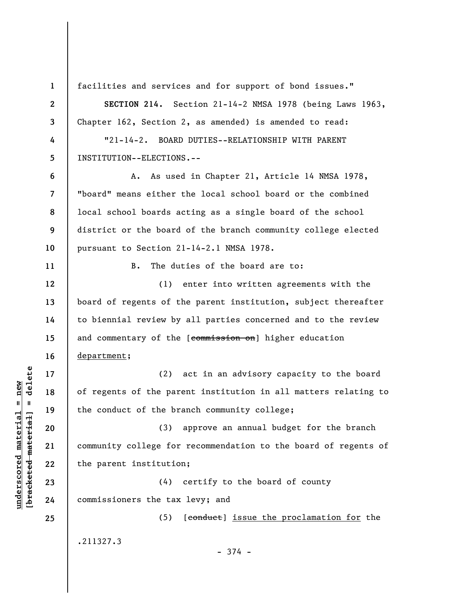**3 4 5 6 7 8 9 10 11 12 13 14 15 16**  department;  $\frac{1}{2}$  of  $\frac{1}{2}$  and  $\frac{1}{2}$  and  $\frac{1}{2}$  and  $\frac{1}{2}$  and  $\frac{1}{2}$  and  $\frac{1}{2}$  and  $\frac{1}{2}$  and  $\frac{1}{2}$  and  $\frac{1}{2}$  and  $\frac{1}{2}$  and  $\frac{1}{2}$  and  $\frac{1}{2}$  and  $\frac{1}{2}$  and  $\frac{1}{2}$  and  $\frac{1}{2}$  an **[bracketed material] = delete 17 18 19 20 21 22 23 24 25** 

**1** 

**2** 

**underscored material = new**

 $underscored material = new$ 

facilities and services and for support of bond issues."

**SECTION 214.** Section 21-14-2 NMSA 1978 (being Laws 1963, Chapter 162, Section 2, as amended) is amended to read:

"21-14-2. BOARD DUTIES--RELATIONSHIP WITH PARENT INSTITUTION--ELECTIONS.--

A. As used in Chapter 21, Article 14 NMSA 1978, "board" means either the local school board or the combined local school boards acting as a single board of the school district or the board of the branch community college elected pursuant to Section 21-14-2.1 NMSA 1978.

B. The duties of the board are to:

(1) enter into written agreements with the board of regents of the parent institution, subject thereafter to biennial review by all parties concerned and to the review and commentary of the [commission on] higher education

(2) act in an advisory capacity to the board of regents of the parent institution in all matters relating to the conduct of the branch community college;

(3) approve an annual budget for the branch community college for recommendation to the board of regents of the parent institution;

(4) certify to the board of county commissioners the tax levy; and

(5) [conduct] issue the proclamation for the .211327.3

- 374 -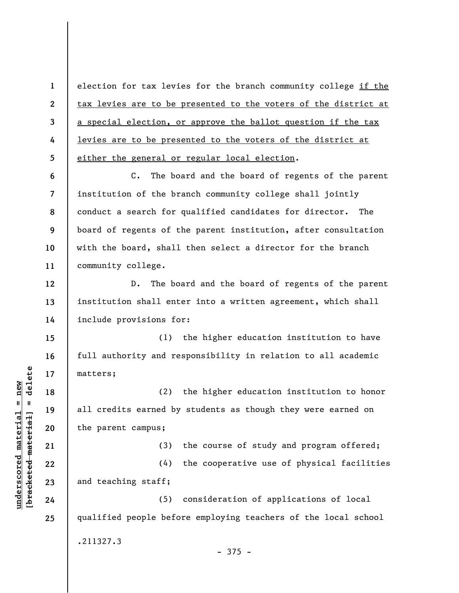**1 2 3 4 5**  election for tax levies for the branch community college if the tax levies are to be presented to the voters of the district at a special election, or approve the ballot question if the tax levies are to be presented to the voters of the district at either the general or regular local election.

**6 7 8 9 10 11**  C. The board and the board of regents of the parent institution of the branch community college shall jointly conduct a search for qualified candidates for director. The board of regents of the parent institution, after consultation with the board, shall then select a director for the branch community college.

**12 13 14**  D. The board and the board of regents of the parent institution shall enter into a written agreement, which shall include provisions for:

(1) the higher education institution to have full authority and responsibility in relation to all academic matters;

(2) the higher education institution to honor all credits earned by students as though they were earned on the parent campus;

(3) the course of study and program offered;

(4) the cooperative use of physical facilities and teaching staff;

(5) consideration of applications of local qualified people before employing teachers of the local school .211327.3  $-375 -$ 

 $\frac{1}{2}$  of  $\frac{1}{2}$  and  $\frac{1}{2}$  and  $\frac{1}{2}$  and  $\frac{1}{2}$  and  $\frac{1}{2}$  and  $\frac{1}{2}$  and  $\frac{1}{2}$  and  $\frac{1}{2}$  and  $\frac{1}{2}$  and  $\frac{1}{2}$  and  $\frac{1}{2}$  and  $\frac{1}{2}$  and  $\frac{1}{2}$  and  $\frac{1}{2}$  and  $\frac{1}{2}$  an **[bracketed material] = delete**  $underscored material = new$ **underscored material = new**

**15** 

**16** 

**17** 

**18** 

**19** 

**20** 

**21** 

**22** 

**23** 

**24**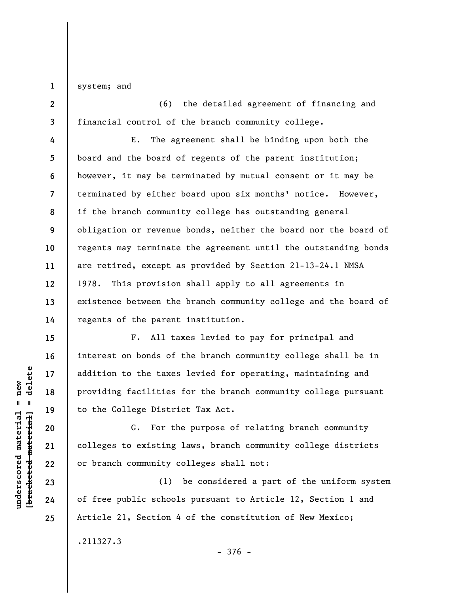**1**  system; and

**2 3**  (6) the detailed agreement of financing and financial control of the branch community college.

**4 5 6 7 8 9 10 11 12 13 14**  E. The agreement shall be binding upon both the board and the board of regents of the parent institution; however, it may be terminated by mutual consent or it may be terminated by either board upon six months' notice. However, if the branch community college has outstanding general obligation or revenue bonds, neither the board nor the board of regents may terminate the agreement until the outstanding bonds are retired, except as provided by Section 21-13-24.1 NMSA 1978. This provision shall apply to all agreements in existence between the branch community college and the board of regents of the parent institution.

F. All taxes levied to pay for principal and interest on bonds of the branch community college shall be in addition to the taxes levied for operating, maintaining and providing facilities for the branch community college pursuant to the College District Tax Act.

G. For the purpose of relating branch community colleges to existing laws, branch community college districts or branch community colleges shall not:

(1) be considered a part of the uniform system of free public schools pursuant to Article 12, Section 1 and Article 21, Section 4 of the constitution of New Mexico;

.211327.3

 $\frac{1}{2}$  intereted material = delete **[bracketed material] = delete**  $underscored material = new$ **underscored material = new**

**15** 

**16** 

**17** 

**18** 

**19** 

**20** 

**21** 

**22** 

**23** 

**24**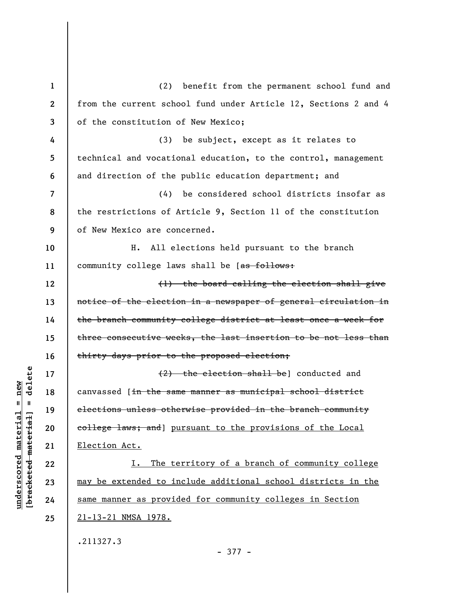| $\mathbf{1}$ | (2) benefit from the permanent school fund and                         |
|--------------|------------------------------------------------------------------------|
| $\mathbf{2}$ | from the current school fund under Article 12, Sections 2 and 4        |
| 3            | of the constitution of New Mexico;                                     |
| 4            | (3) be subject, except as it relates to                                |
| 5            | technical and vocational education, to the control, management         |
| 6            | and direction of the public education department; and                  |
| 7            | (4) be considered school districts insofar as                          |
| 8            | the restrictions of Article 9, Section 11 of the constitution          |
| 9            | of New Mexico are concerned.                                           |
| 10           | H. All elections held pursuant to the branch                           |
| 11           | community college laws shall be [as follows:                           |
| 12           | (1) the board calling the election shall give                          |
| 13           | notice of the election in a newspaper of general circulation in        |
| 14           | the branch community college district at least once a week for         |
| 15           | three consecutive weeks, the last insertion to be not less than        |
| 16           | thirty days prior to the proposed election;                            |
| 17           | $(2)$ the election shall be] conducted and                             |
| 18           | canvassed [ <del>in the same manner as municipal school district</del> |
| 19           | elections unless otherwise provided in the branch community            |
| 20           | college laws; and] pursuant to the provisions of the Local             |
| 21           | Election Act.                                                          |
| 22           | The territory of a branch of community college<br>I.                   |
| 23           | may be extended to include additional school districts in the          |
| 24           | same manner as provided for community colleges in Section              |
| 25           | <u>21-13-21 NMSA 1978.</u>                                             |
|              | .211327.3                                                              |
|              |                                                                        |

 $[**bracket**et~~eted matcherial~~] = **delete**$ **[bracketed material] = delete**  $underscored material = new$ **underscored material = new**

- 377 -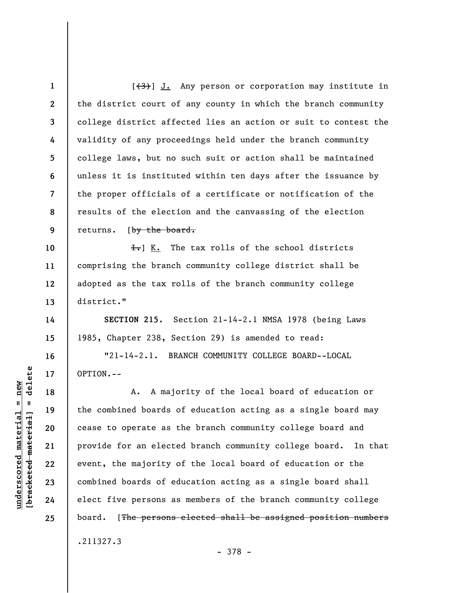**1 2 3 4 5 6 7 8 9 10 11 12 13 14 15 16 17 18 19 20 21 22 23 24 25**   $[\frac{(3)}{3}]$  J. Any person or corporation may institute in the district court of any county in which the branch community college district affected lies an action or suit to contest the validity of any proceedings held under the branch community college laws, but no such suit or action shall be maintained unless it is instituted within ten days after the issuance by the proper officials of a certificate or notification of the results of the election and the canvassing of the election returns. [by the board.  $\overline{f}$ . The tax rolls of the school districts comprising the branch community college district shall be adopted as the tax rolls of the branch community college district." **SECTION 215.** Section 21-14-2.1 NMSA 1978 (being Laws 1985, Chapter 238, Section 29) is amended to read: "21-14-2.1. BRANCH COMMUNITY COLLEGE BOARD--LOCAL OPTION.-- A. A majority of the local board of education or the combined boards of education acting as a single board may cease to operate as the branch community college board and provide for an elected branch community college board. In that event, the majority of the local board of education or the combined boards of education acting as a single board shall elect five persons as members of the branch community college board. [The persons elected shall be assigned position numbers .211327.3

- 378 -

 $\frac{1}{2}$  of  $\frac{1}{2}$  and  $\frac{1}{2}$  and  $\frac{1}{2}$  and  $\frac{1}{2}$  and  $\frac{1}{2}$  and  $\frac{1}{2}$  and  $\frac{1}{2}$  and  $\frac{1}{2}$  and  $\frac{1}{2}$  and  $\frac{1}{2}$  and  $\frac{1}{2}$  and  $\frac{1}{2}$  and  $\frac{1}{2}$  and  $\frac{1}{2}$  and  $\frac{1}{2}$  an **[bracketed material] = delete**  $underscored material = new$ **underscored material = new**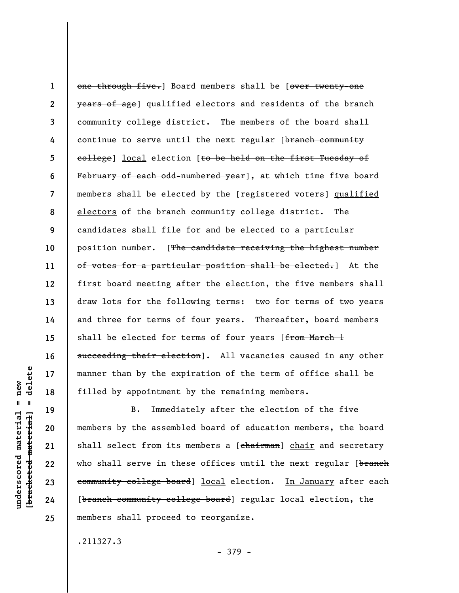**1 2 3 4 5 6 7 8 9 10 11 12 13 14 15 16**  one through five.] Board members shall be [over twenty-one years of age) qualified electors and residents of the branch community college district. The members of the board shall continue to serve until the next regular [branch community college] local election [to be held on the first Tuesday of February of each odd-numbered year], at which time five board members shall be elected by the [registered voters] qualified electors of the branch community college district. The candidates shall file for and be elected to a particular position number. [The candidate receiving the highest number of votes for a particular position shall be elected.] At the first board meeting after the election, the five members shall draw lots for the following terms: two for terms of two years and three for terms of four years. Thereafter, board members shall be elected for terms of four years [from March 1 succeeding their election]. All vacancies caused in any other manner than by the expiration of the term of office shall be filled by appointment by the remaining members.

delete **[bracketed material] = delete 17**   $anderscored material = new$ **underscored material = new 18**   $\mathbf{I}$ **19**  bracketed material **20 21 22 23 24 25** 

B. Immediately after the election of the five members by the assembled board of education members, the board shall select from its members a [chairman] chair and secretary who shall serve in these offices until the next regular [branch community college board] local election. In January after each [branch community college board] regular local election, the members shall proceed to reorganize.

.211327.3

- 379 -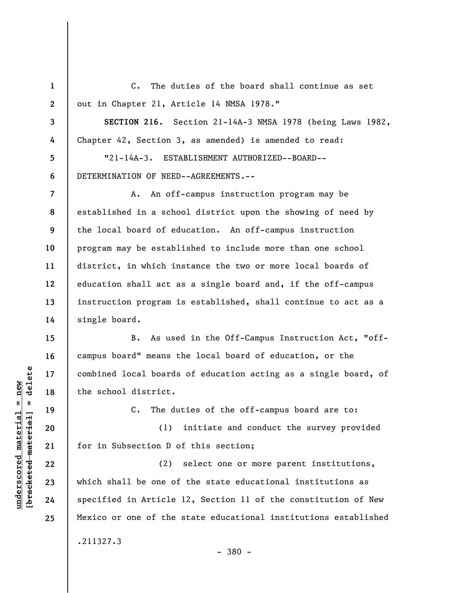**1 2 3 4 5 6 7 8 9 10 11 12 13 14 15 16 17 18 19**  C. The duties of the board shall continue as set out in Chapter 21, Article 14 NMSA 1978." **SECTION 216.** Section 21-14A-3 NMSA 1978 (being Laws 1982, Chapter 42, Section 3, as amended) is amended to read: "21-14A-3. ESTABLISHMENT AUTHORIZED--BOARD-- DETERMINATION OF NEED--AGREEMENTS.-- A. An off-campus instruction program may be established in a school district upon the showing of need by the local board of education. An off-campus instruction program may be established to include more than one school district, in which instance the two or more local boards of education shall act as a single board and, if the off-campus instruction program is established, shall continue to act as a single board. B. As used in the Off-Campus Instruction Act, "offcampus board" means the local board of education, or the combined local boards of education acting as a single board, of the school district. C. The duties of the off-campus board are to:

(1) initiate and conduct the survey provided for in Subsection D of this section;

(2) select one or more parent institutions, which shall be one of the state educational institutions as specified in Article 12, Section 11 of the constitution of New Mexico or one of the state educational institutions established .211327.3

 $\frac{1}{2}$  intereted material = delete **[bracketed material] = delete**  $underscored material = new$ **underscored material = new**

**20** 

**21** 

**22** 

**23** 

**24** 

**25** 

- 380 -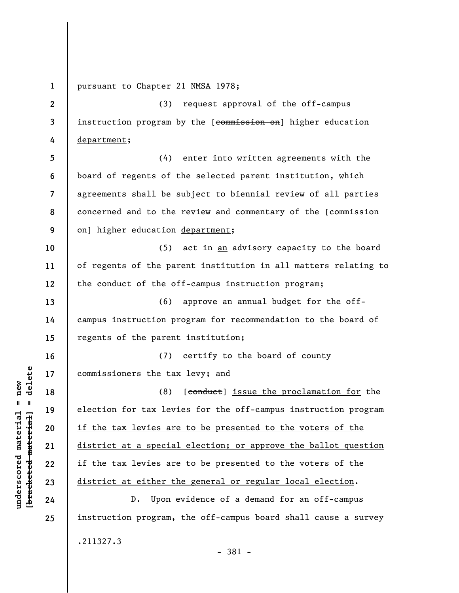**1**  pursuant to Chapter 21 NMSA 1978;

**2 3 4**  (3) request approval of the off-campus instruction program by the [commission on] higher education department;

**5 6 7 8 9**  (4) enter into written agreements with the board of regents of the selected parent institution, which agreements shall be subject to biennial review of all parties concerned and to the review and commentary of the [commission on] higher education department;

**10 11 12**  (5) act in an advisory capacity to the board of regents of the parent institution in all matters relating to the conduct of the off-campus instruction program;

**13 14 15**  (6) approve an annual budget for the offcampus instruction program for recommendation to the board of regents of the parent institution;

**16 17**  (7) certify to the board of county commissioners the tax levy; and

(8) [conduct] issue the proclamation for the election for tax levies for the off-campus instruction program if the tax levies are to be presented to the voters of the district at a special election; or approve the ballot question if the tax levies are to be presented to the voters of the district at either the general or regular local election.

D. Upon evidence of a demand for an off-campus instruction program, the off-campus board shall cause a survey .211327.3 - 381 -

 $\frac{1}{2}$  intereted material = delete **[bracketed material] = delete**  $underscored material = new$ **underscored material = new**

**18** 

**19** 

**20** 

**21** 

**22** 

**23** 

**24**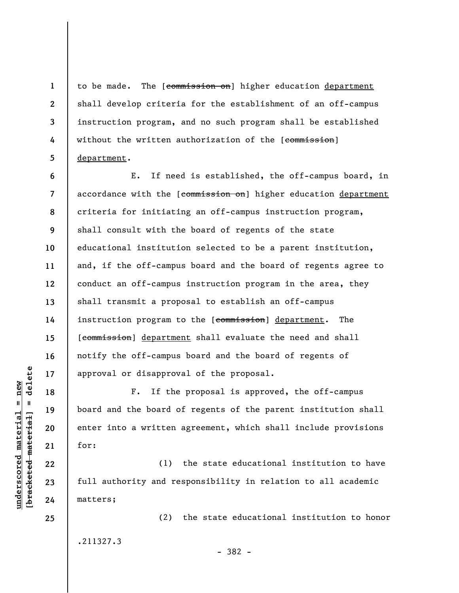to be made. The [commission on] higher education department shall develop criteria for the establishment of an off-campus instruction program, and no such program shall be established without the written authorization of the [commission] department.

**6 7 8 9 10 11 12 13 14 15 16 17**  E. If need is established, the off-campus board, in accordance with the [commission on] higher education department criteria for initiating an off-campus instruction program, shall consult with the board of regents of the state educational institution selected to be a parent institution, and, if the off-campus board and the board of regents agree to conduct an off-campus instruction program in the area, they shall transmit a proposal to establish an off-campus instruction program to the [commission] department. The [commission] department shall evaluate the need and shall notify the off-campus board and the board of regents of approval or disapproval of the proposal.

F. If the proposal is approved, the off-campus board and the board of regents of the parent institution shall enter into a written agreement, which shall include provisions for:

(1) the state educational institution to have full authority and responsibility in relation to all academic matters;

- 382 -

(2) the state educational institution to honor

.211327.3

 $\frac{1}{2}$  intereted material = delete **[bracketed material] = delete**  $underscored material = new$ **underscored material = new**

**18** 

**19** 

**20** 

**21** 

**22** 

**23** 

**24** 

**25** 

**1** 

**2** 

**3** 

**4**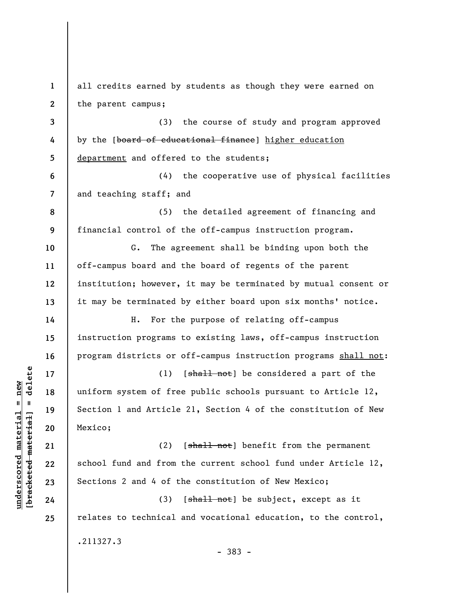**1 2 3 4 5 6 7 8 9 10 11 12 13 14 15 16 17 18 19 20 21 22 23 24 25**  all credits earned by students as though they were earned on the parent campus; (3) the course of study and program approved by the [board of educational finance] higher education department and offered to the students; (4) the cooperative use of physical facilities and teaching staff; and (5) the detailed agreement of financing and financial control of the off-campus instruction program. G. The agreement shall be binding upon both the off-campus board and the board of regents of the parent institution; however, it may be terminated by mutual consent or it may be terminated by either board upon six months' notice. H. For the purpose of relating off-campus instruction programs to existing laws, off-campus instruction program districts or off-campus instruction programs shall not: (1)  $[sha11 not]$  be considered a part of the uniform system of free public schools pursuant to Article 12, Section 1 and Article 21, Section 4 of the constitution of New Mexico; (2)  $[s\text{hal}1\text{ not}]$  benefit from the permanent school fund and from the current school fund under Article 12, Sections 2 and 4 of the constitution of New Mexico; (3)  $[\frac{\text{shall not}}{\text{st}}]$  be subject, except as it relates to technical and vocational education, to the control, .211327.3 - 383 -

**underscored material = new [bracketed material] = delete**

 $\frac{1}{2}$  intereted material = delete  $underscored material = new$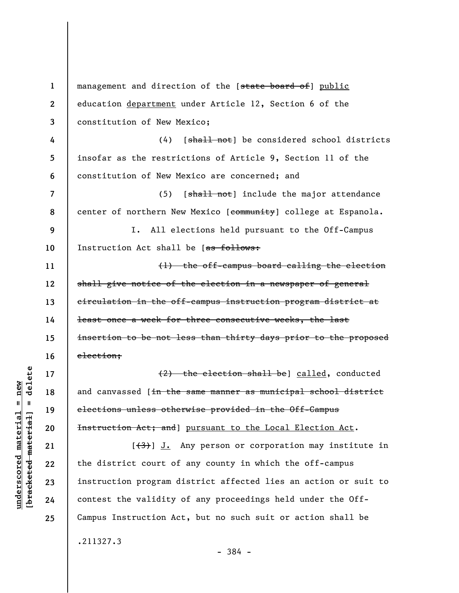**1 2 3 4 5 6 7 8 9 10 11 12 13 14 15 16 17 18 19 20 21 22 23 24 25**  management and direction of the [state board of] public education department under Article 12, Section 6 of the constitution of New Mexico; (4) [shall not] be considered school districts insofar as the restrictions of Article 9, Section 11 of the constitution of New Mexico are concerned; and (5) [shall not] include the major attendance center of northern New Mexico [community] college at Espanola. I. All elections held pursuant to the Off-Campus Instruction Act shall be [as follows: (1) the off-campus board calling the election shall give notice of the election in a newspaper of general circulation in the off-campus instruction program district at least once a week for three consecutive weeks, the last insertion to be not less than thirty days prior to the proposed election; (2) the election shall be] called, conducted and canvassed [in the same manner as municipal school district elections unless otherwise provided in the Off-Campus Instruction Act; and] pursuant to the Local Election Act.  $[\frac{(3)}{3}]$  J. Any person or corporation may institute in the district court of any county in which the off-campus instruction program district affected lies an action or suit to contest the validity of any proceedings held under the Off-Campus Instruction Act, but no such suit or action shall be .211327.3

 $\frac{1}{2}$  intereted material = delete **[bracketed material] = delete**  $underscored material = new$ **underscored material = new**

- 384 -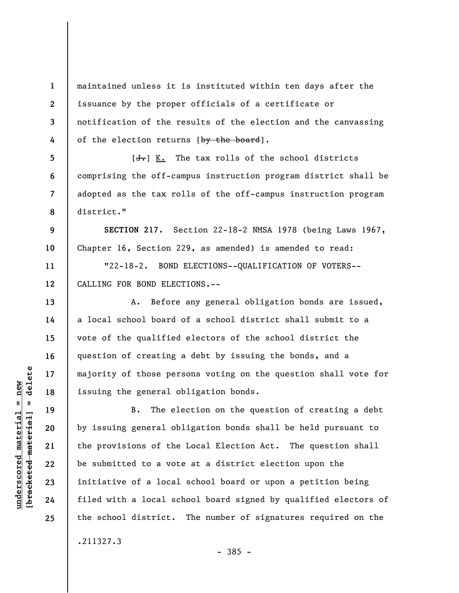**1 2 3 4**  maintained unless it is instituted within ten days after the issuance by the proper officials of a certificate or notification of the results of the election and the canvassing of the election returns [by the board].

 $[J<sub>1</sub>]$  K. The tax rolls of the school districts comprising the off-campus instruction program district shall be adopted as the tax rolls of the off-campus instruction program district."

**SECTION 217.** Section 22-18-2 NMSA 1978 (being Laws 1967, Chapter 16, Section 229, as amended) is amended to read:

"22-18-2. BOND ELECTIONS--QUALIFICATION OF VOTERS-- CALLING FOR BOND ELECTIONS.--

A. Before any general obligation bonds are issued, a local school board of a school district shall submit to a vote of the qualified electors of the school district the question of creating a debt by issuing the bonds, and a majority of those persons voting on the question shall vote for issuing the general obligation bonds.

B. The election on the question of creating a debt by issuing general obligation bonds shall be held pursuant to the provisions of the Local Election Act. The question shall be submitted to a vote at a district election upon the initiative of a local school board or upon a petition being filed with a local school board signed by qualified electors of the school district. The number of signatures required on the

 $\frac{1}{2}$  bracketed material = delete **[bracketed material] = delete**  $underscored material = new$ **underscored material = new**

**5** 

**6** 

**7** 

**8** 

**9** 

**10** 

**11** 

**12** 

**13** 

**14** 

**15** 

**16** 

**17** 

**18** 

**19** 

**20** 

**21** 

**22** 

**23** 

**24** 

**25** 

.211327.3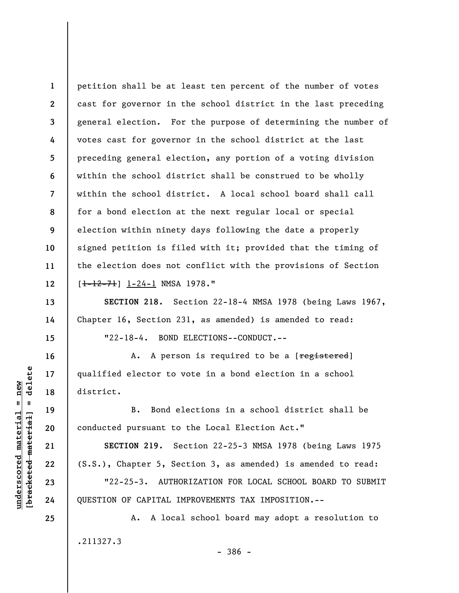**1 2 3 4 5 6 7 8 9 10 11 12**  petition shall be at least ten percent of the number of votes cast for governor in the school district in the last preceding general election. For the purpose of determining the number of votes cast for governor in the school district at the last preceding general election, any portion of a voting division within the school district shall be construed to be wholly within the school district. A local school board shall call for a bond election at the next regular local or special election within ninety days following the date a properly signed petition is filed with it; provided that the timing of the election does not conflict with the provisions of Section  $[-1-12-71]$   $1-24-1$  NMSA 1978."

**SECTION 218.** Section 22-18-4 NMSA 1978 (being Laws 1967, Chapter 16, Section 231, as amended) is amended to read: "22-18-4. BOND ELECTIONS--CONDUCT.--

A. A person is required to be a [registered] qualified elector to vote in a bond election in a school district.

B. Bond elections in a school district shall be conducted pursuant to the Local Election Act."

**SECTION 219.** Section 22-25-3 NMSA 1978 (being Laws 1975 (S.S.), Chapter 5, Section 3, as amended) is amended to read:

"22-25-3. AUTHORIZATION FOR LOCAL SCHOOL BOARD TO SUBMIT QUESTION OF CAPITAL IMPROVEMENTS TAX IMPOSITION.--

A. A local school board may adopt a resolution to .211327.3 - 386 -

**13** 

**14** 

**15** 

**16** 

**17** 

**18** 

**19** 

**20** 

**21** 

**22** 

**23** 

**24**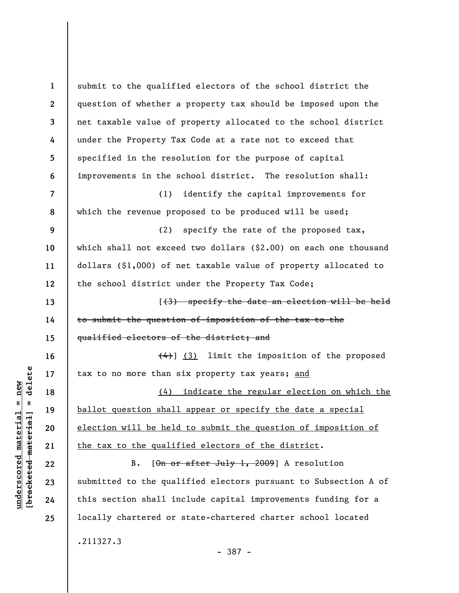| $\mathbf{1}$     | submit to the qualified electors of the school district the         |
|------------------|---------------------------------------------------------------------|
| $\boldsymbol{2}$ | question of whether a property tax should be imposed upon the       |
| $\mathbf{3}$     | net taxable value of property allocated to the school district      |
| 4                | under the Property Tax Code at a rate not to exceed that            |
| 5                | specified in the resolution for the purpose of capital              |
| 6                | improvements in the school district. The resolution shall:          |
| $\overline{7}$   | identify the capital improvements for<br>(1)                        |
| 8                | which the revenue proposed to be produced will be used;             |
| 9                | (2) specify the rate of the proposed tax,                           |
| 10               | which shall not exceed two dollars $( $2.00)$ on each one thousand  |
| 11               | dollars $(§1,000)$ of net taxable value of property allocated to    |
| 12               | the school district under the Property Tax Code;                    |
| 13               | [(3) specify the date an election will be held                      |
| 14               | to submit the question of imposition of the tax to the              |
| 15               | qualified electors of the district; and                             |
| 16               | $\left(\frac{4}{4}\right)$ (3) limit the imposition of the proposed |
| 17               | tax to no more than six property tax years; and                     |
| 18               | (4) indicate the regular election on which the                      |
| 19               | ballot question shall appear or specify the date a special          |
| 20               | election will be held to submit the question of imposition of       |
| 21               | the tax to the qualified electors of the district.                  |
| 22               | $B$ .<br>$[\thetan or after July 1, 2009] A resolution$             |
| 23               | submitted to the qualified electors pursuant to Subsection A of     |
| 24               | this section shall include capital improvements funding for a       |
| 25               | locally chartered or state-chartered charter school located         |
|                  | .211327.3                                                           |

 $[bracketeed-materiat] = delete$ **[bracketed material] = delete**  $underscored material = new$ **underscored material = new**

- 387 -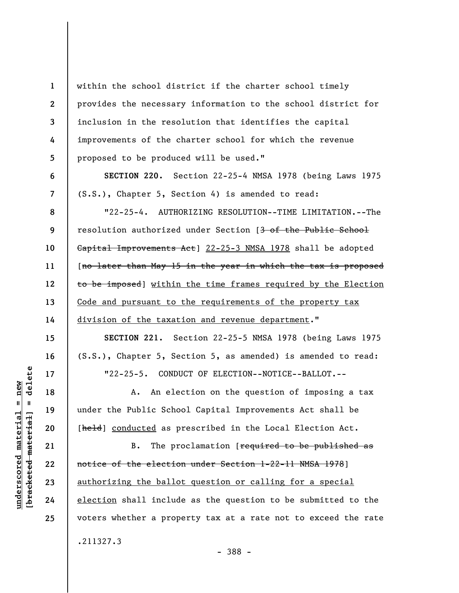within the school district if the charter school timely provides the necessary information to the school district for inclusion in the resolution that identifies the capital improvements of the charter school for which the revenue proposed to be produced will be used."

**SECTION 220.** Section 22-25-4 NMSA 1978 (being Laws 1975 (S.S.), Chapter 5, Section 4) is amended to read:

"22-25-4. AUTHORIZING RESOLUTION--TIME LIMITATION.--The resolution authorized under Section [3 of the Public School Capital Improvements Act] 22-25-3 NMSA 1978 shall be adopted [no later than May 15 in the year in which the tax is proposed to be imposed] within the time frames required by the Election Code and pursuant to the requirements of the property tax division of the taxation and revenue department."

**SECTION 221.** Section 22-25-5 NMSA 1978 (being Laws 1975 (S.S.), Chapter 5, Section 5, as amended) is amended to read: "22-25-5. CONDUCT OF ELECTION--NOTICE--BALLOT.--

A. An election on the question of imposing a tax under the Public School Capital Improvements Act shall be [held] conducted as prescribed in the Local Election Act.

B. The proclamation [required to be published as notice of the election under Section 1-22-11 NMSA 1978] authorizing the ballot question or calling for a special election shall include as the question to be submitted to the voters whether a property tax at a rate not to exceed the rate .211327.3

delete **[bracketed material] = delete**  $anderscored material = new$ **underscored material = new**  $\mathbf{I}$ bracketed material

**1** 

**2** 

**3** 

**4** 

**5** 

**6** 

**7** 

**8** 

**9** 

**10** 

**11** 

**12** 

**13** 

**14** 

**15** 

**16** 

**17** 

**18** 

**19** 

**20** 

**21** 

**22** 

**23** 

**24** 

**25** 

- 388 -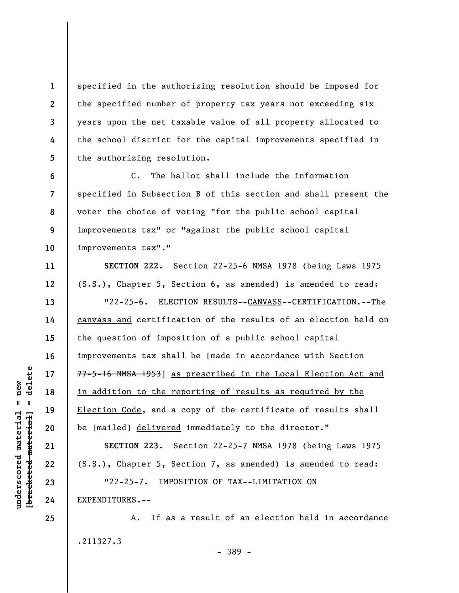specified in the authorizing resolution should be imposed for the specified number of property tax years not exceeding six years upon the net taxable value of all property allocated to the school district for the capital improvements specified in the authorizing resolution.

C. The ballot shall include the information specified in Subsection B of this section and shall present the voter the choice of voting "for the public school capital improvements tax" or "against the public school capital improvements tax"."

**SECTION 222.** Section 22-25-6 NMSA 1978 (being Laws 1975 (S.S.), Chapter 5, Section 6, as amended) is amended to read:

"22-25-6. ELECTION RESULTS--CANVASS--CERTIFICATION.--The canvass and certification of the results of an election held on the question of imposition of a public school capital improvements tax shall be [made in accordance with Section 77-5-16 NMSA 1953] as prescribed in the Local Election Act and in addition to the reporting of results as required by the Election Code, and a copy of the certificate of results shall be [mailed] delivered immediately to the director."

**SECTION 223.** Section 22-25-7 NMSA 1978 (being Laws 1975 (S.S.), Chapter 5, Section 7, as amended) is amended to read: "22-25-7. IMPOSITION OF TAX--LIMITATION ON EXPENDITURES.--

A. If as a result of an election held in accordance .211327.3 - 389 -

delete **[bracketed material] = delete**  $underscored material = new$ **underscored material = new**  $\mathbf{I}$ bracketed material

**1** 

**2** 

**3** 

**4** 

**5** 

**6** 

**7** 

**8** 

**9** 

**10** 

**11** 

**12** 

**13** 

**14** 

**15** 

**16** 

**17** 

**18** 

**19** 

**20** 

**21** 

**22** 

**23** 

**24**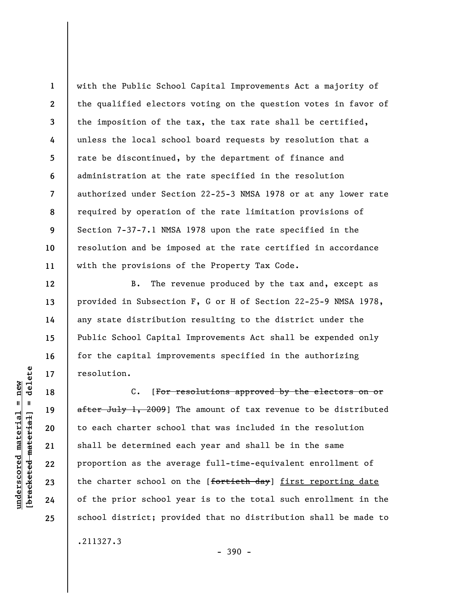**1 2 3 4 5 6 7 8 9 10 11**  with the Public School Capital Improvements Act a majority of the qualified electors voting on the question votes in favor of the imposition of the tax, the tax rate shall be certified, unless the local school board requests by resolution that a rate be discontinued, by the department of finance and administration at the rate specified in the resolution authorized under Section 22-25-3 NMSA 1978 or at any lower rate required by operation of the rate limitation provisions of Section 7-37-7.1 NMSA 1978 upon the rate specified in the resolution and be imposed at the rate certified in accordance with the provisions of the Property Tax Code.

B. The revenue produced by the tax and, except as provided in Subsection F, G or H of Section 22-25-9 NMSA 1978, any state distribution resulting to the district under the Public School Capital Improvements Act shall be expended only for the capital improvements specified in the authorizing resolution.

C. [For resolutions approved by the electors on or after July 1, 2009] The amount of tax revenue to be distributed to each charter school that was included in the resolution shall be determined each year and shall be in the same proportion as the average full-time-equivalent enrollment of the charter school on the [fortieth day] first reporting date of the prior school year is to the total such enrollment in the school district; provided that no distribution shall be made to

 $-390 -$ 

.211327.3

 $\frac{1}{2}$  intereted material = delete **[bracketed material] = delete**  $underscored material = new$ **underscored material = new**

**12** 

**13** 

**14** 

**15** 

**16** 

**17** 

**18** 

**19** 

**20** 

**21** 

**22** 

**23** 

**24**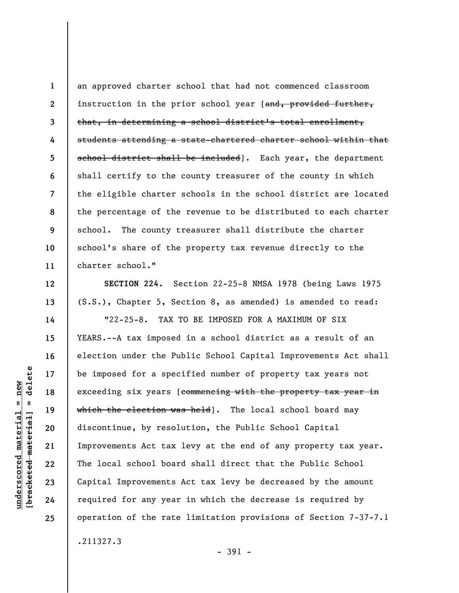**1 2 3 4 5 6 7 8 9 10 11**  an approved charter school that had not commenced classroom instruction in the prior school year [and, provided further, that, in determining a school district's total enrollment, students attending a state-chartered charter school within that school district shall be included]. Each year, the department shall certify to the county treasurer of the county in which the eligible charter schools in the school district are located the percentage of the revenue to be distributed to each charter school. The county treasurer shall distribute the charter school's share of the property tax revenue directly to the charter school."

**SECTION 224.** Section 22-25-8 NMSA 1978 (being Laws 1975 (S.S.), Chapter 5, Section 8, as amended) is amended to read:

"22-25-8. TAX TO BE IMPOSED FOR A MAXIMUM OF SIX YEARS.--A tax imposed in a school district as a result of an election under the Public School Capital Improvements Act shall be imposed for a specified number of property tax years not exceeding six years [commencing with the property tax year in which the election was held]. The local school board may discontinue, by resolution, the Public School Capital Improvements Act tax levy at the end of any property tax year. The local school board shall direct that the Public School Capital Improvements Act tax levy be decreased by the amount required for any year in which the decrease is required by operation of the rate limitation provisions of Section 7-37-7.1

.211327.3

- 391 -

delete **[bracketed material] = delete**  $underscored material = new$ **underscored material = new**  $\mathbf{I}$ bracketed material

**12** 

**13** 

**14** 

**15** 

**16** 

**17** 

**18** 

**19** 

**20** 

**21** 

**22** 

**23** 

**24**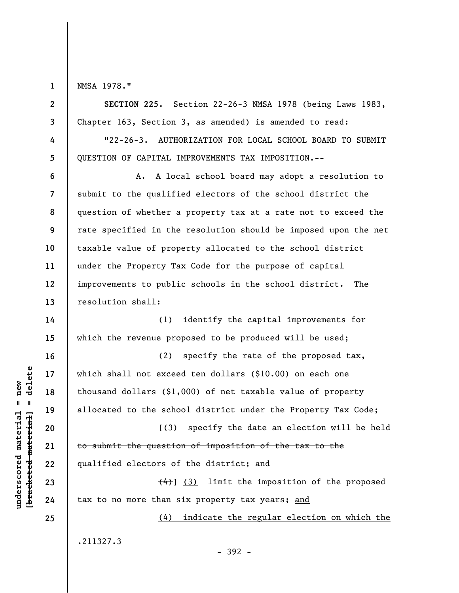**1** 

**2** 

**3** 

**4** 

**5** 

**6** 

**7** 

**9** 

**10** 

**11** 

**12** 

**13** 

**14** 

**15** 

**16** 

**17** 

**18** 

**19** 

**20** 

**21** 

**22** 

**23** 

**24** 

**25** 

NMSA 1978."

**SECTION 225.** Section 22-26-3 NMSA 1978 (being Laws 1983, Chapter 163, Section 3, as amended) is amended to read:

"22-26-3. AUTHORIZATION FOR LOCAL SCHOOL BOARD TO SUBMIT QUESTION OF CAPITAL IMPROVEMENTS TAX IMPOSITION.--

**8**  A. A local school board may adopt a resolution to submit to the qualified electors of the school district the question of whether a property tax at a rate not to exceed the rate specified in the resolution should be imposed upon the net taxable value of property allocated to the school district under the Property Tax Code for the purpose of capital improvements to public schools in the school district. The resolution shall:

(1) identify the capital improvements for which the revenue proposed to be produced will be used;

(2) specify the rate of the proposed tax, which shall not exceed ten dollars (\$10.00) on each one thousand dollars (\$1,000) of net taxable value of property allocated to the school district under the Property Tax Code;

[(3) specify the date an election will be held to submit the question of imposition of the tax to the qualified electors of the district; and

 $(4)$ ] (3) limit the imposition of the proposed tax to no more than six property tax years; and

(4) indicate the regular election on which the

.211327.3

 $\frac{1}{2}$  bracketed material = delete **[bracketed material] = delete**  $underscored material = new$ **underscored material = new**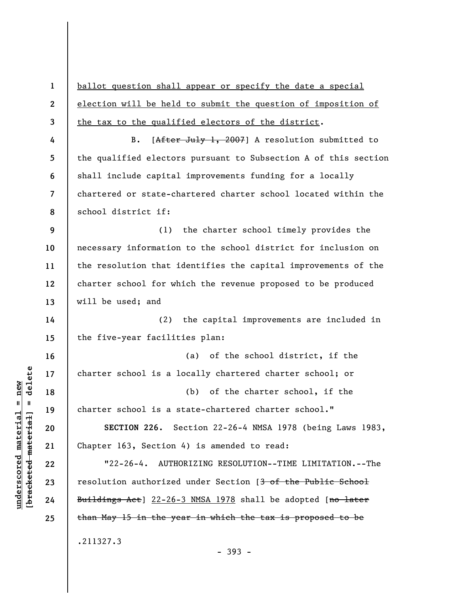**1 2 3 4 5 6 7 8 9 10 11 12 13 14 15 16 17 18 19 20 21 22 23 24 25**  ballot question shall appear or specify the date a special election will be held to submit the question of imposition of the tax to the qualified electors of the district. B. [After July 1, 2007] A resolution submitted to the qualified electors pursuant to Subsection A of this section shall include capital improvements funding for a locally chartered or state-chartered charter school located within the school district if: (1) the charter school timely provides the necessary information to the school district for inclusion on the resolution that identifies the capital improvements of the charter school for which the revenue proposed to be produced will be used; and (2) the capital improvements are included in the five-year facilities plan: (a) of the school district, if the charter school is a locally chartered charter school; or (b) of the charter school, if the charter school is a state-chartered charter school." **SECTION 226.** Section 22-26-4 NMSA 1978 (being Laws 1983, Chapter 163, Section 4) is amended to read: "22-26-4. AUTHORIZING RESOLUTION--TIME LIMITATION.--The resolution authorized under Section [3 of the Public School Buildings Act] 22-26-3 NMSA 1978 shall be adopted [no later than May 15 in the year in which the tax is proposed to be .211327.3

 $\frac{1}{2}$  bracketed material = delete **[bracketed material] = delete**  $anderscored material = new$ **underscored material = new**

- 393 -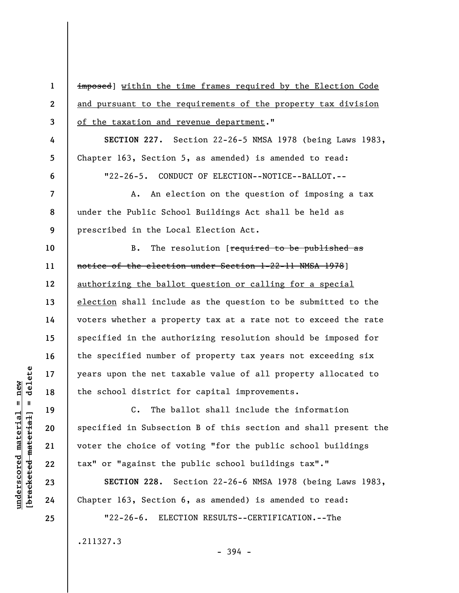| imposed] within the time frames required by the Election Code   |
|-----------------------------------------------------------------|
| and pursuant to the requirements of the property tax division   |
| of the taxation and revenue department."                        |
| SECTION 227. Section 22-26-5 NMSA 1978 (being Laws 1983,        |
| Chapter 163, Section 5, as amended) is amended to read:         |
| "22-26-5. CONDUCT OF ELECTION--NOTICE--BALLOT.--                |
| An election on the question of imposing a tax<br>А.             |
| under the Public School Buildings Act shall be held as          |
| prescribed in the Local Election Act.                           |
| The resolution [required to be published as<br>В.               |
| notice of the election under Section 1-22-11 NMSA 1978]         |
| authorizing the ballot question or calling for a special        |
| election shall include as the question to be submitted to the   |
| voters whether a property tax at a rate not to exceed the rate  |
| specified in the authorizing resolution should be imposed for   |
| the specified number of property tax years not exceeding six    |
| years upon the net taxable value of all property allocated to   |
| the school district for capital improvements.                   |
| C. The ballot shall include the information                     |
| specified in Subsection B of this section and shall present the |
| voter the choice of voting "for the public school buildings     |
| tax" or "against the public school buildings tax"."             |
| SECTION 228. Section 22-26-6 NMSA 1978 (being Laws 1983,        |
| Chapter 163, Section 6, as amended) is amended to read:         |
| $"22 - 26 - 6.$<br>ELECTION RESULTS--CERTIFICATION.--The        |
|                                                                 |

- 394 -

.211327.3

 $[**bracket**et~~eted matcherial~~] = **delete**$ **[bracketed material] = delete**  $underscored material = new$ **underscored material = new**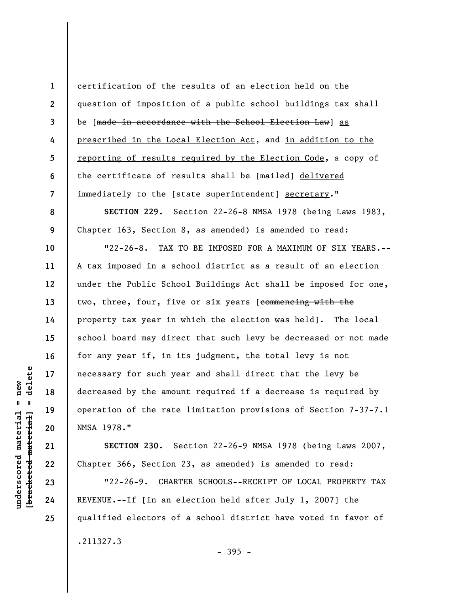certification of the results of an election held on the question of imposition of a public school buildings tax shall be [made in accordance with the School Election Law] as prescribed in the Local Election Act, and in addition to the reporting of results required by the Election Code, a copy of the certificate of results shall be [mailed] delivered immediately to the [state superintendent] secretary."

**SECTION 229.** Section 22-26-8 NMSA 1978 (being Laws 1983, Chapter 163, Section 8, as amended) is amended to read:

"22-26-8. TAX TO BE IMPOSED FOR A MAXIMUM OF SIX YEARS.-- A tax imposed in a school district as a result of an election under the Public School Buildings Act shall be imposed for one, two, three, four, five or six years [commencing with the property tax year in which the election was held]. The local school board may direct that such levy be decreased or not made for any year if, in its judgment, the total levy is not necessary for such year and shall direct that the levy be decreased by the amount required if a decrease is required by operation of the rate limitation provisions of Section 7-37-7.1 NMSA 1978."

**SECTION 230.** Section 22-26-9 NMSA 1978 (being Laws 2007, Chapter 366, Section 23, as amended) is amended to read:

"22-26-9. CHARTER SCHOOLS--RECEIPT OF LOCAL PROPERTY TAX REVENUE.--If  $\int \frac{1}{\ln \tan \theta} \frac{1}{\theta} \cdot \frac{1}{\theta} \cdot \frac{1}{\theta} \cdot \frac{1}{\theta} \cdot \frac{1}{\theta} \cdot \frac{1}{\theta} \cdot \frac{1}{\theta} \cdot \frac{1}{\theta} \cdot \frac{1}{\theta} \cdot \frac{1}{\theta} \cdot \frac{1}{\theta} \cdot \frac{1}{\theta} \cdot \frac{1}{\theta} \cdot \frac{1}{\theta} \cdot \frac{1}{\theta} \cdot \frac{1}{\theta} \cdot \frac{1}{\theta} \cdot \frac{1}{\theta} \cdot \frac{1}{\theta} \cdot \frac{$ qualified electors of a school district have voted in favor of .211327.3

**1** 

**2** 

**3** 

**4** 

**5** 

**6** 

**7** 

**8** 

**9** 

**10** 

**11** 

**12** 

**13** 

**14** 

**15** 

**16** 

**17** 

**18** 

**19** 

**20** 

**21** 

**22** 

**23** 

**24** 

**25** 

- 395 -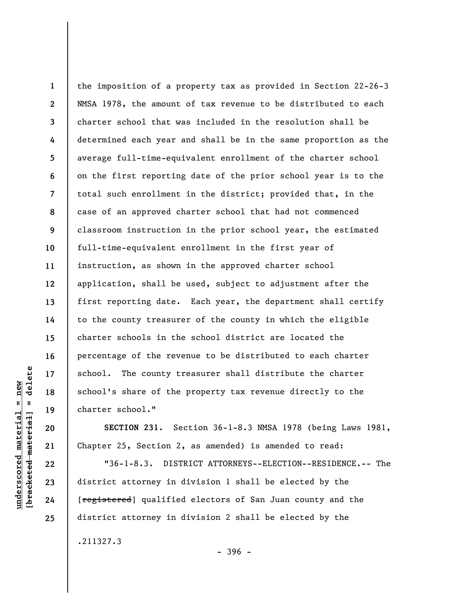**1 2 3 4 5 6 7 8 9 10 11 12 13 14 15 16 17 18 19**  the imposition of a property tax as provided in Section 22-26-3 NMSA 1978, the amount of tax revenue to be distributed to each charter school that was included in the resolution shall be determined each year and shall be in the same proportion as the average full-time-equivalent enrollment of the charter school on the first reporting date of the prior school year is to the total such enrollment in the district; provided that, in the case of an approved charter school that had not commenced classroom instruction in the prior school year, the estimated full-time-equivalent enrollment in the first year of instruction, as shown in the approved charter school application, shall be used, subject to adjustment after the first reporting date. Each year, the department shall certify to the county treasurer of the county in which the eligible charter schools in the school district are located the percentage of the revenue to be distributed to each charter school. The county treasurer shall distribute the charter school's share of the property tax revenue directly to the charter school."

**SECTION 231.** Section 36-1-8.3 NMSA 1978 (being Laws 1981, Chapter 25, Section 2, as amended) is amended to read:

"36-1-8.3. DISTRICT ATTORNEYS--ELECTION--RESIDENCE.-- The district attorney in division 1 shall be elected by the [**registered**] qualified electors of San Juan county and the district attorney in division 2 shall be elected by the

.211327.3

delete **[bracketed material] = delete**  $underscored material = new$ **underscored material = new**  $\frac{1}{2}$ 

**20** 

**21** 

**22** 

**23** 

**24**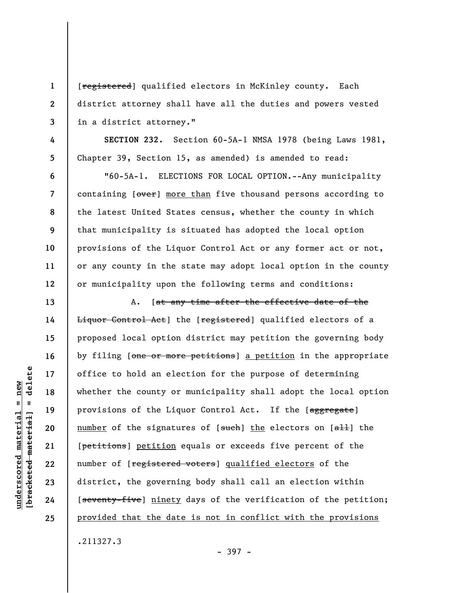[registered] qualified electors in McKinley county. Each district attorney shall have all the duties and powers vested in a district attorney."

**SECTION 232.** Section 60-5A-1 NMSA 1978 (being Laws 1981, Chapter 39, Section 15, as amended) is amended to read:

"60-5A-1. ELECTIONS FOR LOCAL OPTION.--Any municipality containing [over] more than five thousand persons according to the latest United States census, whether the county in which that municipality is situated has adopted the local option provisions of the Liquor Control Act or any former act or not, or any county in the state may adopt local option in the county or municipality upon the following terms and conditions:

A. [at any time after the effective date of the Liquor Control Act] the [registered] qualified electors of a proposed local option district may petition the governing body by filing [one or more petitions] a petition in the appropriate office to hold an election for the purpose of determining whether the county or municipality shall adopt the local option provisions of the Liquor Control Act. If the [aggregate] number of the signatures of  $[$ such] the electors on  $[$ all] the [petitions] petition equals or exceeds five percent of the number of [registered voters] qualified electors of the district, the governing body shall call an election within [seventy-five] ninety days of the verification of the petition; provided that the date is not in conflict with the provisions

.211327.3

- 397 -

delete **[bracketed material] = delete**  $anderscored material = new$ **underscored material = new**  $\mathbf{I}$ bracketed material

**1** 

**2** 

**3** 

**4** 

**5** 

**6** 

**7** 

**8** 

**9** 

**10** 

**11** 

**12** 

**13** 

**14** 

**15** 

**16** 

**17** 

**18** 

**19** 

**20** 

**21** 

**22** 

**23** 

**24**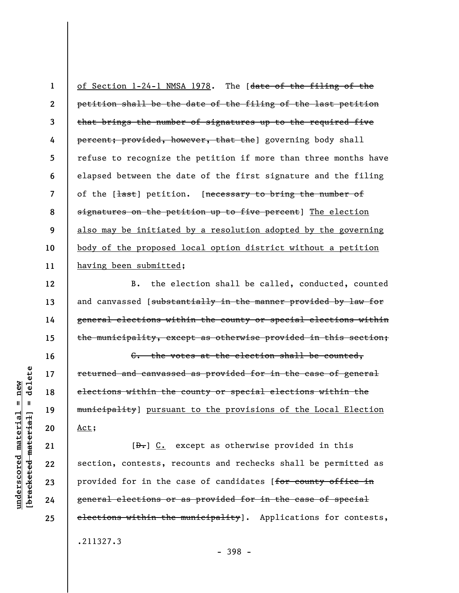**1 2 3 4 5 6 7 8 9 10 11**  of Section 1-24-1 NMSA 1978. The [date of the filing of the petition shall be the date of the filing of the last petition that brings the number of signatures up to the required five percent; provided, however, that the] governing body shall refuse to recognize the petition if more than three months have elapsed between the date of the first signature and the filing of the [<del>last</del>] petition. [necessary to bring the number of signatures on the petition up to five percent] The election also may be initiated by a resolution adopted by the governing body of the proposed local option district without a petition having been submitted;

B. the election shall be called, conducted, counted and canvassed [substantially in the manner provided by law for general elections within the county or special elections within the municipality, except as otherwise provided in this section;

C. the votes at the election shall be counted, returned and canvassed as provided for in the case of general elections within the county or special elections within the municipality] pursuant to the provisions of the Local Election Act;

 $[\frac{D-1}{2}]$  C. except as otherwise provided in this section, contests, recounts and rechecks shall be permitted as provided for in the case of candidates [for county office in general elections or as provided for in the case of special elections within the municipality]. Applications for contests, .211327.3

delete **[bracketed material] = delete**  $anderscored material = new$ **underscored material = new**  $\mathbf{I}$ bracketed material

**12** 

**13** 

**14** 

**15** 

**16** 

**17** 

**18** 

**19** 

**20** 

**21** 

**22** 

**23** 

**24** 

**25** 

- 398 -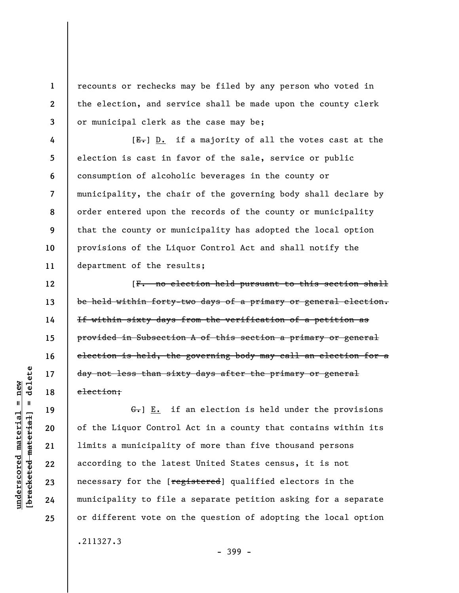recounts or rechecks may be filed by any person who voted in the election, and service shall be made upon the county clerk or municipal clerk as the case may be;

**4 5 6 7 8 9 10 11**  [E.] D. if a majority of all the votes cast at the election is cast in favor of the sale, service or public consumption of alcoholic beverages in the county or municipality, the chair of the governing body shall declare by order entered upon the records of the county or municipality that the county or municipality has adopted the local option provisions of the Liquor Control Act and shall notify the department of the results;

[F. no election held pursuant to this section shall be held within forty-two days of a primary or general election. If within sixty days from the verification of a petition as provided in Subsection A of this section a primary or general election is held, the governing body may call an election for a day not less than sixty days after the primary or general election;

 $G_{\tau}$ ] E. if an election is held under the provisions of the Liquor Control Act in a county that contains within its limits a municipality of more than five thousand persons according to the latest United States census, it is not necessary for the [registered] qualified electors in the municipality to file a separate petition asking for a separate or different vote on the question of adopting the local option .211327.3

 $b$ racketed material] = delete **[bracketed material] = delete**  $underscored material = new$ **underscored material = new**

**1** 

**2** 

**3** 

**12** 

**13** 

**14** 

**15** 

**16** 

**17** 

**18** 

**19** 

**20** 

**21** 

**22** 

**23** 

**24**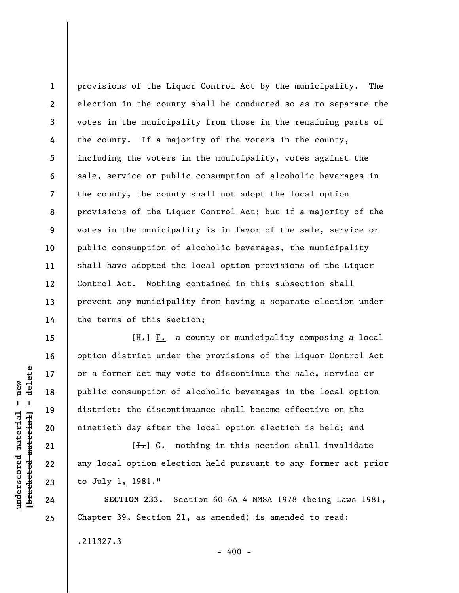**1 2 3 4 5 6 7 8 9 10 11 12 13 14**  provisions of the Liquor Control Act by the municipality. The election in the county shall be conducted so as to separate the votes in the municipality from those in the remaining parts of the county. If a majority of the voters in the county, including the voters in the municipality, votes against the sale, service or public consumption of alcoholic beverages in the county, the county shall not adopt the local option provisions of the Liquor Control Act; but if a majority of the votes in the municipality is in favor of the sale, service or public consumption of alcoholic beverages, the municipality shall have adopted the local option provisions of the Liquor Control Act. Nothing contained in this subsection shall prevent any municipality from having a separate election under the terms of this section;

 $[H<sub>1</sub>]$   $F<sub>2</sub>$  a county or municipality composing a local option district under the provisions of the Liquor Control Act or a former act may vote to discontinue the sale, service or public consumption of alcoholic beverages in the local option district; the discontinuance shall become effective on the ninetieth day after the local option election is held; and

 $[I_{\rightharpoonup}]$  G. nothing in this section shall invalidate any local option election held pursuant to any former act prior to July 1, 1981."

**SECTION 233.** Section 60-6A-4 NMSA 1978 (being Laws 1981, Chapter 39, Section 21, as amended) is amended to read: .211327.3

 $\frac{1}{2}$  of  $\frac{1}{2}$  and  $\frac{1}{2}$  and  $\frac{1}{2}$  and  $\frac{1}{2}$  and  $\frac{1}{2}$  and  $\frac{1}{2}$  and  $\frac{1}{2}$  and  $\frac{1}{2}$  and  $\frac{1}{2}$  and  $\frac{1}{2}$  and  $\frac{1}{2}$  and  $\frac{1}{2}$  and  $\frac{1}{2}$  and  $\frac{1}{2}$  and  $\frac{1}{2}$  an **[bracketed material] = delete**  $underscored material = new$ **underscored material = new**

**24 25** 

**15** 

**16** 

**17** 

**18** 

**19** 

**20** 

**21** 

**22**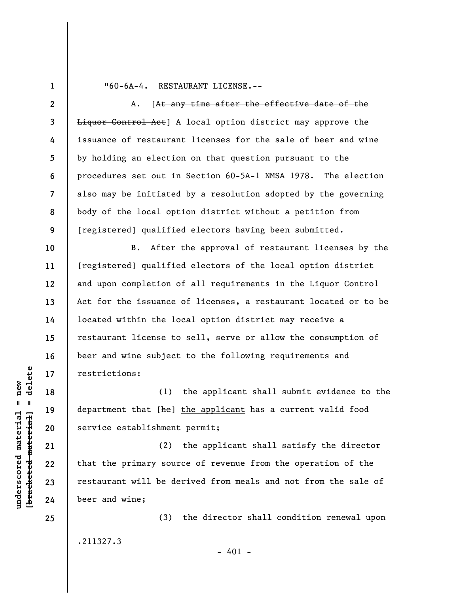**1 2** 

**3** 

**4** 

**5** 

**6** 

**7** 

**8** 

**9** 

**10** 

**11** 

**12** 

**13** 

**14** 

**15** 

**16** 

**17** 

**18** 

**19** 

**20** 

**21** 

**22** 

**23** 

**24** 

**25** 

## "60-6A-4. RESTAURANT LICENSE.--

A. [At any time after the effective date of the Liquor Control Act] A local option district may approve the issuance of restaurant licenses for the sale of beer and wine by holding an election on that question pursuant to the procedures set out in Section 60-5A-1 NMSA 1978. The election also may be initiated by a resolution adopted by the governing body of the local option district without a petition from [registered] qualified electors having been submitted.

B. After the approval of restaurant licenses by the [registered] qualified electors of the local option district and upon completion of all requirements in the Liquor Control Act for the issuance of licenses, a restaurant located or to be located within the local option district may receive a restaurant license to sell, serve or allow the consumption of beer and wine subject to the following requirements and restrictions:

(1) the applicant shall submit evidence to the department that [he] the applicant has a current valid food service establishment permit;

(2) the applicant shall satisfy the director that the primary source of revenue from the operation of the restaurant will be derived from meals and not from the sale of beer and wine;

.211327.3

(3) the director shall condition renewal upon

 $- 401 -$ 

 $\frac{1}{2}$  of  $\frac{1}{2}$  and  $\frac{1}{2}$  and  $\frac{1}{2}$  and  $\frac{1}{2}$  and  $\frac{1}{2}$  and  $\frac{1}{2}$  and  $\frac{1}{2}$  and  $\frac{1}{2}$  and  $\frac{1}{2}$  and  $\frac{1}{2}$  and  $\frac{1}{2}$  and  $\frac{1}{2}$  and  $\frac{1}{2}$  and  $\frac{1}{2}$  and  $\frac{1}{2}$  an **[bracketed material] = delete**  $underscored material = new$ **underscored material = new**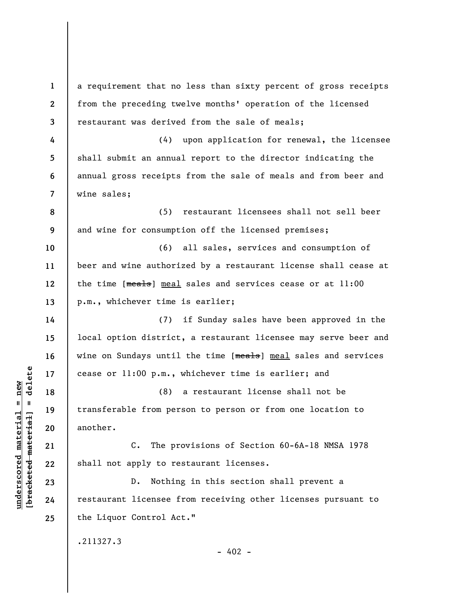| $\mathbf 1$    | a requirement that no less than sixty percent of gross receipts |
|----------------|-----------------------------------------------------------------|
| $\mathbf{2}$   | from the preceding twelve months' operation of the licensed     |
| 3              | restaurant was derived from the sale of meals;                  |
| 4              | (4) upon application for renewal, the licensee                  |
| 5              | shall submit an annual report to the director indicating the    |
| 6              | annual gross receipts from the sale of meals and from beer and  |
| $\overline{7}$ | wine sales;                                                     |
| 8              | restaurant licensees shall not sell beer<br>(5)                 |
| 9              | and wine for consumption off the licensed premises;             |
| 10             | all sales, services and consumption of<br>(6)                   |
| 11             | beer and wine authorized by a restaurant license shall cease at |
| 12             | the time [meals] meal sales and services cease or at 11:00      |
| 13             | p.m., whichever time is earlier;                                |
| 14             | if Sunday sales have been approved in the<br>(7)                |
| 15             | local option district, a restaurant licensee may serve beer and |
| 16             | wine on Sundays until the time [meals] meal sales and services  |
| 17             | cease or 11:00 p.m., whichever time is earlier; and             |
| 18             | a restaurant license shall not be<br>(8)                        |
| 19             | transferable from person to person or from one location to      |
| 20             | another.                                                        |
| 21             | The provisions of Section 60-6A-18 NMSA 1978<br>$c_{\bullet}$   |
| 22             | shall not apply to restaurant licenses.                         |
| 23             | Nothing in this section shall prevent a<br>$D$ .                |
| 24             | restaurant licensee from receiving other licenses pursuant to   |
| 25             | the Liquor Control Act."                                        |
|                | .211327.3<br>$-402 -$                                           |

**underscored material = new [bracketed material] = delete**

 $[**bracket eted metert et**] = **del et e**$  $underscored material = new$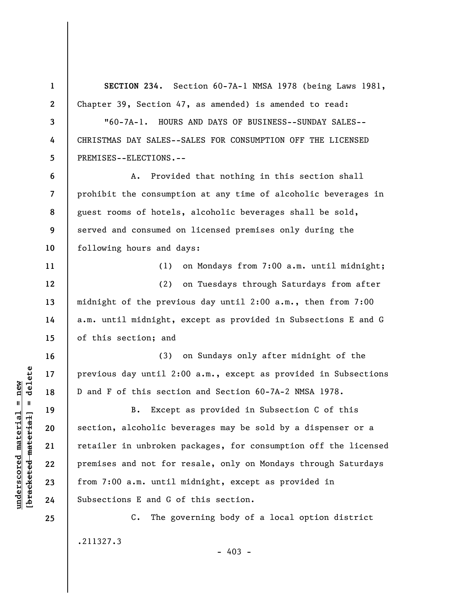**1 2 3 4 5 6 7 8 9 10 11 12 13 14 15 16 17 18 19 20 21 22 23 24 25 SECTION 234.** Section 60-7A-1 NMSA 1978 (being Laws 1981, Chapter 39, Section 47, as amended) is amended to read: "60-7A-1. HOURS AND DAYS OF BUSINESS--SUNDAY SALES-- CHRISTMAS DAY SALES--SALES FOR CONSUMPTION OFF THE LICENSED PREMISES--ELECTIONS.-- A. Provided that nothing in this section shall prohibit the consumption at any time of alcoholic beverages in guest rooms of hotels, alcoholic beverages shall be sold, served and consumed on licensed premises only during the following hours and days: (1) on Mondays from 7:00 a.m. until midnight; (2) on Tuesdays through Saturdays from after midnight of the previous day until 2:00 a.m., then from 7:00 a.m. until midnight, except as provided in Subsections E and G of this section; and (3) on Sundays only after midnight of the previous day until 2:00 a.m., except as provided in Subsections D and F of this section and Section 60-7A-2 NMSA 1978. B. Except as provided in Subsection C of this section, alcoholic beverages may be sold by a dispenser or a retailer in unbroken packages, for consumption off the licensed premises and not for resale, only on Mondays through Saturdays from 7:00 a.m. until midnight, except as provided in Subsections E and G of this section. C. The governing body of a local option district .211327.3

 $-403 -$ 

 $\frac{1}{2}$  of  $\frac{1}{2}$  and  $\frac{1}{2}$  and  $\frac{1}{2}$  and  $\frac{1}{2}$  and  $\frac{1}{2}$  and  $\frac{1}{2}$  and  $\frac{1}{2}$  and  $\frac{1}{2}$  and  $\frac{1}{2}$  and  $\frac{1}{2}$  and  $\frac{1}{2}$  and  $\frac{1}{2}$  and  $\frac{1}{2}$  and  $\frac{1}{2}$  and  $\frac{1}{2}$  an **[bracketed material] = delete**  $underscored material = new$ **underscored material = new**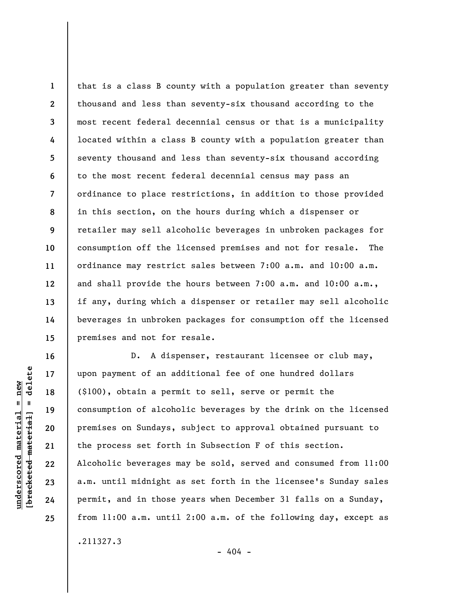**1 2 3 4 5 6 7 8 9 10 11 12 13 14 15**  that is a class B county with a population greater than seventy thousand and less than seventy-six thousand according to the most recent federal decennial census or that is a municipality located within a class B county with a population greater than seventy thousand and less than seventy-six thousand according to the most recent federal decennial census may pass an ordinance to place restrictions, in addition to those provided in this section, on the hours during which a dispenser or retailer may sell alcoholic beverages in unbroken packages for consumption off the licensed premises and not for resale. The ordinance may restrict sales between 7:00 a.m. and 10:00 a.m. and shall provide the hours between 7:00 a.m. and 10:00 a.m., if any, during which a dispenser or retailer may sell alcoholic beverages in unbroken packages for consumption off the licensed premises and not for resale.

D. A dispenser, restaurant licensee or club may, upon payment of an additional fee of one hundred dollars (\$100), obtain a permit to sell, serve or permit the consumption of alcoholic beverages by the drink on the licensed premises on Sundays, subject to approval obtained pursuant to the process set forth in Subsection F of this section. Alcoholic beverages may be sold, served and consumed from 11:00 a.m. until midnight as set forth in the licensee's Sunday sales permit, and in those years when December 31 falls on a Sunday, from 11:00 a.m. until 2:00 a.m. of the following day, except as

delete **[bracketed material] = delete**  $underscored material = new$ **underscored material = new**  $\frac{1}{2}$ 

**16** 

**17** 

**18** 

**19** 

**20** 

**21** 

**22** 

**23** 

**24** 

**25** 

.211327.3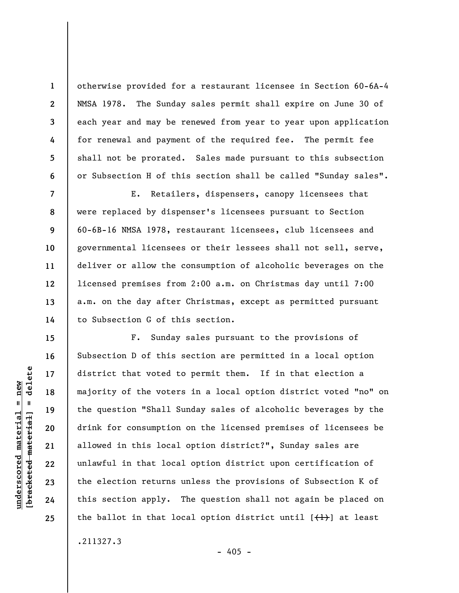otherwise provided for a restaurant licensee in Section 60-6A-4 NMSA 1978. The Sunday sales permit shall expire on June 30 of each year and may be renewed from year to year upon application for renewal and payment of the required fee. The permit fee shall not be prorated. Sales made pursuant to this subsection or Subsection H of this section shall be called "Sunday sales".

E. Retailers, dispensers, canopy licensees that were replaced by dispenser's licensees pursuant to Section 60-6B-16 NMSA 1978, restaurant licensees, club licensees and governmental licensees or their lessees shall not sell, serve, deliver or allow the consumption of alcoholic beverages on the licensed premises from 2:00 a.m. on Christmas day until 7:00 a.m. on the day after Christmas, except as permitted pursuant to Subsection G of this section.

F. Sunday sales pursuant to the provisions of Subsection D of this section are permitted in a local option district that voted to permit them. If in that election a majority of the voters in a local option district voted "no" on the question "Shall Sunday sales of alcoholic beverages by the drink for consumption on the licensed premises of licensees be allowed in this local option district?", Sunday sales are unlawful in that local option district upon certification of the election returns unless the provisions of Subsection K of this section apply. The question shall not again be placed on the ballot in that local option district until  $[\{+ \} ]$  at least

.211327.3

 $-405 -$ 

 $\frac{1}{2}$  intereted material = delete **[bracketed material] = delete**  $underscored material = new$ **underscored material = new**

**1** 

**2** 

**3** 

**4** 

**5** 

**6** 

**7** 

**8** 

**9** 

**10** 

**11** 

**12** 

**13** 

**14** 

**15** 

**16** 

**17** 

**18** 

**19** 

**20** 

**21** 

**22** 

**23** 

**24**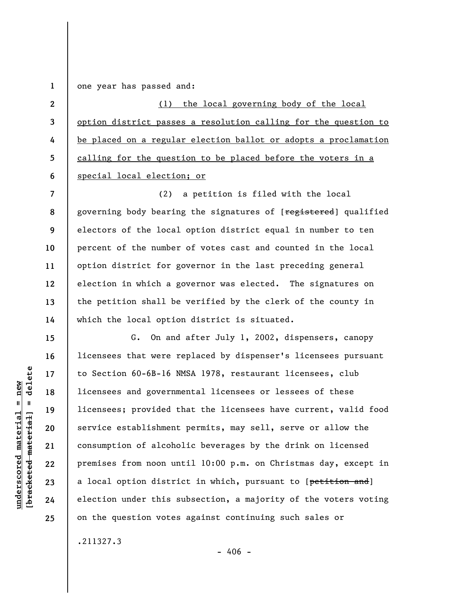**1**  one year has passed and:

**2 3 4 5 6**  (1) the local governing body of the local option district passes a resolution calling for the question to be placed on a regular election ballot or adopts a proclamation calling for the question to be placed before the voters in a special local election; or

**7 8 9 10 11 12 13 14**  (2) a petition is filed with the local governing body bearing the signatures of [registered] qualified electors of the local option district equal in number to ten percent of the number of votes cast and counted in the local option district for governor in the last preceding general election in which a governor was elected. The signatures on the petition shall be verified by the clerk of the county in which the local option district is situated.

G. On and after July 1, 2002, dispensers, canopy licensees that were replaced by dispenser's licensees pursuant to Section 60-6B-16 NMSA 1978, restaurant licensees, club licensees and governmental licensees or lessees of these licensees; provided that the licensees have current, valid food service establishment permits, may sell, serve or allow the consumption of alcoholic beverages by the drink on licensed premises from noon until 10:00 p.m. on Christmas day, except in a local option district in which, pursuant to [petition and] election under this subsection, a majority of the voters voting on the question votes against continuing such sales or

.211327.3

 $-406 -$ 

 $\frac{1}{2}$  of  $\frac{1}{2}$  and  $\frac{1}{2}$  and  $\frac{1}{2}$  and  $\frac{1}{2}$  and  $\frac{1}{2}$  and  $\frac{1}{2}$  and  $\frac{1}{2}$  and  $\frac{1}{2}$  and  $\frac{1}{2}$  and  $\frac{1}{2}$  and  $\frac{1}{2}$  and  $\frac{1}{2}$  and  $\frac{1}{2}$  and  $\frac{1}{2}$  and  $\frac{1}{2}$  an **[bracketed material] = delete**  $anderscored material = new$ **underscored material = new**

**15** 

**16** 

**17** 

**18** 

**19** 

**20** 

**21** 

**22** 

**23** 

**24**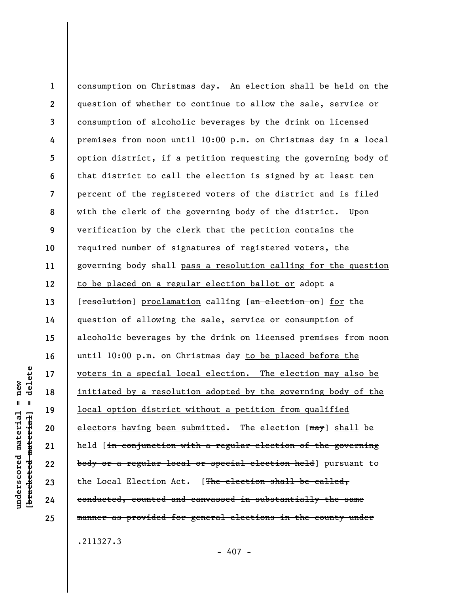**1 2 3 4 5 6 7 8 9 10 11 12 13 14 15 16 17 18 19 20 21 22 23 24 25**  consumption on Christmas day. An election shall be held on the question of whether to continue to allow the sale, service or consumption of alcoholic beverages by the drink on licensed premises from noon until 10:00 p.m. on Christmas day in a local option district, if a petition requesting the governing body of that district to call the election is signed by at least ten percent of the registered voters of the district and is filed with the clerk of the governing body of the district. Upon verification by the clerk that the petition contains the required number of signatures of registered voters, the governing body shall pass a resolution calling for the question to be placed on a regular election ballot or adopt a [resolution] proclamation calling [an election on] for the question of allowing the sale, service or consumption of alcoholic beverages by the drink on licensed premises from noon until 10:00 p.m. on Christmas day to be placed before the voters in a special local election. The election may also be initiated by a resolution adopted by the governing body of the local option district without a petition from qualified electors having been submitted. The election [may] shall be held [in conjunction with a regular election of the governing body or a regular local or special election held] pursuant to the Local Election Act. [The election shall be called, conducted, counted and canvassed in substantially the same manner as provided for general elections in the county under

.211327.3

 $-407 -$ 

delete **[bracketed material] = delete**  $anderscored material = new$ **underscored material = new**  $\mathbf{I}$ bracketed material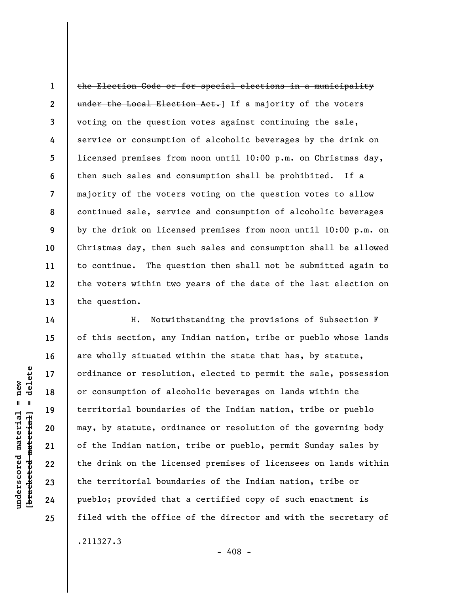**1 2 3 4 5 6 7 8 9 10 11 12 13**  the Election Code or for special elections in a municipality under the Local Election Act. If a majority of the voters voting on the question votes against continuing the sale, service or consumption of alcoholic beverages by the drink on licensed premises from noon until 10:00 p.m. on Christmas day, then such sales and consumption shall be prohibited. If a majority of the voters voting on the question votes to allow continued sale, service and consumption of alcoholic beverages by the drink on licensed premises from noon until 10:00 p.m. on Christmas day, then such sales and consumption shall be allowed to continue. The question then shall not be submitted again to the voters within two years of the date of the last election on the question.

H. Notwithstanding the provisions of Subsection F of this section, any Indian nation, tribe or pueblo whose lands are wholly situated within the state that has, by statute, ordinance or resolution, elected to permit the sale, possession or consumption of alcoholic beverages on lands within the territorial boundaries of the Indian nation, tribe or pueblo may, by statute, ordinance or resolution of the governing body of the Indian nation, tribe or pueblo, permit Sunday sales by the drink on the licensed premises of licensees on lands within the territorial boundaries of the Indian nation, tribe or pueblo; provided that a certified copy of such enactment is filed with the office of the director and with the secretary of

.211327.3

- 408 -

delete **[bracketed material] = delete**  $underscored material = new$ **underscored material = new**  $\mathbf{u}$ bracketed material

**14** 

**15** 

**16** 

**17** 

**18** 

**19** 

**20** 

**21** 

**22** 

**23** 

**24**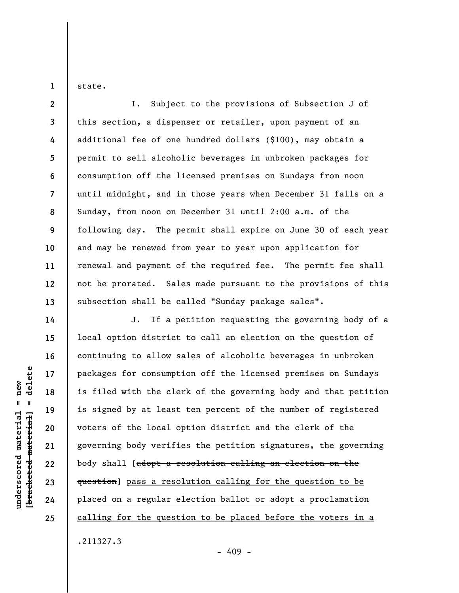state.

**1** 

**2 3 4 5 6 7 8 9 10 11 12 13**  I. Subject to the provisions of Subsection J of this section, a dispenser or retailer, upon payment of an additional fee of one hundred dollars (\$100), may obtain a permit to sell alcoholic beverages in unbroken packages for consumption off the licensed premises on Sundays from noon until midnight, and in those years when December 31 falls on a Sunday, from noon on December 31 until 2:00 a.m. of the following day. The permit shall expire on June 30 of each year and may be renewed from year to year upon application for renewal and payment of the required fee. The permit fee shall not be prorated. Sales made pursuant to the provisions of this subsection shall be called "Sunday package sales".

J. If a petition requesting the governing body of a local option district to call an election on the question of continuing to allow sales of alcoholic beverages in unbroken packages for consumption off the licensed premises on Sundays is filed with the clerk of the governing body and that petition is signed by at least ten percent of the number of registered voters of the local option district and the clerk of the governing body verifies the petition signatures, the governing body shall [adopt a resolution calling an election on the question] pass a resolution calling for the question to be placed on a regular election ballot or adopt a proclamation calling for the question to be placed before the voters in a .211327.3

delete **[bracketed material] = delete**  $anderscored material = new$ **underscored material = new**  $\mathbf{I}$ bracketed material

**14** 

**15** 

**16** 

**17** 

**18** 

**19** 

**20** 

**21** 

**22** 

**23** 

**24** 

**25** 

 $-409 -$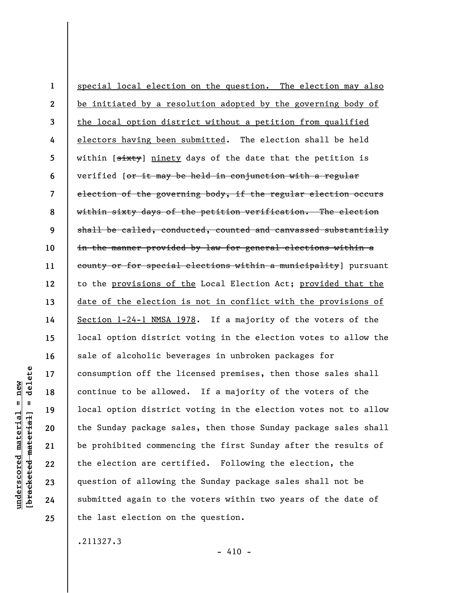**1 2 3 4 5 6 7 8 9 10 11 12 13 14 15 16 17 18 19 20 21 22 23 24 25**  special local election on the question. The election may also be initiated by a resolution adopted by the governing body of the local option district without a petition from qualified electors having been submitted. The election shall be held within [sixty] ninety days of the date that the petition is verified [or it may be held in conjunction with a regular election of the governing body, if the regular election occurs within sixty days of the petition verification. The election shall be called, conducted, counted and canvassed substantially in the manner provided by law for general elections within a county or for special elections within a municipality] pursuant to the provisions of the Local Election Act; provided that the date of the election is not in conflict with the provisions of Section 1-24-1 NMSA 1978. If a majority of the voters of the local option district voting in the election votes to allow the sale of alcoholic beverages in unbroken packages for consumption off the licensed premises, then those sales shall continue to be allowed. If a majority of the voters of the local option district voting in the election votes not to allow the Sunday package sales, then those Sunday package sales shall be prohibited commencing the first Sunday after the results of the election are certified. Following the election, the question of allowing the Sunday package sales shall not be submitted again to the voters within two years of the date of the last election on the question.

.211327.3

 $- 410 -$ 

delete **[bracketed material] = delete**  $anderscored material = new$ **underscored material = new**  $\mathbf{I}$ bracketed material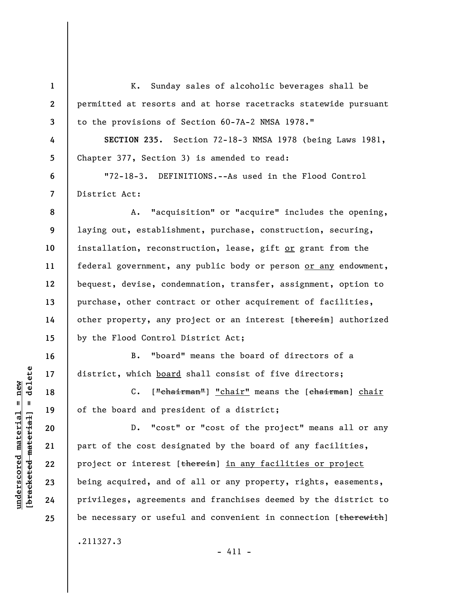**1 2 3 4 5 6 7 8 9 10 11 12 13 14 15 16 17 18 19 20 21 22 23 24 25**  K. Sunday sales of alcoholic beverages shall be permitted at resorts and at horse racetracks statewide pursuant to the provisions of Section 60-7A-2 NMSA 1978." **SECTION 235.** Section 72-18-3 NMSA 1978 (being Laws 1981, Chapter 377, Section 3) is amended to read: "72-18-3. DEFINITIONS.--As used in the Flood Control District Act: A. "acquisition" or "acquire" includes the opening, laying out, establishment, purchase, construction, securing, installation, reconstruction, lease, gift or grant from the federal government, any public body or person or any endowment, bequest, devise, condemnation, transfer, assignment, option to purchase, other contract or other acquirement of facilities, other property, any project or an interest [therein] authorized by the Flood Control District Act; B. "board" means the board of directors of a district, which board shall consist of five directors; C. ["chairman"] "chair" means the [chairman] chair of the board and president of a district; D. "cost" or "cost of the project" means all or any part of the cost designated by the board of any facilities, project or interest [therein] in any facilities or project being acquired, and of all or any property, rights, easements, privileges, agreements and franchises deemed by the district to be necessary or useful and convenient in connection [therewith] .211327.3

delete **[bracketed material] = delete**  $underscored material = new$ **underscored material = new**  $\mathbf{I}$ bracketed material

- 411 -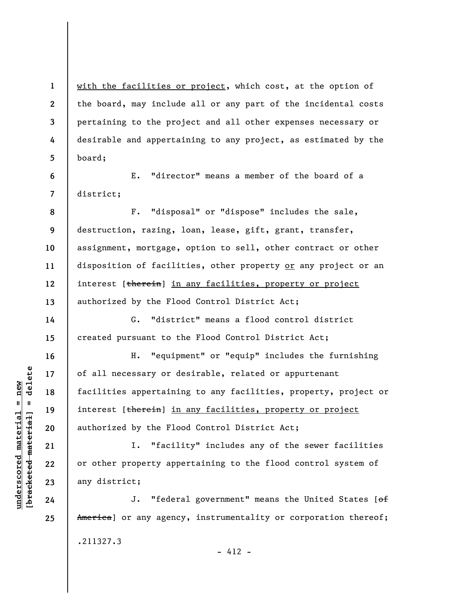with the facilities or project, which cost, at the option of the board, may include all or any part of the incidental costs pertaining to the project and all other expenses necessary or desirable and appertaining to any project, as estimated by the board;

E. "director" means a member of the board of a district;

**8 9 10 11 12 13**  F. "disposal" or "dispose" includes the sale, destruction, razing, loan, lease, gift, grant, transfer, assignment, mortgage, option to sell, other contract or other disposition of facilities, other property or any project or an interest [therein] in any facilities, property or project authorized by the Flood Control District Act;

G. "district" means a flood control district created pursuant to the Flood Control District Act;

H. "equipment" or "equip" includes the furnishing of all necessary or desirable, related or appurtenant facilities appertaining to any facilities, property, project or interest [therein] in any facilities, property or project authorized by the Flood Control District Act;

I. "facility" includes any of the sewer facilities or other property appertaining to the flood control system of any district;

J. "federal government" means the United States [of America] or any agency, instrumentality or corporation thereof; .211327.3  $- 412 -$ 

 $b$ racketed material] = delete **[bracketed material] = delete**  $underscored material = new$ **underscored material = new**

**1** 

**2** 

**3** 

**4** 

**5** 

**6** 

**7** 

**14** 

**15** 

**16** 

**17** 

**18** 

**19** 

**20** 

**21** 

**22** 

**23** 

**24**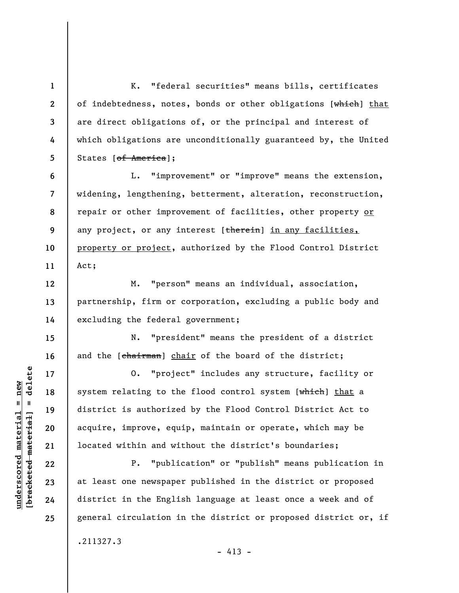K. "federal securities" means bills, certificates of indebtedness, notes, bonds or other obligations [which] that are direct obligations of, or the principal and interest of which obligations are unconditionally guaranteed by, the United States [of America];

**6 7 8 9 10 11**  L. "improvement" or "improve" means the extension, widening, lengthening, betterment, alteration, reconstruction, repair or other improvement of facilities, other property or any project, or any interest [therein] in any facilities, property or project, authorized by the Flood Control District Act;

M. "person" means an individual, association, partnership, firm or corporation, excluding a public body and excluding the federal government;

N. "president" means the president of a district and the [chairman] chair of the board of the district;

O. "project" includes any structure, facility or system relating to the flood control system [which] that a district is authorized by the Flood Control District Act to acquire, improve, equip, maintain or operate, which may be located within and without the district's boundaries;

P. "publication" or "publish" means publication in at least one newspaper published in the district or proposed district in the English language at least once a week and of general circulation in the district or proposed district or, if .211327.3

 $- 413 -$ 

 $b$ racketed material] = delete **[bracketed material] = delete**  $underscored material = new$ **underscored material = new**

**1** 

**2** 

**3** 

**4** 

**5** 

**12** 

**13** 

**14** 

**15** 

**16** 

**17** 

**18** 

**19** 

**20** 

**21** 

**22** 

**23** 

**24**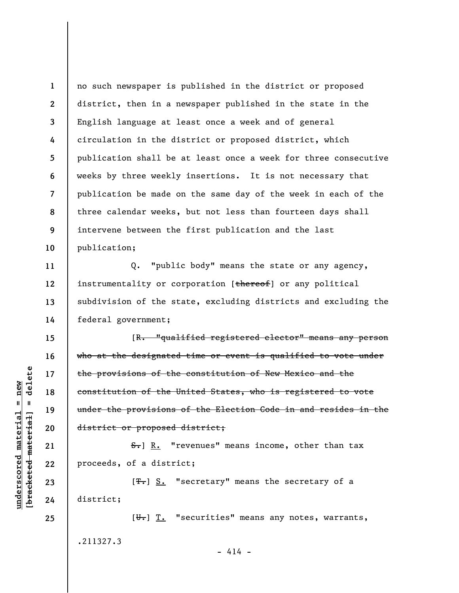**1 2 3 4 5 6 7 8 9 10**  no such newspaper is published in the district or proposed district, then in a newspaper published in the state in the English language at least once a week and of general circulation in the district or proposed district, which publication shall be at least once a week for three consecutive weeks by three weekly insertions. It is not necessary that publication be made on the same day of the week in each of the three calendar weeks, but not less than fourteen days shall intervene between the first publication and the last publication;

Q. "public body" means the state or any agency, instrumentality or corporation [thereof] or any political subdivision of the state, excluding districts and excluding the federal government;

[R. "qualified registered elector" means any person who at the designated time or event is qualified to vote under the provisions of the constitution of New Mexico and the constitution of the United States, who is registered to vote under the provisions of the Election Code in and resides in the district or proposed district;

S.] R. "revenues" means income, other than tax proceeds, of a district;

[<del>T.</del>] S. "secretary" means the secretary of a district;

 $[\overline{\mathbf{u}}_r]$   $\overline{\mathbf{T}}$ . "securities" means any notes, warrants, .211327.3  $- 414 -$ 

 $\frac{1}{2}$  bracketed material = delete **[bracketed material] = delete**  $underscored material = new$ **underscored material = new**

**23 24** 

**25** 

**11** 

**12** 

**13** 

**14** 

**15** 

**16** 

**17** 

**18** 

**19** 

**20** 

**21**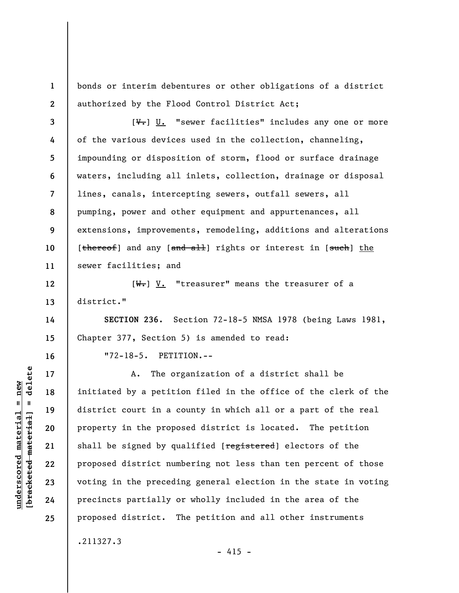bonds or interim debentures or other obligations of a district authorized by the Flood Control District Act;

**3 4 5 6 7 8 9 10 11**   $[\overline{\mathbf{v}}_r]$  U. "sewer facilities" includes any one or more of the various devices used in the collection, channeling, impounding or disposition of storm, flood or surface drainage waters, including all inlets, collection, drainage or disposal lines, canals, intercepting sewers, outfall sewers, all pumping, power and other equipment and appurtenances, all extensions, improvements, remodeling, additions and alterations [thereof] and any [and all] rights or interest in [such] the sewer facilities; and

 $[\overline{W_{\tau}}]$  V. "treasurer" means the treasurer of a district."

**SECTION 236.** Section 72-18-5 NMSA 1978 (being Laws 1981, Chapter 377, Section 5) is amended to read:

"72-18-5. PETITION.--

A. The organization of a district shall be initiated by a petition filed in the office of the clerk of the district court in a county in which all or a part of the real property in the proposed district is located. The petition shall be signed by qualified [registered] electors of the proposed district numbering not less than ten percent of those voting in the preceding general election in the state in voting precincts partially or wholly included in the area of the proposed district. The petition and all other instruments

delete **[bracketed material] = delete**  $underscored material = new$ **underscored material = new**  $\mathbf{I}$ bracketed material

**1** 

**2** 

**12** 

**13** 

**14** 

**15** 

**16** 

**17** 

**18** 

**19** 

**20** 

**21** 

**22** 

**23** 

**24** 

**25** 

.211327.3

 $- 415 -$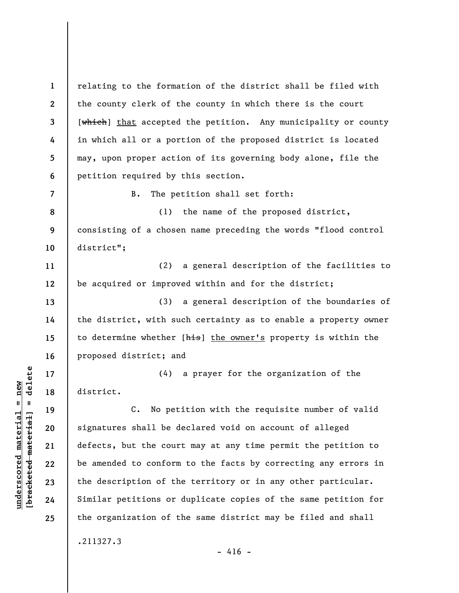**1 2 3 4 5 6**  relating to the formation of the district shall be filed with the county clerk of the county in which there is the court [which] that accepted the petition. Any municipality or county in which all or a portion of the proposed district is located may, upon proper action of its governing body alone, file the petition required by this section.

B. The petition shall set forth:

**8 9 10**  (1) the name of the proposed district, consisting of a chosen name preceding the words "flood control district";

**11 12**  (2) a general description of the facilities to be acquired or improved within and for the district;

(3) a general description of the boundaries of the district, with such certainty as to enable a property owner to determine whether [his] the owner's property is within the proposed district; and

(4) a prayer for the organization of the district.

C. No petition with the requisite number of valid signatures shall be declared void on account of alleged defects, but the court may at any time permit the petition to be amended to conform to the facts by correcting any errors in the description of the territory or in any other particular. Similar petitions or duplicate copies of the same petition for the organization of the same district may be filed and shall

.211327.3

 $- 416 -$ 

 $b$ racketed material] = delete **[bracketed material] = delete**  $underscored material = new$ **underscored material = new**

**7** 

**13** 

**14** 

**15** 

**16** 

**17** 

**18** 

**19** 

**20** 

**21** 

**22** 

**23** 

**24**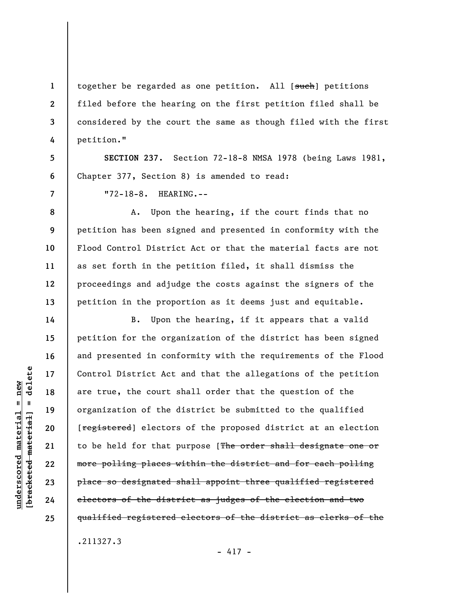together be regarded as one petition. All [such] petitions filed before the hearing on the first petition filed shall be considered by the court the same as though filed with the first petition."

**SECTION 237.** Section 72-18-8 NMSA 1978 (being Laws 1981, Chapter 377, Section 8) is amended to read:

"72-18-8. HEARING.--

A. Upon the hearing, if the court finds that no petition has been signed and presented in conformity with the Flood Control District Act or that the material facts are not as set forth in the petition filed, it shall dismiss the proceedings and adjudge the costs against the signers of the petition in the proportion as it deems just and equitable.

B. Upon the hearing, if it appears that a valid petition for the organization of the district has been signed and presented in conformity with the requirements of the Flood Control District Act and that the allegations of the petition are true, the court shall order that the question of the organization of the district be submitted to the qualified [registered] electors of the proposed district at an election to be held for that purpose [The order shall designate one or more polling places within the district and for each polling place so designated shall appoint three qualified registered electors of the district as judges of the election and two qualified registered electors of the district as clerks of the

.211327.3

 $-417 -$ 

delete **[bracketed material] = delete**  $anderscored material = new$ **underscored material = new**  $\mathbf{I}$ bracketed material

**1** 

**2** 

**3** 

**4** 

**5** 

**6** 

**7** 

**8** 

**9** 

**10** 

**11** 

**12** 

**13** 

**14** 

**15** 

**16** 

**17** 

**18** 

**19** 

**20** 

**21** 

**22** 

**23** 

**24**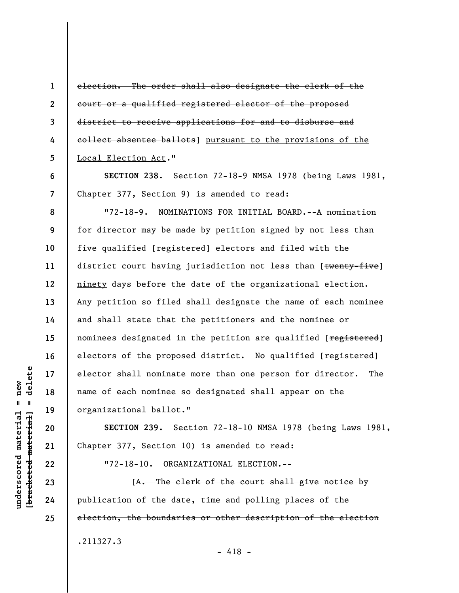**1 2 3 4 5**  election. The order shall also designate the clerk of the court or a qualified registered elector of the proposed district to receive applications for and to disburse and collect absentee ballots] pursuant to the provisions of the Local Election Act."

**SECTION 238.** Section 72-18-9 NMSA 1978 (being Laws 1981, Chapter 377, Section 9) is amended to read:

"72-18-9. NOMINATIONS FOR INITIAL BOARD.--A nomination for director may be made by petition signed by not less than five qualified [registered] electors and filed with the district court having jurisdiction not less than [twenty-five] ninety days before the date of the organizational election. Any petition so filed shall designate the name of each nominee and shall state that the petitioners and the nominee or nominees designated in the petition are qualified [registered] electors of the proposed district. No qualified [registered] elector shall nominate more than one person for director. The name of each nominee so designated shall appear on the organizational ballot."

**SECTION 239.** Section 72-18-10 NMSA 1978 (being Laws 1981, Chapter 377, Section 10) is amended to read:

"72-18-10. ORGANIZATIONAL ELECTION.--

[A. The clerk of the court shall give notice by publication of the date, time and polling places of the election, the boundaries or other description of the election .211327.3

- 418 -

delete **[bracketed material] = delete**  $anderscored material = new$ **underscored material = new**  $\mathbf{I}$ bracketed material

**6** 

**7** 

**8** 

**9** 

**10** 

**11** 

**12** 

**13** 

**14** 

**15** 

**16** 

**17** 

**18** 

**19** 

**20** 

**21** 

**22** 

**23** 

**24**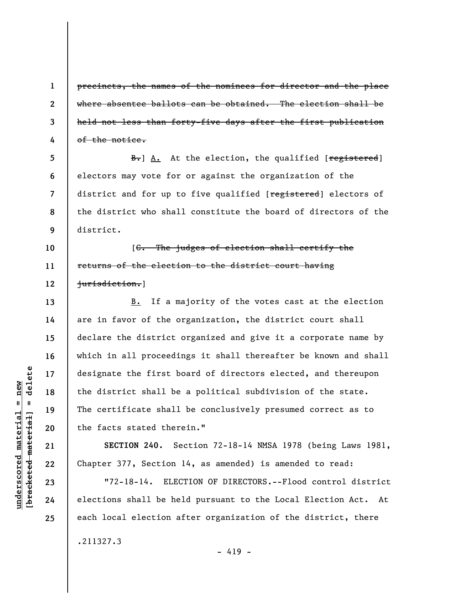precincts, the names of the nominees for director and the place where absentee ballots can be obtained. The election shall be held not less than forty-five days after the first publication of the notice.

**5 6 7 8 9**  B. A. At the election, the qualified [registered] electors may vote for or against the organization of the district and for up to five qualified [registered] electors of the district who shall constitute the board of directors of the district.

**10 11 12**  [C. The judges of election shall certify the returns of the election to the district court having jurisdiction.]

B. If a majority of the votes cast at the election are in favor of the organization, the district court shall declare the district organized and give it a corporate name by which in all proceedings it shall thereafter be known and shall designate the first board of directors elected, and thereupon the district shall be a political subdivision of the state. The certificate shall be conclusively presumed correct as to the facts stated therein."

**SECTION 240.** Section 72-18-14 NMSA 1978 (being Laws 1981, Chapter 377, Section 14, as amended) is amended to read:

"72-18-14. ELECTION OF DIRECTORS.--Flood control district elections shall be held pursuant to the Local Election Act. At each local election after organization of the district, there

- 419 -

.211327.3

 $\frac{1}{2}$  intereted material = delete **[bracketed material] = delete**  $anderscored material = new$ **underscored material = new**

**1** 

**2** 

**3** 

**4** 

**13** 

**14** 

**15** 

**16** 

**17** 

**18** 

**19** 

**20** 

**21** 

**22** 

**23** 

**24**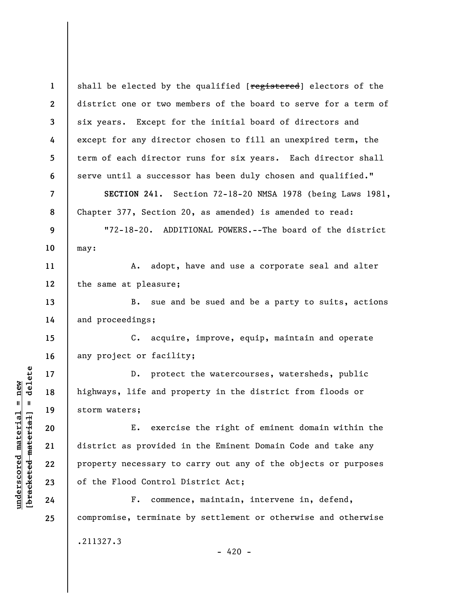**1 2 3 4 5 6 7 8 9 10 11 12 13 14 15 16 17 18 19 20 21 22 23 24 25**  shall be elected by the qualified [registered] electors of the district one or two members of the board to serve for a term of six years. Except for the initial board of directors and except for any director chosen to fill an unexpired term, the term of each director runs for six years. Each director shall serve until a successor has been duly chosen and qualified." **SECTION 241.** Section 72-18-20 NMSA 1978 (being Laws 1981, Chapter 377, Section 20, as amended) is amended to read: "72-18-20. ADDITIONAL POWERS.--The board of the district may: A. adopt, have and use a corporate seal and alter the same at pleasure; B. sue and be sued and be a party to suits, actions and proceedings; C. acquire, improve, equip, maintain and operate any project or facility; D. protect the watercourses, watersheds, public highways, life and property in the district from floods or storm waters; E. exercise the right of eminent domain within the district as provided in the Eminent Domain Code and take any property necessary to carry out any of the objects or purposes of the Flood Control District Act; F. commence, maintain, intervene in, defend, compromise, terminate by settlement or otherwise and otherwise .211327.3

 $-420 -$ 

 $b$ racketed material] = delete **[bracketed material] = delete**  $underscored material = new$ **underscored material = new**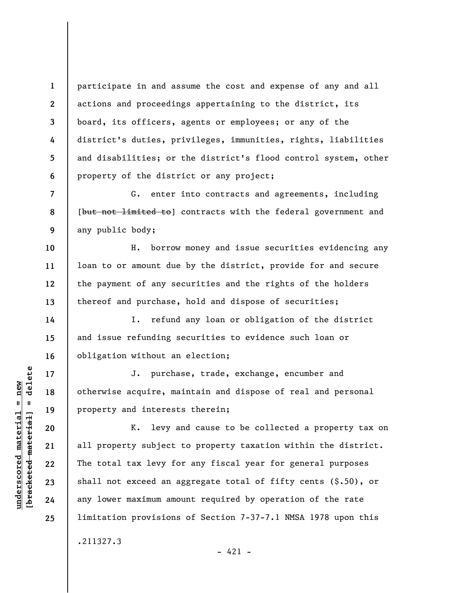**1 2 3 4 5 6**  participate in and assume the cost and expense of any and all actions and proceedings appertaining to the district, its board, its officers, agents or employees; or any of the district's duties, privileges, immunities, rights, liabilities and disabilities; or the district's flood control system, other property of the district or any project;

G. enter into contracts and agreements, including [but not limited to] contracts with the federal government and any public body;

H. borrow money and issue securities evidencing any loan to or amount due by the district, provide for and secure the payment of any securities and the rights of the holders thereof and purchase, hold and dispose of securities;

I. refund any loan or obligation of the district and issue refunding securities to evidence such loan or obligation without an election;

J. purchase, trade, exchange, encumber and otherwise acquire, maintain and dispose of real and personal property and interests therein;

K. levy and cause to be collected a property tax on all property subject to property taxation within the district. The total tax levy for any fiscal year for general purposes shall not exceed an aggregate total of fifty cents (\$.50), or any lower maximum amount required by operation of the rate limitation provisions of Section 7-37-7.1 NMSA 1978 upon this .211327.3

 $- 421 -$ 

**7** 

**8** 

**9** 

**10** 

**11** 

**12** 

**13** 

**14** 

**15** 

**16** 

**17** 

**18** 

**19** 

**20** 

**21** 

**22** 

**23** 

**24**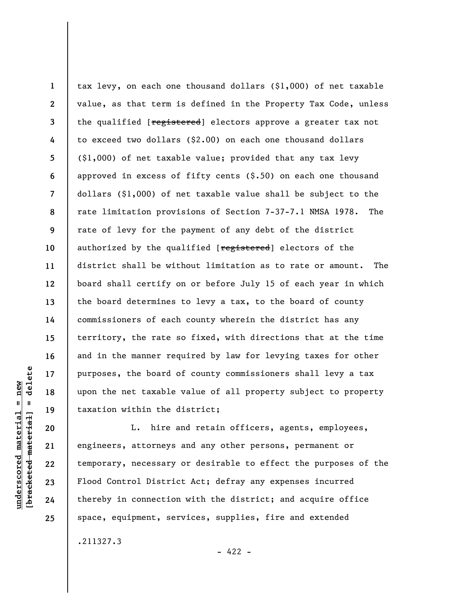**1 2 3 4 5 6 7 8 9 10 11 12 13 14 15 16 17 18 19**  tax levy, on each one thousand dollars (\$1,000) of net taxable value, as that term is defined in the Property Tax Code, unless the qualified [registered] electors approve a greater tax not to exceed two dollars (\$2.00) on each one thousand dollars (\$1,000) of net taxable value; provided that any tax levy approved in excess of fifty cents (\$.50) on each one thousand dollars (\$1,000) of net taxable value shall be subject to the rate limitation provisions of Section 7-37-7.1 NMSA 1978. The rate of levy for the payment of any debt of the district authorized by the qualified [registered] electors of the district shall be without limitation as to rate or amount. The board shall certify on or before July 15 of each year in which the board determines to levy a tax, to the board of county commissioners of each county wherein the district has any territory, the rate so fixed, with directions that at the time and in the manner required by law for levying taxes for other purposes, the board of county commissioners shall levy a tax upon the net taxable value of all property subject to property taxation within the district;

L. hire and retain officers, agents, employees, engineers, attorneys and any other persons, permanent or temporary, necessary or desirable to effect the purposes of the Flood Control District Act; defray any expenses incurred thereby in connection with the district; and acquire office space, equipment, services, supplies, fire and extended

 $- 422 -$ 

delete **[bracketed material] = delete**  $underscored material = new$ **underscored material = new**  $\mathbf{I}$ bracketed material

**20** 

**21** 

**22** 

**23** 

**24** 

**25** 

.211327.3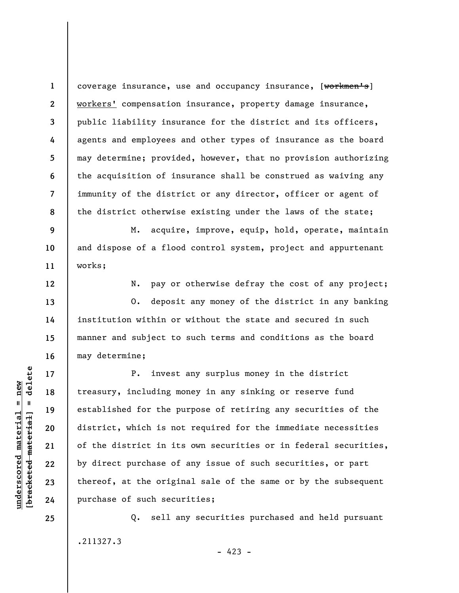**1 2 3 4 5 6 7 8**  coverage insurance, use and occupancy insurance, [workmen's] workers' compensation insurance, property damage insurance, public liability insurance for the district and its officers, agents and employees and other types of insurance as the board may determine; provided, however, that no provision authorizing the acquisition of insurance shall be construed as waiving any immunity of the district or any director, officer or agent of the district otherwise existing under the laws of the state;

**9 10 11**  M. acquire, improve, equip, hold, operate, maintain and dispose of a flood control system, project and appurtenant works;

**12** 

**13** 

**14** 

**15** 

**16** 

**17** 

**18** 

**19** 

**20** 

**21** 

**22** 

**23** 

N. pay or otherwise defray the cost of any project;

O. deposit any money of the district in any banking institution within or without the state and secured in such manner and subject to such terms and conditions as the board may determine;

P. invest any surplus money in the district treasury, including money in any sinking or reserve fund established for the purpose of retiring any securities of the district, which is not required for the immediate necessities of the district in its own securities or in federal securities, by direct purchase of any issue of such securities, or part thereof, at the original sale of the same or by the subsequent purchase of such securities;

Q. sell any securities purchased and held pursuant .211327.3  $- 423 -$ 

**24 25** 

**underscored material = new [bracketed material] = delete**

 $b$ racketed material] = delete  $underscored material = new$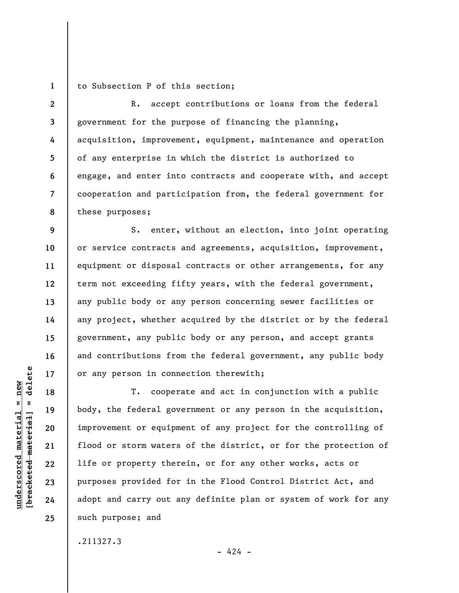**1**  to Subsection P of this section;

**2 3 4 5 6 7 8**  R. accept contributions or loans from the federal government for the purpose of financing the planning, acquisition, improvement, equipment, maintenance and operation of any enterprise in which the district is authorized to engage, and enter into contracts and cooperate with, and accept cooperation and participation from, the federal government for these purposes;

S. enter, without an election, into joint operating or service contracts and agreements, acquisition, improvement, equipment or disposal contracts or other arrangements, for any term not exceeding fifty years, with the federal government, any public body or any person concerning sewer facilities or any project, whether acquired by the district or by the federal government, any public body or any person, and accept grants and contributions from the federal government, any public body or any person in connection therewith;

T. cooperate and act in conjunction with a public body, the federal government or any person in the acquisition, improvement or equipment of any project for the controlling of flood or storm waters of the district, or for the protection of life or property therein, or for any other works, acts or purposes provided for in the Flood Control District Act, and adopt and carry out any definite plan or system of work for any such purpose; and

.211327.3

 $=$  delete **[bracketed material] = delete**  $underscored material = new$ **underscored material = new** bracketed material **9** 

**10** 

**11** 

**12** 

**13** 

**14** 

**15** 

**16** 

**17** 

**18** 

**19** 

**20** 

**21** 

**22** 

**23** 

**24**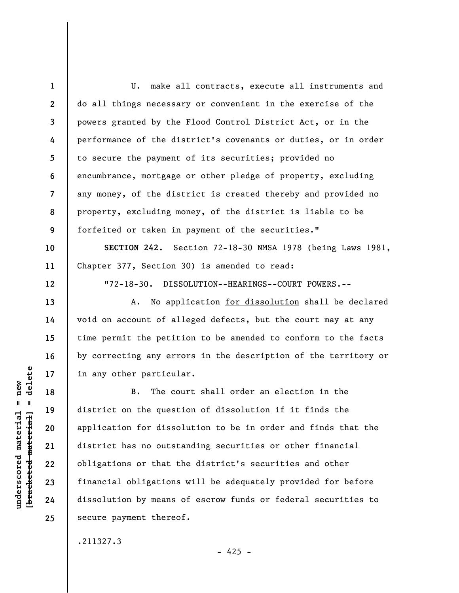**1 2 3 4 5 6 7 8 9 10**  U. make all contracts, execute all instruments and do all things necessary or convenient in the exercise of the powers granted by the Flood Control District Act, or in the performance of the district's covenants or duties, or in order to secure the payment of its securities; provided no encumbrance, mortgage or other pledge of property, excluding any money, of the district is created thereby and provided no property, excluding money, of the district is liable to be forfeited or taken in payment of the securities." **SECTION 242.** Section 72-18-30 NMSA 1978 (being Laws 1981,

Chapter 377, Section 30) is amended to read:

"72-18-30. DISSOLUTION--HEARINGS--COURT POWERS.--

A. No application for dissolution shall be declared void on account of alleged defects, but the court may at any time permit the petition to be amended to conform to the facts by correcting any errors in the description of the territory or in any other particular.

B. The court shall order an election in the district on the question of dissolution if it finds the application for dissolution to be in order and finds that the district has no outstanding securities or other financial obligations or that the district's securities and other financial obligations will be adequately provided for before dissolution by means of escrow funds or federal securities to secure payment thereof.

.211327.3

 $=$  delete **[bracketed material] = delete**  $anderscored material = new$ **underscored material = new** bracketed material

**11** 

**12** 

**13** 

**14** 

**15** 

**16** 

**17** 

**18** 

**19** 

**20** 

**21** 

**22** 

**23** 

**24**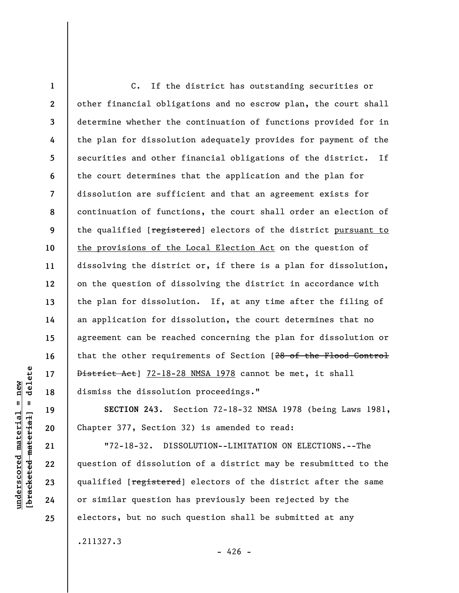**1 2 3 4 5 6 7 8 9 10 11 12 13 14 15 16 17 18**  C. If the district has outstanding securities or other financial obligations and no escrow plan, the court shall determine whether the continuation of functions provided for in the plan for dissolution adequately provides for payment of the securities and other financial obligations of the district. If the court determines that the application and the plan for dissolution are sufficient and that an agreement exists for continuation of functions, the court shall order an election of the qualified [registered] electors of the district pursuant to the provisions of the Local Election Act on the question of dissolving the district or, if there is a plan for dissolution, on the question of dissolving the district in accordance with the plan for dissolution. If, at any time after the filing of an application for dissolution, the court determines that no agreement can be reached concerning the plan for dissolution or that the other requirements of Section [28 of the Flood Control District Act] 72-18-28 NMSA 1978 cannot be met, it shall dismiss the dissolution proceedings."

**SECTION 243.** Section 72-18-32 NMSA 1978 (being Laws 1981, Chapter 377, Section 32) is amended to read:

"72-18-32. DISSOLUTION--LIMITATION ON ELECTIONS.--The question of dissolution of a district may be resubmitted to the qualified [registered] electors of the district after the same or similar question has previously been rejected by the electors, but no such question shall be submitted at any

.211327.3

 $-426 -$ 

delete **[bracketed material] = delete**  $anderscored material = new$ **underscored material = new**  $\mathbf{I}$ bracketed material

**19** 

**20** 

**21** 

**22** 

**23** 

**24**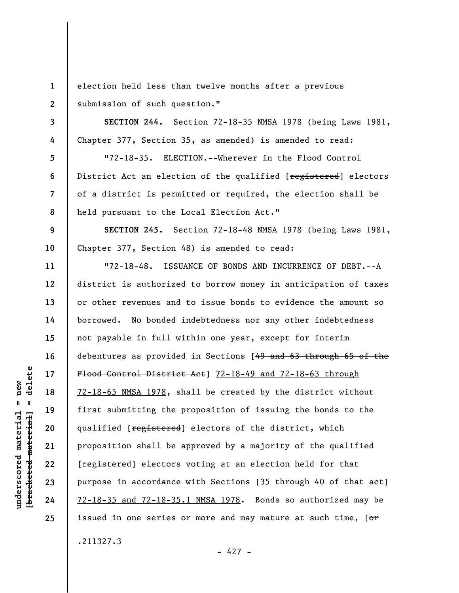**1 2**  election held less than twelve months after a previous submission of such question."

**SECTION 244.** Section 72-18-35 NMSA 1978 (being Laws 1981, Chapter 377, Section 35, as amended) is amended to read:

"72-18-35. ELECTION.--Wherever in the Flood Control District Act an election of the qualified [registered] electors of a district is permitted or required, the election shall be held pursuant to the Local Election Act."

**SECTION 245.** Section 72-18-48 NMSA 1978 (being Laws 1981, Chapter 377, Section 48) is amended to read:

"72-18-48. ISSUANCE OF BONDS AND INCURRENCE OF DEBT.--A district is authorized to borrow money in anticipation of taxes or other revenues and to issue bonds to evidence the amount so borrowed. No bonded indebtedness nor any other indebtedness not payable in full within one year, except for interim debentures as provided in Sections [49 and 63 through 65 of the Flood Control District Act] 72-18-49 and 72-18-63 through 72-18-65 NMSA 1978, shall be created by the district without first submitting the proposition of issuing the bonds to the qualified [registered] electors of the district, which proposition shall be approved by a majority of the qualified [registered] electors voting at an election held for that purpose in accordance with Sections [35 through 40 of that act] 72-18-35 and 72-18-35.1 NMSA 1978. Bonds so authorized may be issued in one series or more and may mature at such time,  $[ $\sigma$$ .211327.3

delete **[bracketed material] = delete**  $anderscored material = new$ **underscored material = new**  $\mathbf{I}$ bracketed material

**3** 

**4** 

**5** 

**6** 

**7** 

**8** 

**9** 

**10** 

**11** 

**12** 

**13** 

**14** 

**15** 

**16** 

**17** 

**18** 

**19** 

**20** 

**21** 

**22** 

**23** 

**24** 

**25** 

- 427 -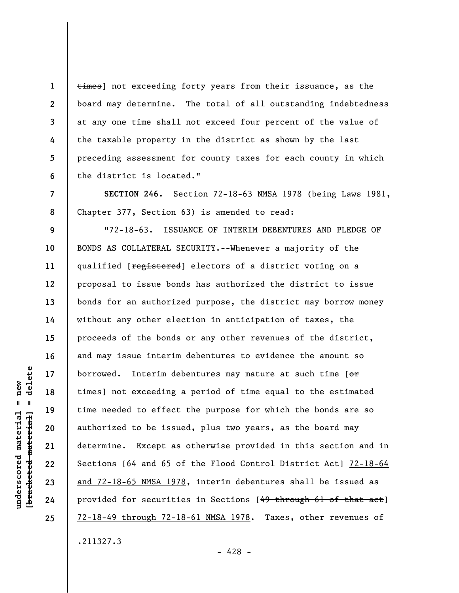times] not exceeding forty years from their issuance, as the board may determine. The total of all outstanding indebtedness at any one time shall not exceed four percent of the value of the taxable property in the district as shown by the last preceding assessment for county taxes for each county in which the district is located."

**SECTION 246.** Section 72-18-63 NMSA 1978 (being Laws 1981, Chapter 377, Section 63) is amended to read:

**9 10 11 12 13 14 15 16 17 18 19 20 21 22 23 24 25**  "72-18-63. ISSUANCE OF INTERIM DEBENTURES AND PLEDGE OF BONDS AS COLLATERAL SECURITY.--Whenever a majority of the qualified [registered] electors of a district voting on a proposal to issue bonds has authorized the district to issue bonds for an authorized purpose, the district may borrow money without any other election in anticipation of taxes, the proceeds of the bonds or any other revenues of the district, and may issue interim debentures to evidence the amount so borrowed. Interim debentures may mature at such time [or times] not exceeding a period of time equal to the estimated time needed to effect the purpose for which the bonds are so authorized to be issued, plus two years, as the board may determine. Except as otherwise provided in this section and in Sections [64 and 65 of the Flood Control District Act] 72-18-64 and 72-18-65 NMSA 1978, interim debentures shall be issued as provided for securities in Sections [49 through 61 of that act] 72-18-49 through 72-18-61 NMSA 1978. Taxes, other revenues of .211327.3

**1** 

**2** 

**3** 

**4** 

**5** 

**6** 

**7** 

**8** 

- 428 -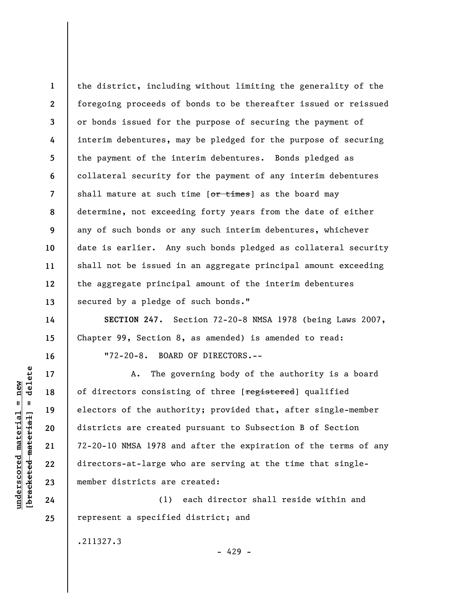**1 2 3 4 5 6 7 8 9 10 11 12 13**  the district, including without limiting the generality of the foregoing proceeds of bonds to be thereafter issued or reissued or bonds issued for the purpose of securing the payment of interim debentures, may be pledged for the purpose of securing the payment of the interim debentures. Bonds pledged as collateral security for the payment of any interim debentures shall mature at such time  $[**or times**]$  as the board may determine, not exceeding forty years from the date of either any of such bonds or any such interim debentures, whichever date is earlier. Any such bonds pledged as collateral security shall not be issued in an aggregate principal amount exceeding the aggregate principal amount of the interim debentures secured by a pledge of such bonds."

**SECTION 247.** Section 72-20-8 NMSA 1978 (being Laws 2007, Chapter 99, Section 8, as amended) is amended to read: "72-20-8. BOARD OF DIRECTORS.--

A. The governing body of the authority is a board of directors consisting of three [registered] qualified electors of the authority; provided that, after single-member districts are created pursuant to Subsection B of Section 72-20-10 NMSA 1978 and after the expiration of the terms of any directors-at-large who are serving at the time that singlemember districts are created:

(1) each director shall reside within and represent a specified district; and

- 429 -

.211327.3

delete **[bracketed material] = delete**  $underscored material = new$ **underscored material = new**  $\frac{1}{2}$ 

**14** 

**15** 

**16** 

**17** 

**18** 

**19** 

**20** 

**21** 

**22** 

**23** 

**24**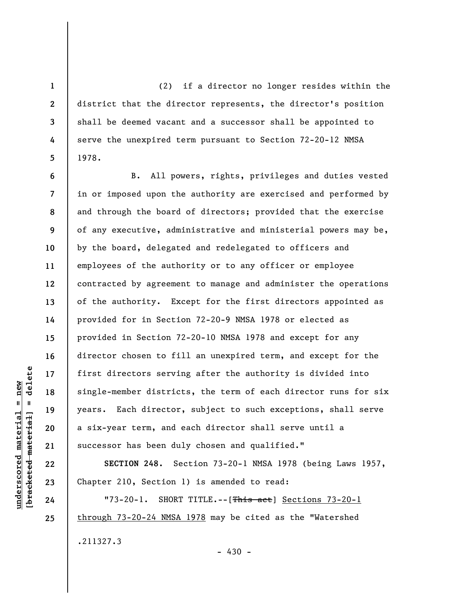(2) if a director no longer resides within the district that the director represents, the director's position shall be deemed vacant and a successor shall be appointed to serve the unexpired term pursuant to Section 72-20-12 NMSA 1978.

B. All powers, rights, privileges and duties vested in or imposed upon the authority are exercised and performed by and through the board of directors; provided that the exercise of any executive, administrative and ministerial powers may be, by the board, delegated and redelegated to officers and employees of the authority or to any officer or employee contracted by agreement to manage and administer the operations of the authority. Except for the first directors appointed as provided for in Section 72-20-9 NMSA 1978 or elected as provided in Section 72-20-10 NMSA 1978 and except for any director chosen to fill an unexpired term, and except for the first directors serving after the authority is divided into single-member districts, the term of each director runs for six years. Each director, subject to such exceptions, shall serve a six-year term, and each director shall serve until a successor has been duly chosen and qualified."

**SECTION 248.** Section 73-20-1 NMSA 1978 (being Laws 1957, Chapter 210, Section 1) is amended to read:

"73-20-1. SHORT TITLE.--[This act] Sections 73-20-1 through 73-20-24 NMSA 1978 may be cited as the "Watershed .211327.3  $-430 -$ 

 $\frac{1}{2}$  bracketed material = delete **[bracketed material] = delete**  $underscored material = new$ **underscored material = new**

**24 25** 

**1** 

**2** 

**3** 

**4** 

**5** 

**6** 

**7** 

**8** 

**9** 

**10** 

**11** 

**12** 

**13** 

**14** 

**15** 

**16** 

**17** 

**18** 

**19** 

**20** 

**21** 

**22**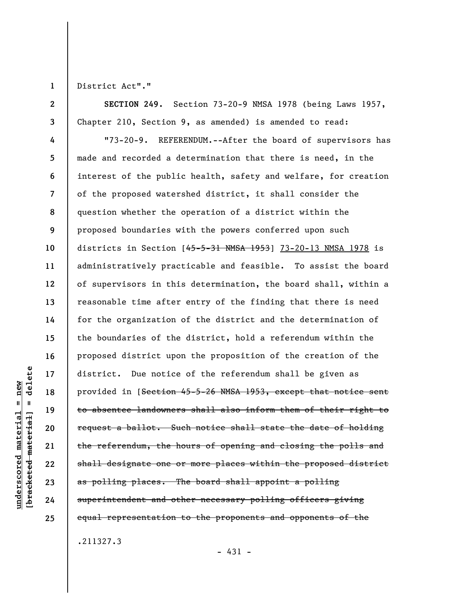**1** 

**2** 

**underscored material = new [bracketed material] = delete**

 $anderscored material = new$ 

delete

 $\mathbf{I}$ 

bracketed material

District Act"."

**3 SECTION 249.** Section 73-20-9 NMSA 1978 (being Laws 1957, Chapter 210, Section 9, as amended) is amended to read:

**4 5 6 7 8 9 10 11 12 13 14 15 16 17 18 19 20 21 22 23 24 25**  "73-20-9. REFERENDUM.--After the board of supervisors has made and recorded a determination that there is need, in the interest of the public health, safety and welfare, for creation of the proposed watershed district, it shall consider the question whether the operation of a district within the proposed boundaries with the powers conferred upon such districts in Section  $[45-5-31$  NMSA 1953 | 73-20-13 NMSA 1978 is administratively practicable and feasible. To assist the board of supervisors in this determination, the board shall, within a reasonable time after entry of the finding that there is need for the organization of the district and the determination of the boundaries of the district, hold a referendum within the proposed district upon the proposition of the creation of the district. Due notice of the referendum shall be given as provided in [Section 45-5-26 NMSA 1953, except that notice sent to absentee landowners shall also inform them of their right to request a ballot. Such notice shall state the date of holding the referendum, the hours of opening and closing the polls and shall designate one or more places within the proposed district as polling places. The board shall appoint a polling superintendent and other necessary polling officers giving equal representation to the proponents and opponents of the

.211327.3

 $-431 -$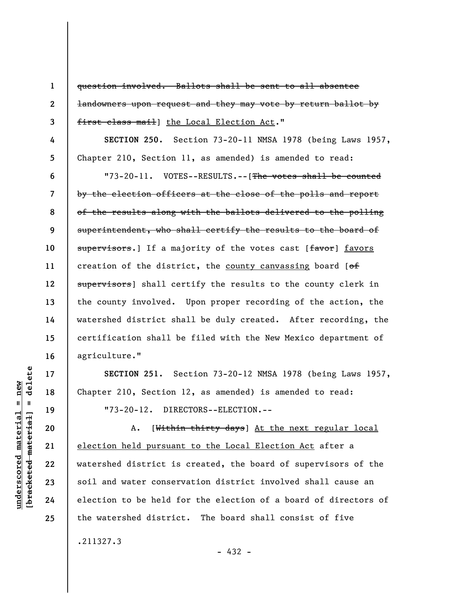question involved. Ballots shall be sent to all absentee landowners upon request and they may vote by return ballot by first class mail the Local Election Act."

**SECTION 250.** Section 73-20-11 NMSA 1978 (being Laws 1957, Chapter 210, Section 11, as amended) is amended to read:

"73-20-11. VOTES--RESULTS.--[The votes shall be counted by the election officers at the close of the polls and report of the results along with the ballots delivered to the polling superintendent, who shall certify the results to the board of supervisors.] If a majority of the votes cast [favor] favors creation of the district, the county canvassing board  $[ $\theta$  f]$ supervisors] shall certify the results to the county clerk in the county involved. Upon proper recording of the action, the watershed district shall be duly created. After recording, the certification shall be filed with the New Mexico department of agriculture."

**SECTION 251.** Section 73-20-12 NMSA 1978 (being Laws 1957, Chapter 210, Section 12, as amended) is amended to read: "73-20-12. DIRECTORS--ELECTION.--

A. [Within thirty days] At the next regular local election held pursuant to the Local Election Act after a watershed district is created, the board of supervisors of the soil and water conservation district involved shall cause an election to be held for the election of a board of directors of the watershed district. The board shall consist of five

.211327.3

- 432 -

delete **[bracketed material] = delete**  $anderscored material = new$ **underscored material = new**  $\mathbf{I}$ bracketed material

**1** 

**2** 

**3** 

**4** 

**5** 

**6** 

**7** 

**8** 

**9** 

**10** 

**11** 

**12** 

**13** 

**14** 

**15** 

**16** 

**17** 

**18** 

**19** 

**20** 

**21** 

**22** 

**23** 

**24**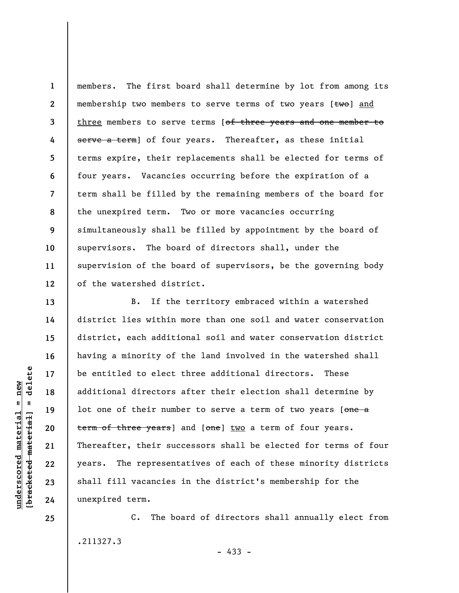**1 2 3 4 5 6 7 8 9 10 11 12**  members. The first board shall determine by lot from among its membership two members to serve terms of two years  $[tw0]$  and three members to serve terms [of three years and one member to serve a term] of four years. Thereafter, as these initial terms expire, their replacements shall be elected for terms of four years. Vacancies occurring before the expiration of a term shall be filled by the remaining members of the board for the unexpired term. Two or more vacancies occurring simultaneously shall be filled by appointment by the board of supervisors. The board of directors shall, under the supervision of the board of supervisors, be the governing body of the watershed district.

B. If the territory embraced within a watershed district lies within more than one soil and water conservation district, each additional soil and water conservation district having a minority of the land involved in the watershed shall be entitled to elect three additional directors. These additional directors after their election shall determine by lot one of their number to serve a term of two years [one a term of three years] and [one] two a term of four years. Thereafter, their successors shall be elected for terms of four years. The representatives of each of these minority districts shall fill vacancies in the district's membership for the unexpired term.

C. The board of directors shall annually elect from .211327.3

delete **[bracketed material] = delete**  $underscored material = new$ **underscored material = new**  $\mathbf{I}$ bracketed material

**25** 

**13** 

**14** 

**15** 

**16** 

**17** 

**18** 

**19** 

**20** 

**21** 

**22** 

**23**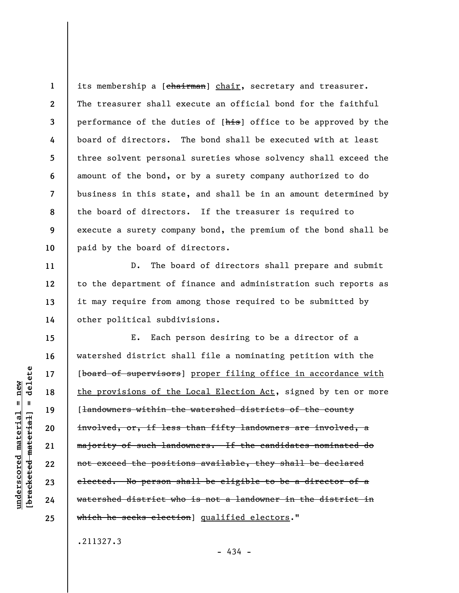**1 2 3 4 5 6 7 8 9 10**  its membership a [chairman] chair, secretary and treasurer. The treasurer shall execute an official bond for the faithful performance of the duties of [his] office to be approved by the board of directors. The bond shall be executed with at least three solvent personal sureties whose solvency shall exceed the amount of the bond, or by a surety company authorized to do business in this state, and shall be in an amount determined by the board of directors. If the treasurer is required to execute a surety company bond, the premium of the bond shall be paid by the board of directors.

D. The board of directors shall prepare and submit to the department of finance and administration such reports as it may require from among those required to be submitted by other political subdivisions.

E. Each person desiring to be a director of a watershed district shall file a nominating petition with the [board of supervisors] proper filing office in accordance with the provisions of the Local Election Act, signed by ten or more [<del>landowners within the watershed districts of the county</del> involved, or, if less than fifty landowners are involved, a majority of such landowners. If the candidates nominated do not exceed the positions available, they shall be declared elected. No person shall be eligible to be a director of a watershed district who is not a landowner in the district in which he seeks election] qualified electors."

.211327.3

 $-434 -$ 

delete **[bracketed material] = delete**  $anderscored material = new$ **underscored material = new**  $\mathbf{I}$ bracketed material

**11** 

**12** 

**13** 

**14** 

**15** 

**16** 

**17** 

**18** 

**19** 

**20** 

**21** 

**22** 

**23** 

**24**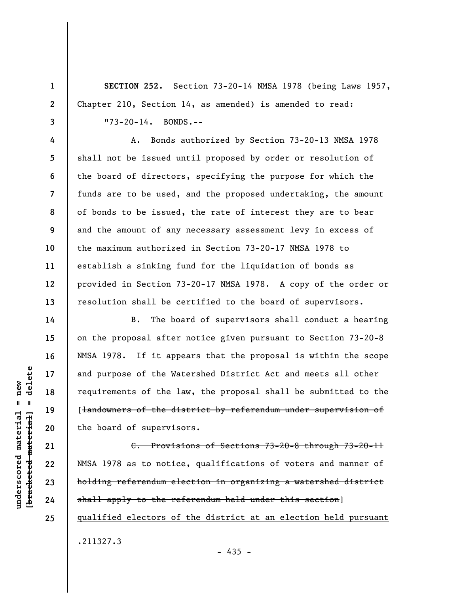**SECTION 252.** Section 73-20-14 NMSA 1978 (being Laws 1957, Chapter 210, Section 14, as amended) is amended to read:

"73-20-14. BONDS.--

A. Bonds authorized by Section 73-20-13 NMSA 1978 shall not be issued until proposed by order or resolution of the board of directors, specifying the purpose for which the funds are to be used, and the proposed undertaking, the amount of bonds to be issued, the rate of interest they are to bear and the amount of any necessary assessment levy in excess of the maximum authorized in Section 73-20-17 NMSA 1978 to establish a sinking fund for the liquidation of bonds as provided in Section 73-20-17 NMSA 1978. A copy of the order or resolution shall be certified to the board of supervisors.

B. The board of supervisors shall conduct a hearing on the proposal after notice given pursuant to Section 73-20-8 NMSA 1978. If it appears that the proposal is within the scope and purpose of the Watershed District Act and meets all other requirements of the law, the proposal shall be submitted to the [landowners of the district by referendum under supervision of the board of supervisors.

C. Provisions of Sections 73-20-8 through 73-20-11 NMSA 1978 as to notice, qualifications of voters and manner of holding referendum election in organizing a watershed district shall apply to the referendum held under this section] qualified electors of the district at an election held pursuant .211327.3

 $-435 -$ 

delete **[bracketed material] = delete**  $underscored material = new$ **underscored material = new**  $\mathbf{I}$ bracketed material

**1** 

**2** 

**3** 

**4** 

**5** 

**6** 

**7** 

**8** 

**9** 

**10** 

**11** 

**12** 

**13** 

**14** 

**15** 

**16** 

**17** 

**18** 

**19** 

**20** 

**21** 

**22** 

**23** 

**24**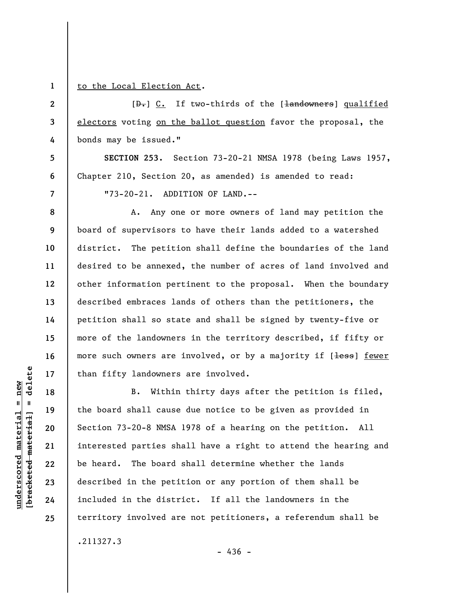**1** 

**2** 

**3** 

**4** 

**5** 

**6** 

to the Local Election Act.

 $[\frac{D-1}{2}]$  C. If two-thirds of the  $[\frac{1}{2}]$  and  $\frac{1}{2}$  dualified electors voting on the ballot question favor the proposal, the bonds may be issued."

**SECTION 253.** Section 73-20-21 NMSA 1978 (being Laws 1957, Chapter 210, Section 20, as amended) is amended to read:

**7** 

**8** 

**9** 

**10** 

**11** 

**12** 

**13** 

**14** 

**15** 

**16** 

**17** 

**18** 

**19** 

**20** 

**21** 

**22** 

**23** 

**24** 

**25** 

**underscored material = new [bracketed material] = delete**

 $\frac{1}{2}$  of  $\frac{1}{2}$  and  $\frac{1}{2}$  and  $\frac{1}{2}$  and  $\frac{1}{2}$  and  $\frac{1}{2}$  and  $\frac{1}{2}$  and  $\frac{1}{2}$  and  $\frac{1}{2}$  and  $\frac{1}{2}$  and  $\frac{1}{2}$  and  $\frac{1}{2}$  and  $\frac{1}{2}$  and  $\frac{1}{2}$  and  $\frac{1}{2}$  and  $\frac{1}{2}$  an  $underscored material = new$ 

"73-20-21. ADDITION OF LAND.--

A. Any one or more owners of land may petition the board of supervisors to have their lands added to a watershed district. The petition shall define the boundaries of the land desired to be annexed, the number of acres of land involved and other information pertinent to the proposal. When the boundary described embraces lands of others than the petitioners, the petition shall so state and shall be signed by twenty-five or more of the landowners in the territory described, if fifty or more such owners are involved, or by a majority if [<del>less</del>] fewer than fifty landowners are involved.

B. Within thirty days after the petition is filed, the board shall cause due notice to be given as provided in Section 73-20-8 NMSA 1978 of a hearing on the petition. All interested parties shall have a right to attend the hearing and be heard. The board shall determine whether the lands described in the petition or any portion of them shall be included in the district. If all the landowners in the territory involved are not petitioners, a referendum shall be .211327.3

 $-436 -$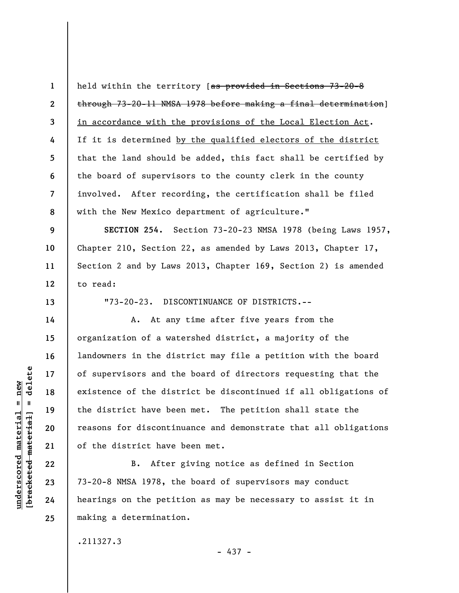**1 2 3 4 5 6 7 8**  held within the territory [as provided in Sections 73-20-8 through 73-20-11 NMSA 1978 before making a final determination] in accordance with the provisions of the Local Election Act. If it is determined by the qualified electors of the district that the land should be added, this fact shall be certified by the board of supervisors to the county clerk in the county involved. After recording, the certification shall be filed with the New Mexico department of agriculture."

**9 10 11 12 SECTION 254.** Section 73-20-23 NMSA 1978 (being Laws 1957, Chapter 210, Section 22, as amended by Laws 2013, Chapter 17, Section 2 and by Laws 2013, Chapter 169, Section 2) is amended to read:

"73-20-23. DISCONTINUANCE OF DISTRICTS.--

A. At any time after five years from the organization of a watershed district, a majority of the landowners in the district may file a petition with the board of supervisors and the board of directors requesting that the existence of the district be discontinued if all obligations of the district have been met. The petition shall state the reasons for discontinuance and demonstrate that all obligations of the district have been met.

B. After giving notice as defined in Section 73-20-8 NMSA 1978, the board of supervisors may conduct hearings on the petition as may be necessary to assist it in making a determination.

.211327.3

- 437 -

delete **[bracketed material] = delete**  $underscored material = new$ **underscored material = new**  $\mathbf{I}$ bracketed material

**13** 

**14** 

**15** 

**16** 

**17** 

**18** 

**19** 

**20** 

**21** 

**22** 

**23** 

**24**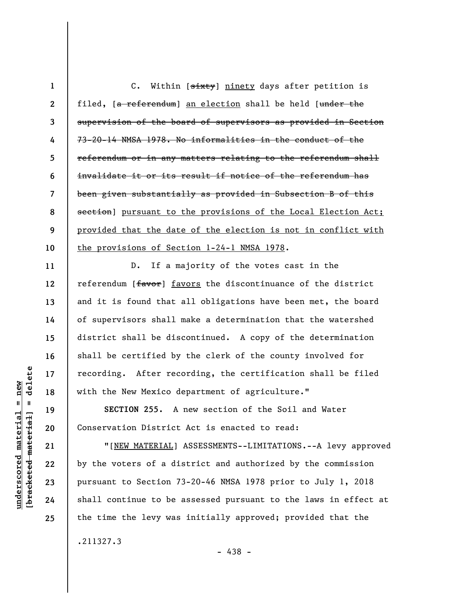|                | C. Within [sixty] ninety days after petition is                |
|----------------|----------------------------------------------------------------|
| $\overline{2}$ | filed, [a referendum] an election shall be held [under the     |
| 3              | supervision of the board of supervisors as provided in Section |
| 4              | 73-20-14 NMSA 1978. No informalities in the conduct of the     |
| 5.             | referendum or in any matters relating to the referendum shall  |
| 6              | invalidate it or its result if notice of the referendum has    |
| 7              | been given substantially as provided in Subsection B of this   |
| 8              | section] pursuant to the provisions of the Local Election Act; |
| 9              | provided that the date of the election is not in conflict with |
| 10             | the provisions of Section 1-24-1 NMSA 1978.                    |

D. If a majority of the votes cast in the referendum [favor] favors the discontinuance of the district and it is found that all obligations have been met, the board of supervisors shall make a determination that the watershed district shall be discontinued. A copy of the determination shall be certified by the clerk of the county involved for recording. After recording, the certification shall be filed with the New Mexico department of agriculture."

**SECTION 255.** A new section of the Soil and Water Conservation District Act is enacted to read:

"[NEW MATERIAL] ASSESSMENTS--LIMITATIONS.--A levy approved by the voters of a district and authorized by the commission pursuant to Section 73-20-46 NMSA 1978 prior to July 1, 2018 shall continue to be assessed pursuant to the laws in effect at the time the levy was initially approved; provided that the .211327.3

 $\frac{1}{2}$  intereted material = delete **[bracketed material] = delete**  $underscored material = new$ **underscored material = new**

**11** 

**12** 

**13** 

**14** 

**15** 

**16** 

**17** 

**18** 

**19** 

**20** 

**21** 

**22** 

**23** 

**24**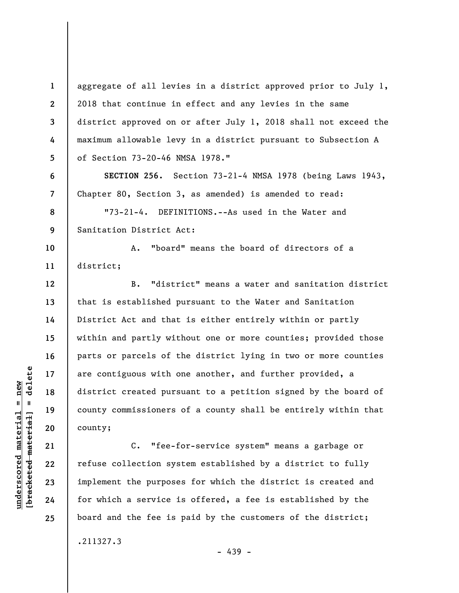aggregate of all levies in a district approved prior to July 1, 2018 that continue in effect and any levies in the same district approved on or after July 1, 2018 shall not exceed the maximum allowable levy in a district pursuant to Subsection A of Section 73-20-46 NMSA 1978."

**SECTION 256.** Section 73-21-4 NMSA 1978 (being Laws 1943, Chapter 80, Section 3, as amended) is amended to read:

"73-21-4. DEFINITIONS.--As used in the Water and Sanitation District Act:

A. "board" means the board of directors of a district;

B. "district" means a water and sanitation district that is established pursuant to the Water and Sanitation District Act and that is either entirely within or partly within and partly without one or more counties; provided those parts or parcels of the district lying in two or more counties are contiguous with one another, and further provided, a district created pursuant to a petition signed by the board of county commissioners of a county shall be entirely within that county;

C. "fee-for-service system" means a garbage or refuse collection system established by a district to fully implement the purposes for which the district is created and for which a service is offered, a fee is established by the board and the fee is paid by the customers of the district;

.211327.3

 $\frac{1}{2}$  intereted material = delete **[bracketed material] = delete**  $underscored material = new$ **underscored material = new**

**1** 

**2** 

**3** 

**4** 

**5** 

**6** 

**7** 

**8** 

**9** 

**10** 

**11** 

**12** 

**13** 

**14** 

**15** 

**16** 

**17** 

**18** 

**19** 

**20** 

**21** 

**22** 

**23** 

**24** 

**25** 

- 439 -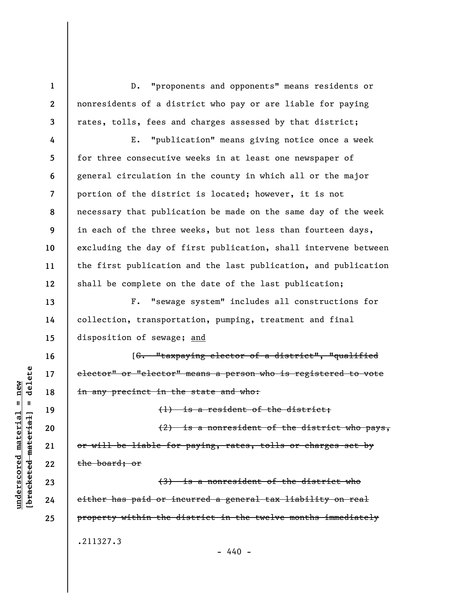D. "proponents and opponents" means residents or nonresidents of a district who pay or are liable for paying rates, tolls, fees and charges assessed by that district;

E. "publication" means giving notice once a week for three consecutive weeks in at least one newspaper of general circulation in the county in which all or the major portion of the district is located; however, it is not necessary that publication be made on the same day of the week in each of the three weeks, but not less than fourteen days, excluding the day of first publication, shall intervene between the first publication and the last publication, and publication shall be complete on the date of the last publication;

F. "sewage system" includes all constructions for collection, transportation, pumping, treatment and final disposition of sewage; and

[G. "taxpaying elector of a district", "qualified elector" or "elector" means a person who is registered to vote in any precinct in the state and who:

(2) is a nonresident of the district who pays, or will be liable for paying, rates, tolls or charges set by the board; or

(1) is a resident of the district;

(3) is a nonresident of the district who either has paid or incurred a general tax liability on real property within the district in the twelve months immediately .211327.3  $- 440 -$ 

 $\frac{1}{2}$  intereted material = delete **[bracketed material] = delete**  $anderscored material = new$ **underscored material = new**

**1** 

**2** 

**3** 

**4** 

**5** 

**6** 

**7** 

**8** 

**9** 

**10** 

**11** 

**12** 

**13** 

**14** 

**15** 

**16** 

**17** 

**18** 

**19** 

**20** 

**21** 

**22** 

**23** 

**24**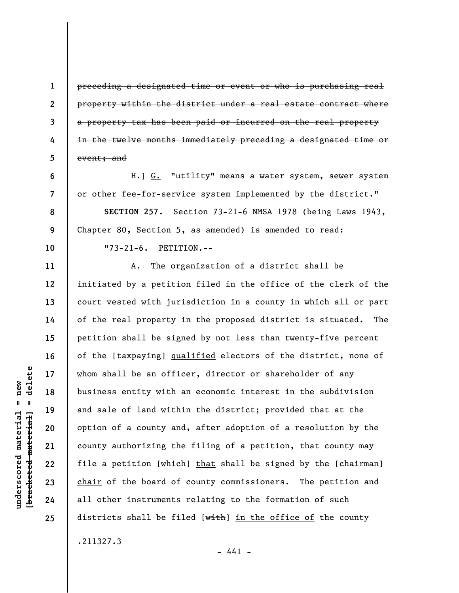preceding a designated time or event or who is purchasing real property within the district under a real estate contract where a property tax has been paid or incurred on the real property in the twelve months immediately preceding a designated time or event; and

H.] G. "utility" means a water system, sewer system or other fee-for-service system implemented by the district." **SECTION 257.** Section 73-21-6 NMSA 1978 (being Laws 1943, Chapter 80, Section 5, as amended) is amended to read: "73-21-6. PETITION.--

A. The organization of a district shall be initiated by a petition filed in the office of the clerk of the court vested with jurisdiction in a county in which all or part of the real property in the proposed district is situated. The petition shall be signed by not less than twenty-five percent of the [taxpaying] qualified electors of the district, none of whom shall be an officer, director or shareholder of any business entity with an economic interest in the subdivision and sale of land within the district; provided that at the option of a county and, after adoption of a resolution by the county authorizing the filing of a petition, that county may file a petition [which] that shall be signed by the [chairman] chair of the board of county commissioners. The petition and all other instruments relating to the formation of such districts shall be filed  $[with]$  in the office of the county .211327.3

 $- 441 -$ 

**1** 

**2** 

**3** 

**4** 

**5** 

**6** 

**7** 

**8** 

**9** 

**10** 

**11** 

**12** 

**13** 

**14** 

**15** 

**16** 

**17** 

**18** 

**19** 

**20** 

**21** 

**22** 

**23** 

**24**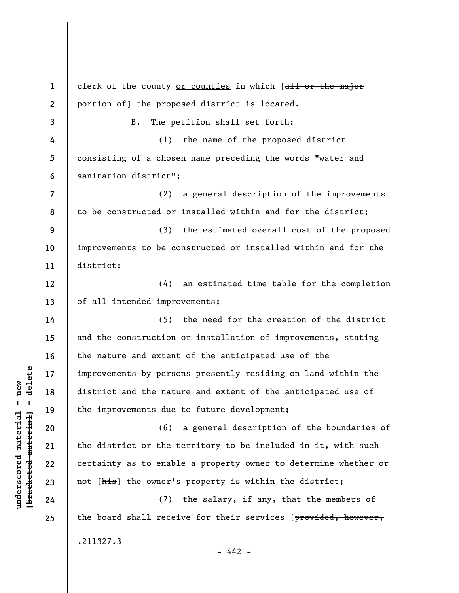**1 2 3 4 5 6 7 8 9 10 11 12 13 14 15 16 17 18 19 20 21 22 23 24 25**  clerk of the county or counties in which [all or the major portion of the proposed district is located. B. The petition shall set forth: (1) the name of the proposed district consisting of a chosen name preceding the words "water and sanitation district"; (2) a general description of the improvements to be constructed or installed within and for the district; (3) the estimated overall cost of the proposed improvements to be constructed or installed within and for the district; (4) an estimated time table for the completion of all intended improvements; (5) the need for the creation of the district and the construction or installation of improvements, stating the nature and extent of the anticipated use of the improvements by persons presently residing on land within the district and the nature and extent of the anticipated use of the improvements due to future development; (6) a general description of the boundaries of the district or the territory to be included in it, with such certainty as to enable a property owner to determine whether or not [his] the owner's property is within the district; (7) the salary, if any, that the members of the board shall receive for their services [provided, however, .211327.3  $- 442 -$ 

**underscored material = new [bracketed material] = delete**

 $\frac{1}{2}$  intereted material = delete  $underscored material = new$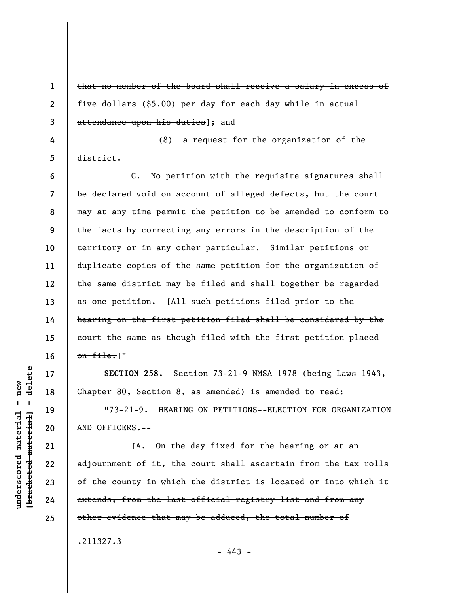**1 2 3 4 5 6 7 8 9 10 11 12 13 14 15 16 17 18 19 20 21 22 23 24**  that no member of the board shall receive a salary in excess of five dollars (\$5.00) per day for each day while in actual attendance upon his duties]; and (8) a request for the organization of the district. C. No petition with the requisite signatures shall be declared void on account of alleged defects, but the court may at any time permit the petition to be amended to conform to the facts by correcting any errors in the description of the territory or in any other particular. Similar petitions or duplicate copies of the same petition for the organization of the same district may be filed and shall together be regarded as one petition. [All such petitions filed prior to the hearing on the first petition filed shall be considered by the court the same as though filed with the first petition placed  $on$  file.]" **SECTION 258.** Section 73-21-9 NMSA 1978 (being Laws 1943, Chapter 80, Section 8, as amended) is amended to read: "73-21-9. HEARING ON PETITIONS--ELECTION FOR ORGANIZATION AND OFFICERS.-- [A. On the day fixed for the hearing or at an adjournment of it, the court shall ascertain from the tax rolls of the county in which the district is located or into which it extends, from the last official registry list and from any

.211327.3

 $- 443 -$ 

other evidence that may be adduced, the total number of

delete **[bracketed material] = delete**  $anderscored material = new$ **underscored material = new**  $\mathbf{I}$ bracketed material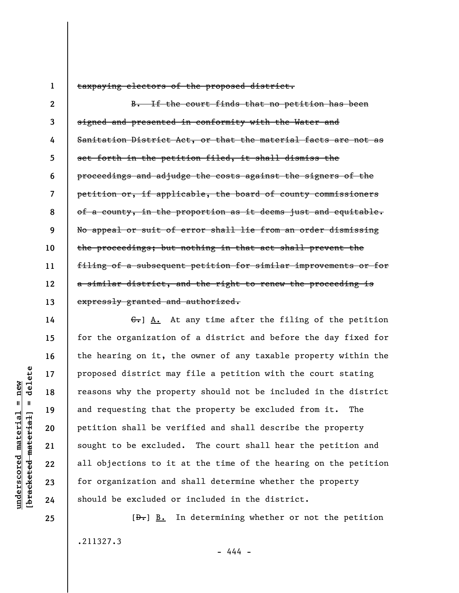**1** 

taxpaying electors of the proposed district.

**2 3 4 5 6 7 8 9 10 11 12 13**  B. If the court finds that no petition has been signed and presented in conformity with the Water and Sanitation District Act, or that the material facts are not as set forth in the petition filed, it shall dismiss the proceedings and adjudge the costs against the signers of the petition or, if applicable, the board of county commissioners of a county, in the proportion as it deems just and equitable. No appeal or suit of error shall lie from an order dismissing the proceedings; but nothing in that act shall prevent the filing of a subsequent petition for similar improvements or for a similar district, and the right to renew the proceeding is expressly granted and authorized.

G. A. At any time after the filing of the petition for the organization of a district and before the day fixed for the hearing on it, the owner of any taxable property within the proposed district may file a petition with the court stating reasons why the property should not be included in the district and requesting that the property be excluded from it. The petition shall be verified and shall describe the property sought to be excluded. The court shall hear the petition and all objections to it at the time of the hearing on the petition for organization and shall determine whether the property should be excluded or included in the district.

 $[\frac{D-1}{2}]$  B. In determining whether or not the petition .211327.3 - 444 -

delete **[bracketed material] = delete**  $anderscored material = new$ **underscored material = new**  $\mathbf{I}$ bracketed material

**14** 

**15** 

**16** 

**17** 

**18** 

**19** 

**20** 

**21** 

**22** 

**23** 

**24**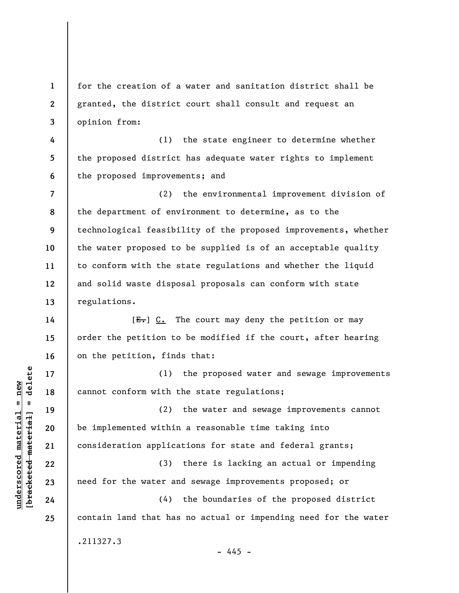**1 2 3**  for the creation of a water and sanitation district shall be granted, the district court shall consult and request an opinion from:

**4 5 6**  (1) the state engineer to determine whether the proposed district has adequate water rights to implement the proposed improvements; and

**7 8 9 10 11 12 13**  (2) the environmental improvement division of the department of environment to determine, as to the technological feasibility of the proposed improvements, whether the water proposed to be supplied is of an acceptable quality to conform with the state regulations and whether the liquid and solid waste disposal proposals can conform with state regulations.

 $[E-]$   $C.$  The court may deny the petition or may order the petition to be modified if the court, after hearing on the petition, finds that:

(1) the proposed water and sewage improvements cannot conform with the state regulations;

(2) the water and sewage improvements cannot be implemented within a reasonable time taking into consideration applications for state and federal grants;

(3) there is lacking an actual or impending need for the water and sewage improvements proposed; or

(4) the boundaries of the proposed district contain land that has no actual or impending need for the water .211327.3

 $- 445 -$ 

 $\frac{1}{2}$  intereted material = delete **[bracketed material] = delete**  $underscored material = new$ **underscored material = new**

**14** 

**15** 

**16** 

**17** 

**18** 

**19** 

**20** 

**21** 

**22** 

**23** 

**24**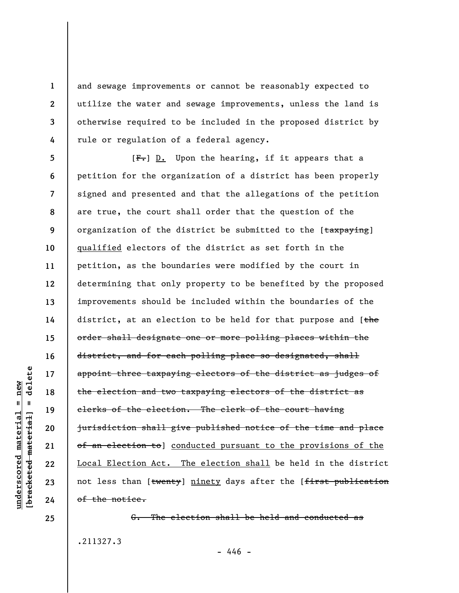and sewage improvements or cannot be reasonably expected to utilize the water and sewage improvements, unless the land is otherwise required to be included in the proposed district by rule or regulation of a federal agency.

**5 6 7 8 9 10 11 12 13 14 15 16 17 18 19 20 21 22 23 24**   $[F-]$  D. Upon the hearing, if it appears that a petition for the organization of a district has been properly signed and presented and that the allegations of the petition are true, the court shall order that the question of the organization of the district be submitted to the [taxpaying] qualified electors of the district as set forth in the petition, as the boundaries were modified by the court in determining that only property to be benefited by the proposed improvements should be included within the boundaries of the district, at an election to be held for that purpose and [the order shall designate one or more polling places within the district, and for each polling place so designated, shall appoint three taxpaying electors of the district as judges of the election and two taxpaying electors of the district as clerks of the election. The clerk of the court having jurisdiction shall give published notice of the time and place of an election to conducted pursuant to the provisions of the Local Election Act. The election shall be held in the district not less than [twenty] ninety days after the [first publication of the notice.

G. The election shall be held and conducted as .211327.3  $- 446 -$ 

**1** 

**2** 

**3** 

**4**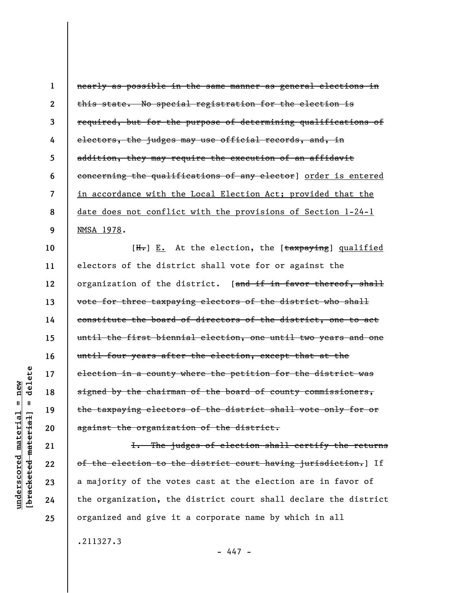| 1              | nearly as possible in the same manner as general elections in                       |
|----------------|-------------------------------------------------------------------------------------|
| $\overline{2}$ | this state. No special registration for the election is                             |
| 3              | required, but for the purpose of determining qualifications of                      |
| 4              | electors, the judges may use official records, and, in                              |
| 5              | addition, they may require the execution of an affidavit                            |
| 6              | concerning the qualifications of any elector] order is entered                      |
| $\overline{7}$ | in accordance with the Local Election Act; provided that the                        |
| 8              | <u>date does not conflict with the provisions of Section 1-24-1</u>                 |
| 9              | NMSA 1978.                                                                          |
| 10             | [ <del>H.</del> ] <u>E.</u> At the election, the [ <del>taxpaying</del> ] qualified |
| 11             | electors of the district shall vote for or against the                              |
| 12             | organization of the district. [and if in favor thereof, shall                       |
| 13             | vote for three taxpaying electors of the district who shall                         |
| 14             | constitute the board of directors of the district, one to act                       |

until the first biennial election, one until two years and one until four years after the election, except that at the election in a county where the petition for the district was signed by the chairman of the board of county commissioners, the taxpaying electors of the district shall vote only for or against the organization of the district.

I. The judges of election shall certify the returns of the election to the district court having jurisdiction.] If a majority of the votes cast at the election are in favor of the organization, the district court shall declare the district organized and give it a corporate name by which in all

.211327.3

- 447 -

delete **[bracketed material] = delete**  $underscored material = new$ **underscored material = new**  $\mathbf{I}$ bracketed material

**15** 

**16** 

**17** 

**18** 

**19** 

**20** 

**21** 

**22** 

**23** 

**24**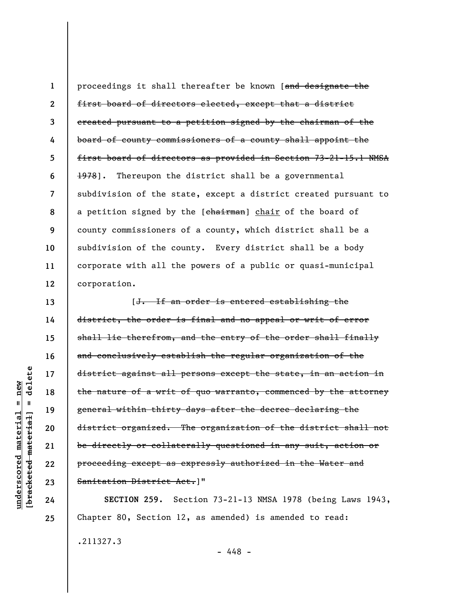**1 2 3 4 5 6 7 8 9 10 11 12**  proceedings it shall thereafter be known [and designate the first board of directors elected, except that a district created pursuant to a petition signed by the chairman of the board of county commissioners of a county shall appoint the first board of directors as provided in Section 73-21-15.1 NMSA 1978]. Thereupon the district shall be a governmental subdivision of the state, except a district created pursuant to a petition signed by the [chairman] chair of the board of county commissioners of a county, which district shall be a subdivision of the county. Every district shall be a body corporate with all the powers of a public or quasi-municipal corporation.

[J. If an order is entered establishing the district, the order is final and no appeal or writ of error shall lie therefrom, and the entry of the order shall finally and conclusively establish the regular organization of the district against all persons except the state, in an action in the nature of a writ of quo warranto, commenced by the attorney general within thirty days after the decree declaring the district organized. The organization of the district shall not be directly or collaterally questioned in any suit, action or proceeding except as expressly authorized in the Water and Sanitation District Act.]"

**SECTION 259.** Section 73-21-13 NMSA 1978 (being Laws 1943, Chapter 80, Section 12, as amended) is amended to read:

.211327.3

- 448 -

delete **[bracketed material] = delete**  $anderscored material = new$ **underscored material = new**  $\mathbf{I}$ bracketed material

**13** 

**14** 

**15** 

**16** 

**17** 

**18** 

**19** 

**20** 

**21** 

**22** 

**23** 

**24**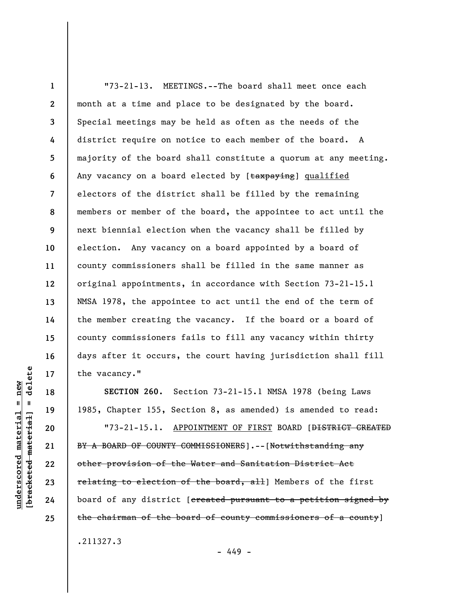**1 2 3 4 5 6 7 8 9 10 11 12 13 14 15 16 17**  "73-21-13. MEETINGS.--The board shall meet once each month at a time and place to be designated by the board. Special meetings may be held as often as the needs of the district require on notice to each member of the board. A majority of the board shall constitute a quorum at any meeting. Any vacancy on a board elected by [taxpaying] qualified electors of the district shall be filled by the remaining members or member of the board, the appointee to act until the next biennial election when the vacancy shall be filled by election. Any vacancy on a board appointed by a board of county commissioners shall be filled in the same manner as original appointments, in accordance with Section 73-21-15.1 NMSA 1978, the appointee to act until the end of the term of the member creating the vacancy. If the board or a board of county commissioners fails to fill any vacancy within thirty days after it occurs, the court having jurisdiction shall fill the vacancy."

**SECTION 260.** Section 73-21-15.1 NMSA 1978 (being Laws 1985, Chapter 155, Section 8, as amended) is amended to read:

"73-21-15.1. APPOINTMENT OF FIRST BOARD [<del>DISTRICT CREATED</del> BY A BOARD OF COUNTY COMMISSIONERS].--[Notwithstanding any other provision of the Water and Sanitation District Act relating to election of the board, all] Members of the first board of any district [ereated pursuant to a petition signed by the chairman of the board of county commissioners of a county]

.211327.3

- 449 -

delete **[bracketed material] = delete**  $underscored material = new$ **underscored material = new**  $\mathbf{I}$ bracketed material

**18** 

**19** 

**20** 

**21** 

**22** 

**23** 

**24**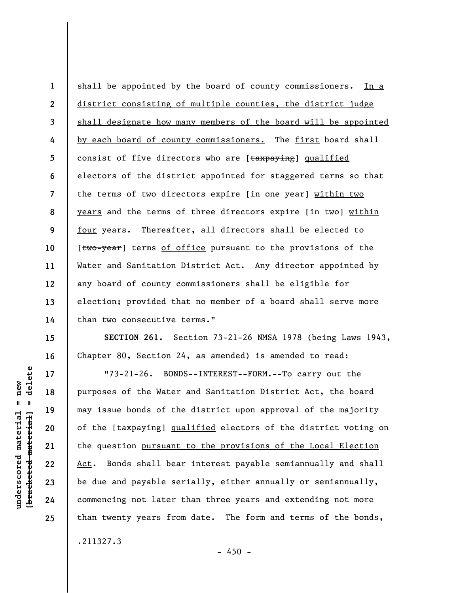**1 2 3 4 5 6 7 8 9 10 11 12 13 14**  shall be appointed by the board of county commissioners. In a district consisting of multiple counties, the district judge shall designate how many members of the board will be appointed by each board of county commissioners. The first board shall consist of five directors who are [taxpaying] qualified electors of the district appointed for staggered terms so that the terms of two directors expire [in one year] within two years and the terms of three directors expire [in two] within four years. Thereafter, all directors shall be elected to [two-year] terms of office pursuant to the provisions of the Water and Sanitation District Act. Any director appointed by any board of county commissioners shall be eligible for election; provided that no member of a board shall serve more than two consecutive terms."

**SECTION 261.** Section 73-21-26 NMSA 1978 (being Laws 1943, Chapter 80, Section 24, as amended) is amended to read:

"73-21-26. BONDS--INTEREST--FORM.--To carry out the purposes of the Water and Sanitation District Act, the board may issue bonds of the district upon approval of the majority of the [taxpaying] qualified electors of the district voting on the question pursuant to the provisions of the Local Election Act. Bonds shall bear interest payable semiannually and shall be due and payable serially, either annually or semiannually, commencing not later than three years and extending not more than twenty years from date. The form and terms of the bonds,

.211327.3

delete **[bracketed material] = delete**  $underscored material = new$ **underscored material = new**  $\mathbf{I}$ bracketed material

**15** 

**16** 

**17** 

**18** 

**19** 

**20** 

**21** 

**22** 

**23** 

**24**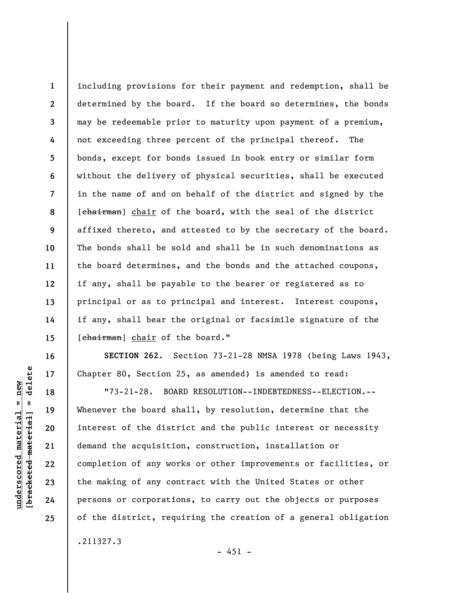**1 2 3 4 5 6 7 8 9 10 11 12 13 14 15**  including provisions for their payment and redemption, shall be determined by the board. If the board so determines, the bonds may be redeemable prior to maturity upon payment of a premium, not exceeding three percent of the principal thereof. The bonds, except for bonds issued in book entry or similar form without the delivery of physical securities, shall be executed in the name of and on behalf of the district and signed by the [chairman] chair of the board, with the seal of the district affixed thereto, and attested to by the secretary of the board. The bonds shall be sold and shall be in such denominations as the board determines, and the bonds and the attached coupons, if any, shall be payable to the bearer or registered as to principal or as to principal and interest. Interest coupons, if any, shall bear the original or facsimile signature of the [chairman] chair of the board."

**SECTION 262.** Section 73-21-28 NMSA 1978 (being Laws 1943, Chapter 80, Section 25, as amended) is amended to read:

"73-21-28. BOARD RESOLUTION--INDEBTEDNESS--ELECTION.-- Whenever the board shall, by resolution, determine that the interest of the district and the public interest or necessity demand the acquisition, construction, installation or completion of any works or other improvements or facilities, or the making of any contract with the United States or other persons or corporations, to carry out the objects or purposes of the district, requiring the creation of a general obligation

delete **[bracketed material] = delete**  $underscored material = new$ **underscored material = new**  $\mathbf{I}$ bracketed material

**16** 

**17** 

**18** 

**19** 

**20** 

**21** 

**22** 

**23** 

**24** 

**25** 

.211327.3

 $- 451 -$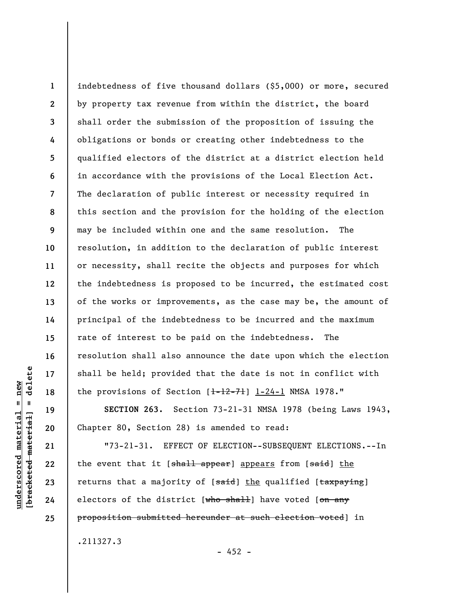**1 2 3 4 5 6 7 8 9 10 11 12 13 14 15 16 17 18**  indebtedness of five thousand dollars (\$5,000) or more, secured by property tax revenue from within the district, the board shall order the submission of the proposition of issuing the obligations or bonds or creating other indebtedness to the qualified electors of the district at a district election held in accordance with the provisions of the Local Election Act. The declaration of public interest or necessity required in this section and the provision for the holding of the election may be included within one and the same resolution. The resolution, in addition to the declaration of public interest or necessity, shall recite the objects and purposes for which the indebtedness is proposed to be incurred, the estimated cost of the works or improvements, as the case may be, the amount of principal of the indebtedness to be incurred and the maximum rate of interest to be paid on the indebtedness. The resolution shall also announce the date upon which the election shall be held; provided that the date is not in conflict with the provisions of Section  $[-12-71]$   $[-24-1]$  NMSA 1978."

**SECTION 263.** Section 73-21-31 NMSA 1978 (being Laws 1943, Chapter 80, Section 28) is amended to read:

"73-21-31. EFFECT OF ELECTION--SUBSEQUENT ELECTIONS.--In the event that it [shall appear] appears from [said] the returns that a majority of [said] the qualified [taxpaying] electors of the district [who shall] have voted [on any proposition submitted hereunder at such election voted] in

.211327.3

 $- 452 -$ 

delete **[bracketed material] = delete**  $underscored material = new$ **underscored material = new**  $\mathbf{I}$ bracketed material

**19** 

**20** 

**21** 

**22** 

**23** 

**24**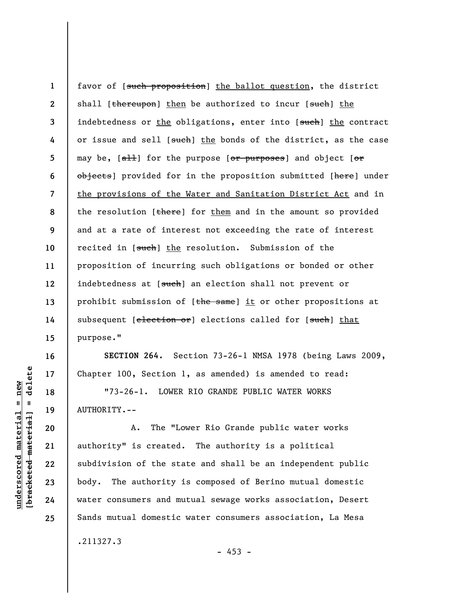**1 2 3 4 5 6 7 8 9 10 11 12 13 14 15**  favor of [such proposition] the ballot question, the district shall [thereupon] then be authorized to incur [such] the indebtedness or the obligations, enter into [such] the contract or issue and sell [such] the bonds of the district, as the case may be,  $[$ <del>all</del>] for the purpose  $[$ or purposes] and object  $[$ or objects] provided for in the proposition submitted [here] under the provisions of the Water and Sanitation District Act and in the resolution  $[there]$  for them and in the amount so provided and at a rate of interest not exceeding the rate of interest recited in [such] the resolution. Submission of the proposition of incurring such obligations or bonded or other indebtedness at [such] an election shall not prevent or prohibit submission of [the same] it or other propositions at subsequent [election or] elections called for [such] that purpose."

**SECTION 264.** Section 73-26-1 NMSA 1978 (being Laws 2009, Chapter 100, Section 1, as amended) is amended to read:

"73-26-1. LOWER RIO GRANDE PUBLIC WATER WORKS AUTHORITY.--

A. The "Lower Rio Grande public water works authority" is created. The authority is a political subdivision of the state and shall be an independent public body. The authority is composed of Berino mutual domestic water consumers and mutual sewage works association, Desert Sands mutual domestic water consumers association, La Mesa

.211327.3

 $- 453 -$ 

delete **[bracketed material] = delete**  $underscored material = new$ **underscored material = new**  $\mathbf{I}$ bracketed material

**16** 

**17** 

**18** 

**19** 

**20** 

**21** 

**22** 

**23** 

**24**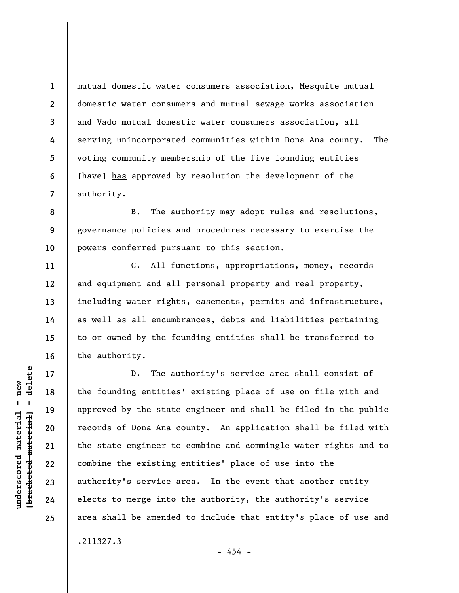mutual domestic water consumers association, Mesquite mutual domestic water consumers and mutual sewage works association and Vado mutual domestic water consumers association, all serving unincorporated communities within Dona Ana county. The voting community membership of the five founding entities [have] has approved by resolution the development of the authority.

**8 9 10**  B. The authority may adopt rules and resolutions, governance policies and procedures necessary to exercise the powers conferred pursuant to this section.

C. All functions, appropriations, money, records and equipment and all personal property and real property, including water rights, easements, permits and infrastructure, as well as all encumbrances, debts and liabilities pertaining to or owned by the founding entities shall be transferred to the authority.

D. The authority's service area shall consist of the founding entities' existing place of use on file with and approved by the state engineer and shall be filed in the public records of Dona Ana county. An application shall be filed with the state engineer to combine and commingle water rights and to combine the existing entities' place of use into the authority's service area. In the event that another entity elects to merge into the authority, the authority's service area shall be amended to include that entity's place of use and .211327.3

 $\frac{1}{2}$  bracketed material = delete **[bracketed material] = delete**  $underscored material = new$ **underscored material = new**

**1** 

**2** 

**3** 

**4** 

**5** 

**6** 

**7** 

**11** 

**12** 

**13** 

**14** 

**15** 

**16** 

**17** 

**18** 

**19** 

**20** 

**21** 

**22** 

**23** 

**24** 

**25** 

 $- 454 -$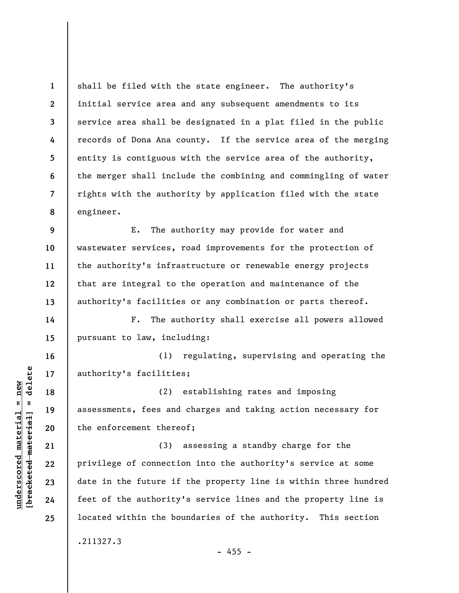**1 2 3 4 5 6 7 8**  shall be filed with the state engineer. The authority's initial service area and any subsequent amendments to its service area shall be designated in a plat filed in the public records of Dona Ana county. If the service area of the merging entity is contiguous with the service area of the authority, the merger shall include the combining and commingling of water rights with the authority by application filed with the state engineer.

**9 10 11 12 13**  E. The authority may provide for water and wastewater services, road improvements for the protection of the authority's infrastructure or renewable energy projects that are integral to the operation and maintenance of the authority's facilities or any combination or parts thereof.

F. The authority shall exercise all powers allowed pursuant to law, including:

(1) regulating, supervising and operating the authority's facilities;

(2) establishing rates and imposing assessments, fees and charges and taking action necessary for the enforcement thereof;

(3) assessing a standby charge for the privilege of connection into the authority's service at some date in the future if the property line is within three hundred feet of the authority's service lines and the property line is located within the boundaries of the authority. This section .211327.3

**underscored material = new [bracketed material] = delete**

 $\frac{1}{2}$  intereted material = delete  $underscored material = new$ 

**14** 

**15** 

**16** 

**17** 

**18** 

**19** 

**20** 

**21** 

**22** 

**23** 

**24**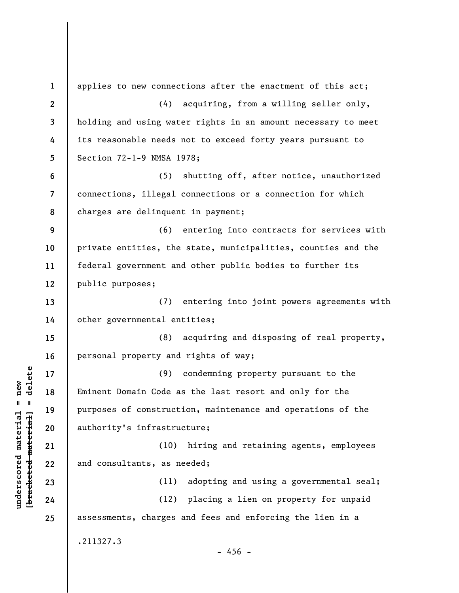**1 2 3 4 5 6 7 8 9 10 11 12 13 14 15 16 17 18 19 20 21 22 23 24 25**  applies to new connections after the enactment of this act; (4) acquiring, from a willing seller only, holding and using water rights in an amount necessary to meet its reasonable needs not to exceed forty years pursuant to Section 72-1-9 NMSA 1978; (5) shutting off, after notice, unauthorized connections, illegal connections or a connection for which charges are delinquent in payment; (6) entering into contracts for services with private entities, the state, municipalities, counties and the federal government and other public bodies to further its public purposes; (7) entering into joint powers agreements with other governmental entities; (8) acquiring and disposing of real property, personal property and rights of way; (9) condemning property pursuant to the Eminent Domain Code as the last resort and only for the purposes of construction, maintenance and operations of the authority's infrastructure; (10) hiring and retaining agents, employees and consultants, as needed; (11) adopting and using a governmental seal; (12) placing a lien on property for unpaid assessments, charges and fees and enforcing the lien in a .211327.3  $-456 -$ 

**underscored material = new [bracketed material] = delete**

 $\frac{1}{2}$  intereted material = delete  $underscored material = new$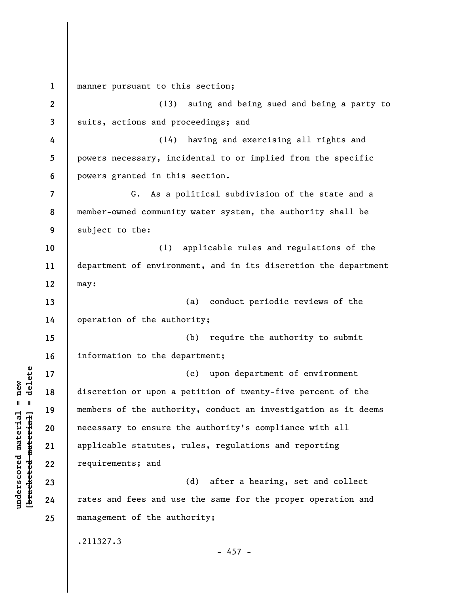**1**  manner pursuant to this section;

**2 3 4 5 6 7 8 9 10 11 12 13 14 15 16 17 18 19 20 21 22 23 24 25**  (13) suing and being sued and being a party to suits, actions and proceedings; and (14) having and exercising all rights and powers necessary, incidental to or implied from the specific powers granted in this section. G. As a political subdivision of the state and a member-owned community water system, the authority shall be subject to the: (1) applicable rules and regulations of the department of environment, and in its discretion the department may: (a) conduct periodic reviews of the operation of the authority; (b) require the authority to submit information to the department; (c) upon department of environment discretion or upon a petition of twenty-five percent of the members of the authority, conduct an investigation as it deems necessary to ensure the authority's compliance with all applicable statutes, rules, regulations and reporting requirements; and (d) after a hearing, set and collect rates and fees and use the same for the proper operation and management of the authority; .211327.3  $- 457 -$ 

 $b$ racketed material] = delete **[bracketed material] = delete**  $underscored material = new$ **underscored material = new**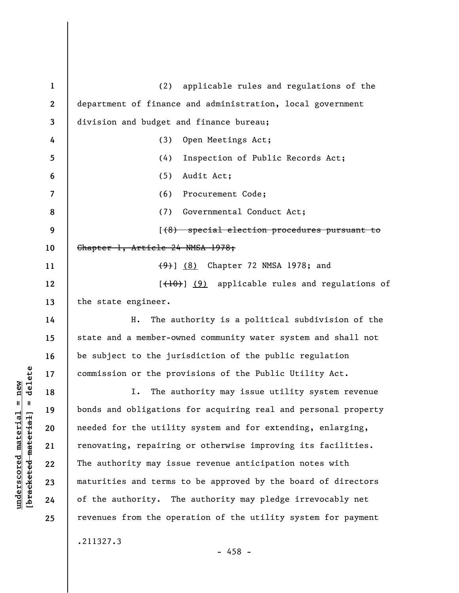**1 2 3 4 5 6 7 8 9 10 11 12 13 14 15 16 17 18 19 20 21 22 23 24 25**  (2) applicable rules and regulations of the department of finance and administration, local government division and budget and finance bureau; (3) Open Meetings Act; (4) Inspection of Public Records Act; (5) Audit Act; (6) Procurement Code; (7) Governmental Conduct Act; [(8) special election procedures pursuant to Chapter 1, Article 24 NMSA 1978; (9)] (8) Chapter 72 NMSA 1978; and [(10)] (9) applicable rules and regulations of the state engineer. H. The authority is a political subdivision of the state and a member-owned community water system and shall not be subject to the jurisdiction of the public regulation commission or the provisions of the Public Utility Act. I. The authority may issue utility system revenue bonds and obligations for acquiring real and personal property needed for the utility system and for extending, enlarging, renovating, repairing or otherwise improving its facilities. The authority may issue revenue anticipation notes with maturities and terms to be approved by the board of directors of the authority. The authority may pledge irrevocably net revenues from the operation of the utility system for payment .211327.3 - 458 -

 $\frac{1}{2}$  intereted material = delete **[bracketed material] = delete**  $anderscored material = new$ **underscored material = new**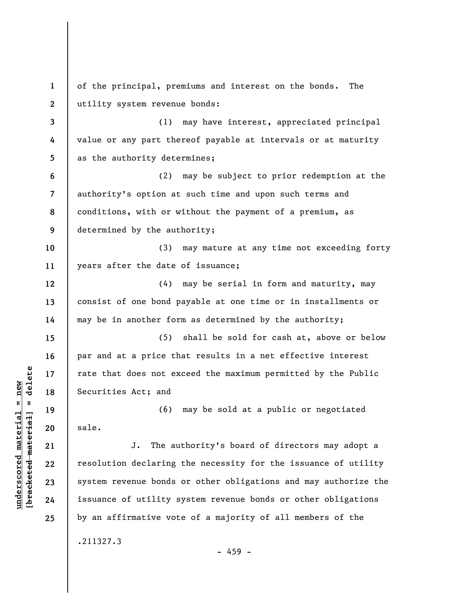**1 2 3 4 5 6 7 8 9 10 11 12 13 14 15 16 17 18 19 20 21 22 23 24 25**  of the principal, premiums and interest on the bonds. The utility system revenue bonds: (1) may have interest, appreciated principal value or any part thereof payable at intervals or at maturity as the authority determines; (2) may be subject to prior redemption at the authority's option at such time and upon such terms and conditions, with or without the payment of a premium, as determined by the authority; (3) may mature at any time not exceeding forty years after the date of issuance; (4) may be serial in form and maturity, may consist of one bond payable at one time or in installments or may be in another form as determined by the authority; (5) shall be sold for cash at, above or below par and at a price that results in a net effective interest rate that does not exceed the maximum permitted by the Public Securities Act; and (6) may be sold at a public or negotiated sale. J. The authority's board of directors may adopt a resolution declaring the necessity for the issuance of utility system revenue bonds or other obligations and may authorize the issuance of utility system revenue bonds or other obligations by an affirmative vote of a majority of all members of the .211327.3 - 459 -

**underscored material = new [bracketed material] = delete**

 $\frac{1}{2}$  bracketed material = delete  $underscored material = new$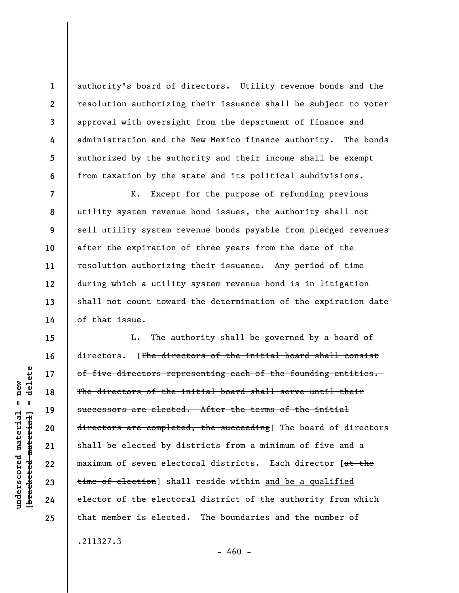authority's board of directors. Utility revenue bonds and the resolution authorizing their issuance shall be subject to voter approval with oversight from the department of finance and administration and the New Mexico finance authority. The bonds authorized by the authority and their income shall be exempt from taxation by the state and its political subdivisions.

K. Except for the purpose of refunding previous utility system revenue bond issues, the authority shall not sell utility system revenue bonds payable from pledged revenues after the expiration of three years from the date of the resolution authorizing their issuance. Any period of time during which a utility system revenue bond is in litigation shall not count toward the determination of the expiration date of that issue.

L. The authority shall be governed by a board of directors. [The directors of the initial board shall consist of five directors representing each of the founding entities. The directors of the initial board shall serve until their successors are elected. After the terms of the initial directors are completed, the succeeding] The board of directors shall be elected by districts from a minimum of five and a maximum of seven electoral districts. Each director [at the time of election] shall reside within and be a qualified elector of the electoral district of the authority from which that member is elected. The boundaries and the number of

delete **[bracketed material] = delete**  $underscored material = new$ **underscored material = new**  $\mathbf{u}$ bracketed material

**1** 

**2** 

**3** 

**4** 

**5** 

**6** 

**7** 

**8** 

**9** 

**10** 

**11** 

**12** 

**13** 

**14** 

**15** 

**16** 

**17** 

**18** 

**19** 

**20** 

**21** 

**22** 

**23** 

**24** 

**25** 

.211327.3

 $-460 -$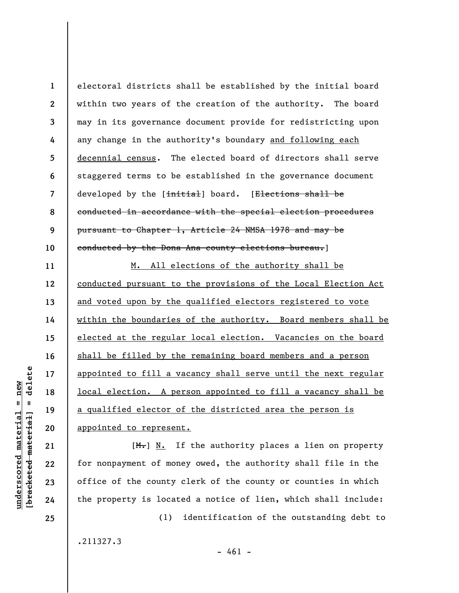**1 2 3 4 5 6 7 8 9 10**  electoral districts shall be established by the initial board within two years of the creation of the authority. The board may in its governance document provide for redistricting upon any change in the authority's boundary and following each decennial census. The elected board of directors shall serve staggered terms to be established in the governance document developed by the [initial] board. [Elections shall be conducted in accordance with the special election procedures pursuant to Chapter 1, Article 24 NMSA 1978 and may be conducted by the Dona Ana county elections bureau.]

M. All elections of the authority shall be conducted pursuant to the provisions of the Local Election Act and voted upon by the qualified electors registered to vote within the boundaries of the authority. Board members shall be elected at the regular local election. Vacancies on the board shall be filled by the remaining board members and a person appointed to fill a vacancy shall serve until the next regular local election. A person appointed to fill a vacancy shall be a qualified elector of the districted area the person is appointed to represent.

 $[M_r]$  N. If the authority places a lien on property for nonpayment of money owed, the authority shall file in the office of the county clerk of the county or counties in which the property is located a notice of lien, which shall include:

.211327.3

**underscored material = new [bracketed material] = delete**

 $underscored material = new$  $\frac{1}{2}$ 

delete

**11** 

**12** 

**13** 

**14** 

**15** 

**16** 

**17** 

**18** 

**19** 

**20** 

**21** 

**22** 

**23** 

**24** 

**25** 

(1) identification of the outstanding debt to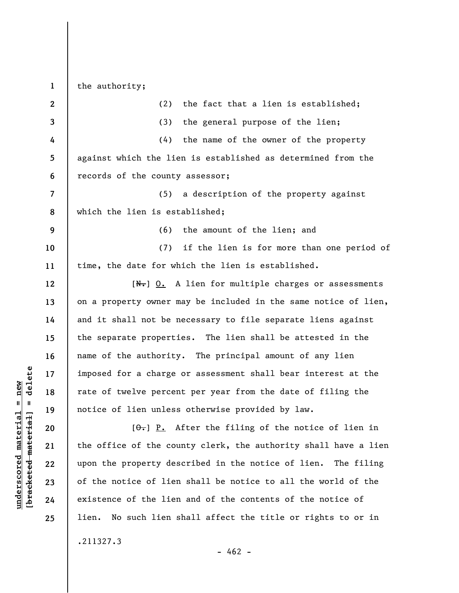the authority;

**1** 

| $\mathbf{2}$             | (2)<br>the fact that a lien is established;                       |
|--------------------------|-------------------------------------------------------------------|
| 3                        | (3)<br>the general purpose of the lien;                           |
| 4                        | the name of the owner of the property<br>(4)                      |
| 5                        | against which the lien is established as determined from the      |
| 6                        | records of the county assessor;                                   |
| $\overline{\phantom{a}}$ | (5) a description of the property against                         |
| 8                        | which the lien is established;                                    |
| 9                        | (6) the amount of the lien; and                                   |
| 10                       | if the lien is for more than one period of<br>(7)                 |
| 11                       | time, the date for which the lien is established.                 |
| 12                       | $[\mathbb{N}\cdot]$ 0. A lien for multiple charges or assessments |
| 13                       | on a property owner may be included in the same notice of lien,   |
| 14                       | and it shall not be necessary to file separate liens against      |
| 15                       | the separate properties. The lien shall be attested in the        |
| 16                       | name of the authority. The principal amount of any lien           |
| 17                       | imposed for a charge or assessment shall bear interest at the     |
| 18                       | rate of twelve percent per year from the date of filing the       |
| 19                       | notice of lien unless otherwise provided by law.                  |
| 20                       | $[\theta_{\tau}]$ P. After the filing of the notice of lien in    |
| 21                       | the office of the county clerk, the authority shall have a lien   |
| 22                       | upon the property described in the notice of lien.<br>The filing  |
| 23                       | of the notice of lien shall be notice to all the world of the     |
| 24                       | existence of the lien and of the contents of the notice of        |
| 25                       | No such lien shall affect the title or rights to or in<br>lien.   |
|                          | .211327.3                                                         |
|                          |                                                                   |

 $\frac{\text{underscored material} = \text{new}}{(\text{bracketed-materiat})}$ **[bracketed material] = delete underscored material = new**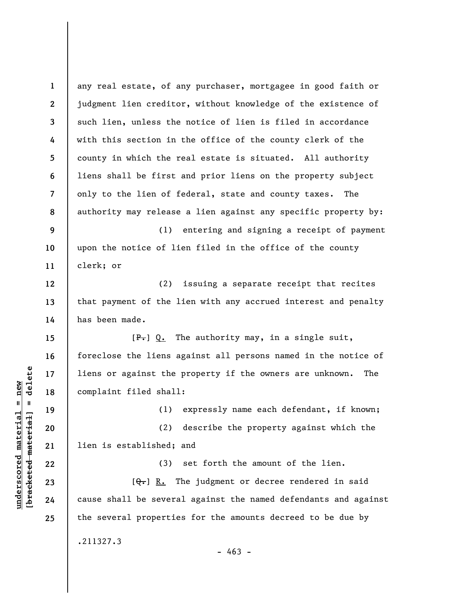**1 2 3 4 5 6 7 8 9 10 11 12 13 14 15 16 17 18 19 20 21 22 23 24 25**  any real estate, of any purchaser, mortgagee in good faith or judgment lien creditor, without knowledge of the existence of such lien, unless the notice of lien is filed in accordance with this section in the office of the county clerk of the county in which the real estate is situated. All authority liens shall be first and prior liens on the property subject only to the lien of federal, state and county taxes. The authority may release a lien against any specific property by: (1) entering and signing a receipt of payment upon the notice of lien filed in the office of the county clerk; or (2) issuing a separate receipt that recites that payment of the lien with any accrued interest and penalty has been made.  $[F<sub>1</sub>] Q<sub>1</sub>$  The authority may, in a single suit, foreclose the liens against all persons named in the notice of liens or against the property if the owners are unknown. The complaint filed shall: (1) expressly name each defendant, if known; (2) describe the property against which the lien is established; and (3) set forth the amount of the lien.  $[Q_{\tau}]$  R. The judgment or decree rendered in said cause shall be several against the named defendants and against the several properties for the amounts decreed to be due by .211327.3  $- 463 -$ 

**underscored material = new [bracketed material] = delete**

 $\frac{1}{2}$  bracketed material = delete  $underscored material = new$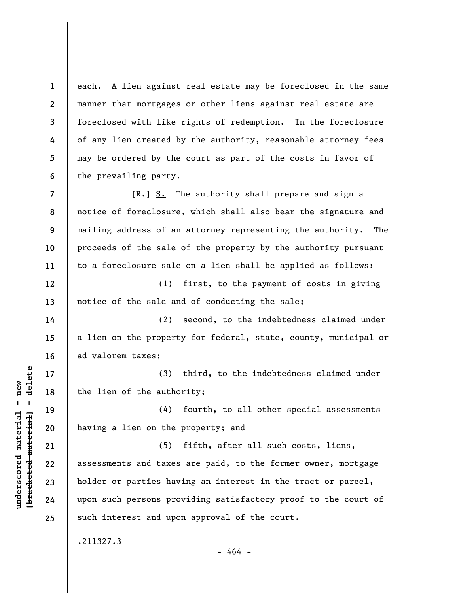**1 2 3**  each. A lien against real estate may be foreclosed in the same manner that mortgages or other liens against real estate are foreclosed with like rights of redemption. In the foreclosure of any lien created by the authority, reasonable attorney fees may be ordered by the court as part of the costs in favor of the prevailing party.

**8 9**  [R.] S. The authority shall prepare and sign a notice of foreclosure, which shall also bear the signature and mailing address of an attorney representing the authority. The proceeds of the sale of the property by the authority pursuant to a foreclosure sale on a lien shall be applied as follows:

**12 13**  (1) first, to the payment of costs in giving notice of the sale and of conducting the sale;

(2) second, to the indebtedness claimed under a lien on the property for federal, state, county, municipal or ad valorem taxes;

(3) third, to the indebtedness claimed under the lien of the authority;

(4) fourth, to all other special assessments having a lien on the property; and

(5) fifth, after all such costs, liens, assessments and taxes are paid, to the former owner, mortgage holder or parties having an interest in the tract or parcel, upon such persons providing satisfactory proof to the court of such interest and upon approval of the court.

.211327.3

- 464 -

 $\frac{1}{2}$  intereted material = delete **[bracketed material] = delete**  $underscored material = new$ **underscored material = new**

**4** 

**5** 

**6** 

**7** 

**10** 

**11** 

**14** 

**15** 

**16** 

**17** 

**18** 

**19** 

**20** 

**21** 

**22** 

**23** 

**24**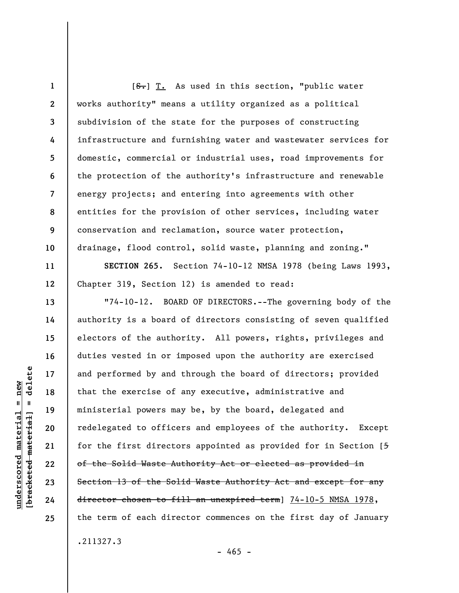**1 2 3 4 5 6 7 8 9 10**  [ $S$ .] T. As used in this section, "public water works authority" means a utility organized as a political subdivision of the state for the purposes of constructing infrastructure and furnishing water and wastewater services for domestic, commercial or industrial uses, road improvements for the protection of the authority's infrastructure and renewable energy projects; and entering into agreements with other entities for the provision of other services, including water conservation and reclamation, source water protection, drainage, flood control, solid waste, planning and zoning."

**SECTION 265.** Section 74-10-12 NMSA 1978 (being Laws 1993, Chapter 319, Section 12) is amended to read:

"74-10-12. BOARD OF DIRECTORS.--The governing body of the authority is a board of directors consisting of seven qualified electors of the authority. All powers, rights, privileges and duties vested in or imposed upon the authority are exercised and performed by and through the board of directors; provided that the exercise of any executive, administrative and ministerial powers may be, by the board, delegated and redelegated to officers and employees of the authority. Except for the first directors appointed as provided for in Section [5 of the Solid Waste Authority Act or elected as provided in Section 13 of the Solid Waste Authority Act and except for any director chosen to fill an unexpired term] 74-10-5 NMSA 1978, the term of each director commences on the first day of January .211327.3

 $- 465 -$ 

delete **[bracketed material] = delete**  $underscored material = new$ **underscored material = new**  $\mathbf{I}$ bracketed material

**11** 

**12** 

**13** 

**14** 

**15** 

**16** 

**17** 

**18** 

**19** 

**20** 

**21** 

**22** 

**23** 

**24**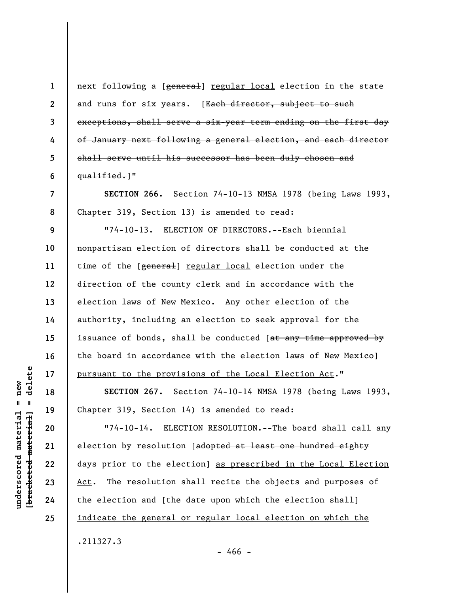delete **[bracketed material] = delete**  $anderscored material = new$ **underscored material = new**  $\mathbf{I}$ bracketed material

**20** 

**21** 

**22** 

**23** 

**24** 

**25** 

**1 2 3 4 5 6 7 8 9 10 11 12 13 14 15 16 17 18 19**  next following a [general] regular local election in the state and runs for six years. [Each director, subject to such exceptions, shall serve a six-year term ending on the first day of January next following a general election, and each director shall serve until his successor has been duly chosen and qualified.]" **SECTION 266.** Section 74-10-13 NMSA 1978 (being Laws 1993, Chapter 319, Section 13) is amended to read: "74-10-13. ELECTION OF DIRECTORS.--Each biennial nonpartisan election of directors shall be conducted at the time of the [general] regular local election under the direction of the county clerk and in accordance with the election laws of New Mexico. Any other election of the authority, including an election to seek approval for the issuance of bonds, shall be conducted [at any time approved by the board in accordance with the election laws of New Mexico] pursuant to the provisions of the Local Election Act." **SECTION 267.** Section 74-10-14 NMSA 1978 (being Laws 1993, Chapter 319, Section 14) is amended to read:

"74-10-14. ELECTION RESOLUTION.--The board shall call any election by resolution [adopted at least one hundred eighty days prior to the election] as prescribed in the Local Election Act. The resolution shall recite the objects and purposes of the election and [the date upon which the election shall] indicate the general or regular local election on which the .211327.3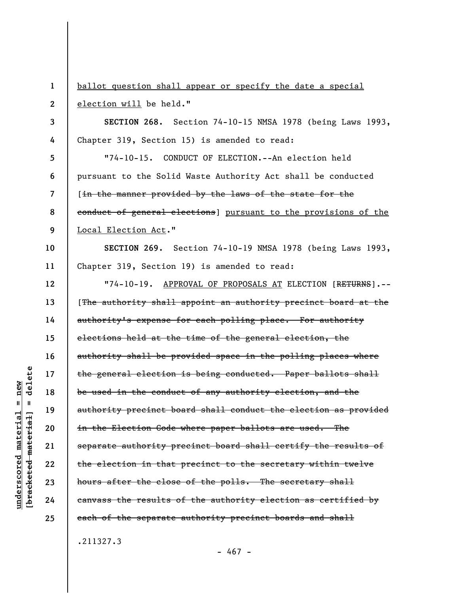**1 2 3 4 5 6 7 8 9 10 11 12 13 14 15 16 17 18 19 20 21 22 23 24 25**  ballot question shall appear or specify the date a special election will be held." **SECTION 268.** Section 74-10-15 NMSA 1978 (being Laws 1993, Chapter 319, Section 15) is amended to read: "74-10-15. CONDUCT OF ELECTION.--An election held pursuant to the Solid Waste Authority Act shall be conducted [in the manner provided by the laws of the state for the conduct of general elections] pursuant to the provisions of the Local Election Act." **SECTION 269.** Section 74-10-19 NMSA 1978 (being Laws 1993, Chapter 319, Section 19) is amended to read: "74-10-19. APPROVAL OF PROPOSALS AT ELECTION [RETURNS].--[The authority shall appoint an authority precinct board at the authority's expense for each polling place. For authority elections held at the time of the general election, the authority shall be provided space in the polling places where the general election is being conducted. Paper ballots shall be used in the conduct of any authority election, and the authority precinct board shall conduct the election as provided in the Election Code where paper ballots are used. The separate authority precinct board shall certify the results of the election in that precinct to the secretary within twelve hours after the close of the polls. The secretary shall canvass the results of the authority election as certified by each of the separate authority precinct boards and shall .211327.3

- 467 -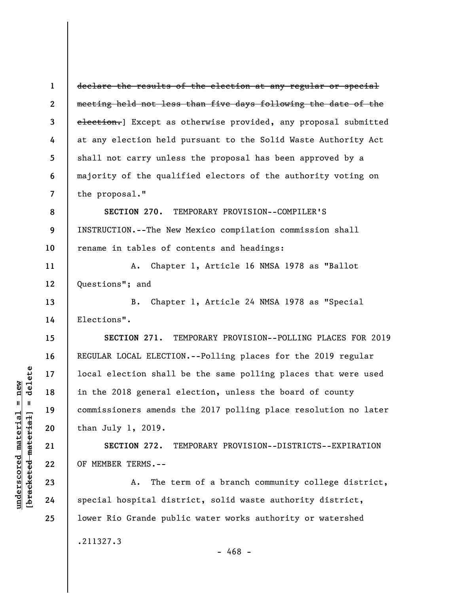**1 2 3 4 5 6 7 8 9**  declare the results of the election at any regular or special meeting held not less than five days following the date of the election.] Except as otherwise provided, any proposal submitted at any election held pursuant to the Solid Waste Authority Act shall not carry unless the proposal has been approved by a majority of the qualified electors of the authority voting on the proposal." **SECTION 270.** TEMPORARY PROVISION--COMPILER'S INSTRUCTION.--The New Mexico compilation commission shall

rename in tables of contents and headings:

A. Chapter 1, Article 16 NMSA 1978 as "Ballot Questions"; and

B. Chapter 1, Article 24 NMSA 1978 as "Special Elections".

**SECTION 271.** TEMPORARY PROVISION--POLLING PLACES FOR 2019 REGULAR LOCAL ELECTION.--Polling places for the 2019 regular local election shall be the same polling places that were used in the 2018 general election, unless the board of county commissioners amends the 2017 polling place resolution no later than July 1, 2019.

**SECTION 272.** TEMPORARY PROVISION--DISTRICTS--EXPIRATION OF MEMBER TERMS.--

A. The term of a branch community college district, special hospital district, solid waste authority district, lower Rio Grande public water works authority or watershed

.211327.3

- 468 -

**10** 

**11** 

**12** 

**13** 

**14** 

**15** 

**16** 

**17** 

**18** 

**19** 

**20** 

**21** 

**22** 

**23** 

**24**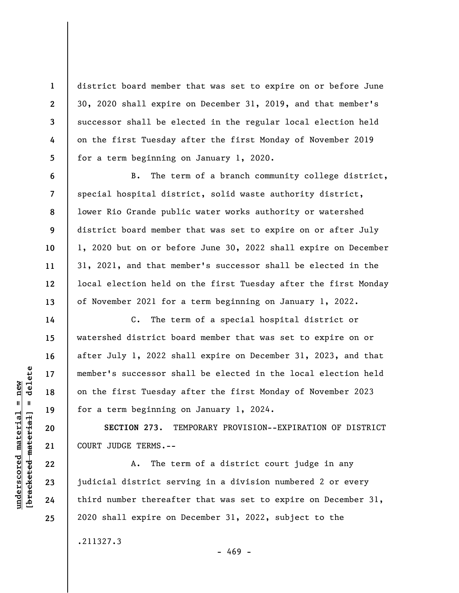district board member that was set to expire on or before June 30, 2020 shall expire on December 31, 2019, and that member's successor shall be elected in the regular local election held on the first Tuesday after the first Monday of November 2019 for a term beginning on January 1, 2020.

B. The term of a branch community college district, special hospital district, solid waste authority district, lower Rio Grande public water works authority or watershed district board member that was set to expire on or after July 1, 2020 but on or before June 30, 2022 shall expire on December 31, 2021, and that member's successor shall be elected in the local election held on the first Tuesday after the first Monday of November 2021 for a term beginning on January 1, 2022.

C. The term of a special hospital district or watershed district board member that was set to expire on or after July 1, 2022 shall expire on December 31, 2023, and that member's successor shall be elected in the local election held on the first Tuesday after the first Monday of November 2023 for a term beginning on January 1, 2024.

**SECTION 273.** TEMPORARY PROVISION--EXPIRATION OF DISTRICT COURT JUDGE TERMS.--

A. The term of a district court judge in any judicial district serving in a division numbered 2 or every third number thereafter that was set to expire on December 31, 2020 shall expire on December 31, 2022, subject to the

.211327.3

 $-469 -$ 

 $=$  delete **[bracketed material] = delete**  $underscored material = new$ **underscored material = new** bracketed material

**1** 

**2** 

**3** 

**4** 

**5** 

**6** 

**7** 

**8** 

**9** 

**10** 

**11** 

**12** 

**13** 

**14** 

**15** 

**16** 

**17** 

**18** 

**19** 

**20** 

**21** 

**22** 

**23** 

**24** 

**25**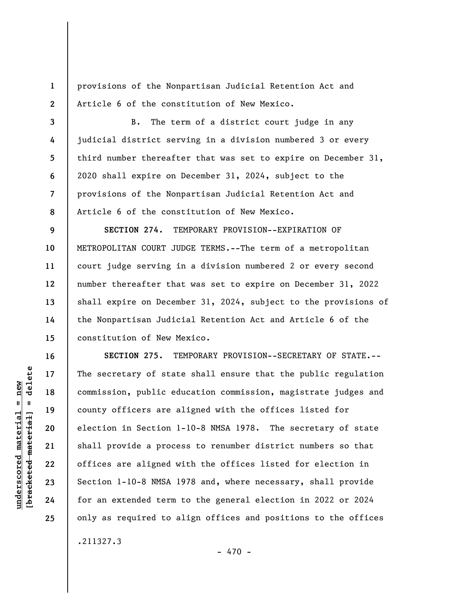**1 2**  provisions of the Nonpartisan Judicial Retention Act and Article 6 of the constitution of New Mexico.

B. The term of a district court judge in any judicial district serving in a division numbered 3 or every third number thereafter that was set to expire on December 31, 2020 shall expire on December 31, 2024, subject to the provisions of the Nonpartisan Judicial Retention Act and Article 6 of the constitution of New Mexico.

**9 10 11 12 13 14 15 SECTION 274.** TEMPORARY PROVISION--EXPIRATION OF METROPOLITAN COURT JUDGE TERMS.--The term of a metropolitan court judge serving in a division numbered 2 or every second number thereafter that was set to expire on December 31, 2022 shall expire on December 31, 2024, subject to the provisions of the Nonpartisan Judicial Retention Act and Article 6 of the constitution of New Mexico.

**SECTION 275.** TEMPORARY PROVISION--SECRETARY OF STATE.-- The secretary of state shall ensure that the public regulation commission, public education commission, magistrate judges and county officers are aligned with the offices listed for election in Section 1-10-8 NMSA 1978. The secretary of state shall provide a process to renumber district numbers so that offices are aligned with the offices listed for election in Section 1-10-8 NMSA 1978 and, where necessary, shall provide for an extended term to the general election in 2022 or 2024 only as required to align offices and positions to the offices .211327.3

**3** 

**4** 

**5** 

**6** 

**7** 

**8** 

**16** 

**17** 

**18** 

**19** 

**20** 

**21** 

**22** 

**23** 

**24** 

**25** 

 $-470 -$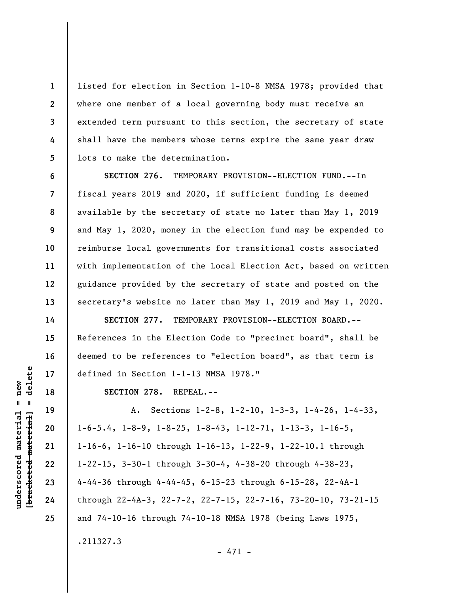listed for election in Section 1-10-8 NMSA 1978; provided that where one member of a local governing body must receive an extended term pursuant to this section, the secretary of state shall have the members whose terms expire the same year draw lots to make the determination.

**SECTION 276.** TEMPORARY PROVISION--ELECTION FUND.--In fiscal years 2019 and 2020, if sufficient funding is deemed available by the secretary of state no later than May 1, 2019 and May 1, 2020, money in the election fund may be expended to reimburse local governments for transitional costs associated with implementation of the Local Election Act, based on written guidance provided by the secretary of state and posted on the secretary's website no later than May 1, 2019 and May 1, 2020.

**SECTION 277.** TEMPORARY PROVISION--ELECTION BOARD.-- References in the Election Code to "precinct board", shall be deemed to be references to "election board", as that term is defined in Section 1-1-13 NMSA 1978."

**SECTION 278.** REPEAL.--

A. Sections 1-2-8, 1-2-10, 1-3-3, 1-4-26, 1-4-33, 1-6-5.4, 1-8-9, 1-8-25, 1-8-43, 1-12-71, 1-13-3, 1-16-5, 1-16-6, 1-16-10 through 1-16-13, 1-22-9, 1-22-10.1 through 1-22-15, 3-30-1 through 3-30-4, 4-38-20 through 4-38-23, 4-44-36 through 4-44-45, 6-15-23 through 6-15-28, 22-4A-1 through 22-4A-3, 22-7-2, 22-7-15, 22-7-16, 73-20-10, 73-21-15 and 74-10-16 through 74-10-18 NMSA 1978 (being Laws 1975, .211327.3

- 471 -

delete **[bracketed material] = delete**  $anderscored material = new$ **underscored material = new**  $\mathbf{I}$ bracketed material

**1** 

**2** 

**3** 

**4** 

**5** 

**6** 

**7** 

**8** 

**9** 

**10** 

**11** 

**12** 

**13** 

**14** 

**15** 

**16** 

**17** 

**18** 

**19** 

**20** 

**21** 

**22** 

**23** 

**24** 

**25**